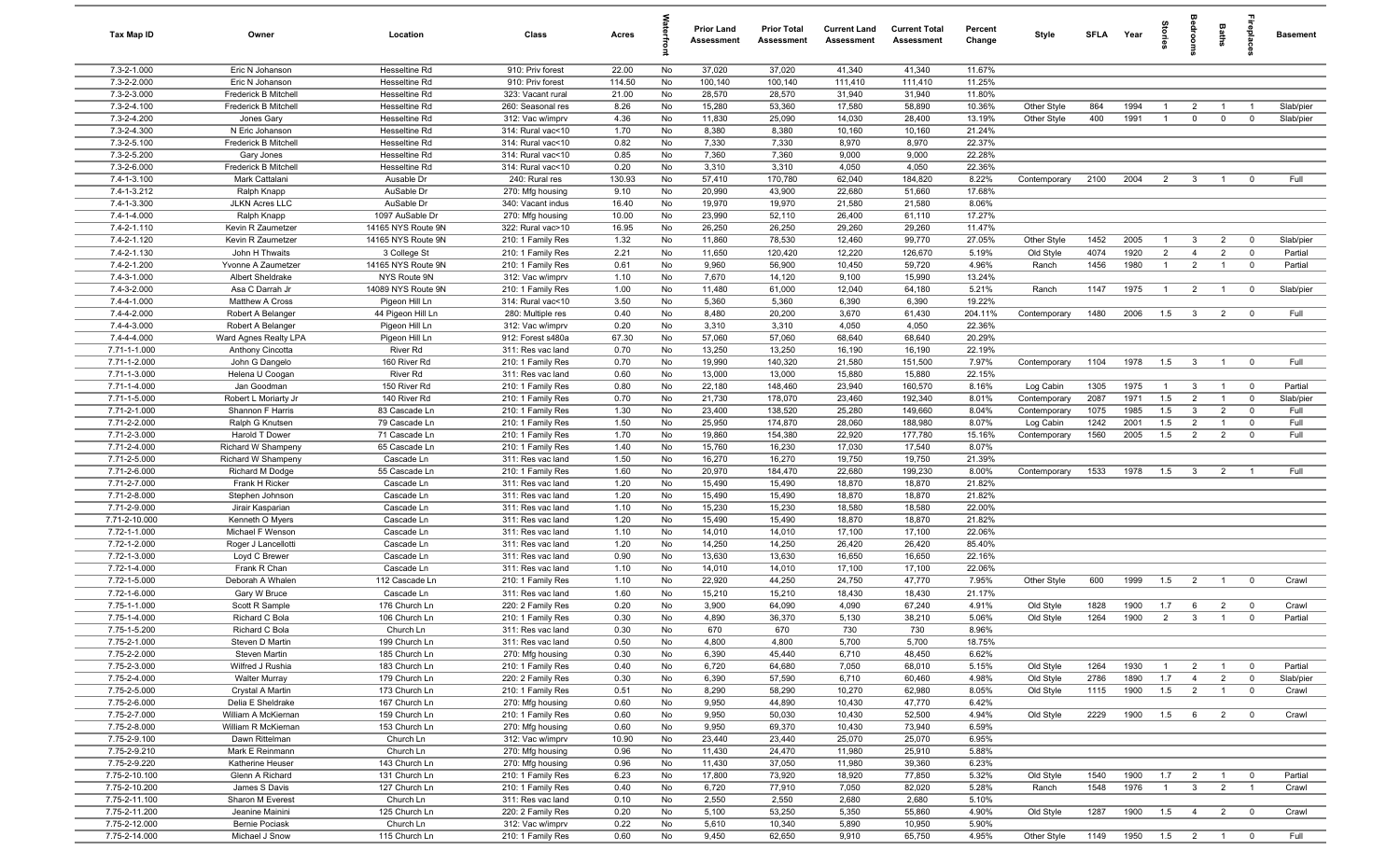| Tax Map ID                   | Owner                                      | Location                         | Class                                  | Acres        |          | <b>Prior Land</b><br>Assessment | <b>Prior Total</b><br>Assessment | <b>Current Land</b><br>Assessment | <b>Current Total</b><br>Assessment | Percent<br>Change | Style                  | SFLA Year    |              | Storie         | groon                            | Baths                          | epla                          | <b>Basement</b>    |
|------------------------------|--------------------------------------------|----------------------------------|----------------------------------------|--------------|----------|---------------------------------|----------------------------------|-----------------------------------|------------------------------------|-------------------|------------------------|--------------|--------------|----------------|----------------------------------|--------------------------------|-------------------------------|--------------------|
| 7.3-2-1.000                  | Eric N Johanson                            | Hesseltine Rd                    | 910: Priv forest                       | 22.00        | No       | 37,020                          | 37,020                           | 41,340                            | 41,340                             | 11.67%            |                        |              |              |                |                                  |                                |                               |                    |
| 7.3-2-2.000                  | Eric N Johanson                            | Hesseltine Rd                    | 910: Priv forest                       | 114.50       | No       | 100,140                         | 100,140                          | 111,410                           | 111,410                            | 11.25%            |                        |              |              |                |                                  |                                |                               |                    |
| 7.3-2-3.000                  | Frederick B Mitchell                       | Hesseltine Rd                    | 323: Vacant rural                      | 21.00        | No       | 28,570                          | 28,570                           | 31,940                            | 31,940                             | 11.80%            |                        |              |              |                |                                  |                                |                               |                    |
| 7.3-2-4.100                  | Frederick B Mitchell                       | Hesseltine Rd                    | 260: Seasonal res                      | 8.26         | No       | 15,280                          | 53,360                           | 17,580                            | 58,890                             | 10.36%            | Other Style            | 864          | 1994         | $\overline{1}$ | $\overline{2}$                   |                                |                               | Slab/pier          |
| 7.3-2-4.200                  | Jones Gary                                 | Hesseltine Rd                    | 312: Vac w/imprv                       | 4.36         | No       | 11,830                          | 25,090                           | 14,030                            | 28,400                             | 13.19%            | Other Style            | 400          | 1991         | $\overline{1}$ | $\mathbf 0$                      | $\mathbf 0$                    | $\mathbf 0$                   | Slab/pier          |
| 7.3-2-4.300<br>7.3-2-5.100   | N Eric Johanson<br>Frederick B Mitchell    | Hesseltine Rd<br>Hesseltine Rd   | 314: Rural vac<10<br>314: Rural vac<10 | 1.70<br>0.82 | No<br>No | 8,380<br>7,330                  | 8,380<br>7,330                   | 10,160<br>8,970                   | 10,160<br>8,970                    | 21.24%<br>22.37%  |                        |              |              |                |                                  |                                |                               |                    |
| 7.3-2-5.200                  | Gary Jones                                 | Hesseltine Rd                    | 314: Rural vac<10                      | 0.85         | No       | 7,360                           | 7,360                            | 9,000                             | 9,000                              | 22.28%            |                        |              |              |                |                                  |                                |                               |                    |
| 7.3-2-6.000                  | Frederick B Mitchell                       | Hesseltine Rd                    | 314: Rural vac<10                      | 0.20         | No       | 3,310                           | 3,310                            | 4,050                             | 4,050                              | 22.36%            |                        |              |              |                |                                  |                                |                               |                    |
| 7.4-1-3.100                  | Mark Cattalani                             | Ausable Dr                       | 240: Rural res                         | 130.93       | No       | 57,410                          | 170,780                          | 62,040                            | 184,820                            | 8.22%             | Contemporary           | 2100         | 2004         | 2              | $\overline{3}$                   | $\overline{1}$                 | $^{\circ}$                    | Full               |
| 7.4-1-3.212                  | Ralph Knapp                                | AuSable Dr                       | 270: Mfg housing                       | 9.10         | No       | 20,990                          | 43,900                           | 22,680                            | 51,660                             | 17.68%            |                        |              |              |                |                                  |                                |                               |                    |
| 7.4-1-3.300                  | <b>JLKN Acres LLC</b>                      | AuSable Dr                       | 340: Vacant indus                      | 16.40        | No       | 19,970                          | 19,970                           | 21,580                            | 21,580                             | 8.06%             |                        |              |              |                |                                  |                                |                               |                    |
| 7.4-1-4.000                  | Ralph Knapp                                | 1097 AuSable Dr                  | 270: Mfg housing                       | 10.00        | No       | 23,990                          | 52,110                           | 26,400                            | 61,110                             | 17.27%            |                        |              |              |                |                                  |                                |                               |                    |
| 7.4-2-1.110                  | Kevin R Zaumetzer                          | 14165 NYS Route 9N               | 322: Rural vac>10                      | 16.95        | No       | 26,250                          | 26,250                           | 29,260                            | 29,260                             | 11.47%            |                        |              |              |                |                                  |                                |                               |                    |
| 7.4-2-1.120                  | Kevin R Zaumetzer                          | 14165 NYS Route 9N               | 210: 1 Family Res                      | 1.32         | No       | 11,860                          | 78,530                           | 12,460                            | 99,770                             | 27.05%            | Other Style            | 1452         | 2005         | $\overline{1}$ | 3                                | $\overline{2}$                 | $\mathbf 0$                   | Slab/pier          |
| 7.4-2-1.130                  | John H Thwaits                             | 3 College St                     | 210: 1 Family Res                      | 2.21         | No       | 11,650                          | 120,420                          | 12,220                            | 126,670                            | 5.19%             | Old Style              | 4074         | 1920         | $\overline{2}$ | $\overline{4}$                   | $\overline{2}$                 | $\mathbf 0$                   | Partial            |
| $7.4 - 2 - 1.200$            | Yvonne A Zaumetzer                         | 14165 NYS Route 9N               | 210: 1 Family Res                      | 0.61         | No       | 9,960                           | 56,900                           | 10,450                            | 59,720                             | 4.96%             | Ranch                  | 1456         | 1980         | $\overline{1}$ | $\overline{2}$                   |                                | $\mathbf 0$                   | Partial            |
| 7.4-3-1.000                  | Albert Sheldrake                           | NYS Route 9N                     | 312: Vac w/imprv                       | 1.10         | No       | 7,670                           | 14,120                           | 9,100                             | 15,990                             | 13.24%            |                        |              |              |                |                                  |                                |                               |                    |
| 7.4-3-2.000                  | Asa C Darrah Jr                            | 14089 NYS Route 9N               | 210: 1 Family Res                      | 1.00         | No       | 11,480                          | 61,000                           | 12,040                            | 64,180                             | 5.21%             | Ranch                  | 1147         | 1975         | $\overline{1}$ | $\overline{2}$                   |                                | $\mathbf 0$                   | Slab/pier          |
| 7.4-4-1.000                  | Matthew A Cross                            | Pigeon Hill Ln                   | 314: Rural vac<10                      | 3.50         | No       | 5,360                           | 5,360                            | 6,390                             | 6,390                              | 19.22%            |                        |              |              |                |                                  |                                |                               |                    |
| 7.4-4-2.000<br>7.4-4-3.000   | Robert A Belanger                          | 44 Pigeon Hill Ln                | 280: Multiple res                      | 0.40<br>0.20 | No<br>No | 8,480                           | 20,200                           | 3,670<br>4,050                    | 61,430<br>4,050                    | 204.11%<br>22.36% | Contemporary           | 1480         | 2006         | 1.5            | $\mathbf{3}$                     | $\overline{2}$                 | $^{\circ}$                    | Full               |
| 7.4-4-4.000                  | Robert A Belanger<br>Ward Agnes Realty LPA | Pigeon Hill Ln<br>Pigeon Hill Ln | 312: Vac w/imprv<br>912: Forest s480a  | 67.30        | No       | 3,310<br>57,060                 | 3,310<br>57,060                  | 68,640                            | 68,640                             | 20.29%            |                        |              |              |                |                                  |                                |                               |                    |
| 7.71-1-1.000                 | Anthony Cincotta                           | River Rd                         | 311: Res vac land                      | 0.70         | No       | 13,250                          | 13,250                           | 16,190                            | 16,190                             | 22.19%            |                        |              |              |                |                                  |                                |                               |                    |
| 7.71-1-2.000                 | John G Dangelo                             | 160 River Rd                     | 210: 1 Family Res                      | 0.70         | No       | 19,990                          | 140,320                          | 21,580                            | 151,500                            | 7.97%             | Contemporary           | 1104         | 1978         | 1.5            | $\overline{3}$                   | $\overline{1}$                 | $\mathbf 0$                   | Full               |
| 7.71-1-3.000                 | Helena U Coogan                            | River Rd                         | 311: Res vac land                      | 0.60         | No       | 13,000                          | 13,000                           | 15,880                            | 15,880                             | 22.15%            |                        |              |              |                |                                  |                                |                               |                    |
| 7.71-1-4.000                 | Jan Goodman                                | 150 River Rd                     | 210: 1 Family Res                      | 0.80         | No       | 22,180                          | 148,460                          | 23,940                            | 160,570                            | 8.16%             | Log Cabin              | 1305         | 1975         | $\overline{1}$ | $\mathbf{3}$                     | $\overline{1}$                 | $\mathbf 0$                   | Partial            |
| 7.71-1-5.000                 | Robert L Moriarty Jr                       | 140 River Rd                     | 210: 1 Family Res                      | 0.70         | No       | 21,730                          | 178,070                          | 23,460                            | 192,340                            | 8.01%             | Contemporary           | 2087         | 1971         | 1.5            | $\overline{2}$                   |                                | $\mathbf 0$                   | Slab/pier          |
| 7.71-2-1.000                 | Shannon F Harris                           | 83 Cascade Ln                    | 210: 1 Family Res                      | 1.30         | No       | 23,400                          | 138,520                          | 25,280                            | 149,660                            | 8.04%             | Contemporary           | 1075         | 1985         | 1.5            | $\mathbf{3}$                     | $\overline{2}$                 | $^{\circ}$                    | Full               |
| 7.71-2-2.000                 | Ralph G Knutsen                            | 79 Cascade Ln                    | 210: 1 Family Res                      | 1.50         | No       | 25,950                          | 174,870                          | 28,060                            | 188,980                            | 8.07%             | Log Cabin              | 1242         | 2001         | 1.5            | $\overline{2}$                   |                                | $^{\circ}$                    | Full               |
| 7.71-2-3.000                 | Harold T Dower                             | 71 Cascade Ln                    | 210: 1 Family Res                      | 1.70         | No       | 19,860                          | 154,380                          | 22,920                            | 177,780                            | 15.16%            | Contemporary           | 1560         | 2005         | 1.5            | $\overline{2}$                   | $\overline{2}$                 | $^{\circ}$                    | Full               |
| 7.71-2-4.000                 | Richard W Shampeny                         | 65 Cascade Ln                    | 210: 1 Family Res                      | 1.40         | No       | 15,760                          | 16,230                           | 17,030                            | 17,540                             | 8.07%             |                        |              |              |                |                                  |                                |                               |                    |
| 7.71-2-5.000                 | Richard W Shampeny                         | Cascade Ln                       | 311: Res vac land                      | 1.50         | No       | 16,270                          | 16,270                           | 19,750                            | 19,750                             | 21.39%            |                        |              |              |                |                                  |                                |                               |                    |
| 7.71-2-6.000                 | Richard M Dodge                            | 55 Cascade Ln                    | 210: 1 Family Res                      | 1.60         | No       | 20,970                          | 184,470                          | 22,680                            | 199,230                            | 8.00%             | Contemporary           | 1533         | 1978         | 1.5            | $\mathbf{3}$                     | $\overline{2}$                 | $\overline{1}$                | Full               |
| 7.71-2-7.000                 | Frank H Ricker                             | Cascade Ln                       | 311: Res vac land                      | 1.20         | No       | 15,490                          | 15,490                           | 18,870                            | 18,870                             | 21.82%            |                        |              |              |                |                                  |                                |                               |                    |
| 7.71-2-8.000<br>7.71-2-9.000 | Stephen Johnson                            | Cascade Ln                       | 311: Res vac land                      | 1.20<br>1.10 | No<br>No | 15,490<br>15,230                | 15,490<br>15,230                 | 18,870<br>18,580                  | 18,870<br>18,580                   | 21.82%<br>22.00%  |                        |              |              |                |                                  |                                |                               |                    |
| 7.71-2-10.000                | Jirair Kasparian<br>Kenneth O Myers        | Cascade Ln<br>Cascade Ln         | 311: Res vac land<br>311: Res vac land | 1.20         | No       | 15,490                          | 15,490                           | 18,870                            | 18,870                             | 21.82%            |                        |              |              |                |                                  |                                |                               |                    |
| 7.72-1-1.000                 | Michael F Wenson                           | Cascade Ln                       | 311: Res vac land                      | 1.10         | No       | 14,010                          | 14,010                           | 17,100                            | 17,100                             | 22.06%            |                        |              |              |                |                                  |                                |                               |                    |
| 7.72-1-2.000                 | Roger J Lancellotti                        | Cascade Ln                       | 311: Res vac land                      | 1.20         | No       | 14,250                          | 14,250                           | 26,420                            | 26,420                             | 85.40%            |                        |              |              |                |                                  |                                |                               |                    |
| 7.72-1-3.000                 | Loyd C Brewer                              | Cascade Ln                       | 311: Res vac land                      | 0.90         | No       | 13,630                          | 13,630                           | 16,650                            | 16,650                             | 22.16%            |                        |              |              |                |                                  |                                |                               |                    |
| 7.72-1-4.000                 | Frank R Chan                               | Cascade Ln                       | 311: Res vac land                      | 1.10         | No       | 14,010                          | 14,010                           | 17,100                            | 17,100                             | 22.06%            |                        |              |              |                |                                  |                                |                               |                    |
| 7.72-1-5.000                 | Deborah A Whalen                           | 112 Cascade Ln                   | 210: 1 Family Res                      | 1.10         | No       | 22,920                          | 44,250                           | 24,750                            | 47,770                             | 7.95%             | Other Style            | 600          | 1999         | 1.5            | $\overline{2}$                   | $\overline{1}$                 | $\overline{0}$                | Crawl              |
| 7.72-1-6.000                 | Gary W Bruce                               | Cascade Ln                       | 311: Res vac land                      | 1.60         | No       | 15,210                          | 15,210                           | 18,430                            | 18,430                             | 21.17%            |                        |              |              |                |                                  |                                |                               |                    |
| 7.75-1-1.000                 | Scott R Sample                             | 176 Church Ln                    | 220: 2 Family Res                      | 0.20         | No       | 3,900                           | 64,090                           | 4,090                             | 67,240                             | 4.91%             | Old Style              | 1828         | 1900         | 1.7            | 6                                | $\overline{2}$                 | $\overline{0}$                | Crawl              |
| 7.75-1-4.000                 | Richard C Bola                             | 106 Church Ln                    | 210: 1 Family Res                      | 0.30         | No       | 4,890                           | 36,370                           | 5,130                             | 38,210                             | 5.06%             | Old Style              | 1264         | 1900         | 2              | $\overline{3}$                   | $\overline{1}$                 | $\mathbf 0$                   | Partial            |
| 7.75-1-5.200                 | Richard C Bola                             | Church Ln                        | 311: Res vac land                      | 0.30         | No       | 670                             | 670                              | 730                               | 730                                | 8.96%             |                        |              |              |                |                                  |                                |                               |                    |
| 7.75-2-1.000                 | Steven D Martin                            | 199 Church Ln                    | 311: Res vac land                      | 0.50         | No       | 4,800                           | 4,800                            | 5,700                             | 5,700                              | 18.75%            |                        |              |              |                |                                  |                                |                               |                    |
| 7.75-2-2.000                 | Steven Martin                              | 185 Church Ln                    | 270: Mfg housing                       | 0.30         | No       | 6,390                           | 45,440                           | 6,710                             | 48,450                             | 6.62%             |                        |              |              |                |                                  |                                |                               |                    |
| 7.75-2-3.000                 | Wilfred J Rushia                           | 183 Church Ln                    | 210: 1 Family Res                      | 0.40         | No       | 6,720                           | 64,680                           | 7,050                             | 68,010                             | 5.15%             | Old Style              | 1264         | 1930         | $\overline{1}$ | $\overline{2}$                   | $\mathbf{1}$                   | $\mathbf 0$                   | Partial            |
| 7.75-2-4.000<br>7.75-2-5.000 | <b>Walter Murray</b><br>Crystal A Martin   | 179 Church Ln<br>173 Church Ln   | 220: 2 Family Res<br>210: 1 Family Res | 0.30<br>0.51 | No<br>No | 6,390<br>8,290                  | 57,590<br>58,290                 | 6,710<br>10,270                   | 60,460<br>62,980                   | 4.98%<br>8.05%    | Old Style<br>Old Style | 2786<br>1115 | 1890<br>1900 | 1.7<br>1.5     | $\overline{4}$<br>$\overline{2}$ | $\overline{2}$<br>$\mathbf{1}$ | $\mathbf 0$<br>$\overline{0}$ | Slab/pier<br>Crawl |
| 7.75-2-6.000                 | Delia E Sheldrake                          | 167 Church Ln                    | 270: Mfg housing                       | 0.60         | No       | 9,950                           | 44,890                           | 10,430                            | 47,770                             | 6.42%             |                        |              |              |                |                                  |                                |                               |                    |
| 7.75-2-7.000                 | William A McKiernan                        | 159 Church Ln                    | 210: 1 Family Res                      | 0.60         | No       | 9,950                           | 50,030                           | 10,430                            | 52,500                             | 4.94%             | Old Style              | 2229         | 1900         | 1.5            | 6                                | $\overline{2}$                 | $\overline{0}$                | Crawl              |
| 7.75-2-8.000                 | William R McKiernan                        | 153 Church Ln                    | 270: Mfg housing                       | 0.60         | No       | 9,950                           | 69,370                           | 10,430                            | 73,940                             | 6.59%             |                        |              |              |                |                                  |                                |                               |                    |
| 7.75-2-9.100                 | Dawn Rittelman                             | Church Ln                        | 312: Vac w/imprv                       | 10.90        | No       | 23,440                          | 23,440                           | 25,070                            | 25,070                             | 6.95%             |                        |              |              |                |                                  |                                |                               |                    |
| 7.75-2-9.210                 | Mark E Reinmann                            | Church Ln                        | 270: Mfg housing                       | 0.96         | No       | 11,430                          | 24,470                           | 11,980                            | 25,910                             | 5.88%             |                        |              |              |                |                                  |                                |                               |                    |
| 7.75-2-9.220                 | Katherine Heuser                           | 143 Church Ln                    | 270: Mfg housing                       | 0.96         | No       | 11,430                          | 37,050                           | 11,980                            | 39,360                             | 6.23%             |                        |              |              |                |                                  |                                |                               |                    |
| 7.75-2-10.100                | Glenn A Richard                            | 131 Church Ln                    | 210: 1 Family Res                      | 6.23         | No       | 17,800                          | 73,920                           | 18,920                            | 77,850                             | 5.32%             | Old Style              | 1540         | 1900         | 1.7            | $\overline{2}$                   | $\overline{1}$                 | $\mathbf 0$                   | Partial            |
| 7.75-2-10.200                | James S Davis                              | 127 Church Ln                    | 210: 1 Family Res                      | 0.40         | No       | 6,720                           | 77,910                           | 7,050                             | 82,020                             | 5.28%             | Ranch                  | 1548         | 1976         | $\overline{1}$ | $\mathbf{3}$                     | 2                              | $\overline{1}$                | Crawl              |
| 7.75-2-11.100                | Sharon M Everest                           | Church Ln                        | 311: Res vac land                      | 0.10         | No       | 2,550                           | 2,550                            | 2,680                             | 2,680                              | 5.10%             |                        |              |              |                |                                  |                                |                               |                    |
| 7.75-2-11.200                | Jeanine Mainini                            | 125 Church Ln                    | 220: 2 Family Res                      | 0.20         | No       | 5,100                           | 53,250                           | 5,350                             | 55,860                             | 4.90%             | Old Style              | 1287         | 1900         | 1.5            | $\overline{4}$                   | $\overline{2}$                 | $\overline{\mathbf{0}}$       | Crawl              |
| 7.75-2-12.000                | <b>Bernie Pociask</b>                      | Church Ln                        | 312: Vac w/imprv                       | 0.22         | No       | 5,610                           | 10,340                           | 5,890                             | 10,950                             | 5.90%             |                        |              |              |                |                                  |                                |                               |                    |
| 7.75-2-14.000                | Michael J Snow                             | 115 Church Ln                    | 210: 1 Family Res                      | 0.60         | No       | 9,450                           | 62,650                           | 9,910                             | 65,750                             | 4.95%             | Other Style            | 1149         | 1950         | $1.5 \t2 \t1$  |                                  |                                | $\overline{\mathbf{0}}$       | Full               |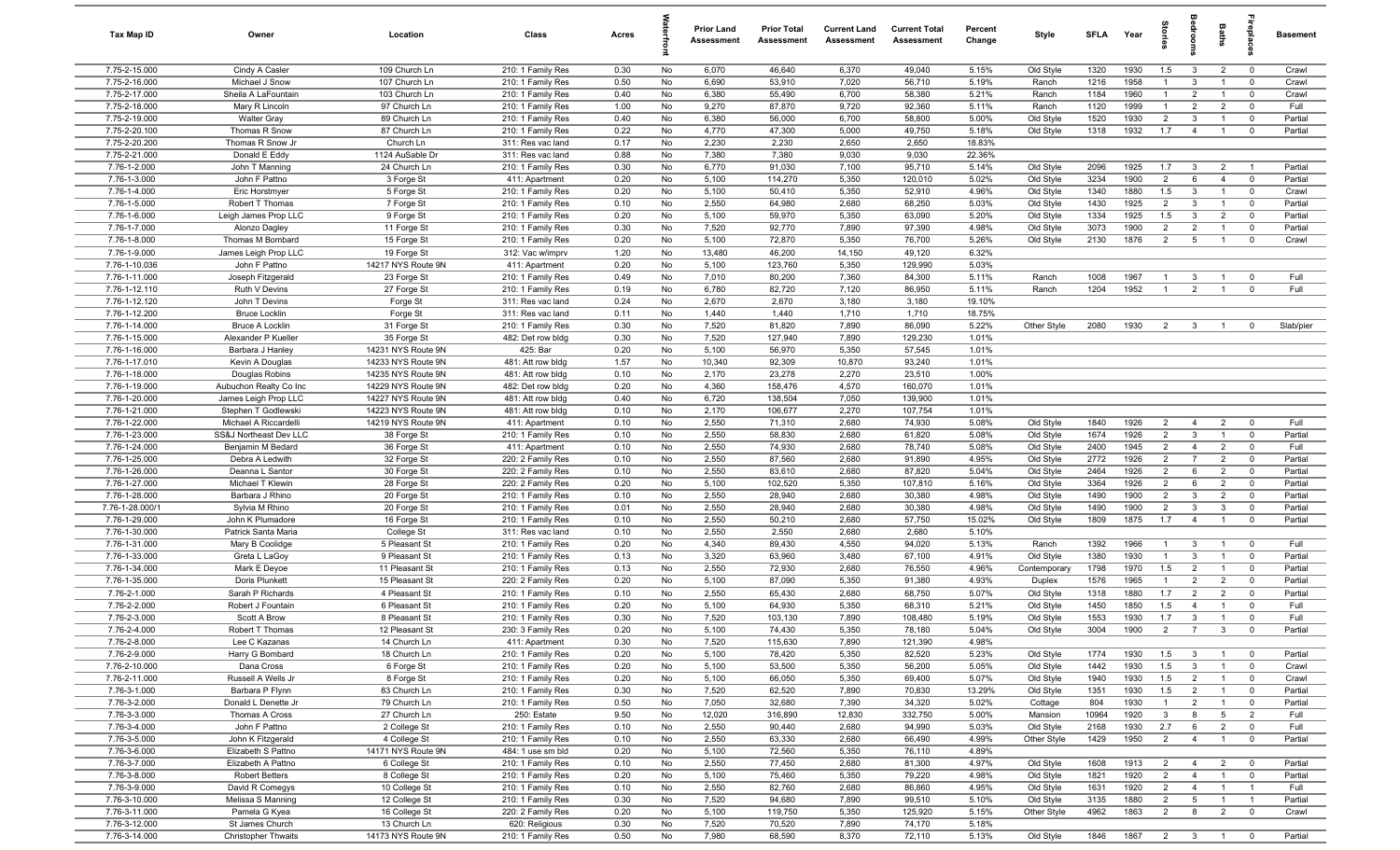| Tax Map ID                       | Owner                                          | Location                                 | Class                                  | Acres        |          | <b>Prior Land</b><br>Assessment | <b>Prior Total</b><br>Assessment | <b>Current Land</b><br>Assessment | <b>Current Total</b><br>Assessment | Percent<br>Change | Style                  | <b>SFLA</b>  | Year         | Stori                 | droom                            | Baths                          | ne<br>Pla                     | Basement           |
|----------------------------------|------------------------------------------------|------------------------------------------|----------------------------------------|--------------|----------|---------------------------------|----------------------------------|-----------------------------------|------------------------------------|-------------------|------------------------|--------------|--------------|-----------------------|----------------------------------|--------------------------------|-------------------------------|--------------------|
| 7.75-2-15.000                    | Cindy A Casler                                 | 109 Church Ln                            | 210: 1 Family Res                      | 0.30         | No       | 6,070                           | 46,640                           | 6,370                             | 49,040                             | 5.15%             | Old Style              | 1320         | 1930         | 1.5                   | $\mathbf{3}$                     | $\overline{2}$                 | $\mathbf 0$                   | Crawl              |
| 7.75-2-16.000                    | Michael J Snow                                 | 107 Church Ln                            | 210: 1 Family Res                      | 0.50         | No       | 6,690                           | 53,910                           | 7,020                             | 56,710                             | 5.19%             | Ranch                  | 1216         | 1958         | $\mathbf{1}$          | $\mathbf{3}$                     | $\overline{1}$                 | $\mathbf 0$                   | Crawl              |
| 7.75-2-17.000                    | Sheila A LaFountain                            | 103 Church Ln                            | 210: 1 Family Res                      | 0.40         | No       | 6,380                           | 55,490                           | 6,700                             | 58,380                             | 5.21%             | Ranch                  | 1184         | 1960         | $\mathbf{1}$          | $\overline{2}$                   | $\overline{1}$                 | $\mathbf 0$                   | Crawl              |
| 7.75-2-18.000                    | Mary R Lincoln                                 | 97 Church Ln                             | 210: 1 Family Res                      | 1.00         | No       | 9,270                           | 87,870                           | 9,720                             | 92,360                             | 5.11%             | Ranch                  | 1120         | 1999         | $\mathbf{1}$          | $\overline{2}$                   | $\overline{2}$                 | $\mathbf 0$                   | Full               |
| 7.75-2-19.000<br>7.75-2-20.100   | <b>Walter Gray</b><br>Thomas R Snow            | 89 Church Ln<br>87 Church Ln             | 210: 1 Family Res<br>210: 1 Family Res | 0.40<br>0.22 | No<br>No | 6,380<br>4,770                  | 56,000<br>47,300                 | 6,700<br>5,000                    | 58,800<br>49,750                   | 5.00%<br>5.18%    | Old Style<br>Old Style | 1520<br>1318 | 1930<br>1932 | $\overline{2}$<br>1.7 | $\mathbf{3}$<br>$\overline{4}$   |                                | $^{\circ}$<br>$\mathbf 0$     | Partial<br>Partial |
| 7.75-2-20.200                    | Thomas R Snow Jr                               | Church Ln                                | 311: Res vac land                      | 0.17         | No       | 2,230                           | 2,230                            | 2,650                             | 2,650                              | 18.83%            |                        |              |              |                       |                                  |                                |                               |                    |
| 7.75-2-21.000                    | Donald E Eddy                                  | 1124 AuSable Dr                          | 311: Res vac land                      | 0.88         | No       | 7,380                           | 7,380                            | 9,030                             | 9,030                              | 22.36%            |                        |              |              |                       |                                  |                                |                               |                    |
| 7.76-1-2.000                     | John T Manning                                 | 24 Church Ln                             | 210: 1 Family Res                      | 0.30         | No       | 6,770                           | 91,030                           | 7,100                             | 95,710                             | 5.14%             | Old Style              | 2096         | 1925         | 1.7                   | $\mathbf{3}$                     | $\overline{2}$                 | $\overline{1}$                | Partial            |
| 7.76-1-3.000                     | John F Pattno                                  | 3 Forge St                               | 411: Apartment                         | 0.20         | No       | 5,100                           | 114,270                          | 5,350                             | 120,010                            | 5.02%             | Old Style              | 3234         | 1900         | 2                     | 6                                | $\overline{4}$                 | $\mathbf 0$                   | Partial            |
| 7.76-1-4.000                     | Eric Horstmyer                                 | 5 Forge St                               | 210: 1 Family Res                      | 0.20         | No       | 5,100                           | 50,410                           | 5,350                             | 52,910                             | 4.96%             | Old Style              | 1340         | 1880         | 1.5                   | $\mathbf{3}$                     | $\overline{1}$                 | $^{\circ}$                    | Crawl              |
| 7.76-1-5.000                     | Robert T Thomas                                | 7 Forge St                               | 210: 1 Family Res                      | 0.10         | No       | 2,550                           | 64,980                           | 2,680                             | 68,250                             | 5.03%             | Old Style              | 1430         | 1925         | $\overline{2}$        | $\mathbf{3}$                     | $\overline{1}$                 | $\overline{0}$                | Partial            |
| 7.76-1-6.000                     | Leigh James Prop LLC                           | 9 Forge St                               | 210: 1 Family Res                      | 0.20         | No       | 5,100                           | 59,970                           | 5,350                             | 63,090                             | 5.20%             | Old Style              | 1334         | 1925         | 1.5                   | $\mathbf{3}$                     | $\overline{2}$                 | $\mathbf 0$                   | Partial            |
| 7.76-1-7.000                     | Alonzo Dagley                                  | 11 Forge St                              | 210: 1 Family Res                      | 0.30         | No       | 7,520                           | 92,770                           | 7,890                             | 97,390                             | 4.98%             | Old Style              | 3073         | 1900         | $\overline{2}$        | $\overline{2}$                   | $\overline{1}$                 | $\mathbf 0$                   | Partial            |
| 7.76-1-8.000                     | Thomas M Bombard                               | 15 Forge St                              | 210: 1 Family Res                      | 0.20         | No       | 5,100                           | 72,870                           | 5,350                             | 76,700                             | 5.26%             | Old Style              | 2130         | 1876         | $\overline{2}$        | 5                                | $\overline{1}$                 | $\mathbf 0$                   | Crawl              |
| 7.76-1-9.000<br>7.76-1-10.036    | James Leigh Prop LLC<br>John F Pattno          | 19 Forge St<br>14217 NYS Route 9N        | 312: Vac w/imprv<br>411: Apartment     | 1.20<br>0.20 | No<br>No | 13,480<br>5,100                 | 46,200<br>123,760                | 14,150<br>5,350                   | 49,120<br>129,990                  | 6.32%<br>5.03%    |                        |              |              |                       |                                  |                                |                               |                    |
| 7.76-1-11.000                    | Joseph Fitzgerald                              | 23 Forge St                              | 210: 1 Family Res                      | 0.49         | No       | 7,010                           | 80,200                           | 7,360                             | 84,300                             | 5.11%             | Ranch                  | 1008         | 1967         |                       | $\mathbf{3}$                     |                                | $\mathbf 0$                   | Full               |
| 7.76-1-12.110                    | Ruth V Devins                                  | 27 Forge St                              | 210: 1 Family Res                      | 0.19         | No       | 6,780                           | 82,720                           | 7,120                             | 86,950                             | 5.11%             | Ranch                  | 1204         | 1952         | $\overline{1}$        | $\overline{2}$                   |                                | $\Omega$                      | Full               |
| 7.76-1-12.120                    | John T Devins                                  | Forge St                                 | 311: Res vac land                      | 0.24         | No       | 2,670                           | 2,670                            | 3,180                             | 3,180                              | 19.10%            |                        |              |              |                       |                                  |                                |                               |                    |
| 7.76-1-12.200                    | <b>Bruce Locklin</b>                           | Forge St                                 | 311: Res vac land                      | 0.11         | No       | 1,440                           | 1,440                            | 1,710                             | 1,710                              | 18.75%            |                        |              |              |                       |                                  |                                |                               |                    |
| 7.76-1-14.000                    | <b>Bruce A Locklin</b>                         | 31 Forge St                              | 210: 1 Family Res                      | 0.30         | No       | 7,520                           | 81,820                           | 7,890                             | 86,090                             | 5.22%             | Other Style            | 2080         | 1930         | $\overline{2}$        | $\mathbf{3}$                     | $\overline{1}$                 | $\Omega$                      | Slab/pier          |
| 7.76-1-15.000                    | Alexander P Kueller                            | 35 Forge St                              | 482: Det row bldg                      | 0.30         | No       | 7,520                           | 127,940                          | 7,890                             | 129,230                            | 1.01%             |                        |              |              |                       |                                  |                                |                               |                    |
| 7.76-1-16.000                    | Barbara J Hanley                               | 14231 NYS Route 9N                       | 425: Bar                               | 0.20         | No       | 5,100                           | 56,970                           | 5,350                             | 57,545                             | 1.01%             |                        |              |              |                       |                                  |                                |                               |                    |
| 7.76-1-17.010                    | Kevin A Douglas                                | 14233 NYS Route 9N                       | 481: Att row bldg                      | 1.57         | No       | 10,340                          | 92,309                           | 10,870                            | 93,240                             | 1.01%             |                        |              |              |                       |                                  |                                |                               |                    |
| 7.76-1-18.000<br>7.76-1-19.000   | Douglas Robins                                 | 14235 NYS Route 9N                       | 481: Att row bldg                      | 0.10         | No<br>No | 2,170                           | 23,278                           | 2,270<br>4,570                    | 23,510                             | 1.00%             |                        |              |              |                       |                                  |                                |                               |                    |
| 7.76-1-20.000                    | Aubuchon Realty Co Inc<br>James Leigh Prop LLC | 14229 NYS Route 9N<br>14227 NYS Route 9N | 482: Det row bldg<br>481: Att row bldg | 0.20<br>0.40 | No       | 4,360<br>6,720                  | 158,476<br>138,504               | 7,050                             | 160,070<br>139,900                 | 1.01%<br>1.01%    |                        |              |              |                       |                                  |                                |                               |                    |
| 7.76-1-21.000                    | Stephen T Godlewski                            | 14223 NYS Route 9N                       | 481: Att row bldg                      | 0.10         | No       | 2,170                           | 106,677                          | 2,270                             | 107,754                            | 1.01%             |                        |              |              |                       |                                  |                                |                               |                    |
| 7.76-1-22.000                    | Michael A Riccardelli                          | 14219 NYS Route 9N                       | 411: Apartment                         | 0.10         | No       | 2,550                           | 71,310                           | 2,680                             | 74,930                             | 5.08%             | Old Style              | 1840         | 1926         | $\overline{2}$        | $\overline{4}$                   | $\overline{2}$                 | $\overline{0}$                | Full               |
| 7.76-1-23.000                    | SS&J Northeast Dev LLC                         | 38 Forge St                              | 210: 1 Family Res                      | 0.10         | No       | 2,550                           | 58,830                           | 2,680                             | 61,820                             | 5.08%             | Old Style              | 1674         | 1926         | $\overline{2}$        | $\mathbf{3}$                     | $\overline{1}$                 | $\mathbf 0$                   | Partial            |
| 7.76-1-24.000                    | Benjamin M Bedard                              | 36 Forge St                              | 411: Apartment                         | 0.10         | No       | 2,550                           | 74,930                           | 2,680                             | 78,740                             | 5.08%             | Old Style              | 2400         | 1945         | 2                     | $\overline{4}$                   | $\overline{2}$                 | $\mathbf 0$                   | Full               |
| 7.76-1-25.000                    | Debra A Ledwith                                | 32 Forge St                              | 220: 2 Family Res                      | 0.10         | No       | 2,550                           | 87,560                           | 2,680                             | 91,890                             | 4.95%             | Old Style              | 2772         | 1926         | $\overline{2}$        | $\overline{7}$                   | $\overline{2}$                 | $\overline{0}$                | Partial            |
| 7.76-1-26.000                    | Deanna L Santor                                | 30 Forge St                              | 220: 2 Family Res                      | 0.10         | No       | 2,550                           | 83,610                           | 2,680                             | 87,820                             | 5.04%             | Old Style              | 2464         | 1926         | $\overline{2}$        | 6                                | $\overline{2}$                 | $\mathbf 0$                   | Partial            |
| 7.76-1-27.000                    | Michael T Klewin                               | 28 Forge St                              | 220: 2 Family Res                      | 0.20         | No       | 5,100                           | 102,520                          | 5,350                             | 107,810                            | 5.16%             | Old Style              | 3364         | 1926         | 2                     | 6                                | $\overline{2}$                 | $\mathbf 0$                   | Partial            |
| 7.76-1-28.000                    | Barbara J Rhino                                | 20 Forge St                              | 210: 1 Family Res                      | 0.10         | No       | 2,550                           | 28,940                           | 2,680                             | 30,380                             | 4.98%             | Old Style              | 1490         | 1900         | $\overline{2}$        | $\mathbf{3}$                     | $\overline{2}$                 | $\overline{0}$                | Partial            |
| 7.76-1-28.000/1<br>7.76-1-29.000 | Sylvia M Rhino<br>John K Plumadore             | 20 Forge St<br>16 Forge St               | 210: 1 Family Res<br>210: 1 Family Res | 0.01<br>0.10 | No<br>No | 2,550<br>2,550                  | 28,940<br>50,210                 | 2,680<br>2,680                    | 30,380<br>57,750                   | 4.98%<br>15.02%   | Old Style<br>Old Style | 1490<br>1809 | 1900<br>1875 | $\overline{2}$<br>1.7 | $\mathbf{3}$<br>$\overline{4}$   | $\mathbf{3}$<br>$\mathbf{1}$   | $\overline{0}$<br>$\mathbf 0$ | Partial<br>Partial |
| 7.76-1-30.000                    | Patrick Santa Maria                            | College St                               | 311: Res vac land                      | 0.10         | No       | 2,550                           | 2,550                            | 2,680                             | 2,680                              | 5.10%             |                        |              |              |                       |                                  |                                |                               |                    |
| 7.76-1-31.000                    | Mary B Coolidge                                | 5 Pleasant St                            | 210: 1 Family Res                      | 0.20         | No       | 4,340                           | 89,430                           | 4,550                             | 94,020                             | 5.13%             | Ranch                  | 1392         | 1966         | $\mathbf{1}$          | $\mathbf{3}$                     | $\overline{1}$                 | $\mathbf 0$                   | Full               |
| 7.76-1-33.000                    | Greta L LaGoy                                  | 9 Pleasant St                            | 210: 1 Family Res                      | 0.13         | No       | 3,320                           | 63,960                           | 3,480                             | 67,100                             | 4.91%             | Old Style              | 1380         | 1930         | $\overline{1}$        | $\mathbf{3}$                     |                                | $\mathbf 0$                   | Partial            |
| 7.76-1-34.000                    | Mark E Deyoe                                   | 11 Pleasant St                           | 210: 1 Family Res                      | 0.13         | No       | 2,550                           | 72,930                           | 2,680                             | 76,550                             | 4.96%             | Contemporary           | 1798         | 1970         | 1.5                   | $\overline{2}$                   | $\overline{1}$                 | $\overline{0}$                | Partial            |
| 7.76-1-35.000                    | Doris Plunkett                                 | 15 Pleasant St                           | 220: 2 Family Res                      | 0.20         | No       | 5,100                           | 87,090                           | 5,350                             | 91,380                             | 4.93%             | Duplex                 | 1576         | 1965         | $\mathbf{1}$          | $\overline{2}$                   | $\overline{2}$                 | $^{\circ}$                    | Partial            |
| 7.76-2-1.000                     | Sarah P Richards                               | 4 Pleasant St                            | 210: 1 Family Res                      | 0.10         | No       | 2,550                           | 65,430                           | 2,680                             | 68,750                             | 5.07%             | Old Style              | 1318         | 1880         | 1.7                   | $\overline{2}$                   | $\overline{2}$                 | $^{\circ}$                    | Partial            |
| 7.76-2-2.000                     | Robert J Fountain                              | 6 Pleasant St                            | 210: 1 Family Res                      | 0.20         | No       | 5,100                           | 64,930                           | 5,350                             | 68,310                             | 5.21%             | Old Style              | 1450         | 1850         | 1.5                   | $\overline{4}$                   |                                | $\Omega$                      | Full               |
| 7.76-2-3.000                     | Scott A Brow                                   | 8 Pleasant St                            | 210: 1 Family Res                      | 0.30         | No       | 7,520                           | 103,130                          | 7,890                             | 108,480                            | 5.19%             | Old Style              | 1553         | 1930         | 1.7<br>$\overline{2}$ | $\overline{3}$<br>$\overline{7}$ | $\overline{1}$<br>$\mathbf{3}$ | $\mathbf 0$                   | Full               |
| 7.76-2-4.000<br>7.76-2-8.000     | Robert T Thomas<br>Lee C Kazanas               | 12 Pleasant St<br>14 Church Ln           | 230: 3 Family Res<br>411: Apartment    | 0.20<br>0.30 | No<br>No | 5,100<br>7,520                  | 74,430<br>115,630                | 5,350<br>7,890                    | 78,180<br>121,390                  | 5.04%<br>4.98%    | Old Style              | 3004         | 1900         |                       |                                  |                                |                               | Partial            |
| 7.76-2-9.000                     | Harry G Bombard                                | 18 Church Ln                             | 210: 1 Family Res                      | 0.20         | No       | 5,100                           | 78,420                           | 5,350                             | 82,520                             | 5.23%             | Old Style              | 1774         | 1930         | 1.5                   | $\mathbf{3}$                     | $\overline{1}$                 | $\overline{\mathbf{0}}$       | Partial            |
| 7.76-2-10.000                    | Dana Cross                                     | 6 Forge St                               | 210: 1 Family Res                      | 0.20         | No       | 5,100                           | 53,500                           | 5,350                             | 56,200                             | 5.05%             | Old Style              | 1442         | 1930         | 1.5                   | $\mathbf{3}$                     | $\overline{1}$                 | $\overline{0}$                | Crawl              |
| 7.76-2-11.000                    | Russell A Wells Jr                             | 8 Forge St                               | 210: 1 Family Res                      | 0.20         | No       | 5,100                           | 66,050                           | 5,350                             | 69,400                             | 5.07%             | Old Style              | 1940         | 1930         | 1.5                   | $\overline{2}$                   | $\overline{1}$                 | $\overline{0}$                | Crawl              |
| 7.76-3-1.000                     | Barbara P Flynn                                | 83 Church Ln                             | 210: 1 Family Res                      | 0.30         | No       | 7,520                           | 62,520                           | 7,890                             | 70,830                             | 13.29%            | Old Style              | 1351         | 1930         | 1.5                   | $\overline{2}$                   | $\overline{1}$                 | $\mathbf 0$                   | Partial            |
| 7.76-3-2.000                     | Donald L Denette Jr                            | 79 Church Ln                             | 210: 1 Family Res                      | 0.50         | No       | 7,050                           | 32,680                           | 7,390                             | 34,320                             | 5.02%             | Cottage                | 804          | 1930         | $\mathbf{1}$          | $\overline{2}$                   | $\mathbf{1}$                   | $\mathbf 0$                   | Partial            |
| 7.76-3-3.000                     | Thomas A Cross                                 | 27 Church Ln                             | 250: Estate                            | 9.50         | No       | 12,020                          | 316,890                          | 12,830                            | 332,750                            | 5.00%             | Mansion                | 10964        | 1920         | $\mathbf{3}$          | 8                                | 5                              | $\overline{2}$                | Full               |
| 7.76-3-4.000                     | John F Pattno                                  | 2 College St                             | 210: 1 Family Res                      | 0.10         | No       | 2,550                           | 90,440                           | 2,680                             | 94,990                             | 5.03%             | Old Style              | 2168         | 1930         | 2.7                   | 6                                | $\overline{2}$                 | $\overline{0}$                | Full               |
| 7.76-3-5.000                     | John K Fitzgerald                              | 4 College St                             | 210: 1 Family Res                      | 0.10         | No       | 2,550                           | 63,330                           | 2,680                             | 66,490                             | 4.99%             | Other Style            | 1429         | 1950         | $\overline{2}$        | $\overline{4}$                   | $\overline{1}$                 | $\mathbf 0$                   | Partial            |
| 7.76-3-6.000<br>7.76-3-7.000     | Elizabeth S Pattno<br>Elizabeth A Pattno       | 14171 NYS Route 9N<br>6 College St       | 484: 1 use sm bld<br>210: 1 Family Res | 0.20<br>0.10 | No<br>No | 5,100<br>2,550                  | 72,560<br>77,450                 | 5,350<br>2,680                    | 76,110<br>81,300                   | 4.89%<br>4.97%    | Old Style              | 1608         | 1913         | $\overline{2}$        | $\overline{4}$                   | $\overline{2}$                 | $\overline{0}$                | Partial            |
| 7.76-3-8.000                     | <b>Robert Betters</b>                          | 8 College St                             | 210: 1 Family Res                      | 0.20         | No       | 5,100                           | 75,460                           | 5,350                             | 79,220                             | 4.98%             | Old Style              | 1821         | 1920         | $\overline{2}$        | $\overline{4}$                   | $\overline{1}$                 | $\overline{0}$                | Partial            |
| 7.76-3-9.000                     | David R Comegys                                | 10 College St                            | 210: 1 Family Res                      | 0.10         | No       | 2,550                           | 82,760                           | 2,680                             | 86,860                             | 4.95%             | Old Style              | 1631         | 1920         | $\overline{2}$        | $\overline{4}$                   | $\overline{1}$                 | $\overline{1}$                | Full               |
| 7.76-3-10.000                    | Melissa S Manning                              | 12 College St                            | 210: 1 Family Res                      | 0.30         | No       | 7,520                           | 94,680                           | 7,890                             | 99,510                             | 5.10%             | Old Style              | 3135         | 1880         | $\overline{2}$        | $5\overline{5}$                  | $\overline{1}$                 | $\overline{1}$                | Partial            |
| 7.76-3-11.000                    | Pamela G Kyea                                  | 16 College St                            | 220: 2 Family Res                      | 0.20         | No       | 5,100                           | 119,750                          | 5,350                             | 125,920                            | 5.15%             | Other Style            | 4962         | 1863         | $\overline{2}$        | 8                                | $\overline{2}$                 | $\overline{0}$                | Crawl              |
| 7.76-3-12.000                    | St James Church                                | 13 Church Ln                             | 620: Religious                         | 0.30         | No       | 7,520                           | 70,520                           | 7,890                             | 74,170                             | 5.18%             |                        |              |              |                       |                                  |                                |                               |                    |
| 7.76-3-14.000                    | <b>Christopher Thwaits</b>                     | 14173 NYS Route 9N                       | 210: 1 Family Res                      | 0.50         | No       | 7,980                           | 68,590                           | 8,370                             | 72,110                             | 5.13%             | Old Style              | 1846         | 1867         | $2 \t 3$              |                                  | $\overline{1}$                 | $\overline{0}$                | Partial            |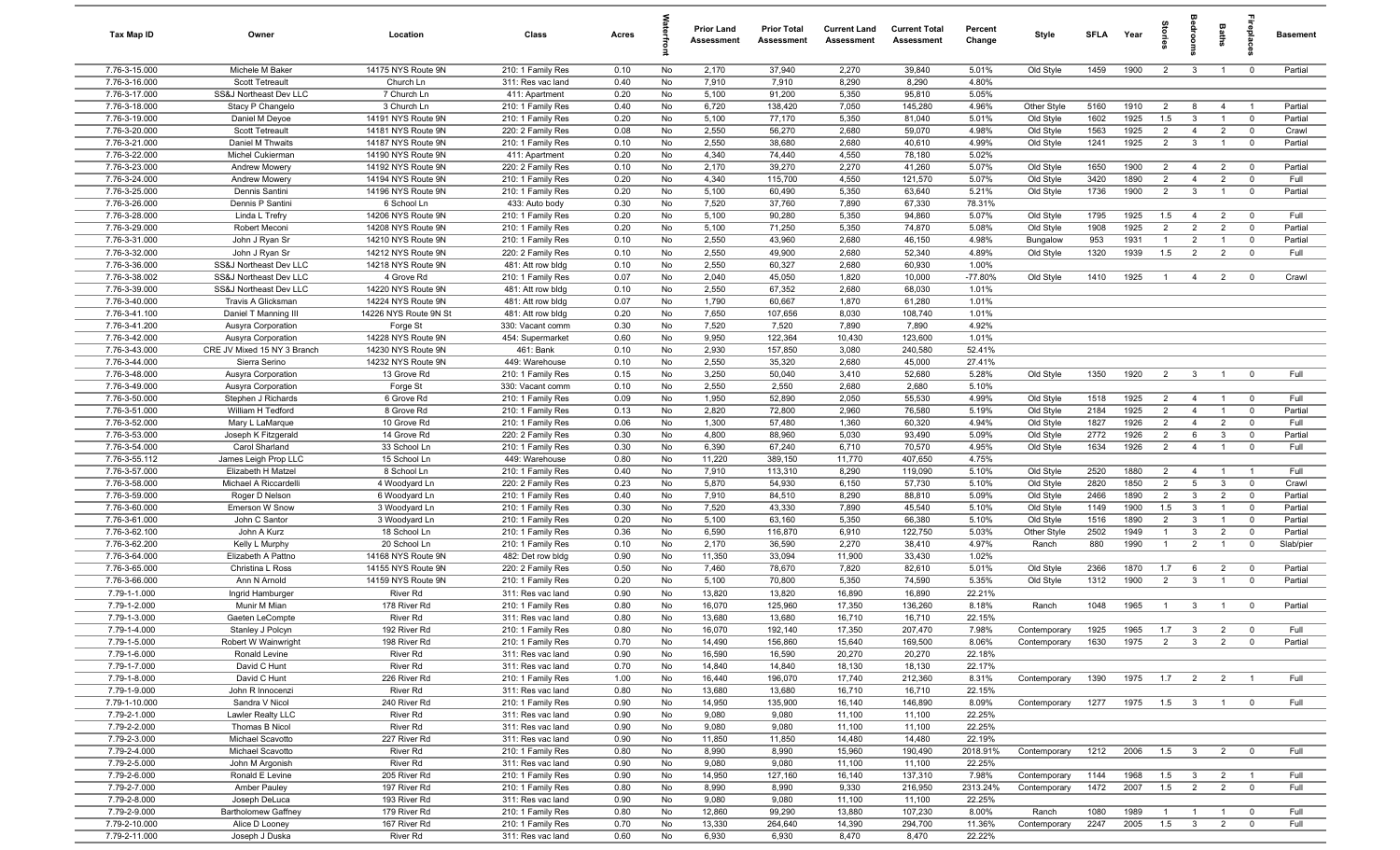| Tax Map ID                     | Owner                                    | Location                                 | Class                                  | Acres        |          | <b>Prior Land</b><br>Assessment | <b>Prior Total</b><br>Assessment | <b>Current Land</b><br>Assessment | <b>Current Total</b><br>Assessment | Percent<br>Change  | Style                        | <b>SFLA</b>  | Year         | tories                |                                | <b>Baths</b>                     | repla                         | <b>Basement</b>    |
|--------------------------------|------------------------------------------|------------------------------------------|----------------------------------------|--------------|----------|---------------------------------|----------------------------------|-----------------------------------|------------------------------------|--------------------|------------------------------|--------------|--------------|-----------------------|--------------------------------|----------------------------------|-------------------------------|--------------------|
| 7.76-3-15.000                  | Michele M Baker                          | 14175 NYS Route 9N                       | 210: 1 Family Res                      | 0.10         | No       | 2,170                           | 37,940                           | 2,270                             | 39,840                             | 5.01%              | Old Style                    | 1459         | 1900         | $\overline{2}$        | $\mathbf{3}$                   | $\overline{1}$                   | $\mathbf 0$                   | Partial            |
| 7.76-3-16.000                  | Scott Tetreault                          | Church Ln                                | 311: Res vac land                      | 0.40         | No       | 7,910                           | 7,910                            | 8,290                             | 8,290                              | 4.80%              |                              |              |              |                       |                                |                                  |                               |                    |
| 7.76-3-17.000                  | SS&J Northeast Dev LLC                   | 7 Church Ln                              | 411: Apartment                         | 0.20         | No       | 5,100                           | 91,200                           | 5,350                             | 95,810                             | 5.05%              |                              |              |              |                       |                                |                                  |                               |                    |
| 7.76-3-18.000                  | Stacy P Changelo                         | 3 Church Ln<br>14191 NYS Route 9N        | 210: 1 Family Res                      | 0.40         | No       | 6,720                           | 138,420                          | 7,050                             | 145,280                            | 4.96%              | Other Style                  | 5160         | 1910         | $\overline{2}$        | 8                              | $\overline{4}$                   |                               | Partial            |
| 7.76-3-19.000<br>7.76-3-20.000 | Daniel M Deyoe<br>Scott Tetreault        | 14181 NYS Route 9N                       | 210: 1 Family Res<br>220: 2 Family Res | 0.20<br>0.08 | No<br>No | 5,100<br>2,550                  | 77,170<br>56,270                 | 5,350<br>2,680                    | 81,040<br>59,070                   | 5.01%<br>4.98%     | Old Style<br>Old Style       | 1602<br>1563 | 1925<br>1925 | 1.5<br>$\overline{2}$ | $\mathbf{3}$<br>$\overline{4}$ | $\overline{1}$<br>$\overline{2}$ | $\mathbf 0$<br>$\mathbf 0$    | Partial<br>Crawl   |
| 7.76-3-21.000                  | Daniel M Thwaits                         | 14187 NYS Route 9N                       | 210: 1 Family Res                      | 0.10         | No       | 2,550                           | 38,680                           | 2,680                             | 40,610                             | 4.99%              | Old Style                    | 1241         | 1925         | $\overline{2}$        | $\mathbf{3}$                   | $\overline{1}$                   | $\overline{\mathbf{0}}$       | Partial            |
| 7.76-3-22.000                  | Michel Cukierman                         | 14190 NYS Route 9N                       | 411: Apartment                         | 0.20         | No       | 4,340                           | 74,440                           | 4,550                             | 78,180                             | 5.02%              |                              |              |              |                       |                                |                                  |                               |                    |
| 7.76-3-23.000                  | Andrew Mowery                            | 14192 NYS Route 9N                       | 220: 2 Family Res                      | 0.10         | No       | 2,170                           | 39,270                           | 2,270                             | 41,260                             | 5.07%              | Old Style                    | 1650         | 1900         | $\overline{2}$        | $\overline{4}$                 | $\overline{2}$                   | $\overline{0}$                | Partial            |
| 7.76-3-24.000                  | Andrew Mowery                            | 14194 NYS Route 9N                       | 210: 1 Family Res                      | 0.20         | No       | 4,340                           | 115,700                          | 4,550                             | 121,570                            | 5.07%              | Old Style                    | 3420         | 1890         | 2                     | $\overline{4}$                 | $\overline{2}$                   | $\mathbf 0$                   | Full               |
| 7.76-3-25.000                  | Dennis Santini                           | 14196 NYS Route 9N                       | 210: 1 Family Res                      | 0.20         | No       | 5,100                           | 60,490                           | 5,350                             | 63,640                             | 5.21%              | Old Style                    | 1736         | 1900         | $\overline{2}$        | $\mathbf{3}$                   | $\overline{1}$                   | $\mathbf 0$                   | Partial            |
| 7.76-3-26.000                  | Dennis P Santini                         | 6 School Ln                              | 433: Auto body                         | 0.30         | No       | 7,520                           | 37,760                           | 7,890                             | 67,330                             | 78.31%             |                              |              |              |                       |                                |                                  |                               |                    |
| 7.76-3-28.000                  | Linda L Trefry                           | 14206 NYS Route 9N                       | 210: 1 Family Res                      | 0.20         | No       | 5,100                           | 90,280                           | 5,350                             | 94,860                             | 5.07%              | Old Style                    | 1795         | 1925         | 1.5                   | $\overline{4}$                 | $\overline{2}$                   | $\mathbf 0$                   | Full               |
| 7.76-3-29.000                  | Robert Meconi                            | 14208 NYS Route 9N                       | 210: 1 Family Res                      | 0.20         | No       | 5,100                           | 71,250                           | 5,350                             | 74,870                             | 5.08%              | Old Style                    | 1908         | 1925         | $\overline{2}$        | 2                              | 2                                | $\mathbf 0$                   | Partial            |
| 7.76-3-31.000                  | John J Ryan Sr                           | 14210 NYS Route 9N                       | 210: 1 Family Res                      | 0.10         | No       | 2,550                           | 43,960                           | 2,680                             | 46,150                             | 4.98%              | Bungalow                     | 953          | 1931         | $\overline{1}$        | $\overline{2}$                 | $\overline{1}$                   | $\mathbf 0$                   | Partial<br>Full    |
| 7.76-3-32.000<br>7.76-3-36.000 | John J Ryan Sr<br>SS&J Northeast Dev LLC | 14212 NYS Route 9N<br>14218 NYS Route 9N | 220: 2 Family Res<br>481: Att row bldg | 0.10<br>0.10 | No<br>No | 2,550<br>2,550                  | 49,900<br>60,327                 | 2,680<br>2,680                    | 52,340<br>60,930                   | 4.89%<br>1.00%     | Old Style                    | 1320         | 1939         | 1.5                   | $\overline{2}$                 | $\overline{2}$                   | $\overline{0}$                |                    |
| 7.76-3-38.002                  | SS&J Northeast Dev LLC                   | 4 Grove Rd                               | 210: 1 Family Res                      | 0.07         | No       | 2,040                           | 45,050                           | 1,820                             | 10,000                             | $-77.80%$          | Old Style                    | 1410         | 1925         | $\overline{1}$        | $\overline{4}$                 | $\overline{2}$                   | $\mathbf 0$                   | Crawl              |
| 7.76-3-39.000                  | SS&J Northeast Dev LLC                   | 14220 NYS Route 9N                       | 481: Att row bldg                      | 0.10         | No       | 2,550                           | 67,352                           | 2,680                             | 68,030                             | 1.01%              |                              |              |              |                       |                                |                                  |                               |                    |
| 7.76-3-40.000                  | Travis A Glicksman                       | 14224 NYS Route 9N                       | 481: Att row bldg                      | 0.07         | No       | 1,790                           | 60,667                           | 1,870                             | 61,280                             | 1.01%              |                              |              |              |                       |                                |                                  |                               |                    |
| 7.76-3-41.100                  | Daniel T Manning III                     | 14226 NYS Route 9N St                    | 481: Att row bldg                      | 0.20         | No       | 7,650                           | 107,656                          | 8,030                             | 108,740                            | 1.01%              |                              |              |              |                       |                                |                                  |                               |                    |
| 7.76-3-41.200                  | Ausyra Corporation                       | Forge St                                 | 330: Vacant comm                       | 0.30         | No       | 7,520                           | 7,520                            | 7,890                             | 7,890                              | 4.92%              |                              |              |              |                       |                                |                                  |                               |                    |
| 7.76-3-42.000                  | Ausyra Corporation                       | 14228 NYS Route 9N                       | 454: Supermarket                       | 0.60         | No       | 9,950                           | 122,364                          | 10,430                            | 123,600                            | 1.01%              |                              |              |              |                       |                                |                                  |                               |                    |
| 7.76-3-43.000                  | CRE JV Mixed 15 NY 3 Branch              | 14230 NYS Route 9N                       | 461: Bank                              | 0.10         | No       | 2,930                           | 157,850                          | 3,080                             | 240,580                            | 52.41%             |                              |              |              |                       |                                |                                  |                               |                    |
| 7.76-3-44.000                  | Sierra Serino                            | 14232 NYS Route 9N                       | 449: Warehouse                         | 0.10         | No       | 2,550                           | 35,320                           | 2,680                             | 45,000                             | 27.41%             |                              |              |              |                       |                                |                                  |                               |                    |
| 7.76-3-48.000                  | Ausyra Corporation                       | 13 Grove Rd                              | 210: 1 Family Res                      | 0.15         | No       | 3,250                           | 50,040                           | 3,410                             | 52,680                             | 5.28%              | Old Style                    | 1350         | 1920         | $\overline{2}$        | $\mathbf{3}$                   | $\overline{1}$                   | $\mathbf 0$                   | Full               |
| 7.76-3-49.000<br>7.76-3-50.000 | Ausyra Corporation<br>Stephen J Richards | Forge St<br>6 Grove Rd                   | 330: Vacant comm<br>210: 1 Family Res  | 0.10<br>0.09 | No<br>No | 2,550<br>1,950                  | 2,550<br>52,890                  | 2,680<br>2,050                    | 2,680<br>55,530                    | 5.10%<br>4.99%     | Old Style                    | 1518         | 1925         | $\overline{2}$        | $\overline{4}$                 | $\overline{1}$                   | $\mathbf 0$                   | Full               |
| 7.76-3-51.000                  | William H Tedford                        | 8 Grove Rd                               | 210: 1 Family Res                      | 0.13         | No       | 2,820                           | 72,800                           | 2,960                             | 76,580                             | 5.19%              | Old Style                    | 2184         | 1925         | $\overline{2}$        | $\overline{4}$                 | $\overline{1}$                   | $\mathbf 0$                   | Partial            |
| 7.76-3-52.000                  | Mary L LaMarque                          | 10 Grove Rd                              | 210: 1 Family Res                      | 0.06         | No       | 1,300                           | 57,480                           | 1,360                             | 60,320                             | 4.94%              | Old Style                    | 1827         | 1926         | $\overline{2}$        | $\overline{4}$                 | $\overline{2}$                   | $\Omega$                      | Full               |
| 7.76-3-53.000                  | Joseph K Fitzgerald                      | 14 Grove Rd                              | 220: 2 Family Res                      | 0.30         | No       | 4,800                           | 88,960                           | 5,030                             | 93,490                             | 5.09%              | Old Style                    | 2772         | 1926         | $\overline{2}$        | 6                              | $\mathbf{3}$                     | $\mathbf 0$                   | Partial            |
| 7.76-3-54.000                  | Carol Sharland                           | 33 School Ln                             | 210: 1 Family Res                      | 0.30         | No       | 6,390                           | 67,240                           | 6,710                             | 70,570                             | 4.95%              | Old Style                    | 1634         | 1926         | 2                     | $\overline{4}$                 | $\overline{1}$                   | $\overline{0}$                | Full               |
| 7.76-3-55.112                  | James Leigh Prop LLC                     | 15 School Ln                             | 449: Warehouse                         | 0.80         | No       | 11,220                          | 389,150                          | 11,770                            | 407,650                            | 4.75%              |                              |              |              |                       |                                |                                  |                               |                    |
| 7.76-3-57.000                  | Elizabeth H Matzel                       | 8 School Ln                              | 210: 1 Family Res                      | 0.40         | No       | 7,910                           | 113,310                          | 8,290                             | 119,090                            | 5.10%              | Old Style                    | 2520         | 1880         | $\overline{2}$        | $\overline{4}$                 | $\overline{1}$                   | $\overline{1}$                | Full               |
| 7.76-3-58.000                  | Michael A Riccardelli                    | 4 Woodyard Ln                            | 220: 2 Family Res                      | 0.23         | No       | 5,870                           | 54,930                           | 6,150                             | 57,730                             | 5.10%              | Old Style                    | 2820         | 1850         | $\overline{2}$        | $5\overline{5}$                | $\mathbf{3}$                     | $\mathbf 0$                   | Crawl              |
| 7.76-3-59.000                  | Roger D Nelson                           | 6 Woodyard Ln                            | 210: 1 Family Res                      | 0.40         | No       | 7,910                           | 84,510                           | 8,290                             | 88,810                             | 5.09%              | Old Style                    | 2466         | 1890         | $\overline{2}$        | $\mathbf{3}$                   | $\overline{2}$                   | $\mathbf 0$                   | Partial            |
| 7.76-3-60.000<br>7.76-3-61.000 | Emerson W Snow<br>John C Santor          | 3 Woodyard Ln<br>3 Woodyard Ln           | 210: 1 Family Res<br>210: 1 Family Res | 0.30<br>0.20 | No<br>No | 7,520<br>5,100                  | 43,330<br>63,160                 | 7,890<br>5,350                    | 45,540<br>66,380                   | 5.10%<br>5.10%     | Old Style<br>Old Style       | 1149<br>1516 | 1900<br>1890 | 1.5<br>$\overline{2}$ | $\mathbf{3}$<br>$\mathbf{3}$   | $\overline{1}$<br>$\overline{1}$ | $\mathbf 0$<br>$\overline{0}$ | Partial<br>Partial |
| 7.76-3-62.100                  | John A Kurz                              | 18 School Ln                             | 210: 1 Family Res                      | 0.36         | No       | 6,590                           | 116,870                          | 6,910                             | 122,750                            | 5.03%              | Other Style                  | 2502         | 1949         | $\overline{1}$        | $\mathbf{3}$                   | $\overline{2}$                   | $\mathbf 0$                   | Partial            |
| 7.76-3-62.200                  | Kelly L Murphy                           | 20 School Ln                             | 210: 1 Family Res                      | 0.10         | No       | 2,170                           | 36,590                           | 2,270                             | 38,410                             | 4.97%              | Ranch                        | 880          | 1990         | $\overline{1}$        | 2                              | $\overline{1}$                   | $\mathbf 0$                   | Slab/pier          |
| 7.76-3-64.000                  | Elizabeth A Pattno                       | 14168 NYS Route 9N                       | 482: Det row bldg                      | 0.90         | No       | 11,350                          | 33,094                           | 11,900                            | 33,430                             | 1.02%              |                              |              |              |                       |                                |                                  |                               |                    |
| 7.76-3-65.000                  | Christina L Ross                         | 14155 NYS Route 9N                       | 220: 2 Family Res                      | 0.50         | No       | 7,460                           | 78,670                           | 7,820                             | 82,610                             | 5.01%              | Old Style                    | 2366         | 1870         | 1.7                   | 6                              | $\overline{2}$                   | $\overline{0}$                | Partial            |
| 7.76-3-66.000                  | Ann N Arnold                             | 14159 NYS Route 9N                       | 210: 1 Family Res                      | 0.20         | No       | 5,100                           | 70,800                           | 5,350                             | 74,590                             | 5.35%              | Old Style                    | 1312         | 1900         | 2                     | $\mathbf{3}$                   | $\overline{1}$                   | $\overline{0}$                | Partial            |
| 7.79-1-1.000                   | Ingrid Hamburger                         | River Rd                                 | 311: Res vac land                      | 0.90         | No       | 13,820                          | 13,820                           | 16,890                            | 16,890                             | 22.21%             |                              |              |              |                       |                                |                                  |                               |                    |
| 7.79-1-2.000                   | Munir M Mian                             | 178 River Rd                             | 210: 1 Family Res                      | 0.80         | No       | 16,070                          | 125,960                          | 17,350                            | 136,260                            | 8.18%              | Ranch                        | 1048         | 1965         | $\overline{1}$        | $\mathbf{3}$                   | $\overline{1}$                   | $\mathbf 0$                   | Partial            |
| 7.79-1-3.000                   | Gaeten LeCompte                          | River Rd                                 | 311: Res vac land                      | 0.80<br>0.80 | No       | 13,680<br>16,070                | 13,680                           | 16,710                            | 16,710                             | 22.15%             |                              |              |              |                       |                                |                                  |                               | Full               |
| 7.79-1-4.000<br>7.79-1-5.000   | Stanley J Polcyn<br>Robert W Wainwright  | 192 River Rd<br>198 River Rd             | 210: 1 Family Res<br>210: 1 Family Res | 0.70         | No<br>No | 14,490                          | 192,140<br>156,860               | 17,350<br>15,640                  | 207,470<br>169,500                 | 7.98%<br>8.06%     | Contemporary<br>Contemporary | 1925<br>1630 | 1965<br>1975 | $1.7\qquad 3$<br>2    | $\overline{\mathbf{3}}$        | $\overline{2}$<br>2              | $\overline{0}$                | Partial            |
| 7.79-1-6.000                   | Ronald Levine                            | River Rd                                 | 311: Res vac land                      | 0.90         | No       | 16,590                          | 16,590                           | 20,270                            | 20,270                             | 22.18%             |                              |              |              |                       |                                |                                  |                               |                    |
| 7.79-1-7.000                   | David C Hunt                             | River Rd                                 | 311: Res vac land                      | 0.70         | No       | 14,840                          | 14,840                           | 18,130                            | 18,130                             | 22.17%             |                              |              |              |                       |                                |                                  |                               |                    |
| 7.79-1-8.000                   | David C Hunt                             | 226 River Rd                             | 210: 1 Family Res                      | 1.00         | No       | 16,440                          | 196,070                          | 17,740                            | 212,360                            | 8.31%              | Contemporary                 | 1390         | 1975         |                       | $1.7 \t 2$                     | $\overline{2}$                   | $\overline{1}$                | Full               |
| 7.79-1-9.000                   | John R Innocenzi                         | River Rd                                 | 311: Res vac land                      | 0.80         | No       | 13,680                          | 13,680                           | 16,710                            | 16,710                             | 22.15%             |                              |              |              |                       |                                |                                  |                               |                    |
| 7.79-1-10.000                  | Sandra V Nicol                           | 240 River Rd                             | 210: 1 Family Res                      | 0.90         | No       | 14,950                          | 135,900                          | 16,140                            | 146,890                            | 8.09%              | Contemporary                 | 1277         | 1975         | $1.5\qquad 3$         |                                | $\overline{1}$                   | $\overline{\mathbf{0}}$       | Full               |
| 7.79-2-1.000                   | Lawler Realty LLC                        | River Rd                                 | 311: Res vac land                      | 0.90         | No       | 9,080                           | 9,080                            | 11,100                            | 11,100                             | 22.25%             |                              |              |              |                       |                                |                                  |                               |                    |
| 7.79-2-2.000                   | Thomas B Nicol                           | River Rd                                 | 311: Res vac land                      | 0.90         | No       | 9,080                           | 9,080                            | 11,100                            | 11,100                             | 22.25%             |                              |              |              |                       |                                |                                  |                               |                    |
| 7.79-2-3.000                   | Michael Scavotto                         | 227 River Rd                             | 311: Res vac land                      | 0.90         | No       | 11,850                          | 11,850                           | 14,480                            | 14,480                             | 22.19%             |                              |              |              |                       |                                |                                  |                               |                    |
| 7.79-2-4.000<br>7.79-2-5.000   | Michael Scavotto<br>John M Argonish      | River Rd<br>River Rd                     | 210: 1 Family Res<br>311: Res vac land | 0.80<br>0.90 | No<br>No | 8,990<br>9,080                  | 8,990<br>9,080                   | 15,960<br>11,100                  | 190,490<br>11,100                  | 2018.91%<br>22.25% | Contemporary                 | 1212         | 2006         | 1.5                   | $\overline{\mathbf{3}}$        | $\overline{2}$                   | $\overline{\mathbf{0}}$       | Full               |
| 7.79-2-6.000                   | Ronald E Levine                          | 205 River Rd                             | 210: 1 Family Res                      | 0.90         | No       | 14,950                          | 127,160                          | 16,140                            | 137,310                            | 7.98%              | Contemporary                 | 1144         | 1968         | 1.5                   | $\mathbf{3}$                   | $\overline{2}$                   | $\overline{1}$                | Full               |
| 7.79-2-7.000                   | Amber Pauley                             | 197 River Rd                             | 210: 1 Family Res                      | 0.80         | No       | 8,990                           | 8,990                            | 9,330                             | 216,950                            | 2313.24%           | Contemporary                 | 1472         | 2007         | 1.5                   | $\overline{2}$                 | $\overline{2}$                   | $\overline{0}$                | Full               |
| 7.79-2-8.000                   | Joseph DeLuca                            | 193 River Rd                             | 311: Res vac land                      | 0.90         | No       | 9,080                           | 9,080                            | 11,100                            | 11,100                             | 22.25%             |                              |              |              |                       |                                |                                  |                               |                    |
| 7.79-2-9.000                   | <b>Bartholomew Gaffney</b>               | 179 River Rd                             | 210: 1 Family Res                      | 0.80         | No       | 12,860                          | 99,290                           | 13,880                            | 107,230                            | 8.00%              | Ranch                        | 1080         | 1989         | $\overline{1}$        | $\overline{1}$                 | $\overline{1}$                   | $\mathbf 0$                   | Full               |
| 7.79-2-10.000                  | Alice D Looney                           | 167 River Rd                             | 210: 1 Family Res                      | 0.70         | No       | 13,330                          | 264,640                          | 14,390                            | 294,700                            | 11.36%             | Contemporary                 | 2247         | 2005         | 1.5                   | $\mathbf{3}$                   | $\overline{2}$                   | $\mathbf 0$                   | Full               |
| 7.79-2-11.000                  | Joseph J Duska                           | River Rd                                 | 311: Res vac land                      | 0.60         | No       | 6,930                           | 6,930                            | 8,470                             | 8,470                              | 22.22%             |                              |              |              |                       |                                |                                  |                               |                    |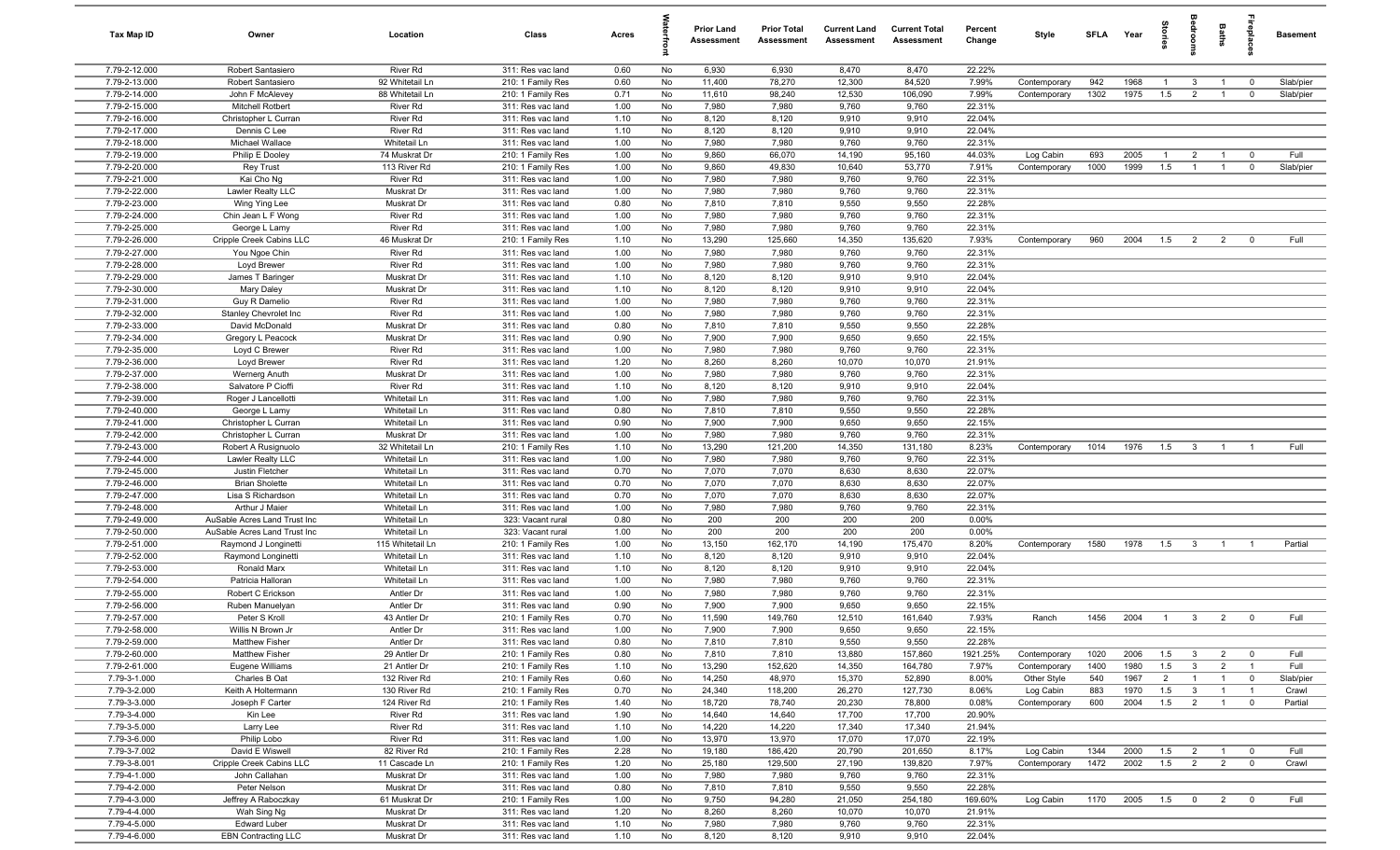| Tax Map ID                     | Owner                                      | Location                     | Class                                  | Acres        |          | <b>Prior Land</b><br>Assessment | <b>Prior Total</b><br>Assessment | <b>Current Land</b><br>Assessment | <b>Current Total</b><br>Assessment | Percent<br>Change | Style        | <b>SFLA</b> | Year | tories         | eroo                    | Baths          | <b>Treplai</b>          | <b>Basement</b> |
|--------------------------------|--------------------------------------------|------------------------------|----------------------------------------|--------------|----------|---------------------------------|----------------------------------|-----------------------------------|------------------------------------|-------------------|--------------|-------------|------|----------------|-------------------------|----------------|-------------------------|-----------------|
| 7.79-2-12.000                  | Robert Santasiero                          | <b>River Rd</b>              | 311: Res vac land                      | 0.60         | No       | 6,930                           | 6,930                            | 8,470                             | 8,470                              | 22.22%            |              |             |      |                |                         |                |                         |                 |
| 7.79-2-13.000                  | Robert Santasiero                          | 92 Whitetail Ln              | 210: 1 Family Res                      | 0.60         | No       | 11,400                          | 78,270                           | 12,300                            | 84,520                             | 7.99%             | Contemporary | 942         | 1968 | $\overline{1}$ | $\mathbf{3}$            | $\overline{1}$ | $\mathbf 0$             | Slab/pier       |
| 7.79-2-14.000                  | John F McAlevey                            | 88 Whitetail Ln              | 210: 1 Family Res                      | 0.71         | No       | 11,610                          | 98,240                           | 12,530                            | 106,090                            | 7.99%             | Contemporary | 1302        | 1975 | 1.5            | $\overline{2}$          | $\overline{1}$ | $\mathbf 0$             | Slab/pier       |
| 7.79-2-15.000                  | <b>Mitchell Rotbert</b>                    | River Rd                     | 311: Res vac land                      | 1.00         | No       | 7,980                           | 7,980                            | 9,760                             | 9,760                              | 22.31%            |              |             |      |                |                         |                |                         |                 |
| 7.79-2-16.000                  | Christopher L Curran                       | River Rd                     | 311: Res vac land                      | 1.10         | No       | 8,120                           | 8,120                            | 9,910                             | 9,910                              | 22.04%            |              |             |      |                |                         |                |                         |                 |
| 7.79-2-17.000                  | Dennis C Lee                               | River Rd                     | 311: Res vac land                      | 1.10         | No       | 8,120                           | 8,120                            | 9,910                             | 9,910                              | 22.04%            |              |             |      |                |                         |                |                         |                 |
| 7.79-2-18.000                  | Michael Wallace                            | Whitetail Ln                 | 311: Res vac land                      | 1.00         | No       | 7,980                           | 7,980                            | 9,760                             | 9,760                              | 22.31%            |              |             |      |                |                         |                |                         |                 |
| 7.79-2-19.000                  | Philip E Dooley                            | 74 Muskrat Dr                | 210: 1 Family Res                      | 1.00         | No       | 9,860                           | 66,070                           | 14,190                            | 95,160                             | 44.03%            | Log Cabin    | 693         | 2005 | $\overline{1}$ | $\overline{2}$          | $\overline{1}$ | $\overline{\mathbf{0}}$ | Full            |
| 7.79-2-20.000                  | <b>Rey Trust</b>                           | 113 River Rd                 | 210: 1 Family Res                      | 1.00         | No       | 9,860                           | 49,830                           | 10,640                            | 53,770                             | 7.91%             | Contemporary | 1000        | 1999 | 1.5            | $\overline{1}$          | $\overline{1}$ | $\overline{0}$          | Slab/pier       |
| 7.79-2-21.000                  | Kai Cho Ng                                 | River Rd                     | 311: Res vac land                      | 1.00         | No       | 7,980                           | 7,980                            | 9,760                             | 9,760                              | 22.31%<br>22.31%  |              |             |      |                |                         |                |                         |                 |
| 7.79-2-22.000<br>7.79-2-23.000 | Lawler Realty LLC                          | Muskrat Dr<br>Muskrat Dr     | 311: Res vac land<br>311: Res vac land | 1.00<br>0.80 | No<br>No | 7,980<br>7,810                  | 7,980<br>7,810                   | 9,760<br>9,550                    | 9,760<br>9,550                     | 22.28%            |              |             |      |                |                         |                |                         |                 |
| 7.79-2-24.000                  | Wing Ying Lee<br>Chin Jean L F Wong        | River Rd                     | 311: Res vac land                      | 1.00         | No       | 7,980                           | 7,980                            | 9,760                             | 9,760                              | 22.31%            |              |             |      |                |                         |                |                         |                 |
| 7.79-2-25.000                  | George L Lamy                              | River Rd                     | 311: Res vac land                      | 1.00         | No       | 7,980                           | 7,980                            | 9,760                             | 9,760                              | 22.31%            |              |             |      |                |                         |                |                         |                 |
| 7.79-2-26.000                  | Cripple Creek Cabins LLC                   | 46 Muskrat Dr                | 210: 1 Family Res                      | 1.10         | No       | 13,290                          | 125,660                          | 14,350                            | 135,620                            | 7.93%             | Contemporary | 960         | 2004 | 1.5            | $\overline{2}$          | $\overline{2}$ | $\mathbf 0$             | Full            |
| 7.79-2-27.000                  | You Ngoe Chin                              | River Rd                     | 311: Res vac land                      | 1.00         | No       | 7,980                           | 7,980                            | 9,760                             | 9,760                              | 22.31%            |              |             |      |                |                         |                |                         |                 |
| 7.79-2-28.000                  | Loyd Brewer                                | River Rd                     | 311: Res vac land                      | 1.00         | No       | 7,980                           | 7,980                            | 9,760                             | 9,760                              | 22.31%            |              |             |      |                |                         |                |                         |                 |
| 7.79-2-29.000                  | James T Baringer                           | Muskrat Dr                   | 311: Res vac land                      | 1.10         | No       | 8,120                           | 8,120                            | 9,910                             | 9,910                              | 22.04%            |              |             |      |                |                         |                |                         |                 |
| 7.79-2-30.000                  | Mary Daley                                 | Muskrat Dr                   | 311: Res vac land                      | 1.10         | No       | 8,120                           | 8,120                            | 9,910                             | 9,910                              | 22.04%            |              |             |      |                |                         |                |                         |                 |
| 7.79-2-31.000                  | Guy R Damelio                              | <b>River Rd</b>              | 311: Res vac land                      | 1.00         | No       | 7,980                           | 7,980                            | 9,760                             | 9,760                              | 22.31%            |              |             |      |                |                         |                |                         |                 |
| 7.79-2-32.000                  | Stanley Chevrolet Inc                      | River Rd                     | 311: Res vac land                      | 1.00         | No       | 7,980                           | 7,980                            | 9,760                             | 9,760                              | 22.31%            |              |             |      |                |                         |                |                         |                 |
| 7.79-2-33.000                  | David McDonald                             | Muskrat Dr                   | 311: Res vac land                      | 0.80         | No       | 7,810                           | 7,810                            | 9,550                             | 9,550                              | 22.28%            |              |             |      |                |                         |                |                         |                 |
| 7.79-2-34.000                  | Gregory L Peacock                          | Muskrat Dr                   | 311: Res vac land                      | 0.90         | No       | 7,900                           | 7,900                            | 9,650                             | 9,650                              | 22.15%            |              |             |      |                |                         |                |                         |                 |
| 7.79-2-35.000                  | Loyd C Brewer                              | River Rd                     | 311: Res vac land                      | 1.00         | No       | 7,980                           | 7,980                            | 9,760                             | 9,760                              | 22.31%            |              |             |      |                |                         |                |                         |                 |
| 7.79-2-36.000                  | Loyd Brewer                                | River Rd                     | 311: Res vac land                      | 1.20         | No       | 8,260                           | 8,260                            | 10,070                            | 10,070                             | 21.91%            |              |             |      |                |                         |                |                         |                 |
| 7.79-2-37.000                  | Wernerg Anuth                              | Muskrat Dr                   | 311: Res vac land                      | 1.00         | No       | 7,980                           | 7,980                            | 9,760                             | 9,760                              | 22.31%            |              |             |      |                |                         |                |                         |                 |
| 7.79-2-38.000                  | Salvatore P Cioffi                         | River Rd                     | 311: Res vac land                      | 1.10         | No       | 8,120                           | 8,120                            | 9,910                             | 9,910                              | 22.04%            |              |             |      |                |                         |                |                         |                 |
| 7.79-2-39.000                  | Roger J Lancellotti                        | Whitetail Ln                 | 311: Res vac land                      | 1.00         | No       | 7,980                           | 7,980                            | 9,760                             | 9,760                              | 22.31%            |              |             |      |                |                         |                |                         |                 |
| 7.79-2-40.000                  | George L Lamy                              | Whitetail Ln                 | 311: Res vac land                      | 0.80         | No       | 7,810                           | 7,810                            | 9,550                             | 9,550                              | 22.28%            |              |             |      |                |                         |                |                         |                 |
| 7.79-2-41.000                  | Christopher L Curran                       | Whitetail Ln                 | 311: Res vac land                      | 0.90         | No       | 7,900                           | 7,900                            | 9,650                             | 9,650                              | 22.15%            |              |             |      |                |                         |                |                         |                 |
| 7.79-2-42.000                  | Christopher L Curran                       | Muskrat Dr                   | 311: Res vac land                      | 1.00         | No       | 7,980                           | 7,980                            | 9,760                             | 9,760                              | 22.31%            |              |             |      |                |                         |                |                         |                 |
| 7.79-2-43.000                  | Robert A Rusignuolo                        | 32 Whitetail Ln              | 210: 1 Family Res                      | 1.10         | No       | 13,290                          | 121,200                          | 14,350                            | 131,180                            | 8.23%             | Contemporary | 1014        | 1976 | 1.5            | $\overline{\mathbf{3}}$ | $\overline{1}$ |                         | Full            |
| 7.79-2-44.000                  | Lawler Realty LLC                          | Whitetail Ln                 | 311: Res vac land                      | 1.00         | No       | 7,980                           | 7,980                            | 9,760                             | 9,760                              | 22.31%            |              |             |      |                |                         |                |                         |                 |
| 7.79-2-45.000                  | Justin Fletcher                            | Whitetail Ln                 | 311: Res vac land                      | 0.70         | No       | 7,070                           | 7,070                            | 8,630                             | 8,630                              | 22.07%            |              |             |      |                |                         |                |                         |                 |
| 7.79-2-46.000<br>7.79-2-47.000 | <b>Brian Sholette</b><br>Lisa S Richardson | Whitetail Ln<br>Whitetail Ln | 311: Res vac land<br>311: Res vac land | 0.70<br>0.70 | No<br>No | 7,070<br>7,070                  | 7,070<br>7,070                   | 8,630<br>8,630                    | 8,630<br>8,630                     | 22.07%<br>22.07%  |              |             |      |                |                         |                |                         |                 |
| 7.79-2-48.000                  | Arthur J Maier                             | Whitetail Ln                 | 311: Res vac land                      | 1.00         | No       | 7,980                           | 7,980                            | 9,760                             | 9,760                              | 22.31%            |              |             |      |                |                         |                |                         |                 |
| 7.79-2-49.000                  | AuSable Acres Land Trust Inc               | Whitetail Ln                 | 323: Vacant rural                      | 0.80         | No       | 200                             | 200                              | 200                               | 200                                | 0.00%             |              |             |      |                |                         |                |                         |                 |
| 7.79-2-50.000                  | AuSable Acres Land Trust Inc               | Whitetail Ln                 | 323: Vacant rural                      | 1.00         | No       | 200                             | 200                              | 200                               | 200                                | 0.00%             |              |             |      |                |                         |                |                         |                 |
| 7.79-2-51.000                  | Raymond J Longinetti                       | 115 Whitetail Ln             | 210: 1 Family Res                      | 1.00         | No       | 13,150                          | 162,170                          | 14,190                            | 175,470                            | 8.20%             | Contemporary | 1580        | 1978 | 1.5            | $\overline{\mathbf{3}}$ | $\overline{1}$ | - 1                     | Partial         |
| 7.79-2-52.000                  | Raymond Longinetti                         | Whitetail Ln                 | 311: Res vac land                      | 1.10         | No       | 8,120                           | 8,120                            | 9,910                             | 9,910                              | 22.04%            |              |             |      |                |                         |                |                         |                 |
| 7.79-2-53.000                  | Ronald Marx                                | Whitetail Ln                 | 311: Res vac land                      | 1.10         | No       | 8,120                           | 8,120                            | 9,910                             | 9,910                              | 22.04%            |              |             |      |                |                         |                |                         |                 |
| 7.79-2-54.000                  | Patricia Halloran                          | Whitetail Ln                 | 311: Res vac land                      | 1.00         | No       | 7,980                           | 7,980                            | 9,760                             | 9,760                              | 22.31%            |              |             |      |                |                         |                |                         |                 |
| 7.79-2-55.000                  | Robert C Erickson                          | Antler Dr                    | 311: Res vac land                      | 1.00         | No       | 7,980                           | 7,980                            | 9,760                             | 9,760                              | 22.31%            |              |             |      |                |                         |                |                         |                 |
| 7.79-2-56.000                  | Ruben Manuelyan                            | Antler Dr                    | 311: Res vac land                      | 0.90         | No       | 7,900                           | 7,900                            | 9,650                             | 9,650                              | 22.15%            |              |             |      |                |                         |                |                         |                 |
| 7.79-2-57.000                  | Peter S Kroll                              | 43 Antler Dr                 | 210: 1 Family Res                      | 0.70         | No       | 11,590                          | 149,760                          | 12,510                            | 161,640                            | 7.93%             | Ranch        | 1456        | 2004 | $\overline{1}$ | $\overline{3}$          | 2              | $\mathbf 0$             | Full            |
| 7.79-2-58.000                  | Willis N Brown Jr                          | Antler Dr                    | 311: Res vac land                      | 1.00         | No       | 7,900                           | 7,900                            | 9,650                             | 9,650                              | 22.15%            |              |             |      |                |                         |                |                         |                 |
| 7.79-2-59.000                  | <b>Matthew Fisher</b>                      | Antler Dr                    | 311: Res vac land                      | 0.80         | No       | 7,810                           | 7,810                            | 9,550                             | 9,550                              | 22.28%            |              |             |      |                |                         |                |                         |                 |
| 7.79-2-60.000                  | <b>Matthew Fisher</b>                      | 29 Antler Dr                 | 210: 1 Family Res                      | 0.80         | No       | 7,810                           | 7,810                            | 13,880                            | 157,860                            | 1921.25%          | Contemporary | 1020        | 2006 | 1.5            | $\mathbf{3}$            | 2              | $\overline{0}$          | Full            |
| 7.79-2-61.000                  | Eugene Williams                            | 21 Antler Dr                 | 210: 1 Family Res                      | 1.10         | No       | 13,290                          | 152,620                          | 14,350                            | 164,780                            | 7.97%             | Contemporary | 1400        | 1980 | 1.5            | $\mathbf{3}$            | $\overline{2}$ | $\overline{1}$          | Full            |
| 7.79-3-1.000                   | Charles B Oat                              | 132 River Rd                 | 210: 1 Family Res                      | 0.60         | No       | 14,250                          | 48,970                           | 15,370                            | 52,890                             | 8.00%             | Other Style  | 540         | 1967 | $\overline{2}$ | $\overline{1}$          | $\overline{1}$ | $\overline{0}$          | Slab/pier       |
| 7.79-3-2.000                   | Keith A Holtermann                         | 130 River Rd                 | 210: 1 Family Res                      | 0.70         | No       | 24,340                          | 118,200                          | 26,270                            | 127,730                            | 8.06%             | Log Cabin    | 883         | 1970 | 1.5            | $\mathbf{3}$            | $\overline{1}$ | $\overline{1}$          | Crawl           |
| 7.79-3-3.000                   | Joseph F Carter                            | 124 River Rd                 | 210: 1 Family Res                      | 1.40         | No       | 18,720                          | 78,740                           | 20,230                            | 78,800                             | 0.08%             | Contemporary | 600         | 2004 | 1.5            | $\overline{2}$          | $\overline{1}$ | $\mathbf 0$             | Partial         |
| 7.79-3-4.000<br>7.79-3-5.000   | Kin Lee                                    | River Rd<br>River Rd         | 311: Res vac land<br>311: Res vac land | 1.90<br>1.10 | No<br>No | 14,640<br>14,220                | 14,640<br>14,220                 | 17,700<br>17,340                  | 17,700<br>17,340                   | 20.90%<br>21.94%  |              |             |      |                |                         |                |                         |                 |
| 7.79-3-6.000                   | Larry Lee<br>Philip Lobo                   | River Rd                     | 311: Res vac land                      | 1.00         | No       | 13,970                          | 13,970                           | 17,070                            | 17,070                             | 22.19%            |              |             |      |                |                         |                |                         |                 |
| 7.79-3-7.002                   | David E Wiswell                            | 82 River Rd                  | 210: 1 Family Res                      | 2.28         | No       | 19,180                          | 186,420                          | 20,790                            | 201,650                            | 8.17%             | Log Cabin    | 1344        | 2000 | 1.5            | $\overline{2}$          | $\overline{1}$ | $\overline{\mathbf{0}}$ | Full            |
| 7.79-3-8.001                   | Cripple Creek Cabins LLC                   | 11 Cascade Ln                | 210: 1 Family Res                      | 1.20         | No       | 25,180                          | 129,500                          | 27,190                            | 139,820                            | 7.97%             | Contemporary | 1472        | 2002 | 1.5            | $\overline{2}$          | $\overline{2}$ | $\mathbf 0$             | Crawl           |
| 7.79-4-1.000                   | John Callahan                              | Muskrat Dr                   | 311: Res vac land                      | 1.00         | No       | 7,980                           | 7,980                            | 9,760                             | 9,760                              | 22.31%            |              |             |      |                |                         |                |                         |                 |
| 7.79-4-2.000                   | Peter Nelson                               | Muskrat Dr                   | 311: Res vac land                      | 0.80         | No       | 7,810                           | 7,810                            | 9,550                             | 9,550                              | 22.28%            |              |             |      |                |                         |                |                         |                 |
| 7.79-4-3.000                   | Jeffrey A Raboczkay                        | 61 Muskrat Dr                | 210: 1 Family Res                      | 1.00         | No       | 9,750                           | 94,280                           | 21,050                            | 254,180                            | 169.60%           | Log Cabin    | 1170        | 2005 | 1.5            | $\overline{0}$          | $\overline{2}$ | $\mathbf 0$             | Full            |
| 7.79-4-4.000                   | Wah Sing Ng                                | Muskrat Dr                   | 311: Res vac land                      | 1.20         | No       | 8,260                           | 8,260                            | 10,070                            | 10,070                             | 21.91%            |              |             |      |                |                         |                |                         |                 |
| 7.79-4-5.000                   | <b>Edward Luber</b>                        | Muskrat Dr                   | 311: Res vac land                      | 1.10         | No       | 7,980                           | 7,980                            | 9,760                             | 9,760                              | 22.31%            |              |             |      |                |                         |                |                         |                 |
| 7.79-4-6.000                   | <b>EBN Contracting LLC</b>                 | Muskrat Dr                   | 311: Res vac land                      | 1.10         | No       | 8,120                           | 8,120                            | 9,910                             | 9,910                              | 22.04%            |              |             |      |                |                         |                |                         |                 |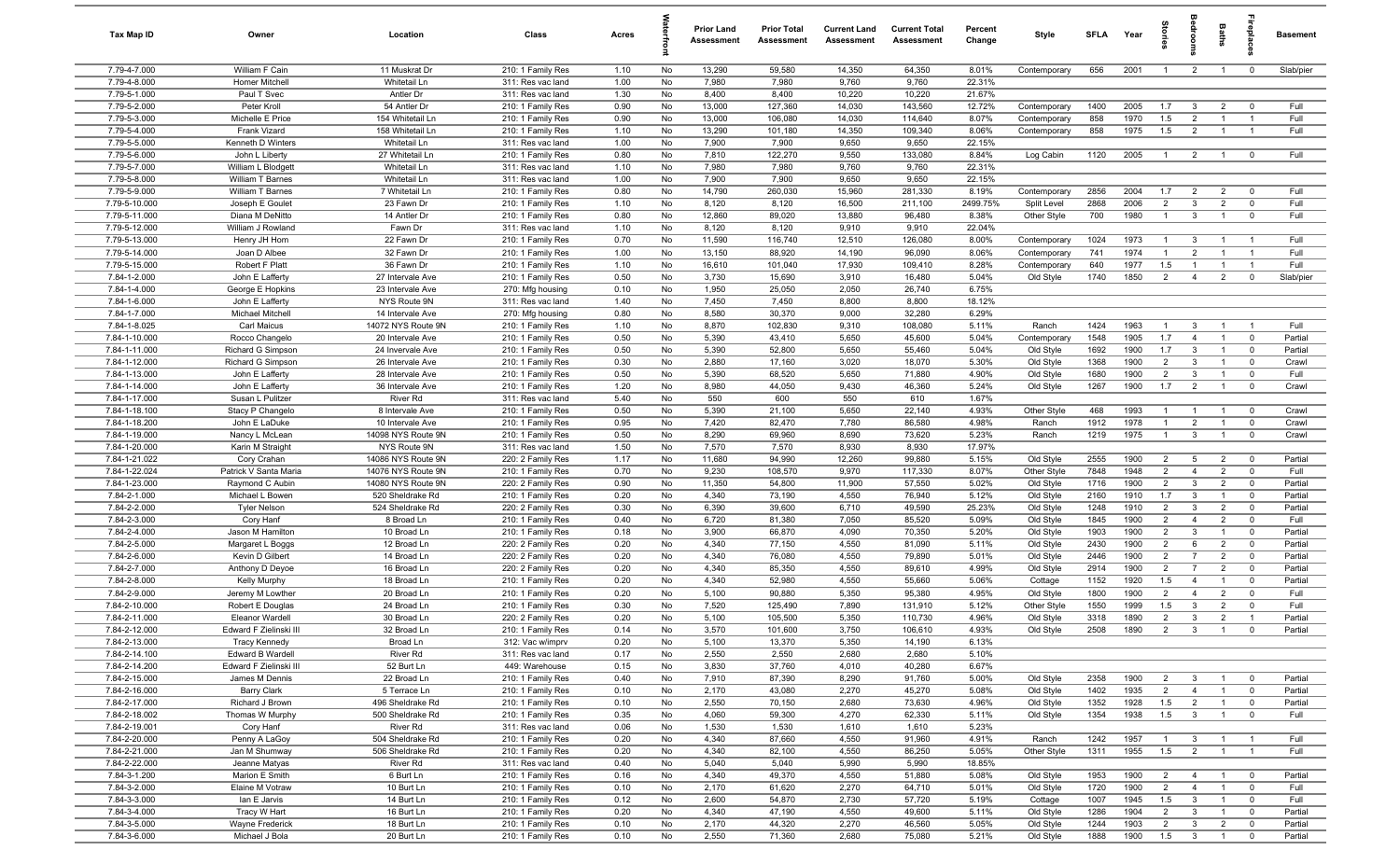| Tax Map ID                     | Owner                                      | Location                             | Class                                  | Acres        |          | <b>Prior Land</b><br>Assessment | <b>Prior Total</b><br>Assessment | <b>Current Land</b><br>Assessment | <b>Current Total</b><br>Assessment | Percent<br>Change | Style                        | SFLA         | Year         |                       | g                              | Baths                            | nebig                        | Basement           |
|--------------------------------|--------------------------------------------|--------------------------------------|----------------------------------------|--------------|----------|---------------------------------|----------------------------------|-----------------------------------|------------------------------------|-------------------|------------------------------|--------------|--------------|-----------------------|--------------------------------|----------------------------------|------------------------------|--------------------|
| 7.79-4-7.000                   | William F Cain                             | 11 Muskrat Dr                        | 210: 1 Family Res                      | 1.10         | No       | 13,290                          | 59,580                           | 14,350                            | 64,350                             | 8.01%             | Contemporary                 | 656          | 2001         | $\overline{1}$        | $\overline{2}$                 | $\mathbf{1}$                     | $\mathbf 0$                  | Slab/pier          |
| 7.79-4-8.000                   | Homer Mitchell                             | Whitetail Ln                         | 311: Res vac land                      | 1.00         | No       | 7,980                           | 7,980                            | 9,760                             | 9,760                              | 22.31%            |                              |              |              |                       |                                |                                  |                              |                    |
| 7.79-5-1.000                   | Paul T Svec                                | Antler Dr                            | 311: Res vac land                      | 1.30         | No       | 8,400                           | 8,400                            | 10,220                            | 10,220                             | 21.67%            |                              |              |              |                       |                                |                                  |                              |                    |
| 7.79-5-2.000<br>7.79-5-3.000   | Peter Kroll<br>Michelle E Price            | 54 Antler Dr<br>154 Whitetail Ln     | 210: 1 Family Res                      | 0.90<br>0.90 | No<br>No | 13,000<br>13,000                | 127,360<br>106,080               | 14,030<br>14,030                  | 143,560<br>114,640                 | 12.72%<br>8.07%   | Contemporary                 | 1400<br>858  | 2005<br>1970 | 1.7<br>1.5            | $\mathbf{3}$<br>$\overline{2}$ | $\overline{2}$                   | $\Omega$                     | Full<br>Full       |
| 7.79-5-4.000                   | Frank Vizard                               | 158 Whitetail Ln                     | 210: 1 Family Res<br>210: 1 Family Res | 1.10         | No       | 13,290                          | 101,180                          | 14,350                            | 109,340                            | 8.06%             | Contemporary<br>Contemporary | 858          | 1975         | 1.5                   | $\overline{2}$                 |                                  | $\overline{1}$               | Full               |
| 7.79-5-5.000                   | Kenneth D Winters                          | Whitetail Ln                         | 311: Res vac land                      | 1.00         | No       | 7,900                           | 7,900                            | 9,650                             | 9,650                              | 22.15%            |                              |              |              |                       |                                |                                  |                              |                    |
| 7.79-5-6.000                   | John L Liberty                             | 27 Whitetail Ln                      | 210: 1 Family Res                      | 0.80         | No       | 7,810                           | 122,270                          | 9,550                             | 133,080                            | 8.84%             | Log Cabin                    | 1120         | 2005         | $\overline{1}$        | $\overline{2}$                 | $\overline{1}$                   | $\mathbf 0$                  | Full               |
| 7.79-5-7.000                   | William L Blodgett                         | Whitetail Ln                         | 311: Res vac land                      | 1.10         | No       | 7,980                           | 7,980                            | 9,760                             | 9,760                              | 22.31%            |                              |              |              |                       |                                |                                  |                              |                    |
| 7.79-5-8.000                   | William T Barnes                           | Whitetail Ln                         | 311: Res vac land                      | 1.00         | No       | 7,900                           | 7,900                            | 9,650                             | 9,650                              | 22.15%            |                              |              |              |                       |                                |                                  |                              |                    |
| 7.79-5-9.000                   | William T Barnes                           | 7 Whitetail Ln                       | 210: 1 Family Res                      | 0.80         | No       | 14,790                          | 260,030                          | 15,960                            | 281,330                            | 8.19%             | Contemporary                 | 2856         | 2004         | 1.7                   | $\overline{2}$                 | $\overline{2}$                   | $^{\circ}$                   | Full               |
| 7.79-5-10.000                  | Joseph E Goulet                            | 23 Fawn Dr                           | 210: 1 Family Res                      | 1.10         | No       | 8,120                           | 8,120                            | 16,500                            | 211,100                            | 2499.75%          | Split Level                  | 2868         | 2006         | $\overline{2}$        | $\mathbf{3}$                   | $\overline{2}$                   | $\mathbf 0$                  | Full               |
| 7.79-5-11.000                  | Diana M DeNitto                            | 14 Antler Dr                         | 210: 1 Family Res                      | 0.80         | No       | 12,860                          | 89,020                           | 13,880                            | 96,480                             | 8.38%             | Other Style                  | 700          | 1980         | $\overline{1}$        | $\mathbf{3}$                   | $\overline{1}$                   | $^{\circ}$                   | Full               |
| 7.79-5-12.000                  | William J Rowland                          | Fawn Dr                              | 311: Res vac land                      | 1.10         | No       | 8,120                           | 8,120                            | 9,910                             | 9,910                              | 22.04%            |                              |              |              |                       |                                |                                  |                              |                    |
| 7.79-5-13.000<br>7.79-5-14.000 | Henry JH Hom<br>Joan D Albee               | 22 Fawn Dr<br>32 Fawn Dr             | 210: 1 Family Res<br>210: 1 Family Res | 0.70<br>1.00 | No<br>No | 11,590<br>13,150                | 116,740<br>88,920                | 12,510<br>14,190                  | 126,080<br>96,090                  | 8.00%<br>8.06%    | Contemporary<br>Contemporary | 1024<br>741  | 1973<br>1974 | $\overline{1}$<br>-1  | $\mathbf{3}$<br>$\overline{2}$ |                                  | - 1                          | Full<br>Full       |
| 7.79-5-15.000                  | Robert F Platt                             | 36 Fawn Dr                           | 210: 1 Family Res                      | 1.10         | No       | 16,610                          | 101,040                          | 17,930                            | 109,410                            | 8.28%             | Contemporary                 | 640          | 1977         | 1.5                   | $\overline{1}$                 |                                  |                              | Full               |
| 7.84-1-2.000                   | John E Lafferty                            | 27 Intervale Ave                     | 210: 1 Family Res                      | 0.50         | No       | 3,730                           | 15,690                           | 3,910                             | 16,480                             | 5.04%             | Old Style                    | 1740         | 1850         | $\overline{2}$        | $\overline{4}$                 | $\overline{2}$                   | $\mathbf 0$                  | Slab/pier          |
| 7.84-1-4.000                   | George E Hopkins                           | 23 Intervale Ave                     | 270: Mfg housing                       | 0.10         | No       | 1,950                           | 25,050                           | 2,050                             | 26,740                             | 6.75%             |                              |              |              |                       |                                |                                  |                              |                    |
| 7.84-1-6.000                   | John E Lafferty                            | NYS Route 9N                         | 311: Res vac land                      | 1.40         | No       | 7,450                           | 7,450                            | 8,800                             | 8,800                              | 18.12%            |                              |              |              |                       |                                |                                  |                              |                    |
| 7.84-1-7.000                   | Michael Mitchell                           | 14 Intervale Ave                     | 270: Mfg housing                       | 0.80         | No       | 8,580                           | 30,370                           | 9,000                             | 32,280                             | 6.29%             |                              |              |              |                       |                                |                                  |                              |                    |
| 7.84-1-8.025                   | Carl Maicus                                | 14072 NYS Route 9N                   | 210: 1 Family Res                      | 1.10         | No       | 8,870                           | 102,830                          | 9,310                             | 108,080                            | 5.11%             | Ranch                        | 1424         | 1963         | $\overline{1}$        | $\mathbf{3}$                   | $\overline{1}$                   | $\overline{1}$               | Full               |
| 7.84-1-10.000                  | Rocco Changelo                             | 20 Intervale Ave                     | 210: 1 Family Res                      | 0.50         | No       | 5,390                           | 43,410                           | 5,650                             | 45,600                             | 5.04%             | Contemporary                 | 1548         | 1905         | 1.7                   | $\overline{4}$                 | $\overline{1}$                   | $\mathbf 0$                  | Partial            |
| 7.84-1-11.000                  | Richard G Simpson                          | 24 Invervale Ave                     | 210: 1 Family Res                      | 0.50         | No       | 5,390                           | 52,800                           | 5,650                             | 55,460                             | 5.04%             | Old Style                    | 1692         | 1900         | 1.7                   | $\mathbf{3}$                   | $\overline{1}$                   | $^{\circ}$                   | Partial            |
| 7.84-1-12.000                  | Richard G Simpson                          | 26 Intervale Ave                     | 210: 1 Family Res                      | 0.30         | No       | 2,880                           | 17,160                           | 3,020                             | 18,070                             | 5.30%             | Old Style                    | 1368         | 1900         | $\overline{2}$        | $\mathbf{3}$                   | $\overline{1}$                   | $\mathbf 0$                  | Crawl              |
| 7.84-1-13.000<br>7.84-1-14.000 | John E Lafferty<br>John E Lafferty         | 28 Intervale Ave<br>36 Intervale Ave | 210: 1 Family Res<br>210: 1 Family Res | 0.50<br>1.20 | No<br>No | 5,390<br>8,980                  | 68,520<br>44,050                 | 5,650<br>9,430                    | 71,880<br>46,360                   | 4.90%<br>5.24%    | Old Style<br>Old Style       | 1680<br>1267 | 1900<br>1900 | $\overline{2}$<br>1.7 | $\mathbf{3}$<br>2              | $\overline{1}$<br>$\overline{1}$ | $^{\circ}$<br>$\mathbf 0$    | Full<br>Crawl      |
| 7.84-1-17.000                  | Susan L Pulitzer                           | River Rd                             | 311: Res vac land                      | 5.40         | No       | 550                             | 600                              | 550                               | 610                                | 1.67%             |                              |              |              |                       |                                |                                  |                              |                    |
| 7.84-1-18.100                  | Stacy P Changelo                           | 8 Intervale Ave                      | 210: 1 Family Res                      | 0.50         | No       | 5,390                           | 21,100                           | 5,650                             | 22,140                             | 4.93%             | Other Style                  | 468          | 1993         | -1                    | $\overline{1}$                 |                                  | $\overline{0}$               | Crawl              |
| 7.84-1-18.200                  | John E LaDuke                              | 10 Intervale Ave                     | 210: 1 Family Res                      | 0.95         | No       | 7,420                           | 82,470                           | 7,780                             | 86,580                             | 4.98%             | Ranch                        | 1912         | 1978         | $\mathbf{1}$          | $\overline{2}$                 |                                  | $^{\circ}$                   | Crawl              |
| 7.84-1-19.000                  | Nancy L McLean                             | 14098 NYS Route 9N                   | 210: 1 Family Res                      | 0.50         | No       | 8,290                           | 69,960                           | 8,690                             | 73,620                             | 5.23%             | Ranch                        | 1219         | 1975         | -1                    | $\mathbf{3}$                   | $\overline{1}$                   | $\mathbf 0$                  | Crawl              |
| 7.84-1-20.000                  | Karin M Straight                           | NYS Route 9N                         | 311: Res vac land                      | 1.50         | No       | 7,570                           | 7,570                            | 8,930                             | 8,930                              | 17.97%            |                              |              |              |                       |                                |                                  |                              |                    |
| 7.84-1-21.022                  | Cory Crahan                                | 14086 NYS Route 9N                   | 220: 2 Family Res                      | 1.17         | No       | 11,680                          | 94,990                           | 12,260                            | 99,880                             | 5.15%             | Old Style                    | 2555         | 1900         | $\overline{2}$        | $5\overline{)}$                | $\overline{2}$                   | $\overline{0}$               | Partial            |
| 7.84-1-22.024                  | Patrick V Santa Maria                      | 14076 NYS Route 9N                   | 210: 1 Family Res                      | 0.70         | No       | 9,230                           | 108,570                          | 9,970                             | 117,330                            | 8.07%             | Other Style                  | 7848         | 1948         | $\overline{2}$        | $\overline{4}$                 | $\overline{2}$                   | $\mathbf 0$                  | Full               |
| 7.84-1-23.000                  | Raymond C Aubin                            | 14080 NYS Route 9N                   | 220: 2 Family Res                      | 0.90         | No       | 11,350                          | 54,800                           | 11,900                            | 57,550                             | 5.02%             | Old Style                    | 1716         | 1900         | $\overline{2}$        | $\mathbf{3}$                   | $\overline{2}$                   | $\mathbf 0$                  | Partial            |
| 7.84-2-1.000<br>7.84-2-2.000   | Michael L Bowen<br><b>Tyler Nelson</b>     | 520 Sheldrake Rd<br>524 Sheldrake Rd | 210: 1 Family Res<br>220: 2 Family Res | 0.20<br>0.30 | No<br>No | 4,340<br>6,390                  | 73,190<br>39,600                 | 4,550<br>6,710                    | 76,940<br>49,590                   | 5.12%<br>25.23%   | Old Style<br>Old Style       | 2160<br>1248 | 1910<br>1910 | 1.7<br>$\overline{2}$ | $\mathbf{3}$<br>$\mathbf{3}$   | $\overline{1}$<br>$\overline{2}$ | $\overline{0}$<br>$^{\circ}$ | Partial<br>Partial |
| 7.84-2-3.000                   | Cory Hanf                                  | 8 Broad Ln                           | 210: 1 Family Res                      | 0.40         | No       | 6,720                           | 81,380                           | 7,050                             | 85,520                             | 5.09%             | Old Style                    | 1845         | 1900         | $\overline{2}$        | $\overline{4}$                 | $\overline{2}$                   | $\mathbf 0$                  | Full               |
| 7.84-2-4.000                   | Jason M Hamilton                           | 10 Broad Ln                          | 210: 1 Family Res                      | 0.18         | No       | 3,900                           | 66,870                           | 4,090                             | 70,350                             | 5.20%             | Old Style                    | 1903         | 1900         | $\overline{2}$        | $\mathbf{3}$                   | $\overline{1}$                   | $\mathbf 0$                  | Partial            |
| 7.84-2-5.000                   | Margaret L Boggs                           | 12 Broad Ln                          | 220: 2 Family Res                      | 0.20         | No       | 4,340                           | 77,150                           | 4,550                             | 81,090                             | 5.11%             | Old Style                    | 2430         | 1900         | $\overline{2}$        | 6                              | $\overline{2}$                   | $\mathbf 0$                  | Partial            |
| 7.84-2-6.000                   | Kevin D Gilbert                            | 14 Broad Ln                          | 220: 2 Family Res                      | 0.20         | No       | 4,340                           | 76,080                           | 4,550                             | 79,890                             | 5.01%             | Old Style                    | 2446         | 1900         | $\overline{2}$        | $\overline{7}$                 | $\overline{2}$                   | $\mathbf 0$                  | Partial            |
| 7.84-2-7.000                   | Anthony D Deyoe                            | 16 Broad Ln                          | 220: 2 Family Res                      | 0.20         | No       | 4,340                           | 85,350                           | 4,550                             | 89,610                             | 4.99%             | Old Style                    | 2914         | 1900         | $\overline{2}$        | $\overline{7}$                 | $\overline{2}$                   | $^{\circ}$                   | Partial            |
| 7.84-2-8.000                   | <b>Kelly Murphy</b>                        | 18 Broad Ln                          | 210: 1 Family Res                      | 0.20         | No       | 4,340                           | 52,980                           | 4,550                             | 55,660                             | 5.06%             | Cottage                      | 1152         | 1920         | 1.5                   | $\overline{4}$                 |                                  | $^{\circ}$                   | Partial            |
| 7.84-2-9.000                   | Jeremy M Lowther                           | 20 Broad Ln                          | 210: 1 Family Res                      | 0.20         | No       | 5,100                           | 90,880                           | 5,350                             | 95,380                             | 4.95%             | Old Style                    | 1800         | 1900         | $\overline{2}$        | $\overline{4}$                 | $\overline{2}$                   | $^{\circ}$                   | Full               |
| 7.84-2-10.000<br>7.84-2-11.000 | Robert E Douglas<br><b>Eleanor Wardell</b> | 24 Broad Ln<br>30 Broad Ln           | 210: 1 Family Res<br>220: 2 Family Res | 0.30<br>0.20 | No<br>No | 7,520<br>5,100                  | 125,490<br>105,500               | 7,890<br>5,350                    | 131,910<br>110,730                 | 5.12%<br>4.96%    | Other Style<br>Old Style     | 1550<br>3318 | 1999<br>1890 | 1.5<br>$\overline{2}$ | $\mathbf{3}$<br>$\mathbf{3}$   | $\overline{2}$<br>$\overline{2}$ | $\Omega$<br>$\overline{1}$   | Full<br>Partial    |
| 7.84-2-12.000                  | Edward F Zielinski III                     | 32 Broad Ln                          | 210: 1 Family Res                      | 0.14         | No       | 3,570                           | 101,600                          | 3,750                             | 106,610                            | 4.93%             | Old Style                    | 2508         | 1890         | 2                     | $\mathcal{R}$                  | $\overline{1}$                   |                              | Partial            |
| 7.84-2-13.000                  | <b>Tracy Kennedy</b>                       | Broad Ln                             | 312: Vac w/imprv                       | 0.20         | No       | 5,100                           | 13,370                           | 5,350                             | 14,190                             | 6.13%             |                              |              |              |                       |                                |                                  |                              |                    |
| 7.84-2-14.100                  | Edward B Wardell                           | <b>River Rd</b>                      | 311: Res vac land                      | 0.17         | No       | 2,550                           | 2,550                            | 2,680                             | 2,680                              | 5.10%             |                              |              |              |                       |                                |                                  |                              |                    |
| 7.84-2-14.200                  | Edward F Zielinski III                     | 52 Burt Ln                           | 449: Warehouse                         | 0.15         | No       | 3,830                           | 37,760                           | 4,010                             | 40,280                             | 6.67%             |                              |              |              |                       |                                |                                  |                              |                    |
| 7.84-2-15.000                  | James M Dennis                             | 22 Broad Ln                          | 210: 1 Family Res                      | 0.40         | No       | 7,910                           | 87,390                           | 8,290                             | 91,760                             | 5.00%             | Old Style                    | 2358         | 1900         | $\overline{2}$        | $\mathbf{3}$                   | $\overline{1}$                   | $\overline{0}$               | Partial            |
| 7.84-2-16.000                  | Barry Clark                                | 5 Terrace Ln                         | 210: 1 Family Res                      | 0.10         | No       | 2,170                           | 43,080                           | 2,270                             | 45,270                             | 5.08%             | Old Style                    | 1402         | 1935         | $\overline{2}$        | $\overline{4}$                 | $\mathbf{1}$                     | $\mathbf 0$                  | Partial            |
| 7.84-2-17.000                  | Richard J Brown                            | 496 Sheldrake Rd                     | 210: 1 Family Res                      | 0.10         | No       | 2,550                           | 70,150                           | 2,680                             | 73,630                             | 4.96%             | Old Style                    | 1352         | 1928         | 1.5                   | $\overline{2}$                 | $\mathbf{1}$                     | $\mathbf 0$                  | Partial            |
| 7.84-2-18.002                  | Thomas W Murphy                            | 500 Sheldrake Rd                     | 210: 1 Family Res                      | 0.35         | No       | 4,060                           | 59,300                           | 4,270                             | 62,330                             | 5.11%             | Old Style                    | 1354         | 1938         | 1.5                   | $\overline{3}$                 |                                  | $\mathbf 0$                  | Full               |
| 7.84-2-19.001<br>7.84-2-20.000 | Cory Hanf<br>Penny A LaGoy                 | River Rd<br>504 Sheldrake Rd         | 311: Res vac land<br>210: 1 Family Res | 0.06<br>0.20 | No<br>No | 1,530<br>4,340                  | 1,530<br>87,660                  | 1,610<br>4,550                    | 1,610<br>91,960                    | 5.23%<br>4.91%    | Ranch                        | 1242         | 1957         | $\mathbf{1}$          | $\mathbf{3}$                   |                                  | - 1                          | Full               |
| 7.84-2-21.000                  | Jan M Shumway                              | 506 Sheldrake Rd                     | 210: 1 Family Res                      | 0.20         | No       | 4,340                           | 82,100                           | 4,550                             | 86,250                             | 5.05%             | Other Style                  | 1311         | 1955         | 1.5                   | $\overline{2}$                 | $\overline{1}$                   | $\overline{1}$               | Full               |
| 7.84-2-22.000                  | Jeanne Matyas                              | River Rd                             | 311: Res vac land                      | 0.40         | No       | 5,040                           | 5,040                            | 5,990                             | 5,990                              | 18.85%            |                              |              |              |                       |                                |                                  |                              |                    |
| 7.84-3-1.200                   | Marion E Smith                             | 6 Burt Ln                            | 210: 1 Family Res                      | 0.16         | No       | 4,340                           | 49,370                           | 4,550                             | 51,880                             | 5.08%             | Old Style                    | 1953         | 1900         | $\overline{2}$        | $\overline{4}$                 | $\overline{1}$                   | $\overline{0}$               | Partial            |
| 7.84-3-2.000                   | Elaine M Votraw                            | 10 Burt Ln                           | 210: 1 Family Res                      | 0.10         | No       | 2,170                           | 61,620                           | 2,270                             | 64,710                             | 5.01%             | Old Style                    | 1720         | 1900         | $\overline{2}$        | $\overline{4}$                 | $\mathbf{1}$                     | $\overline{0}$               | Full               |
| 7.84-3-3.000                   | Ian E Jarvis                               | 14 Burt Ln                           | 210: 1 Family Res                      | 0.12         | No       | 2,600                           | 54,870                           | 2,730                             | 57,720                             | 5.19%             | Cottage                      | 1007         | 1945         | 1.5                   | $\mathbf{3}$                   | $\overline{1}$                   | $\overline{0}$               | Full               |
| 7.84-3-4.000                   | Tracy W Hart                               | 16 Burt Ln                           | 210: 1 Family Res                      | 0.20         | No       | 4,340                           | 47,190                           | 4,550                             | 49,600                             | 5.11%             | Old Style                    | 1286         | 1904         | $\overline{2}$        | $\mathbf{3}$                   | $\overline{1}$                   | $\overline{\mathbf{0}}$      | Partial            |
| 7.84-3-5.000                   | Wayne Frederick                            | 18 Burt Ln                           | 210: 1 Family Res                      | 0.10         | No       | 2,170                           | 44,320                           | 2,270                             | 46,560                             | 5.05%             | Old Style                    | 1244         | 1903         | $\overline{2}$        | $\mathbf{3}$                   | $\overline{2}$                   | $\overline{0}$               | Partial            |
| 7.84-3-6.000                   | Michael J Bola                             | 20 Burt Ln                           | 210: 1 Family Res                      | 0.10         | No       | 2,550                           | 71,360                           | 2,680                             | 75,080                             | 5.21%             | Old Style                    | 1888         | 1900         | 1.5                   | $\overline{\mathbf{3}}$        | $\overline{1}$                   | $\mathbf 0$                  | Partial            |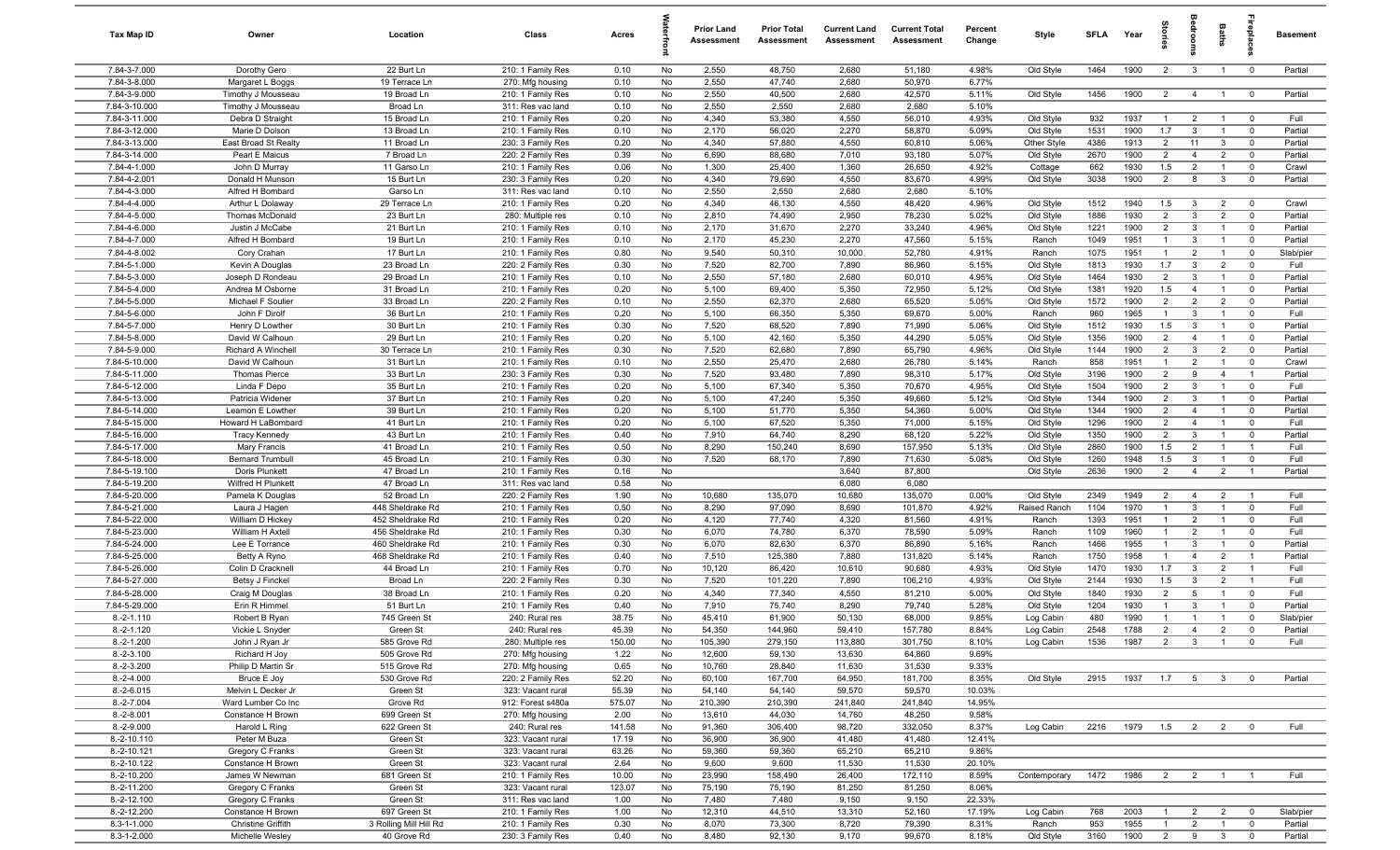| Tax Map ID                     | Owner                                   | Location                   | Class                                  | Acres           |          | <b>Prior Land</b><br>Assessment | <b>Prior Total</b><br>Assessment | <b>Current Land</b><br>Assessment | <b>Current Total</b><br>Assessment | Percent<br>Change | Style                  | <b>SFLA</b>  | Year         |                                | g                              | Baths                            | nebig                         | Basement           |
|--------------------------------|-----------------------------------------|----------------------------|----------------------------------------|-----------------|----------|---------------------------------|----------------------------------|-----------------------------------|------------------------------------|-------------------|------------------------|--------------|--------------|--------------------------------|--------------------------------|----------------------------------|-------------------------------|--------------------|
| 7.84-3-7.000                   | Dorothy Gero                            | 22 Burt Ln                 | 210: 1 Family Res                      | 0.10            | No       | 2,550                           | 48,750                           | 2,680                             | 51,180                             | 4.98%             | Old Style              | 1464         | 1900         | $\overline{2}$                 | $\overline{3}$                 | $\overline{1}$                   | $\overline{0}$                | Partial            |
| 7.84-3-8.000                   | Margaret L Boggs                        | 19 Terrace Ln              | 270: Mfg housing                       | 0.10            | No       | 2,550                           | 47,740                           | 2,680                             | 50,970                             | 6.77%             |                        |              |              |                                |                                |                                  |                               |                    |
| 7.84-3-9.000                   | Timothy J Mousseau                      | 19 Broad Ln                | 210: 1 Family Res                      | 0.10            | No       | 2,550                           | 40,500                           | 2,680                             | 42,570                             | 5.11%             | Old Style              | 1456         | 1900         | $\overline{2}$                 | $\overline{4}$                 | $\overline{1}$                   | $\overline{0}$                | Partial            |
| 7.84-3-10.000                  | Timothy J Mousseau                      | Broad Ln                   | 311: Res vac land                      | 0.10            | No       | 2,550                           | 2,550                            | 2,680                             | 2,680                              | 5.10%             |                        |              |              |                                |                                |                                  |                               |                    |
| 7.84-3-11.000<br>7.84-3-12.000 | Debra D Straight<br>Marie D Dolson      | 15 Broad Ln<br>13 Broad Ln | 210: 1 Family Res<br>210: 1 Family Res | 0.20<br>0.10    | No<br>No | 4,340<br>2,170                  | 53,380<br>56,020                 | 4,550<br>2,270                    | 56,010<br>58,870                   | 4.93%<br>5.09%    | Old Style<br>Old Style | 932<br>1531  | 1937<br>1900 | -1<br>1.7                      | $\overline{2}$<br>$\mathbf{3}$ |                                  | $\overline{0}$<br>$\mathbf 0$ | Full<br>Partial    |
| 7.84-3-13.000                  | East Broad St Realty                    | 11 Broad Ln                | 230: 3 Family Res                      | 0.20            | No       | 4,340                           | 57,880                           | 4,550                             | 60,810                             | 5.06%             | Other Style            | 4386         | 1913         | $\overline{2}$                 | 11                             | $\mathbf{3}$                     | $\mathbf 0$                   | Partial            |
| 7.84-3-14.000                  | Pearl E Maicus                          | 7 Broad Ln                 | 220: 2 Family Res                      | 0.39            | No       | 6,690                           | 88,680                           | 7,010                             | 93,180                             | 5.07%             | Old Style              | 2670         | 1900         | $\overline{2}$                 | $\overline{4}$                 | $\overline{2}$                   | $\mathbf 0$                   | Partial            |
| 7.84-4-1.000                   | John D Murray                           | 11 Garso Ln                | 210: 1 Family Res                      | 0.06            | No       | 1,300                           | 25,400                           | 1,360                             | 26,650                             | 4.92%             | Cottage                | 662          | 1930         | 1.5                            | $\overline{2}$                 | $\overline{1}$                   | $\mathbf 0$                   | Crawl              |
| 7.84-4-2.001                   | Donald H Munson                         | 15 Burt Ln                 | 230: 3 Family Res                      | 0.20            | No       | 4,340                           | 79,690                           | 4,550                             | 83,670                             | 4.99%             | Old Style              | 3038         | 1900         | $\overline{2}$                 | 8                              | $\mathbf{3}$                     | $\mathbf 0$                   | Partial            |
| 7.84-4-3.000                   | Alfred H Bombard                        | Garso Ln                   | 311: Res vac land                      | 0.10            | No       | 2,550                           | 2,550                            | 2,680                             | 2,680                              | 5.10%             |                        |              |              |                                |                                |                                  |                               |                    |
| 7.84-4-4.000                   | Arthur L Dolaway                        | 29 Terrace Ln              | 210: 1 Family Res                      | 0.20            | No       | 4,340                           | 46,130                           | 4,550                             | 48,420                             | 4.96%             | Old Style              | 1512         | 1940         | 1.5                            | $\mathbf{3}$                   | $\overline{2}$                   | $\overline{0}$                | Crawl              |
| 7.84-4-5.000                   | Thomas McDonald                         | 23 Burt Ln                 | 280: Multiple res                      | 0.10            | No       | 2,810                           | 74,490                           | 2,950                             | 78,230                             | 5.02%             | Old Style              | 1886         | 1930         | $\overline{2}$                 | $\mathbf{3}$                   | $\overline{2}$                   | $\mathbf 0$                   | Partial            |
| 7.84-4-6.000                   | Justin J McCabe                         | 21 Burt Ln                 | 210: 1 Family Res                      | 0.10            | No       | 2,170                           | 31,670                           | 2,270                             | 33,240                             | 4.96%             | Old Style              | 1221         | 1900         | $\overline{2}$                 | $\mathbf{3}$                   | $\overline{1}$                   | $\mathbf 0$                   | Partial            |
| 7.84-4-7.000                   | Alfred H Bombard                        | 19 Burt Ln                 | 210: 1 Family Res                      | 0.10            | No       | 2,170                           | 45,230                           | 2,270                             | 47,560                             | 5.15%             | Ranch                  | 1049         | 1951         | $\mathbf{1}$                   | $\mathbf{3}$                   | $\overline{1}$                   | $\mathbf 0$                   | Partial            |
| 7.84-4-8.002                   | Cory Crahan                             | 17 Burt Ln                 | 210: 1 Family Res                      | 0.80            | No       | 9,540                           | 50,310                           | 10,000                            | 52,780                             | 4.91%             | Ranch                  | 1075         | 1951         | $\mathbf{1}$                   | $\overline{2}$                 |                                  | $\mathbf 0$                   | Slab/pier          |
| 7.84-5-1.000                   | Kevin A Douglas                         | 23 Broad Ln                | 220: 2 Family Res                      | 0.30            | No       | 7,520                           | 82,700                           | 7,890                             | 86,960                             | 5.15%             | Old Style              | 1813<br>1464 | 1930<br>1930 | 1.7<br>$\overline{2}$          | $\mathbf{3}$<br>$\mathbf{3}$   | $\overline{2}$<br>$\overline{1}$ | $^{\circ}$<br>$^{\circ}$      | Full               |
| 7.84-5-3.000<br>7.84-5-4.000   | Joseph D Rondeau<br>Andrea M Osborne    | 29 Broad Ln<br>31 Broad Ln | 210: 1 Family Res<br>210: 1 Family Res | 0.10<br>0.20    | No<br>No | 2,550<br>5,100                  | 57,180<br>69,400                 | 2,680<br>5,350                    | 60,010<br>72,950                   | 4.95%<br>5.12%    | Old Style<br>Old Style | 1381         | 1920         | 1.5                            | $\overline{4}$                 |                                  | $\mathbf 0$                   | Partial<br>Partial |
| 7.84-5-5.000                   | Michael F Soulier                       | 33 Broad Ln                | 220: 2 Family Res                      | 0.10            | No       | 2,550                           | 62,370                           | 2,680                             | 65,520                             | 5.05%             | Old Style              | 1572         | 1900         | $\overline{2}$                 | $\overline{2}$                 | $\overline{2}$                   | $\mathbf 0$                   | Partial            |
| 7.84-5-6.000                   | John F Dirolf                           | 36 Burt Ln                 | 210: 1 Family Res                      | 0.20            | No       | 5,100                           | 66,350                           | 5,350                             | 69,670                             | 5.00%             | Ranch                  | 960          | 1965         | $\overline{1}$                 | $\mathbf{3}$                   | $\overline{1}$                   | $\mathbf 0$                   | Full               |
| 7.84-5-7.000                   | Henry D Lowther                         | 30 Burt Ln                 | 210: 1 Family Res                      | 0.30            | No       | 7,520                           | 68,520                           | 7,890                             | 71,990                             | 5.06%             | Old Style              | 1512         | 1930         | 1.5                            | $\mathbf{3}$                   | $\overline{1}$                   | $\mathbf 0$                   | Partial            |
| 7.84-5-8.000                   | David W Calhoun                         | 29 Burt Ln                 | 210: 1 Family Res                      | 0.20            | No       | 5,100                           | 42,160                           | 5,350                             | 44,290                             | 5.05%             | Old Style              | 1356         | 1900         | $\overline{2}$                 | $\overline{4}$                 | $\overline{1}$                   | $\mathbf 0$                   | Partial            |
| 7.84-5-9.000                   | Richard A Winchell                      | 30 Terrace Ln              | 210: 1 Family Res                      | 0.30            | No       | 7,520                           | 62,680                           | 7,890                             | 65,790                             | 4.96%             | Old Style              | 1144         | 1900         | 2                              | $\mathbf{3}$                   | $\overline{2}$                   | $^{\circ}$                    | Partial            |
| 7.84-5-10.000                  | David W Calhoun                         | 31 Burt Ln                 | 210: 1 Family Res                      | 0.10            | No       | 2,550                           | 25,470                           | 2,680                             | 26,780                             | 5.14%             | Ranch                  | 858          | 1951         | $\overline{1}$                 | 2                              | $\overline{1}$                   | $\mathbf 0$                   | Crawl              |
| 7.84-5-11.000                  | <b>Thomas Pierce</b>                    | 33 Burt Ln                 | 230: 3 Family Res                      | 0.30            | No       | 7,520                           | 93,480                           | 7,890                             | 98,310                             | 5.17%             | Old Style              | 3196         | 1900         | $\overline{2}$                 | 9                              | $\overline{4}$                   | $\overline{1}$                | Partial            |
| 7.84-5-12.000                  | Linda F Depo                            | 35 Burt Ln                 | 210: 1 Family Res                      | 0.20            | No       | 5,100                           | 67,340                           | 5,350                             | 70,670                             | 4.95%             | Old Style              | 1504         | 1900         | $\overline{2}$                 | $\mathbf{3}$                   | $\overline{1}$                   | $\mathbf 0$                   | Full               |
| 7.84-5-13.000                  | Patricia Widener                        | 37 Burt Ln                 | 210: 1 Family Res                      | 0.20            | No       | 5,100                           | 47,240                           | 5,350                             | 49,660                             | 5.12%             | Old Style              | 1344         | 1900         | $\overline{2}$                 | $\mathbf{3}$                   |                                  | $\mathbf 0$                   | Partial            |
| 7.84-5-14.000                  | Leamon E Lowther                        | 39 Burt Ln                 | 210: 1 Family Res                      | 0.20            | No       | 5,100                           | 51,770                           | 5,350                             | 54,360                             | 5.00%             | Old Style              | 1344         | 1900         | $\overline{2}$                 | $\overline{4}$                 | $\overline{1}$                   | $\mathbf 0$                   | Partial            |
| 7.84-5-15.000                  | Howard H LaBombard                      | 41 Burt Ln                 | 210: 1 Family Res                      | 0.20            | No       | 5,100                           | 67,520                           | 5,350                             | 71,000                             | 5.15%             | Old Style              | 1296         | 1900         | $\overline{2}$                 | $\overline{4}$                 |                                  | $^{\circ}$                    | Full               |
| 7.84-5-16.000                  | <b>Tracy Kennedy</b>                    | 43 Burt Ln                 | 210: 1 Family Res                      | 0.40            | No       | 7,910<br>8,290                  | 64,740                           | 8,290<br>8,690                    | 68,120<br>157,950                  | 5.22%<br>5.13%    | Old Style              | 1350<br>2860 | 1900<br>1900 | $\overline{2}$<br>1.5          | $\mathbf{3}$                   | $\mathbf{1}$                     | $^{\circ}$<br>$\overline{1}$  | Partial<br>Full    |
| 7.84-5-17.000<br>7.84-5-18.000 | Mary Francis<br><b>Bernard Trumbull</b> | 41 Broad Ln<br>45 Broad Ln | 210: 1 Family Res<br>210: 1 Family Res | 0.50<br>0.30    | No<br>No | 7,520                           | 150,240<br>68,170                | 7,890                             | 71,630                             | 5.08%             | Old Style<br>Old Style | 1260         | 1948         | 1.5                            | $\overline{2}$<br>$\mathbf{3}$ | $\overline{1}$                   | $\overline{0}$                | Full               |
| 7.84-5-19.100                  | Doris Plunkett                          | 47 Broad Ln                | 210: 1 Family Res                      | 0.16            | No       |                                 |                                  | 3,640                             | 87,800                             |                   | Old Style              | 2636         | 1900         | $\overline{2}$                 | $\overline{4}$                 | $\overline{2}$                   | $\overline{1}$                | Partial            |
| 7.84-5-19.200                  | Wilfred H Plunkett                      | 47 Broad Ln                | 311: Res vac land                      | 0.58            | No       |                                 |                                  | 6,080                             | 6,080                              |                   |                        |              |              |                                |                                |                                  |                               |                    |
| 7.84-5-20.000                  | Pamela K Douglas                        | 52 Broad Ln                | 220: 2 Family Res                      | 1.90            | No       | 10,680                          | 135,070                          | 10,680                            | 135,070                            | 0.00%             | Old Style              | 2349         | 1949         | $\overline{2}$                 | $\overline{4}$                 | $\overline{2}$                   | $\overline{1}$                | Full               |
| 7.84-5-21.000                  | Laura J Hagen                           | 448 Sheldrake Rd           | 210: 1 Family Res                      | 0.50            | No       | 8,290                           | 97,090                           | 8,690                             | 101,870                            | 4.92%             | Raised Ranch           | 1104         | 1970         | $\mathbf{1}$                   | $\mathbf{3}$                   | $\overline{1}$                   | $^{\circ}$                    | Full               |
| 7.84-5-22.000                  | William D Hickey                        | 452 Sheldrake Rd           | 210: 1 Family Res                      | 0.20            | No       | 4,120                           | 77,740                           | 4,320                             | 81,560                             | 4.91%             | Ranch                  | 1393         | 1951         | $\overline{1}$                 | 2                              | $\overline{1}$                   | $\mathbf 0$                   | Full               |
| 7.84-5-23.000                  | William H Axtell                        | 456 Sheldrake Rd           | 210: 1 Family Res                      | 0.30            | No       | 6,070                           | 74,780                           | 6,370                             | 78,590                             | 5.09%             | Ranch                  | 1109         | 1960         | $\overline{1}$                 | $\overline{2}$                 |                                  | $\mathbf 0$                   | Full               |
| 7.84-5-24.000                  | Lee E Torrance                          | 460 Sheldrake Rd           | 210: 1 Family Res                      | 0.30            | No       | 6,070                           | 82,630                           | 6,370                             | 86,890                             | 5.16%             | Ranch                  | 1466         | 1955         | $\mathbf{1}$                   | $\mathbf{3}$                   | $\overline{1}$                   | $\mathbf 0$                   | Partial            |
| 7.84-5-25.000                  | Betty A Ryno                            | 468 Sheldrake Rd           | 210: 1 Family Res                      | 0.40            | No       | 7,510                           | 125,380                          | 7,880                             | 131,820                            | 5.14%             | Ranch                  | 1750         | 1958         | $\mathbf{1}$                   | $\overline{4}$                 | $\overline{2}$                   | -1                            | Partial            |
| 7.84-5-26.000                  | Colin D Cracknell                       | 44 Broad Ln                | 210: 1 Family Res                      | 0.70            | No       | 10,120                          | 86,420                           | 10,610                            | 90,680                             | 4.93%             | Old Style              | 1470         | 1930         | 1.7                            | $\mathbf{3}$                   | $\overline{2}$                   | $\overline{1}$                | Full               |
| 7.84-5-27.000                  | Betsy J Finckel                         | Broad Ln                   | 220: 2 Family Res                      | 0.30            | No       | 7,520                           | 101,220                          | 7,890                             | 106,210                            | 4.93%             | Old Style              | 2144         | 1930         | 1.5                            | $\mathbf{3}$                   | $\overline{2}$                   | $\overline{1}$                | Full               |
| 7.84-5-28.000<br>7.84-5-29.000 | Craig M Douglas<br>Erin R Himmel        | 38 Broad Ln<br>51 Burt Ln  | 210: 1 Family Res<br>210: 1 Family Res | 0.20<br>0.40    | No<br>No | 4,340<br>7,910                  | 77,340<br>75,740                 | 4,550<br>8,290                    | 81,210<br>79,740                   | 5.00%<br>5.28%    | Old Style<br>Old Style | 1840<br>1204 | 1930<br>1930 | $\overline{2}$<br>$\mathbf{1}$ | 5<br>$\mathbf{3}$              | $\overline{1}$                   | $\mathbf 0$<br>$\Omega$       | Full<br>Partial    |
| $8.-2-1.110$                   | Robert B Ryan                           | 745 Green St               | 240: Rural res                         | 38.75           | No       | 45,410                          | 61,900                           | 50,130                            | 68,000                             | 9.85%             | Log Cabin              | 480          | 1990         | $\overline{1}$                 | $\overline{1}$                 | $\overline{1}$                   | $\mathbf 0$                   | Slab/pier          |
| $8.-2-1.120$                   | Vickie L Snyder                         | Green St                   | 240: Rural res                         | 45.39           | No       | 54,350                          | 144,960                          | 59,410                            | 157,780                            | 8.84%             | Log Cabin              | 2548         | 1788         | $\overline{2}$                 | $\mathbf{A}$                   | $\overline{2}$                   |                               | Partial            |
| $8.-2-1.200$                   | John J Ryan Jr                          | 585 Grove Rd               | 280: Multiple res                      | 150.00          | No       | 105,390                         | 279,150                          | 113,880                           | 301,750                            | 8.10%             | Log Cabin              | 1536         | 1987         | 2                              | $\overline{\mathbf{3}}$        | $\overline{1}$                   | $\overline{0}$                | Full               |
| $8.-2-3.100$                   | Richard H Joy                           | 505 Grove Rd               | 270: Mfg housing                       | 1.22            | No       | 12,600                          | 59,130                           | 13,630                            | 64,860                             | 9.69%             |                        |              |              |                                |                                |                                  |                               |                    |
| $8.-2-3.200$                   | Philip D Martin Sr                      | 515 Grove Rd               | 270: Mfg housing                       | 0.65            | No       | 10,760                          | 28,840                           | 11,630                            | 31,530                             | 9.33%             |                        |              |              |                                |                                |                                  |                               |                    |
| $8.-2-4.000$                   | Bruce E Joy                             | 530 Grove Rd               | 220: 2 Family Res                      | 52.20           | No       | 60,100                          | 167,700                          | 64,950                            | 181,700                            | 8.35%             | Old Style              | 2915         | 1937         | $1.7$ 5                        |                                | 3 <sup>3</sup>                   | $\mathbf 0$                   | Partial            |
| $8.-2-6.015$                   | Melvin L Decker Jr                      | Green St                   | 323: Vacant rural                      | 55.39           | No       | 54,140                          | 54,140                           | 59,570                            | 59,570                             | 10.03%            |                        |              |              |                                |                                |                                  |                               |                    |
| $8.-2-7.004$                   | Ward Lumber Co Inc                      | Grove Rd                   | 912: Forest s480a                      | 575.07          | No       | 210,390                         | 210,390                          | 241,840                           | 241,840                            | 14.95%            |                        |              |              |                                |                                |                                  |                               |                    |
| $8.-2-8.001$                   | Constance H Brown                       | 699 Green St               | 270: Mfg housing                       | 2.00            | No       | 13,610                          | 44,030                           | 14,760                            | 48,250                             | 9.58%             |                        |              |              |                                |                                |                                  |                               |                    |
| $8.-2-9.000$                   | Harold L Ring                           | 622 Green St               | 240: Rural res                         | 141.58          | No       | 91,360                          | 306,400                          | 98,720                            | 332,050                            | 8.37%             | Log Cabin              | 2216         | 1979         | $1.5 \t 2$                     |                                | $\overline{2}$                   | $\overline{\mathbf{0}}$       | Full               |
| $8.-2-10.110$                  | Peter M Buza                            | Green St                   | 323: Vacant rural                      | 17.19           | No       | 36,900                          | 36,900                           | 41,480                            | 41,480                             | 12.41%            |                        |              |              |                                |                                |                                  |                               |                    |
| $8.-2-10.121$                  | Gregory C Franks                        | Green St                   | 323: Vacant rural                      | 63.26           | No       | 59,360                          | 59,360                           | 65,210                            | 65,210                             | 9.86%             |                        |              |              |                                |                                |                                  |                               |                    |
| 8.-2-10.122                    | Constance H Brown                       | Green St                   | 323: Vacant rural                      | 2.64            | No       | 9,600                           | 9,600                            | 11,530                            | 11,530                             | 20.10%            |                        |              |              |                                |                                |                                  |                               |                    |
| 8.-2-10.200<br>8.-2-11.200     | James W Newman<br>Gregory C Franks      | 681 Green St<br>Green St   | 210: 1 Family Res<br>323: Vacant rural | 10.00<br>123.07 | No<br>No | 23,990<br>75,190                | 158,490<br>75,190                | 26,400<br>81,250                  | 172,110<br>81,250                  | 8.59%<br>8.06%    | Contemporary           | 1472         | 1986         | 2                              | $\overline{2}$                 | $\overline{1}$                   |                               | Full               |
| $8.-2-12.100$                  | Gregory C Franks                        | Green St                   | 311: Res vac land                      | 1.00            | No       | 7,480                           | 7,480                            | 9,150                             | 9,150                              | 22.33%            |                        |              |              |                                |                                |                                  |                               |                    |
| 8.-2-12.200                    | Constance H Brown                       | 697 Green St               | 210: 1 Family Res                      | 1.00            | No       | 12,310                          | 44,510                           | 13,310                            | 52,160                             | 17.19%            | Log Cabin              | 768          | 2003         | $\overline{1}$                 | $\overline{2}$                 | $\overline{2}$                   | $\overline{\mathbf{0}}$       | Slab/pier          |
| $8.3 - 1 - 1.000$              | Christine Griffith                      | 3 Rolling Mill Hill Rd     | 210: 1 Family Res                      | 0.30            | No       | 8,070                           | 73,300                           | 8,720                             | 79,390                             | 8.31%             | Ranch                  | 953          | 1955         | $\overline{1}$                 | $\overline{2}$                 | $\overline{1}$                   | $\mathbf 0$                   | Partial            |
| 8.3-1-2.000                    | Michelle Wesley                         | 40 Grove Rd                | 230: 3 Family Res                      | 0.40            | No       | 8,480                           | 92,130                           | 9,170                             | 99,670                             | 8.18%             | Old Style              | 3160         | 1900         | $\overline{2}$                 | 9                              | $\mathbf{3}$                     | $\mathbf 0$                   | Partial            |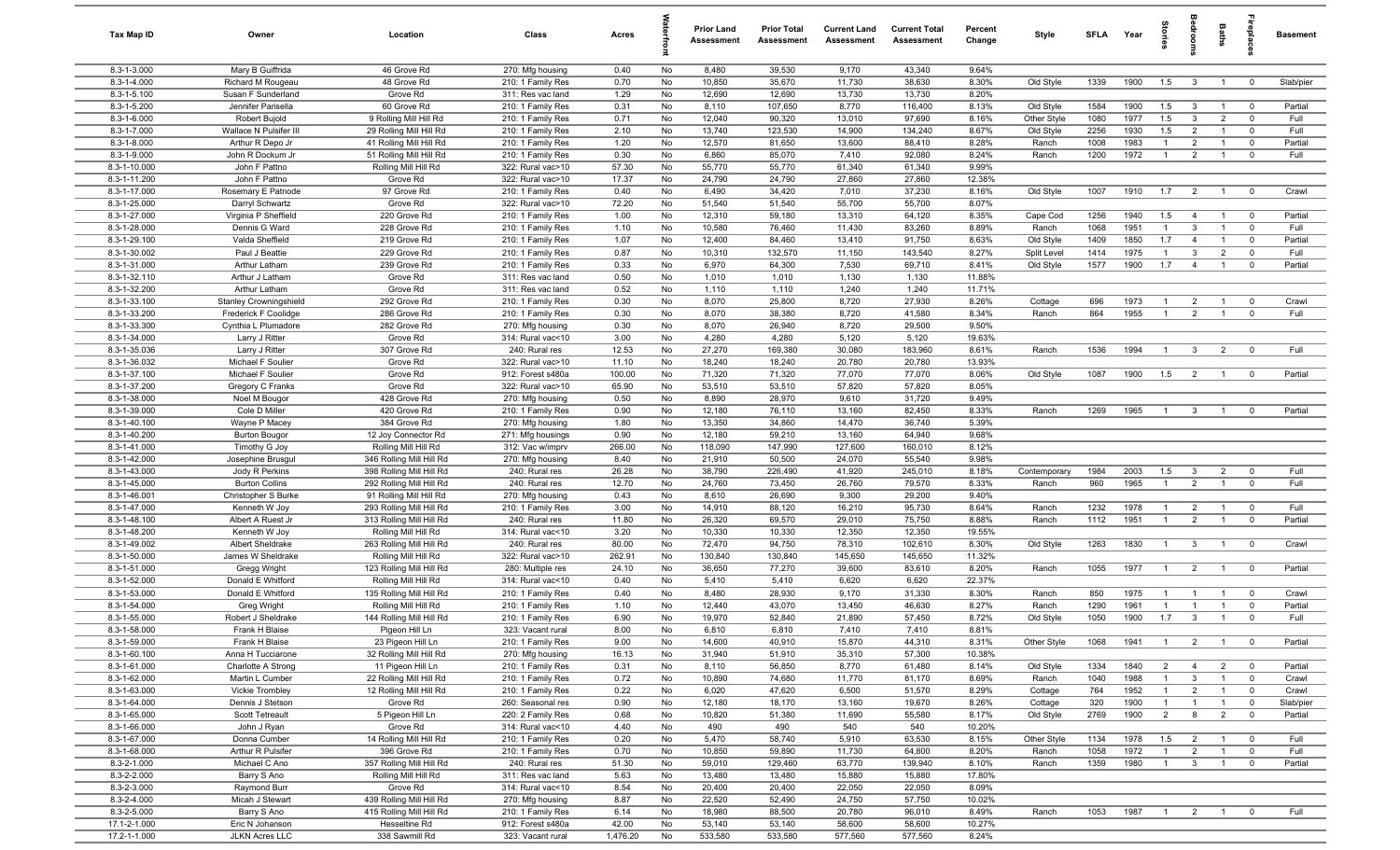| Tax Map ID                   | Owner                                   | Location                                         | Class                                  | Acres           |          | <b>Prior Land</b><br>Assessment | <b>Prior Total</b><br>Assessment | <b>Current Land</b><br>Assessment | <b>Current Total</b><br>Assessment | Percent<br>Change | Style                    | <b>SFLA</b>  | Year         | tories                           | edroo                        | Baths                            |                               | <b>Basement</b>      |
|------------------------------|-----------------------------------------|--------------------------------------------------|----------------------------------------|-----------------|----------|---------------------------------|----------------------------------|-----------------------------------|------------------------------------|-------------------|--------------------------|--------------|--------------|----------------------------------|------------------------------|----------------------------------|-------------------------------|----------------------|
| 8.3-1-3.000                  | Mary B Guiffrida                        | 46 Grove Rd                                      | 270: Mfg housing                       | 0.40            | No       | 8,480                           | 39,530                           | 9,170                             | 43,340                             | 9.64%             |                          |              |              |                                  |                              |                                  |                               |                      |
| 8.3-1-4.000                  | Richard M Rougeau                       | 48 Grove Rd                                      | 210: 1 Family Res                      | 0.70            | No       | 10,850                          | 35,670                           | 11,730                            | 38,630                             | 8.30%             | Old Style                | 1339         | 1900         | 1.5                              | $\overline{\mathbf{3}}$      | $\overline{1}$                   | $\overline{0}$                | Slab/pier            |
| 8.3-1-5.100                  | Susan F Sunderland                      | Grove Rd                                         | 311: Res vac land                      | 1.29            | No       | 12,690                          | 12,690                           | 13,730                            | 13,730                             | 8.20%             |                          |              |              |                                  |                              |                                  |                               |                      |
| 8.3-1-5.200<br>8.3-1-6.000   | Jennifer Parisella                      | 60 Grove Rd<br>9 Rolling Mill Hill Rd            | 210: 1 Family Res                      | 0.31<br>0.71    | No       | 8,110<br>12,040                 | 107,650<br>90,320                | 8,770<br>13,010                   | 116,400<br>97,690                  | 8.13%<br>8.16%    | Old Style                | 1584         | 1900<br>1977 | 1.5<br>1.5                       | $\mathbf{3}$<br>$\mathbf{3}$ | $\overline{1}$<br>$\overline{2}$ | $\mathbf 0$<br>$\mathbf 0$    | Partial<br>Full      |
| 8.3-1-7.000                  | Robert Bujold<br>Wallace N Pulsifer III | 29 Rolling Mill Hill Rd                          | 210: 1 Family Res<br>210: 1 Family Res | 2.10            | No<br>No | 13,740                          | 123,530                          | 14,900                            | 134,240                            | 8.67%             | Other Style<br>Old Style | 1080<br>2256 | 1930         | 1.5                              | $\overline{2}$               | $\overline{1}$                   | $\mathbf 0$                   | Full                 |
| 8.3-1-8.000                  | Arthur R Depo Jr                        | 41 Rolling Mill Hill Rd                          | 210: 1 Family Res                      | 1.20            | No       | 12,570                          | 81,650                           | 13,600                            | 88,410                             | 8.28%             | Ranch                    | 1008         | 1983         | $\overline{1}$                   | $\overline{2}$               | $\overline{1}$                   | $\mathbf 0$                   | Partial              |
| 8.3-1-9.000                  | John R Dockum Jr                        | 51 Rolling Mill Hill Rd                          | 210: 1 Family Res                      | 0.30            | No       | 6,860                           | 85,070                           | 7,410                             | 92,080                             | 8.24%             | Ranch                    | 1200         | 1972         | $\overline{1}$                   | $\overline{2}$               | $\overline{1}$                   | $\mathbf 0$                   | Full                 |
| 8.3-1-10.000                 | John F Pattno                           | Rolling Mill Hill Rd                             | 322: Rural vac>10                      | 57.30           | No       | 55,770                          | 55,770                           | 61,340                            | 61,340                             | 9.99%             |                          |              |              |                                  |                              |                                  |                               |                      |
| 8.3-1-11.200                 | John F Pattno                           | Grove Rd                                         | 322: Rural vac>10                      | 17.37           | No       | 24,790                          | 24,790                           | 27,860                            | 27,860                             | 12.38%            |                          |              |              |                                  |                              |                                  |                               |                      |
| 8.3-1-17.000                 | Rosemary E Patnode                      | 97 Grove Rd                                      | 210: 1 Family Res                      | 0.40            | No       | 6,490                           | 34,420                           | 7,010                             | 37,230                             | 8.16%             | Old Style                | 1007         | 1910         | 1.7                              | $\overline{2}$               | $\overline{1}$                   | $\mathbf 0$                   | Crawl                |
| 8.3-1-25.000                 | Darryl Schwartz                         | Grove Rd                                         | 322: Rural vac>10                      | 72.20           | No       | 51,540                          | 51,540                           | 55,700                            | 55,700                             | 8.07%             |                          |              |              |                                  |                              |                                  |                               |                      |
| 8.3-1-27.000                 | Virginia P Sheffield                    | 220 Grove Rd                                     | 210: 1 Family Res                      | 1.00            | No       | 12,310                          | 59,180                           | 13,310                            | 64,120                             | 8.35%             | Cape Cod                 | 1256         | 1940         | 1.5                              | $\overline{4}$               | $\overline{1}$                   | $\overline{0}$                | Partial              |
| 8.3-1-28.000                 | Dennis G Ward                           | 228 Grove Rd                                     | 210: 1 Family Res                      | 1.10            | No       | 10,580                          | 76,460                           | 11,430                            | 83,260                             | 8.89%             | Ranch                    | 1068         | 1951         | $\overline{1}$                   | $\mathbf{3}$                 | $\overline{1}$                   | $\mathbf 0$                   | Full                 |
| 8.3-1-29.100                 | Valda Sheffield                         | 219 Grove Rd                                     | 210: 1 Family Res                      | 1.07            | No       | 12,400                          | 84,460                           | 13,410                            | 91,750                             | 8.63%             | Old Style                | 1409         | 1850         | 1.7                              | $\overline{4}$               | $\overline{1}$                   | $\mathbf 0$                   | Partial              |
| 8.3-1-30.002<br>8.3-1-31.000 | Paul J Beattie                          | 229 Grove Rd                                     | 210: 1 Family Res                      | 0.87            | No       | 10,310                          | 132,570                          | 11,150<br>7,530                   | 143,540<br>69,710                  | 8.27%<br>8.41%    | Split Level              | 1414         | 1975<br>1900 | $\overline{1}$<br>1.7            | $\mathbf{3}$                 | $\overline{2}$<br>$\mathbf{1}$   | $\mathbf 0$<br>$\mathbf 0$    | Full<br>Partial      |
| 8.3-1-32.110                 | Arthur Latham<br>Arthur J Latham        | 239 Grove Rd<br>Grove Rd                         | 210: 1 Family Res<br>311: Res vac land | 0.33<br>0.50    | No<br>No | 6,970<br>1,010                  | 64,300<br>1,010                  | 1,130                             | 1,130                              | 11.88%            | Old Style                | 1577         |              |                                  | $\overline{4}$               |                                  |                               |                      |
| 8.3-1-32.200                 | Arthur Latham                           | Grove Rd                                         | 311: Res vac land                      | 0.52            | No       | 1,110                           | 1,110                            | 1,240                             | 1,240                              | 11.71%            |                          |              |              |                                  |                              |                                  |                               |                      |
| 8.3-1-33.100                 | <b>Stanley Crowningshield</b>           | 292 Grove Rd                                     | 210: 1 Family Res                      | 0.30            | No       | 8,070                           | 25,800                           | 8,720                             | 27,930                             | 8.26%             | Cottage                  | 696          | 1973         | $\overline{1}$                   | $\overline{2}$               | $\overline{1}$                   | $\mathbf 0$                   | Crawl                |
| 8.3-1-33.200                 | Frederick F Coolidge                    | 286 Grove Rd                                     | 210: 1 Family Res                      | 0.30            | No       | 8,070                           | 38,380                           | 8,720                             | 41,580                             | 8.34%             | Ranch                    | 864          | 1955         | $\overline{1}$                   | 2                            | $\overline{1}$                   | $\overline{0}$                | Full                 |
| 8.3-1-33.300                 | Cynthia L Plumadore                     | 282 Grove Rd                                     | 270: Mfg housing                       | 0.30            | No       | 8,070                           | 26,940                           | 8,720                             | 29,500                             | 9.50%             |                          |              |              |                                  |                              |                                  |                               |                      |
| 8.3-1-34.000                 | Larry J Ritter                          | Grove Rd                                         | 314: Rural vac<10                      | 3.00            | No       | 4,280                           | 4,280                            | 5,120                             | 5,120                              | 19.63%            |                          |              |              |                                  |                              |                                  |                               |                      |
| 8.3-1-35.036                 | Larry J Ritter                          | 307 Grove Rd                                     | 240: Rural res                         | 12.53           | No       | 27,270                          | 169,380                          | 30,080                            | 183,960                            | 8.61%             | Ranch                    | 1536         | 1994         | $\overline{1}$                   | $\mathbf{3}$                 | $\overline{2}$                   | $\mathbf 0$                   | Full                 |
| 8.3-1-36.032                 | Michael F Soulier                       | Grove Rd                                         | 322: Rural vac>10                      | 11.10           | No       | 18,240                          | 18,240                           | 20,780                            | 20,780                             | 13.93%            |                          |              |              |                                  |                              |                                  |                               |                      |
| 8.3-1-37.100                 | Michael F Soulier                       | Grove Rd                                         | 912: Forest s480a                      | 100.00          | No       | 71,320                          | 71,320                           | 77,070                            | 77,070                             | 8.06%             | Old Style                | 1087         | 1900         | 1.5                              | $\overline{2}$               | $\overline{1}$                   | $\mathbf 0$                   | Partial              |
| 8.3-1-37.200                 | Gregory C Franks                        | Grove Rd                                         | 322: Rural vac>10                      | 65.90           | No       | 53,510                          | 53,510                           | 57,820                            | 57,820                             | 8.05%             |                          |              |              |                                  |                              |                                  |                               |                      |
| 8.3-1-38.000                 | Noel M Bougor                           | 428 Grove Rd                                     | 270: Mfg housing                       | 0.50            | No       | 8,890                           | 28,970                           | 9,610                             | 31,720                             | 9.49%             |                          |              |              |                                  |                              |                                  |                               | Partial              |
| 8.3-1-39.000<br>8.3-1-40.100 | Cole D Miller<br>Wayne P Macey          | 420 Grove Rd<br>384 Grove Rd                     | 210: 1 Family Res<br>270: Mfg housing  | 0.90<br>1.80    | No<br>No | 12,180<br>13,350                | 76,110<br>34,860                 | 13,160<br>14,470                  | 82,450<br>36,740                   | 8.33%<br>5.39%    | Ranch                    | 1269         | 1965         | $\overline{1}$                   | $\mathbf{3}$                 | $\overline{1}$                   | $\mathbf 0$                   |                      |
| 8.3-1-40.200                 | <b>Burton Bougor</b>                    | 12 Joy Connector Rd                              | 271: Mfg housings                      | 0.90            | No       | 12,180                          | 59,210                           | 13,160                            | 64,940                             | 9.68%             |                          |              |              |                                  |                              |                                  |                               |                      |
| 8.3-1-41.000                 | Timothy G Joy                           | Rolling Mill Hill Rd                             | 312: Vac w/imprv                       | 266.00          | No       | 118,090                         | 147,990                          | 127,600                           | 160,010                            | 8.12%             |                          |              |              |                                  |                              |                                  |                               |                      |
| 8.3-1-42.000                 | Josephine Brusgul                       | 346 Rolling Mill Hill Rd                         | 270: Mfg housing                       | 8.40            | No       | 21,910                          | 50,500                           | 24,070                            | 55,540                             | 9.98%             |                          |              |              |                                  |                              |                                  |                               |                      |
| 8.3-1-43.000                 | Jody R Perkins                          | 398 Rolling Mill Hill Rd                         | 240: Rural res                         | 26.28           | No       | 38,790                          | 226,490                          | 41,920                            | 245,010                            | 8.18%             | Contemporary             | 1984         | 2003         | 1.5                              | $\mathbf{3}$                 | $\overline{2}$                   | $\mathbf 0$                   | Full                 |
| 8.3-1-45.000                 | <b>Burton Collins</b>                   | 292 Rolling Mill Hill Rd                         | 240: Rural res                         | 12.70           | No       | 24,760                          | 73,450                           | 26,760                            | 79,570                             | 8.33%             | Ranch                    | 960          | 1965         | $\overline{1}$                   | 2                            | $\overline{1}$                   | $\mathbf 0$                   | Full                 |
| 8.3-1-46.001                 | Christopher S Burke                     | 91 Rolling Mill Hill Rd                          | 270: Mfg housing                       | 0.43            | No       | 8,610                           | 26,690                           | 9,300                             | 29,200                             | 9.40%             |                          |              |              |                                  |                              |                                  |                               |                      |
| 8.3-1-47.000                 | Kenneth W Joy                           | 293 Rolling Mill Hill Rd                         | 210: 1 Family Res                      | 3.00            | No       | 14,910                          | 88,120                           | 16,210                            | 95,730                             | 8.64%             | Ranch                    | 1232         | 1978         | $\overline{1}$                   | $\overline{2}$               | $\overline{1}$                   | $\mathbf 0$                   | Full                 |
| 8.3-1-48.100                 | Albert A Ruest Jr                       | 313 Rolling Mill Hill Rd                         | 240: Rural res                         | 11.80           | No       | 26,320                          | 69,570                           | 29,010                            | 75,750                             | 8.88%             | Ranch                    | 1112         | 1951         | $\overline{1}$                   | $\overline{2}$               | $\overline{1}$                   | $\mathbf 0$                   | Partial              |
| 8.3-1-48.200                 | Kenneth W Joy                           | Rolling Mill Hill Rd                             | 314: Rural vac<10                      | 3.20            | No       | 10,330                          | 10,330                           | 12,350                            | 12,350                             | 19.55%            |                          |              |              |                                  |                              |                                  |                               |                      |
| 8.3-1-49.002<br>8.3-1-50.000 | Albert Sheldrake<br>James W Sheldrake   | 263 Rolling Mill Hill Rd                         | 240: Rural res<br>322: Rural vac>10    | 80.00<br>262.91 | No       | 72,470<br>130,840               | 94,750<br>130,840                | 78,310<br>145,650                 | 102,610<br>145,650                 | 8.30%<br>11.32%   | Old Style                | 1263         | 1830         | $\overline{1}$                   | $\mathbf{3}$                 | $\overline{1}$                   | $\overline{0}$                | Crawl                |
| 8.3-1-51.000                 | Gregg Wright                            | Rolling Mill Hill Rd<br>123 Rolling Mill Hill Rd | 280: Multiple res                      | 24.10           | No<br>No | 36,650                          | 77,270                           | 39,600                            | 83,610                             | 8.20%             | Ranch                    | 1055         | 1977         | $\overline{1}$                   | $\overline{2}$               | $\overline{1}$                   | $\overline{\mathbf{0}}$       | Partial              |
| 8.3-1-52.000                 | Donald E Whitford                       | Rolling Mill Hill Rd                             | 314: Rural vac<10                      | 0.40            | No       | 5,410                           | 5,410                            | 6,620                             | 6,620                              | 22.37%            |                          |              |              |                                  |                              |                                  |                               |                      |
| 8.3-1-53.000                 | Donald E Whitford                       | 135 Rolling Mill Hill Rd                         | 210: 1 Family Res                      | 0.40            | No       | 8,480                           | 28,930                           | 9,170                             | 31,330                             | 8.30%             | Ranch                    | 850          | 1975         | $\mathbf{1}$                     |                              | $\overline{1}$                   | $\overline{\mathbf{0}}$       | Crawl                |
| 8.3-1-54.000                 | Greg Wright                             | Rolling Mill Hill Rd                             | 210: 1 Family Res                      | 1.10            | No       | 12,440                          | 43,070                           | 13,450                            | 46,630                             | 8.27%             | Ranch                    | 1290         | 1961         | $\overline{1}$                   |                              | $\mathbf{1}$                     | $\mathbf 0$                   | Partial              |
| 8.3-1-55.000                 | Robert J Sheldrake                      | 144 Rolling Mill Hill Rd                         | 210: 1 Family Res                      | 6.90            | No       | 19,970                          | 52,840                           | 21,890                            | 57,450                             | 8.72%             | Old Style                | 1050         | 1900         | 1.7                              | $\overline{\mathbf{3}}$      | $\overline{1}$                   | $\mathbf 0$                   | Full                 |
| 8.3-1-58.000                 | Frank H Blaise                          | Pigeon Hill Ln                                   | 323: Vacant rural                      | 8.00            | No       | 6,810                           | 6,810                            | 7,410                             | 7,410                              | 8.81%             |                          |              |              |                                  |                              |                                  |                               |                      |
| 8.3-1-59.000                 | Frank H Blaise                          | 23 Pigeon Hill Ln                                | 210: 1 Family Res                      | 9.00            | No       | 14,600                          | 40,910                           | 15,870                            | 44,310                             | 8.31%             | Other Style              | 1068         | 1941         | $\overline{1}$                   | $\overline{2}$               | $\overline{1}$                   | $\overline{\mathbf{0}}$       | Partial              |
| 8.3-1-60.100                 | Anna H Tucciarone                       | 32 Rolling Mill Hill Rd                          | 270: Mfg housing                       | 16.13           | No       | 31,940                          | 51,910                           | 35,310                            | 57,300                             | 10.38%            |                          |              |              |                                  |                              |                                  |                               |                      |
| 8.3-1-61.000                 | Charlotte A Strong                      | 11 Pigeon Hill Ln                                | 210: 1 Family Res                      | 0.31            | No       | 8,110                           | 56,850                           | 8,770                             | 61,480                             | 8.14%             | Old Style                | 1334         | 1840         | $\overline{2}$                   | $\overline{4}$               | $\overline{2}$                   | $\overline{\mathbf{0}}$       | Partial              |
| 8.3-1-62.000                 | Martin L Cumber                         | 22 Rolling Mill Hill Rd                          | 210: 1 Family Res                      | 0.72            | No       | 10,890                          | 74,680                           | 11,770                            | 81,170                             | 8.69%             | Ranch                    | 1040         | 1988         | $\overline{1}$                   | $\overline{\mathbf{3}}$      | $\overline{1}$                   | $\overline{0}$                | Crawl                |
| 8.3-1-63.000                 | Vickie Trombley<br>Dennis J Stetson     | 12 Rolling Mill Hill Rd                          | 210: 1 Family Res                      | 0.22            | No       | 6,020                           | 47,620                           | 6,500                             | 51,570                             | 8.29%             | Cottage                  | 764          | 1952         | $\overline{1}$                   | $\overline{2}$               | $\overline{1}$                   | $\mathbf 0$                   | Crawl                |
| 8.3-1-64.000<br>8.3-1-65.000 | Scott Tetreault                         | Grove Rd<br>5 Pigeon Hill Ln                     | 260: Seasonal res<br>220: 2 Family Res | 0.90<br>0.68    | No<br>No | 12,180<br>10,820                | 18,170<br>51,380                 | 13,160<br>11,690                  | 19,670<br>55,580                   | 8.26%<br>8.17%    | Cottage<br>Old Style     | 320<br>2769  | 1900<br>1900 | $\overline{1}$<br>$\overline{2}$ | $\overline{1}$<br>8          | $\overline{1}$<br>$\overline{2}$ | $\overline{0}$<br>$\mathbf 0$ | Slab/pier<br>Partial |
| 8.3-1-66.000                 | John J Ryan                             | Grove Rd                                         | 314: Rural vac<10                      | 4.40            | No       | 490                             | 490                              | 540                               | 540                                | 10.20%            |                          |              |              |                                  |                              |                                  |                               |                      |
| 8.3-1-67.000                 | Donna Cumber                            | 14 Rolling Mill Hill Rd                          | 210: 1 Family Res                      | 0.20            | No       | 5,470                           | 58,740                           | 5,910                             | 63,530                             | $8.15\%$          | Other Style              | 1134         | 1978         | 1.5                              | $\overline{2}$               | $\overline{1}$                   | $\overline{\mathbf{0}}$       | Full                 |
| 8.3-1-68.000                 | Arthur R Pulsifer                       | 396 Grove Rd                                     | 210: 1 Family Res                      | 0.70            | No       | 10,850                          | 59,890                           | 11,730                            | 64,800                             | 8.20%             | Ranch                    | 1058         | 1972         | $\overline{1}$                   | $\overline{2}$               | $\overline{1}$                   | $\overline{\mathbf{0}}$       | Full                 |
| 8.3-2-1.000                  | Michael C Ano                           | 357 Rolling Mill Hill Rd                         | 240: Rural res                         | 51.30           | No       | 59,010                          | 129,460                          | 63,770                            | 139,940                            | 8.10%             | Ranch                    | 1359         | 1980         | $\overline{1}$                   | $\mathbf{3}$                 | $\overline{1}$                   | $\mathbf 0$                   | Partial              |
| 8.3-2-2.000                  | Barry S Ano                             | Rolling Mill Hill Rd                             | 311: Res vac land                      | 5.63            | No       | 13,480                          | 13,480                           | 15,880                            | 15,880                             | 17.80%            |                          |              |              |                                  |                              |                                  |                               |                      |
| 8.3-2-3.000                  | Raymond Burr                            | Grove Rd                                         | 314: Rural vac<10                      | 8.54            | No       | 20,400                          | 20,400                           | 22,050                            | 22,050                             | 8.09%             |                          |              |              |                                  |                              |                                  |                               |                      |
| 8.3-2-4.000                  | Micah J Stewart                         | 439 Rolling Mill Hill Rd                         | 270: Mfg housing                       | 8.87            | No       | 22,520                          | 52,490                           | 24,750                            | 57,750                             | 10.02%            |                          |              |              |                                  |                              |                                  |                               |                      |
| 8.3-2-5.000                  | Barry S Ano                             | 415 Rolling Mill Hill Rd                         | 210: 1 Family Res                      | 6.14            | No       | 18,980                          | 88,500                           | 20,780                            | 96,010                             | 8.49%             | Ranch                    | 1053         | 1987         | $\overline{1}$                   | $\overline{2}$               | $\overline{1}$                   | $\overline{0}$                | Full                 |
| 17.1-2-1.000                 | Eric N Johanson                         | Hesseltine Rd                                    | 912: Forest s480a                      | 42.00           | No       | 53,140                          | 53,140                           | 58,600                            | 58,600                             | 10.27%            |                          |              |              |                                  |                              |                                  |                               |                      |
| 17.2-1-1.000                 | <b>JLKN Acres LLC</b>                   | 338 Sawmill Rd                                   | 323: Vacant rural                      | 1,476.20        | No       | 533,580                         | 533,580                          | 577,560                           | 577,560                            | 8.24%             |                          |              |              |                                  |                              |                                  |                               |                      |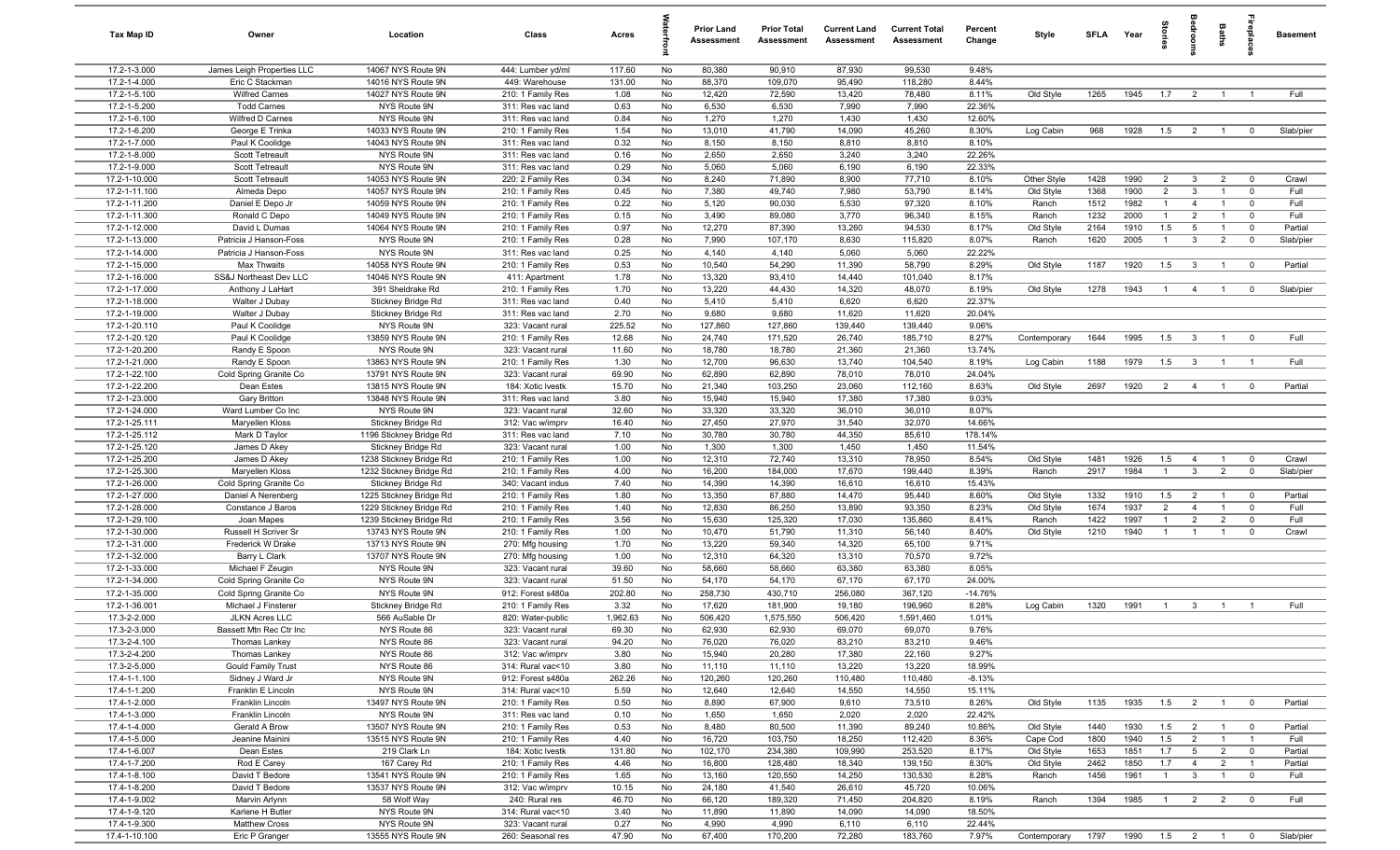| Tax Map ID                     | Owner                                  | Location                                           | Class                                  | Acres           |          | <b>Prior Land</b><br>Assessment | <b>Prior Total</b><br>Assessment | <b>Current Land</b><br>Assessment | <b>Current Total</b><br><b>Assessment</b> | Percent<br>Change  | Style                  | <b>SFI A</b> | Year         | tories         | å                                | Baths                            | <b>Treplai</b>                            | <b>Basement</b> |
|--------------------------------|----------------------------------------|----------------------------------------------------|----------------------------------------|-----------------|----------|---------------------------------|----------------------------------|-----------------------------------|-------------------------------------------|--------------------|------------------------|--------------|--------------|----------------|----------------------------------|----------------------------------|-------------------------------------------|-----------------|
| 17.2-1-3.000                   | James Leigh Properties LLC             | 14067 NYS Route 9N                                 | 444: Lumber yd/ml                      | 117.60          | No       | 80,380                          | 90,910                           | 87,930                            | 99,530                                    | 9.48%              |                        |              |              |                |                                  |                                  |                                           |                 |
| 17.2-1-4.000                   | Eric C Stackman                        | 14016 NYS Route 9N                                 | 449: Warehouse                         | 131.00          | No       | 88,370                          | 109,070                          | 95,490                            | 118,280                                   | 8.44%              |                        |              |              |                |                                  |                                  |                                           |                 |
| 17.2-1-5.100                   | <b>Wilfred Carnes</b>                  | 14027 NYS Route 9N                                 | 210: 1 Family Res                      | 1.08            | No       | 12,420                          | 72,590                           | 13,420                            | 78,480                                    | 8.11%              | Old Style              | 1265         | 1945         | 1.7            | $\overline{2}$                   | $\overline{1}$                   | $\overline{1}$                            | Full            |
| 17.2-1-5.200                   | <b>Todd Carnes</b>                     | NYS Route 9N                                       | 311: Res vac land                      | 0.63            | No       | 6,530                           | 6,530                            | 7,990                             | 7,990                                     | 22.36%             |                        |              |              |                |                                  |                                  |                                           |                 |
| 17.2-1-6.100                   | Wilfred D Carnes                       | NYS Route 9N                                       | 311: Res vac land                      | 0.84            | No       | 1,270                           | 1,270                            | 1,430                             | 1,430                                     | 12.60%             |                        |              |              |                |                                  |                                  |                                           |                 |
| 17.2-1-6.200                   | George E Trinka                        | 14033 NYS Route 9N                                 | 210: 1 Family Res                      | 1.54            | No       | 13,010                          | 41,790                           | 14,090                            | 45,260                                    | 8.30%              | Log Cabin              | 968          | 1928         | 1.5            | $\overline{2}$                   | $\overline{1}$                   | $\mathbf 0$                               | Slab/pier       |
| 17.2-1-7.000<br>17.2-1-8.000   | Paul K Coolidge<br>Scott Tetreault     | 14043 NYS Route 9N<br>NYS Route 9N                 | 311: Res vac land<br>311: Res vac land | 0.32<br>0.16    | No<br>No | 8,150<br>2,650                  | 8,150<br>2,650                   | 8,810<br>3,240                    | 8,810<br>3,240                            | 8.10%<br>22.26%    |                        |              |              |                |                                  |                                  |                                           |                 |
| 17.2-1-9.000                   | Scott Tetreault                        | NYS Route 9N                                       | 311: Res vac land                      | 0.29            | No       | 5,060                           | 5,060                            | 6,190                             | 6,190                                     | 22.33%             |                        |              |              |                |                                  |                                  |                                           |                 |
| 17.2-1-10.000                  | Scott Tetreault                        | 14053 NYS Route 9N                                 | 220: 2 Family Res                      | 0.34            | No       | 8,240                           | 71,890                           | 8,900                             | 77,710                                    | 8.10%              | Other Style            | 1428         | 1990         | $\overline{2}$ | $\overline{3}$                   | $\overline{2}$                   | $\overline{\mathbf{0}}$                   | Crawl           |
| 17.2-1-11.100                  | Almeda Depo                            | 14057 NYS Route 9N                                 | 210: 1 Family Res                      | 0.45            | No       | 7,380                           | 49,740                           | 7,980                             | 53,790                                    | 8.14%              | Old Style              | 1368         | 1900         | $\overline{2}$ | 3                                | $\overline{1}$                   | $\mathbf 0$                               | Full            |
| 17.2-1-11.200                  | Daniel E Depo Jr                       | 14059 NYS Route 9N                                 | 210: 1 Family Res                      | 0.22            | No       | 5,120                           | 90,030                           | 5,530                             | 97,320                                    | 8.10%              | Ranch                  | 1512         | 1982         | $\overline{1}$ | $\overline{4}$                   | $\overline{1}$                   | $\mathbf 0$                               | Full            |
| 17.2-1-11.300                  | Ronald C Depo                          | 14049 NYS Route 9N                                 | 210: 1 Family Res                      | 0.15            | No       | 3,490                           | 89,080                           | 3,770                             | 96,340                                    | 8.15%              | Ranch                  | 1232         | 2000         | $\overline{1}$ | $\overline{2}$                   | $\overline{1}$                   | $\mathbf 0$                               | Full            |
| 17.2-1-12.000                  | David L Dumas                          | 14064 NYS Route 9N                                 | 210: 1 Family Res                      | 0.97            | No       | 12,270                          | 87,390                           | 13,260                            | 94,530                                    | 8.17%              | Old Style              | 2164         | 1910         | 1.5            | $5\overline{5}$                  | $\overline{1}$                   | $\mathbf 0$                               | Partial         |
| 17.2-1-13.000                  | Patricia J Hanson-Foss                 | NYS Route 9N                                       | 210: 1 Family Res                      | 0.28            | No       | 7,990                           | 107,170                          | 8,630                             | 115,820                                   | 8.07%              | Ranch                  | 1620         | 2005         | $\overline{1}$ | $\mathbf{3}$                     | $\overline{2}$                   | $\mathbf 0$                               | Slab/pier       |
| 17.2-1-14.000                  | Patricia J Hanson-Foss                 | NYS Route 9N                                       | 311: Res vac land                      | 0.25            | No       | 4,140                           | 4,140                            | 5,060                             | 5,060                                     | 22.22%             |                        |              |              |                |                                  |                                  |                                           |                 |
| 17.2-1-15.000                  | Max Thwaits                            | 14058 NYS Route 9N                                 | 210: 1 Family Res                      | 0.53            | No       | 10,540                          | 54,290                           | 11,390                            | 58,790                                    | 8.29%              | Old Style              | 1187         | 1920         | 1.5            | $\overline{\mathbf{3}}$          | $\overline{1}$                   | $\overline{\mathbf{0}}$                   | Partial         |
| 17.2-1-16.000                  | SS&J Northeast Dev LLC                 | 14046 NYS Route 9N                                 | 411: Apartment                         | 1.78            | No       | 13,320                          | 93,410                           | 14,440                            | 101,040                                   | 8.17%              |                        |              |              |                |                                  |                                  |                                           |                 |
| 17.2-1-17.000                  | Anthony J LaHart                       | 391 Sheldrake Rd                                   | 210: 1 Family Res                      | 1.70            | No       | 13,220                          | 44,430                           | 14,320                            | 48,070                                    | 8.19%              | Old Style              | 1278         | 1943         | $\overline{1}$ | $\overline{4}$                   | $\overline{1}$                   | $\mathbf 0$                               | Slab/pier       |
| 17.2-1-18.000                  | Walter J Dubay                         | Stickney Bridge Rd                                 | 311: Res vac land                      | 0.40            | No       | 5,410                           | 5,410                            | 6,620                             | 6,620                                     | 22.37%             |                        |              |              |                |                                  |                                  |                                           |                 |
| 17.2-1-19.000                  | Walter J Dubay                         | Stickney Bridge Rd                                 | 311: Res vac land                      | 2.70            | No       | 9,680                           | 9,680                            | 11,620                            | 11,620                                    | 20.04%             |                        |              |              |                |                                  |                                  |                                           |                 |
| 17.2-1-20.110<br>17.2-1-20.120 | Paul K Coolidge<br>Paul K Coolidge     | NYS Route 9N<br>13859 NYS Route 9N                 | 323: Vacant rural<br>210: 1 Family Res | 225.52<br>12.68 | No<br>No | 127,860<br>24,740               | 127,860<br>171,520               | 139,440<br>26,740                 | 139,440<br>185,710                        | 9.06%<br>8.27%     | Contemporary           | 1644         | 1995         | 1.5            | $\overline{\mathbf{3}}$          | $\overline{1}$                   | $\mathbf 0$                               | Full            |
| 17.2-1-20.200                  | Randy E Spoon                          | NYS Route 9N                                       | 323: Vacant rural                      | 11.60           | No       | 18,780                          | 18,780                           | 21,360                            | 21,360                                    | 13.74%             |                        |              |              |                |                                  |                                  |                                           |                 |
| 17.2-1-21.000                  | Randy E Spoon                          | 13863 NYS Route 9N                                 | 210: 1 Family Res                      | 1.30            | No       | 12,700                          | 96,630                           | 13,740                            | 104,540                                   | 8.19%              | Log Cabin              | 1188         | 1979         | 1.5            | $\mathbf{3}$                     | $\overline{1}$                   | $\overline{1}$                            | Full            |
| 17.2-1-22.100                  | Cold Spring Granite Co                 | 13791 NYS Route 9N                                 | 323: Vacant rural                      | 69.90           | No       | 62,890                          | 62,890                           | 78,010                            | 78,010                                    | 24.04%             |                        |              |              |                |                                  |                                  |                                           |                 |
| 17.2-1-22.200                  | Dean Estes                             | 13815 NYS Route 9N                                 | 184: Xotic Ivestk                      | 15.70           | No       | 21,340                          | 103,250                          | 23,060                            | 112,160                                   | 8.63%              | Old Style              | 2697         | 1920         | $\overline{2}$ | $\overline{4}$                   | $\overline{1}$                   | $\overline{0}$                            | Partial         |
| 17.2-1-23.000                  | Gary Britton                           | 13848 NYS Route 9N                                 | 311: Res vac land                      | 3.80            | No       | 15,940                          | 15,940                           | 17,380                            | 17,380                                    | 9.03%              |                        |              |              |                |                                  |                                  |                                           |                 |
| 17.2-1-24.000                  | Ward Lumber Co Inc                     | NYS Route 9N                                       | 323: Vacant rural                      | 32.60           | No       | 33,320                          | 33,320                           | 36,010                            | 36,010                                    | 8.07%              |                        |              |              |                |                                  |                                  |                                           |                 |
| 17.2-1-25.111                  | Maryellen Kloss                        | Stickney Bridge Rd                                 | 312: Vac w/imprv                       | 16.40           | No       | 27,450                          | 27,970                           | 31,540                            | 32,070                                    | 14.66%             |                        |              |              |                |                                  |                                  |                                           |                 |
| 17.2-1-25.112                  | Mark D Taylor                          | 1196 Stickney Bridge Rd                            | 311: Res vac land                      | 7.10            | No       | 30,780                          | 30,780                           | 44,350                            | 85,610                                    | 178.14%            |                        |              |              |                |                                  |                                  |                                           |                 |
| 17.2-1-25.120                  | James D Akey                           | Stickney Bridge Rd                                 | 323: Vacant rural                      | 1.00            | No       | 1,300                           | 1,300                            | 1,450                             | 1,450                                     | 11.54%             |                        |              |              |                |                                  |                                  |                                           |                 |
| 17.2-1-25.200                  | James D Akey                           | 1238 Stickney Bridge Rd                            | 210: 1 Family Res                      | 1.00            | No       | 12,310                          | 72,740                           | 13,310                            | 78,950                                    | 8.54%              | Old Style              | 1481         | 1926         | 1.5            | $\overline{4}$                   | $\overline{1}$                   | $\overline{\mathbf{0}}$                   | Crawl           |
| 17.2-1-25.300                  | Maryellen Kloss                        | 1232 Stickney Bridge Rd                            | 210: 1 Family Res                      | 4.00            | No       | 16,200                          | 184,000                          | 17,670                            | 199,440                                   | 8.39%              | Ranch                  | 2917         | 1984         | $\overline{1}$ | $\mathbf{3}$                     | $\overline{2}$                   | $\mathbf 0$                               | Slab/pier       |
| 17.2-1-26.000                  | Cold Spring Granite Co                 | Stickney Bridge Rd                                 | 340: Vacant indus                      | 7.40            | No       | 14,390                          | 14,390                           | 16,610                            | 16,610                                    | 15.43%             |                        |              |              |                |                                  |                                  |                                           |                 |
| 17.2-1-27.000<br>17.2-1-28.000 | Daniel A Nerenberg                     | 1225 Stickney Bridge Rd                            | 210: 1 Family Res                      | 1.80<br>1.40    | No<br>No | 13,350<br>12,830                | 87,880<br>86,250                 | 14,470<br>13,890                  | 95,440<br>93,350                          | 8.60%<br>8.23%     | Old Style<br>Old Style | 1332<br>1674 | 1910<br>1937 | 1.5<br>2       | $\overline{2}$<br>$\overline{4}$ | $\overline{1}$<br>$\overline{1}$ | $\overline{\mathbf{0}}$<br>$\overline{0}$ | Partial<br>Full |
| 17.2-1-29.100                  | Constance J Baros<br>Joan Mapes        | 1229 Stickney Bridge Rd<br>1239 Stickney Bridge Rd | 210: 1 Family Res<br>210: 1 Family Res | 3.56            | No       | 15,630                          | 125,320                          | 17,030                            | 135,860                                   | 8.41%              | Ranch                  | 1422         | 1997         | $\overline{1}$ | $\overline{2}$                   | $\overline{2}$                   | $\mathbf 0$                               | Full            |
| 17.2-1-30.000                  | Russell H Scriver Sr                   | 13743 NYS Route 9N                                 | 210: 1 Family Res                      | 1.00            | No       | 10,470                          | 51,790                           | 11,310                            | 56,140                                    | 8.40%              | Old Style              | 1210         | 1940         | $\overline{1}$ | $\overline{1}$                   | $\overline{1}$                   | $\mathbf 0$                               | Crawl           |
| 17.2-1-31.000                  | Frederick W Drake                      | 13713 NYS Route 9N                                 | 270: Mfg housing                       | 1.70            | No       | 13,220                          | 59,340                           | 14,320                            | 65,100                                    | 9.71%              |                        |              |              |                |                                  |                                  |                                           |                 |
| 17.2-1-32.000                  | Barry L Clark                          | 13707 NYS Route 9N                                 | 270: Mfg housing                       | 1.00            | No       | 12,310                          | 64,320                           | 13,310                            | 70,570                                    | 9.72%              |                        |              |              |                |                                  |                                  |                                           |                 |
| 17.2-1-33.000                  | Michael F Zeugin                       | NYS Route 9N                                       | 323: Vacant rural                      | 39.60           | No       | 58,660                          | 58,660                           | 63,380                            | 63,380                                    | 8.05%              |                        |              |              |                |                                  |                                  |                                           |                 |
| 17.2-1-34.000                  | Cold Spring Granite Co                 | NYS Route 9N                                       | 323: Vacant rural                      | 51.50           | No       | 54,170                          | 54,170                           | 67,170                            | 67,170                                    | 24.00%             |                        |              |              |                |                                  |                                  |                                           |                 |
| 17.2-1-35.000                  | Cold Spring Granite Co                 | NYS Route 9N                                       | 912: Forest s480a                      | 202.80          | No       | 258,730                         | 430,710                          | 256,080                           | 367,120                                   | $-14.76%$          |                        |              |              |                |                                  |                                  |                                           |                 |
| 17.2-1-36.001                  | Michael J Finsterer                    | Stickney Bridge Rd                                 | 210: 1 Family Res                      | 3.32            | No       | 17,620                          | 181,900                          | 19,180                            | 196,960                                   | 8.28%              | Log Cabin              | 1320         | 1991         | $\overline{1}$ | $\mathbf{3}$                     | $\overline{1}$                   | $\overline{1}$                            | Full            |
| 17.3-2-2.000                   | <b>JLKN Acres LLC</b>                  | 566 AuSable Dr                                     | 820: Water-public                      | 1,962.63        | No       | 506,420                         | 1,575,550                        | 506,420                           | 1,591,460                                 | 1.01%              |                        |              |              |                |                                  |                                  |                                           |                 |
| 17.3-2-3.000                   | Bassett Mtn Rec Ctr Inc                | NYS Route 86                                       | 323: Vacant rural                      | 69.30           | No       | 62,930                          | 62,930                           | 69,070                            | 69,070                                    | 9.76%              |                        |              |              |                |                                  |                                  |                                           |                 |
| 17.3-2-4.100                   | Thomas Lankey                          | NYS Route 86                                       | 323: Vacant rural                      | 94.20           | No       | 76,020                          | 76,020                           | 83,210                            | 83,210                                    | 9.46%              |                        |              |              |                |                                  |                                  |                                           |                 |
| 17.3-2-4.200                   | Thomas Lankey                          | NYS Route 86                                       | 312: Vac w/imprv                       | 3.80            | No       | 15,940                          | 20,280                           | 17,380                            | 22,160                                    | 9.27%              |                        |              |              |                |                                  |                                  |                                           |                 |
| 17.3-2-5.000                   | Gould Family Trust                     | NYS Route 86                                       | 314: Rural vac<10                      | 3.80            | No       | 11,110                          | 11,110                           | 13,220                            | 13,220                                    | 18.99%             |                        |              |              |                |                                  |                                  |                                           |                 |
| 17.4-1-1.100<br>17.4-1-1.200   | Sidney J Ward Jr<br>Franklin E Lincoln | NYS Route 9N<br>NYS Route 9N                       | 912: Forest s480a<br>314: Rural vac<10 | 262.26<br>5.59  | No<br>No | 120,260<br>12,640               | 120,260<br>12,640                | 110,480<br>14,550                 | 110,480<br>14,550                         | $-8.13%$<br>15.11% |                        |              |              |                |                                  |                                  |                                           |                 |
| 17.4-1-2.000                   | Franklin Lincoln                       | 13497 NYS Route 9N                                 | 210: 1 Family Res                      | 0.50            | No       | 8,890                           | 67,900                           | 9,610                             | 73,510                                    | 8.26%              | Old Style              | 1135         | 1935         | 1.5            | $\overline{\mathbf{c}}$          | $\overline{1}$                   | $\overline{0}$                            | Partial         |
| 17.4-1-3.000                   | Franklin Lincoln                       | NYS Route 9N                                       | 311: Res vac land                      | 0.10            | No       | 1,650                           | 1,650                            | 2,020                             | 2,020                                     | 22.42%             |                        |              |              |                |                                  |                                  |                                           |                 |
| 17.4-1-4.000                   | Gerald A Brow                          | 13507 NYS Route 9N                                 | 210: 1 Family Res                      | 0.53            | No       | 8,480                           | 80,500                           | 11,390                            | 89,240                                    | 10.86%             | Old Style              | 1440         | 1930         | 1.5            | $\overline{2}$                   | $\overline{1}$                   | $\overline{\mathbf{0}}$                   | Partial         |
| 17.4-1-5.000                   | Jeanine Mainini                        | 13515 NYS Route 9N                                 | 210: 1 Family Res                      | 4.40            | No       | 16,720                          | 103,750                          | 18,250                            | 112,420                                   | 8.36%              | Cape Cod               | 1800         | 1940         | 1.5            | $\overline{2}$                   | $\overline{1}$                   | $\overline{1}$                            | Full            |
| 17.4-1-6.007                   | Dean Estes                             | 219 Clark Ln                                       | 184: Xotic Ivestk                      | 131.80          | No       | 102,170                         | 234,380                          | 109,990                           | 253,520                                   | 8.17%              | Old Style              | 1653         | 1851         | 1.7            | $5\overline{)}$                  | $\overline{2}$                   | $\overline{0}$                            | Partial         |
| 17.4-1-7.200                   | Rod E Carey                            | 167 Carey Rd                                       | 210: 1 Family Res                      | 4.46            | No       | 16,800                          | 128,480                          | 18,340                            | 139,150                                   | 8.30%              | Old Style              | 2462         | 1850         | 1.7            | $\overline{4}$                   | $\overline{2}$                   | $\overline{1}$                            | Partial         |
| 17.4-1-8.100                   | David T Bedore                         | 13541 NYS Route 9N                                 | 210: 1 Family Res                      | 1.65            | No       | 13,160                          | 120,550                          | 14,250                            | 130,530                                   | 8.28%              | Ranch                  | 1456         | 1961         | $\mathbf{1}$   | $\mathbf{3}$                     | $\overline{1}$                   | $\overline{\mathbf{0}}$                   | Full            |
| 17.4-1-8.200                   | David T Bedore                         | 13537 NYS Route 9N                                 | 312: Vac w/imprv                       | 10.15           | No       | 24,180                          | 41,540                           | 26,610                            | 45,720                                    | 10.06%             |                        |              |              |                |                                  |                                  |                                           |                 |
| 17.4-1-9.002                   | Marvin Arlynn                          | 58 Wolf Way                                        | 240: Rural res                         | 46.70           | No       | 66,120                          | 189,320                          | 71,450                            | 204,820                                   | 8.19%              | Ranch                  | 1394         | 1985         | $\overline{1}$ | $\overline{2}$                   | $\overline{2}$                   | $\mathbf 0$                               | Full            |
| 17.4-1-9.120                   | Karlene H Butler                       | NYS Route 9N                                       | 314: Rural vac<10                      | 3.40            | No       | 11,890                          | 11,890                           | 14,090                            | 14,090                                    | 18.50%             |                        |              |              |                |                                  |                                  |                                           |                 |
| 17.4-1-9.300                   | <b>Matthew Cross</b>                   | NYS Route 9N                                       | 323: Vacant rural                      | 0.27            | No       | 4,990                           | 4,990                            | 6,110                             | 6,110                                     | 22.44%             |                        |              |              |                |                                  |                                  |                                           |                 |
| 17.4-1-10.100                  | Eric P Granger                         | 13555 NYS Route 9N                                 | 260: Seasonal res                      | 47.90           | No       | 67,400                          | 170,200                          | 72,280                            | 183,760                                   | 7.97%              | Contemporary           | 1797         | 1990         | $1.5$ 2 1      |                                  |                                  | $\overline{0}$                            | Slab/pier       |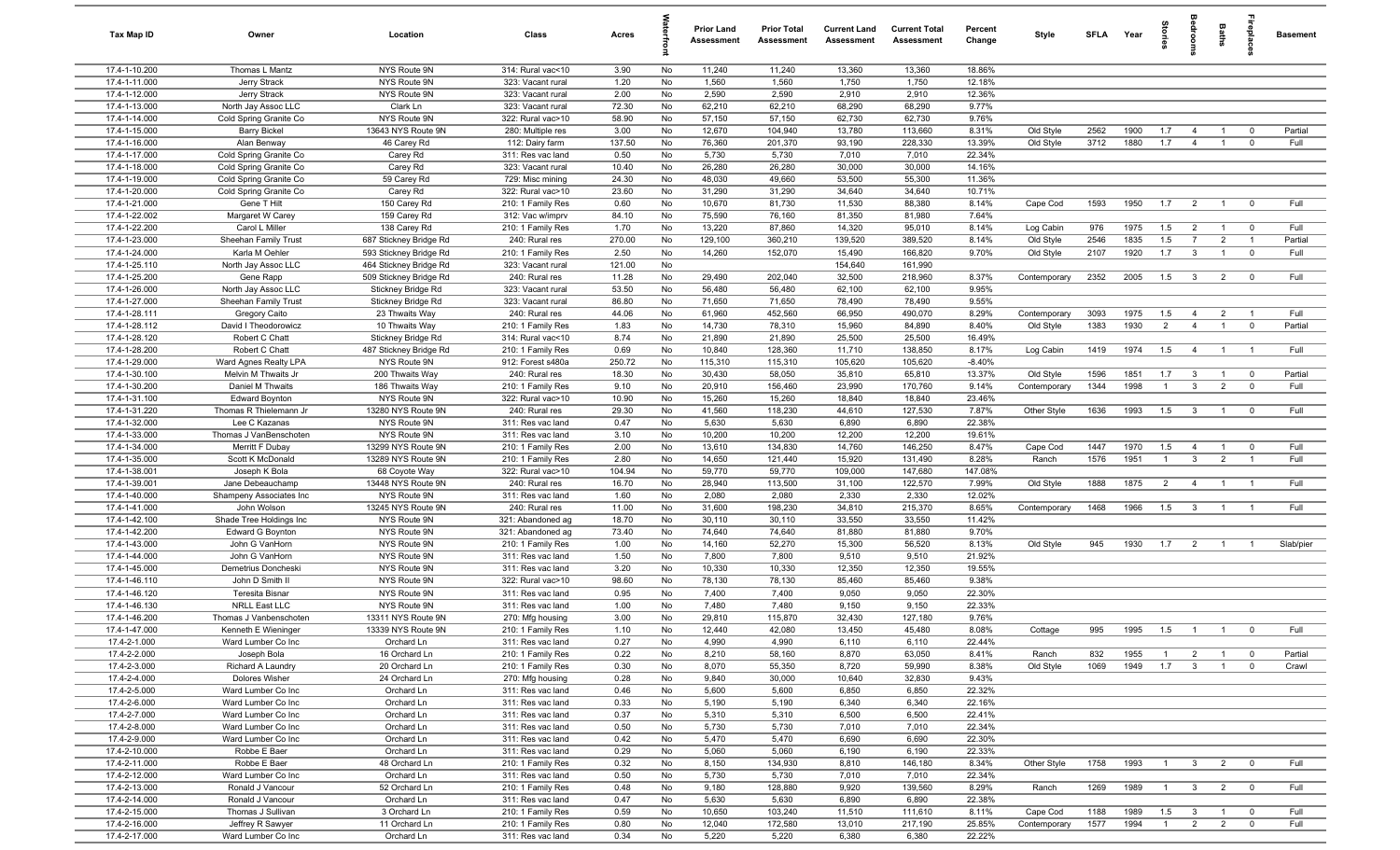| Tax Map ID                     | Owner                                  | Location                           | Class                                 | Acres          |          | <b>Prior Land</b><br>Assessment | <b>Prior Total</b><br>Assessment | <b>Current Land</b><br>Assessment | <b>Current Total</b><br>Assessment | Percent<br>Change | Style                     | SFLA         | Year         | tories                |                                  | <b>Baths</b>                     | irepla                        | <b>Basement</b> |
|--------------------------------|----------------------------------------|------------------------------------|---------------------------------------|----------------|----------|---------------------------------|----------------------------------|-----------------------------------|------------------------------------|-------------------|---------------------------|--------------|--------------|-----------------------|----------------------------------|----------------------------------|-------------------------------|-----------------|
| 17.4-1-10.200                  | Thomas L Mantz                         | NYS Route 9N                       | 314: Rural vac<10                     | 3.90           | No       | 11,240                          | 11,240                           | 13,360                            | 13,360                             | 18.86%            |                           |              |              |                       |                                  |                                  |                               |                 |
| 17.4-1-11.000                  | Jerry Strack                           | NYS Route 9N                       | 323: Vacant rural                     | 1.20           | No       | 1,560                           | 1,560                            | 1,750                             | 1,750                              | 12.18%            |                           |              |              |                       |                                  |                                  |                               |                 |
| 17.4-1-12.000                  | Jerry Strack                           | NYS Route 9N                       | 323: Vacant rural                     | 2.00           | No       | 2,590                           | 2,590                            | 2,910                             | 2,910                              | 12.36%            |                           |              |              |                       |                                  |                                  |                               |                 |
| 17.4-1-13.000                  | North Jay Assoc LLC                    | Clark Ln                           | 323: Vacant rural                     | 72.30          | No       | 62,210                          | 62,210                           | 68,290                            | 68,290                             | 9.77%             |                           |              |              |                       |                                  |                                  |                               |                 |
| 17.4-1-14.000                  | Cold Spring Granite Co                 | NYS Route 9N                       | 322: Rural vac>10                     | 58.90          | No       | 57,150                          | 57,150                           | 62,730                            | 62,730                             | 9.76%             |                           |              |              |                       |                                  |                                  |                               |                 |
| 17.4-1-15.000<br>17.4-1-16.000 | <b>Barry Bickel</b><br>Alan Benway     | 13643 NYS Route 9N<br>46 Carey Rd  | 280: Multiple res                     | 3.00<br>137.50 | No<br>No | 12,670<br>76,360                | 104,940                          | 13,780<br>93,190                  | 113,660<br>228,330                 | 8.31%<br>13.39%   | Old Style                 | 2562<br>3712 | 1900<br>1880 | 1.7<br>1.7            | $\overline{4}$<br>$\overline{4}$ | $\overline{1}$<br>$\overline{1}$ | $\mathbf 0$<br>$\mathbf 0$    | Partial<br>Full |
| 17.4-1-17.000                  | Cold Spring Granite Co                 | Carey Rd                           | 112: Dairy farm<br>311: Res vac land  | 0.50           | No       | 5,730                           | 201,370<br>5,730                 | 7,010                             | 7,010                              | 22.34%            | Old Style                 |              |              |                       |                                  |                                  |                               |                 |
| 17.4-1-18.000                  | Cold Spring Granite Co                 | Carey Rd                           | 323: Vacant rural                     | 10.40          | No       | 26,280                          | 26,280                           | 30,000                            | 30,000                             | 14.16%            |                           |              |              |                       |                                  |                                  |                               |                 |
| 17.4-1-19.000                  | Cold Spring Granite Co                 | 59 Carey Rd                        | 729: Misc mining                      | 24.30          | No       | 48,030                          | 49,660                           | 53,500                            | 55,300                             | 11.36%            |                           |              |              |                       |                                  |                                  |                               |                 |
| 17.4-1-20.000                  | Cold Spring Granite Co                 | Carey Rd                           | 322: Rural vac>10                     | 23.60          | No       | 31,290                          | 31,290                           | 34,640                            | 34,640                             | 10.71%            |                           |              |              |                       |                                  |                                  |                               |                 |
| 17.4-1-21.000                  | Gene T Hilt                            | 150 Carey Rd                       | 210: 1 Family Res                     | 0.60           | No       | 10,670                          | 81,730                           | 11,530                            | 88,380                             | 8.14%             | Cape Cod                  | 1593         | 1950         | 1.7                   | $\overline{2}$                   | $\overline{1}$                   | $\overline{0}$                | Full            |
| 17.4-1-22.002                  | Margaret W Carey                       | 159 Carey Rd                       | 312: Vac w/imprv                      | 84.10          | No       | 75,590                          | 76,160                           | 81,350                            | 81,980                             | 7.64%             |                           |              |              |                       |                                  |                                  |                               |                 |
| 17.4-1-22.200                  | Carol L Miller                         | 138 Carey Rd                       | 210: 1 Family Res                     | 1.70           | No       | 13,220                          | 87,860                           | 14,320                            | 95,010                             | 8.14%             | Log Cabin                 | 976          | 1975         | 1.5                   | $\overline{2}$                   | $\overline{1}$                   | $\mathbf 0$                   | Full            |
| 17.4-1-23.000                  | Sheehan Family Trust                   | 687 Stickney Bridge Rd             | 240: Rural res                        | 270.00         | No       | 129,100                         | 360,210                          | 139,520                           | 389,520                            | 8.14%             | Old Style                 | 2546         | 1835         | 1.5                   | $\overline{7}$                   | $\overline{2}$                   | $\overline{1}$                | Partial         |
| 17.4-1-24.000                  | Karla M Oehler                         | 593 Stickney Bridge Rd             | 210: 1 Family Res                     | 2.50           | No       | 14,260                          | 152,070                          | 15,490                            | 166,820                            | 9.70%             | Old Style                 | 2107         | 1920         | 1.7                   | $\mathbf{3}$                     | $\overline{1}$                   | $\mathbf 0$                   | Full            |
| 17.4-1-25.110                  | North Jay Assoc LLC                    | 464 Stickney Bridge Rd             | 323: Vacant rural                     | 121.00         | No       |                                 |                                  | 154,640                           | 161,990                            |                   |                           |              |              |                       |                                  |                                  |                               |                 |
| 17.4-1-25.200                  | Gene Rapp                              | 509 Stickney Bridge Rd             | 240: Rural res                        | 11.28          | No       | 29,490                          | 202,040                          | 32,500                            | 218,960                            | 8.37%             | Contemporary              | 2352         | 2005         | 1.5                   | $\mathbf{3}$                     | $\overline{2}$                   | $\mathbf 0$                   | Full            |
| 17.4-1-26.000                  | North Jay Assoc LLC                    | Stickney Bridge Rd                 | 323: Vacant rural                     | 53.50          | No       | 56,480                          | 56,480                           | 62,100                            | 62,100                             | 9.95%             |                           |              |              |                       |                                  |                                  |                               |                 |
| 17.4-1-27.000                  | Sheehan Family Trust                   | Stickney Bridge Rd                 | 323: Vacant rural                     | 86.80          | No       | 71,650                          | 71,650                           | 78,490                            | 78,490                             | 9.55%             |                           |              |              |                       |                                  |                                  |                               |                 |
| 17.4-1-28.111<br>17.4-1-28.112 | Gregory Caito<br>David I Theodorowicz  | 23 Thwaits Way<br>10 Thwaits Way   | 240: Rural res<br>210: 1 Family Res   | 44.06<br>1.83  | No<br>No | 61,960<br>14,730                | 452,560<br>78,310                | 66,950<br>15,960                  | 490,070<br>84,890                  | 8.29%<br>8.40%    | Contemporary<br>Old Style | 3093<br>1383 | 1975<br>1930 | 1.5<br>$\overline{2}$ | $\overline{4}$<br>$\overline{4}$ | $\overline{2}$<br>$\overline{1}$ | $\overline{1}$<br>$\mathbf 0$ | Full<br>Partial |
| 17.4-1-28.120                  | Robert C Chatt                         | Stickney Bridge Rd                 | 314: Rural vac<10                     | 8.74           | No       | 21,890                          | 21,890                           | 25,500                            | 25,500                             | 16.49%            |                           |              |              |                       |                                  |                                  |                               |                 |
| 17.4-1-28.200                  | Robert C Chatt                         | 487 Stickney Bridge Rd             | 210: 1 Family Res                     | 0.69           | No       | 10,840                          | 128,360                          | 11,710                            | 138,850                            | 8.17%             | Log Cabin                 | 1419         | 1974         | 1.5                   | $\overline{4}$                   | $\overline{1}$                   | $\overline{1}$                | Full            |
| 17.4-1-29.000                  | Ward Agnes Realty LPA                  | NYS Route 9N                       | 912: Forest s480a                     | 250.72         | No       | 115,310                         | 115,310                          | 105,620                           | 105,620                            | $-8.40%$          |                           |              |              |                       |                                  |                                  |                               |                 |
| 17.4-1-30.100                  | Melvin M Thwaits Jr                    | 200 Thwaits Way                    | 240: Rural res                        | 18.30          | No       | 30,430                          | 58,050                           | 35,810                            | 65,810                             | 13.37%            | Old Style                 | 1596         | 1851         | 1.7                   | $\overline{\mathbf{3}}$          | $\overline{1}$                   | $\mathbf 0$                   | Partial         |
| 17.4-1-30.200                  | Daniel M Thwaits                       | 186 Thwaits Way                    | 210: 1 Family Res                     | 9.10           | No       | 20,910                          | 156,460                          | 23,990                            | 170,760                            | 9.14%             | Contemporary              | 1344         | 1998         | $\overline{1}$        | $\overline{3}$                   | $\overline{2}$                   | $\mathbf 0$                   | Full            |
| 17.4-1-31.100                  | <b>Edward Boynton</b>                  | NYS Route 9N                       | 322: Rural vac>10                     | 10.90          | No       | 15,260                          | 15,260                           | 18,840                            | 18,840                             | 23.46%            |                           |              |              |                       |                                  |                                  |                               |                 |
| 17.4-1-31.220                  | Thomas R Thielemann Jr                 | 13280 NYS Route 9N                 | 240: Rural res                        | 29.30          | No       | 41,560                          | 118,230                          | 44,610                            | 127,530                            | 7.87%             | Other Style               | 1636         | 1993         | 1.5                   | $\overline{3}$                   | $\overline{1}$                   | $\mathbf 0$                   | Full            |
| 17.4-1-32.000                  | Lee C Kazanas                          | NYS Route 9N                       | 311: Res vac land                     | 0.47           | No       | 5,630                           | 5,630                            | 6,890                             | 6,890                              | 22.38%            |                           |              |              |                       |                                  |                                  |                               |                 |
| 17.4-1-33.000                  | Thomas J VanBenschoten                 | NYS Route 9N                       | 311: Res vac land                     | 3.10           | No       | 10,200                          | 10,200                           | 12,200                            | 12,200                             | 19.61%            |                           |              |              |                       |                                  |                                  |                               |                 |
| 17.4-1-34.000                  | Merritt F Dubay                        | 13299 NYS Route 9N                 | 210: 1 Family Res                     | 2.00           | No       | 13,610                          | 134,830                          | 14,760                            | 146,250                            | 8.47%             | Cape Cod                  | 1447         | 1970         | 1.5                   | $\overline{4}$                   | $\overline{1}$                   | $\overline{0}$                | Full            |
| 17.4-1-35.000                  | Scott K McDonald                       | 13289 NYS Route 9N                 | 210: 1 Family Res                     | 2.80           | No       | 14,650                          | 121,440                          | 15,920                            | 131,490                            | 8.28%             | Ranch                     | 1576         | 1951         | $\overline{1}$        | $\mathbf{3}$                     | $\overline{2}$                   | $\overline{1}$                | Full            |
| 17.4-1-38.001                  | Joseph K Bola                          | 68 Coyote Way                      | 322: Rural vac>10                     | 104.94         | No       | 59,770                          | 59,770                           | 109,000                           | 147,680                            | 147.08%           |                           |              |              |                       |                                  |                                  |                               |                 |
| 17.4-1-39.001<br>17.4-1-40.000 | Jane Debeauchamp                       | 13448 NYS Route 9N<br>NYS Route 9N | 240: Rural res                        | 16.70<br>1.60  | No<br>No | 28,940<br>2,080                 | 113,500                          | 31,100                            | 122,570<br>2,330                   | 7.99%<br>12.02%   | Old Style                 | 1888         | 1875         | 2                     | $\overline{4}$                   | $\overline{1}$                   | $\overline{1}$                | Full            |
| 17.4-1-41.000                  | Shampeny Associates Inc<br>John Wolson | 13245 NYS Route 9N                 | 311: Res vac land<br>240: Rural res   | 11.00          | No       | 31,600                          | 2,080<br>198,230                 | 2,330<br>34,810                   | 215,370                            | 8.65%             | Contemporary              | 1468         | 1966         | 1.5                   | $\overline{3}$                   | $\overline{1}$                   |                               | Full            |
| 17.4-1-42.100                  | Shade Tree Holdings Inc                | NYS Route 9N                       | 321: Abandoned ag                     | 18.70          | No       | 30,110                          | 30,110                           | 33,550                            | 33,550                             | 11.42%            |                           |              |              |                       |                                  |                                  |                               |                 |
| 17.4-1-42.200                  | Edward G Boynton                       | NYS Route 9N                       | 321: Abandoned ag                     | 73.40          | No       | 74,640                          | 74,640                           | 81,880                            | 81,880                             | 9.70%             |                           |              |              |                       |                                  |                                  |                               |                 |
| 17.4-1-43.000                  | John G VanHorn                         | NYS Route 9N                       | 210: 1 Family Res                     | 1.00           | No       | 14,160                          | 52,270                           | 15,300                            | 56,520                             | 8.13%             | Old Style                 | 945          | 1930         | 1.7                   | $\overline{2}$                   | $\overline{1}$                   | $\overline{1}$                | Slab/pier       |
| 17.4-1-44.000                  | John G VanHorn                         | NYS Route 9N                       | 311: Res vac land                     | 1.50           | No       | 7,800                           | 7,800                            | 9,510                             | 9,510                              | 21.92%            |                           |              |              |                       |                                  |                                  |                               |                 |
| 17.4-1-45.000                  | Demetrius Doncheski                    | NYS Route 9N                       | 311: Res vac land                     | 3.20           | No       | 10,330                          | 10,330                           | 12,350                            | 12,350                             | 19.55%            |                           |              |              |                       |                                  |                                  |                               |                 |
| 17.4-1-46.110                  | John D Smith II                        | NYS Route 9N                       | 322: Rural vac>10                     | 98.60          | No       | 78,130                          | 78,130                           | 85,460                            | 85,460                             | 9.38%             |                           |              |              |                       |                                  |                                  |                               |                 |
| 17.4-1-46.120                  | Teresita Bisnar                        | NYS Route 9N                       | 311: Res vac land                     | 0.95           | No       | 7,400                           | 7,400                            | 9,050                             | 9,050                              | 22.30%            |                           |              |              |                       |                                  |                                  |                               |                 |
| 17.4-1-46.130                  | NRLL East LLC                          | NYS Route 9N                       | 311: Res vac land                     | 1.00           | No       | 7,480                           | 7,480                            | 9,150                             | 9,150                              | 22.33%            |                           |              |              |                       |                                  |                                  |                               |                 |
| 17.4-1-46.200                  | Thomas J Vanbenschoten                 | 13311 NYS Route 9N                 | 270: Mfg housing                      | 3.00           | No       | 29,810                          | 115,870                          | 32,430                            | 127,180                            | 9.76%             |                           |              |              |                       |                                  |                                  |                               |                 |
| 17.4-1-47.000                  | Kenneth E Wieninger                    | 13339 NYS Route 9N                 | 210: 1 Family Res                     | 1.10           | No       | 12,440                          | 42,080                           | 13,450                            | 45,480                             | 8.08%             | Cottage                   | 995          | 1995         | 1.5                   | $\overline{1}$                   | $\overline{1}$                   |                               | Full            |
| 17.4-2-1.000                   | Ward Lumber Co Inc                     | Orchard Ln                         | 311: Res vac land                     | 0.27           | No       | 4,990                           | 4,990                            | 6,110                             | 6,110                              | 22.44%            |                           |              |              |                       |                                  |                                  |                               |                 |
| 17.4-2-2.000                   | Joseph Bola                            | 16 Orchard Ln                      | 210: 1 Family Res                     | 0.22           | No       | 8,210                           | 58,160                           | 8,870                             | 63,050                             | 8.41%             | Ranch                     | 832          | 1955         | $\overline{1}$        | $\overline{2}$                   | $\overline{1}$                   | $\overline{\mathbf{0}}$       | Partial         |
| 17.4-2-3.000                   | Richard A Laundry                      | 20 Orchard Ln<br>24 Orchard Ln     | 210: 1 Family Res                     | 0.30           | No       | 8,070                           | 55,350                           | 8,720                             | 59,990                             | 8.38%             | Old Style                 | 1069         | 1949         | 1.7                   | $\mathbf{3}$                     | $\overline{1}$                   | $\mathbf 0$                   | Crawl           |
| 17.4-2-4.000<br>17.4-2-5.000   | Dolores Wisher<br>Ward Lumber Co Inc   | Orchard Ln                         | 270: Mfg housing<br>311: Res vac land | 0.28<br>0.46   | No<br>No | 9,840<br>5,600                  | 30,000<br>5,600                  | 10,640<br>6,850                   | 32,830<br>6,850                    | 9.43%<br>22.32%   |                           |              |              |                       |                                  |                                  |                               |                 |
| 17.4-2-6.000                   | Ward Lumber Co Inc                     | Orchard Ln                         | 311: Res vac land                     | 0.33           | No       | 5,190                           | 5,190                            | 6,340                             | 6,340                              | 22.16%            |                           |              |              |                       |                                  |                                  |                               |                 |
| 17.4-2-7.000                   | Ward Lumber Co Inc                     | Orchard Ln                         | 311: Res vac land                     | 0.37           | No       | 5,310                           | 5,310                            | 6,500                             | 6,500                              | 22.41%            |                           |              |              |                       |                                  |                                  |                               |                 |
| 17.4-2-8.000                   | Ward Lumber Co Inc                     | Orchard Ln                         | 311: Res vac land                     | 0.50           | No       | 5,730                           | 5,730                            | 7,010                             | 7,010                              | 22.34%            |                           |              |              |                       |                                  |                                  |                               |                 |
| 17.4-2-9.000                   | Ward Lumber Co Inc                     | Orchard Ln                         | 311: Res vac land                     | 0.42           | No       | 5,470                           | 5,470                            | 6,690                             | 6,690                              | 22.30%            |                           |              |              |                       |                                  |                                  |                               |                 |
| 17.4-2-10.000                  | Robbe E Baer                           | Orchard Ln                         | 311: Res vac land                     | 0.29           | No       | 5,060                           | 5,060                            | 6,190                             | 6,190                              | 22.33%            |                           |              |              |                       |                                  |                                  |                               |                 |
| 17.4-2-11.000                  | Robbe E Baer                           | 48 Orchard Ln                      | 210: 1 Family Res                     | 0.32           | No       | 8,150                           | 134,930                          | 8,810                             | 146,180                            | 8.34%             | Other Style               | 1758         | 1993         | $\overline{1}$        | 3                                | $\overline{2}$                   | $\overline{0}$                | Full            |
| 17.4-2-12.000                  | Ward Lumber Co Inc                     | Orchard Ln                         | 311: Res vac land                     | 0.50           | No       | 5,730                           | 5,730                            | 7,010                             | 7,010                              | 22.34%            |                           |              |              |                       |                                  |                                  |                               |                 |
| 17.4-2-13.000                  | Ronald J Vancour                       | 52 Orchard Ln                      | 210: 1 Family Res                     | 0.48           | No       | 9,180                           | 128,880                          | 9,920                             | 139,560                            | 8.29%             | Ranch                     | 1269         | 1989         | $\overline{1}$        | $\mathbf{3}$                     | $\overline{2}$                   | $\overline{\mathbf{0}}$       | Full            |
| 17.4-2-14.000                  | Ronald J Vancour                       | Orchard Ln                         | 311: Res vac land                     | 0.47           | No       | 5,630                           | 5,630                            | 6,890                             | 6,890                              | 22.38%            |                           |              |              |                       |                                  |                                  |                               |                 |
| 17.4-2-15.000                  | Thomas J Sullivan                      | 3 Orchard Ln                       | 210: 1 Family Res                     | 0.59           | No       | 10,650                          | 103,240                          | 11,510                            | 111,610                            | 8.11%             | Cape Cod                  | 1188         | 1989         | 1.5                   | $\mathbf{3}$                     | $\overline{1}$                   | $\mathbf 0$                   | Full            |
| 17.4-2-16.000                  | Jeffrey R Sawyer                       | 11 Orchard Ln                      | 210: 1 Family Res                     | 0.80           | No       | 12,040                          | 172,580                          | 13,010                            | 217,190                            | 25.85%            | Contemporary              | 1577         | 1994         | $\overline{1}$        | $\overline{2}$                   | $\overline{2}$                   | $\mathbf 0$                   | Full            |
| 17.4-2-17.000                  | Ward Lumber Co Inc                     | Orchard Ln                         | 311: Res vac land                     | 0.34           | No       | 5,220                           | 5,220                            | 6,380                             | 6,380                              | 22.22%            |                           |              |              |                       |                                  |                                  |                               |                 |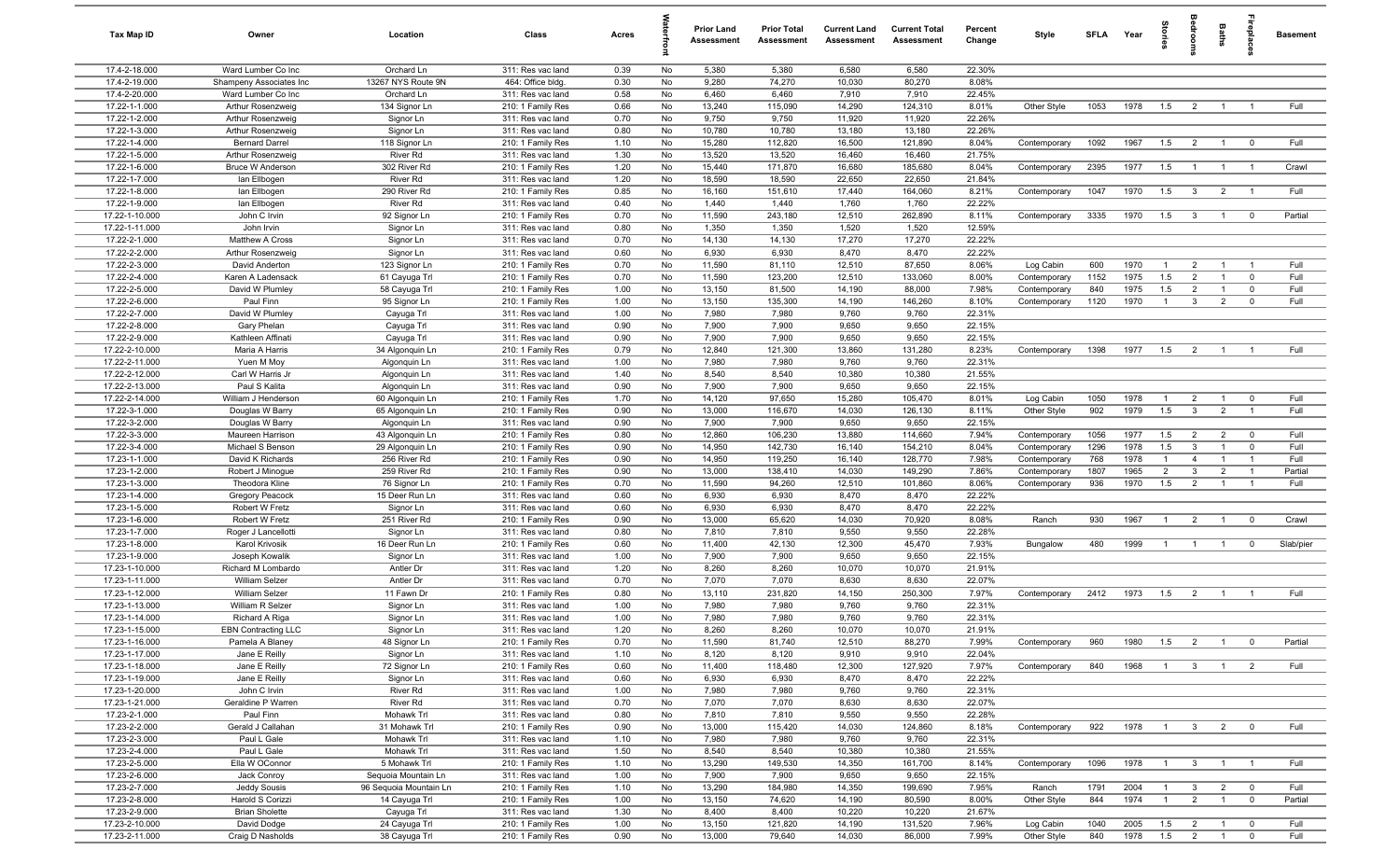| Tax Map ID                       | Owner                                      | Location                        | Class                                  | Acres        |          | <b>Prior Land</b><br>Assessment | <b>Prior Total</b><br>Assessment | <b>Current Land</b><br>Assessment | <b>Current Total</b><br>Assessment | Percent<br>Change | Style                        | SFLA Year   |              | tories                | alroom                           | Baths          | ireplace                      | <b>Basement</b> |
|----------------------------------|--------------------------------------------|---------------------------------|----------------------------------------|--------------|----------|---------------------------------|----------------------------------|-----------------------------------|------------------------------------|-------------------|------------------------------|-------------|--------------|-----------------------|----------------------------------|----------------|-------------------------------|-----------------|
| 17.4-2-18.000                    | Ward Lumber Co Inc                         | Orchard Ln                      | 311: Res vac land                      | 0.39         | No       | 5,380                           | 5,380                            | 6,580                             | 6,580                              | 22.30%            |                              |             |              |                       |                                  |                |                               |                 |
| 17.4-2-19.000                    | Shampeny Associates Inc                    | 13267 NYS Route 9N              | 464: Office bldg.                      | 0.30         | No       | 9,280                           | 74,270                           | 10,030                            | 80,270                             | 8.08%             |                              |             |              |                       |                                  |                |                               |                 |
| 17.4-2-20.000                    | Ward Lumber Co Inc                         | Orchard Ln                      | 311: Res vac land                      | 0.58         | No       | 6,460                           | 6,460                            | 7,910                             | 7,910                              | 22.45%            |                              |             |              |                       |                                  |                |                               |                 |
| 17.22-1-1.000                    | Arthur Rosenzweig                          | 134 Signor Ln                   | 210: 1 Family Res                      | 0.66         | No       | 13,240                          | 115,090                          | 14,290                            | 124,310                            | 8.01%             | Other Style                  | 1053        | 1978         | 1.5                   | $\overline{2}$                   |                |                               | Full            |
| 17.22-1-2.000                    | Arthur Rosenzweig                          | Signor Ln                       | 311: Res vac land                      | 0.70         | No       | 9,750                           | 9,750                            | 11,920                            | 11,920                             | 22.26%            |                              |             |              |                       |                                  |                |                               |                 |
| 17.22-1-3.000                    | Arthur Rosenzweig                          | Signor Ln                       | 311: Res vac land                      | 0.80         | No       | 10,780                          | 10,780                           | 13,180                            | 13,180                             | 22.26%            |                              |             |              |                       |                                  |                |                               |                 |
| 17.22-1-4.000<br>17.22-1-5.000   | <b>Bernard Darrel</b><br>Arthur Rosenzweig | 118 Signor Ln<br>River Rd       | 210: 1 Family Res<br>311: Res vac land | 1.10<br>1.30 | No<br>No | 15,280<br>13,520                | 112,820<br>13,520                | 16,500<br>16,460                  | 121,890<br>16,460                  | 8.04%<br>21.75%   | Contemporary                 | 1092        | 1967         | 1.5                   | $\overline{2}$                   | $\overline{1}$ | $\overline{0}$                | Full            |
| 17.22-1-6.000                    | <b>Bruce W Anderson</b>                    | 302 River Rd                    | 210: 1 Family Res                      | 1.20         | No       | 15,440                          | 171,870                          | 16,680                            | 185,680                            | 8.04%             | Contemporary                 | 2395        | 1977         | 1.5                   | $\overline{1}$                   | $\overline{1}$ | $\overline{1}$                | Crawl           |
| 17.22-1-7.000                    | lan Ellbogen                               | River Rd                        | 311: Res vac land                      | 1.20         | No       | 18,590                          | 18,590                           | 22,650                            | 22,650                             | 21.84%            |                              |             |              |                       |                                  |                |                               |                 |
| 17.22-1-8.000                    | lan Ellbogen                               | 290 River Rd                    | 210: 1 Family Res                      | 0.85         | No       | 16,160                          | 151,610                          | 17,440                            | 164,060                            | 8.21%             | Contemporary                 | 1047        | 1970         | 1.5                   | $\mathbf{3}$                     | $\overline{2}$ | $\overline{1}$                | Full            |
| 17.22-1-9.000                    | lan Ellbogen                               | River Rd                        | 311: Res vac land                      | 0.40         | No       | 1,440                           | 1,440                            | 1,760                             | 1,760                              | 22.22%            |                              |             |              |                       |                                  |                |                               |                 |
| 17.22-1-10.000                   | John C Irvin                               | 92 Signor Ln                    | 210: 1 Family Res                      | 0.70         | No       | 11,590                          | 243,180                          | 12,510                            | 262,890                            | 8.11%             | Contemporary                 | 3335        | 1970         | 1.5                   | $\mathbf{3}$                     | $\overline{1}$ | $^{\circ}$                    | Partial         |
| 17.22-1-11.000                   | John Irvin                                 | Signor Ln                       | 311: Res vac land                      | 0.80         | No       | 1,350                           | 1,350                            | 1,520                             | 1,520                              | 12.59%            |                              |             |              |                       |                                  |                |                               |                 |
| 17.22-2-1.000                    | Matthew A Cross                            | Signor Ln                       | 311: Res vac land                      | 0.70         | No       | 14,130                          | 14,130                           | 17,270                            | 17,270                             | 22.22%            |                              |             |              |                       |                                  |                |                               |                 |
| 17.22-2-2.000                    | Arthur Rosenzweig                          | Signor Ln                       | 311: Res vac land                      | 0.60         | No       | 6,930                           | 6,930                            | 8,470                             | 8,470                              | 22.22%            |                              |             |              |                       |                                  |                |                               |                 |
| 17.22-2-3.000                    | David Anderton                             | 123 Signor Ln                   | 210: 1 Family Res                      | 0.70         | No       | 11,590                          | 81,110                           | 12,510                            | 87,650                             | 8.06%             | Log Cabin                    | 600         | 1970         | $\overline{1}$        | $\overline{2}$                   |                | - 1                           | Full            |
| 17.22-2-4.000                    | Karen A Ladensack                          | 61 Cayuga Trl                   | 210: 1 Family Res                      | 0.70         | No       | 11,590                          | 123,200                          | 12,510                            | 133,060                            | 8.00%             | Contemporary                 | 1152        | 1975         | 1.5                   | $\overline{2}$                   |                | $\mathbf 0$                   | Full            |
| 17.22-2-5.000<br>17.22-2-6.000   | David W Plumley<br>Paul Finn               | 58 Cayuga Trl<br>95 Signor Ln   | 210: 1 Family Res<br>210: 1 Family Res | 1.00         | No       | 13,150<br>13,150                | 81,500<br>135,300                | 14,190                            | 88,000<br>146,260                  | 7.98%             | Contemporary                 | 840         | 1975<br>1970 | 1.5                   | $\overline{2}$<br>$\overline{3}$ | $\overline{2}$ | $^{\circ}$<br>$^{\circ}$      | Full<br>Full    |
| 17.22-2-7.000                    | David W Plumley                            | Cayuga Trl                      | 311: Res vac land                      | 1.00<br>1.00 | No<br>No | 7,980                           | 7,980                            | 14,190<br>9,760                   | 9,760                              | 8.10%<br>22.31%   | Contemporary                 | 1120        |              | $\overline{1}$        |                                  |                |                               |                 |
| 17.22-2-8.000                    | Gary Phelan                                | Cayuga Trl                      | 311: Res vac land                      | 0.90         | No       | 7,900                           | 7,900                            | 9,650                             | 9,650                              | 22.15%            |                              |             |              |                       |                                  |                |                               |                 |
| 17.22-2-9.000                    | Kathleen Affinati                          | Cayuga Trl                      | 311: Res vac land                      | 0.90         | No       | 7,900                           | 7,900                            | 9,650                             | 9,650                              | 22.15%            |                              |             |              |                       |                                  |                |                               |                 |
| 17.22-2-10.000                   | Maria A Harris                             | 34 Algonquin Ln                 | 210: 1 Family Res                      | 0.79         | No       | 12,840                          | 121,300                          | 13,860                            | 131,280                            | 8.23%             | Contemporary                 | 1398        | 1977         | 1.5                   | $\overline{2}$                   | $\overline{1}$ |                               | Full            |
| 17.22-2-11.000                   | Yuen M Moy                                 | Algonquin Ln                    | 311: Res vac land                      | 1.00         | No       | 7,980                           | 7,980                            | 9,760                             | 9,760                              | 22.31%            |                              |             |              |                       |                                  |                |                               |                 |
| 17.22-2-12.000                   | Carl W Harris Jr                           | Algonquin Ln                    | 311: Res vac land                      | 1.40         | No       | 8,540                           | 8,540                            | 10,380                            | 10,380                             | 21.55%            |                              |             |              |                       |                                  |                |                               |                 |
| 17.22-2-13.000                   | Paul S Kalita                              | Algonquin Ln                    | 311: Res vac land                      | 0.90         | No       | 7,900                           | 7,900                            | 9,650                             | 9,650                              | 22.15%            |                              |             |              |                       |                                  |                |                               |                 |
| 17.22-2-14.000                   | William J Henderson                        | 60 Algonquin Ln                 | 210: 1 Family Res                      | 1.70         | No       | 14,120                          | 97,650                           | 15,280                            | 105,470                            | 8.01%             | Log Cabin                    | 1050        | 1978         | $\overline{1}$        | $\overline{2}$                   | $\overline{1}$ | $\mathbf 0$                   | Full            |
| 17.22-3-1.000                    | Douglas W Barry                            | 65 Algonquin Ln                 | 210: 1 Family Res                      | 0.90         | No       | 13,000                          | 116,670                          | 14,030                            | 126,130                            | 8.11%             | Other Style                  | 902         | 1979         | 1.5                   | $\mathbf{3}$                     | $\overline{2}$ | $\overline{1}$                | Full            |
| 17.22-3-2.000                    | Douglas W Barry                            | Algonquin Ln                    | 311: Res vac land                      | 0.90         | No       | 7,900                           | 7,900                            | 9,650                             | 9,650                              | 22.15%            |                              |             |              |                       |                                  |                |                               |                 |
| 17.22-3-3.000                    | Maureen Harrison                           | 43 Algonquin Ln                 | 210: 1 Family Res                      | 0.80         | No       | 12,860                          | 106,230                          | 13,880                            | 114,660                            | 7.94%             | Contemporary                 | 1056        | 1977         | 1.5                   | $\overline{2}$                   | $\overline{2}$ | $\overline{0}$                | Full            |
| 17.22-3-4.000<br>17.23-1-1.000   | Michael S Benson<br>David K Richards       | 29 Algonquin Ln<br>256 River Rd | 210: 1 Family Res                      | 0.90<br>0.90 | No<br>No | 14,950<br>14,950                | 142,730<br>119,250               | 16,140<br>16,140                  | 154,210<br>128,770                 | 8.04%             | Contemporary                 | 1296<br>768 | 1978<br>1978 | 1.5<br>$\overline{1}$ | $\mathbf{3}$                     |                | $\mathbf 0$<br>$\overline{1}$ | Full<br>Full    |
| 17.23-1-2.000                    | Robert J Minogue                           | 259 River Rd                    | 210: 1 Family Res<br>210: 1 Family Res | 0.90         | No       | 13,000                          | 138,410                          | 14,030                            | 149,290                            | 7.98%<br>7.86%    | Contemporary<br>Contemporary | 1807        | 1965         | 2                     | $\overline{4}$<br>$\mathbf{3}$   | $\overline{2}$ | $\overline{1}$                | Partial         |
| 17.23-1-3.000                    | Theodora Kline                             | 76 Signor Ln                    | 210: 1 Family Res                      | 0.70         | No       | 11,590                          | 94,260                           | 12,510                            | 101,860                            | 8.06%             | Contemporary                 | 936         | 1970         | 1.5                   | $\overline{2}$                   | $\overline{1}$ | $\overline{1}$                | Full            |
| 17.23-1-4.000                    | Gregory Peacock                            | 15 Deer Run Ln                  | 311: Res vac land                      | 0.60         | No       | 6,930                           | 6,930                            | 8,470                             | 8,470                              | 22.22%            |                              |             |              |                       |                                  |                |                               |                 |
| 17.23-1-5.000                    | Robert W Fretz                             | Signor Ln                       | 311: Res vac land                      | 0.60         | No       | 6,930                           | 6,930                            | 8,470                             | 8,470                              | 22.22%            |                              |             |              |                       |                                  |                |                               |                 |
| 17.23-1-6.000                    | Robert W Fretz                             | 251 River Rd                    | 210: 1 Family Res                      | 0.90         | No       | 13,000                          | 65,620                           | 14,030                            | 70,920                             | 8.08%             | Ranch                        | 930         | 1967         | $\overline{1}$        | $\overline{2}$                   | $\overline{1}$ | $^{\circ}$                    | Crawl           |
| 17.23-1-7.000                    | Roger J Lancellotti                        | Signor Ln                       | 311: Res vac land                      | 0.80         | No       | 7,810                           | 7,810                            | 9,550                             | 9,550                              | 22.28%            |                              |             |              |                       |                                  |                |                               |                 |
| 17.23-1-8.000                    | Karol Krivosik                             | 16 Deer Run Ln                  | 210: 1 Family Res                      | 0.60         | No       | 11,400                          | 42,130                           | 12,300                            | 45,470                             | 7.93%             | Bungalow                     | 480         | 1999         | $\overline{1}$        | $\overline{1}$                   | $\overline{1}$ | $^{\circ}$                    | Slab/pier       |
| 17.23-1-9.000                    | Joseph Kowalik                             | Signor Ln                       | 311: Res vac land                      | 1.00         | No       | 7,900                           | 7,900                            | 9,650                             | 9,650                              | 22.15%            |                              |             |              |                       |                                  |                |                               |                 |
| 17.23-1-10.000                   | Richard M Lombardo                         | Antler Dr                       | 311: Res vac land                      | 1.20         | No       | 8,260                           | 8,260                            | 10,070                            | 10,070                             | 21.91%            |                              |             |              |                       |                                  |                |                               |                 |
| 17.23-1-11.000                   | William Selzer                             | Antler Dr                       | 311: Res vac land                      | 0.70         | No       | 7,070                           | 7,070                            | 8,630                             | 8,630                              | 22.07%            |                              |             |              |                       |                                  |                |                               |                 |
| 17.23-1-12.000                   | William Selzer                             | 11 Fawn Dr                      | 210: 1 Family Res                      | 0.80         | No       | 13,110                          | 231,820                          | 14,150                            | 250,300                            | 7.97%             | Contemporary                 | 2412        | 1973         | 1.5                   | $\overline{2}$                   |                |                               | Full            |
| 17.23-1-13.000<br>17.23-1-14.000 | William R Selzer<br>Richard A Riga         | Signor Ln<br>Signor Ln          | 311: Res vac land<br>311: Res vac land | 1.00<br>1.00 | No<br>No | 7,980<br>7,980                  | 7,980<br>7,980                   | 9,760<br>9,760                    | 9,760<br>9,760                     | 22.31%<br>22.31%  |                              |             |              |                       |                                  |                |                               |                 |
| 17.23-1-15.000                   | <b>EBN Contracting LLC</b>                 | Signor Ln                       | 311: Res vac land                      | 1.20         | No       | 8,260                           | 8,260                            | 10,070                            | 10,070                             | 21.91%            |                              |             |              |                       |                                  |                |                               |                 |
| 17.23-1-16.000                   | Pamela A Blaney                            | 48 Signor Ln                    | 210: 1 Family Res                      | 0.70         | No       | 11,590                          | 81,740                           | 12,510                            | 88,270                             | 7.99%             | Contemporary                 | 960         | 1980         | 1.5                   | $\overline{2}$                   | $\overline{1}$ | $\overline{\mathbf{0}}$       | Partial         |
| 17.23-1-17.000                   | Jane E Reilly                              | Signor Ln                       | 311: Res vac land                      | 1.10         | No       | 8,120                           | 8,120                            | 9,910                             | 9,910                              | 22.04%            |                              |             |              |                       |                                  |                |                               |                 |
| 17.23-1-18.000                   | Jane E Reilly                              | 72 Signor Ln                    | 210: 1 Family Res                      | 0.60         | No       | 11,400                          | 118,480                          | 12,300                            | 127,920                            | 7.97%             | Contemporary                 | 840         | 1968         | $\overline{1}$        | $\mathbf{3}$                     | $\mathbf{1}$   | 2                             | Full            |
| 17.23-1-19.000                   | Jane E Reilly                              | Signor Ln                       | 311: Res vac land                      | 0.60         | No       | 6,930                           | 6,930                            | 8,470                             | 8,470                              | 22.22%            |                              |             |              |                       |                                  |                |                               |                 |
| 17.23-1-20.000                   | John C Irvin                               | River Rd                        | 311: Res vac land                      | 1.00         | No       | 7,980                           | 7,980                            | 9,760                             | 9,760                              | 22.31%            |                              |             |              |                       |                                  |                |                               |                 |
| 17.23-1-21.000                   | Geraldine P Warren                         | River Rd                        | 311: Res vac land                      | 0.70         | No       | 7,070                           | 7,070                            | 8,630                             | 8,630                              | 22.07%            |                              |             |              |                       |                                  |                |                               |                 |
| 17.23-2-1.000                    | Paul Finn                                  | Mohawk Trl                      | 311: Res vac land                      | 0.80         | No       | 7,810                           | 7,810                            | 9,550                             | 9,550                              | 22.28%            |                              |             |              |                       |                                  |                |                               |                 |
| 17.23-2-2.000                    | Gerald J Callahan                          | 31 Mohawk Trl                   | 210: 1 Family Res                      | 0.90         | No       | 13,000                          | 115,420                          | 14,030                            | 124,860                            | 8.18%             | Contemporary                 | 922         | 1978         | $\overline{1}$        | 3 <sup>3</sup>                   | $\overline{2}$ | $\overline{0}$                | Full            |
| 17.23-2-3.000                    | Paul L Gale                                | Mohawk Trl                      | 311: Res vac land                      | 1.10         | No       | 7,980                           | 7,980                            | 9,760                             | 9,760                              | 22.31%            |                              |             |              |                       |                                  |                |                               |                 |
| 17.23-2-4.000<br>17.23-2-5.000   | Paul L Gale<br>Ella W OConnor              | Mohawk Trl<br>5 Mohawk Trl      | 311: Res vac land                      | 1.50<br>1.10 | No<br>No | 8,540<br>13,290                 | 8,540<br>149,530                 | 10,380<br>14,350                  | 10,380<br>161,700                  | 21.55%<br>8.14%   | Contemporary                 | 1096        | 1978         | $\overline{1}$        |                                  | $\overline{1}$ | $\overline{1}$                | Full            |
| 17.23-2-6.000                    | Jack Conroy                                | Sequoia Mountain Ln             | 210: 1 Family Res<br>311: Res vac land | 1.00         | No       | 7,900                           | 7,900                            | 9,650                             | 9,650                              | 22.15%            |                              |             |              |                       | $\mathbf{3}$                     |                |                               |                 |
| 17.23-2-7.000                    | Jeddy Sousis                               | 96 Sequoia Mountain Ln          | 210: 1 Family Res                      | 1.10         | No       | 13,290                          | 184,980                          | 14,350                            | 199,690                            | 7.95%             | Ranch                        | 1791        | 2004         | $\overline{1}$        | $\mathbf{3}$                     | $\overline{2}$ | $\overline{\mathbf{0}}$       | Full            |
| 17.23-2-8.000                    | Harold S Corizzi                           | 14 Cayuga Trl                   | 210: 1 Family Res                      | 1.00         | No       | 13,150                          | 74,620                           | 14,190                            | 80,590                             | 8.00%             | Other Style                  | 844         | 1974         | $\mathbf{1}$          | $\overline{2}$                   | $\mathbf{1}$   | $\overline{0}$                | Partial         |
| 17.23-2-9.000                    | <b>Brian Sholette</b>                      | Cayuga Trl                      | 311: Res vac land                      | 1.30         | No       | 8,400                           | 8,400                            | 10,220                            | 10,220                             | 21.67%            |                              |             |              |                       |                                  |                |                               |                 |
| 17.23-2-10.000                   | David Dodge                                | 24 Cayuga Trl                   | 210: 1 Family Res                      | 1.00         | No       | 13,150                          | 121,820                          | 14,190                            | 131,520                            | 7.96%             | Log Cabin                    | 1040        | 2005         | 1.5                   | $\frac{2}{ }$                    | $\overline{1}$ | $^{\circ}$                    | Full            |
| 17.23-2-11.000                   | Craig D Nasholds                           | 38 Cayuga Trl                   | 210: 1 Family Res                      | 0.90         | No       | 13,000                          | 79,640                           | 14,030                            | 86,000                             | 7.99%             | Other Style                  | 840         | 1978         | 1.5                   | $\overline{2}$                   | $\overline{1}$ | $\mathbf 0$                   | Full            |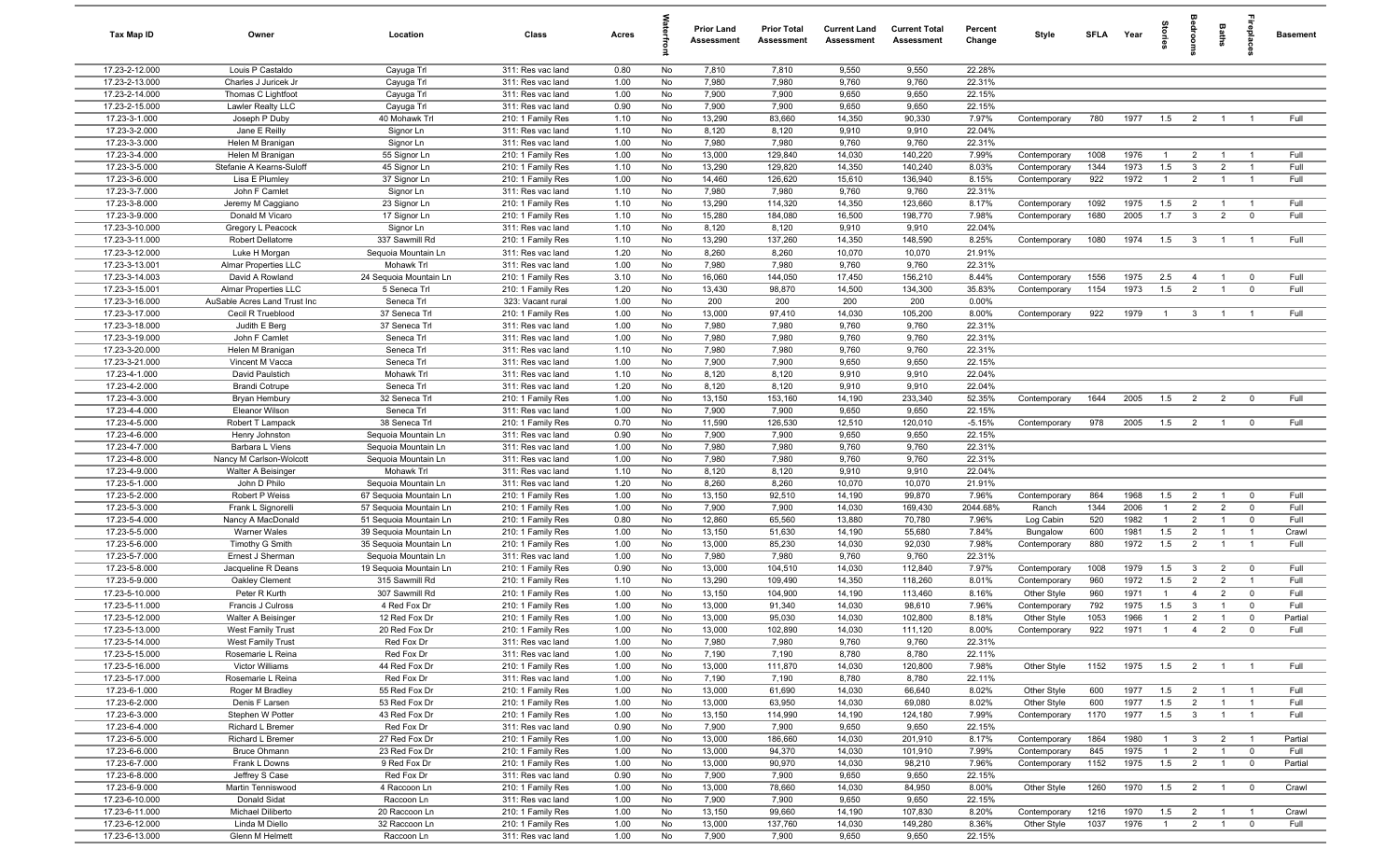| Tax Map ID                     | Owner                                      | Location                                         | Class                                  | Acres        |          | <b>Prior Land</b><br>Assessment | <b>Prior Total</b><br>Assessment | <b>Current Land</b><br>Assessment | <b>Current Total</b><br>Assessment | Percent<br>Change | Style                        | <b>SFLA</b> | Year         | tories                | drooms                         | <b>Baths</b>                     | repla                   | <b>Basement</b> |
|--------------------------------|--------------------------------------------|--------------------------------------------------|----------------------------------------|--------------|----------|---------------------------------|----------------------------------|-----------------------------------|------------------------------------|-------------------|------------------------------|-------------|--------------|-----------------------|--------------------------------|----------------------------------|-------------------------|-----------------|
| 17.23-2-12.000                 | Louis P Castaldo                           | Cayuga Trl                                       | 311: Res vac land                      | 0.80         | No       | 7,810                           | 7,810                            | 9,550                             | 9,550                              | 22.28%            |                              |             |              |                       |                                |                                  |                         |                 |
| 17.23-2-13.000                 | Charles J Juricek Jr                       | Cayuga Trl                                       | 311: Res vac land                      | 1.00         | No       | 7,980                           | 7,980                            | 9,760                             | 9,760                              | 22.31%            |                              |             |              |                       |                                |                                  |                         |                 |
| 17.23-2-14.000                 | Thomas C Lightfoot                         | Cayuga Trl                                       | 311: Res vac land                      | 1.00         | No       | 7,900                           | 7,900                            | 9,650                             | 9,650                              | 22.15%            |                              |             |              |                       |                                |                                  |                         |                 |
| 17.23-2-15.000                 | Lawler Realty LLC                          | Cayuga Trl                                       | 311: Res vac land                      | 0.90         | No       | 7,900                           | 7,900                            | 9,650                             | 9,650                              | 22.15%            |                              |             |              |                       |                                |                                  |                         |                 |
| 17.23-3-1.000                  | Joseph P Duby                              | 40 Mohawk Trl                                    | 210: 1 Family Res                      | 1.10         | No       | 13,290                          | 83,660                           | 14,350                            | 90,330                             | 7.97%             | Contemporary                 | 780         | 1977         | 1.5                   | $\overline{2}$                 | $\overline{1}$                   | $\overline{1}$          | Full            |
| 17.23-3-2.000                  | Jane E Reilly                              | Signor Ln                                        | 311: Res vac land                      | 1.10         | No       | 8,120                           | 8,120                            | 9,910                             | 9,910                              | 22.04%            |                              |             |              |                       |                                |                                  |                         |                 |
| 17.23-3-3.000                  | Helen M Branigan                           | Signor Ln                                        | 311: Res vac land                      | 1.00         | No       | 7,980                           | 7,980                            | 9,760                             | 9,760                              | 22.31%            |                              |             |              |                       |                                |                                  |                         |                 |
| 17.23-3-4.000                  | Helen M Branigan                           | 55 Signor Ln                                     | 210: 1 Family Res                      | 1.00         | No       | 13,000                          | 129,840                          | 14,030                            | 140,220                            | 7.99%             | Contemporary                 | 1008        | 1976         | $\mathbf{1}$          | $\overline{2}$                 | $\overline{1}$                   | $\overline{1}$          | Full            |
| 17.23-3-5.000<br>17.23-3-6.000 | Stefanie A Kearns-Suloff<br>Lisa E Plumlev | 45 Signor Ln                                     | 210: 1 Family Res                      | 1.10<br>1.00 | No<br>No | 13,290<br>14,460                | 129,820<br>126,620               | 14,350<br>15,610                  | 140,240<br>136,940                 | 8.03%<br>8.15%    | Contemporary<br>Contemporary | 1344<br>922 | 1973<br>1972 | 1.5<br>$\overline{1}$ | $\mathbf{3}$<br>$\overline{2}$ | $\overline{2}$<br>$\overline{1}$ | $\overline{1}$          | Full<br>Full    |
| 17.23-3-7.000                  | John F Camlet                              | 37 Signor Ln<br>Signor Ln                        | 210: 1 Family Res<br>311: Res vac land | 1.10         | No       | 7,980                           | 7,980                            | 9,760                             | 9,760                              | 22.31%            |                              |             |              |                       |                                |                                  |                         |                 |
| 17.23-3-8.000                  | Jeremy M Caggiano                          | 23 Signor Ln                                     | 210: 1 Family Res                      | 1.10         | No       | 13,290                          | 114,320                          | 14,350                            | 123,660                            | 8.17%             | Contemporary                 | 1092        | 1975         | 1.5                   | $\overline{2}$                 | $\overline{1}$                   | $\overline{1}$          | Full            |
| 17.23-3-9.000                  | Donald M Vicaro                            | 17 Signor Ln                                     | 210: 1 Family Res                      | 1.10         | No       | 15,280                          | 184,080                          | 16,500                            | 198,770                            | 7.98%             | Contemporary                 | 1680        | 2005         | 1.7                   | $\mathbf{3}$                   | $\overline{2}$                   | $\mathbf 0$             | Full            |
| 17.23-3-10.000                 | Gregory L Peacock                          | Signor Ln                                        | 311: Res vac land                      | 1.10         | No       | 8,120                           | 8,120                            | 9,910                             | 9,910                              | 22.04%            |                              |             |              |                       |                                |                                  |                         |                 |
| 17.23-3-11.000                 | Robert Dellatorre                          | 337 Sawmill Rd                                   | 210: 1 Family Res                      | 1.10         | No       | 13,290                          | 137,260                          | 14,350                            | 148,590                            | 8.25%             | Contemporary                 | 1080        | 1974         | 1.5                   | $\mathbf{3}$                   | $\overline{1}$                   | $\overline{1}$          | Full            |
| 17.23-3-12.000                 | Luke H Morgan                              | Sequoia Mountain Ln                              | 311: Res vac land                      | 1.20         | No       | 8,260                           | 8,260                            | 10,070                            | 10,070                             | 21.91%            |                              |             |              |                       |                                |                                  |                         |                 |
| 17.23-3-13.001                 | Almar Properties LLC                       | Mohawk Trl                                       | 311: Res vac land                      | 1.00         | No       | 7,980                           | 7,980                            | 9,760                             | 9,760                              | 22.31%            |                              |             |              |                       |                                |                                  |                         |                 |
| 17.23-3-14.003                 | David A Rowland                            | 24 Sequoia Mountain Ln                           | 210: 1 Family Res                      | 3.10         | No       | 16,060                          | 144,050                          | 17,450                            | 156,210                            | 8.44%             | Contemporary                 | 1556        | 1975         | 2.5                   | $\overline{4}$                 | $\overline{1}$                   | $\mathbf 0$             | Full            |
| 17.23-3-15.001                 | Almar Properties LLC                       | 5 Seneca Trl                                     | 210: 1 Family Res                      | 1.20         | No       | 13,430                          | 98,870                           | 14,500                            | 134,300                            | 35.83%            | Contemporary                 | 1154        | 1973         | 1.5                   | $\overline{2}$                 | $\mathbf{1}$                     | $\mathbf 0$             | Full            |
| 17.23-3-16.000                 | AuSable Acres Land Trust Inc               | Seneca Trl                                       | 323: Vacant rural                      | 1.00         | No       | 200                             | 200                              | 200                               | 200                                | 0.00%             |                              |             |              |                       |                                |                                  |                         |                 |
| 17.23-3-17.000                 | Cecil R Trueblood                          | 37 Seneca Trl                                    | 210: 1 Family Res                      | 1.00         | No       | 13,000                          | 97,410                           | 14,030                            | 105,200                            | 8.00%             | Contemporary                 | 922         | 1979         | $\overline{1}$        | $\mathbf{3}$                   | $\overline{1}$                   |                         | Full            |
| 17.23-3-18.000                 | Judith E Berg                              | 37 Seneca Trl                                    | 311: Res vac land                      | 1.00         | No       | 7,980                           | 7,980                            | 9,760                             | 9,760                              | 22.31%            |                              |             |              |                       |                                |                                  |                         |                 |
| 17.23-3-19.000                 | John F Camlet                              | Seneca Trl                                       | 311: Res vac land                      | 1.00         | No       | 7,980                           | 7,980                            | 9,760                             | 9,760                              | 22.31%            |                              |             |              |                       |                                |                                  |                         |                 |
| 17.23-3-20.000                 | Helen M Branigan                           | Seneca Trl                                       | 311: Res vac land                      | 1.10         | No       | 7,980                           | 7,980                            | 9,760                             | 9,760                              | 22.31%            |                              |             |              |                       |                                |                                  |                         |                 |
| 17.23-3-21.000                 | Vincent M Vacca                            | Seneca Trl                                       | 311: Res vac land                      | 1.00         | No       | 7,900                           | 7,900                            | 9,650                             | 9,650                              | 22.15%            |                              |             |              |                       |                                |                                  |                         |                 |
| 17.23-4-1.000                  | David Paulstich                            | Mohawk Trl                                       | 311: Res vac land                      | 1.10         | No       | 8,120                           | 8,120                            | 9,910                             | 9,910                              | 22.04%            |                              |             |              |                       |                                |                                  |                         |                 |
| 17.23-4-2.000                  | <b>Brandi Cotrupe</b>                      | Seneca Trl                                       | 311: Res vac land                      | 1.20         | No       | 8,120                           | 8,120                            | 9,910                             | 9,910                              | 22.04%            |                              |             |              |                       |                                |                                  |                         |                 |
| 17.23-4-3.000                  | Bryan Hembury                              | 32 Seneca Trl                                    | 210: 1 Family Res                      | 1.00         | No       | 13,150                          | 153,160                          | 14,190                            | 233,340                            | 52.35%            | Contemporary                 | 1644        | 2005         | 1.5                   | $\overline{2}$                 | $\overline{2}$                   | $\mathbf 0$             | Full            |
| 17.23-4-4.000                  | <b>Eleanor Wilson</b>                      | Seneca Trl                                       | 311: Res vac land                      | 1.00         | No       | 7,900                           | 7,900                            | 9,650                             | 9,650                              | 22.15%            |                              |             |              |                       |                                |                                  |                         |                 |
| 17.23-4-5.000                  | Robert T Lampack                           | 38 Seneca Trl                                    | 210: 1 Family Res                      | 0.70         | No       | 11,590                          | 126,530                          | 12,510                            | 120,010                            | $-5.15%$          | Contemporary                 | 978         | 2005         | 1.5                   | $\overline{2}$                 | $\overline{1}$                   | $\mathbf 0$             | Full            |
| 17.23-4-6.000                  | Henry Johnston                             | Sequoia Mountain Ln                              | 311: Res vac land                      | 0.90         | No       | 7,900                           | 7,900                            | 9,650                             | 9,650                              | 22.15%            |                              |             |              |                       |                                |                                  |                         |                 |
| 17.23-4-7.000                  | Barbara L Viens                            | Sequoia Mountain Ln                              | 311: Res vac land                      | 1.00         | No       | 7,980                           | 7,980                            | 9,760                             | 9,760                              | 22.31%            |                              |             |              |                       |                                |                                  |                         |                 |
| 17.23-4-8.000                  | Nancy M Carlson-Wolcott                    | Sequoia Mountain Ln                              | 311: Res vac land                      | 1.00         | No       | 7,980                           | 7,980                            | 9,760                             | 9,760                              | 22.31%            |                              |             |              |                       |                                |                                  |                         |                 |
| 17.23-4-9.000                  | Walter A Beisinger                         | Mohawk Trl                                       | 311: Res vac land                      | 1.10         | No       | 8,120                           | 8,120                            | 9,910                             | 9,910                              | 22.04%            |                              |             |              |                       |                                |                                  |                         |                 |
| 17.23-5-1.000<br>17.23-5-2.000 | John D Philo                               | Sequoia Mountain Ln                              | 311: Res vac land                      | 1.20         | No<br>No | 8,260                           | 8,260                            | 10,070                            | 10,070<br>99,870                   | 21.91%            |                              |             | 1968         |                       |                                | $\overline{1}$                   | $\mathbf 0$             | Full            |
| 17.23-5-3.000                  | Robert P Weiss                             | 67 Sequoia Mountain Ln                           | 210: 1 Family Res                      | 1.00         | No       | 13,150                          | 92,510                           | 14,190                            |                                    | 7.96%<br>2044.68% | Contemporary                 | 864<br>1344 | 2006         | 1.5<br>$\overline{1}$ | $\overline{2}$                 | $\overline{2}$                   | $\mathbf 0$             | Full            |
| 17.23-5-4.000                  | Frank L Signorelli<br>Nancy A MacDonald    | 57 Sequoia Mountain Ln<br>51 Sequoia Mountain Ln | 210: 1 Family Res<br>210: 1 Family Res | 1.00<br>0.80 | No       | 7,900<br>12,860                 | 7,900<br>65,560                  | 14,030<br>13,880                  | 169,430<br>70,780                  | 7.96%             | Ranch<br>Log Cabin           | 520         | 1982         | $\overline{1}$        | $\overline{2}$<br>2            | $\overline{1}$                   | $\mathbf 0$             | Full            |
| 17.23-5-5.000                  | <b>Warner Wales</b>                        | 39 Sequoia Mountain Ln                           | 210: 1 Family Res                      | 1.00         | No       | 13,150                          | 51,630                           | 14,190                            | 55,680                             | 7.84%             | Bungalow                     | 600         | 1981         | 1.5                   | $\overline{2}$                 | $\overline{1}$                   | $\overline{1}$          | Crawl           |
| 17.23-5-6.000                  | Timothy G Smith                            | 35 Sequoia Mountain Ln                           | 210: 1 Family Res                      | 1.00         | No       | 13,000                          | 85,230                           | 14,030                            | 92,030                             | 7.98%             | Contemporary                 | 880         | 1972         | 1.5                   | 2                              | $\overline{1}$                   | $\overline{1}$          | Full            |
| 17.23-5-7.000                  | Ernest J Sherman                           | Seguoia Mountain Ln                              | 311: Res vac land                      | 1.00         | No       | 7,980                           | 7,980                            | 9,760                             | 9,760                              | 22.31%            |                              |             |              |                       |                                |                                  |                         |                 |
| 17.23-5-8.000                  | Jacqueline R Deans                         | 19 Sequoia Mountain Ln                           | 210: 1 Family Res                      | 0.90         | No       | 13,000                          | 104,510                          | 14,030                            | 112,840                            | 7.97%             | Contemporary                 | 1008        | 1979         | 1.5                   | $\mathbf{3}$                   | $\overline{2}$                   | $\overline{0}$          | Full            |
| 17.23-5-9.000                  | Oakley Clement                             | 315 Sawmill Rd                                   | 210: 1 Family Res                      | 1.10         | No       | 13,290                          | 109,490                          | 14,350                            | 118,260                            | 8.01%             | Contemporary                 | 960         | 1972         | 1.5                   | 2                              | $\overline{2}$                   | $\overline{1}$          | Full            |
| 17.23-5-10.000                 | Peter R Kurth                              | 307 Sawmill Rd                                   | 210: 1 Family Res                      | 1.00         | No       | 13,150                          | 104,900                          | 14,190                            | 113,460                            | 8.16%             | Other Style                  | 960         | 1971         | $\overline{1}$        | $\overline{4}$                 | $\overline{2}$                   | $\mathbf 0$             | Full            |
| 17.23-5-11.000                 | Francis J Culross                          | 4 Red Fox Dr                                     | 210: 1 Family Res                      | 1.00         | No       | 13,000                          | 91,340                           | 14,030                            | 98,610                             | 7.96%             | Contemporary                 | 792         | 1975         | 1.5                   | 3                              |                                  | $\overline{0}$          | Full            |
| 17.23-5-12.000                 | Walter A Beisinger                         | 12 Red Fox Dr                                    | 210: 1 Family Res                      | 1.00         | No       | 13,000                          | 95,030                           | 14,030                            | 102,800                            | 8.18%             | Other Style                  | 1053        | 1966         | $\overline{1}$        | $\overline{2}$                 | $\mathbf{1}$                     | $\mathbf 0$             | Partial         |
| 17.23-5-13.000                 | <b>West Family Trust</b>                   | 20 Red Fox Dr                                    | 210: 1 Family Res                      | 1.00         | No       | 13,000                          | 102,890                          | 14,030                            | 111,120                            | 8.00%             | Contemporary                 | 922         | 1971         |                       | 4                              |                                  |                         | Full            |
| 17.23-5-14.000                 | West Family Trust                          | Red Fox Dr                                       | 311: Res vac land                      | 1.00         | No       | 7,980                           | 7,980                            | 9,760                             | 9,760                              | 22.31%            |                              |             |              |                       |                                |                                  |                         |                 |
| 17.23-5-15.000                 | Rosemarie L Reina                          | Red Fox Dr                                       | 311: Res vac land                      | 1.00         | No       | 7,190                           | 7,190                            | 8,780                             | 8,780                              | 22.11%            |                              |             |              |                       |                                |                                  |                         |                 |
| 17.23-5-16.000                 | Victor Williams                            | 44 Red Fox Dr                                    | 210: 1 Family Res                      | 1.00         | No       | 13,000                          | 111,870                          | 14,030                            | 120,800                            | 7.98%             | Other Style                  | 1152        | 1975         | 1.5                   | $\overline{2}$                 | $\overline{1}$                   |                         | Full            |
| 17.23-5-17.000                 | Rosemarie L Reina                          | Red Fox Dr                                       | 311: Res vac land                      | 1.00         | No       | 7,190                           | 7,190                            | 8,780                             | 8,780                              | 22.11%            |                              |             |              |                       |                                |                                  |                         |                 |
| 17.23-6-1.000                  | Roger M Bradley                            | 55 Red Fox Dr                                    | 210: 1 Family Res                      | 1.00         | No       | 13,000                          | 61,690                           | 14,030                            | 66,640                             | 8.02%             | Other Style                  | 600         | 1977         | 1.5                   | $\overline{2}$                 | $\overline{1}$                   |                         | Full            |
| 17.23-6-2.000                  | Denis F Larsen                             | 53 Red Fox Dr                                    | 210: 1 Family Res                      | 1.00         | No       | 13,000                          | 63,950                           | 14,030                            | 69,080                             | 8.02%             | Other Style                  | 600         | 1977         | 1.5                   | $\overline{2}$                 | $\overline{1}$                   | $\overline{1}$          | Full            |
| 17.23-6-3.000                  | Stephen W Potter                           | 43 Red Fox Dr                                    | 210: 1 Family Res                      | 1.00         | No       | 13,150                          | 114,990                          | 14,190                            | 124,180                            | 7.99%             | Contemporary                 | 1170        | 1977         | 1.5                   | $\mathbf{3}$                   | $\overline{1}$                   | $\overline{1}$          | Full            |
| 17.23-6-4.000                  | Richard L Bremer                           | Red Fox Dr                                       | 311: Res vac land                      | 0.90         | No       | 7,900                           | 7,900                            | 9,650                             | 9,650                              | 22.15%            |                              |             |              |                       |                                |                                  |                         |                 |
| 17.23-6-5.000                  | Richard L Bremer                           | 27 Red Fox Dr                                    | 210: 1 Family Res                      | 1.00         | No       | 13,000                          | 186,660                          | 14,030                            | 201,910                            | 8.17%             | Contemporary                 | 1864        | 1980         | $\overline{1}$        | $\mathbf{3}$                   | $\overline{2}$                   | $\overline{1}$          | Partial         |
| 17.23-6-6.000                  | <b>Bruce Ohmann</b>                        | 23 Red Fox Dr                                    | 210: 1 Family Res                      | 1.00         | No       | 13,000                          | 94,370                           | 14,030                            | 101,910                            | 7.99%             | Contemporary                 | 845         | 1975         | $\overline{1}$        | $\overline{2}$                 | $\overline{1}$                   | $\overline{0}$          | Full            |
| 17.23-6-7.000                  | Frank L Downs                              | 9 Red Fox Dr                                     | 210: 1 Family Res                      | 1.00         | No       | 13,000                          | 90,970                           | 14,030                            | 98,210                             | 7.96%             | Contemporary                 | 1152        | 1975         | 1.5                   | $\overline{2}$                 | $\overline{1}$                   | $\overline{0}$          | Partial         |
| 17.23-6-8.000<br>17.23-6-9.000 | Jeffrey S Case<br>Martin Tenniswood        | Red Fox Dr<br>4 Raccoon Ln                       | 311: Res vac land                      | 0.90         | No       | 7,900<br>13,000                 | 7,900<br>78,660                  | 9,650<br>14,030                   | 9,650<br>84,950                    | 22.15%<br>8.00%   |                              | 1260        |              |                       |                                | $\overline{1}$                   | $\overline{\mathbf{0}}$ | Crawl           |
| 17.23-6-10.000                 | Donald Sidat                               | Raccoon Ln                                       | 210: 1 Family Res<br>311: Res vac land | 1.00<br>1.00 | No<br>No | 7,900                           | 7,900                            | 9,650                             | 9,650                              | 22.15%            | Other Style                  |             | 1970         | 1.5                   | $\overline{2}$                 |                                  |                         |                 |
| 17.23-6-11.000                 | Michael Diliberto                          | 20 Raccoon Ln                                    | 210: 1 Family Res                      | 1.00         | No       | 13,150                          | 99,660                           | 14,190                            | 107,830                            | 8.20%             | Contemporary                 | 1216        | 1970         | 1.5                   | $\overline{2}$                 | $\overline{1}$                   | $\overline{1}$          | Crawl           |
| 17.23-6-12.000                 | Linda M Diello                             | 32 Raccoon Ln                                    | 210: 1 Family Res                      | 1.00         | No       | 13,000                          | 137,760                          | 14,030                            | 149,280                            | 8.36%             | Other Style                  | 1037        | 1976         | $\overline{1}$        | $\overline{2}$                 | $\overline{1}$                   | $\mathbf 0$             | Full            |
| 17.23-6-13.000                 | Glenn M Helmett                            | Raccoon Ln                                       | 311: Res vac land                      | 1.00         | No       | 7,900                           | 7,900                            | 9,650                             | 9,650                              | 22.15%            |                              |             |              |                       |                                |                                  |                         |                 |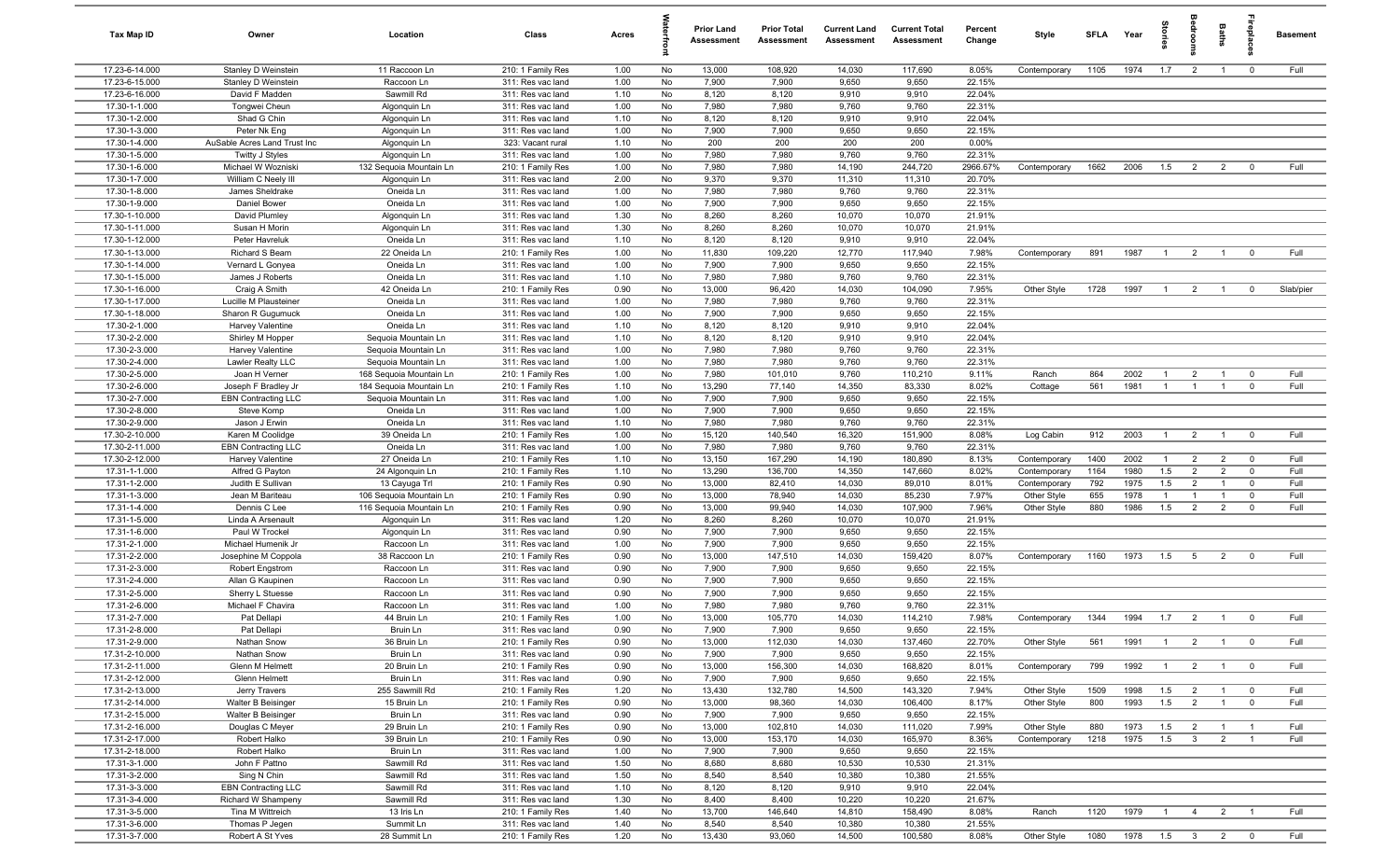| Tax Map ID                       | Owner                                          | Location                     | Class                                  | Acres        |          | <b>Prior Land</b><br>Assessment | <b>Prior Total</b><br>Assessment | <b>Current Land</b><br>Assessment | <b>Current Total</b><br>Assessment | Percent<br>Change | Style                       | <b>SFLA</b> | Year               | Stories        |                                | <b>Baths</b>                     | ireplace                | <b>Basement</b> |
|----------------------------------|------------------------------------------------|------------------------------|----------------------------------------|--------------|----------|---------------------------------|----------------------------------|-----------------------------------|------------------------------------|-------------------|-----------------------------|-------------|--------------------|----------------|--------------------------------|----------------------------------|-------------------------|-----------------|
| 17.23-6-14.000                   | Stanley D Weinstein                            | 11 Raccoon Ln                | 210: 1 Family Res                      | 1.00         | No       | 13,000                          | 108,920                          | 14,030                            | 117,690                            | 8.05%             | Contemporary                | 1105        | 1974               | 1.7            | $\overline{2}$                 | $\overline{1}$                   | $\mathbf 0$             | Full            |
| 17.23-6-15.000                   | Stanley D Weinstein                            | Raccoon Ln                   | 311: Res vac land                      | 1.00         | No       | 7,900                           | 7,900                            | 9,650                             | 9,650                              | 22.15%            |                             |             |                    |                |                                |                                  |                         |                 |
| 17.23-6-16.000                   | David F Madden                                 | Sawmill Rd                   | 311: Res vac land                      | 1.10         | No       | 8,120                           | 8,120                            | 9,910                             | 9,910                              | 22.04%            |                             |             |                    |                |                                |                                  |                         |                 |
| 17.30-1-1.000                    | Tongwei Cheun                                  | Algonquin Ln                 | 311: Res vac land                      | 1.00         | No       | 7,980                           | 7,980                            | 9,760                             | 9,760                              | 22.31%            |                             |             |                    |                |                                |                                  |                         |                 |
| 17.30-1-2.000<br>17.30-1-3.000   | Shad G Chin<br>Peter Nk Eng                    | Algonquin Ln                 | 311: Res vac land<br>311: Res vac land | 1.10<br>1.00 | No<br>No | 8,120<br>7,900                  | 8,120<br>7,900                   | 9,910<br>9,650                    | 9,910<br>9,650                     | 22.04%<br>22.15%  |                             |             |                    |                |                                |                                  |                         |                 |
| 17.30-1-4.000                    | AuSable Acres Land Trust Inc                   | Algonquin Ln<br>Algonquin Ln | 323: Vacant rural                      | 1.10         | No       | 200                             | 200                              | 200                               | 200                                | 0.00%             |                             |             |                    |                |                                |                                  |                         |                 |
| 17.30-1-5.000                    | Twitty J Styles                                | Algonquin Ln                 | 311: Res vac land                      | 1.00         | No       | 7,980                           | 7,980                            | 9,760                             | 9,760                              | 22.31%            |                             |             |                    |                |                                |                                  |                         |                 |
| 17.30-1-6.000                    | Michael W Wozniski                             | 132 Sequoia Mountain Ln      | 210: 1 Family Res                      | 1.00         | No       | 7,980                           | 7,980                            | 14,190                            | 244,720                            | 2966.67%          | Contemporary                | 1662        | 2006               | 1.5            | $\overline{2}$                 | $\overline{2}$                   | $\mathbf 0$             | Full            |
| 17.30-1-7.000                    | William C Neely III                            | Algonquin Ln                 | 311: Res vac land                      | 2.00         | No       | 9,370                           | 9,370                            | 11,310                            | 11,310                             | 20.70%            |                             |             |                    |                |                                |                                  |                         |                 |
| 17.30-1-8.000                    | James Sheldrake                                | Oneida Ln                    | 311: Res vac land                      | 1.00         | No       | 7,980                           | 7,980                            | 9,760                             | 9,760                              | 22.31%            |                             |             |                    |                |                                |                                  |                         |                 |
| 17.30-1-9.000                    | Daniel Bower                                   | Oneida Ln                    | 311: Res vac land                      | 1.00         | No       | 7,900                           | 7,900                            | 9,650                             | 9,650                              | 22.15%            |                             |             |                    |                |                                |                                  |                         |                 |
| 17.30-1-10.000                   | David Plumley                                  | Algonquin Ln                 | 311: Res vac land                      | 1.30         | No       | 8,260                           | 8,260                            | 10,070                            | 10,070                             | 21.91%            |                             |             |                    |                |                                |                                  |                         |                 |
| 17.30-1-11.000                   | Susan H Morin                                  | Algonquin Ln                 | 311: Res vac land                      | 1.30         | No       | 8,260                           | 8,260                            | 10,070                            | 10,070                             | 21.91%            |                             |             |                    |                |                                |                                  |                         |                 |
| 17.30-1-12.000                   | Peter Havreluk                                 | Oneida Ln                    | 311: Res vac land                      | 1.10         | No       | 8,120                           | 8,120                            | 9,910                             | 9,910                              | 22.04%            |                             |             |                    |                |                                |                                  |                         |                 |
| 17.30-1-13.000                   | Richard S Beam                                 | 22 Oneida Ln                 | 210: 1 Family Res                      | 1.00         | No       | 11,830                          | 109,220                          | 12,770                            | 117,940                            | 7.98%             | Contemporary                | 891         | 1987               | $\overline{1}$ | $\overline{2}$                 | $\overline{1}$                   | $\mathbf 0$             | Full            |
| 17.30-1-14.000                   | Vernard L Gonyea                               | Oneida Ln                    | 311: Res vac land                      | 1.00         | No       | 7,900                           | 7,900                            | 9,650                             | 9,650                              | 22.15%            |                             |             |                    |                |                                |                                  |                         |                 |
| 17.30-1-15.000<br>17.30-1-16.000 | James J Roberts<br>Craig A Smith               | Oneida Ln<br>42 Oneida Ln    | 311: Res vac land<br>210: 1 Family Res | 1.10<br>0.90 | No<br>No | 7,980<br>13,000                 | 7,980<br>96,420                  | 9,760<br>14,030                   | 9,760<br>104,090                   | 22.31%<br>7.95%   | Other Style                 | 1728        | 1997               | $\overline{1}$ | $\overline{2}$                 |                                  | $^{\circ}$              | Slab/pier       |
| 17.30-1-17.000                   | Lucille M Plausteiner                          | Oneida Ln                    | 311: Res vac land                      | 1.00         | No       | 7,980                           | 7,980                            | 9,760                             | 9,760                              | 22.31%            |                             |             |                    |                |                                |                                  |                         |                 |
| 17.30-1-18.000                   | Sharon R Gugumuck                              | Oneida Ln                    | 311: Res vac land                      | 1.00         | No       | 7,900                           | 7,900                            | 9,650                             | 9,650                              | 22.15%            |                             |             |                    |                |                                |                                  |                         |                 |
| 17.30-2-1.000                    | Harvey Valentine                               | Oneida Ln                    | 311: Res vac land                      | 1.10         | No       | 8,120                           | 8,120                            | 9,910                             | 9,910                              | 22.04%            |                             |             |                    |                |                                |                                  |                         |                 |
| 17.30-2-2.000                    | Shirley M Hopper                               | Sequoia Mountain Ln          | 311: Res vac land                      | 1.10         | No       | 8,120                           | 8,120                            | 9,910                             | 9,910                              | 22.04%            |                             |             |                    |                |                                |                                  |                         |                 |
| 17.30-2-3.000                    | Harvey Valentine                               | Sequoia Mountain Ln          | 311: Res vac land                      | 1.00         | No       | 7,980                           | 7,980                            | 9,760                             | 9,760                              | 22.31%            |                             |             |                    |                |                                |                                  |                         |                 |
| 17.30-2-4.000                    | Lawler Realty LLC                              | Sequoia Mountain Ln          | 311: Res vac land                      | 1.00         | No       | 7,980                           | 7,980                            | 9,760                             | 9,760                              | 22.31%            |                             |             |                    |                |                                |                                  |                         |                 |
| 17.30-2-5.000                    | Joan H Verner                                  | 168 Seguoia Mountain Ln      | 210: 1 Family Res                      | 1.00         | No       | 7,980                           | 101,010                          | 9,760                             | 110,210                            | 9.11%             | Ranch                       | 864         | 2002               | $\overline{1}$ | $\overline{2}$                 | $\overline{1}$                   | $\mathbf 0$             | Full            |
| 17.30-2-6.000                    | Joseph F Bradley Jr                            | 184 Sequoia Mountain Ln      | 210: 1 Family Res                      | 1.10         | No       | 13,290                          | 77,140                           | 14,350                            | 83,330                             | 8.02%             | Cottage                     | 561         | 1981               | $\overline{1}$ | $\overline{1}$                 | $\overline{1}$                   | $\mathbf 0$             | Full            |
| 17.30-2-7.000                    | <b>EBN Contracting LLC</b>                     | Sequoia Mountain Ln          | 311: Res vac land                      | 1.00         | No       | 7,900                           | 7,900                            | 9,650                             | 9,650                              | 22.15%            |                             |             |                    |                |                                |                                  |                         |                 |
| 17.30-2-8.000                    | Steve Komp                                     | Oneida Ln                    | 311: Res vac land                      | 1.00         | No       | 7,900                           | 7,900                            | 9,650                             | 9,650                              | 22.15%            |                             |             |                    |                |                                |                                  |                         |                 |
| 17.30-2-9.000                    | Jason J Erwin                                  | Oneida Ln                    | 311: Res vac land                      | 1.10         | No       | 7,980                           | 7,980                            | 9,760                             | 9,760                              | 22.31%            |                             |             |                    |                |                                |                                  |                         |                 |
| 17.30-2-10.000<br>17.30-2-11.000 | Karen M Coolidge                               | 39 Oneida Ln<br>Oneida Ln    | 210: 1 Family Res                      | 1.00<br>1.00 | No<br>No | 15,120<br>7,980                 | 140,540<br>7,980                 | 16,320<br>9,760                   | 151,900<br>9,760                   | 8.08%<br>22.31%   | Log Cabin                   | 912         | 2003               | $\overline{1}$ | $\overline{2}$                 | $\overline{1}$                   | $\overline{0}$          | Full            |
| 17.30-2-12.000                   | <b>EBN Contracting LLC</b><br>Harvey Valentine | 27 Oneida Ln                 | 311: Res vac land<br>210: 1 Family Res | 1.10         | No       | 13,150                          | 167,290                          | 14,190                            | 180,890                            | 8.13%             | Contemporary                | 1400        | 2002               | $\mathbf{1}$   | $\overline{2}$                 | $\overline{2}$                   | $\overline{0}$          | Full            |
| 17.31-1-1.000                    | Alfred G Payton                                | 24 Algonquin Ln              | 210: 1 Family Res                      | 1.10         | No       | 13,290                          | 136,700                          | 14,350                            | 147,660                            | 8.02%             | Contemporary                | 1164        | 1980               | 1.5            | $\overline{2}$                 | $\overline{2}$                   | $\overline{0}$          | Full            |
| 17.31-1-2.000                    | Judith E Sullivan                              | 13 Cayuga Trl                | 210: 1 Family Res                      | 0.90         | No       | 13,000                          | 82,410                           | 14,030                            | 89,010                             | 8.01%             | Contemporary                | 792         | 1975               | 1.5            | $\overline{2}$                 | $\overline{1}$                   | $\mathbf 0$             | Full            |
| 17.31-1-3.000                    | Jean M Bariteau                                | 106 Sequoia Mountain Ln      | 210: 1 Family Res                      | 0.90         | No       | 13,000                          | 78,940                           | 14,030                            | 85,230                             | 7.97%             | Other Style                 | 655         | 1978               | $\overline{1}$ | $\overline{1}$                 | $\overline{1}$                   | $\mathbf 0$             | Full            |
| 17.31-1-4.000                    | Dennis C Lee                                   | 116 Sequoia Mountain Ln      | 210: 1 Family Res                      | 0.90         | No       | 13,000                          | 99,940                           | 14,030                            | 107,900                            | 7.96%             | Other Style                 | 880         | 1986               | 1.5            | 2                              | $\overline{2}$                   | $\mathbf 0$             | Full            |
| 17.31-1-5.000                    | Linda A Arsenault                              | Algonquin Ln                 | 311: Res vac land                      | 1.20         | No       | 8,260                           | 8,260                            | 10,070                            | 10,070                             | 21.91%            |                             |             |                    |                |                                |                                  |                         |                 |
| 17.31-1-6.000                    | Paul W Trockel                                 | Algonquin Ln                 | 311: Res vac land                      | 0.90         | No       | 7,900                           | 7,900                            | 9,650                             | 9,650                              | 22.15%            |                             |             |                    |                |                                |                                  |                         |                 |
| 17.31-2-1.000                    | Michael Humenik Jr                             | Raccoon Ln                   | 311: Res vac land                      | 1.00         | No       | 7,900                           | 7,900                            | 9,650                             | 9,650                              | 22.15%            |                             |             |                    |                |                                |                                  |                         |                 |
| 17.31-2-2.000                    | Josephine M Coppola                            | 38 Raccoon Ln                | 210: 1 Family Res                      | 0.90         | No       | 13,000                          | 147,510                          | 14,030                            | 159,420                            | 8.07%             | Contemporary                | 1160        | 1973               | 1.5            | 5                              | $\overline{2}$                   | $\mathbf 0$             | Full            |
| 17.31-2-3.000                    | <b>Robert Engstrom</b>                         | Raccoon Ln                   | 311: Res vac land                      | 0.90         | No       | 7,900                           | 7,900                            | 9,650                             | 9,650                              | 22.15%            |                             |             |                    |                |                                |                                  |                         |                 |
| 17.31-2-4.000<br>17.31-2-5.000   | Allan G Kaupinen<br>Sherry L Stuesse           | Raccoon Ln<br>Raccoon Ln     | 311: Res vac land<br>311: Res vac land | 0.90<br>0.90 | No<br>No | 7,900<br>7,900                  | 7,900<br>7,900                   | 9,650<br>9,650                    | 9,650<br>9,650                     | 22.15%<br>22.15%  |                             |             |                    |                |                                |                                  |                         |                 |
| 17.31-2-6.000                    | Michael F Chavira                              | Raccoon Ln                   | 311: Res vac land                      | 1.00         | No       | 7,980                           | 7,980                            | 9,760                             | 9,760                              | 22.31%            |                             |             |                    |                |                                |                                  |                         |                 |
| 17.31-2-7.000                    | Pat Dellapi                                    | 44 Bruin Ln                  | 210: 1 Family Res                      | 1.00         | No       | 13,000                          | 105,770                          | 14,030                            | 114,210                            | 7.98%             | Contemporary                | 1344        | 1994               | 1.7            | $\overline{2}$                 | $\overline{1}$                   | $\mathbf 0$             | Full            |
| 17.31-2-8.000                    | Pat Dellapi                                    | Bruin Ln                     | 311: Res vac land                      | 0.90         | No       | 7,900                           | 7,900                            | 9,650                             | 9,650                              | 22.15%            |                             |             |                    |                |                                |                                  |                         |                 |
| 17.31-2-9.000                    | Nathan Snow                                    | 36 Bruin Ln                  | 210: 1 Family Res                      | 0.90         | No       | 13,000                          | 112,030                          | 14,030                            | 137,460                            | 22.70%            | Other Style                 | 561         | 1991               | $\overline{1}$ | $\overline{2}$                 | $\overline{1}$                   | $\overline{\mathbf{0}}$ | Full            |
| 17.31-2-10.000                   | Nathan Snow                                    | Bruin Ln                     | 311: Res vac land                      | 0.90         | No       | 7,900                           | 7,900                            | 9,650                             | 9,650                              | 22.15%            |                             |             |                    |                |                                |                                  |                         |                 |
| 17.31-2-11.000                   | Glenn M Helmett                                | 20 Bruin Ln                  | 210: 1 Family Res                      | 0.90         | No       | 13,000                          | 156,300                          | 14,030                            | 168,820                            | 8.01%             | Contemporary                | 799         | 1992               | $\overline{1}$ | $\overline{2}$                 | $\overline{1}$                   | $\mathbf 0$             | Full            |
| 17.31-2-12.000                   | Glenn Helmett                                  | Bruin Ln                     | 311: Res vac land                      | 0.90         | No       | 7,900                           | 7,900                            | 9,650                             | 9,650                              | 22.15%            |                             |             |                    |                |                                |                                  |                         |                 |
| 17.31-2-13.000                   | Jerry Travers                                  | 255 Sawmill Rd               | 210: 1 Family Res                      | 1.20         | No       | 13,430                          | 132,780                          | 14,500                            | 143,320                            | 7.94%             | Other Style                 | 1509        | 1998               | 1.5            | $\overline{2}$                 | $\overline{1}$                   | $\mathbf 0$             | Full            |
| 17.31-2-14.000                   | Walter B Beisinger                             | 15 Bruin Ln                  | 210: 1 Family Res                      | 0.90         | No       | 13,000                          | 98,360                           | 14,030                            | 106,400                            | 8.17%             | Other Style                 | 800         | 1993               | 1.5            | $\overline{2}$                 | $\overline{1}$                   | $\mathbf 0$             | Full            |
| 17.31-2-15.000                   | Walter B Beisinger                             | Bruin Ln                     | 311: Res vac land                      | 0.90         | No       | 7,900                           | 7,900                            | 9,650                             | 9,650                              | 22.15%            |                             |             |                    |                |                                |                                  |                         |                 |
| 17.31-2-16.000<br>17.31-2-17.000 | Douglas C Meyer<br>Robert Halko                | 29 Bruin Ln<br>39 Bruin Ln   | 210: 1 Family Res<br>210: 1 Family Res | 0.90<br>0.90 | No<br>No | 13,000<br>13,000                | 102,810<br>153,170               | 14,030<br>14,030                  | 111,020<br>165,970                 | 7.99%<br>8.36%    | Other Style<br>Contemporary | 880<br>1218 | 1973<br>1975       | 1.5<br>1.5     | $\overline{2}$<br>$\mathbf{3}$ | $\overline{1}$<br>$\overline{2}$ | $\overline{1}$          | Full<br>Full    |
| 17.31-2-18.000                   | Robert Halko                                   | Bruin Ln                     | 311: Res vac land                      | 1.00         | No       | 7,900                           | 7,900                            | 9,650                             | 9,650                              | 22.15%            |                             |             |                    |                |                                |                                  |                         |                 |
| 17.31-3-1.000                    | John F Pattno                                  | Sawmill Rd                   | 311: Res vac land                      | 1.50         | No       | 8,680                           | 8,680                            | 10,530                            | 10,530                             | 21.31%            |                             |             |                    |                |                                |                                  |                         |                 |
| 17.31-3-2.000                    | Sing N Chin                                    | Sawmill Rd                   | 311: Res vac land                      | 1.50         | No       | 8,540                           | 8,540                            | 10,380                            | 10,380                             | 21.55%            |                             |             |                    |                |                                |                                  |                         |                 |
| 17.31-3-3.000                    | <b>EBN Contracting LLC</b>                     | Sawmill Rd                   | 311: Res vac land                      | 1.10         | No       | 8,120                           | 8,120                            | 9,910                             | 9,910                              | 22.04%            |                             |             |                    |                |                                |                                  |                         |                 |
| 17.31-3-4.000                    | Richard W Shampeny                             | Sawmill Rd                   | 311: Res vac land                      | 1.30         | No       | 8,400                           | 8,400                            | 10,220                            | 10,220                             | 21.67%            |                             |             |                    |                |                                |                                  |                         |                 |
| 17.31-3-5.000                    | Tina M Wittreich                               | 13 Iris Ln                   | 210: 1 Family Res                      | 1.40         | No       | 13,700                          | 146,640                          | 14,810                            | 158,490                            | 8.08%             | Ranch                       | 1120        | 1979               | $\overline{1}$ | $\overline{4}$                 | $\overline{2}$                   | $\overline{1}$          | Full            |
| 17.31-3-6.000                    | Thomas P Jegen                                 | Summit Ln                    | 311: Res vac land                      | 1.40         | No       | 8,540                           | 8,540                            | 10,380                            | 10,380                             | 21.55%            |                             |             |                    |                |                                |                                  |                         |                 |
| 17.31-3-7.000                    | Robert A St Yves                               | 28 Summit Ln                 | 210: 1 Family Res                      | 1.20         | No       | 13,430                          | 93,060                           | 14,500                            | 100,580                            | 8.08%             | Other Style                 | 1080        | 1978  1.5  3  2  0 |                |                                |                                  |                         | Full            |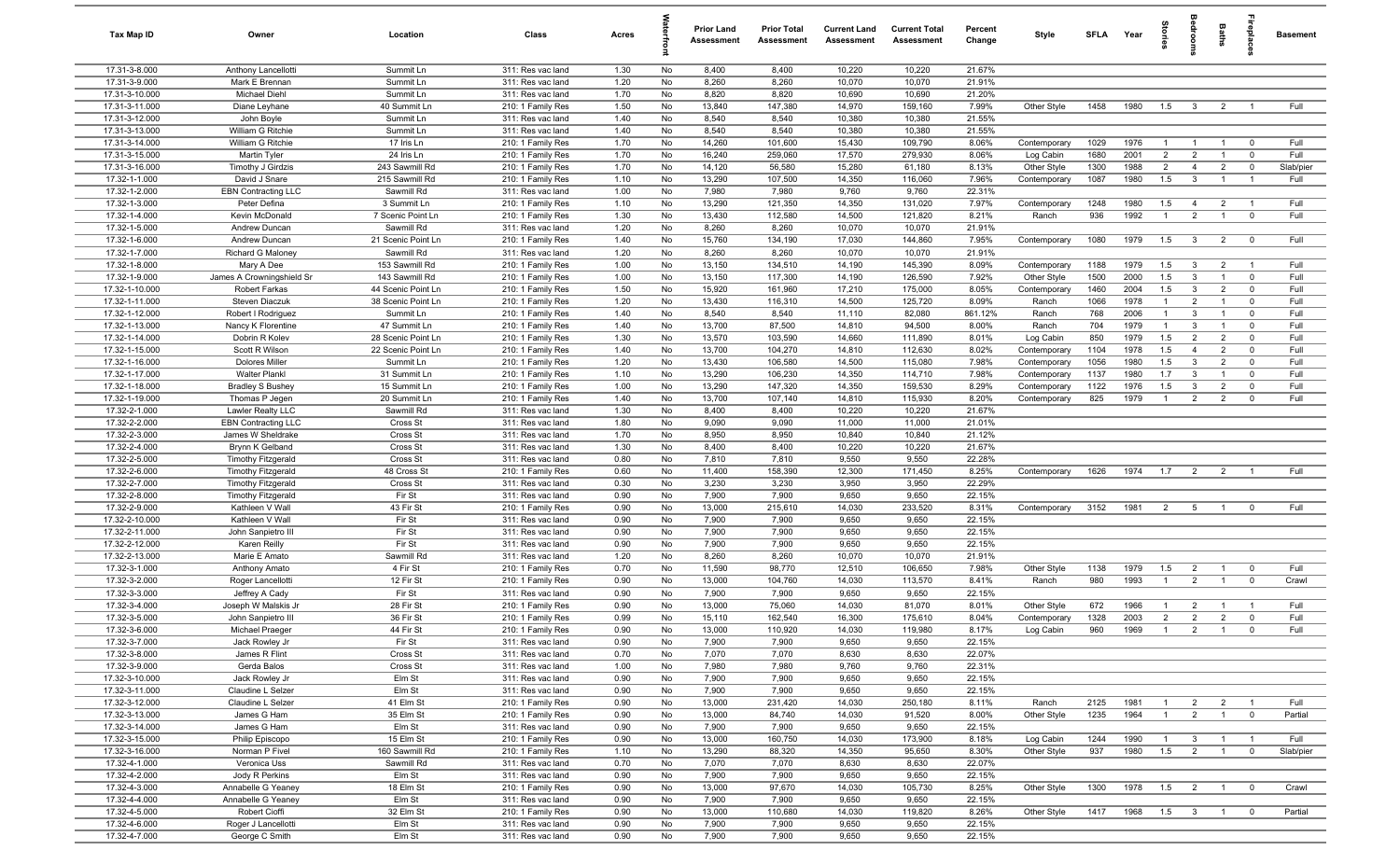| Tax Map ID                       | Owner                                                  | Location                  | Class                                  | Acres        |          | <b>Prior Land</b><br>Assessment | <b>Prior Total</b><br>Assessment | <b>Current Land</b><br>Assessment | <b>Current Total</b><br>Assessment | Percent<br>Change | Style                     | SFI A        | Year         | tories                           | eroo                         | Baths                            | ēb                         | <b>Basement</b> |
|----------------------------------|--------------------------------------------------------|---------------------------|----------------------------------------|--------------|----------|---------------------------------|----------------------------------|-----------------------------------|------------------------------------|-------------------|---------------------------|--------------|--------------|----------------------------------|------------------------------|----------------------------------|----------------------------|-----------------|
| 17.31-3-8.000                    | Anthony Lancellotti                                    | Summit Ln                 | 311: Res vac land                      | 1.30         | No       | 8,400                           | 8,400                            | 10,220                            | 10,220                             | 21.67%            |                           |              |              |                                  |                              |                                  |                            |                 |
| 17.31-3-9.000                    | Mark E Brennan                                         | Summit Ln                 | 311: Res vac land                      | 1.20         | No       | 8,260                           | 8,260                            | 10,070                            | 10,070                             | 21.91%            |                           |              |              |                                  |                              |                                  |                            |                 |
| 17.31-3-10.000                   | Michael Diehl                                          | Summit Ln                 | 311: Res vac land                      | 1.70         | No       | 8,820                           | 8,820                            | 10,690                            | 10,690                             | 21.20%            |                           |              |              |                                  |                              |                                  |                            |                 |
| 17.31-3-11.000                   | Diane Leyhane                                          | 40 Summit Ln              | 210: 1 Family Res                      | 1.50         | No       | 13,840                          | 147,380                          | 14,970                            | 159,160                            | 7.99%             | Other Style               | 1458         | 1980         | 1.5                              | $\overline{\mathbf{3}}$      | $\overline{2}$                   |                            | Full            |
| 17.31-3-12.000                   | John Boyle                                             | Summit Ln                 | 311: Res vac land                      | 1.40<br>1.40 | No       | 8,540                           | 8,540<br>8,540                   | 10,380                            | 10,380<br>10,380                   | 21.55%            |                           |              |              |                                  |                              |                                  |                            |                 |
| 17.31-3-13.000<br>17.31-3-14.000 | William G Ritchie<br>William G Ritchie                 | Summit Ln<br>17 Iris Ln   | 311: Res vac land                      | 1.70         | No<br>No | 8,540<br>14,260                 | 101,600                          | 10,380<br>15,430                  | 109,790                            | 21.55%<br>8.06%   |                           |              | 1976         | -1                               | $\overline{1}$               | $\overline{1}$                   | $\mathbf 0$                | Full            |
| 17.31-3-15.000                   | Martin Tyler                                           | 24 Iris Ln                | 210: 1 Family Res<br>210: 1 Family Res | 1.70         | No       | 16,240                          | 259,060                          | 17,570                            | 279,930                            | 8.06%             | Contemporary<br>Log Cabin | 1029<br>1680 | 2001         | $\overline{2}$                   | $\overline{2}$               | $\overline{1}$                   | $\overline{0}$             | Full            |
| 17.31-3-16.000                   | Timothy J Girdzis                                      | 243 Sawmill Rd            | 210: 1 Family Res                      | 1.70         | No       | 14,120                          | 56,580                           | 15,280                            | 61,180                             | 8.13%             | Other Style               | 1300         | 1988         | $\overline{2}$                   | $\overline{4}$               | $\overline{2}$                   | $\mathbf 0$                | Slab/pier       |
| 17.32-1-1.000                    | David J Snare                                          | 215 Sawmill Rd            | 210: 1 Family Res                      | 1.10         | No       | 13,290                          | 107,500                          | 14,350                            | 116,060                            | 7.96%             | Contemporary              | 1087         | 1980         | 1.5                              | $\mathbf{3}$                 | $\overline{1}$                   | $\overline{1}$             | Full            |
| 17.32-1-2.000                    | <b>EBN Contracting LLC</b>                             | Sawmill Rd                | 311: Res vac land                      | 1.00         | No       | 7,980                           | 7,980                            | 9,760                             | 9,760                              | 22.31%            |                           |              |              |                                  |                              |                                  |                            |                 |
| 17.32-1-3.000                    | Peter Defina                                           | 3 Summit Ln               | 210: 1 Family Res                      | 1.10         | No       | 13,290                          | 121,350                          | 14,350                            | 131,020                            | 7.97%             | Contemporary              | 1248         | 1980         | 1.5                              | $\overline{4}$               | $\overline{2}$                   | $\overline{1}$             | Full            |
| 17.32-1-4.000                    | Kevin McDonald                                         | 7 Scenic Point Ln         | 210: 1 Family Res                      | 1.30         | No       | 13,430                          | 112,580                          | 14,500                            | 121,820                            | 8.21%             | Ranch                     | 936          | 1992         | $\overline{1}$                   | $\overline{2}$               | $\overline{1}$                   | $\overline{0}$             | Full            |
| 17.32-1-5.000                    | Andrew Duncan                                          | Sawmill Rd                | 311: Res vac land                      | 1.20         | No       | 8,260                           | 8,260                            | 10,070                            | 10,070                             | 21.91%            |                           |              |              |                                  |                              |                                  |                            |                 |
| 17.32-1-6.000                    | Andrew Duncan                                          | 21 Scenic Point Ln        | 210: 1 Family Res                      | 1.40         | No       | 15,760                          | 134,190                          | 17,030                            | 144,860                            | 7.95%             | Contemporary              | 1080         | 1979         | 1.5                              | $\mathbf{3}$                 | $\overline{2}$                   | $\overline{0}$             | Full            |
| 17.32-1-7.000                    | Richard G Maloney                                      | Sawmill Rd                | 311: Res vac land                      | 1.20         | No       | 8,260                           | 8,260                            | 10,070                            | 10,070                             | 21.91%            |                           |              |              |                                  |                              |                                  |                            |                 |
| 17.32-1-8.000                    | Mary A Dee                                             | 153 Sawmill Rd            | 210: 1 Family Res                      | 1.00         | No       | 13,150                          | 134,510                          | 14,190                            | 145,390                            | 8.09%             | Contemporary              | 1188         | 1979         | 1.5                              | $\mathbf{3}$                 | $\overline{2}$                   | $\overline{1}$             | Full            |
| 17.32-1-9.000                    | James A Crowningshield Sr                              | 143 Sawmill Rd            | 210: 1 Family Res                      | 1.00         | No       | 13,150                          | 117,300                          | 14,190                            | 126,590                            | 7.92%             | Other Style               | 1500         | 2000         | 1.5                              | $\mathbf{3}$                 | $\overline{1}$                   | $\mathbf 0$                | Full            |
| 17.32-1-10.000                   | Robert Farkas                                          | 44 Scenic Point Ln        | 210: 1 Family Res                      | 1.50         | No       | 15,920                          | 161,960                          | 17,210                            | 175,000                            | 8.05%             | Contemporary              | 1460         | 2004         | 1.5                              | $\mathbf{3}$                 | $\overline{2}$                   | $\overline{0}$             | Full            |
| 17.32-1-11.000                   | Steven Diaczuk                                         | 38 Scenic Point Ln        | 210: 1 Family Res                      | 1.20         | No       | 13,430                          | 116,310                          | 14,500                            | 125,720                            | 8.09%             | Ranch                     | 1066         | 1978         | $\overline{1}$<br>$\overline{1}$ | $\overline{2}$               | $\overline{1}$<br>$\overline{1}$ | $\mathbf 0$                | Full            |
| 17.32-1-12.000<br>17.32-1-13.000 | Robert I Rodriguez<br>Nancy K Florentine               | Summit Ln<br>47 Summit Ln | 210: 1 Family Res<br>210: 1 Family Res | 1.40<br>1.40 | No<br>No | 8,540<br>13,700                 | 8,540<br>87,500                  | 11,110<br>14,810                  | 82,080<br>94,500                   | 861.12%<br>8.00%  | Ranch<br>Ranch            | 768<br>704   | 2006<br>1979 | $\overline{1}$                   | $\mathbf{3}$<br>$\mathbf{3}$ | $\overline{1}$                   | $\mathbf 0$<br>$\mathbf 0$ | Full<br>Full    |
| 17.32-1-14.000                   | Dobrin R Kolev                                         | 28 Scenic Point Ln        | 210: 1 Family Res                      | 1.30         | No       | 13,570                          | 103,590                          | 14,660                            | 111,890                            | 8.01%             | Log Cabin                 | 850          | 1979         | 1.5                              | 2                            | $\overline{2}$                   | $\overline{0}$             | Full            |
| 17.32-1-15.000                   | Scott R Wilson                                         | 22 Scenic Point Ln        | 210: 1 Family Res                      | 1.40         | No       | 13,700                          | 104,270                          | 14,810                            | 112,630                            | 8.02%             | Contemporary              | 1104         | 1978         | 1.5                              | $\overline{4}$               | $\overline{2}$                   | $\mathbf 0$                | Full            |
| 17.32-1-16.000                   | <b>Dolores Miller</b>                                  | Summit Ln                 | 210: 1 Family Res                      | 1.20         | No       | 13,430                          | 106,580                          | 14,500                            | 115,080                            | 7.98%             | Contemporary              | 1056         | 1980         | 1.5                              | $\mathbf{3}$                 | $\overline{2}$                   | $\overline{0}$             | Full            |
| 17.32-1-17.000                   | <b>Walter Plankl</b>                                   | 31 Summit Ln              | 210: 1 Family Res                      | 1.10         | No       | 13,290                          | 106,230                          | 14,350                            | 114,710                            | 7.98%             | Contemporary              | 1137         | 1980         | 1.7                              | $\mathbf{3}$                 | $\overline{1}$                   | $\overline{0}$             | Full            |
| 17.32-1-18.000                   | <b>Bradley S Bushey</b>                                | 15 Summit Ln              | 210: 1 Family Res                      | 1.00         | No       | 13,290                          | 147,320                          | 14,350                            | 159,530                            | 8.29%             | Contemporary              | 1122         | 1976         | 1.5                              | $\mathbf{3}$                 | $\overline{2}$                   | $\mathbf 0$                | Full            |
| 17.32-1-19.000                   | Thomas P Jegen                                         | 20 Summit Ln              | 210: 1 Family Res                      | 1.40         | No       | 13,700                          | 107,140                          | 14,810                            | 115,930                            | 8.20%             | Contemporary              | 825          | 1979         | $\overline{1}$                   | $\overline{2}$               | $\overline{2}$                   | $\mathbf 0$                | Full            |
| 17.32-2-1.000                    | Lawler Realty LLC                                      | Sawmill Rd                | 311: Res vac land                      | 1.30         | No       | 8,400                           | 8,400                            | 10,220                            | 10,220                             | 21.67%            |                           |              |              |                                  |                              |                                  |                            |                 |
| 17.32-2-2.000                    | <b>EBN Contracting LLC</b>                             | Cross St                  | 311: Res vac land                      | 1.80         | No       | 9,090                           | 9,090                            | 11,000                            | 11,000                             | 21.01%            |                           |              |              |                                  |                              |                                  |                            |                 |
| 17.32-2-3.000                    | James W Sheldrake                                      | Cross St                  | 311: Res vac land                      | 1.70         | No       | 8,950                           | 8,950                            | 10,840                            | 10,840                             | 21.12%            |                           |              |              |                                  |                              |                                  |                            |                 |
| 17.32-2-4.000                    | Brynn K Gelband                                        | Cross St                  | 311: Res vac land                      | 1.30         | No       | 8,400                           | 8,400                            | 10,220                            | 10,220                             | 21.67%            |                           |              |              |                                  |                              |                                  |                            |                 |
| 17.32-2-5.000                    | <b>Timothy Fitzgerald</b>                              | Cross St                  | 311: Res vac land                      | 0.80         | No       | 7,810                           | 7,810                            | 9,550                             | 9,550                              | 22.28%            |                           |              |              |                                  |                              |                                  |                            |                 |
| 17.32-2-6.000                    | <b>Timothy Fitzgerald</b>                              | 48 Cross St               | 210: 1 Family Res                      | 0.60         | No       | 11,400                          | 158,390                          | 12,300                            | 171,450                            | 8.25%             | Contemporary              | 1626         | 1974         | 1.7                              | $\overline{2}$               | $\overline{2}$                   | $\overline{1}$             | Full            |
| 17.32-2-7.000<br>17.32-2-8.000   | <b>Timothy Fitzgerald</b><br><b>Timothy Fitzgerald</b> | Cross St<br>Fir St        | 311: Res vac land<br>311: Res vac land | 0.30<br>0.90 | No<br>No | 3,230<br>7,900                  | 3,230<br>7,900                   | 3,950<br>9,650                    | 3,950<br>9,650                     | 22.29%<br>22.15%  |                           |              |              |                                  |                              |                                  |                            |                 |
| 17.32-2-9.000                    | Kathleen V Wall                                        | 43 Fir St                 | 210: 1 Family Res                      | 0.90         | No       | 13,000                          | 215,610                          | 14,030                            | 233,520                            | 8.31%             | Contemporary              | 3152         | 1981         | 2                                | 5                            | $\overline{1}$                   | $\overline{0}$             | Full            |
| 17.32-2-10.000                   | Kathleen V Wall                                        | Fir St                    | 311: Res vac land                      | 0.90         | No       | 7,900                           | 7,900                            | 9,650                             | 9,650                              | 22.15%            |                           |              |              |                                  |                              |                                  |                            |                 |
| 17.32-2-11.000                   | John Sanpietro III                                     | Fir St                    | 311: Res vac land                      | 0.90         | No       | 7,900                           | 7,900                            | 9,650                             | 9,650                              | 22.15%            |                           |              |              |                                  |                              |                                  |                            |                 |
| 17.32-2-12.000                   | Karen Reilly                                           | Fir St                    | 311: Res vac land                      | 0.90         | No       | 7,900                           | 7,900                            | 9,650                             | 9,650                              | 22.15%            |                           |              |              |                                  |                              |                                  |                            |                 |
| 17.32-2-13.000                   | Marie E Amato                                          | Sawmill Rd                | 311: Res vac land                      | 1.20         | No       | 8,260                           | 8,260                            | 10,070                            | 10,070                             | 21.91%            |                           |              |              |                                  |                              |                                  |                            |                 |
| 17.32-3-1.000                    | Anthony Amato                                          | 4 Fir St                  | 210: 1 Family Res                      | 0.70         | No       | 11,590                          | 98,770                           | 12,510                            | 106,650                            | 7.98%             | Other Style               | 1138         | 1979         | 1.5                              | $\overline{2}$               | $\overline{1}$                   | $\mathbf 0$                | Full            |
| 17.32-3-2.000                    | Roger Lancellotti                                      | 12 Fir St                 | 210: 1 Family Res                      | 0.90         | No       | 13,000                          | 104,760                          | 14,030                            | 113,570                            | 8.41%             | Ranch                     | 980          | 1993         | $\overline{1}$                   | 2                            | $\overline{1}$                   | $\mathbf 0$                | Crawl           |
| 17.32-3-3.000                    | Jeffrey A Cady                                         | Fir St                    | 311: Res vac land                      | 0.90         | No       | 7,900                           | 7,900                            | 9,650                             | 9,650                              | 22.15%            |                           |              |              |                                  |                              |                                  |                            |                 |
| 17.32-3-4.000                    | Joseph W Malskis Jr                                    | 28 Fir St                 | 210: 1 Family Res                      | 0.90         | No       | 13,000                          | 75,060                           | 14,030                            | 81,070                             | 8.01%             | Other Style               | 672          | 1966         | -1                               | $\overline{2}$               |                                  |                            | Full            |
| 17.32-3-5.000                    | John Sanpietro III                                     | 36 Fir St                 | 210: 1 Family Res                      | 0.99         | No       | 15,110                          | 162,540                          | 16,300                            | 175,610                            | 8.04%             | Contemporary              | 1328         | 2003         | $\overline{2}$                   | $\overline{2}$               | $\overline{2}$                   | $\mathbf 0$                | Full            |
| 17.32-3-6.000                    | Michael Praeger                                        | 44 Fir St                 | 210: 1 Family Res                      | 0.90         | No       | 13,000                          | 110,920                          | 14,030                            | 119,980                            | 8.17%             | Log Cabin                 | 960          | 1969         | $\overline{1}$                   | $\overline{2}$               | $\overline{1}$                   | $\Omega$                   | Full            |
| 17.32-3-7.000                    | Jack Rowley Jr                                         | Fir St                    | 311: Res vac land                      | 0.90         | No       | 7,900                           | 7,900                            | 9,650                             | 9,650                              | 22.15%            |                           |              |              |                                  |                              |                                  |                            |                 |
| 17.32-3-8.000<br>17.32-3-9.000   | James R Flint<br>Gerda Balos                           | Cross St<br>Cross St      | 311: Res vac land<br>311: Res vac land | 0.70<br>1.00 | No<br>No | 7,070<br>7,980                  | 7,070<br>7,980                   | 8,630<br>9,760                    | 8,630<br>9,760                     | 22.07%<br>22.31%  |                           |              |              |                                  |                              |                                  |                            |                 |
| 17.32-3-10.000                   | Jack Rowley Jr                                         | Elm St                    | 311: Res vac land                      | 0.90         | No       | 7,900                           | 7,900                            | 9,650                             | 9,650                              | 22.15%            |                           |              |              |                                  |                              |                                  |                            |                 |
| 17.32-3-11.000                   | Claudine L Selzer                                      | Elm St                    | 311: Res vac land                      | 0.90         | No       | 7,900                           | 7,900                            | 9,650                             | 9,650                              | 22.15%            |                           |              |              |                                  |                              |                                  |                            |                 |
| 17.32-3-12.000                   | Claudine L Selzer                                      | 41 Elm St                 | 210: 1 Family Res                      | 0.90         | No       | 13,000                          | 231,420                          | 14,030                            | 250,180                            | 8.11%             | Ranch                     | 2125         | 1981         | $\overline{1}$                   | $\overline{2}$               | $\overline{2}$                   | $\overline{1}$             | Full            |
| 17.32-3-13.000                   | James G Ham                                            | 35 Elm St                 | 210: 1 Family Res                      | 0.90         | No       | 13,000                          | 84,740                           | 14,030                            | 91,520                             | 8.00%             | Other Style               | 1235         | 1964         | $\overline{1}$                   | $\overline{2}$               | $\overline{1}$                   | $\mathbf 0$                | Partial         |
| 17.32-3-14.000                   | James G Ham                                            | Elm St                    | 311: Res vac land                      | 0.90         | No       | 7,900                           | 7,900                            | 9,650                             | 9,650                              | 22.15%            |                           |              |              |                                  |                              |                                  |                            |                 |
| 17.32-3-15.000                   | Philip Episcopo                                        | 15 Elm St                 | 210: 1 Family Res                      | 0.90         | No       | 13,000                          | 160,750                          | 14,030                            | 173,900                            | 8.18%             | Log Cabin                 | 1244         | 1990         | $\overline{1}$                   | $\mathbf{3}$                 | $\overline{1}$                   | $\overline{1}$             | Full            |
| 17.32-3-16.000                   | Norman P Fivel                                         | 160 Sawmill Rd            | 210: 1 Family Res                      | 1.10         | No       | 13,290                          | 88,320                           | 14,350                            | 95,650                             | 8.30%             | Other Style               | 937          | 1980         | 1.5                              | $\overline{2}$               | $\overline{1}$                   | $\overline{0}$             | Slab/pier       |
| 17.32-4-1.000                    | Veronica Uss                                           | Sawmill Rd                | 311: Res vac land                      | 0.70         | No       | 7,070                           | 7,070                            | 8,630                             | 8,630                              | 22.07%            |                           |              |              |                                  |                              |                                  |                            |                 |
| 17.32-4-2.000                    | Jody R Perkins                                         | Elm St                    | 311: Res vac land                      | 0.90         | No       | 7,900                           | 7,900                            | 9,650                             | 9,650                              | 22.15%            |                           |              |              |                                  |                              |                                  |                            |                 |
| 17.32-4-3.000                    | Annabelle G Yeaney                                     | 18 Elm St                 | 210: 1 Family Res                      | 0.90         | No       | 13,000                          | 97,670                           | 14,030                            | 105,730                            | 8.25%             | Other Style               | 1300         | 1978         | 1.5                              | $\overline{2}$               | $\overline{1}$                   | $\overline{0}$             | Crawl           |
| 17.32-4-4.000                    | Annabelle G Yeaney                                     | Elm St                    | 311: Res vac land                      | 0.90         | No       | 7,900                           | 7,900                            | 9,650                             | 9,650                              | 22.15%            |                           |              |              |                                  |                              |                                  |                            |                 |
| 17.32-4-5.000                    | Robert Cioffi                                          | 32 Elm St                 | 210: 1 Family Res                      | 0.90         | No       | 13,000                          | 110,680                          | 14,030                            | 119,820                            | 8.26%             | Other Style               | 1417         | 1968         | 1.5                              | $\overline{\mathbf{3}}$      | $\overline{1}$                   | $\overline{0}$             | Partial         |
| 17.32-4-6.000<br>17.32-4-7.000   | Roger J Lancellotti<br>George C Smith                  | Elm St<br>Elm St          | 311: Res vac land<br>311: Res vac land | 0.90<br>0.90 | No<br>No | 7,900<br>7,900                  | 7,900<br>7,900                   | 9,650<br>9,650                    | 9,650<br>9,650                     | 22.15%<br>22.15%  |                           |              |              |                                  |                              |                                  |                            |                 |
|                                  |                                                        |                           |                                        |              |          |                                 |                                  |                                   |                                    |                   |                           |              |              |                                  |                              |                                  |                            |                 |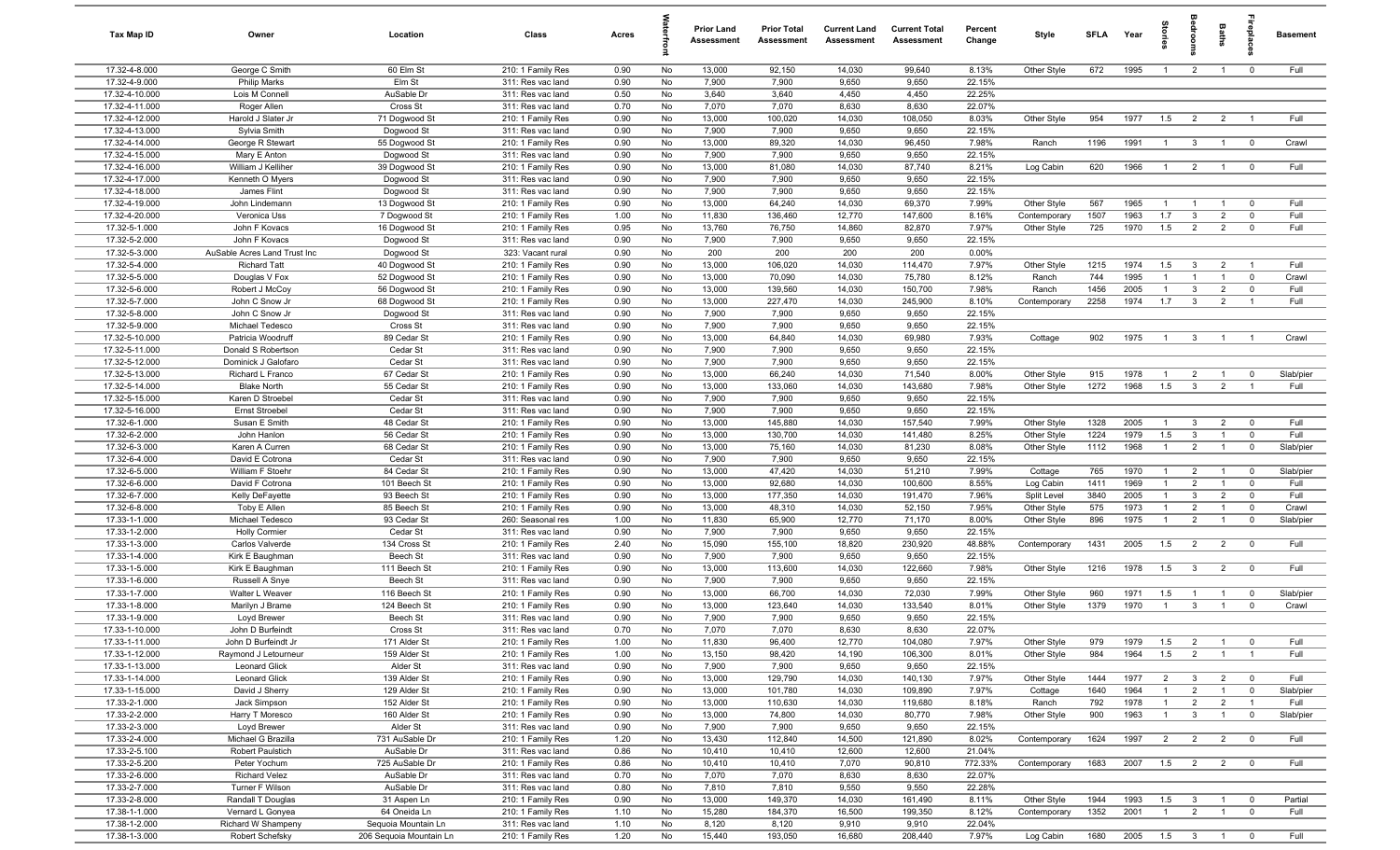| Tax Map ID                       | Owner                                   | Location                       | Class                                  | Acres        |          | <b>Prior Land</b><br>Assessment | <b>Prior Total</b><br>Assessment | <b>Current Land</b><br>Assessment | <b>Current Total</b><br>Assessment | Percent<br>Change | Style          | SFLA        | Year         | ĝ              |                         | <b>Baths</b>                     | irepla                     | <b>Basement</b> |
|----------------------------------|-----------------------------------------|--------------------------------|----------------------------------------|--------------|----------|---------------------------------|----------------------------------|-----------------------------------|------------------------------------|-------------------|----------------|-------------|--------------|----------------|-------------------------|----------------------------------|----------------------------|-----------------|
| 17.32-4-8.000                    | George C Smith                          | 60 Elm St                      | 210: 1 Family Res                      | 0.90         | No       | 13,000                          | 92,150                           | 14,030                            | 99,640                             | 8.13%             | Other Style    | 672         | 1995         | $\overline{1}$ | $\overline{2}$          | $\overline{1}$                   | $\mathbf 0$                | Full            |
| 17.32-4-9.000                    | <b>Philip Marks</b>                     | Elm St                         | 311: Res vac land                      | 0.90         | No       | 7,900                           | 7,900                            | 9,650                             | 9,650                              | 22.15%            |                |             |              |                |                         |                                  |                            |                 |
| 17.32-4-10.000                   | Lois M Connell                          | AuSable Dr                     | 311: Res vac land                      | 0.50         | No       | 3,640                           | 3,640                            | 4,450                             | 4,450                              | 22.25%            |                |             |              |                |                         |                                  |                            |                 |
| 17.32-4-11.000                   | Roger Allen                             | Cross St                       | 311: Res vac land                      | 0.70         | No       | 7,070                           | 7,070                            | 8,630                             | 8,630                              | 22.07%            |                |             |              |                |                         |                                  |                            | Full            |
| 17.32-4-12.000<br>17.32-4-13.000 | Harold J Slater Jr<br>Sylvia Smith      | 71 Dogwood St<br>Dogwood St    | 210: 1 Family Res<br>311: Res vac land | 0.90<br>0.90 | No<br>No | 13,000<br>7,900                 | 100,020<br>7,900                 | 14,030<br>9,650                   | 108,050<br>9,650                   | 8.03%<br>22.15%   | Other Style    | 954         | 1977         | 1.5            | $\overline{2}$          | $\overline{2}$                   |                            |                 |
| 17.32-4-14.000                   | George R Stewart                        | 55 Dogwood St                  | 210: 1 Family Res                      | 0.90         | No       | 13,000                          | 89,320                           | 14,030                            | 96,450                             | 7.98%             | Ranch          | 1196        | 1991         | $\overline{1}$ | $\mathbf{3}$            | $\overline{1}$                   | $\mathbf 0$                | Crawl           |
| 17.32-4-15.000                   | Mary E Anton                            | Dogwood St                     | 311: Res vac land                      | 0.90         | No       | 7,900                           | 7,900                            | 9,650                             | 9,650                              | 22.15%            |                |             |              |                |                         |                                  |                            |                 |
| 17.32-4-16.000                   | William J Kelliher                      | 39 Dogwood St                  | 210: 1 Family Res                      | 0.90         | No       | 13,000                          | 81,080                           | 14,030                            | 87,740                             | 8.21%             | Log Cabin      | 620         | 1966         | $\overline{1}$ | $\overline{2}$          | $\overline{1}$                   | $\overline{\mathbf{0}}$    | Full            |
| 17.32-4-17.000                   | Kenneth O Myers                         | Dogwood St                     | 311: Res vac land                      | 0.90         | No       | 7,900                           | 7,900                            | 9,650                             | 9,650                              | 22.15%            |                |             |              |                |                         |                                  |                            |                 |
| 17.32-4-18.000                   | James Flint                             | Dogwood St                     | 311: Res vac land                      | 0.90         | No       | 7,900                           | 7,900                            | 9,650                             | 9,650                              | 22.15%            |                |             |              |                |                         |                                  |                            |                 |
| 17.32-4-19.000                   | John Lindemann                          | 13 Dogwood St                  | 210: 1 Family Res                      | 0.90         | No       | 13,000                          | 64,240                           | 14,030                            | 69,370                             | 7.99%             | Other Style    | 567         | 1965         | $\overline{1}$ | $\overline{1}$          | $\overline{1}$                   | $\mathbf 0$                | Full            |
| 17.32-4-20.000                   | Veronica Uss                            | 7 Dogwood St                   | 210: 1 Family Res                      | 1.00         | No       | 11,830                          | 136,460                          | 12,770                            | 147,600                            | 8.16%             | Contemporary   | 1507        | 1963         | 1.7            | $\mathbf{3}$            | 2                                | $\overline{0}$             | Full            |
| 17.32-5-1.000                    | John F Kovacs                           | 16 Dogwood St                  | 210: 1 Family Res                      | 0.95         | No       | 13,760                          | 76,750                           | 14,860                            | 82,870                             | 7.97%             | Other Style    | 725         | 1970         | 1.5            | $\overline{2}$          | $\overline{2}$                   | $\mathbf 0$                | Full            |
| 17.32-5-2.000                    | John F Kovacs                           | Dogwood St                     | 311: Res vac land                      | 0.90         | No       | 7,900                           | 7,900                            | 9,650                             | 9,650                              | 22.15%            |                |             |              |                |                         |                                  |                            |                 |
| 17.32-5-3.000                    | AuSable Acres Land Trust Inc            | Dogwood St                     | 323: Vacant rural                      | 0.90         | No       | 200                             | 200                              | 200                               | 200                                | 0.00%             |                |             |              |                |                         |                                  |                            |                 |
| 17.32-5-4.000                    | <b>Richard Tatt</b>                     | 40 Dogwood St                  | 210: 1 Family Res                      | 0.90         | No       | 13,000                          | 106,020                          | 14,030                            | 114,470                            | 7.97%             | Other Style    | 1215        | 1974         | 1.5            | $\mathbf{3}$            | $\overline{2}$                   |                            | Full            |
| 17.32-5-5.000<br>17.32-5-6.000   | Douglas V Fox<br>Robert J McCoy         | 52 Dogwood St<br>56 Dogwood St | 210: 1 Family Res<br>210: 1 Family Res | 0.90<br>0.90 | No<br>No | 13,000<br>13,000                | 70,090<br>139,560                | 14,030<br>14,030                  | 75,780<br>150,700                  | 8.12%<br>7.98%    | Ranch<br>Ranch | 744<br>1456 | 1995<br>2005 | $\mathbf{1}$   | $\mathbf{3}$            | $\overline{1}$<br>$\overline{2}$ | $\overline{0}$<br>$\Omega$ | Crawl<br>Full   |
| 17.32-5-7.000                    | John C Snow Jr                          | 68 Dogwood St                  | 210: 1 Family Res                      | 0.90         | No       | 13,000                          | 227,470                          | 14,030                            | 245,900                            | 8.10%             | Contemporary   | 2258        | 1974         | 1.7            | $\mathbf{3}$            | $\overline{2}$                   |                            | Full            |
| 17.32-5-8.000                    | John C Snow Jr                          | Dogwood St                     | 311: Res vac land                      | 0.90         | No       | 7,900                           | 7,900                            | 9,650                             | 9,650                              | 22.15%            |                |             |              |                |                         |                                  |                            |                 |
| 17.32-5-9.000                    | Michael Tedesco                         | Cross St                       | 311: Res vac land                      | 0.90         | No       | 7,900                           | 7,900                            | 9,650                             | 9,650                              | 22.15%            |                |             |              |                |                         |                                  |                            |                 |
| 17.32-5-10.000                   | Patricia Woodruff                       | 89 Cedar St                    | 210: 1 Family Res                      | 0.90         | No       | 13,000                          | 64,840                           | 14,030                            | 69,980                             | 7.93%             | Cottage        | 902         | 1975         | $\overline{1}$ | $\mathbf{3}$            | $\overline{1}$                   | $\overline{1}$             | Crawl           |
| 17.32-5-11.000                   | Donald S Robertson                      | Cedar St                       | 311: Res vac land                      | 0.90         | No       | 7,900                           | 7,900                            | 9,650                             | 9,650                              | 22.15%            |                |             |              |                |                         |                                  |                            |                 |
| 17.32-5-12.000                   | Dominick J Galofaro                     | Cedar St                       | 311: Res vac land                      | 0.90         | No       | 7,900                           | 7,900                            | 9,650                             | 9,650                              | 22.15%            |                |             |              |                |                         |                                  |                            |                 |
| 17.32-5-13.000                   | Richard L Franco                        | 67 Cedar St                    | 210: 1 Family Res                      | 0.90         | No       | 13,000                          | 66,240                           | 14,030                            | 71,540                             | 8.00%             | Other Style    | 915         | 1978         | $\overline{1}$ | $\overline{2}$          | $\overline{1}$                   | $\Omega$                   | Slab/pier       |
| 17.32-5-14.000                   | <b>Blake North</b>                      | 55 Cedar St                    | 210: 1 Family Res                      | 0.90         | No       | 13,000                          | 133,060                          | 14,030                            | 143,680                            | 7.98%             | Other Style    | 1272        | 1968         | 1.5            | $\mathbf{3}$            | $\overline{2}$                   | $\overline{1}$             | Full            |
| 17.32-5-15.000                   | Karen D Stroebel                        | Cedar St                       | 311: Res vac land                      | 0.90         | No       | 7,900                           | 7,900                            | 9,650                             | 9,650                              | 22.15%            |                |             |              |                |                         |                                  |                            |                 |
| 17.32-5-16.000                   | Ernst Stroebel                          | Cedar St                       | 311: Res vac land                      | 0.90         | No       | 7,900                           | 7,900                            | 9,650                             | 9,650                              | 22.15%            |                |             |              |                |                         |                                  |                            |                 |
| 17.32-6-1.000                    | Susan E Smith                           | 48 Cedar St                    | 210: 1 Family Res                      | 0.90         | No       | 13,000                          | 145,880                          | 14,030                            | 157,540                            | 7.99%             | Other Style    | 1328        | 2005         | $\mathbf{1}$   | $\mathbf{3}$            | $\overline{2}$                   | $\mathbf 0$                | Full            |
| 17.32-6-2.000                    | John Hanlon                             | 56 Cedar St                    | 210: 1 Family Res                      | 0.90         | No       | 13,000                          | 130,700                          | 14,030                            | 141,480                            | 8.25%             | Other Style    | 1224        | 1979         | 1.5            | $\mathbf{3}$            | $\overline{1}$                   | $\mathbf 0$                | Full            |
| 17.32-6-3.000<br>17.32-6-4.000   | Karen A Curren                          | 68 Cedar St<br>Cedar St        | 210: 1 Family Res                      | 0.90<br>0.90 | No<br>No | 13,000<br>7,900                 | 75,160<br>7,900                  | 14,030<br>9,650                   | 81,230<br>9,650                    | 8.08%<br>22.15%   | Other Style    | 1112        | 1968         | $\overline{1}$ | $\overline{2}$          | $\overline{1}$                   | $\mathbf 0$                | Slab/pier       |
| 17.32-6-5.000                    | David E Cotrona<br>William F Stoehr     | 84 Cedar St                    | 311: Res vac land<br>210: 1 Family Res | 0.90         | No       | 13,000                          | 47,420                           | 14,030                            | 51,210                             | 7.99%             | Cottage        | 765         | 1970         | $\overline{1}$ | 2                       | $\overline{1}$                   | $\mathbf 0$                | Slab/pier       |
| 17.32-6-6.000                    | David F Cotrona                         | 101 Beech St                   | 210: 1 Family Res                      | 0.90         | No       | 13,000                          | 92,680                           | 14,030                            | 100,600                            | 8.55%             | Log Cabin      | 1411        | 1969         | $\overline{1}$ | $\overline{2}$          | $\overline{1}$                   | $\mathbf 0$                | Full            |
| 17.32-6-7.000                    | Kelly DeFayette                         | 93 Beech St                    | 210: 1 Family Res                      | 0.90         | No       | 13,000                          | 177,350                          | 14,030                            | 191,470                            | 7.96%             | Split Level    | 3840        | 2005         | $\overline{1}$ | $\mathbf{3}$            | $\overline{2}$                   | $\Omega$                   | Full            |
| 17.32-6-8.000                    | Toby E Allen                            | 85 Beech St                    | 210: 1 Family Res                      | 0.90         | No       | 13,000                          | 48,310                           | 14,030                            | 52,150                             | 7.95%             | Other Style    | 575         | 1973         | $\overline{1}$ | 2                       | $\overline{1}$                   | $\overline{0}$             | Crawl           |
| 17.33-1-1.000                    | Michael Tedesco                         | 93 Cedar St                    | 260: Seasonal res                      | 1.00         | No       | 11,830                          | 65,900                           | 12,770                            | 71,170                             | 8.00%             | Other Style    | 896         | 1975         | $\overline{1}$ | $\overline{2}$          | $\overline{1}$                   | $\mathbf 0$                | Slab/pier       |
| 17.33-1-2.000                    | <b>Holly Cormier</b>                    | Cedar St                       | 311: Res vac land                      | 0.90         | No       | 7,900                           | 7,900                            | 9,650                             | 9,650                              | 22.15%            |                |             |              |                |                         |                                  |                            |                 |
| 17.33-1-3.000                    | Carlos Valverde                         | 134 Cross St                   | 210: 1 Family Res                      | 2.40         | No       | 15,090                          | 155,100                          | 18,820                            | 230,920                            | 48.88%            | Contemporary   | 1431        | 2005         | 1.5            | $\overline{2}$          | $\overline{2}$                   | $\mathbf 0$                | Full            |
| 17.33-1-4.000                    | Kirk E Baughman                         | Beech St                       | 311: Res vac land                      | 0.90         | No       | 7,900                           | 7,900                            | 9,650                             | 9,650                              | 22.15%            |                |             |              |                |                         |                                  |                            |                 |
| 17.33-1-5.000                    | Kirk E Baughman                         | 111 Beech St                   | 210: 1 Family Res                      | 0.90         | No       | 13,000                          | 113,600                          | 14,030                            | 122,660                            | 7.98%             | Other Style    | 1216        | 1978         | 1.5            | $\overline{\mathbf{3}}$ | $\overline{2}$                   | $\overline{0}$             | Full            |
| 17.33-1-6.000                    | Russell A Snye                          | Beech St                       | 311: Res vac land                      | 0.90         | No       | 7,900                           | 7,900                            | 9,650                             | 9,650                              | 22.15%            |                |             |              |                |                         |                                  |                            |                 |
| 17.33-1-7.000                    | Walter L Weaver                         | 116 Beech St                   | 210: 1 Family Res                      | 0.90         | No       | 13,000                          | 66,700                           | 14,030                            | 72,030                             | 7.99%             | Other Style    | 960         | 1971         | 1.5            | $\mathbf{1}$            | $\overline{1}$                   | $\mathbf 0$                | Slab/pier       |
| 17.33-1-8.000                    | Marilyn J Brame                         | 124 Beech St                   | 210: 1 Family Res                      | 0.90<br>0.90 | No       | 13,000<br>7,900                 | 123,640<br>7,900                 | 14,030<br>9,650                   | 133,540<br>9,650                   | 8.01%<br>22.15%   | Other Style    | 1379        | 1970         | -1             | $\mathbf{3}$            | $\overline{1}$                   | $\mathbf 0$                | Crawl           |
| 17.33-1-9.000<br>17.33-1-10.000  | Loyd Brewer<br>John D Burfeindt         | Beech St<br>Cross St           | 311: Res vac land<br>311: Res vac land | 0.70         | No<br>No | 7,070                           | 7,070                            | 8,630                             | 8,630                              | 22.07%            |                |             |              |                |                         |                                  |                            |                 |
| 17.33-1-11.000                   | John D Burfeindt Jr                     | 171 Alder St                   | 210: 1 Family Res                      | 1.00         | No       | 11,830                          | 96,400                           | 12,770                            | 104,080                            | 7.97%             | Other Style    | 979         | 1979         | 1.5            | $\overline{2}$          | $\overline{1}$                   | $\overline{\mathbf{0}}$    | Full            |
| 17.33-1-12.000                   | Raymond J Letourneur                    | 159 Alder St                   | 210: 1 Family Res                      | 1.00         | No       | 13,150                          | 98,420                           | 14,190                            | 106,300                            | 8.01%             | Other Style    | 984         | 1964         | 1.5            | 2                       | $\overline{1}$                   | $\overline{1}$             | Full            |
| 17.33-1-13.000                   | Leonard Glick                           | Alder St                       | 311: Res vac land                      | 0.90         | No       | 7,900                           | 7,900                            | 9,650                             | 9,650                              | 22.15%            |                |             |              |                |                         |                                  |                            |                 |
| 17.33-1-14.000                   | <b>Leonard Glick</b>                    | 139 Alder St                   | 210: 1 Family Res                      | 0.90         | No       | 13,000                          | 129,790                          | 14,030                            | 140,130                            | 7.97%             | Other Style    | 1444        | 1977         | $\overline{2}$ | $\mathbf{3}$            | $\overline{2}$                   | $\mathbf 0$                | Full            |
| 17.33-1-15.000                   | David J Sherry                          | 129 Alder St                   | 210: 1 Family Res                      | 0.90         | No       | 13,000                          | 101,780                          | 14,030                            | 109,890                            | 7.97%             | Cottage        | 1640        | 1964         | $\overline{1}$ | $\overline{2}$          | $\overline{1}$                   | $\mathbf 0$                | Slab/pier       |
| 17.33-2-1.000                    | Jack Simpson                            | 152 Alder St                   | 210: 1 Family Res                      | 0.90         | No       | 13,000                          | 110,630                          | 14,030                            | 119,680                            | 8.18%             | Ranch          | 792         | 1978         | $\overline{1}$ | $\overline{2}$          | $\overline{2}$                   | $\overline{1}$             | Full            |
| 17.33-2-2.000                    | Harry T Moresco                         | 160 Alder St                   | 210: 1 Family Res                      | 0.90         | No       | 13,000                          | 74,800                           | 14,030                            | 80,770                             | 7.98%             | Other Style    | 900         | 1963         | $\overline{1}$ | $\mathbf{3}$            | $\overline{1}$                   | $\mathbf 0$                | Slab/pier       |
| 17.33-2-3.000                    | Loyd Brewer                             | Alder St                       | 311: Res vac land                      | 0.90         | No       | 7,900                           | 7,900                            | 9,650                             | 9,650                              | 22.15%            |                |             |              |                |                         |                                  |                            |                 |
| 17.33-2-4.000                    | Michael G Brazilla                      | 731 AuSable Dr                 | 210: 1 Family Res                      | 1.20         | No       | 13,430                          | 112,840                          | 14,500                            | 121,890                            | 8.02%             | Contemporary   | 1624        | 1997         | $\overline{2}$ | $\overline{2}$          | $\overline{2}$                   | $\mathbf 0$                | Full            |
| 17.33-2-5.100                    | Robert Paulstich                        | AuSable Dr                     | 311: Res vac land                      | 0.86         | No       | 10,410                          | 10,410                           | 12,600                            | 12,600                             | 21.04%            |                |             |              |                |                         |                                  |                            |                 |
| 17.33-2-5.200                    | Peter Yochum                            | 725 AuSable Dr                 | 210: 1 Family Res                      | 0.86         | No       | 10,410                          | 10,410                           | 7,070                             | 90,810                             | 772.33%           | Contemporary   | 1683        | 2007         | 1.5            | $\overline{2}$          | $\overline{2}$                   | $\overline{0}$             | Full            |
| 17.33-2-6.000<br>17.33-2-7.000   | <b>Richard Velez</b><br>Turner F Wilson | AuSable Dr<br>AuSable Dr       | 311: Res vac land<br>311: Res vac land | 0.70<br>0.80 | No<br>No | 7,070<br>7,810                  | 7,070<br>7,810                   | 8,630<br>9,550                    | 8,630<br>9,550                     | 22.07%<br>22.28%  |                |             |              |                |                         |                                  |                            |                 |
| 17.33-2-8.000                    | Randall T Douglas                       | 31 Aspen Ln                    | 210: 1 Family Res                      | 0.90         | No       | 13,000                          | 149,370                          | 14,030                            | 161,490                            | 8.11%             | Other Style    | 1944        | 1993         | 1.5            | $\mathbf{3}$            | $\overline{1}$                   | $\mathbf 0$                | Partial         |
| 17.38-1-1.000                    | Vernard L Gonyea                        | 64 Oneida Ln                   | 210: 1 Family Res                      | 1.10         | No       | 15,280                          | 184,370                          | 16,500                            | 199,350                            | 8.12%             | Contemporary   | 1352        | 2001         | $\overline{1}$ | $\overline{2}$          | $\overline{1}$                   | $\mathbf 0$                | Full            |
| 17.38-1-2.000                    | Richard W Shampeny                      | Sequoia Mountain Ln            | 311: Res vac land                      | 1.10         | No       | 8,120                           | 8,120                            | 9,910                             | 9,910                              | 22.04%            |                |             |              |                |                         |                                  |                            |                 |
| 17.38-1-3.000                    | Robert Schefsky                         | 206 Sequoia Mountain Ln        | 210: 1 Family Res                      | 1.20         | No       | 15,440                          | 193,050                          | 16,680                            | 208,440                            | 7.97%             | Log Cabin      | 1680        | 2005         | $1.5\qquad 3$  |                         | $\overline{1}$                   | $\overline{\mathbf{0}}$    | Full            |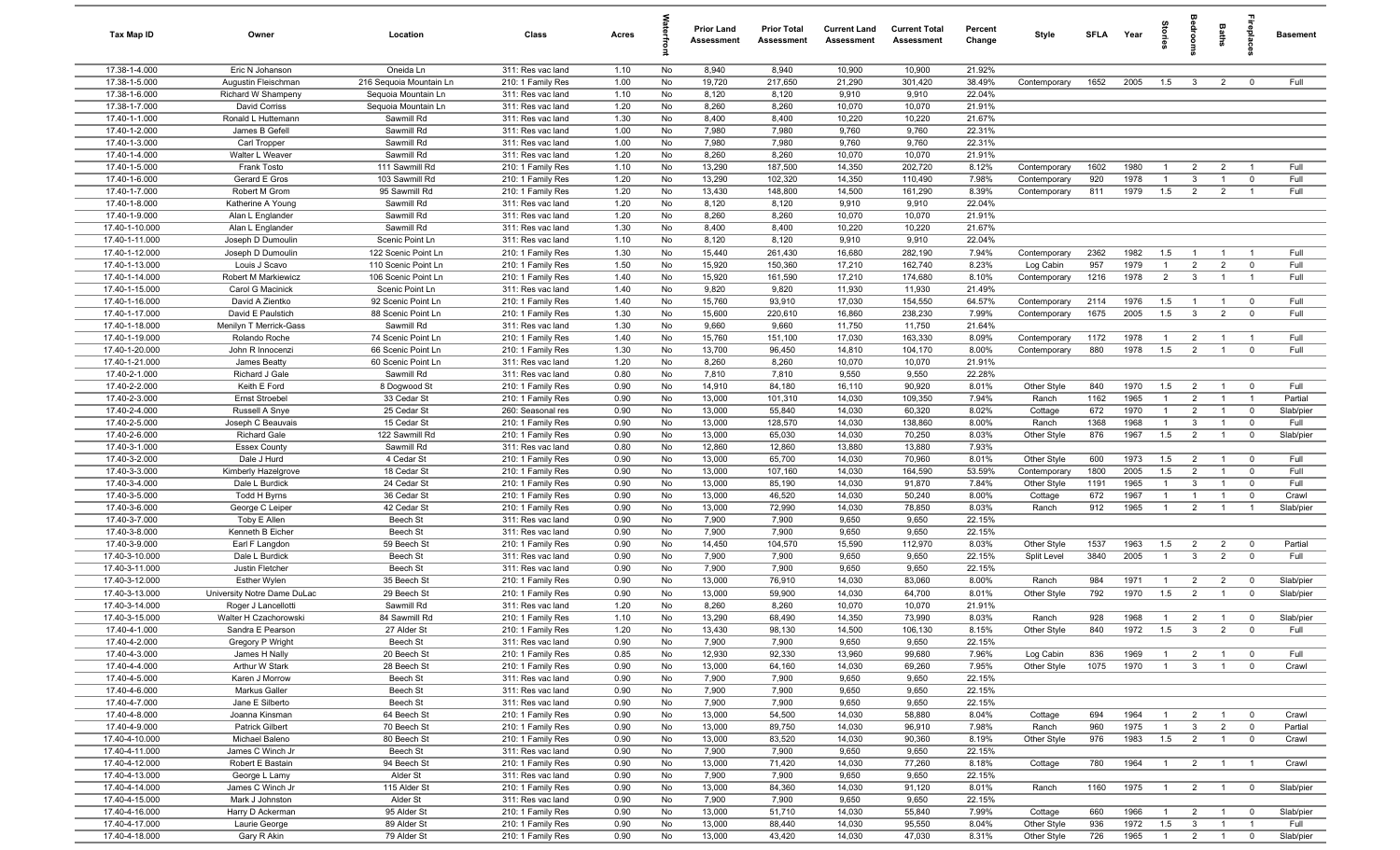| Tax Map ID                       | Owner                                 | Location                    | Class                                  | Acres        |          | <b>Prior Land</b><br>Assessment | <b>Prior Total</b><br>Assessment | <b>Current Land</b><br>Assessment | <b>Current Total</b><br>Assessment | Percent<br>Change | Style            | <b>SFLA</b> | Year         | tories                | adrooms                        | Baths                            | repla                         | <b>Basement</b> |
|----------------------------------|---------------------------------------|-----------------------------|----------------------------------------|--------------|----------|---------------------------------|----------------------------------|-----------------------------------|------------------------------------|-------------------|------------------|-------------|--------------|-----------------------|--------------------------------|----------------------------------|-------------------------------|-----------------|
| 17.38-1-4.000                    | Eric N Johanson                       | Oneida Ln                   | 311: Res vac land                      | 1.10         | No       | 8,940                           | 8,940                            | 10,900                            | 10,900                             | 21.92%            |                  |             |              |                       |                                |                                  |                               |                 |
| 17.38-1-5.000                    | Augustin Fleischman                   | 216 Sequoia Mountain Ln     | 210: 1 Family Res                      | 1.00         | No       | 19,720                          | 217,650                          | 21,290                            | 301,420                            | 38.49%            | Contemporary     | 1652        | 2005         | 1.5                   | $\mathbf{3}$                   | $\overline{2}$                   | $\mathbf 0$                   | Full            |
| 17.38-1-6.000                    | Richard W Shampeny                    | Sequoia Mountain Ln         | 311: Res vac land                      | 1.10         | No       | 8,120                           | 8,120                            | 9,910                             | 9,910                              | 22.04%            |                  |             |              |                       |                                |                                  |                               |                 |
| 17.38-1-7.000                    | David Corriss                         | Sequoia Mountain Ln         | 311: Res vac land                      | 1.20         | No       | 8,260                           | 8,260                            | 10,070                            | 10,070                             | 21.91%            |                  |             |              |                       |                                |                                  |                               |                 |
| 17.40-1-1.000                    | Ronald L Huttemann                    | Sawmill Rd                  | 311: Res vac land                      | 1.30         | No       | 8,400                           | 8,400                            | 10,220                            | 10,220                             | 21.67%            |                  |             |              |                       |                                |                                  |                               |                 |
| 17.40-1-2.000                    | James B Gefell                        | Sawmill Rd                  | 311: Res vac land                      | 1.00         | No       | 7,980                           | 7,980                            | 9,760                             | 9,760                              | 22.31%            |                  |             |              |                       |                                |                                  |                               |                 |
| 17.40-1-3.000                    | Carl Tropper                          | Sawmill Rd                  | 311: Res vac land                      | 1.00         | No       | 7,980                           | 7,980                            | 9,760                             | 9,760                              | 22.31%            |                  |             |              |                       |                                |                                  |                               |                 |
| 17.40-1-4.000                    | Walter L Weaver                       | Sawmill Rd                  | 311: Res vac land                      | 1.20         | No       | 8,260                           | 8,260                            | 10,070                            | 10,070                             | 21.91%            |                  |             |              |                       |                                |                                  |                               |                 |
| 17.40-1-5.000                    | Frank Tosto                           | 111 Sawmill Rd              | 210: 1 Family Res                      | 1.10         | No       | 13,290                          | 187,500                          | 14,350                            | 202,720                            | 8.12%             | Contemporary     | 1602        | 1980         |                       | $\overline{2}$                 | $\overline{2}$                   |                               | Full            |
| 17.40-1-6.000                    | Gerard E Gros                         | 103 Sawmill Rd              | 210: 1 Family Res                      | 1.20         | No<br>No | 13,290                          | 102,320                          | 14,350                            | 110,490                            | 7.98%             | Contemporary     | 920         | 1978         | $\overline{1}$        | $\mathbf{3}$                   | $\overline{1}$                   | $\mathbf 0$<br>$\overline{1}$ | Full<br>Full    |
| 17.40-1-7.000<br>17.40-1-8.000   | Robert M Grom                         | 95 Sawmill Rd<br>Sawmill Rd | 210: 1 Family Res                      | 1.20<br>1.20 | No       | 13,430                          | 148,800                          | 14,500<br>9,910                   | 161,290                            | 8.39%<br>22.04%   | Contemporary     | 811         | 1979         | 1.5                   | $\overline{2}$                 | $\overline{2}$                   |                               |                 |
| 17.40-1-9.000                    | Katherine A Young<br>Alan L Englander | Sawmill Rd                  | 311: Res vac land<br>311: Res vac land | 1.20         | No       | 8,120<br>8,260                  | 8,120<br>8,260                   | 10,070                            | 9,910<br>10,070                    | 21.91%            |                  |             |              |                       |                                |                                  |                               |                 |
| 17.40-1-10.000                   | Alan L Englander                      | Sawmill Rd                  | 311: Res vac land                      | 1.30         | No       | 8,400                           | 8,400                            | 10,220                            | 10,220                             | 21.67%            |                  |             |              |                       |                                |                                  |                               |                 |
| 17.40-1-11.000                   | Joseph D Dumoulin                     | Scenic Point Ln             | 311: Res vac land                      | 1.10         | No       | 8,120                           | 8,120                            | 9,910                             | 9,910                              | 22.04%            |                  |             |              |                       |                                |                                  |                               |                 |
| 17.40-1-12.000                   | Joseph D Dumoulin                     | 122 Scenic Point Ln         | 210: 1 Family Res                      | 1.30         | No       | 15,440                          | 261,430                          | 16,680                            | 282,190                            | 7.94%             | Contemporary     | 2362        | 1982         | 1.5                   | $\overline{1}$                 | $\overline{1}$                   | $\overline{1}$                | Full            |
| 17.40-1-13.000                   | Louis J Scavo                         | 110 Scenic Point Ln         | 210: 1 Family Res                      | 1.50         | No       | 15,920                          | 150,360                          | 17,210                            | 162,740                            | 8.23%             | Log Cabin        | 957         | 1979         | $\overline{1}$        | $\overline{2}$                 | $\overline{2}$                   | $\mathbf 0$                   | Full            |
| 17.40-1-14.000                   | Robert M Markiewicz                   | 106 Scenic Point Ln         | 210: 1 Family Res                      | 1.40         | No       | 15,920                          | 161,590                          | 17,210                            | 174,680                            | 8.10%             | Contemporary     | 1216        | 1978         | $\overline{2}$        | $\mathbf{3}$                   | $\overline{1}$                   | $\overline{1}$                | Full            |
| 17.40-1-15.000                   | Carol G Macinick                      | Scenic Point Ln             | 311: Res vac land                      | 1.40         | No       | 9,820                           | 9,820                            | 11,930                            | 11,930                             | 21.49%            |                  |             |              |                       |                                |                                  |                               |                 |
| 17.40-1-16.000                   | David A Zientko                       | 92 Scenic Point Ln          | 210: 1 Family Res                      | 1.40         | No       | 15,760                          | 93,910                           | 17,030                            | 154,550                            | 64.57%            | Contemporary     | 2114        | 1976         | 1.5                   | $\overline{1}$                 | $\overline{1}$                   | $\overline{\mathbf{0}}$       | Full            |
| 17.40-1-17.000                   | David E Paulstich                     | 88 Scenic Point Ln          | 210: 1 Family Res                      | 1.30         | No       | 15,600                          | 220,610                          | 16,860                            | 238,230                            | 7.99%             | Contemporary     | 1675        | 2005         | 1.5                   | $\mathbf{3}$                   | $\overline{2}$                   | $\mathbf 0$                   | Full            |
| 17.40-1-18.000                   | Menilyn T Merrick-Gass                | Sawmill Rd                  | 311: Res vac land                      | 1.30         | No       | 9,660                           | 9,660                            | 11,750                            | 11,750                             | 21.64%            |                  |             |              |                       |                                |                                  |                               |                 |
| 17.40-1-19.000                   | Rolando Roche                         | 74 Scenic Point Ln          | 210: 1 Family Res                      | 1.40         | No       | 15,760                          | 151,100                          | 17,030                            | 163,330                            | 8.09%             | Contemporary     | 1172        | 1978         | $\overline{1}$        | $\overline{2}$                 | $\overline{1}$                   | $\overline{1}$                | Full            |
| 17.40-1-20.000                   | John R Innocenzi                      | 66 Scenic Point Ln          | 210: 1 Family Res                      | 1.30         | No       | 13,700                          | 96,450                           | 14,810                            | 104,170                            | 8.00%             | Contemporary     | 880         | 1978         | 1.5                   | $\overline{2}$                 | $\overline{1}$                   | $\mathbf 0$                   | Full            |
| 17.40-1-21.000                   | James Beatty                          | 60 Scenic Point Ln          | 311: Res vac land                      | 1.20         | No       | 8,260                           | 8,260                            | 10,070                            | 10,070                             | 21.91%            |                  |             |              |                       |                                |                                  |                               |                 |
| 17.40-2-1.000                    | Richard J Gale                        | Sawmill Rd                  | 311: Res vac land                      | 0.80         | No       | 7,810                           | 7,810                            | 9,550                             | 9,550                              | 22.28%            |                  |             |              |                       |                                |                                  |                               |                 |
| 17.40-2-2.000                    | Keith E Ford                          | 8 Dogwood St                | 210: 1 Family Res                      | 0.90         | No       | 14,910                          | 84,180                           | 16,110                            | 90,920                             | 8.01%             | Other Style      | 840         | 1970         | 1.5                   | $\overline{2}$                 | $\overline{1}$                   | $\mathbf 0$                   | Full            |
| 17.40-2-3.000                    | Ernst Stroebel                        | 33 Cedar St                 | 210: 1 Family Res                      | 0.90         | No       | 13,000                          | 101,310                          | 14,030                            | 109,350                            | 7.94%             | Ranch            | 1162        | 1965         | $\overline{1}$        | $\overline{2}$                 | $\overline{1}$                   | $\overline{1}$                | Partial         |
| 17.40-2-4.000                    | Russell A Snye                        | 25 Cedar St                 | 260: Seasonal res                      | 0.90         | No       | 13,000                          | 55,840                           | 14,030                            | 60,320                             | 8.02%             | Cottage          | 672         | 1970         | $\overline{1}$        | 2                              | $\overline{1}$                   | $\mathbf 0$                   | Slab/pier       |
| 17.40-2-5.000                    | Joseph C Beauvais                     | 15 Cedar St                 | 210: 1 Family Res                      | 0.90         | No       | 13,000                          | 128,570                          | 14,030                            | 138,860                            | 8.00%             | Ranch            | 1368        | 1968         | $\overline{1}$        | $\mathbf{3}$                   | $\overline{1}$                   | $\mathbf 0$                   | Full            |
| 17.40-2-6.000                    | <b>Richard Gale</b>                   | 122 Sawmill Rd              | 210: 1 Family Res                      | 0.90         | No       | 13,000                          | 65,030                           | 14,030                            | 70,250                             | 8.03%             | Other Style      | 876         | 1967         | 1.5                   | $\overline{2}$                 | $\overline{1}$                   | $\mathbf 0$                   | Slab/pier       |
| 17.40-3-1.000                    | <b>Essex County</b>                   | Sawmill Rd                  | 311: Res vac land                      | 0.80         | No       | 12,860                          | 12,860                           | 13,880                            | 13,880                             | 7.93%             |                  |             |              |                       |                                |                                  |                               |                 |
| 17.40-3-2.000                    | Dale J Hurd                           | 4 Cedar St                  | 210: 1 Family Res                      | 0.90         | No       | 13,000                          | 65,700                           | 14,030                            | 70,960                             | 8.01%             | Other Style      | 600         | 1973         | 1.5                   | $\overline{2}$                 | $\overline{1}$                   | $\mathbf 0$                   | Full            |
| 17.40-3-3.000                    | Kimberly Hazelgrove                   | 18 Cedar St                 | 210: 1 Family Res                      | 0.90         | No       | 13,000                          | 107,160                          | 14,030                            | 164,590                            | 53.59%            | Contemporary     | 1800        | 2005         | 1.5<br>$\overline{1}$ | $\overline{2}$                 | $\overline{1}$                   | $\mathbf 0$                   | Full            |
| 17.40-3-4.000<br>17.40-3-5.000   | Dale L Burdick<br>Todd H Byrns        | 24 Cedar St<br>36 Cedar St  | 210: 1 Family Res                      | 0.90<br>0.90 | No<br>No | 13,000<br>13,000                | 85,190<br>46,520                 | 14,030<br>14,030                  | 91,870<br>50,240                   | 7.84%<br>8.00%    | Other Style      | 1191<br>672 | 1965<br>1967 | $\overline{1}$        | $\mathbf{3}$<br>$\overline{1}$ | $\overline{1}$<br>$\overline{1}$ | $\mathbf 0$<br>$\mathbf 0$    | Full<br>Crawl   |
| 17.40-3-6.000                    | George C Leiper                       | 42 Cedar St                 | 210: 1 Family Res<br>210: 1 Family Res | 0.90         | No       | 13,000                          | 72,990                           | 14,030                            | 78,850                             | 8.03%             | Cottage<br>Ranch | 912         | 1965         | $\overline{1}$        | $\overline{2}$                 | $\overline{1}$                   | $\overline{1}$                | Slab/pier       |
| 17.40-3-7.000                    | Toby E Allen                          | Beech St                    | 311: Res vac land                      | 0.90         | No       | 7,900                           | 7,900                            | 9,650                             | 9,650                              | 22.15%            |                  |             |              |                       |                                |                                  |                               |                 |
| 17.40-3-8.000                    | Kenneth B Eicher                      | Beech St                    | 311: Res vac land                      | 0.90         | No       | 7,900                           | 7,900                            | 9,650                             | 9,650                              | 22.15%            |                  |             |              |                       |                                |                                  |                               |                 |
| 17.40-3-9.000                    | Earl F Langdon                        | 59 Beech St                 | 210: 1 Family Res                      | 0.90         | No       | 14,450                          | 104,570                          | 15,590                            | 112,970                            | 8.03%             | Other Style      | 1537        | 1963         | 1.5                   | $\overline{2}$                 | $\overline{2}$                   | $\mathbf 0$                   | Partial         |
| 17.40-3-10.000                   | Dale L Burdick                        | Beech St                    | 311: Res vac land                      | 0.90         | No       | 7,900                           | 7,900                            | 9,650                             | 9,650                              | 22.15%            | Split Level      | 3840        | 2005         | $\overline{1}$        | $\mathbf{3}$                   | $\overline{2}$                   | $\overline{\mathbf{0}}$       | Full            |
| 17.40-3-11.000                   | Justin Fletcher                       | Beech St                    | 311: Res vac land                      | 0.90         | No       | 7,900                           | 7,900                            | 9,650                             | 9,650                              | 22.15%            |                  |             |              |                       |                                |                                  |                               |                 |
| 17.40-3-12.000                   | <b>Esther Wylen</b>                   | 35 Beech St                 | 210: 1 Family Res                      | 0.90         | No       | 13,000                          | 76,910                           | 14,030                            | 83,060                             | 8.00%             | Ranch            | 984         | 1971         | $\overline{1}$        | $\overline{2}$                 | $\overline{2}$                   | $\mathbf 0$                   | Slab/pier       |
| 17.40-3-13.000                   | University Notre Dame DuLac           | 29 Beech St                 | 210: 1 Family Res                      | 0.90         | No       | 13,000                          | 59,900                           | 14,030                            | 64,700                             | 8.01%             | Other Style      | 792         | 1970         | 1.5                   | $\overline{2}$                 | $\overline{1}$                   | $\mathbf 0$                   | Slab/pier       |
| 17.40-3-14.000                   | Roger J Lancellotti                   | Sawmill Rd                  | 311: Res vac land                      | 1.20         | No       | 8,260                           | 8,260                            | 10,070                            | 10,070                             | 21.91%            |                  |             |              |                       |                                |                                  |                               |                 |
| 17.40-3-15.000                   | Walter H Czachorowski                 | 84 Sawmill Rd               | 210: 1 Family Res                      | 1.10         | No       | 13,290                          | 68,490                           | 14,350                            | 73,990                             | 8.03%             | Ranch            | 928         | 1968         | $\overline{1}$        | $\overline{2}$                 | $\overline{1}$                   | $\mathbf 0$                   | Slab/pier       |
| 17.40-4-1.000                    | Sandra E Pearson                      | 27 Alder St                 | 210: 1 Family Res                      | 1.20         | No       | 13,430                          | 98,130                           | 14,500                            | 106,130                            | 8.15%             | Other Style      | 840         | 1972         | 1.5                   | 3                              |                                  |                               | Full            |
| 17.40-4-2.000                    | Gregory P Wright                      | Beech St                    | 311: Res vac land                      | 0.90         | No       | 7,900                           | 7,900                            | 9,650                             | 9,650                              | 22.15%            |                  |             |              |                       |                                |                                  |                               |                 |
| 17.40-4-3.000                    | James H Nally                         | 20 Beech St                 | 210: 1 Family Res                      | 0.85         | No       | 12,930                          | 92,330                           | 13,960                            | 99,680                             | 7.96%             | Log Cabin        | 836         | 1969         | $\overline{1}$        | $\overline{2}$                 | $\overline{1}$                   | $\overline{0}$                | Full            |
| 17.40-4-4.000                    | Arthur W Stark                        | 28 Beech St                 | 210: 1 Family Res                      | 0.90         | No       | 13,000                          | 64,160                           | 14,030                            | 69,260                             | 7.95%             | Other Style      | 1075        | 1970         | $\overline{1}$        | $\mathbf{3}$                   | $\overline{1}$                   | $\mathbf 0$                   | Crawl           |
| 17.40-4-5.000                    | Karen J Morrow                        | Beech St                    | 311: Res vac land                      | 0.90         | No       | 7,900                           | 7,900                            | 9,650                             | 9,650                              | 22.15%            |                  |             |              |                       |                                |                                  |                               |                 |
| 17.40-4-6.000                    | Markus Galler                         | Beech St                    | 311: Res vac land                      | 0.90         | No       | 7,900                           | 7,900                            | 9,650                             | 9,650                              | 22.15%            |                  |             |              |                       |                                |                                  |                               |                 |
| 17.40-4-7.000                    | Jane E Silberto                       | Beech St                    | 311: Res vac land                      | 0.90         | No       | 7,900                           | 7,900                            | 9,650                             | 9,650                              | 22.15%            |                  |             |              |                       |                                |                                  |                               |                 |
| 17.40-4-8.000                    | Joanna Kinsman                        | 64 Beech St                 | 210: 1 Family Res                      | 0.90         | No       | 13,000                          | 54,500                           | 14,030                            | 58,880                             | 8.04%             | Cottage          | 694         | 1964         | $\overline{1}$        | $\overline{2}$                 | $\overline{1}$                   | $\overline{0}$                | Crawl           |
| 17.40-4-9.000                    | Patrick Gilbert                       | 70 Beech St                 | 210: 1 Family Res                      | 0.90         | No       | 13,000                          | 89,750                           | 14,030                            | 96,910                             | 7.98%             | Ranch            | 960         | 1975         | $\overline{1}$        | $\mathbf{3}$                   | $\overline{2}$                   | $\overline{0}$                | Partial         |
| 17.40-4-10.000                   | Michael Baleno                        | 80 Beech St                 | 210: 1 Family Res                      | 0.90<br>0.90 | No       | 13,000<br>7,900                 | 83,520<br>7,900                  | 14,030<br>9,650                   | 90,360<br>9,650                    | 8.19%<br>22.15%   | Other Style      | 976         | 1983         | 1.5                   | $\overline{2}$                 | $\overline{1}$                   | $\mathbf 0$                   | Crawl           |
| 17.40-4-11.000<br>17.40-4-12.000 | James C Winch Jr<br>Robert E Bastain  | Beech St<br>94 Beech St     | 311: Res vac land<br>210: 1 Family Res | 0.90         | No<br>No | 13,000                          | 71,420                           | 14,030                            | 77,260                             | 8.18%             | Cottage          | 780         | 1964         | $\overline{1}$        | $\overline{2}$                 | $\overline{1}$                   |                               | Crawl           |
| 17.40-4-13.000                   | George L Lamy                         | Alder St                    | 311: Res vac land                      | 0.90         | No       | 7,900                           | 7,900                            | 9,650                             | 9,650                              | 22.15%            |                  |             |              |                       |                                |                                  |                               |                 |
| 17.40-4-14.000                   | James C Winch Jr                      | 115 Alder St                | 210: 1 Family Res                      | 0.90         | No       | 13,000                          | 84,360                           | 14,030                            | 91,120                             | 8.01%             | Ranch            | 1160        | 1975         | $\overline{1}$        | $\overline{2}$                 | $\overline{1}$                   | $\overline{\mathbf{0}}$       | Slab/pier       |
| 17.40-4-15.000                   | Mark J Johnston                       | Alder St                    | 311: Res vac land                      | 0.90         | No       | 7,900                           | 7,900                            | 9,650                             | 9,650                              | 22.15%            |                  |             |              |                       |                                |                                  |                               |                 |
| 17.40-4-16.000                   | Harry D Ackerman                      | 95 Alder St                 | 210: 1 Family Res                      | 0.90         | No       | 13,000                          | 51,710                           | 14,030                            | 55,840                             | 7.99%             | Cottage          | 660         | 1966         | $\overline{1}$        | $\overline{2}$                 | $\overline{1}$                   | $\overline{0}$                | Slab/pier       |
| 17.40-4-17.000                   | Laurie George                         | 89 Alder St                 | 210: 1 Family Res                      | 0.90         | No       | 13,000                          | 88,440                           | 14,030                            | 95,550                             | 8.04%             | Other Style      | 936         | 1972         | 1.5                   | $\mathbf{3}$                   | $\overline{1}$                   | $\overline{1}$                | Full            |
| 17.40-4-18.000                   | Gary R Akin                           | 79 Alder St                 | 210: 1 Family Res                      | 0.90         | No       | 13,000                          | 43,420                           | 14,030                            | 47,030                             | 8.31%             | Other Style      | 726         | 1965         | $\overline{1}$        | $\overline{2}$                 | $\overline{1}$                   | $\mathbf 0$                   | Slab/pier       |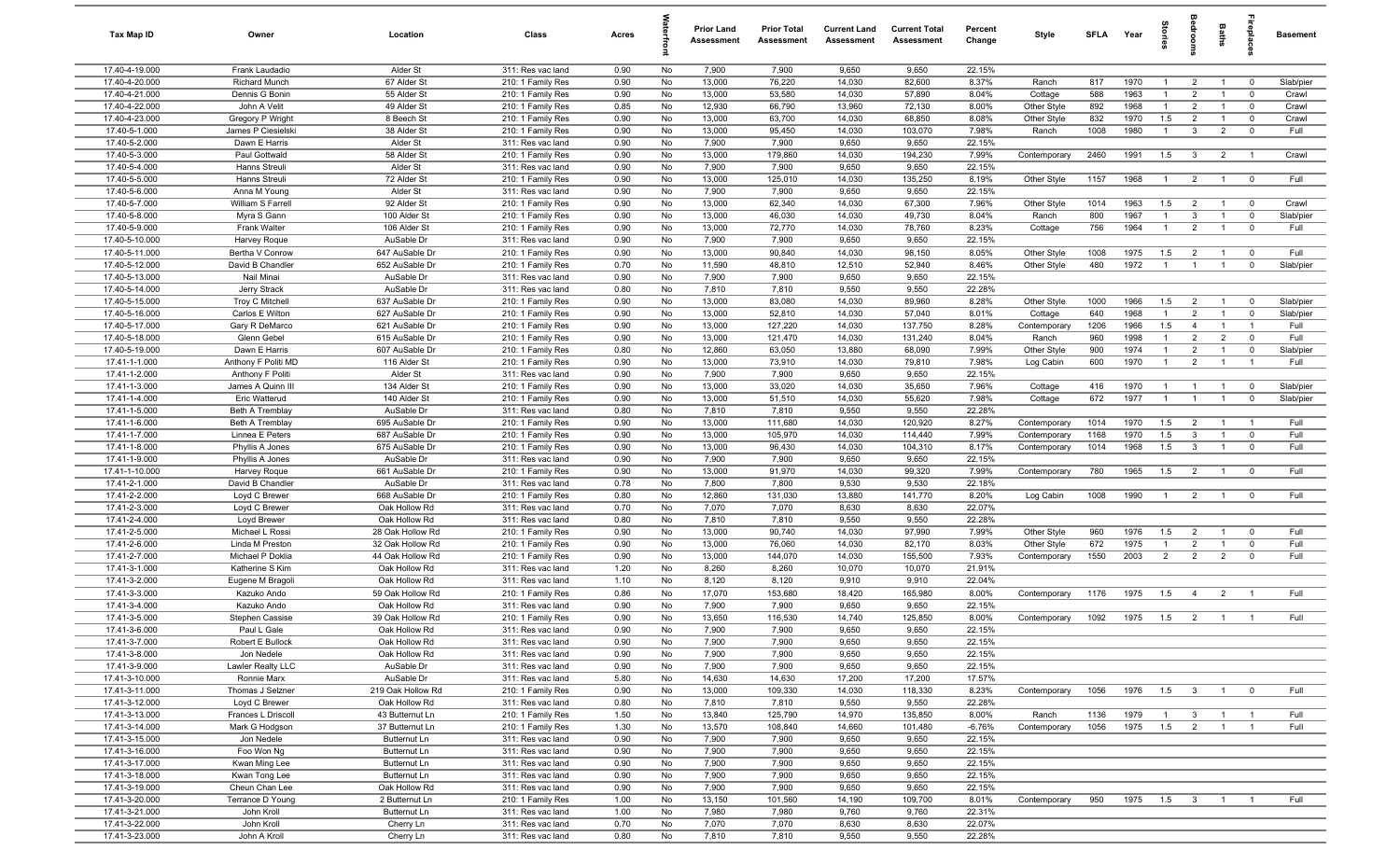| Tax Map ID                       | Owner                               | Location                          | Class                                  | Acres        |          | <b>Prior Land</b><br>Assessment | <b>Prior Total</b><br>Assessment | <b>Current Land</b><br>Assessment | <b>Current Total</b><br>Assessment | Percent<br>Change | Style                   | SFLA        | Year         | tories                | groon                            | Baths                            | <u>ep</u> la                  | <b>Basement</b>    |
|----------------------------------|-------------------------------------|-----------------------------------|----------------------------------------|--------------|----------|---------------------------------|----------------------------------|-----------------------------------|------------------------------------|-------------------|-------------------------|-------------|--------------|-----------------------|----------------------------------|----------------------------------|-------------------------------|--------------------|
| 17.40-4-19.000                   | Frank Laudadio                      | Alder St                          | 311: Res vac land                      | 0.90         | No       | 7,900                           | 7,900                            | 9,650                             | 9,650                              | 22.15%            |                         |             |              |                       |                                  |                                  |                               |                    |
| 17.40-4-20.000                   | <b>Richard Munch</b>                | 67 Alder St                       | 210: 1 Family Res                      | 0.90         | No       | 13,000                          | 76,220                           | 14,030                            | 82,600                             | 8.37%             | Ranch                   | 817         | 1970         | -1                    | $\overline{2}$                   |                                  | $^{\circ}$                    | Slab/pier          |
| 17.40-4-21.000<br>17.40-4-22.000 | Dennis G Bonin<br>John A Velit      | 55 Alder St<br>49 Alder St        | 210: 1 Family Res<br>210: 1 Family Res | 0.90<br>0.85 | No<br>No | 13,000<br>12,930                | 53,580<br>66,790                 | 14,030<br>13,960                  | 57,890<br>72,130                   | 8.04%<br>8.00%    | Cottage<br>Other Style  | 588<br>892  | 1963<br>1968 | 1<br>$\mathbf{1}$     | $\overline{2}$<br>$\overline{2}$ |                                  | $\mathbf 0$<br>$\mathbf 0$    | Crawl<br>Crawl     |
| 17.40-4-23.000                   | Gregory P Wright                    | 8 Beech St                        | 210: 1 Family Res                      | 0.90         | No       | 13,000                          | 63,700                           | 14,030                            | 68,850                             | 8.08%             | Other Style             | 832         | 1970         | 1.5                   | $\overline{2}$                   | $\overline{1}$                   | $\mathbf 0$                   | Crawl              |
| 17.40-5-1.000                    | James P Ciesielski                  | 38 Alder St                       | 210: 1 Family Res                      | 0.90         | No       | 13,000                          | 95,450                           | 14,030                            | 103,070                            | 7.98%             | Ranch                   | 1008        | 1980         | $\overline{1}$        | $\mathbf{3}$                     | $\overline{2}$                   | $\mathbf 0$                   | Full               |
| 17.40-5-2.000                    | Dawn E Harris                       | Alder St                          | 311: Res vac land                      | 0.90         | No       | 7,900                           | 7,900                            | 9,650                             | 9,650                              | 22.15%            |                         |             |              |                       |                                  |                                  |                               |                    |
| 17.40-5-3.000                    | Paul Gottwald                       | 58 Alder St                       | 210: 1 Family Res                      | 0.90         | No       | 13,000                          | 179,860                          | 14,030                            | 194,230                            | 7.99%             | Contemporary            | 2460        | 1991         | 1.5                   | $\mathbf{3}$                     | $\overline{2}$                   | $\overline{1}$                | Crawl              |
| 17.40-5-4.000                    | Hanns Streuli                       | Alder St                          | 311: Res vac land                      | 0.90         | No       | 7,900                           | 7,900                            | 9,650                             | 9,650                              | 22.15%            |                         |             |              |                       |                                  |                                  |                               |                    |
| 17.40-5-5.000                    | Hanns Streuli                       | 72 Alder St                       | 210: 1 Family Res                      | 0.90         | No       | 13,000                          | 125,010                          | 14,030                            | 135,250                            | 8.19%             | Other Style             | 1157        | 1968         | $\overline{1}$        | $\overline{2}$                   | $\overline{1}$                   | $\mathbf 0$                   | Full               |
| 17.40-5-6.000                    | Anna M Young                        | Alder St                          | 311: Res vac land                      | 0.90         | No       | 7,900                           | 7,900                            | 9,650                             | 9,650                              | 22.15%            |                         |             |              |                       |                                  |                                  |                               |                    |
| 17.40-5-7.000<br>17.40-5-8.000   | William S Farrell<br>Myra S Gann    | 92 Alder St<br>100 Alder St       | 210: 1 Family Res<br>210: 1 Family Res | 0.90<br>0.90 | No<br>No | 13,000<br>13,000                | 62,340<br>46,030                 | 14,030<br>14,030                  | 67,300<br>49,730                   | 7.96%<br>8.04%    | Other Style<br>Ranch    | 1014<br>800 | 1963<br>1967 | 1.5<br>$\mathbf{1}$   | $\overline{2}$<br>$\mathbf{3}$   | $\mathbf{1}$<br>$\overline{1}$   | $\overline{0}$<br>$\mathbf 0$ | Crawl<br>Slab/pier |
| 17.40-5-9.000                    | Frank Walter                        | 106 Alder St                      | 210: 1 Family Res                      | 0.90         | No       | 13,000                          | 72,770                           | 14,030                            | 78,760                             | 8.23%             | Cottage                 | 756         | 1964         | $\mathbf{1}$          | $\overline{2}$                   | $\mathbf{1}$                     | $^{\circ}$                    | Full               |
| 17.40-5-10.000                   | Harvey Roque                        | AuSable Dr                        | 311: Res vac land                      | 0.90         | No       | 7,900                           | 7,900                            | 9,650                             | 9,650                              | 22.15%            |                         |             |              |                       |                                  |                                  |                               |                    |
| 17.40-5-11.000                   | Bertha V Conrow                     | 647 AuSable Dr                    | 210: 1 Family Res                      | 0.90         | No       | 13,000                          | 90,840                           | 14,030                            | 98,150                             | 8.05%             | Other Style             | 1008        | 1975         | 1.5                   | $\overline{2}$                   | $\overline{1}$                   | $^{\circ}$                    | Full               |
| 17.40-5-12.000                   | David B Chandler                    | 652 AuSable Dr                    | 210: 1 Family Res                      | 0.70         | No       | 11,590                          | 48,810                           | 12,510                            | 52,940                             | 8.46%             | Other Style             | 480         | 1972         | $\overline{1}$        | $\overline{1}$                   | $\overline{1}$                   | $\mathbf 0$                   | Slab/pier          |
| 17.40-5-13.000                   | Nail Minai                          | AuSable Dr                        | 311: Res vac land                      | 0.90         | No       | 7,900                           | 7,900                            | 9,650                             | 9,650                              | 22.15%            |                         |             |              |                       |                                  |                                  |                               |                    |
| 17.40-5-14.000                   | Jerry Strack                        | AuSable Dr                        | 311: Res vac land                      | 0.80         | No       | 7,810                           | 7,810                            | 9,550                             | 9,550                              | 22.28%            |                         |             |              |                       |                                  |                                  |                               |                    |
| 17.40-5-15.000<br>17.40-5-16.000 | <b>Troy C Mitchell</b>              | 637 AuSable Dr                    | 210: 1 Family Res                      | 0.90         | No       | 13,000                          | 83,080                           | 14,030                            | 89,960                             | 8.28%             | Other Style             | 1000        | 1966<br>1968 | 1.5                   | $\overline{2}$                   | $\overline{1}$<br>$\overline{1}$ | $^{\circ}$                    | Slab/pier          |
| 17.40-5-17.000                   | Carlos E Wilton<br>Gary R DeMarco   | 627 AuSable Dr<br>621 AuSable Dr  | 210: 1 Family Res<br>210: 1 Family Res | 0.90<br>0.90 | No<br>No | 13,000<br>13,000                | 52,810<br>127,220                | 14,030<br>14,030                  | 57,040<br>137,750                  | 8.01%<br>8.28%    | Cottage<br>Contemporary | 640<br>1206 | 1966         | $\overline{1}$<br>1.5 | $\overline{2}$<br>$\overline{4}$ | $\overline{1}$                   | $^{\circ}$<br>$\overline{1}$  | Slab/pier<br>Full  |
| 17.40-5-18.000                   | Glenn Gebel                         | 615 AuSable Dr                    | 210: 1 Family Res                      | 0.90         | No       | 13,000                          | 121,470                          | 14,030                            | 131,240                            | 8.04%             | Ranch                   | 960         | 1998         | $\overline{1}$        | 2                                | $\overline{2}$                   | $\mathbf 0$                   | Full               |
| 17.40-5-19.000                   | Dawn E Harris                       | 607 AuSable Dr                    | 210: 1 Family Res                      | 0.80         | No       | 12,860                          | 63,050                           | 13,880                            | 68,090                             | 7.99%             | Other Style             | 900         | 1974         | $\overline{1}$        | $\overline{2}$                   | $\overline{1}$                   | $\mathbf 0$                   | Slab/pier          |
| 17.41-1-1.000                    | Anthony F Politi MD                 | 116 Alder St                      | 210: 1 Family Res                      | 0.90         | No       | 13,000                          | 73,910                           | 14,030                            | 79,810                             | 7.98%             | Log Cabin               | 600         | 1970         | $\overline{1}$        | $\overline{2}$                   | $\overline{1}$                   | $\overline{1}$                | Full               |
| 17.41-1-2.000                    | Anthony F Politi                    | Alder St                          | 311: Res vac land                      | 0.90         | No       | 7,900                           | 7,900                            | 9,650                             | 9,650                              | 22.15%            |                         |             |              |                       |                                  |                                  |                               |                    |
| 17.41-1-3.000                    | James A Quinn II                    | 134 Alder St                      | 210: 1 Family Res                      | 0.90         | No       | 13,000                          | 33,020                           | 14,030                            | 35,650                             | 7.96%             | Cottage                 | 416         | 1970         | $\mathbf{1}$          | $\overline{1}$                   | $\overline{1}$                   | $^{\circ}$                    | Slab/pier          |
| 17.41-1-4.000                    | Eric Watterud                       | 140 Alder St                      | 210: 1 Family Res                      | 0.90         | No       | 13,000                          | 51,510                           | 14,030                            | 55,620                             | 7.98%             | Cottage                 | 672         | 1977         | $\mathbf{1}$          | $\overline{1}$                   | $\overline{1}$                   | $\mathbf 0$                   | Slab/pier          |
| 17.41-1-5.000<br>17.41-1-6.000   | Beth A Tremblay<br>Beth A Tremblay  | AuSable Dr<br>695 AuSable Dr      | 311: Res vac land<br>210: 1 Family Res | 0.80<br>0.90 | No<br>No | 7,810<br>13,000                 | 7,810<br>111,680                 | 9,550<br>14,030                   | 9,550<br>120,920                   | 22.28%<br>8.27%   | Contemporary            | 1014        | 1970         | 1.5                   | $\overline{2}$                   | $\overline{1}$                   | $\overline{1}$                | Full               |
| 17.41-1-7.000                    | Linnea E Peters                     | 687 AuSable Dr                    | 210: 1 Family Res                      | 0.90         | No       | 13,000                          | 105,970                          | 14,030                            | 114,440                            | 7.99%             | Contemporary            | 1168        | 1970         | 1.5                   | $\mathbf{3}$                     | $\overline{1}$                   | $\mathbf 0$                   | Full               |
| 17.41-1-8.000                    | Phyllis A Jones                     | 675 AuSable Dr                    | 210: 1 Family Res                      | 0.90         | No       | 13,000                          | 96,430                           | 14,030                            | 104,310                            | 8.17%             | Contemporary            | 1014        | 1968         | 1.5                   | $\overline{3}$                   | $\overline{1}$                   | $^{\circ}$                    | Full               |
| 17.41-1-9.000                    | Phyllis A Jones                     | AuSable Dr                        | 311: Res vac land                      | 0.90         | No       | 7,900                           | 7,900                            | 9,650                             | 9,650                              | 22.15%            |                         |             |              |                       |                                  |                                  |                               |                    |
| 17.41-1-10.000                   | Harvey Roque                        | 661 AuSable Dr                    | 210: 1 Family Res                      | 0.90         | No       | 13,000                          | 91,970                           | 14,030                            | 99,320                             | 7.99%             | Contemporary            | 780         | 1965         | 1.5                   | $\overline{2}$                   | $\overline{1}$                   | $\overline{0}$                | Full               |
| 17.41-2-1.000                    | David B Chandler                    | AuSable Dr                        | 311: Res vac land                      | 0.78         | No       | 7,800                           | 7,800                            | 9,530                             | 9,530                              | 22.18%            |                         |             |              |                       |                                  |                                  |                               |                    |
| 17.41-2-2.000<br>17.41-2-3.000   | Loyd C Brewer                       | 668 AuSable Dr                    | 210: 1 Family Res                      | 0.80         | No<br>No | 12,860                          | 131,030                          | 13,880                            | 141,770                            | 8.20%<br>22.07%   | Log Cabin               | 1008        | 1990         | $\overline{1}$        | $\overline{2}$                   | $\overline{1}$                   | $\mathbf 0$                   | Full               |
| 17.41-2-4.000                    | Loyd C Brewer<br>Loyd Brewer        | Oak Hollow Rd<br>Oak Hollow Rd    | 311: Res vac land<br>311: Res vac land | 0.70<br>0.80 | No       | 7,070<br>7,810                  | 7,070<br>7,810                   | 8,630<br>9,550                    | 8,630<br>9,550                     | 22.28%            |                         |             |              |                       |                                  |                                  |                               |                    |
| 17.41-2-5.000                    | Michael L Rossi                     | 28 Oak Hollow Rd                  | 210: 1 Family Res                      | 0.90         | No       | 13,000                          | 90,740                           | 14,030                            | 97,990                             | 7.99%             | Other Style             | 960         | 1976         | 1.5                   | $\overline{2}$                   |                                  | $^{\circ}$                    | Full               |
| 17.41-2-6.000                    | Linda M Preston                     | 32 Oak Hollow Rd                  | 210: 1 Family Res                      | 0.90         | No       | 13,000                          | 76,060                           | 14,030                            | 82,170                             | 8.03%             | Other Style             | 672         | 1975         | -1                    | $\overline{2}$                   |                                  | $\mathbf 0$                   | Full               |
| 17.41-2-7.000                    | Michael P Doklia                    | 44 Oak Hollow Rd                  | 210: 1 Family Res                      | 0.90         | No       | 13,000                          | 144,070                          | 14,030                            | 155,500                            | 7.93%             | Contemporary            | 1550        | 2003         | 2                     | $\overline{2}$                   | $\overline{2}$                   | $\Omega$                      | Full               |
| 17.41-3-1.000                    | Katherine S Kim                     | Oak Hollow Rd                     | 311: Res vac land                      | 1.20         | No       | 8,260                           | 8,260                            | 10,070                            | 10,070                             | 21.91%            |                         |             |              |                       |                                  |                                  |                               |                    |
| 17.41-3-2.000                    | Eugene M Bragoli                    | Oak Hollow Rd                     | 311: Res vac land                      | 1.10         | No       | 8,120                           | 8,120                            | 9,910                             | 9,910                              | 22.04%            |                         |             |              |                       |                                  |                                  |                               |                    |
| 17.41-3-3.000<br>17.41-3-4.000   | Kazuko Ando<br>Kazuko Ando          | 59 Oak Hollow Rd<br>Oak Hollow Rd | 210: 1 Family Res<br>311: Res vac land | 0.86<br>0.90 | No<br>No | 17,070<br>7,900                 | 153,680<br>7,900                 | 18,420<br>9,650                   | 165,980<br>9,650                   | 8.00%<br>22.15%   | Contemporary            | 1176        | 1975         | 1.5                   | $\overline{4}$                   | $\overline{2}$                   |                               | Full               |
| 17.41-3-5.000                    | Stephen Cassise                     | 39 Oak Hollow Rd                  | 210: 1 Family Res                      | 0.90         | No       | 13,650                          | 116,530                          | 14,740                            | 125,850                            | 8.00%             | Contemporary            | 1092        | 1975         | 1.5                   | $\overline{2}$                   | $\overline{1}$                   |                               | Full               |
| 17.41-3-6.000                    | Paul L Gale                         | Oak Hollow Rd                     | 311: Res vac land                      | 0.90         | No       | 7.900                           | 7,900                            | 9.650                             | 9,650                              | 22.15%            |                         |             |              |                       |                                  |                                  |                               |                    |
| 17.41-3-7.000                    | Robert E Bullock                    | Oak Hollow Rd                     | 311: Res vac land                      | 0.90         | No       | 7,900                           | 7,900                            | 9,650                             | 9,650                              | 22.15%            |                         |             |              |                       |                                  |                                  |                               |                    |
| 17.41-3-8.000                    | Jon Nedele                          | Oak Hollow Rd                     | 311: Res vac land                      | 0.90         | No       | 7,900                           | 7,900                            | 9,650                             | 9,650                              | 22.15%            |                         |             |              |                       |                                  |                                  |                               |                    |
| 17.41-3-9.000                    | Lawler Realty LLC                   | AuSable Dr                        | 311: Res vac land                      | 0.90         | No       | 7,900                           | 7,900                            | 9,650                             | 9,650                              | 22.15%            |                         |             |              |                       |                                  |                                  |                               |                    |
| 17.41-3-10.000                   | Ronnie Marx                         | AuSable Dr                        | 311: Res vac land                      | 5.80         | No       | 14,630                          | 14,630                           | 17,200                            | 17,200                             | 17.57%            |                         |             |              |                       |                                  |                                  |                               |                    |
| 17.41-3-11.000<br>17.41-3-12.000 | Thomas J Selzner                    | 219 Oak Hollow Rd                 | 210: 1 Family Res<br>311: Res vac land | 0.90<br>0.80 | No<br>No | 13,000<br>7,810                 | 109,330                          | 14,030<br>9,550                   | 118,330<br>9,550                   | 8.23%<br>22.28%   | Contemporary            | 1056        | 1976         | 1.5                   | $\overline{\mathbf{3}}$          | $\overline{1}$                   | $\overline{\mathbf{0}}$       | Full               |
| 17.41-3-13.000                   | Loyd C Brewer<br>Frances L Driscoll | Oak Hollow Rd<br>43 Butternut Ln  | 210: 1 Family Res                      | 1.50         | No       | 13,840                          | 7,810<br>125,790                 | 14,970                            | 135,850                            | 8.00%             | Ranch                   | 1136        | 1979         | $\overline{1}$        | $\mathbf{3}$                     | $\overline{1}$                   | $\overline{1}$                | Full               |
| 17.41-3-14.000                   | Mark G Hodgson                      | 37 Butternut Ln                   | 210: 1 Family Res                      | 1.30         | No       | 13,570                          | 108,840                          | 14,660                            | 101,480                            | $-6.76%$          | Contemporary            | 1056        | 1975         | 1.5                   | $\overline{2}$                   | $\overline{1}$                   | $\overline{1}$                | Full               |
| 17.41-3-15.000                   | Jon Nedele                          | Butternut Ln                      | 311: Res vac land                      | 0.90         | No       | 7,900                           | 7,900                            | 9,650                             | 9,650                              | 22.15%            |                         |             |              |                       |                                  |                                  |                               |                    |
| 17.41-3-16.000                   | Foo Won Ng                          | Butternut Ln                      | 311: Res vac land                      | 0.90         | No       | 7,900                           | 7,900                            | 9,650                             | 9,650                              | 22.15%            |                         |             |              |                       |                                  |                                  |                               |                    |
| 17.41-3-17.000                   | Kwan Ming Lee                       | Butternut Ln                      | 311: Res vac land                      | 0.90         | No       | 7,900                           | 7,900                            | 9,650                             | 9,650                              | 22.15%            |                         |             |              |                       |                                  |                                  |                               |                    |
| 17.41-3-18.000                   | Kwan Tong Lee                       | Butternut Ln                      | 311: Res vac land                      | 0.90         | No       | 7,900                           | 7,900                            | 9,650                             | 9,650                              | 22.15%            |                         |             |              |                       |                                  |                                  |                               |                    |
| 17.41-3-19.000                   | Cheun Chan Lee                      | Oak Hollow Rd                     | 311: Res vac land                      | 0.90         | No       | 7,900                           | 7,900                            | 9,650                             | 9,650                              | 22.15%            |                         |             |              |                       |                                  |                                  |                               |                    |
| 17.41-3-20.000<br>17.41-3-21.000 | Terrance D Young<br>John Kroll      | 2 Butternut Ln<br>Butternut Ln    | 210: 1 Family Res<br>311: Res vac land | 1.00<br>1.00 | No<br>No | 13,150<br>7,980                 | 101,560<br>7,980                 | 14,190<br>9,760                   | 109,700<br>9,760                   | 8.01%<br>22.31%   | Contemporary            | 950         | 1975  1.5  3 |                       |                                  | $\overline{1}$                   |                               | Full               |
| 17.41-3-22.000                   | John Kroll                          | Cherry Ln                         | 311: Res vac land                      | 0.70         | No       | 7,070                           | 7,070                            | 8,630                             | 8,630                              | 22.07%            |                         |             |              |                       |                                  |                                  |                               |                    |
| 17.41-3-23.000                   | John A Kroll                        | Cherry Ln                         | 311: Res vac land                      | 0.80         | No       | 7,810                           | 7,810                            | 9,550                             | 9,550                              | 22.28%            |                         |             |              |                       |                                  |                                  |                               |                    |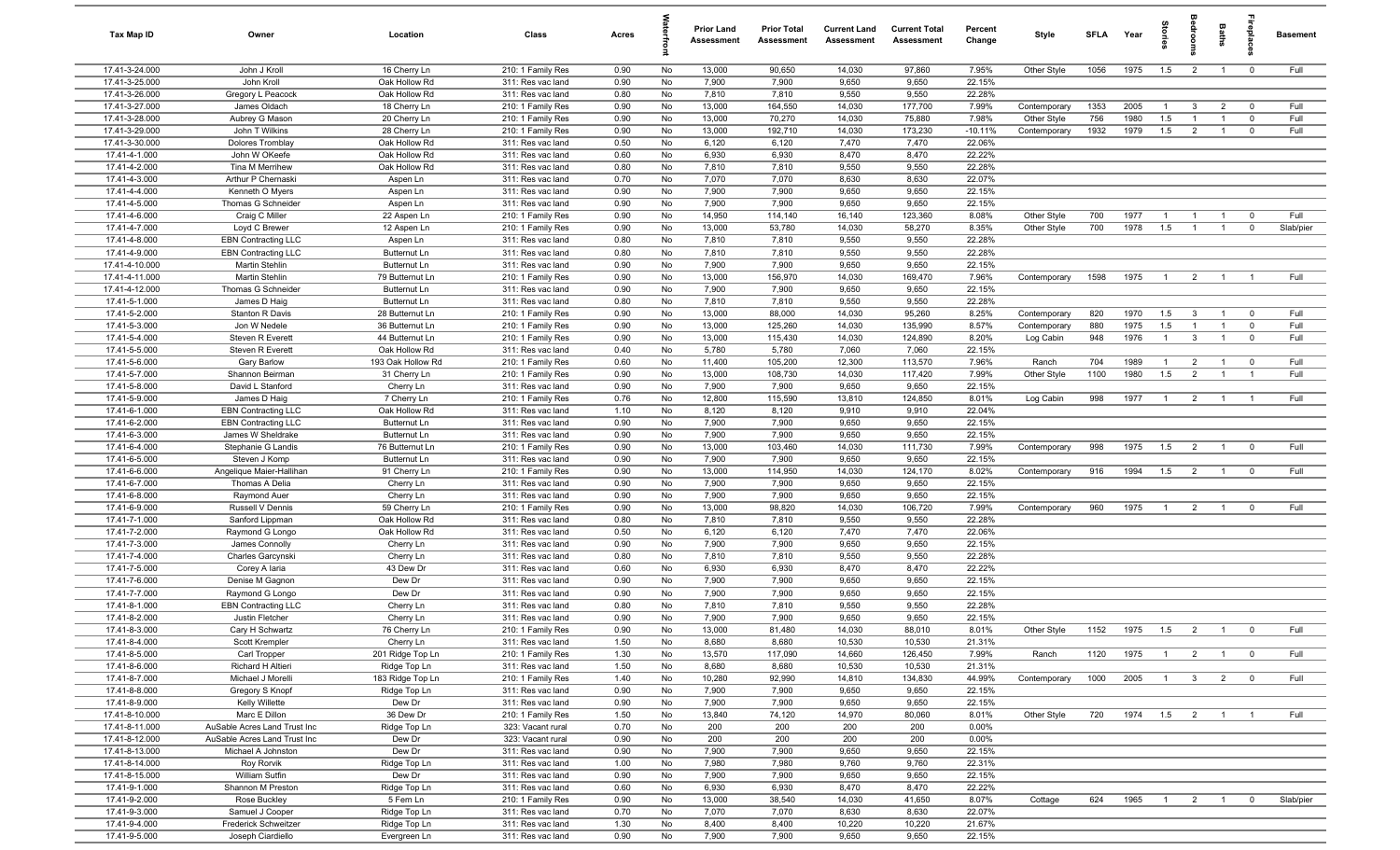| Tax Map ID                       | Owner                                              | Location                               | Class                                  | Acres        |          | <b>Prior Land</b><br>Assessment | <b>Prior Total</b><br>Assessment | <b>Current Land</b><br>Assessment | <b>Current Total</b><br>Assessment | Percent<br>Change  | Style                       | <b>SFLA</b> | Year         | <b>Stories</b> | droom                            | Baths          | epla                     | <b>Basement</b> |
|----------------------------------|----------------------------------------------------|----------------------------------------|----------------------------------------|--------------|----------|---------------------------------|----------------------------------|-----------------------------------|------------------------------------|--------------------|-----------------------------|-------------|--------------|----------------|----------------------------------|----------------|--------------------------|-----------------|
| 17.41-3-24.000                   | John J Kroll                                       | 16 Cherry Ln                           | 210: 1 Family Res                      | 0.90         | No       | 13,000                          | 90,650                           | 14,030                            | 97,860                             | 7.95%              | Other Style                 | 1056        | 1975         | 1.5            | $\overline{2}$                   | $\overline{1}$ | $\mathbf 0$              | Full            |
| 17.41-3-25.000                   | John Kroll                                         | Oak Hollow Rd                          | 311: Res vac land                      | 0.90         | No       | 7,900                           | 7,900                            | 9,650                             | 9,650                              | 22.15%             |                             |             |              |                |                                  |                |                          |                 |
| 17.41-3-26.000                   | Gregory L Peacock                                  | Oak Hollow Rd                          | 311: Res vac land                      | 0.80         | No       | 7,810                           | 7,810                            | 9,550                             | 9,550                              | 22.28%             |                             |             |              |                |                                  |                |                          |                 |
| 17.41-3-27.000                   | James Oldach                                       | 18 Cherry Ln                           | 210: 1 Family Res                      | 0.90         | No       | 13,000                          | 164,550                          | 14,030                            | 177,700                            | 7.99%              | Contemporary                | 1353        | 2005         | $\overline{1}$ | 3                                | $\overline{2}$ | $^{\circ}$               | Full            |
| 17.41-3-28.000<br>17.41-3-29.000 | Aubrey G Mason<br>John T Wilkins                   | 20 Cherry Ln<br>28 Cherry Ln           | 210: 1 Family Res<br>210: 1 Family Res | 0.90<br>0.90 | No<br>No | 13,000<br>13,000                | 70,270<br>192,710                | 14,030<br>14,030                  | 75,880<br>173,230                  | 7.98%<br>$-10.11%$ | Other Style<br>Contemporary | 756<br>1932 | 1980<br>1979 | 1.5<br>1.5     | $\overline{1}$<br>$\overline{2}$ |                | $^{\circ}$<br>$^{\circ}$ | Full<br>Full    |
| 17.41-3-30.000                   | Dolores Tromblay                                   | Oak Hollow Rd                          | 311: Res vac land                      | 0.50         | No       | 6,120                           | 6,120                            | 7,470                             | 7,470                              | 22.06%             |                             |             |              |                |                                  |                |                          |                 |
| 17.41-4-1.000                    | John W OKeefe                                      | Oak Hollow Rd                          | 311: Res vac land                      | 0.60         | No       | 6,930                           | 6,930                            | 8,470                             | 8,470                              | 22.22%             |                             |             |              |                |                                  |                |                          |                 |
| 17.41-4-2.000                    | Tina M Merrihew                                    | Oak Hollow Rd                          | 311: Res vac land                      | 0.80         | No       | 7,810                           | 7,810                            | 9,550                             | 9,550                              | 22.28%             |                             |             |              |                |                                  |                |                          |                 |
| 17.41-4-3.000                    | Arthur P Chernaski                                 | Aspen Ln                               | 311: Res vac land                      | 0.70         | No       | 7,070                           | 7,070                            | 8,630                             | 8,630                              | 22.07%             |                             |             |              |                |                                  |                |                          |                 |
| 17.41-4-4.000                    | Kenneth O Myers                                    | Aspen Ln                               | 311: Res vac land                      | 0.90         | No       | 7,900                           | 7,900                            | 9,650                             | 9,650                              | 22.15%             |                             |             |              |                |                                  |                |                          |                 |
| 17.41-4-5.000                    | Thomas G Schneider                                 | Aspen Ln                               | 311: Res vac land                      | 0.90         | No       | 7,900                           | 7,900                            | 9,650                             | 9,650                              | 22.15%             |                             |             |              |                |                                  |                |                          |                 |
| 17.41-4-6.000                    | Craig C Miller                                     | 22 Aspen Ln                            | 210: 1 Family Res                      | 0.90         | No       | 14,950                          | 114,140                          | 16,140                            | 123,360                            | 8.08%              | Other Style                 | 700         | 1977         | $\overline{1}$ |                                  | $\overline{1}$ | $^{\circ}$               | Full            |
| 17.41-4-7.000                    | Loyd C Brewer                                      | 12 Aspen Ln                            | 210: 1 Family Res                      | 0.90         | No       | 13,000                          | 53,780                           | 14,030                            | 58,270                             | 8.35%              | Other Style                 | 700         | 1978         | 1.5            | $\overline{1}$                   | $\overline{1}$ | $\mathbf 0$              | Slab/pier       |
| 17.41-4-8.000                    | <b>EBN Contracting LLC</b>                         | Aspen Ln                               | 311: Res vac land                      | 0.80         | No       | 7,810                           | 7,810                            | 9,550                             | 9,550                              | 22.28%             |                             |             |              |                |                                  |                |                          |                 |
| 17.41-4-9.000                    | <b>EBN Contracting LLC</b>                         | Butternut Ln                           | 311: Res vac land                      | 0.80         | No       | 7,810                           | 7,810                            | 9,550                             | 9,550                              | 22.28%             |                             |             |              |                |                                  |                |                          |                 |
| 17.41-4-10.000                   | Martin Stehlin                                     | Butternut Ln                           | 311: Res vac land                      | 0.90         | No       | 7,900<br>13,000                 | 7,900                            | 9,650                             | 9,650                              | 22.15%             | Contemporary                |             | 1975         | $\overline{1}$ |                                  |                |                          | Full            |
| 17.41-4-11.000<br>17.41-4-12.000 | Martin Stehlin<br>Thomas G Schneider               | 79 Butternut Ln<br><b>Butternut Ln</b> | 210: 1 Family Res<br>311: Res vac land | 0.90<br>0.90 | No<br>No | 7,900                           | 156,970<br>7,900                 | 14,030<br>9,650                   | 169,470<br>9,650                   | 7.96%<br>22.15%    |                             | 1598        |              |                | $\overline{2}$                   |                |                          |                 |
| 17.41-5-1.000                    | James D Haig                                       | Butternut Ln                           | 311: Res vac land                      | 0.80         | No       | 7,810                           | 7,810                            | 9,550                             | 9,550                              | 22.28%             |                             |             |              |                |                                  |                |                          |                 |
| 17.41-5-2.000                    | Stanton R Davis                                    | 28 Butternut Ln                        | 210: 1 Family Res                      | 0.90         | No       | 13,000                          | 88,000                           | 14,030                            | 95,260                             | 8.25%              | Contemporary                | 820         | 1970         | 1.5            | $\mathbf{3}$                     | $\overline{1}$ | $\mathbf 0$              | Full            |
| 17.41-5-3.000                    | Jon W Nedele                                       | 36 Butternut Ln                        | 210: 1 Family Res                      | 0.90         | No       | 13,000                          | 125,260                          | 14,030                            | 135,990                            | 8.57%              | Contemporary                | 880         | 1975         | 1.5            | $\overline{1}$                   | $\overline{1}$ | $\mathbf 0$              | Full            |
| 17.41-5-4.000                    | Steven R Everett                                   | 44 Butternut Ln                        | 210: 1 Family Res                      | 0.90         | No       | 13,000                          | 115,430                          | 14,030                            | 124,890                            | 8.20%              | Log Cabin                   | 948         | 1976         | $\overline{1}$ | $\mathbf{3}$                     | $\overline{1}$ | $\mathbf 0$              | Full            |
| 17.41-5-5.000                    | Steven R Everett                                   | Oak Hollow Rd                          | 311: Res vac land                      | 0.40         | No       | 5,780                           | 5,780                            | 7,060                             | 7,060                              | 22.15%             |                             |             |              |                |                                  |                |                          |                 |
| 17.41-5-6.000                    | Gary Barlow                                        | 193 Oak Hollow Rd                      | 210: 1 Family Res                      | 0.60         | No       | 11,400                          | 105,200                          | 12,300                            | 113,570                            | 7.96%              | Ranch                       | 704         | 1989         | $\overline{1}$ | $\overline{2}$                   | $\overline{1}$ | $\mathbf 0$              | Full            |
| 17.41-5-7.000                    | Shannon Beirman                                    | 31 Cherry Ln                           | 210: 1 Family Res                      | 0.90         | No       | 13,000                          | 108,730                          | 14,030                            | 117,420                            | 7.99%              | Other Style                 | 1100        | 1980         | 1.5            | $\overline{2}$                   | $\overline{1}$ | $\overline{1}$           | Full            |
| 17.41-5-8.000                    | David L Stanford                                   | Cherry Ln                              | 311: Res vac land                      | 0.90         | No       | 7,900                           | 7,900                            | 9,650                             | 9,650                              | 22.15%             |                             |             |              |                |                                  |                |                          |                 |
| 17.41-5-9.000                    | James D Haig                                       | 7 Cherry Ln                            | 210: 1 Family Res                      | 0.76         | No       | 12,800                          | 115,590                          | 13,810                            | 124,850                            | 8.01%              | Log Cabin                   | 998         | 1977         | $\overline{1}$ | $\overline{2}$                   |                |                          | Full            |
| 17.41-6-1.000                    | <b>EBN Contracting LLC</b>                         | Oak Hollow Rd                          | 311: Res vac land                      | 1.10         | No       | 8,120                           | 8,120                            | 9,910                             | 9,910                              | 22.04%             |                             |             |              |                |                                  |                |                          |                 |
| 17.41-6-2.000                    | <b>EBN Contracting LLC</b>                         | Butternut Ln                           | 311: Res vac land                      | 0.90         | No       | 7,900                           | 7,900                            | 9,650                             | 9,650                              | 22.15%             |                             |             |              |                |                                  |                |                          |                 |
| 17.41-6-3.000<br>17.41-6-4.000   | James W Sheldrake<br>Stephanie G Landis            | Butternut Ln<br>76 Butternut Ln        | 311: Res vac land<br>210: 1 Family Res | 0.90<br>0.90 | No<br>No | 7,900<br>13,000                 | 7,900<br>103,460                 | 9,650<br>14,030                   | 9,650<br>111,730                   | 22.15%<br>7.99%    | Contemporary                | 998         | 1975         | 1.5            | $\overline{2}$                   | $\overline{1}$ | $\mathbf 0$              | Full            |
| 17.41-6-5.000                    | Steven J Komp                                      | Butternut Ln                           | 311: Res vac land                      | 0.90         | No       | 7,900                           | 7,900                            | 9,650                             | 9,650                              | 22.15%             |                             |             |              |                |                                  |                |                          |                 |
| 17.41-6-6.000                    | Angelique Maier-Hallihan                           | 91 Cherry Ln                           | 210: 1 Family Res                      | 0.90         | No       | 13,000                          | 114,950                          | 14,030                            | 124,170                            | 8.02%              | Contemporary                | 916         | 1994         | 1.5            | $\overline{2}$                   | $\overline{1}$ | $\mathbf 0$              | Full            |
| 17.41-6-7.000                    | Thomas A Delia                                     | Cherry Ln                              | 311: Res vac land                      | 0.90         | No       | 7,900                           | 7,900                            | 9,650                             | 9,650                              | 22.15%             |                             |             |              |                |                                  |                |                          |                 |
| 17.41-6-8.000                    | Raymond Auer                                       | Cherry Ln                              | 311: Res vac land                      | 0.90         | No       | 7,900                           | 7,900                            | 9,650                             | 9,650                              | 22.15%             |                             |             |              |                |                                  |                |                          |                 |
| 17.41-6-9.000                    | Russell V Dennis                                   | 59 Cherry Ln                           | 210: 1 Family Res                      | 0.90         | No       | 13,000                          | 98,820                           | 14,030                            | 106,720                            | 7.99%              | Contemporary                | 960         | 1975         | $\overline{1}$ | $\overline{2}$                   | $\overline{1}$ | $\Omega$                 | Full            |
| 17.41-7-1.000                    | Sanford Lippman                                    | Oak Hollow Rd                          | 311: Res vac land                      | 0.80         | No       | 7,810                           | 7,810                            | 9,550                             | 9,550                              | 22.28%             |                             |             |              |                |                                  |                |                          |                 |
| 17.41-7-2.000                    | Raymond G Longo                                    | Oak Hollow Rd                          | 311: Res vac land                      | 0.50         | No       | 6,120                           | 6,120                            | 7,470                             | 7,470                              | 22.06%             |                             |             |              |                |                                  |                |                          |                 |
| 17.41-7-3.000                    | James Connolly                                     | Cherry Ln                              | 311: Res vac land                      | 0.90         | No       | 7,900                           | 7,900                            | 9,650                             | 9,650                              | 22.15%             |                             |             |              |                |                                  |                |                          |                 |
| 17.41-7-4.000                    | Charles Garcynski                                  | Cherry Ln                              | 311: Res vac land                      | 0.80         | No       | 7,810                           | 7,810                            | 9,550                             | 9,550                              | 22.28%             |                             |             |              |                |                                  |                |                          |                 |
| 17.41-7-5.000                    | Corey A laria                                      | 43 Dew Dr                              | 311: Res vac land                      | 0.60         | No       | 6,930                           | 6,930                            | 8,470                             | 8,470                              | 22.22%             |                             |             |              |                |                                  |                |                          |                 |
| 17.41-7-6.000<br>17.41-7-7.000   | Denise M Gagnon<br>Raymond G Longo                 | Dew Dr<br>Dew Dr                       | 311: Res vac land                      | 0.90<br>0.90 | No<br>No | 7,900<br>7,900                  | 7,900<br>7,900                   | 9,650<br>9,650                    | 9,650<br>9,650                     | 22.15%<br>22.15%   |                             |             |              |                |                                  |                |                          |                 |
| 17.41-8-1.000                    | <b>EBN Contracting LLC</b>                         | Cherry Ln                              | 311: Res vac land<br>311: Res vac land | 0.80         | No       | 7,810                           | 7,810                            | 9,550                             | 9,550                              | 22.28%             |                             |             |              |                |                                  |                |                          |                 |
| 17.41-8-2.000                    | Justin Fletcher                                    | Cherry Ln                              | 311: Res vac land                      | 0.90         | No       | 7,900                           | 7,900                            | 9,650                             | 9,650                              | 22.15%             |                             |             |              |                |                                  |                |                          |                 |
| 17.41-8-3.000                    | Cary H Schwartz                                    | 76 Cherry Ln                           | 210: 1 Family Res                      | 0.90         | No       | 13,000                          | 81,480                           | 14,030                            | 88,010                             | 8.01%              | Other Style                 | 1152        | 1975         | $1.5 \t 2$     |                                  | $\overline{1}$ |                          | Full            |
| 17.41-8-4.000                    | Scott Krempler                                     | Cherry Ln                              | 311: Res vac land                      | 1.50         | No       | 8,680                           | 8,680                            | 10,530                            | 10,530                             | 21.31%             |                             |             |              |                |                                  |                |                          |                 |
| 17.41-8-5.000                    | Carl Tropper                                       | 201 Ridge Top Ln                       | 210: 1 Family Res                      | 1.30         | No       | 13,570                          | 117,090                          | 14,660                            | 126,450                            | 7.99%              | Ranch                       | 1120        | 1975         | $\overline{1}$ | $\overline{2}$                   | $\overline{1}$ | $\overline{\mathbf{0}}$  | Full            |
| 17.41-8-6.000                    | Richard H Altieri                                  | Ridge Top Ln                           | 311: Res vac land                      | 1.50         | No       | 8,680                           | 8,680                            | 10,530                            | 10,530                             | 21.31%             |                             |             |              |                |                                  |                |                          |                 |
| 17.41-8-7.000                    | Michael J Morelli                                  | 183 Ridge Top Ln                       | 210: 1 Family Res                      | 1.40         | No       | 10,280                          | 92,990                           | 14,810                            | 134,830                            | 44.99%             | Contemporary                | 1000        | 2005         | $\overline{1}$ | 3 <sup>3</sup>                   | $\overline{2}$ | $\overline{0}$           | Full            |
| 17.41-8-8.000                    | Gregory S Knopf                                    | Ridge Top Ln                           | 311: Res vac land                      | 0.90         | No       | 7,900                           | 7,900                            | 9,650                             | 9,650                              | 22.15%             |                             |             |              |                |                                  |                |                          |                 |
| 17.41-8-9.000                    | Kelly Willette                                     | Dew Dr                                 | 311: Res vac land                      | 0.90         | No       | 7,900                           | 7,900                            | 9,650                             | 9,650                              | 22.15%             |                             |             |              |                |                                  |                |                          |                 |
| 17.41-8-10.000                   | Marc E Dillon                                      | 36 Dew Dr                              | 210: 1 Family Res                      | 1.50         | No       | 13,840                          | 74,120                           | 14,970                            | 80,060                             | 8.01%              | Other Style                 | 720         | 1974  1.5  2 |                |                                  | $\overline{1}$ |                          | Full            |
| 17.41-8-11.000                   | AuSable Acres Land Trust Inc                       | Ridge Top Ln                           | 323: Vacant rural                      | 0.70         | No       | 200                             | 200                              | 200                               | 200                                | 0.00%              |                             |             |              |                |                                  |                |                          |                 |
| 17.41-8-12.000<br>17.41-8-13.000 | AuSable Acres Land Trust Inc<br>Michael A Johnston | Dew Dr<br>Dew Dr                       | 323: Vacant rural                      | 0.90<br>0.90 | No<br>No | 200<br>7,900                    | 200<br>7,900                     | 200<br>9,650                      | 200<br>9,650                       | 0.00%<br>22.15%    |                             |             |              |                |                                  |                |                          |                 |
| 17.41-8-14.000                   | Roy Rorvik                                         | Ridge Top Ln                           | 311: Res vac land<br>311: Res vac land | 1.00         | No       | 7,980                           | 7,980                            | 9,760                             | 9,760                              | 22.31%             |                             |             |              |                |                                  |                |                          |                 |
| 17.41-8-15.000                   | William Sutfin                                     | Dew Dr                                 | 311: Res vac land                      | 0.90         | No       | 7,900                           | 7,900                            | 9,650                             | 9,650                              | 22.15%             |                             |             |              |                |                                  |                |                          |                 |
| 17.41-9-1.000                    | Shannon M Preston                                  | Ridge Top Ln                           | 311: Res vac land                      | 0.60         | No       | 6,930                           | 6,930                            | 8,470                             | 8,470                              | 22.22%             |                             |             |              |                |                                  |                |                          |                 |
| 17.41-9-2.000                    | Rose Buckley                                       | 5 Fern Ln                              | 210: 1 Family Res                      | 0.90         | No       | 13,000                          | 38,540                           | 14,030                            | 41,650                             | 8.07%              | Cottage                     | 624         | 1965         | $\overline{1}$ | $\overline{2}$                   | $\overline{1}$ | $\mathbf{0}$             | Slab/pier       |
| 17.41-9-3.000                    | Samuel J Cooper                                    | Ridge Top Ln                           | 311: Res vac land                      | 0.70         | No       | 7,070                           | 7,070                            | 8,630                             | 8,630                              | 22.07%             |                             |             |              |                |                                  |                |                          |                 |
| 17.41-9-4.000                    | Frederick Schweitzer                               | Ridge Top Ln                           | 311: Res vac land                      | 1.30         | No       | 8,400                           | 8,400                            | 10,220                            | 10,220                             | 21.67%             |                             |             |              |                |                                  |                |                          |                 |
| 17.41-9-5.000                    | Joseph Ciardiello                                  | Evergreen Ln                           | 311: Res vac land                      | 0.90         | No       | 7,900                           | 7,900                            | 9,650                             | 9,650                              | 22.15%             |                             |             |              |                |                                  |                |                          |                 |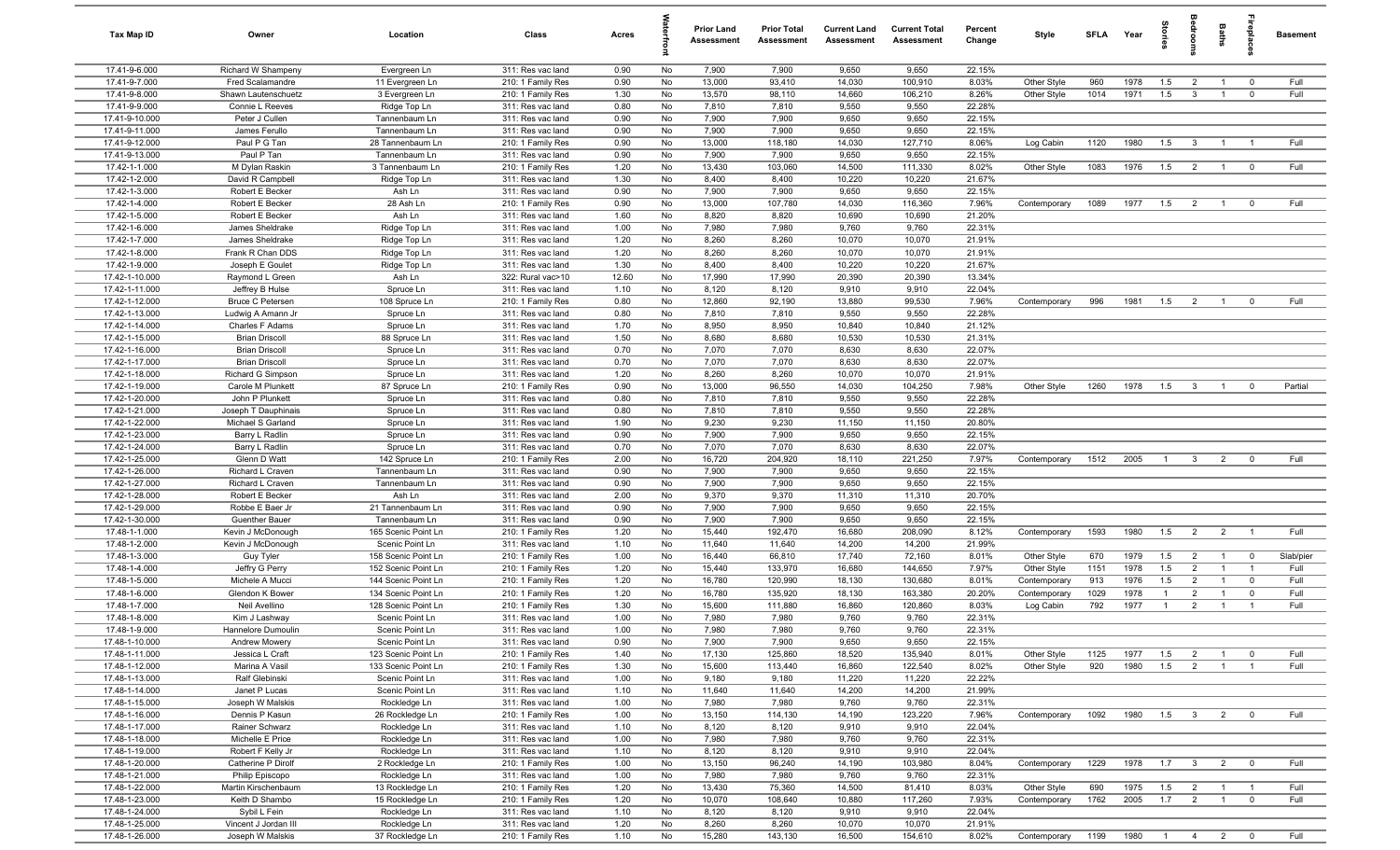| Tax Map ID                       | Owner                                    | Location                                   | Class                                  | Acres        |          | <b>Prior Land</b><br>Assessment | <b>Prior Total</b><br>Assessment | <b>Current Land</b><br>Assessment | <b>Current Total</b><br>Assessment | Percent<br>Change | Style                     | <b>SFLA</b> | Year         | tories                | eroo                             | Baths                            | repla                      | <b>Basement</b> |
|----------------------------------|------------------------------------------|--------------------------------------------|----------------------------------------|--------------|----------|---------------------------------|----------------------------------|-----------------------------------|------------------------------------|-------------------|---------------------------|-------------|--------------|-----------------------|----------------------------------|----------------------------------|----------------------------|-----------------|
| 17.41-9-6.000                    | Richard W Shampeny                       | Evergreen Ln                               | 311: Res vac land                      | 0.90         | No       | 7,900                           | 7,900                            | 9,650                             | 9,650                              | 22.15%            |                           |             |              |                       |                                  |                                  |                            |                 |
| 17.41-9-7.000                    | <b>Fred Scalamandre</b>                  | 11 Evergreen Ln                            | 210: 1 Family Res                      | 0.90         | No       | 13,000                          | 93,410                           | 14,030                            | 100,910                            | 8.03%             | Other Style               | 960         | 1978         | 1.5                   | 2                                | $\overline{1}$                   | $\overline{0}$             | Full            |
| 17.41-9-8.000                    | Shawn Lautenschuetz                      | 3 Evergreen Ln                             | 210: 1 Family Res                      | 1.30         | No       | 13,570                          | 98,110                           | 14,660                            | 106,210                            | 8.26%             | Other Style               | 1014        | 1971         | 1.5                   | $\mathbf{3}$                     | $\overline{1}$                   | $\mathbf 0$                | Full            |
| 17.41-9-9.000                    | Connie L Reeves                          | Ridge Top Ln                               | 311: Res vac land                      | 0.80         | No       | 7,810                           | 7,810                            | 9,550                             | 9,550                              | 22.28%            |                           |             |              |                       |                                  |                                  |                            |                 |
| 17.41-9-10.000                   | Peter J Cullen                           | Tannenbaum Ln                              | 311: Res vac land                      | 0.90         | No       | 7,900                           | 7,900                            | 9,650                             | 9,650                              | 22.15%            |                           |             |              |                       |                                  |                                  |                            |                 |
| 17.41-9-11.000                   | James Ferullo                            | Tannenbaum Ln                              | 311: Res vac land                      | 0.90         | No       | 7,900                           | 7,900                            | 9,650                             | 9,650                              | 22.15%            |                           |             |              |                       |                                  |                                  |                            |                 |
| 17.41-9-12.000                   | Paul P G Tan                             | 28 Tannenbaum Ln                           | 210: 1 Family Res                      | 0.90         | No       | 13,000                          | 118,180                          | 14,030                            | 127,710                            | 8.06%             | Log Cabin                 | 1120        | 1980         | 1.5                   | $\mathbf{3}$                     | $\overline{1}$                   |                            | Full            |
| 17.41-9-13.000                   | Paul P Tan                               | Tannenbaum Ln                              | 311: Res vac land                      | 0.90         | No       | 7,900                           | 7,900                            | 9,650                             | 9,650                              | 22.15%            |                           |             |              |                       |                                  |                                  |                            |                 |
| 17.42-1-1.000                    | M Dylan Raskin                           | 3 Tannenbaum Ln                            | 210: 1 Family Res                      | 1.20         | No       | 13,430                          | 103,060                          | 14,500                            | 111,330                            | 8.02%             | Other Style               | 1083        | 1976         | 1.5                   | $\overline{2}$                   | $\overline{1}$                   | $\overline{\mathbf{0}}$    | Full            |
| 17.42-1-2.000                    | David R Campbell                         | Ridge Top Ln                               | 311: Res vac land<br>311: Res vac land | 1.30         | No       | 8,400                           | 8,400                            | 10,220                            | 10,220                             | 21.67%            |                           |             |              |                       |                                  |                                  |                            |                 |
| 17.42-1-3.000<br>17.42-1-4.000   | Robert E Becker<br>Robert E Becker       | Ash Ln<br>28 Ash Ln                        |                                        | 0.90<br>0.90 | No<br>No | 7,900<br>13,000                 | 7,900<br>107,780                 | 9,650<br>14,030                   | 9,650<br>116,360                   | 22.15%<br>7.96%   | Contemporary              | 1089        | 1977         | 1.5                   | $\overline{2}$                   | $\overline{1}$                   | $\mathbf 0$                | Full            |
| 17.42-1-5.000                    | Robert E Becker                          | Ash Ln                                     | 210: 1 Family Res<br>311: Res vac land | 1.60         | No       | 8,820                           | 8,820                            | 10,690                            | 10,690                             | 21.20%            |                           |             |              |                       |                                  |                                  |                            |                 |
| 17.42-1-6.000                    | James Sheldrake                          | Ridge Top Ln                               | 311: Res vac land                      | 1.00         | No       | 7,980                           | 7,980                            | 9,760                             | 9,760                              | 22.31%            |                           |             |              |                       |                                  |                                  |                            |                 |
| 17.42-1-7.000                    | James Sheldrake                          | Ridge Top Ln                               | 311: Res vac land                      | 1.20         | No       | 8,260                           | 8,260                            | 10,070                            | 10,070                             | 21.91%            |                           |             |              |                       |                                  |                                  |                            |                 |
| 17.42-1-8.000                    | Frank R Chan DDS                         | Ridge Top Ln                               | 311: Res vac land                      | 1.20         | No       | 8,260                           | 8,260                            | 10,070                            | 10,070                             | 21.91%            |                           |             |              |                       |                                  |                                  |                            |                 |
| 17.42-1-9.000                    | Joseph E Goulet                          | Ridge Top Ln                               | 311: Res vac land                      | 1.30         | No       | 8,400                           | 8,400                            | 10,220                            | 10,220                             | 21.67%            |                           |             |              |                       |                                  |                                  |                            |                 |
| 17.42-1-10.000                   | Raymond L Green                          | Ash Ln                                     | 322: Rural vac>10                      | 12.60        | No       | 17,990                          | 17,990                           | 20,390                            | 20,390                             | 13.34%            |                           |             |              |                       |                                  |                                  |                            |                 |
| 17.42-1-11.000                   | Jeffrey B Hulse                          | Spruce Ln                                  | 311: Res vac land                      | 1.10         | No       | 8,120                           | 8,120                            | 9,910                             | 9,910                              | 22.04%            |                           |             |              |                       |                                  |                                  |                            |                 |
| 17.42-1-12.000                   | <b>Bruce C Petersen</b>                  | 108 Spruce Ln                              | 210: 1 Family Res                      | 0.80         | No       | 12,860                          | 92,190                           | 13,880                            | 99,530                             | 7.96%             | Contemporary              | 996         | 1981         | 1.5                   | $\overline{2}$                   | $\overline{1}$                   | $\mathbf 0$                | Full            |
| 17.42-1-13.000                   | Ludwig A Amann Jr                        | Spruce Ln                                  | 311: Res vac land                      | 0.80         | No       | 7,810                           | 7,810                            | 9,550                             | 9,550                              | 22.28%            |                           |             |              |                       |                                  |                                  |                            |                 |
| 17.42-1-14.000                   | Charles F Adams                          | Spruce Ln                                  | 311: Res vac land                      | 1.70         | No       | 8,950                           | 8,950                            | 10,840                            | 10,840                             | 21.12%            |                           |             |              |                       |                                  |                                  |                            |                 |
| 17.42-1-15.000                   | <b>Brian Driscoll</b>                    | 88 Spruce Ln                               | 311: Res vac land                      | 1.50         | No       | 8,680                           | 8,680                            | 10,530                            | 10,530                             | 21.31%            |                           |             |              |                       |                                  |                                  |                            |                 |
| 17.42-1-16.000                   | <b>Brian Driscoll</b>                    | Spruce Ln                                  | 311: Res vac land                      | 0.70         | No       | 7,070                           | 7,070                            | 8,630                             | 8,630                              | 22.07%            |                           |             |              |                       |                                  |                                  |                            |                 |
| 17.42-1-17.000                   | <b>Brian Driscoll</b>                    | Spruce Ln                                  | 311: Res vac land                      | 0.70         | No       | 7,070                           | 7,070                            | 8,630                             | 8,630                              | 22.07%            |                           |             |              |                       |                                  |                                  |                            |                 |
| 17.42-1-18.000                   | Richard G Simpson                        | Spruce Ln                                  | 311: Res vac land                      | 1.20         | No       | 8,260                           | 8,260                            | 10,070                            | 10,070                             | 21.91%            |                           |             |              |                       |                                  |                                  |                            |                 |
| 17.42-1-19.000                   | Carole M Plunkett                        | 87 Spruce Ln                               | 210: 1 Family Res                      | 0.90         | No       | 13,000                          | 96,550                           | 14,030                            | 104,250                            | 7.98%             | Other Style               | 1260        | 1978         | 1.5                   | $\overline{\mathbf{3}}$          | $\overline{1}$                   | $\mathbf 0$                | Partial         |
| 17.42-1-20.000                   | John P Plunkett                          | Spruce Ln                                  | 311: Res vac land                      | 0.80         | No       | 7,810                           | 7,810                            | 9,550                             | 9,550                              | 22.28%            |                           |             |              |                       |                                  |                                  |                            |                 |
| 17.42-1-21.000<br>17.42-1-22.000 | Joseph T Dauphinais<br>Michael S Garland | Spruce Ln<br>Spruce Ln                     | 311: Res vac land<br>311: Res vac land | 0.80<br>1.90 | No<br>No | 7,810<br>9,230                  | 7,810<br>9,230                   | 9,550<br>11,150                   | 9,550<br>11,150                    | 22.28%<br>20.80%  |                           |             |              |                       |                                  |                                  |                            |                 |
| 17.42-1-23.000                   | Barry L Radlin                           | Spruce Ln                                  | 311: Res vac land                      | 0.90         | No       | 7,900                           | 7,900                            | 9,650                             | 9,650                              | 22.15%            |                           |             |              |                       |                                  |                                  |                            |                 |
| 17.42-1-24.000                   | Barry L Radlin                           | Spruce Ln                                  | 311: Res vac land                      | 0.70         | No       | 7,070                           | 7,070                            | 8,630                             | 8,630                              | 22.07%            |                           |             |              |                       |                                  |                                  |                            |                 |
| 17.42-1-25.000                   | Glenn D Watt                             | 142 Spruce Ln                              | 210: 1 Family Res                      | 2.00         | No       | 16,720                          | 204,920                          | 18,110                            | 221,250                            | 7.97%             | Contemporary              | 1512        | 2005         | $\overline{1}$        | $\mathbf{3}$                     | $\overline{2}$                   | $\overline{0}$             | Full            |
| 17.42-1-26.000                   | Richard L Craven                         | Tannenbaum Ln                              | 311: Res vac land                      | 0.90         | No       | 7,900                           | 7,900                            | 9,650                             | 9,650                              | 22.15%            |                           |             |              |                       |                                  |                                  |                            |                 |
| 17.42-1-27.000                   | Richard L Craven                         | Tannenbaum Ln                              | 311: Res vac land                      | 0.90         | No       | 7,900                           | 7,900                            | 9,650                             | 9,650                              | 22.15%            |                           |             |              |                       |                                  |                                  |                            |                 |
| 17.42-1-28.000                   | Robert E Becker                          | Ash Ln                                     | 311: Res vac land                      | 2.00         | No       | 9,370                           | 9,370                            | 11,310                            | 11,310                             | 20.70%            |                           |             |              |                       |                                  |                                  |                            |                 |
| 17.42-1-29.000                   | Robbe E Baer Jr                          | 21 Tannenbaum Ln                           | 311: Res vac land                      | 0.90         | No       | 7,900                           | 7,900                            | 9,650                             | 9,650                              | 22.15%            |                           |             |              |                       |                                  |                                  |                            |                 |
| 17.42-1-30.000                   | Guenther Bauer                           | Tannenbaum Ln                              | 311: Res vac land                      | 0.90         | No       | 7,900                           | 7,900                            | 9,650                             | 9,650                              | 22.15%            |                           |             |              |                       |                                  |                                  |                            |                 |
| 17.48-1-1.000                    | Kevin J McDonough                        | 165 Scenic Point Ln                        | 210: 1 Family Res                      | 1.20         | No       | 15,440                          | 192,470                          | 16,680                            | 208,090                            | 8.12%             | Contemporary              | 1593        | 1980         | 1.5                   | $\overline{2}$                   | $\overline{2}$                   | $\overline{1}$             | Full            |
| 17.48-1-2.000                    | Kevin J McDonough                        | Scenic Point Ln                            | 311: Res vac land                      | 1.10         | No       | 11,640                          | 11,640                           | 14,200                            | 14,200                             | 21.99%            |                           |             |              |                       |                                  |                                  |                            |                 |
| 17.48-1-3.000                    | Guy Tyler                                | 158 Scenic Point Ln                        | 210: 1 Family Res                      | 1.00         | No       | 16,440                          | 66,810                           | 17,740                            | 72,160                             | 8.01%             | Other Style               | 670         | 1979         | 1.5                   | $\overline{2}$                   | $\overline{1}$                   | $\mathbf 0$                | Slab/pier       |
| 17.48-1-4.000                    | Jeffry G Perry                           | 152 Scenic Point Ln                        | 210: 1 Family Res                      | 1.20         | No       | 15,440                          | 133,970                          | 16,680                            | 144,650                            | 7.97%             | Other Style               | 1151        | 1978         | 1.5                   | $\overline{2}$                   | $\overline{1}$                   | $\overline{1}$             | Full            |
| 17.48-1-5.000<br>17.48-1-6.000   | Michele A Mucci                          | 144 Scenic Point Ln<br>134 Scenic Point Ln | 210: 1 Family Res<br>210: 1 Family Res | 1.20<br>1.20 | No<br>No | 16,780<br>16,780                | 120,990<br>135,920               | 18,130<br>18,130                  | 130,680<br>163,380                 | 8.01%<br>20.20%   | Contemporary              | 913<br>1029 | 1976<br>1978 | 1.5<br>$\overline{1}$ | $\overline{2}$<br>$\overline{2}$ | $\overline{1}$<br>$\overline{1}$ | $\mathbf 0$<br>$\mathbf 0$ | Full<br>Full    |
| 17.48-1-7.000                    | Glendon K Bower<br>Neil Avellino         | 128 Scenic Point Ln                        | 210: 1 Family Res                      | 1.30         | No       | 15,600                          | 111,880                          | 16,860                            | 120,860                            | 8.03%             | Contemporary<br>Log Cabin | 792         | 1977         | $\overline{1}$        | $\overline{2}$                   | $\overline{1}$                   | $\overline{1}$             | Full            |
| 17.48-1-8.000                    | Kim J Lashway                            | Scenic Point Ln                            | 311: Res vac land                      | 1.00         | No       | 7,980                           | 7,980                            | 9,760                             | 9,760                              | 22.31%            |                           |             |              |                       |                                  |                                  |                            |                 |
| 17.48-1-9.000                    | Hannelore Dumoulin                       | Scenic Point Ln                            | 311: Res vac land                      | 1.00         | No       | 7,980                           | 7,980                            | 9,760                             | 9,760                              | 22.31%            |                           |             |              |                       |                                  |                                  |                            |                 |
| 17.48-1-10.000                   | Andrew Mowery                            | Scenic Point Ln                            | 311: Res vac land                      | 0.90         | No       | 7,900                           | 7,900                            | 9,650                             | 9,650                              | 22.15%            |                           |             |              |                       |                                  |                                  |                            |                 |
| 17.48-1-11.000                   | Jessica L Craft                          | 123 Scenic Point Ln                        | 210: 1 Family Res                      | 1.40         | No       | 17,130                          | 125,860                          | 18,520                            | 135,940                            | 8.01%             | Other Style               | 1125        | 1977         | 1.5                   | $\overline{2}$                   | $\overline{1}$                   | $\overline{0}$             | Full            |
| 17.48-1-12.000                   | Marina A Vasil                           | 133 Scenic Point Ln                        | 210: 1 Family Res                      | 1.30         | No       | 15,600                          | 113,440                          | 16,860                            | 122,540                            | 8.02%             | Other Style               | 920         | 1980         | 1.5                   | $\overline{2}$                   | $\overline{1}$                   | $\overline{1}$             | Full            |
| 17.48-1-13.000                   | Ralf Glebinski                           | Scenic Point Ln                            | 311: Res vac land                      | 1.00         | No       | 9,180                           | 9,180                            | 11,220                            | 11,220                             | 22.22%            |                           |             |              |                       |                                  |                                  |                            |                 |
| 17.48-1-14.000                   | Janet P Lucas                            | Scenic Point Ln                            | 311: Res vac land                      | 1.10         | No       | 11,640                          | 11,640                           | 14,200                            | 14,200                             | 21.99%            |                           |             |              |                       |                                  |                                  |                            |                 |
| 17.48-1-15.000                   | Joseph W Malskis                         | Rockledge Ln                               | 311: Res vac land                      | 1.00         | No       | 7,980                           | 7,980                            | 9,760                             | 9,760                              | 22.31%            |                           |             |              |                       |                                  |                                  |                            |                 |
| 17.48-1-16.000                   | Dennis P Kasun                           | 26 Rockledge Ln                            | 210: 1 Family Res                      | 1.00         | No       | 13,150                          | 114,130                          | 14,190                            | 123,220                            | 7.96%             | Contemporary              | 1092        | 1980         | 1.5                   | $\overline{\overline{3}}$        | $\overline{2}$                   | $\mathbf 0$                | Full            |
| 17.48-1-17.000                   | Rainer Schwarz                           | Rockledge Ln                               | 311: Res vac land                      | 1.10         | No       | 8,120                           | 8,120                            | 9,910                             | 9,910                              | 22.04%            |                           |             |              |                       |                                  |                                  |                            |                 |
| 17.48-1-18.000                   | Michelle E Price                         | Rockledge Ln                               | 311: Res vac land                      | 1.00         | No       | 7,980                           | 7,980                            | 9,760                             | 9,760                              | 22.31%            |                           |             |              |                       |                                  |                                  |                            |                 |
| 17.48-1-19.000                   | Robert F Kelly Jr                        | Rockledge Ln                               | 311: Res vac land                      | 1.10         | No       | 8,120                           | 8,120                            | 9,910                             | 9,910                              | 22.04%            |                           |             |              |                       |                                  |                                  |                            |                 |
| 17.48-1-20.000<br>17.48-1-21.000 | Catherine P Dirolf                       | 2 Rockledge Ln                             | 210: 1 Family Res                      | 1.00         | No<br>No | 13,150<br>7,980                 | 96,240<br>7,980                  | 14,190<br>9,760                   | 103,980<br>9,760                   | 8.04%<br>22.31%   | Contemporary              | 1229        | 1978         | 1.7                   | $\overline{\mathbf{3}}$          | $\overline{2}$                   | $\overline{0}$             | Full            |
| 17.48-1-22.000                   | Philip Episcopo<br>Martin Kirschenbaum   | Rockledge Ln<br>13 Rockledge Ln            | 311: Res vac land<br>210: 1 Family Res | 1.00<br>1.20 | No       | 13,430                          | 75,360                           | 14,500                            | 81,410                             | 8.03%             | Other Style               | 690         | 1975         | 1.5                   | $\overline{2}$                   | $\overline{1}$                   | $\overline{1}$             | Full            |
| 17.48-1-23.000                   | Keith D Shambo                           | 15 Rockledge Ln                            | 210: 1 Family Res                      | 1.20         | No       | 10,070                          | 108,640                          | 10,880                            | 117,260                            | 7.93%             | Contemporary              | 1762        | 2005         | 1.7                   | $\overline{2}$                   | $\overline{1}$                   | $\mathbf 0$                | Full            |
| 17.48-1-24.000                   | Sybil L Fein                             | Rockledge Ln                               | 311: Res vac land                      | 1.10         | No       | 8,120                           | 8,120                            | 9,910                             | 9,910                              | 22.04%            |                           |             |              |                       |                                  |                                  |                            |                 |
| 17.48-1-25.000                   | Vincent J Jordan III                     | Rockledge Ln                               | 311: Res vac land                      | 1.20         | No       | 8,260                           | 8,260                            | 10,070                            | 10,070                             | 21.91%            |                           |             |              |                       |                                  |                                  |                            |                 |
| 17.48-1-26.000                   | Joseph W Malskis                         | 37 Rockledge Ln                            | 210: 1 Family Res                      | 1.10         | No       | 15,280                          | 143,130                          | 16,500                            | 154,610                            | 8.02%             | Contemporary              | 1199        | 1980         | $\overline{1}$        | $\overline{4}$                   | $\overline{2}$                   | $\overline{0}$             | Full            |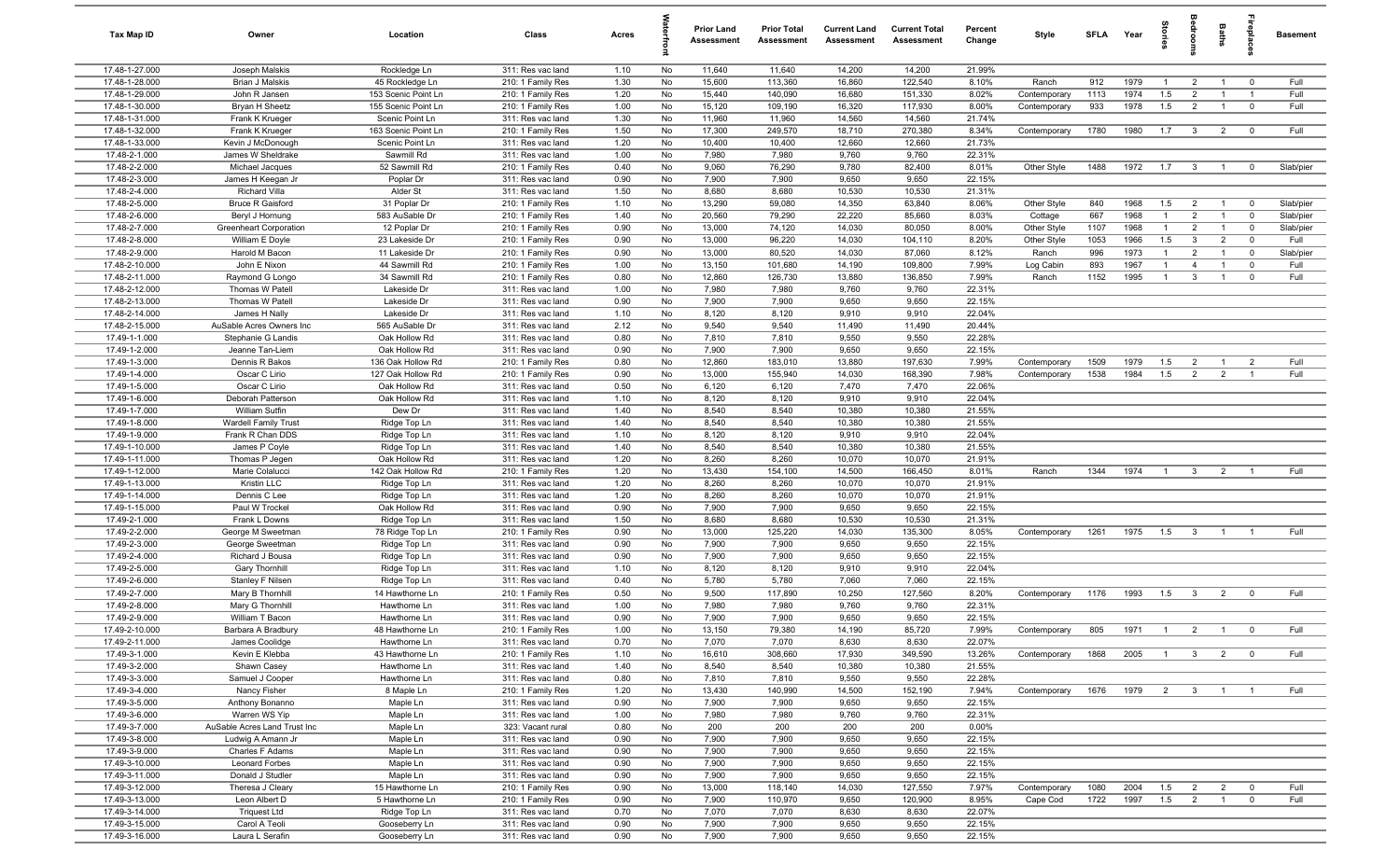| Tax Map ID                       | Owner                                          | Location                               | Class                                  | Acres        |          | <b>Prior Land</b><br>Assessment | <b>Prior Total</b><br>Assessment | <b>Current Land</b><br>Assessment | <b>Current Total</b><br>Assessment | Percent<br>Change | Style        | SFLA Year |      | tories         | droom                   | Baths          | epla                    | <b>Basement</b> |
|----------------------------------|------------------------------------------------|----------------------------------------|----------------------------------------|--------------|----------|---------------------------------|----------------------------------|-----------------------------------|------------------------------------|-------------------|--------------|-----------|------|----------------|-------------------------|----------------|-------------------------|-----------------|
| 17.48-1-27.000                   | Joseph Malskis                                 | Rockledge Ln                           | 311: Res vac land                      | 1.10         | No       | 11,640                          | 11,640                           | 14,200                            | 14,200                             | 21.99%            |              |           |      |                |                         |                |                         |                 |
| 17.48-1-28.000                   | <b>Brian J Malskis</b>                         | 45 Rockledge Ln                        | 210: 1 Family Res                      | 1.30         | No       | 15,600                          | 113,360                          | 16,860                            | 122,540                            | 8.10%             | Ranch        | 912       | 1979 | $\overline{1}$ | $\overline{2}$          |                | $\mathbf 0$             | Full            |
| 17.48-1-29.000                   | John R Jansen                                  | 153 Scenic Point Ln                    | 210: 1 Family Res                      | 1.20         | No       | 15,440                          | 140,090                          | 16,680                            | 151,330                            | 8.02%             | Contemporary | 1113      | 1974 | 1.5            | $\overline{2}$          |                |                         | Full            |
| 17.48-1-30.000                   | Bryan H Sheetz                                 | 155 Scenic Point Ln                    | 210: 1 Family Res                      | 1.00         | No       | 15,120                          | 109,190                          | 16,320                            | 117,930                            | 8.00%             | Contemporary | 933       | 1978 | 1.5            | $\overline{2}$          |                | $\mathbf 0$             | Full            |
| 17.48-1-31.000                   | Frank K Krueger                                | Scenic Point Ln                        | 311: Res vac land                      | 1.30         | No       | 11,960                          | 11,960                           | 14,560                            | 14,560                             | 21.74%            |              |           |      |                |                         |                |                         |                 |
| 17.48-1-32.000<br>17.48-1-33.000 | Frank K Krueger                                | 163 Scenic Point Ln<br>Scenic Point Ln | 210: 1 Family Res                      | 1.50         | No<br>No | 17,300<br>10,400                | 249,570<br>10,400                | 18,710<br>12,660                  | 270,380<br>12,660                  | 8.34%<br>21.73%   | Contemporary | 1780      | 1980 | 1.7            | $\mathbf{3}$            | $\overline{2}$ | $\overline{0}$          | Full            |
| 17.48-2-1.000                    | Kevin J McDonough<br>James W Sheldrake         | Sawmill Rd                             | 311: Res vac land<br>311: Res vac land | 1.20<br>1.00 | No       | 7,980                           | 7,980                            | 9,760                             | 9,760                              | 22.31%            |              |           |      |                |                         |                |                         |                 |
| 17.48-2-2.000                    | Michael Jacques                                | 52 Sawmill Rd                          | 210: 1 Family Res                      | 0.40         | No       | 9,060                           | 76,290                           | 9,780                             | 82,400                             | 8.01%             | Other Style  | 1488      | 1972 | 1.7            | $\overline{3}$          | $\overline{1}$ | $^{\circ}$              | Slab/pier       |
| 17.48-2-3.000                    | James H Keegan Jr                              | Poplar Dr                              | 311: Res vac land                      | 0.90         | No       | 7,900                           | 7,900                            | 9,650                             | 9,650                              | 22.15%            |              |           |      |                |                         |                |                         |                 |
| 17.48-2-4.000                    | <b>Richard Villa</b>                           | Alder St                               | 311: Res vac land                      | 1.50         | No       | 8,680                           | 8,680                            | 10,530                            | 10,530                             | 21.31%            |              |           |      |                |                         |                |                         |                 |
| 17.48-2-5.000                    | <b>Bruce R Gaisford</b>                        | 31 Poplar Dr                           | 210: 1 Family Res                      | 1.10         | No       | 13,290                          | 59,080                           | 14,350                            | 63,840                             | 8.06%             | Other Style  | 840       | 1968 | 1.5            | $\overline{2}$          | $\overline{1}$ | $\overline{0}$          | Slab/pier       |
| 17.48-2-6.000                    | Beryl J Hornung                                | 583 AuSable Dr                         | 210: 1 Family Res                      | 1.40         | No       | 20,560                          | 79,290                           | 22,220                            | 85,660                             | 8.03%             | Cottage      | 667       | 1968 | $\overline{1}$ | $\overline{2}$          | $\overline{1}$ | $\mathbf 0$             | Slab/pier       |
| 17.48-2-7.000                    | Greenheart Corporation                         | 12 Poplar Dr                           | 210: 1 Family Res                      | 0.90         | No       | 13,000                          | 74,120                           | 14,030                            | 80,050                             | 8.00%             | Other Style  | 1107      | 1968 | $\mathbf{1}$   | $\overline{2}$          | $\overline{1}$ | $\mathbf 0$             | Slab/pier       |
| 17.48-2-8.000                    | William E Doyle                                | 23 Lakeside Dr                         | 210: 1 Family Res                      | 0.90         | No       | 13,000                          | 96,220                           | 14,030                            | 104,110                            | 8.20%             | Other Style  | 1053      | 1966 | 1.5            | $\mathbf{3}$            | $\overline{2}$ | $\mathbf 0$             | Full            |
| 17.48-2-9.000                    | Harold M Bacon                                 | 11 Lakeside Dr                         | 210: 1 Family Res                      | 0.90         | No       | 13,000                          | 80,520                           | 14,030                            | 87,060                             | 8.12%             | Ranch        | 996       | 1973 | $\mathbf{1}$   | $\overline{2}$          |                | $\mathbf 0$             | Slab/pier       |
| 17.48-2-10.000                   | John E Nixon                                   | 44 Sawmill Rd                          | 210: 1 Family Res                      | 1.00         | No       | 13,150                          | 101,680                          | 14,190                            | 109,800                            | 7.99%             | Log Cabin    | 893       | 1967 | $\mathbf{1}$   | $\overline{4}$          |                | $^{\circ}$              | Full            |
| 17.48-2-11.000                   | Raymond G Longo                                | 34 Sawmill Rd                          | 210: 1 Family Res                      | 0.80         | No       | 12,860                          | 126,730                          | 13,880                            | 136,850                            | 7.99%             | Ranch        | 1152      | 1995 | $\mathbf{1}$   | 3                       |                | $^{\circ}$              | Full            |
| 17.48-2-12.000                   | Thomas W Patell                                | Lakeside Dr                            | 311: Res vac land                      | 1.00         | No       | 7,980                           | 7,980                            | 9,760                             | 9,760                              | 22.31%            |              |           |      |                |                         |                |                         |                 |
| 17.48-2-13.000                   | Thomas W Patell                                | Lakeside Dr                            | 311: Res vac land                      | 0.90         | No       | 7,900                           | 7,900                            | 9,650                             | 9,650                              | 22.15%            |              |           |      |                |                         |                |                         |                 |
| 17.48-2-14.000<br>17.48-2-15.000 | James H Nally                                  | Lakeside Dr                            | 311: Res vac land                      | 1.10<br>2.12 | No<br>No | 8,120<br>9,540                  | 8,120<br>9,540                   | 9,910                             | 9,910                              | 22.04%<br>20.44%  |              |           |      |                |                         |                |                         |                 |
| 17.49-1-1.000                    | AuSable Acres Owners Inc<br>Stephanie G Landis | 565 AuSable Dr<br>Oak Hollow Rd        | 311: Res vac land<br>311: Res vac land | 0.80         | No       | 7,810                           | 7,810                            | 11,490<br>9,550                   | 11,490<br>9,550                    | 22.28%            |              |           |      |                |                         |                |                         |                 |
| 17.49-1-2.000                    | Jeanne Tan-Liem                                | Oak Hollow Rd                          | 311: Res vac land                      | 0.90         | No       | 7,900                           | 7,900                            | 9,650                             | 9,650                              | 22.15%            |              |           |      |                |                         |                |                         |                 |
| 17.49-1-3.000                    | Dennis R Bakos                                 | 136 Oak Hollow Rd                      | 210: 1 Family Res                      | 0.80         | No       | 12,860                          | 183,010                          | 13,880                            | 197,630                            | 7.99%             | Contemporary | 1509      | 1979 | 1.5            | $\overline{2}$          | $\overline{1}$ | $\overline{2}$          | Full            |
| 17.49-1-4.000                    | Oscar C Lirio                                  | 127 Oak Hollow Rd                      | 210: 1 Family Res                      | 0.90         | No       | 13,000                          | 155,940                          | 14,030                            | 168,390                            | 7.98%             | Contemporary | 1538      | 1984 | 1.5            | 2                       | $\overline{2}$ | $\overline{1}$          | Full            |
| 17.49-1-5.000                    | Oscar C Lirio                                  | Oak Hollow Rd                          | 311: Res vac land                      | 0.50         | No       | 6,120                           | 6,120                            | 7,470                             | 7,470                              | 22.06%            |              |           |      |                |                         |                |                         |                 |
| 17.49-1-6.000                    | Deborah Patterson                              | Oak Hollow Rd                          | 311: Res vac land                      | 1.10         | No       | 8,120                           | 8,120                            | 9,910                             | 9,910                              | 22.04%            |              |           |      |                |                         |                |                         |                 |
| 17.49-1-7.000                    | William Sutfin                                 | Dew Dr                                 | 311: Res vac land                      | 1.40         | No       | 8,540                           | 8,540                            | 10,380                            | 10,380                             | 21.55%            |              |           |      |                |                         |                |                         |                 |
| 17.49-1-8.000                    | <b>Wardell Family Trust</b>                    | Ridge Top Ln                           | 311: Res vac land                      | 1.40         | No       | 8,540                           | 8,540                            | 10,380                            | 10,380                             | 21.55%            |              |           |      |                |                         |                |                         |                 |
| 17.49-1-9.000                    | Frank R Chan DDS                               | Ridge Top Ln                           | 311: Res vac land                      | 1.10         | No       | 8,120                           | 8,120                            | 9,910                             | 9,910                              | 22.04%            |              |           |      |                |                         |                |                         |                 |
| 17.49-1-10.000                   | James P Coyle                                  | Ridge Top Ln                           | 311: Res vac land                      | 1.40         | No       | 8,540                           | 8,540                            | 10,380                            | 10,380                             | 21.55%            |              |           |      |                |                         |                |                         |                 |
| 17.49-1-11.000                   | Thomas P Jegen                                 | Oak Hollow Rd                          | 311: Res vac land                      | 1.20         | No       | 8,260                           | 8,260                            | 10,070                            | 10,070                             | 21.91%            |              |           |      |                |                         |                |                         |                 |
| 17.49-1-12.000                   | Marie Colalucci                                | 142 Oak Hollow Rd                      | 210: 1 Family Res                      | 1.20         | No       | 13,430                          | 154,100                          | 14,500                            | 166,450                            | 8.01%             | Ranch        | 1344      | 1974 | $\overline{1}$ | $\mathbf{3}$            | $\overline{2}$ | $\overline{1}$          | Full            |
| 17.49-1-13.000                   | Kristin LLC                                    | Ridge Top Ln                           | 311: Res vac land                      | 1.20         | No       | 8,260                           | 8,260                            | 10,070                            | 10,070                             | 21.91%            |              |           |      |                |                         |                |                         |                 |
| 17.49-1-14.000<br>17.49-1-15.000 | Dennis C Lee<br>Paul W Trockel                 | Ridge Top Ln<br>Oak Hollow Rd          | 311: Res vac land                      | 1.20<br>0.90 | No<br>No | 8,260<br>7,900                  | 8,260<br>7,900                   | 10,070<br>9,650                   | 10,070<br>9,650                    | 21.91%<br>22.15%  |              |           |      |                |                         |                |                         |                 |
| 17.49-2-1.000                    | Frank L Downs                                  | Ridge Top Ln                           | 311: Res vac land<br>311: Res vac land | 1.50         | No       | 8,680                           | 8,680                            | 10,530                            | 10,530                             | 21.31%            |              |           |      |                |                         |                |                         |                 |
| 17.49-2-2.000                    | George M Sweetman                              | 78 Ridge Top Ln                        | 210: 1 Family Res                      | 0.90         | No       | 13,000                          | 125,220                          | 14,030                            | 135,300                            | 8.05%             | Contemporary | 1261      | 1975 | 1.5            | $\mathbf{3}$            |                |                         | Full            |
| 17.49-2-3.000                    | George Sweetman                                | Ridge Top Ln                           | 311: Res vac land                      | 0.90         | No       | 7,900                           | 7,900                            | 9,650                             | 9,650                              | 22.15%            |              |           |      |                |                         |                |                         |                 |
| 17.49-2-4.000                    | Richard J Bousa                                | Ridge Top Ln                           | 311: Res vac land                      | 0.90         | No       | 7,900                           | 7,900                            | 9,650                             | 9,650                              | 22.15%            |              |           |      |                |                         |                |                         |                 |
| 17.49-2-5.000                    | <b>Gary Thornhill</b>                          | Ridge Top Ln                           | 311: Res vac land                      | 1.10         | No       | 8,120                           | 8,120                            | 9,910                             | 9,910                              | 22.04%            |              |           |      |                |                         |                |                         |                 |
| 17.49-2-6.000                    | Stanley F Nilsen                               | Ridge Top Ln                           | 311: Res vac land                      | 0.40         | No       | 5,780                           | 5,780                            | 7,060                             | 7,060                              | 22.15%            |              |           |      |                |                         |                |                         |                 |
| 17.49-2-7.000                    | Mary B Thornhill                               | 14 Hawthorne Ln                        | 210: 1 Family Res                      | 0.50         | No       | 9,500                           | 117,890                          | 10,250                            | 127,560                            | 8.20%             | Contemporary | 1176      | 1993 | 1.5            | $\mathbf{3}$            | $\overline{2}$ | $^{\circ}$              | Full            |
| 17.49-2-8.000                    | Mary G Thornhill                               | Hawthorne Ln                           | 311: Res vac land                      | 1.00         | No       | 7,980                           | 7,980                            | 9,760                             | 9,760                              | 22.31%            |              |           |      |                |                         |                |                         |                 |
| 17.49-2-9.000                    | William T Bacon                                | Hawthorne Ln                           | 311: Res vac land                      | 0.90         | No       | 7,900                           | 7,900                            | 9,650                             | 9,650                              | 22.15%            |              |           |      |                |                         |                |                         |                 |
| 17.49-2-10.000                   | Barbara A Bradbury                             | 48 Hawthorne Ln                        | 210: 1 Family Res                      | 1.00         | No       | 13,150                          | 79,380                           | 14,190                            | 85,720                             | 7.99%             | Contemporary | 805       | 1971 | $\overline{1}$ | $\overline{2}$          |                |                         | Full            |
| 17.49-2-11.000                   | James Coolidge                                 | Hawthorne Ln                           | 311: Res vac land                      | 0.70         | No       | 7,070                           | 7,070                            | 8,630                             | 8,630                              | 22.07%            |              |           |      |                |                         |                |                         |                 |
| 17.49-3-1.000                    | Kevin E Klebba                                 | 43 Hawthorne Ln                        | 210: 1 Family Res                      | 1.10         | No       | 16,610                          | 308,660                          | 17,930                            | 349,590                            | 13.26%            | Contemporary | 1868      | 2005 | $\overline{1}$ | 3 <sup>3</sup>          | $\overline{2}$ | $\overline{\mathbf{0}}$ | Full            |
| 17.49-3-2.000<br>17.49-3-3.000   | Shawn Casey                                    | Hawthorne Ln                           | 311: Res vac land                      | 1.40         | No       | 8,540                           | 8,540                            | 10,380                            | 10,380                             | 21.55%            |              |           |      |                |                         |                |                         |                 |
| 17.49-3-4.000                    | Samuel J Cooper<br>Nancy Fisher                | Hawthorne Ln<br>8 Maple Ln             | 311: Res vac land<br>210: 1 Family Res | 0.80<br>1.20 | No<br>No | 7,810<br>13,430                 | 7,810<br>140,990                 | 9,550<br>14,500                   | 9,550<br>152,190                   | 22.28%<br>7.94%   | Contemporary | 1676      | 1979 | $\overline{2}$ | $\overline{\mathbf{3}}$ | $\overline{1}$ |                         | Full            |
| 17.49-3-5.000                    | Anthony Bonanno                                | Maple Ln                               | 311: Res vac land                      | 0.90         | No       | 7,900                           | 7,900                            | 9,650                             | 9,650                              | 22.15%            |              |           |      |                |                         |                |                         |                 |
| 17.49-3-6.000                    | Warren WS Yip                                  | Maple Ln                               | 311: Res vac land                      | 1.00         | No       | 7,980                           | 7,980                            | 9,760                             | 9,760                              | 22.31%            |              |           |      |                |                         |                |                         |                 |
| 17.49-3-7.000                    | AuSable Acres Land Trust Inc                   | Maple Ln                               | 323: Vacant rural                      | 0.80         | No       | 200                             | 200                              | 200                               | 200                                | 0.00%             |              |           |      |                |                         |                |                         |                 |
| 17.49-3-8.000                    | Ludwig A Amann Jr                              | Maple Ln                               | 311: Res vac land                      | 0.90         | No       | 7,900                           | 7,900                            | 9,650                             | 9,650                              | 22.15%            |              |           |      |                |                         |                |                         |                 |
| 17.49-3-9.000                    | Charles F Adams                                | Maple Ln                               | 311: Res vac land                      | 0.90         | No       | 7,900                           | 7,900                            | 9,650                             | 9,650                              | 22.15%            |              |           |      |                |                         |                |                         |                 |
| 17.49-3-10.000                   | Leonard Forbes                                 | Maple Ln                               | 311: Res vac land                      | 0.90         | No       | 7,900                           | 7,900                            | 9,650                             | 9,650                              | 22.15%            |              |           |      |                |                         |                |                         |                 |
| 17.49-3-11.000                   | Donald J Studler                               | Maple Ln                               | 311: Res vac land                      | 0.90         | No       | 7,900                           | 7,900                            | 9,650                             | 9,650                              | 22.15%            |              |           |      |                |                         |                |                         |                 |
| 17.49-3-12.000                   | Theresa J Cleary                               | 15 Hawthorne Ln                        | 210: 1 Family Res                      | 0.90         | No       | 13,000                          | 118,140                          | 14,030                            | 127,550                            | 7.97%             | Contemporary | 1080      | 2004 | 1.5            | $\overline{2}$          | $\overline{2}$ | $\overline{\mathbf{0}}$ | Full            |
| 17.49-3-13.000                   | Leon Albert D                                  | 5 Hawthorne Ln                         | 210: 1 Family Res                      | 0.90         | No       | 7,900                           | 110,970                          | 9,650                             | 120,900                            | 8.95%             | Cape Cod     | 1722      | 1997 | 1.5            | $\overline{2}$          | $\overline{1}$ | $\mathbf 0$             | Full            |
| 17.49-3-14.000                   | <b>Triquest Ltd</b>                            | Ridge Top Ln                           | 311: Res vac land                      | 0.70         | No       | 7,070                           | 7,070                            | 8,630                             | 8,630                              | 22.07%            |              |           |      |                |                         |                |                         |                 |
| 17.49-3-15.000                   | Carol A Teoli                                  | Gooseberry Ln                          | 311: Res vac land                      | 0.90         | No       | 7,900                           | 7,900                            | 9,650                             | 9,650                              | 22.15%            |              |           |      |                |                         |                |                         |                 |
| 17.49-3-16.000                   | Laura L Serafin                                | Gooseberry Ln                          | 311: Res vac land                      | 0.90         | No       | 7,900                           | 7,900                            | 9,650                             | 9,650                              | 22.15%            |              |           |      |                |                         |                |                         |                 |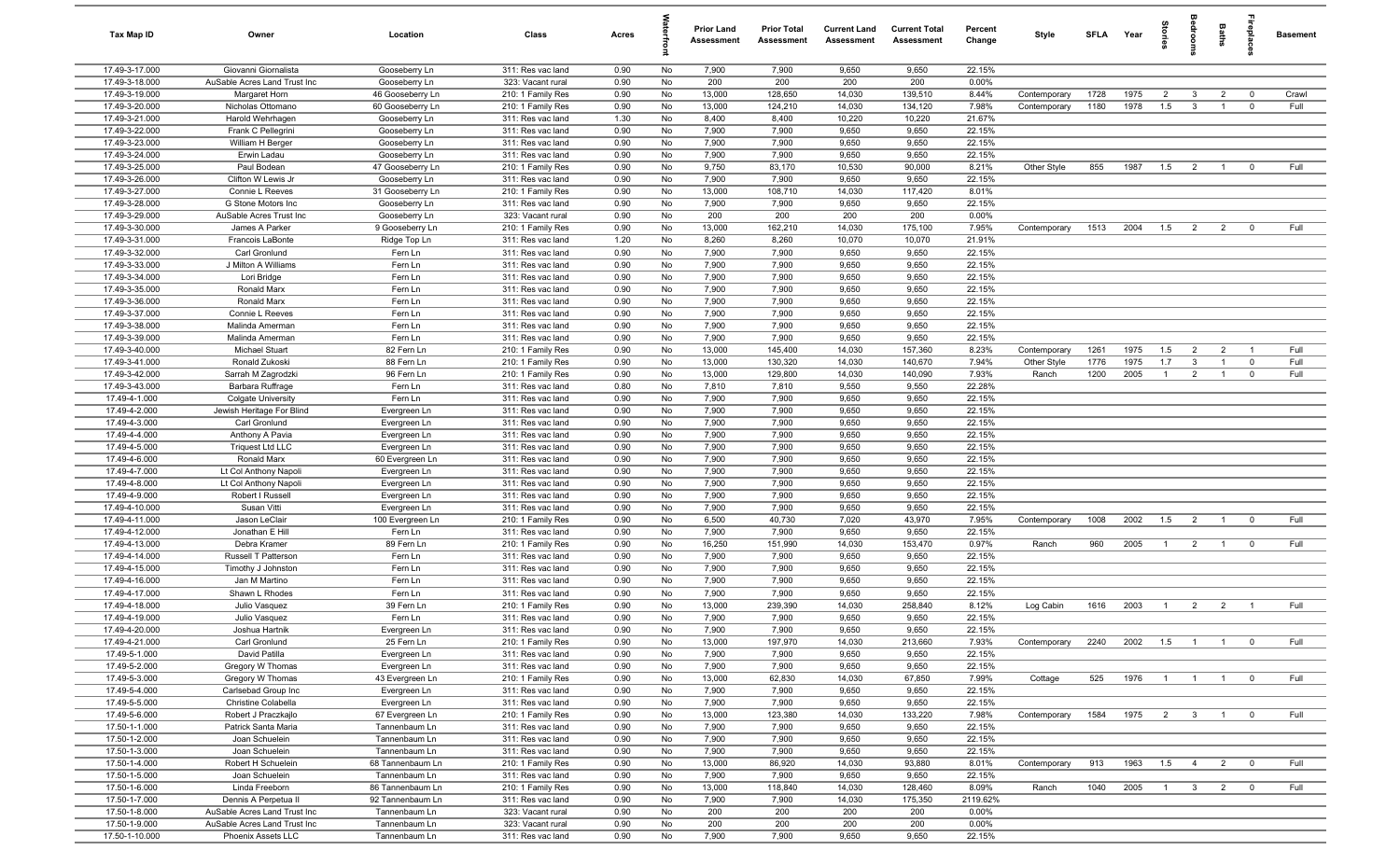| Tax Map ID                       | Owner                                              | Location                        | Class                                  | Acres        |          | <b>Prior Land</b><br>Assessment | <b>Prior Total</b><br>Assessment | <b>Current Land</b><br>Assessment | <b>Current Total</b><br>Assessment | Percent<br>Change | Style                | SFLA Year    |              |                       | drooi                   | Baths                          | repla                      | <b>Basement</b> |
|----------------------------------|----------------------------------------------------|---------------------------------|----------------------------------------|--------------|----------|---------------------------------|----------------------------------|-----------------------------------|------------------------------------|-------------------|----------------------|--------------|--------------|-----------------------|-------------------------|--------------------------------|----------------------------|-----------------|
| 17.49-3-17.000                   | Giovanni Giornalista                               | Gooseberry Ln                   | 311: Res vac land                      | 0.90         | No       | 7,900                           | 7,900                            | 9,650                             | 9,650                              | 22.15%            |                      |              |              |                       |                         |                                |                            |                 |
| 17.49-3-18.000                   | AuSable Acres Land Trust Inc                       | Gooseberry Ln                   | 323: Vacant rural                      | 0.90         | No       | 200                             | 200                              | 200                               | 200                                | 0.00%             |                      |              |              |                       |                         |                                |                            |                 |
| 17.49-3-19.000                   | Margaret Horn                                      | 46 Gooseberry Ln                | 210: 1 Family Res                      | 0.90         | No       | 13,000                          | 128,650                          | 14,030                            | 139,510                            | 8.44%             | Contemporary         | 1728         | 1975         | $\overline{2}$        | $\mathbf{3}$            | $\overline{2}$                 | $\mathbf 0$                | Crawl           |
| 17.49-3-20.000<br>17.49-3-21.000 | Nicholas Ottomano                                  | 60 Gooseberry Ln                | 210: 1 Family Res                      | 0.90<br>1.30 | No<br>No | 13,000<br>8,400                 | 124,210<br>8,400                 | 14,030<br>10,220                  | 134,120<br>10,220                  | 7.98%<br>21.67%   | Contemporary         | 1180         | 1978         | 1.5                   | $\mathbf{3}$            |                                | $\mathbf 0$                | Full            |
| 17.49-3-22.000                   | Harold Wehrhagen<br>Frank C Pellegrini             | Gooseberry Ln<br>Gooseberry Ln  | 311: Res vac land<br>311: Res vac land | 0.90         | No       | 7,900                           | 7,900                            | 9,650                             | 9,650                              | 22.15%            |                      |              |              |                       |                         |                                |                            |                 |
| 17.49-3-23.000                   | William H Berger                                   | Gooseberry Ln                   | 311: Res vac land                      | 0.90         | No       | 7,900                           | 7,900                            | 9,650                             | 9,650                              | 22.15%            |                      |              |              |                       |                         |                                |                            |                 |
| 17.49-3-24.000                   | Erwin Ladau                                        | Gooseberry Ln                   | 311: Res vac land                      | 0.90         | No       | 7,900                           | 7,900                            | 9,650                             | 9,650                              | 22.15%            |                      |              |              |                       |                         |                                |                            |                 |
| 17.49-3-25.000                   | Paul Bodean                                        | 47 Gooseberry Ln                | 210: 1 Family Res                      | 0.90         | No       | 9,750                           | 83,170                           | 10,530                            | 90,000                             | 8.21%             | Other Style          | 855          | 1987         | 1.5                   | $\overline{2}$          | $\overline{1}$                 | $\mathbf 0$                | Full            |
| 17.49-3-26.000                   | Clifton W Lewis Jr                                 | Gooseberry Ln                   | 311: Res vac land                      | 0.90         | No       | 7,900                           | 7,900                            | 9,650                             | 9,650                              | 22.15%            |                      |              |              |                       |                         |                                |                            |                 |
| 17.49-3-27.000                   | Connie L Reeves                                    | 31 Gooseberry Ln                | 210: 1 Family Res                      | 0.90         | No       | 13,000                          | 108,710                          | 14,030                            | 117,420                            | 8.01%             |                      |              |              |                       |                         |                                |                            |                 |
| 17.49-3-28.000                   | G Stone Motors Inc.                                | Gooseberry Ln                   | 311: Res vac land                      | 0.90         | No       | 7,900                           | 7,900                            | 9,650                             | 9,650                              | 22.15%            |                      |              |              |                       |                         |                                |                            |                 |
| 17.49-3-29.000                   | AuSable Acres Trust Inc                            | Gooseberry Ln                   | 323: Vacant rural                      | 0.90         | No       | 200                             | 200                              | 200                               | 200                                | 0.00%             |                      |              |              |                       |                         |                                |                            |                 |
| 17.49-3-30.000                   | James A Parker                                     | 9 Gooseberry Ln                 | 210: 1 Family Res                      | 0.90         | No       | 13,000                          | 162,210                          | 14,030                            | 175,100                            | 7.95%             | Contemporary         | 1513         | 2004         | 1.5                   | $\overline{2}$          | $\overline{2}$                 | $^{\circ}$                 | Full            |
| 17.49-3-31.000<br>17.49-3-32.000 | Francois LaBonte<br>Carl Gronlund                  | Ridge Top Ln<br>Fern Ln         | 311: Res vac land<br>311: Res vac land | 1.20<br>0.90 | No<br>No | 8,260<br>7,900                  | 8,260<br>7,900                   | 10,070<br>9,650                   | 10,070<br>9,650                    | 21.91%<br>22.15%  |                      |              |              |                       |                         |                                |                            |                 |
| 17.49-3-33.000                   | J Milton A Williams                                | Fern Ln                         | 311: Res vac land                      | 0.90         | No       | 7,900                           | 7,900                            | 9,650                             | 9,650                              | 22.15%            |                      |              |              |                       |                         |                                |                            |                 |
| 17.49-3-34.000                   | Lori Bridge                                        | Fern Ln                         | 311: Res vac land                      | 0.90         | No       | 7,900                           | 7,900                            | 9,650                             | 9,650                              | 22.15%            |                      |              |              |                       |                         |                                |                            |                 |
| 17.49-3-35.000                   | Ronald Marx                                        | Fern Ln                         | 311: Res vac land                      | 0.90         | No       | 7,900                           | 7,900                            | 9,650                             | 9,650                              | 22.15%            |                      |              |              |                       |                         |                                |                            |                 |
| 17.49-3-36.000                   | Ronald Marx                                        | Fern Ln                         | 311: Res vac land                      | 0.90         | No       | 7,900                           | 7,900                            | 9,650                             | 9,650                              | 22.15%            |                      |              |              |                       |                         |                                |                            |                 |
| 17.49-3-37.000                   | Connie L Reeves                                    | Fern Ln                         | 311: Res vac land                      | 0.90         | No       | 7,900                           | 7,900                            | 9,650                             | 9,650                              | 22.15%            |                      |              |              |                       |                         |                                |                            |                 |
| 17.49-3-38.000                   | Malinda Amerman                                    | Fern Ln                         | 311: Res vac land                      | 0.90         | No       | 7,900                           | 7,900                            | 9,650                             | 9,650                              | 22.15%            |                      |              |              |                       |                         |                                |                            |                 |
| 17.49-3-39.000                   | Malinda Amerman                                    | Fern Ln                         | 311: Res vac land                      | 0.90         | No       | 7,900                           | 7,900                            | 9,650                             | 9,650                              | 22.15%            |                      |              |              |                       |                         |                                |                            |                 |
| 17.49-3-40.000                   | Michael Stuart                                     | 82 Fern Ln                      | 210: 1 Family Res                      | 0.90         | No       | 13,000                          | 145,400                          | 14,030                            | 157,360                            | 8.23%             | Contemporary         | 1261         | 1975         | 1.5                   | $\overline{2}$          | $\overline{2}$                 | $\overline{1}$             | Full            |
| 17.49-3-41.000<br>17.49-3-42.000 | Ronald Zukoski<br>Sarrah M Zagrodzki               | 88 Fern Ln<br>96 Fern Ln        | 210: 1 Family Res                      | 0.90<br>0.90 | No<br>No | 13,000<br>13,000                | 130,320<br>129,800               | 14,030<br>14,030                  | 140,670<br>140,090                 | 7.94%<br>7.93%    | Other Style<br>Ranch | 1776<br>1200 | 1975<br>2005 | 1.7<br>$\overline{1}$ | $\mathbf{3}$<br>2       | $\mathbf{1}$<br>$\overline{1}$ | $\mathbf 0$<br>$\mathbf 0$ | Full<br>Full    |
| 17.49-3-43.000                   | Barbara Ruffrage                                   | Fern Ln                         | 210: 1 Family Res<br>311: Res vac land | 0.80         | No       | 7,810                           | 7,810                            | 9,550                             | 9,550                              | 22.28%            |                      |              |              |                       |                         |                                |                            |                 |
| 17.49-4-1.000                    | <b>Colgate University</b>                          | Fern Ln                         | 311: Res vac land                      | 0.90         | No       | 7,900                           | 7,900                            | 9,650                             | 9,650                              | 22.15%            |                      |              |              |                       |                         |                                |                            |                 |
| 17.49-4-2.000                    | Jewish Heritage For Blind                          | Evergreen Ln                    | 311: Res vac land                      | 0.90         | No       | 7,900                           | 7,900                            | 9,650                             | 9,650                              | 22.15%            |                      |              |              |                       |                         |                                |                            |                 |
| 17.49-4-3.000                    | Carl Gronlund                                      | Evergreen Ln                    | 311: Res vac land                      | 0.90         | No       | 7,900                           | 7,900                            | 9,650                             | 9,650                              | 22.15%            |                      |              |              |                       |                         |                                |                            |                 |
| 17.49-4-4.000                    | Anthony A Pavia                                    | Evergreen Ln                    | 311: Res vac land                      | 0.90         | No       | 7,900                           | 7,900                            | 9,650                             | 9,650                              | 22.15%            |                      |              |              |                       |                         |                                |                            |                 |
| 17.49-4-5.000                    | <b>Triquest Ltd LLC</b>                            | Evergreen Ln                    | 311: Res vac land                      | 0.90         | No       | 7,900                           | 7,900                            | 9,650                             | 9,650                              | 22.15%            |                      |              |              |                       |                         |                                |                            |                 |
| 17.49-4-6.000                    | Ronald Marx                                        | 60 Evergreen Ln                 | 311: Res vac land                      | 0.90         | No       | 7,900                           | 7,900                            | 9,650                             | 9,650                              | 22.15%            |                      |              |              |                       |                         |                                |                            |                 |
| 17.49-4-7.000                    | Lt Col Anthony Napoli                              | Evergreen Ln                    | 311: Res vac land                      | 0.90         | No       | 7,900                           | 7,900                            | 9,650                             | 9,650                              | 22.15%            |                      |              |              |                       |                         |                                |                            |                 |
| 17.49-4-8.000<br>17.49-4-9.000   | Lt Col Anthony Napoli<br>Robert I Russell          | Evergreen Ln<br>Evergreen Ln    | 311: Res vac land<br>311: Res vac land | 0.90<br>0.90 | No<br>No | 7,900<br>7,900                  | 7,900<br>7,900                   | 9,650<br>9,650                    | 9,650<br>9,650                     | 22.15%<br>22.15%  |                      |              |              |                       |                         |                                |                            |                 |
| 17.49-4-10.000                   | Susan Vitti                                        | Evergreen Ln                    | 311: Res vac land                      | 0.90         | No       | 7,900                           | 7,900                            | 9,650                             | 9,650                              | 22.15%            |                      |              |              |                       |                         |                                |                            |                 |
| 17.49-4-11.000                   | Jason LeClair                                      | 100 Evergreen Ln                | 210: 1 Family Res                      | 0.90         | No       | 6,500                           | 40,730                           | 7,020                             | 43,970                             | 7.95%             | Contemporary         | 1008         | 2002         | 1.5                   | $\overline{2}$          | $\overline{1}$                 | $\mathbf{0}$               | Full            |
| 17.49-4-12.000                   | Jonathan E Hill                                    | Fern Ln                         | 311: Res vac land                      | 0.90         | No       | 7,900                           | 7,900                            | 9,650                             | 9,650                              | 22.15%            |                      |              |              |                       |                         |                                |                            |                 |
| 17.49-4-13.000                   | Debra Kramer                                       | 89 Fern Ln                      | 210: 1 Family Res                      | 0.90         | No       | 16,250                          | 151,990                          | 14,030                            | 153,470                            | 0.97%             | Ranch                | 960          | 2005         | $\overline{1}$        | 2                       | $\overline{1}$                 | $^{\circ}$                 | Full            |
| 17.49-4-14.000                   | Russell T Patterson                                | Fern Ln                         | 311: Res vac land                      | 0.90         | No       | 7,900                           | 7,900                            | 9,650                             | 9,650                              | 22.15%            |                      |              |              |                       |                         |                                |                            |                 |
| 17.49-4-15.000                   | Timothy J Johnston                                 | Fern Ln                         | 311: Res vac land                      | 0.90         | No       | 7,900                           | 7,900                            | 9,650                             | 9,650                              | 22.15%            |                      |              |              |                       |                         |                                |                            |                 |
| 17.49-4-16.000                   | Jan M Martino                                      | Fern Ln                         | 311: Res vac land                      | 0.90         | No       | 7,900                           | 7,900                            | 9,650                             | 9,650<br>9,650                     | 22.15%            |                      |              |              |                       |                         |                                |                            |                 |
| 17.49-4-17.000<br>17.49-4-18.000 | Shawn L Rhodes<br>Julio Vasquez                    | Fern Ln<br>39 Fern Ln           | 311: Res vac land<br>210: 1 Family Res | 0.90<br>0.90 | No<br>No | 7,900<br>13,000                 | 7,900<br>239,390                 | 9,650<br>14,030                   | 258,840                            | 22.15%<br>8.12%   | Log Cabin            | 1616         | 2003         | $\overline{1}$        | $\overline{2}$          | $\overline{2}$                 | $\overline{1}$             | Full            |
| 17.49-4-19.000                   | Julio Vasquez                                      | Fern Ln                         | 311: Res vac land                      | 0.90         | No       | 7,900                           | 7,900                            | 9,650                             | 9,650                              | 22.15%            |                      |              |              |                       |                         |                                |                            |                 |
| 17.49-4-20.000                   | Joshua Hartnik                                     | Evergreen Ln                    | 311: Res vac land                      | 0.90         | No       | 7,900                           | 7,900                            | 9,650                             | 9,650                              | 22.15%            |                      |              |              |                       |                         |                                |                            |                 |
| 17.49-4-21.000                   | Carl Gronlund                                      | 25 Fern Ln                      | 210: 1 Family Res                      | 0.90         | No       | 13,000                          | 197,970                          | 14,030                            | 213,660                            | 7.93%             | Contemporary         | 2240         | 2002         | 1.5                   | $\overline{1}$          | $\overline{1}$                 | $\overline{\mathbf{0}}$    | Full            |
| 17.49-5-1.000                    | David Patilla                                      | Evergreen Ln                    | 311: Res vac land                      | 0.90         | No       | 7,900                           | 7,900                            | 9,650                             | 9,650                              | 22.15%            |                      |              |              |                       |                         |                                |                            |                 |
| 17.49-5-2.000                    | Gregory W Thomas                                   | Evergreen Ln                    | 311: Res vac land                      | 0.90         | No       | 7,900                           | 7,900                            | 9,650                             | 9,650                              | 22.15%            |                      |              |              |                       |                         |                                |                            |                 |
| 17.49-5-3.000                    | Gregory W Thomas                                   | 43 Evergreen Ln                 | 210: 1 Family Res                      | 0.90         | No       | 13,000                          | 62,830                           | 14,030                            | 67,850                             | 7.99%             | Cottage              | 525          | 1976         | $\overline{1}$        | $\overline{1}$          | $\overline{1}$                 | $\mathbf 0$                | Full            |
| 17.49-5-4.000                    | Carlsebad Group Inc                                | Evergreen Ln                    | 311: Res vac land                      | 0.90         | No       | 7,900                           | 7,900                            | 9,650                             | 9,650                              | 22.15%            |                      |              |              |                       |                         |                                |                            |                 |
| 17.49-5-5.000<br>17.49-5-6.000   | Christine Colabella                                | Evergreen Ln<br>67 Evergreen Ln | 311: Res vac land                      | 0.90<br>0.90 | No<br>No | 7,900<br>13,000                 | 7,900<br>123,380                 | 9,650<br>14,030                   | 9,650<br>133,220                   | 22.15%<br>7.98%   | Contemporary         | 1584         | 1975         |                       |                         |                                |                            | Full            |
| 17.50-1-1.000                    | Robert J Praczkajlo<br>Patrick Santa Maria         | Tannenbaum Ln                   | 210: 1 Family Res<br>311: Res vac land | 0.90         | No       | 7,900                           | 7,900                            | 9,650                             | 9,650                              | 22.15%            |                      |              |              | $\overline{2}$        | $\overline{\mathbf{3}}$ | $\mathbf{1}$                   | $\mathbf 0$                |                 |
| 17.50-1-2.000                    | Joan Schuelein                                     | Tannenbaum Ln                   | 311: Res vac land                      | 0.90         | No       | 7,900                           | 7,900                            | 9,650                             | 9,650                              | 22.15%            |                      |              |              |                       |                         |                                |                            |                 |
| 17.50-1-3.000                    | Joan Schuelein                                     | Tannenbaum Ln                   | 311: Res vac land                      | 0.90         | No       | 7,900                           | 7,900                            | 9,650                             | 9,650                              | 22.15%            |                      |              |              |                       |                         |                                |                            |                 |
| 17.50-1-4.000                    | Robert H Schuelein                                 | 68 Tannenbaum Ln                | 210: 1 Family Res                      | 0.90         | No       | 13,000                          | 86,920                           | 14,030                            | 93,880                             | 8.01%             | Contemporary         | 913          | 1963         | 1.5                   | $\overline{4}$          | $\overline{2}$                 | $\overline{\mathbf{0}}$    | Full            |
| 17.50-1-5.000                    | Joan Schuelein                                     | Tannenbaum Ln                   | 311: Res vac land                      | 0.90         | No       | 7,900                           | 7,900                            | 9,650                             | 9,650                              | 22.15%            |                      |              |              |                       |                         |                                |                            |                 |
| 17.50-1-6.000                    | Linda Freeborn                                     | 86 Tannenbaum Ln                | 210: 1 Family Res                      | 0.90         | No       | 13,000                          | 118,840                          | 14,030                            | 128,460                            | 8.09%             | Ranch                | 1040         | 2005         | $\overline{1}$        | $\overline{\mathbf{3}}$ | $\overline{2}$                 | $\overline{\mathbf{0}}$    | Full            |
| 17.50-1-7.000                    | Dennis A Perpetua II                               | 92 Tannenbaum Ln                | 311: Res vac land                      | 0.90         | No       | 7,900                           | 7,900                            | 14,030                            | 175,350                            | 2119.62%          |                      |              |              |                       |                         |                                |                            |                 |
| 17.50-1-8.000                    | AuSable Acres Land Trust Inc                       | Tannenbaum Ln                   | 323: Vacant rural                      | 0.90         | No       | 200                             | 200                              | 200                               | 200                                | 0.00%             |                      |              |              |                       |                         |                                |                            |                 |
| 17.50-1-9.000<br>17.50-1-10.000  | AuSable Acres Land Trust Inc<br>Phoenix Assets LLC | Tannenbaum Ln<br>Tannenbaum Ln  | 323: Vacant rural<br>311: Res vac land | 0.90<br>0.90 | No<br>No | 200<br>7,900                    | 200<br>7,900                     | 200<br>9,650                      | 200<br>9,650                       | 0.00%<br>22.15%   |                      |              |              |                       |                         |                                |                            |                 |
|                                  |                                                    |                                 |                                        |              |          |                                 |                                  |                                   |                                    |                   |                      |              |              |                       |                         |                                |                            |                 |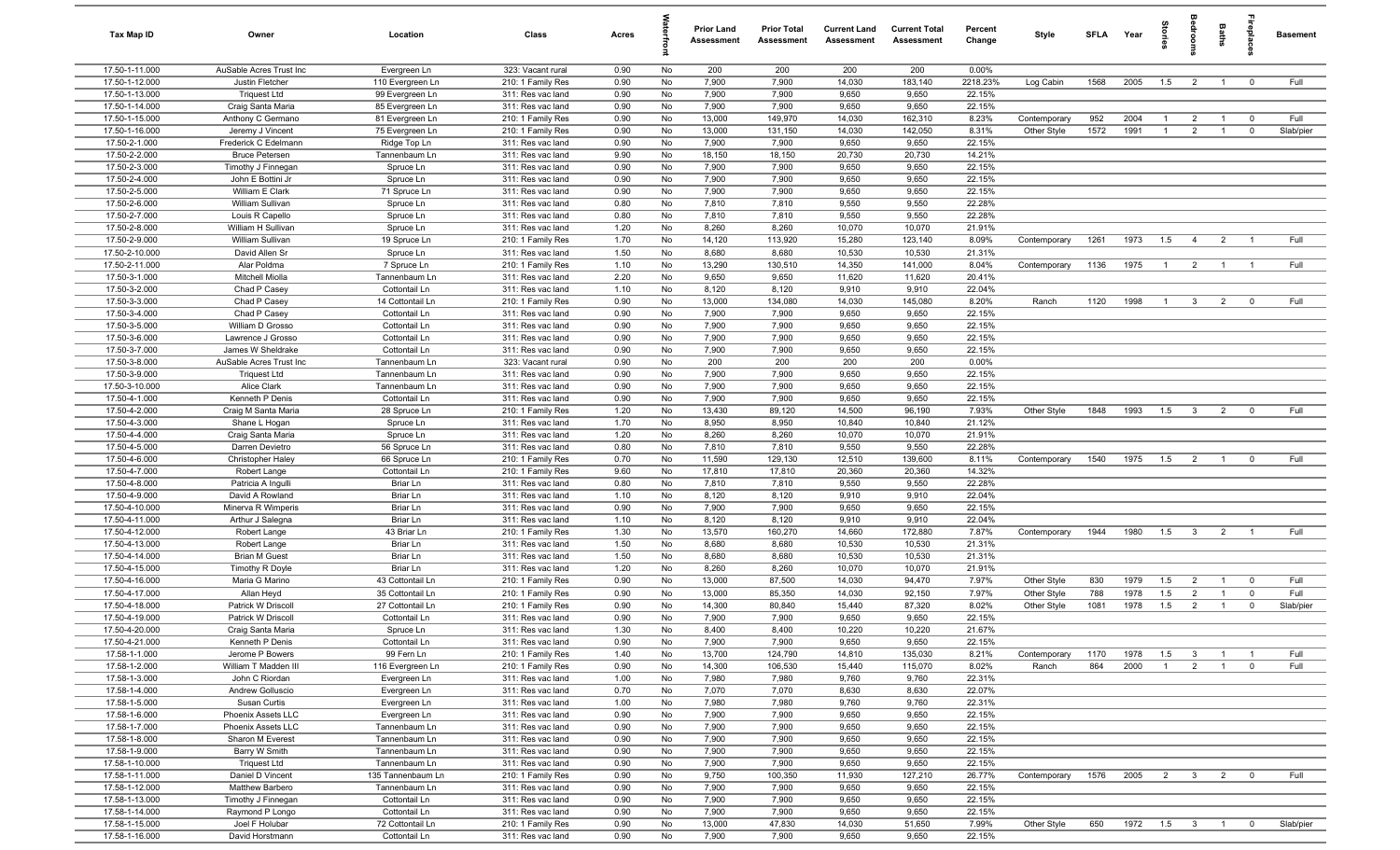| Tax Map ID                       | Owner                                         | Location                          | Class                                  | Acres        |          | <b>Prior Land</b><br>Assessment | <b>Prior Total</b><br><b>Assessment</b> | <b>Current Land</b><br>Assessment | <b>Current Total</b><br><b>Assessment</b> | Percent<br>Change | Style        | <b>SFLA</b> | Year | Stories        |                         | Baths                            | lrepla                  | <b>Basement</b> |
|----------------------------------|-----------------------------------------------|-----------------------------------|----------------------------------------|--------------|----------|---------------------------------|-----------------------------------------|-----------------------------------|-------------------------------------------|-------------------|--------------|-------------|------|----------------|-------------------------|----------------------------------|-------------------------|-----------------|
| 17.50-1-11.000                   | AuSable Acres Trust Inc                       | Evergreen Ln                      | 323: Vacant rural                      | 0.90         | No       | 200                             | 200                                     | 200                               | 200                                       | 0.00%             |              |             |      |                |                         |                                  |                         |                 |
| 17.50-1-12.000                   | Justin Fletcher                               | 110 Evergreen Ln                  | 210: 1 Family Res                      | 0.90         | No       | 7,900                           | 7,900                                   | 14,030                            | 183,140                                   | 2218.23%          | Log Cabin    | 1568        | 2005 | 1.5            | $\overline{2}$          | $\overline{1}$                   | $\overline{0}$          | Full            |
| 17.50-1-13.000                   | <b>Triquest Ltd</b>                           | 99 Evergreen Ln                   | 311: Res vac land                      | 0.90         | No       | 7,900                           | 7,900                                   | 9,650                             | 9,650                                     | 22.15%            |              |             |      |                |                         |                                  |                         |                 |
| 17.50-1-14.000                   | Craig Santa Maria                             | 85 Evergreen Ln                   | 311: Res vac land                      | 0.90         | No       | 7,900                           | 7,900                                   | 9,650                             | 9,650                                     | 22.15%            |              |             |      |                |                         |                                  |                         |                 |
| 17.50-1-15.000                   | Anthony C Germano                             | 81 Evergreen Ln                   | 210: 1 Family Res                      | 0.90         | No       | 13,000                          | 149,970                                 | 14,030                            | 162,310                                   | 8.23%             | Contemporary | 952         | 2004 | $\overline{1}$ | 2                       | $\overline{1}$                   | $\mathbf 0$             | Full            |
| 17.50-1-16.000                   | Jeremy J Vincent                              | 75 Evergreen Ln                   | 210: 1 Family Res                      | 0.90         | No       | 13,000                          | 131,150                                 | 14,030                            | 142,050                                   | 8.31%             | Other Style  | 1572        | 1991 | $\overline{1}$ | $\overline{2}$          | $\overline{1}$                   | $\mathbf 0$             | Slab/pier       |
| 17.50-2-1.000<br>17.50-2-2.000   | Frederick C Edelmann<br><b>Bruce Petersen</b> | Ridge Top Ln<br>Tannenbaum Ln     | 311: Res vac land<br>311: Res vac land | 0.90<br>9.90 | No<br>No | 7,900<br>18,150                 | 7,900<br>18,150                         | 9,650<br>20,730                   | 9,650<br>20,730                           | 22.15%<br>14.21%  |              |             |      |                |                         |                                  |                         |                 |
| 17.50-2-3.000                    | Timothy J Finnegan                            | Spruce Ln                         | 311: Res vac land                      | 0.90         | No       | 7,900                           | 7,900                                   | 9,650                             | 9,650                                     | 22.15%            |              |             |      |                |                         |                                  |                         |                 |
| 17.50-2-4.000                    | John E Bottini Jr                             | Spruce Ln                         | 311: Res vac land                      | 0.90         | No       | 7,900                           | 7,900                                   | 9,650                             | 9,650                                     | 22.15%            |              |             |      |                |                         |                                  |                         |                 |
| 17.50-2-5.000                    | William E Clark                               | 71 Spruce Ln                      | 311: Res vac land                      | 0.90         | No       | 7,900                           | 7,900                                   | 9,650                             | 9,650                                     | 22.15%            |              |             |      |                |                         |                                  |                         |                 |
| 17.50-2-6.000                    | William Sullivan                              | Spruce Ln                         | 311: Res vac land                      | 0.80         | No       | 7,810                           | 7,810                                   | 9,550                             | 9,550                                     | 22.28%            |              |             |      |                |                         |                                  |                         |                 |
| 17.50-2-7.000                    | Louis R Capello                               | Spruce Ln                         | 311: Res vac land                      | 0.80         | No       | 7,810                           | 7,810                                   | 9,550                             | 9,550                                     | 22.28%            |              |             |      |                |                         |                                  |                         |                 |
| 17.50-2-8.000                    | William H Sullivan                            | Spruce Ln                         | 311: Res vac land                      | 1.20         | No       | 8,260                           | 8,260                                   | 10,070                            | 10,070                                    | 21.91%            |              |             |      |                |                         |                                  |                         |                 |
| 17.50-2-9.000                    | William Sullivan                              | 19 Spruce Ln                      | 210: 1 Family Res                      | 1.70         | No       | 14,120                          | 113,920                                 | 15,280                            | 123,140                                   | 8.09%             | Contemporary | 1261        | 1973 | 1.5            | $\overline{4}$          | $\overline{2}$                   |                         | Full            |
| 17.50-2-10.000                   | David Allen Sr                                | Spruce Ln                         | 311: Res vac land                      | 1.50         | No       | 8,680                           | 8,680                                   | 10,530                            | 10,530                                    | 21.31%            |              |             |      |                |                         |                                  |                         |                 |
| 17.50-2-11.000                   | Alar Poldma                                   | 7 Spruce Ln                       | 210: 1 Family Res                      | 1.10         | No       | 13,290                          | 130,510                                 | 14,350                            | 141,000                                   | 8.04%             | Contemporary | 1136        | 1975 | $\overline{1}$ | $\overline{2}$          | $\overline{1}$                   | -1                      | Full            |
| 17.50-3-1.000                    | Mitchell Miolla                               | Tannenbaum Ln                     | 311: Res vac land                      | 2.20         | No       | 9,650                           | 9,650                                   | 11,620                            | 11,620                                    | 20.41%            |              |             |      |                |                         |                                  |                         |                 |
| 17.50-3-2.000                    | Chad P Casey                                  | Cottontail Ln                     | 311: Res vac land                      | 1.10         | No       | 8,120                           | 8,120                                   | 9,910                             | 9,910                                     | 22.04%            |              |             |      |                |                         |                                  |                         |                 |
| 17.50-3-3.000                    | Chad P Casey                                  | 14 Cottontail Ln                  | 210: 1 Family Res                      | 0.90         | No       | 13,000                          | 134,080                                 | 14,030                            | 145,080                                   | 8.20%             | Ranch        | 1120        | 1998 | $\overline{1}$ | $\overline{3}$          | $\overline{2}$                   | $\mathbf 0$             | Full            |
| 17.50-3-4.000                    | Chad P Casey                                  | Cottontail Ln                     | 311: Res vac land                      | 0.90         | No       | 7,900                           | 7,900                                   | 9,650                             | 9,650                                     | 22.15%            |              |             |      |                |                         |                                  |                         |                 |
| 17.50-3-5.000                    | William D Grosso                              | Cottontail Ln                     | 311: Res vac land                      | 0.90         | No       | 7,900                           | 7,900                                   | 9,650                             | 9,650                                     | 22.15%            |              |             |      |                |                         |                                  |                         |                 |
| 17.50-3-6.000                    | Lawrence J Grosso                             | Cottontail Ln                     | 311: Res vac land                      | 0.90         | No       | 7,900                           | 7,900                                   | 9,650                             | 9,650                                     | 22.15%            |              |             |      |                |                         |                                  |                         |                 |
| 17.50-3-7.000                    | James W Sheldrake                             | Cottontail Ln                     | 311: Res vac land                      | 0.90         | No       | 7,900                           | 7,900                                   | 9,650                             | 9,650                                     | 22.15%            |              |             |      |                |                         |                                  |                         |                 |
| 17.50-3-8.000                    | AuSable Acres Trust Inc                       | Tannenbaum Ln                     | 323: Vacant rural                      | 0.90         | No       | 200                             | 200                                     | 200                               | 200                                       | 0.00%             |              |             |      |                |                         |                                  |                         |                 |
| 17.50-3-9.000                    | <b>Triquest Ltd</b><br>Alice Clark            | Tannenbaum Ln<br>Tannenbaum Ln    | 311: Res vac land<br>311: Res vac land | 0.90         | No       | 7,900                           | 7,900                                   | 9,650                             | 9,650                                     | 22.15%            |              |             |      |                |                         |                                  |                         |                 |
| 17.50-3-10.000<br>17.50-4-1.000  | Kenneth P Denis                               | Cottontail Ln                     | 311: Res vac land                      | 0.90<br>0.90 | No<br>No | 7,900<br>7,900                  | 7,900<br>7,900                          | 9,650<br>9,650                    | 9,650<br>9,650                            | 22.15%<br>22.15%  |              |             |      |                |                         |                                  |                         |                 |
| 17.50-4-2.000                    | Craig M Santa Maria                           | 28 Spruce Ln                      | 210: 1 Family Res                      | 1.20         | No       | 13,430                          | 89,120                                  | 14,500                            | 96,190                                    | 7.93%             | Other Style  | 1848        | 1993 | 1.5            | $\mathbf{3}$            | $\overline{2}$                   | $\mathbf 0$             | Full            |
| 17.50-4-3.000                    | Shane L Hogan                                 | Spruce Ln                         | 311: Res vac land                      | 1.70         | No       | 8,950                           | 8,950                                   | 10,840                            | 10,840                                    | 21.12%            |              |             |      |                |                         |                                  |                         |                 |
| 17.50-4-4.000                    | Craig Santa Maria                             | Spruce Ln                         | 311: Res vac land                      | 1.20         | No       | 8,260                           | 8,260                                   | 10,070                            | 10,070                                    | 21.91%            |              |             |      |                |                         |                                  |                         |                 |
| 17.50-4-5.000                    | Darren Devietro                               | 56 Spruce Ln                      | 311: Res vac land                      | 0.80         | No       | 7,810                           | 7,810                                   | 9,550                             | 9,550                                     | 22.28%            |              |             |      |                |                         |                                  |                         |                 |
| 17.50-4-6.000                    | Christopher Haley                             | 66 Spruce Ln                      | 210: 1 Family Res                      | 0.70         | No       | 11,590                          | 129,130                                 | 12,510                            | 139,600                                   | 8.11%             | Contemporary | 1540        | 1975 | 1.5            | $\overline{2}$          | $\overline{1}$                   | $\mathbf 0$             | Full            |
| 17.50-4-7.000                    | Robert Lange                                  | Cottontail Ln                     | 210: 1 Family Res                      | 9.60         | No       | 17,810                          | 17,810                                  | 20,360                            | 20,360                                    | 14.32%            |              |             |      |                |                         |                                  |                         |                 |
| 17.50-4-8.000                    | Patricia A Ingulli                            | Briar Ln                          | 311: Res vac land                      | 0.80         | No       | 7,810                           | 7,810                                   | 9,550                             | 9,550                                     | 22.28%            |              |             |      |                |                         |                                  |                         |                 |
| 17.50-4-9.000                    | David A Rowland                               | Briar Ln                          | 311: Res vac land                      | 1.10         | No       | 8,120                           | 8,120                                   | 9,910                             | 9,910                                     | 22.04%            |              |             |      |                |                         |                                  |                         |                 |
| 17.50-4-10.000                   | Minerva R Wimperis                            | Briar Ln                          | 311: Res vac land                      | 0.90         | No       | 7,900                           | 7,900                                   | 9,650                             | 9,650                                     | 22.15%            |              |             |      |                |                         |                                  |                         |                 |
| 17.50-4-11.000                   | Arthur J Salegna                              | Briar Ln                          | 311: Res vac land                      | 1.10         | No       | 8,120                           | 8,120                                   | 9,910                             | 9,910                                     | 22.04%            |              |             |      |                |                         |                                  |                         |                 |
| 17.50-4-12.000                   | Robert Lange                                  | 43 Briar Ln                       | 210: 1 Family Res                      | 1.30         | No       | 13,570                          | 160,270                                 | 14,660                            | 172,880                                   | 7.87%             | Contemporary | 1944        | 1980 | 1.5            | $\overline{3}$          | $\overline{2}$                   |                         | Full            |
| 17.50-4-13.000                   | Robert Lange                                  | Briar Ln                          | 311: Res vac land                      | 1.50         | No       | 8,680                           | 8,680                                   | 10,530                            | 10,530                                    | 21.31%            |              |             |      |                |                         |                                  |                         |                 |
| 17.50-4-14.000                   | <b>Brian M Guest</b>                          | Briar Ln                          | 311: Res vac land                      | 1.50         | No       | 8,680                           | 8,680                                   | 10,530                            | 10,530                                    | 21.31%            |              |             |      |                |                         |                                  |                         |                 |
| 17.50-4-15.000                   | Timothy R Doyle                               | Briar Ln                          | 311: Res vac land                      | 1.20         | No       | 8,260                           | 8,260                                   | 10,070                            | 10,070                                    | 21.91%            |              |             |      |                |                         |                                  |                         |                 |
| 17.50-4-16.000                   | Maria G Marino                                | 43 Cottontail Ln                  | 210: 1 Family Res                      | 0.90         | No       | 13,000                          | 87,500                                  | 14,030                            | 94,470                                    | 7.97%             | Other Style  | 830         | 1979 | 1.5            | $\overline{2}$          | $\overline{1}$                   | $\mathbf 0$             | Full            |
| 17.50-4-17.000<br>17.50-4-18.000 | Allan Heyd                                    | 35 Cottontail Ln                  | 210: 1 Family Res                      | 0.90         | No       | 13,000                          | 85,350                                  | 14,030                            | 92,150                                    | 7.97%             | Other Style  | 788         | 1978 | 1.5            | $\overline{2}$          | $\overline{1}$<br>$\overline{1}$ | $\mathbf 0$             | Full            |
| 17.50-4-19.000                   | Patrick W Driscoll<br>Patrick W Driscoll      | 27 Cottontail Ln<br>Cottontail Ln | 210: 1 Family Res<br>311: Res vac land | 0.90<br>0.90 | No<br>No | 14,300<br>7,900                 | 80,840<br>7,900                         | 15,440<br>9,650                   | 87,320<br>9,650                           | 8.02%<br>22.15%   | Other Style  | 1081        | 1978 | 1.5            | $\overline{2}$          |                                  | $\mathbf 0$             | Slab/pier       |
| 17.50-4-20.000                   | Craig Santa Maria                             | Spruce Ln                         | 311: Res vac land                      | 1.30         | No       | 8,400                           | 8,400                                   | 10,220                            | 10,220                                    | 21.67%            |              |             |      |                |                         |                                  |                         |                 |
| 17.50-4-21.000                   | Kenneth P Denis                               | Cottontail Ln                     | 311: Res vac land                      | 0.90         | No       | 7,900                           | 7,900                                   | 9,650                             | 9,650                                     | 22.15%            |              |             |      |                |                         |                                  |                         |                 |
| 17.58-1-1.000                    | Jerome P Bowers                               | 99 Fern Ln                        | 210: 1 Family Res                      | 1.40         | No       | 13,700                          | 124,790                                 | 14,810                            | 135,030                                   | 8.21%             | Contemporary | 1170        | 1978 | 1.5            | $\mathbf{3}$            | $\overline{1}$                   | $\overline{1}$          | Full            |
| 17.58-1-2.000                    | William T Madden III                          | 116 Evergreen Ln                  | 210: 1 Family Res                      | 0.90         | No       | 14,300                          | 106,530                                 | 15,440                            | 115,070                                   | 8.02%             | Ranch        | 864         | 2000 | $\overline{1}$ | $\overline{2}$          | $\overline{1}$                   | $\overline{\mathbf{0}}$ | Full            |
| 17.58-1-3.000                    | John C Riordan                                | Evergreen Ln                      | 311: Res vac land                      | 1.00         | No       | 7,980                           | 7,980                                   | 9,760                             | 9,760                                     | 22.31%            |              |             |      |                |                         |                                  |                         |                 |
| 17.58-1-4.000                    | Andrew Golluscio                              | Evergreen Ln                      | 311: Res vac land                      | 0.70         | No       | 7,070                           | 7,070                                   | 8,630                             | 8,630                                     | 22.07%            |              |             |      |                |                         |                                  |                         |                 |
| 17.58-1-5.000                    | Susan Curtis                                  | Evergreen Ln                      | 311: Res vac land                      | 1.00         | No       | 7,980                           | 7,980                                   | 9,760                             | 9,760                                     | 22.31%            |              |             |      |                |                         |                                  |                         |                 |
| 17.58-1-6.000                    | Phoenix Assets LLC                            | Evergreen Ln                      | 311: Res vac land                      | 0.90         | No       | 7,900                           | 7,900                                   | 9,650                             | 9,650                                     | 22.15%            |              |             |      |                |                         |                                  |                         |                 |
| 17.58-1-7.000                    | Phoenix Assets LLC                            | Tannenbaum Ln                     | 311: Res vac land                      | 0.90         | No       | 7,900                           | 7,900                                   | 9,650                             | 9,650                                     | 22.15%            |              |             |      |                |                         |                                  |                         |                 |
| 17.58-1-8.000                    | Sharon M Everest                              | Tannenbaum Ln                     | 311: Res vac land                      | 0.90         | No       | 7,900                           | 7,900                                   | 9,650                             | 9,650                                     | 22.15%            |              |             |      |                |                         |                                  |                         |                 |
| 17.58-1-9.000                    | Barry W Smith                                 | Tannenbaum Ln                     | 311: Res vac land                      | 0.90         | No       | 7,900                           | 7,900                                   | 9,650                             | 9,650                                     | 22.15%            |              |             |      |                |                         |                                  |                         |                 |
| 17.58-1-10.000                   | <b>Triquest Ltd</b>                           | Tannenbaum Ln                     | 311: Res vac land                      | 0.90         | No       | 7,900                           | 7,900                                   | 9,650                             | 9,650                                     | 22.15%            |              |             |      |                |                         |                                  |                         |                 |
| 17.58-1-11.000                   | Daniel D Vincent                              | 135 Tannenbaum Ln                 | 210: 1 Family Res                      | 0.90         | No       | 9,750                           | 100,350                                 | 11,930                            | 127,210                                   | 26.77%            | Contemporary | 1576        | 2005 | $\overline{2}$ | $\overline{\mathbf{3}}$ | $\overline{2}$                   | $\overline{0}$          | Full            |
| 17.58-1-12.000                   | Matthew Barbero                               | Tannenbaum Ln                     | 311: Res vac land                      | 0.90         | No       | 7,900                           | 7,900                                   | 9,650                             | 9,650                                     | 22.15%            |              |             |      |                |                         |                                  |                         |                 |
| 17.58-1-13.000                   | Timothy J Finnegan                            | Cottontail Ln                     | 311: Res vac land                      | 0.90         | No       | 7,900                           | 7,900                                   | 9,650                             | 9,650                                     | 22.15%            |              |             |      |                |                         |                                  |                         |                 |
| 17.58-1-14.000                   | Raymond P Longo                               | Cottontail Ln                     | 311: Res vac land                      | 0.90         | No       | 7,900                           | 7,900                                   | 9,650                             | 9,650                                     | 22.15%            |              |             |      |                |                         |                                  |                         |                 |
| 17.58-1-15.000<br>17.58-1-16.000 | Joel F Holubar<br>David Horstmann             | 72 Cottontail Ln<br>Cottontail Ln | 210: 1 Family Res<br>311: Res vac land | 0.90<br>0.90 | No<br>No | 13,000<br>7,900                 | 47,830<br>7,900                         | 14,030<br>9,650                   | 51,650<br>9,650                           | 7.99%<br>22.15%   | Other Style  | 650         | 1972 | 1.5            | $\overline{\mathbf{3}}$ | $\overline{1}$                   | $\overline{\mathbf{0}}$ | Slab/pier       |
|                                  |                                               |                                   |                                        |              |          |                                 |                                         |                                   |                                           |                   |              |             |      |                |                         |                                  |                         |                 |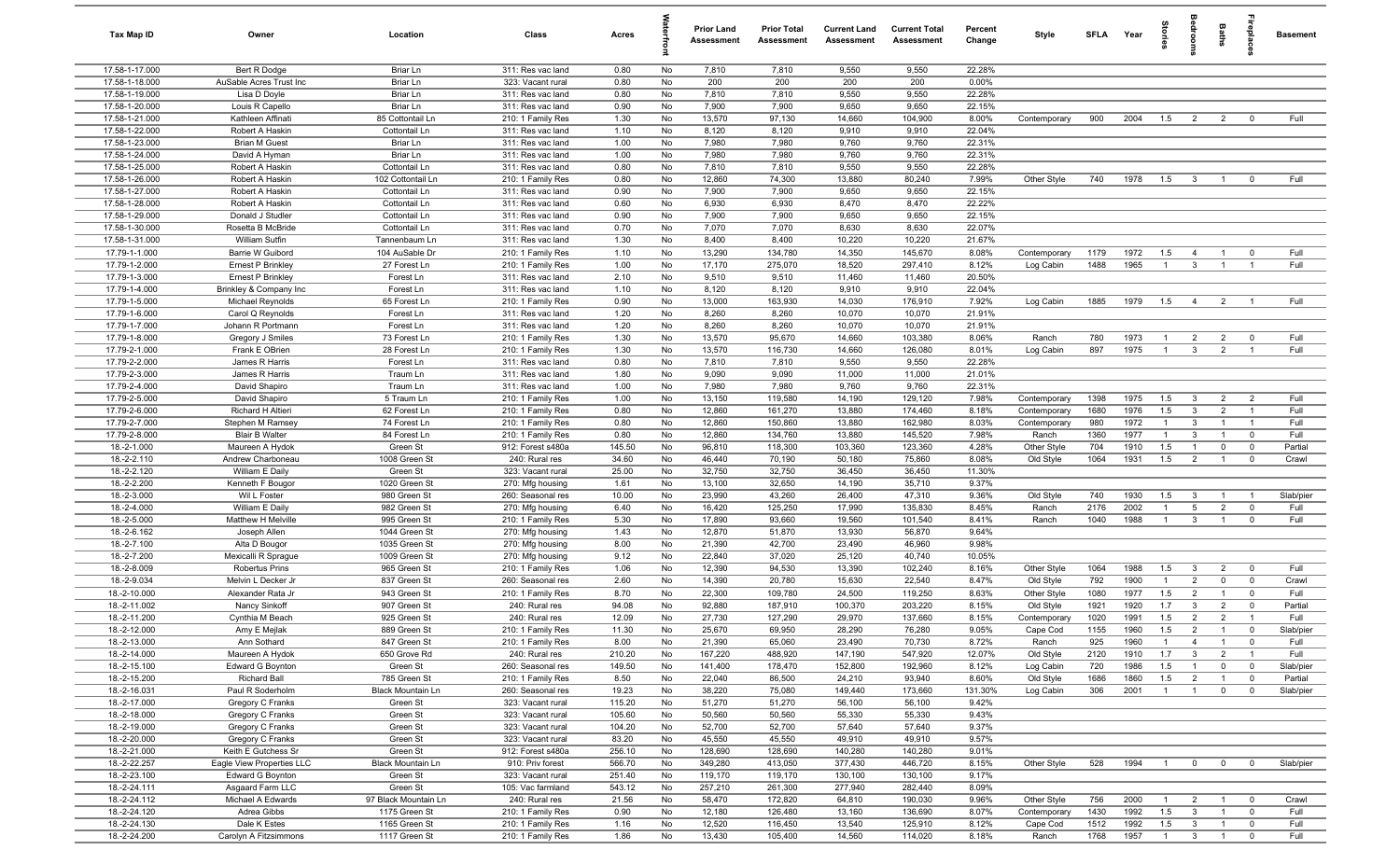| Tax Map ID                       | Owner                                   | Location                          | Class                                  | Acres         |          | <b>Prior Land</b><br>Assessment | <b>Prior Total</b><br>Assessment | <b>Current Land</b><br>Assessment | <b>Current Total</b><br>Assessment | Percent<br>Change | Style          | SFLA Year   |              | Storie                | groo                             | Baths                            | epla                         | <b>Basement</b>      |
|----------------------------------|-----------------------------------------|-----------------------------------|----------------------------------------|---------------|----------|---------------------------------|----------------------------------|-----------------------------------|------------------------------------|-------------------|----------------|-------------|--------------|-----------------------|----------------------------------|----------------------------------|------------------------------|----------------------|
| 17.58-1-17.000                   | Bert R Dodge                            | Briar Ln                          | 311: Res vac land                      | 0.80          | No       | 7,810                           | 7,810                            | 9,550                             | 9,550                              | 22.28%            |                |             |              |                       |                                  |                                  |                              |                      |
| 17.58-1-18.000                   | AuSable Acres Trust Inc                 | Briar Ln                          | 323: Vacant rural                      | 0.80          | No       | 200                             | 200                              | 200                               | 200                                | 0.00%             |                |             |              |                       |                                  |                                  |                              |                      |
| 17.58-1-19.000                   | Lisa D Doyle                            | Briar Ln                          | 311: Res vac land                      | 0.80          | No       | 7,810                           | 7,810                            | 9,550                             | 9,550                              | 22.28%            |                |             |              |                       |                                  |                                  |                              |                      |
| 17.58-1-20.000                   | Louis R Capello                         | Briar Ln                          | 311: Res vac land                      | 0.90          | No       | 7,900                           | 7,900                            | 9,650                             | 9,650                              | 22.15%            |                |             |              |                       |                                  |                                  |                              |                      |
| 17.58-1-21.000                   | Kathleen Affinati                       | 85 Cottontail Ln                  | 210: 1 Family Res                      | 1.30          | No       | 13,570                          | 97,130                           | 14,660                            | 104,900                            | 8.00%             | Contemporary   | 900         | 2004         | 1.5                   | $\overline{2}$                   | $\overline{2}$                   | $^{\circ}$                   | Full                 |
| 17.58-1-22.000<br>17.58-1-23.000 | Robert A Haskin<br><b>Brian M Guest</b> | Cottontail Ln<br>Briar Ln         | 311: Res vac land                      | 1.10          | No<br>No | 8,120<br>7,980                  | 8,120                            | 9,910<br>9,760                    | 9,910<br>9,760                     | 22.04%<br>22.31%  |                |             |              |                       |                                  |                                  |                              |                      |
| 17.58-1-24.000                   | David A Hyman                           | Briar Ln                          | 311: Res vac land<br>311: Res vac land | 1.00<br>1.00  | No       | 7,980                           | 7,980<br>7,980                   | 9,760                             | 9,760                              | 22.31%            |                |             |              |                       |                                  |                                  |                              |                      |
| 17.58-1-25.000                   | Robert A Haskin                         | Cottontail Ln                     | 311: Res vac land                      | 0.80          | No       | 7,810                           | 7,810                            | 9,550                             | 9,550                              | 22.28%            |                |             |              |                       |                                  |                                  |                              |                      |
| 17.58-1-26.000                   | Robert A Haskin                         | 102 Cottontail Ln                 | 210: 1 Family Res                      | 0.80          | No       | 12,860                          | 74,300                           | 13,880                            | 80,240                             | 7.99%             | Other Style    | 740         | 1978         | 1.5                   | $\mathbf{3}$                     | $\overline{1}$                   | $^{\circ}$                   | Full                 |
| 17.58-1-27.000                   | Robert A Haskin                         | Cottontail Ln                     | 311: Res vac land                      | 0.90          | No       | 7,900                           | 7,900                            | 9,650                             | 9,650                              | 22.15%            |                |             |              |                       |                                  |                                  |                              |                      |
| 17.58-1-28.000                   | Robert A Haskin                         | Cottontail Ln                     | 311: Res vac land                      | 0.60          | No       | 6,930                           | 6,930                            | 8,470                             | 8,470                              | 22.22%            |                |             |              |                       |                                  |                                  |                              |                      |
| 17.58-1-29.000                   | Donald J Studler                        | Cottontail Ln                     | 311: Res vac land                      | 0.90          | No       | 7,900                           | 7,900                            | 9,650                             | 9,650                              | 22.15%            |                |             |              |                       |                                  |                                  |                              |                      |
| 17.58-1-30.000                   | Rosetta B McBride                       | Cottontail Ln                     | 311: Res vac land                      | 0.70          | No       | 7,070                           | 7,070                            | 8,630                             | 8,630                              | 22.07%            |                |             |              |                       |                                  |                                  |                              |                      |
| 17.58-1-31.000                   | William Sutfin                          | Tannenbaum Ln                     | 311: Res vac land                      | 1.30          | No       | 8,400                           | 8,400                            | 10,220                            | 10,220                             | 21.67%            |                |             |              |                       |                                  |                                  |                              |                      |
| 17.79-1-1.000                    | Barrie W Guibord                        | 104 AuSable Dr                    | 210: 1 Family Res                      | 1.10          | No       | 13,290                          | 134,780                          | 14,350                            | 145,670                            | 8.08%             | Contemporary   | 1179        | 1972         | 1.5                   | $\overline{4}$                   | $\overline{1}$                   | $\mathbf 0$                  | Full                 |
| 17.79-1-2.000                    | <b>Ernest P Brinkley</b>                | 27 Forest Ln                      | 210: 1 Family Res                      | 1.00          | No       | 17,170                          | 275,070                          | 18,520                            | 297,410                            | 8.12%             | Log Cabin      | 1488        | 1965         | $\mathbf{1}$          | $\mathbf{3}$                     |                                  |                              | Full                 |
| 17.79-1-3.000                    | Ernest P Brinkley                       | Forest Ln                         | 311: Res vac land                      | 2.10          | No       | 9,510                           | 9,510                            | 11,460                            | 11,460                             | 20.50%            |                |             |              |                       |                                  |                                  |                              |                      |
| 17.79-1-4.000                    | Brinkley & Company Inc                  | Forest Ln                         | 311: Res vac land                      | 1.10          | No       | 8,120                           | 8,120                            | 9,910                             | 9,910                              | 22.04%            |                |             |              |                       |                                  |                                  |                              |                      |
| 17.79-1-5.000                    | Michael Reynolds                        | 65 Forest Ln                      | 210: 1 Family Res                      | 0.90          | No       | 13,000                          | 163,930                          | 14,030                            | 176,910                            | 7.92%             | Log Cabin      | 1885        | 1979         | 1.5                   | $\overline{4}$                   | $\overline{2}$                   |                              | Full                 |
| 17.79-1-6.000<br>17.79-1-7.000   | Carol Q Reynolds<br>Johann R Portmann   | Forest Ln<br>Forest Ln            | 311: Res vac land<br>311: Res vac land | 1.20<br>1.20  | No<br>No | 8,260<br>8,260                  | 8,260<br>8,260                   | 10,070<br>10,070                  | 10,070                             | 21.91%<br>21.91%  |                |             |              |                       |                                  |                                  |                              |                      |
| 17.79-1-8.000                    | Gregory J Smiles                        | 73 Forest Ln                      | 210: 1 Family Res                      | 1.30          | No       | 13,570                          | 95,670                           | 14,660                            | 10,070<br>103,380                  | 8.06%             | Ranch          | 780         | 1973         | $\overline{1}$        | $\overline{2}$                   | $\overline{2}$                   | $^{\circ}$                   | Full                 |
| 17.79-2-1.000                    | Frank E OBrien                          | 28 Forest Ln                      | 210: 1 Family Res                      | 1.30          | No       | 13,570                          | 116,730                          | 14,660                            | 126,080                            | 8.01%             | Log Cabin      | 897         | 1975         | $\overline{1}$        | $\mathbf{3}$                     | $\overline{2}$                   | $\overline{1}$               | Full                 |
| 17.79-2-2.000                    | James R Harris                          | Forest Ln                         | 311: Res vac land                      | 0.80          | No       | 7,810                           | 7,810                            | 9,550                             | 9,550                              | 22.28%            |                |             |              |                       |                                  |                                  |                              |                      |
| 17.79-2-3.000                    | James R Harris                          | Traum Ln                          | 311: Res vac land                      | 1.80          | No       | 9,090                           | 9,090                            | 11,000                            | 11,000                             | 21.01%            |                |             |              |                       |                                  |                                  |                              |                      |
| 17.79-2-4.000                    | David Shapiro                           | Traum Ln                          | 311: Res vac land                      | 1.00          | No       | 7,980                           | 7,980                            | 9,760                             | 9,760                              | 22.31%            |                |             |              |                       |                                  |                                  |                              |                      |
| 17.79-2-5.000                    | David Shapiro                           | 5 Traum Ln                        | 210: 1 Family Res                      | 1.00          | No       | 13,150                          | 119,580                          | 14,190                            | 129,120                            | 7.98%             | Contemporary   | 1398        | 1975         | 1.5                   | $\mathbf{3}$                     | $\overline{2}$                   | $\overline{2}$               | Full                 |
| 17.79-2-6.000                    | Richard H Altieri                       | 62 Forest Ln                      | 210: 1 Family Res                      | 0.80          | No       | 12,860                          | 161,270                          | 13,880                            | 174,460                            | 8.18%             | Contemporary   | 1680        | 1976         | 1.5                   | $\mathbf{3}$                     | $\overline{2}$                   | $\overline{\mathbf{1}}$      | Full                 |
| 17.79-2-7.000                    | Stephen M Ramsey                        | 74 Forest Ln                      | 210: 1 Family Res                      | 0.80          | No       | 12,860                          | 150,860                          | 13,880                            | 162,980                            | 8.03%             | Contemporary   | 980         | 1972         | $\overline{1}$        | $\mathbf{3}$                     |                                  | $\overline{\mathbf{1}}$      | Full                 |
| 17.79-2-8.000                    | <b>Blair B Walter</b>                   | 84 Forest Ln                      | 210: 1 Family Res                      | 0.80          | No       | 12,860                          | 134,760                          | 13,880                            | 145,520                            | 7.98%             | Ranch          | 1360        | 1977         | $\mathbf{1}$          | $\mathbf{3}$                     | $\overline{1}$                   | $^{\circ}$                   | Full                 |
| 18.-2-1.000                      | Maureen A Hydok                         | Green St                          | 912: Forest s480a                      | 145.50        | No       | 96,810                          | 118,300                          | 103,360                           | 123,360                            | 4.28%             | Other Style    | 704         | 1910         | 1.5                   | $\overline{1}$                   | $\mathbf 0$                      | $\mathbf 0$                  | Partial              |
| 18.-2-2.110                      | Andrew Charboneau                       | 1008 Green St                     | 240: Rural res                         | 34.60         | No       | 46,440                          | 70,190                           | 50,180                            | 75,860                             | 8.08%             | Old Style      | 1064        | 1931         | 1.5                   | $\overline{2}$                   | $\overline{1}$                   | $\mathbf 0$                  | Crawl                |
| 18.-2-2.120                      | William E Daily                         | Green St                          | 323: Vacant rural                      | 25.00         | No       | 32,750                          | 32,750                           | 36,450                            | 36,450                             | 11.30%            |                |             |              |                       |                                  |                                  |                              |                      |
| 18.-2-2.200                      | Kenneth F Bougor                        | 1020 Green St                     | 270: Mfg housing                       | 1.61          | No       | 13,100                          | 32,650                           | 14,190                            | 35,710                             | 9.37%             |                | 740         |              |                       |                                  |                                  |                              |                      |
| 18.-2-3.000<br>18.-2-4.000       | Wil L Foster<br>William E Daily         | 980 Green St<br>982 Green St      | 260: Seasonal res                      | 10.00<br>6.40 | No<br>No | 23,990<br>16,420                | 43,260<br>125,250                | 26,400<br>17,990                  | 47,310<br>135,830                  | 9.36%<br>8.45%    | Old Style      | 2176        | 1930<br>2002 | 1.5<br>$\overline{1}$ | $\mathbf{3}$<br>$5\overline{5}$  | $\overline{1}$<br>$\overline{2}$ | $\overline{1}$<br>$^{\circ}$ | Slab/pier<br>Full    |
| 18.-2-5.000                      | Matthew H Melville                      | 995 Green St                      | 270: Mfg housing<br>210: 1 Family Res  | 5.30          | No       | 17,890                          | 93,660                           | 19,560                            | 101,540                            | 8.41%             | Ranch<br>Ranch | 1040        | 1988         | $\overline{1}$        | $\mathbf{3}$                     | $\mathbf{1}$                     | $\Omega$                     | Full                 |
| 18.-2-6.162                      | Joseph Allen                            | 1044 Green St                     | 270: Mfg housing                       | 1.43          | No       | 12,870                          | 51,870                           | 13,930                            | 56,870                             | 9.64%             |                |             |              |                       |                                  |                                  |                              |                      |
| 18.-2-7.100                      | Alta D Bougor                           | 1035 Green St                     | 270: Mfg housing                       | 8.00          | No       | 21,390                          | 42,700                           | 23,490                            | 46,960                             | 9.98%             |                |             |              |                       |                                  |                                  |                              |                      |
| 18.-2-7.200                      | Mexicalli R Sprague                     | 1009 Green St                     | 270: Mfg housing                       | 9.12          | No       | 22,840                          | 37,020                           | 25,120                            | 40,740                             | 10.05%            |                |             |              |                       |                                  |                                  |                              |                      |
| 18.-2-8.009                      | Robertus Prins                          | 965 Green St                      | 210: 1 Family Res                      | 1.06          | No       | 12,390                          | 94,530                           | 13,390                            | 102,240                            | 8.16%             | Other Style    | 1064        | 1988         | 1.5                   | $\mathbf{3}$                     | $\overline{2}$                   | $\overline{0}$               | Full                 |
| 18.-2-9.034                      | Melvin L Decker Jr                      | 837 Green St                      | 260: Seasonal res                      | 2.60          | No       | 14,390                          | 20,780                           | 15,630                            | 22,540                             | 8.47%             | Old Style      | 792         | 1900         | $\mathbf{1}$          | $\overline{2}$                   | $\mathbf 0$                      | $^{\circ}$                   | Crawl                |
| 18.-2-10.000                     | Alexander Rata Jr                       | 943 Green St                      | 210: 1 Family Res                      | 8.70          | No       | 22,300                          | 109,780                          | 24,500                            | 119,250                            | 8.63%             | Other Style    | 1080        | 1977         | 1.5                   | $\overline{2}$                   | $\overline{1}$                   | $\mathbf 0$                  | Full                 |
| 18.-2-11.002                     | Nancy Sinkoff                           | 907 Green St                      | 240: Rural res                         | 94.08         | No       | 92,880                          | 187,910                          | 100,370                           | 203,220                            | 8.15%             | Old Style      | 1921        | 1920         | 1.7                   | $\mathbf{3}$                     | $\overline{2}$                   | $\Omega$                     | Partial              |
| 18.-2-11.200                     | Cynthia M Beach                         | 925 Green St                      | 240: Rural res                         | 12.09         | No       | 27,730                          | 127,290                          | 29,970                            | 137,660                            | 8.15%             | Contemporary   | 1020        | 1991         | 1.5                   | $\overline{2}$                   | $\overline{2}$                   | $\overline{1}$               | Full                 |
| 18.-2-12.000                     | Amy E Mejlak                            | 889 Green St                      | 210: 1 Family Res                      | 11.30         | No       | 25,670                          | 69,950                           | 28,290                            | 76,280                             | 9.05%             | Cape Cod       | 1155        | 1960         | 1.5                   | 2                                | $\overline{1}$                   | $\Omega$                     | Slab/pier            |
| 18.-2-13.000                     | Ann Sothard                             | 847 Green St                      | 210: 1 Family Res                      | 8.00          | No       | 21,390                          | 65,060                           | 23,490                            | 70,730                             | 8.72%             | Ranch          | 925         | 1960         | $\overline{1}$        | $\overline{4}$                   | $\overline{1}$                   | $\mathbf 0$                  | Full                 |
| 18.-2-14.000                     | Maureen A Hydok                         | 650 Grove Rd                      | 240: Rural res                         | 210.20        | No       | 167,220                         | 488,920                          | 147,190                           | 547,920                            | 12.07%            | Old Style      | 2120        | 1910         | 1.7                   | $\mathbf{3}$                     | $\overline{2}$                   | $\overline{1}$               | Full                 |
| 18.-2-15.100                     | Edward G Boynton                        | Green St                          | 260: Seasonal res                      | 149.50        | No       | 141,400                         | 178,470                          | 152,800                           | 192,960                            | 8.12%             | Log Cabin      | 720         | 1986         | 1.5                   | $\overline{1}$                   | $\mathbf 0$                      | $\mathbf 0$                  | Slab/pier            |
| 18.-2-15.200                     | <b>Richard Ball</b><br>Paul R Soderholm | 785 Green St<br>Black Mountain Ln | 210: 1 Family Res<br>260: Seasonal res | 8.50<br>19.23 | No<br>No | 22,040<br>38,220                | 86,500<br>75,080                 | 24,210<br>149,440                 | 93,940<br>173,660                  | 8.60%<br>131.30%  | Old Style      | 1686<br>306 | 1860<br>2001 | 1.5<br>$\mathbf{1}$   | $\overline{2}$<br>$\overline{1}$ | $\mathbf{1}$<br>$\mathbf{0}$     | $\mathbf 0$<br>$\mathbf 0$   | Partial<br>Slab/pier |
| 18.-2-16.031<br>18.-2-17.000     | Gregory C Franks                        | Green St                          | 323: Vacant rural                      | 115.20        | No       | 51,270                          | 51,270                           | 56,100                            | 56,100                             | 9.42%             | Log Cabin      |             |              |                       |                                  |                                  |                              |                      |
| 18.-2-18.000                     | Gregory C Franks                        | Green St                          | 323: Vacant rural                      | 105.60        | No       | 50,560                          | 50,560                           | 55,330                            | 55,330                             | 9.43%             |                |             |              |                       |                                  |                                  |                              |                      |
| 18.-2-19.000                     | Gregory C Franks                        | Green St                          | 323: Vacant rural                      | 104.20        | No       | 52,700                          | 52,700                           | 57,640                            | 57,640                             | 9.37%             |                |             |              |                       |                                  |                                  |                              |                      |
| 18.-2-20.000                     | Gregory C Franks                        | Green St                          | 323: Vacant rural                      | 83.20         | No       | 45,550                          | 45,550                           | 49,910                            | 49,910                             | 9.57%             |                |             |              |                       |                                  |                                  |                              |                      |
| 18.-2-21.000                     | Keith E Gutchess Sr                     | Green St                          | 912: Forest s480a                      | 256.10        | No       | 128,690                         | 128,690                          | 140,280                           | 140,280                            | 9.01%             |                |             |              |                       |                                  |                                  |                              |                      |
| 18.-2-22.257                     | Eagle View Properties LLC               | <b>Black Mountain Ln</b>          | 910: Priv forest                       | 566.70        | No       | 349,280                         | 413,050                          | 377,430                           | 446,720                            | 8.15%             | Other Style    | 528         | 1994         | $\overline{1}$        | $\overline{0}$                   | $\mathbf 0$                      | $\overline{0}$               | Slab/pier            |
| 18.-2-23.100                     | Edward G Boynton                        | Green St                          | 323: Vacant rural                      | 251.40        | No       | 119,170                         | 119,170                          | 130,100                           | 130,100                            | 9.17%             |                |             |              |                       |                                  |                                  |                              |                      |
| 18.-2-24.111                     | Asgaard Farm LLC                        | Green St                          | 105: Vac farmland                      | 543.12        | No       | 257,210                         | 261,300                          | 277,940                           | 282,440                            | 8.09%             |                |             |              |                       |                                  |                                  |                              |                      |
| 18.-2-24.112                     | Michael A Edwards                       | 97 Black Mountain Ln              | 240: Rural res                         | 21.56         | No       | 58,470                          | 172,820                          | 64,810                            | 190,030                            | 9.96%             | Other Style    | 756         | 2000         | $\overline{1}$        | $\overline{2}$                   | $\overline{1}$                   | $^{\circ}$                   | Crawl                |
| 18.-2-24.120                     | Adrea Gibbs                             | 1175 Green St                     | 210: 1 Family Res                      | 0.90          | No       | 12,180                          | 126,480                          | 13,160                            | 136,690                            | 8.07%             | Contemporary   | 1430        | 1992         | 1.5                   | $\mathbf{3}$                     | $\mathbf{1}$                     | $\overline{0}$               | Full                 |
| 18.-2-24.130                     | Dale K Estes                            | 1165 Green St                     | 210: 1 Family Res                      | 1.16          | No       | 12,520                          | 116,450                          | 13,540                            | 125,910                            | 8.12%             | Cape Cod       | 1512        | 1992         | 1.5                   | $\mathbf{3}$                     | $\mathbf{1}$                     | $\mathbf 0$                  | Full                 |
| 18.-2-24.200                     | Carolyn A Fitzsimmons                   | 1117 Green St                     | 210: 1 Family Res                      | 1.86          | No       | 13,430                          | 105,400                          | 14,560                            | 114,020                            | 8.18%             | Ranch          | 1768        | 1957         | $\overline{1}$        | $\overline{\mathbf{3}}$          | $\overline{1}$                   | $\mathbf 0$                  | Full                 |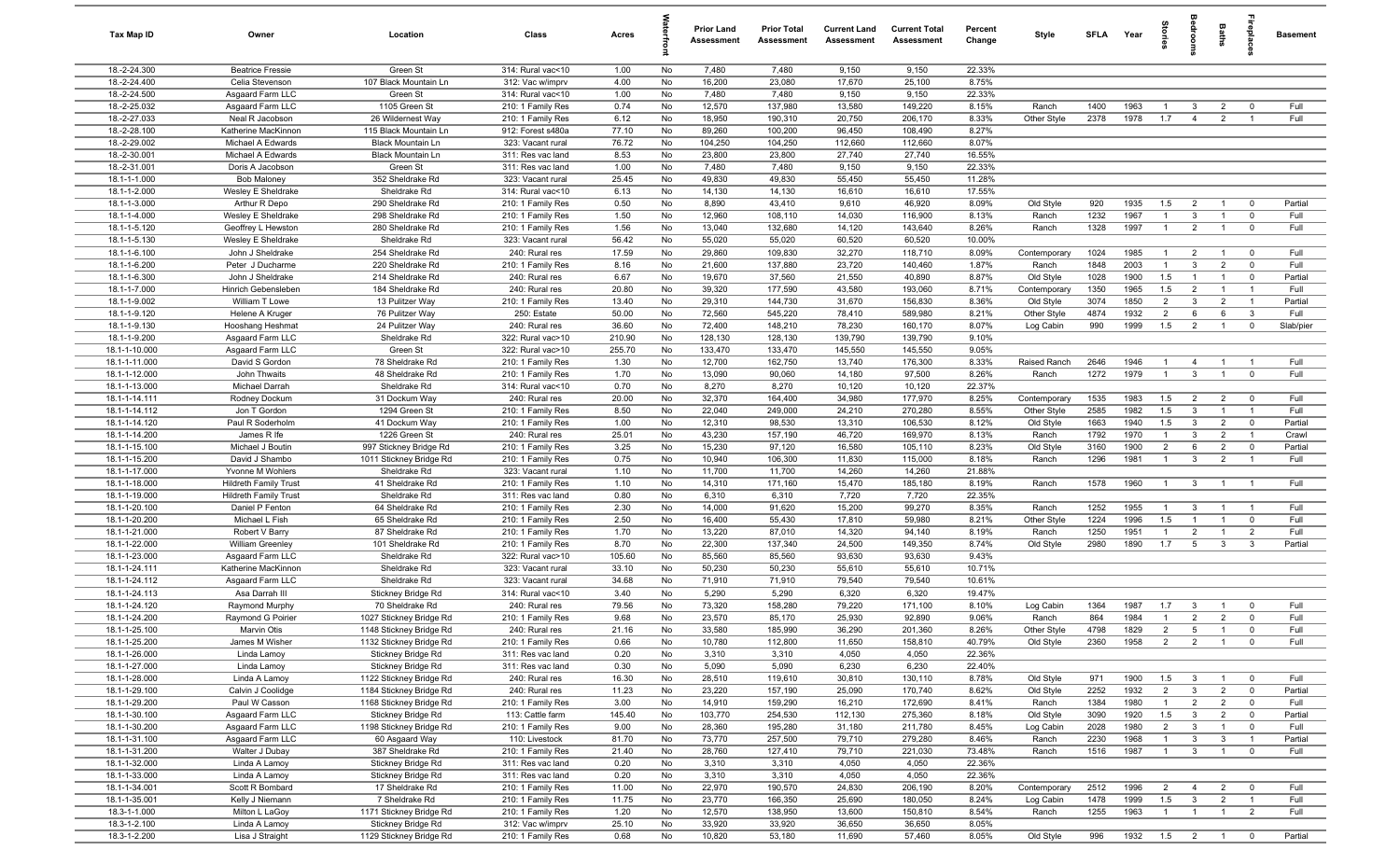| Tax Map ID                     | Owner                                            | Location                                      | Class                                  | Acres          |          | <b>Prior Land</b><br>Assessment | <b>Prior Total</b><br>Assessment | <b>Current Land</b><br>Assessment | <b>Current Total</b><br>Assessment | Percent<br>Change | Style                     | <b>SFLA</b>  | Year            | tories                | å                              | Baths                            |                               | <b>Basement</b> |
|--------------------------------|--------------------------------------------------|-----------------------------------------------|----------------------------------------|----------------|----------|---------------------------------|----------------------------------|-----------------------------------|------------------------------------|-------------------|---------------------------|--------------|-----------------|-----------------------|--------------------------------|----------------------------------|-------------------------------|-----------------|
| 18.-2-24.300                   | <b>Beatrice Fressie</b>                          | Green St                                      | 314: Rural vac<10                      | 1.00           | No       | 7,480                           | 7,480                            | 9,150                             | 9,150                              | 22.33%            |                           |              |                 |                       |                                |                                  |                               |                 |
| 18.-2-24.400                   | Celia Stevenson                                  | 107 Black Mountain Ln                         | 312: Vac w/imprv                       | 4.00           | No       | 16,200                          | 23,080                           | 17,670                            | 25,100                             | 8.75%             |                           |              |                 |                       |                                |                                  |                               |                 |
| 18.-2-24.500                   | Asgaard Farm LLC                                 | Green St                                      | 314: Rural vac<10                      | 1.00           | No       | 7,480                           | 7,480                            | 9,150                             | 9,150                              | 22.33%            |                           |              |                 |                       |                                |                                  |                               |                 |
| 18.-2-25.032                   | Asgaard Farm LLC                                 | 1105 Green St                                 | 210: 1 Family Res                      | 0.74           | No       | 12,570                          | 137,980                          | 13,580                            | 149,220                            | 8.15%             | Ranch                     | 1400         | 1963            | -1                    | -3                             | $\overline{2}$                   | $\mathbf 0$                   | Full<br>Full    |
| 18.-2-27.033<br>18.-2-28.100   | Neal R Jacobson<br>Katherine MacKinnon           | 26 Wildernest Way<br>115 Black Mountain Ln    | 210: 1 Family Res<br>912: Forest s480a | 6.12<br>77.10  | No<br>No | 18,950<br>89,260                | 190,310<br>100,200               | 20,750<br>96,450                  | 206,170<br>108,490                 | 8.33%<br>8.27%    | Other Style               | 2378         | 1978            | 1.7                   | $\overline{4}$                 | $\overline{2}$                   |                               |                 |
| 18.-2-29.002                   | Michael A Edwards                                | <b>Black Mountain Ln</b>                      | 323: Vacant rural                      | 76.72          | No       | 104,250                         | 104,250                          | 112,660                           | 112,660                            | 8.07%             |                           |              |                 |                       |                                |                                  |                               |                 |
| 18.-2-30.001                   | Michael A Edwards                                | <b>Black Mountain Ln</b>                      | 311: Res vac land                      | 8.53           | No       | 23,800                          | 23,800                           | 27,740                            | 27,740                             | 16.55%            |                           |              |                 |                       |                                |                                  |                               |                 |
| 18.-2-31.001                   | Doris A Jacobson                                 | Green St                                      | 311: Res vac land                      | 1.00           | No       | 7,480                           | 7,480                            | 9,150                             | 9,150                              | 22.33%            |                           |              |                 |                       |                                |                                  |                               |                 |
| 18.1-1-1.000                   | <b>Bob Maloney</b>                               | 352 Sheldrake Rd                              | 323: Vacant rural                      | 25.45          | No       | 49,830                          | 49,830                           | 55,450                            | 55,450                             | 11.28%            |                           |              |                 |                       |                                |                                  |                               |                 |
| 18.1-1-2.000                   | Wesley E Sheldrake                               | Sheldrake Rd                                  | 314: Rural vac<10                      | 6.13           | No       | 14,130                          | 14,130                           | 16,610                            | 16,610                             | 17.55%            |                           |              |                 |                       |                                |                                  |                               |                 |
| 18.1-1-3.000                   | Arthur R Depo                                    | 290 Sheldrake Rd                              | 210: 1 Family Res                      | 0.50           | No       | 8,890                           | 43,410                           | 9,610                             | 46,920                             | 8.09%             | Old Style                 | 920          | 1935            | 1.5                   | $\overline{2}$                 | $\overline{1}$                   | $\mathbf 0$                   | Partial         |
| 18.1-1-4.000                   | Wesley E Sheldrake                               | 298 Sheldrake Rd                              | 210: 1 Family Res                      | 1.50           | No       | 12,960                          | 108,110                          | 14,030                            | 116,900                            | 8.13%             | Ranch                     | 1232         | 1967            | $\overline{1}$        | 3                              | $\overline{1}$                   | $\mathbf 0$                   | Full            |
| 18.1-1-5.120                   | Geoffrey L Hewston                               | 280 Sheldrake Rd                              | 210: 1 Family Res                      | 1.56           | No       | 13,040                          | 132,680                          | 14,120                            | 143,640                            | 8.26%             | Ranch                     | 1328         | 1997            | $\overline{1}$        | $\overline{2}$                 | $\overline{1}$                   | $\mathbf 0$                   | Full            |
| 18.1-1-5.130                   | Wesley E Sheldrake                               | Sheldrake Rd                                  | 323: Vacant rural                      | 56.42          | No       | 55,020                          | 55,020                           | 60,520                            | 60,520                             | 10.00%            |                           |              |                 |                       |                                |                                  |                               |                 |
| 18.1-1-6.100                   | John J Sheldrake                                 | 254 Sheldrake Rd                              | 240: Rural res                         | 17.59          | No       | 29,860                          | 109,830                          | 32,270                            | 118,710                            | 8.09%             | Contemporary              | 1024         | 1985            | $\overline{1}$        | $\overline{2}$                 | $\overline{1}$                   | $\overline{\mathbf{0}}$       | Full            |
| 18.1-1-6.200                   | Peter J Ducharme                                 | 220 Sheldrake Rd                              | 210: 1 Family Res                      | 8.16           | No       | 21,600                          | 137,880                          | 23,720                            | 140,460                            | 1.87%             | Ranch                     | 1848         | 2003            | $\overline{1}$        | 3                              | $\overline{2}$                   | $\mathbf 0$                   | Full            |
| 18.1-1-6.300<br>18.1-1-7.000   | John J Sheldrake<br>Hinrich Gebensleben          | 214 Sheldrake Rd                              | 240: Rural res                         | 6.67           | No       | 19,670                          | 37,560<br>177,590                | 21,550<br>43,580                  | 40,890<br>193,060                  | 8.87%<br>8.71%    | Old Style                 | 1028         | 1900<br>1965    | 1.5                   | $\overline{1}$                 | $\overline{1}$<br>$\overline{1}$ | $\mathbf 0$<br>$\overline{1}$ | Partial<br>Full |
| 18.1-1-9.002                   | William T Lowe                                   | 184 Sheldrake Rd<br>13 Pulitzer Way           | 240: Rural res<br>210: 1 Family Res    | 20.80<br>13.40 | No<br>No | 39,320<br>29,310                | 144,730                          | 31,670                            | 156,830                            | 8.36%             | Contemporary<br>Old Style | 1350<br>3074 | 1850            | 1.5<br>$\overline{2}$ | $\overline{2}$<br>$\mathbf{3}$ | $\overline{2}$                   | $\overline{1}$                | Partial         |
| 18.1-1-9.120                   | Helene A Kruger                                  | 76 Pulitzer Way                               | 250: Estate                            | 50.00          | No       | 72,560                          | 545,220                          | 78,410                            | 589,980                            | 8.21%             | Other Style               | 4874         | 1932            | $\overline{2}$        | 6                              | 6                                | $\mathbf{3}$                  | Full            |
| 18.1-1-9.130                   | Hooshang Heshmat                                 | 24 Pulitzer Way                               | 240: Rural res                         | 36.60          | No       | 72,400                          | 148,210                          | 78,230                            | 160,170                            | 8.07%             | Log Cabin                 | 990          | 1999            | 1.5                   | $\overline{2}$                 | $\overline{1}$                   | $\mathbf 0$                   | Slab/pier       |
| 18.1-1-9.200                   | Asgaard Farm LLC                                 | Sheldrake Rd                                  | 322: Rural vac>10                      | 210.90         | No       | 128,130                         | 128,130                          | 139,790                           | 139,790                            | 9.10%             |                           |              |                 |                       |                                |                                  |                               |                 |
| 18.1-1-10.000                  | Asgaard Farm LLC                                 | Green St                                      | 322: Rural vac>10                      | 255.70         | No       | 133,470                         | 133,470                          | 145,550                           | 145,550                            | 9.05%             |                           |              |                 |                       |                                |                                  |                               |                 |
| 18.1-1-11.000                  | David S Gordon                                   | 78 Sheldrake Rd                               | 210: 1 Family Res                      | 1.30           | No       | 12,700                          | 162,750                          | 13,740                            | 176,300                            | 8.33%             | Raised Ranch              | 2646         | 1946            | $\overline{1}$        | $\overline{4}$                 | $\overline{1}$                   | $\overline{1}$                | Full            |
| 18.1-1-12.000                  | John Thwaits                                     | 48 Sheldrake Rd                               | 210: 1 Family Res                      | 1.70           | No       | 13,090                          | 90,060                           | 14,180                            | 97,500                             | 8.26%             | Ranch                     | 1272         | 1979            | $\overline{1}$        | $\mathbf{3}$                   | $\overline{1}$                   | $\overline{0}$                | Full            |
| 18.1-1-13.000                  | Michael Darrah                                   | Sheldrake Rd                                  | 314: Rural vac<10                      | 0.70           | No       | 8,270                           | 8,270                            | 10,120                            | 10,120                             | 22.37%            |                           |              |                 |                       |                                |                                  |                               |                 |
| 18.1-1-14.111                  | Rodney Dockum                                    | 31 Dockum Way                                 | 240: Rural res                         | 20.00          | No       | 32,370                          | 164,400                          | 34,980                            | 177,970                            | 8.25%             | Contemporary              | 1535         | 1983            | 1.5                   | $\overline{2}$                 | $\overline{2}$                   | $\mathbf 0$                   | Full            |
| 18.1-1-14.112                  | Jon T Gordon                                     | 1294 Green St                                 | 210: 1 Family Res                      | 8.50           | No       | 22,040                          | 249,000                          | 24,210                            | 270,280                            | 8.55%             | Other Style               | 2585         | 1982            | 1.5                   | $\mathbf{3}$                   | $\overline{1}$                   | $\overline{1}$                | Full            |
| 18.1-1-14.120                  | Paul R Soderholm                                 | 41 Dockum Way                                 | 210: 1 Family Res                      | 1.00           | No       | 12,310                          | 98,530                           | 13,310                            | 106,530                            | 8.12%             | Old Style                 | 1663         | 1940            | 1.5                   | $\mathbf{3}$                   | $\overline{2}$                   | $\mathbf 0$                   | Partial         |
| 18.1-1-14.200                  | James R Ife                                      | 1226 Green St                                 | 240: Rural res                         | 25.01          | No       | 43,230                          | 157,190                          | 46,720                            | 169,970                            | 8.13%             | Ranch                     | 1792         | 1970            | $\mathbf{1}$          | 3                              | $\overline{2}$                   | $\overline{1}$                | Crawl           |
| 18.1-1-15.100                  | Michael J Boutin                                 | 997 Stickney Bridge Rd                        | 210: 1 Family Res                      | 3.25           | No       | 15,230                          | 97,120                           | 16,580                            | 105,110                            | 8.23%             | Old Style                 | 3160         | 1900            | $\overline{2}$        | 6                              | $\overline{2}$                   | $\mathbf 0$                   | Partial         |
| 18.1-1-15.200                  | David J Shambo                                   | 1011 Stickney Bridge Rd                       | 210: 1 Family Res                      | 0.75           | No<br>No | 10,940                          | 106,300                          | 11,830                            | 115,000                            | 8.18%<br>21.88%   | Ranch                     | 1296         | 1981            | $\overline{1}$        | $\mathbf{3}$                   | $\overline{2}$                   | $\overline{1}$                | Full            |
| 18.1-1-17.000<br>18.1-1-18.000 | Yvonne M Wohlers<br><b>Hildreth Family Trust</b> | Sheldrake Rd<br>41 Sheldrake Rd               | 323: Vacant rural<br>210: 1 Family Res | 1.10<br>1.10   | No       | 11,700<br>14,310                | 11,700<br>171,160                | 14,260<br>15,470                  | 14,260<br>185,180                  | 8.19%             | Ranch                     | 1578         | 1960            | $\overline{1}$        | $\overline{3}$                 | $\overline{1}$                   | $\overline{1}$                | Full            |
| 18.1-1-19.000                  | <b>Hildreth Family Trust</b>                     | Sheldrake Rd                                  | 311: Res vac land                      | 0.80           | No       | 6,310                           | 6,310                            | 7,720                             | 7,720                              | 22.35%            |                           |              |                 |                       |                                |                                  |                               |                 |
| 18.1-1-20.100                  | Daniel P Fenton                                  | 64 Sheldrake Rd                               | 210: 1 Family Res                      | 2.30           | No       | 14,000                          | 91,620                           | 15,200                            | 99,270                             | 8.35%             | Ranch                     | 1252         | 1955            | $\overline{1}$        | 3                              | $\overline{1}$                   | $\overline{1}$                | Full            |
| 18.1-1-20.200                  | Michael L Fish                                   | 65 Sheldrake Rd                               | 210: 1 Family Res                      | 2.50           | No       | 16,400                          | 55,430                           | 17,810                            | 59,980                             | 8.21%             | Other Style               | 1224         | 1996            | 1.5                   | $\overline{1}$                 | $\overline{1}$                   | $\mathbf 0$                   | Full            |
| 18.1-1-21.000                  | Robert V Barry                                   | 87 Sheldrake Rd                               | 210: 1 Family Res                      | 1.70           | No       | 13,220                          | 87,010                           | 14,320                            | 94,140                             | 8.19%             | Ranch                     | 1250         | 1951            | $\overline{1}$        | $\overline{2}$                 | $\overline{1}$                   | $\overline{2}$                | Full            |
| 18.1-1-22.000                  | William Greenley                                 | 101 Sheldrake Rd                              | 210: 1 Family Res                      | 8.70           | No       | 22,300                          | 137,340                          | 24,500                            | 149,350                            | 8.74%             | Old Style                 | 2980         | 1890            | 1.7                   | $5\overline{5}$                | $\mathbf{3}$                     | $\mathbf{3}$                  | Partial         |
| 18.1-1-23.000                  | Asgaard Farm LLC                                 | Sheldrake Rd                                  | 322: Rural vac>10                      | 105.60         | No       | 85,560                          | 85,560                           | 93,630                            | 93,630                             | 9.43%             |                           |              |                 |                       |                                |                                  |                               |                 |
| 18.1-1-24.111                  | Katherine MacKinnon                              | Sheldrake Rd                                  | 323: Vacant rural                      | 33.10          | No       | 50,230                          | 50,230                           | 55,610                            | 55,610                             | 10.71%            |                           |              |                 |                       |                                |                                  |                               |                 |
| 18.1-1-24.112                  | Asgaard Farm LLC                                 | Sheldrake Rd                                  | 323: Vacant rural                      | 34.68          | No       | 71,910                          | 71,910                           | 79,540                            | 79,540                             | 10.61%            |                           |              |                 |                       |                                |                                  |                               |                 |
| 18.1-1-24.113                  | Asa Darrah III                                   | Stickney Bridge Rd                            | 314: Rural vac<10                      | 3.40           | No       | 5,290                           | 5,290                            | 6,320                             | 6,320                              | 19.47%            |                           |              |                 |                       |                                |                                  |                               |                 |
| 18.1-1-24.120                  | Raymond Murphy                                   | 70 Sheldrake Rd                               | 240: Rural res                         | 79.56          | No       | 73,320                          | 158,280                          | 79,220                            | 171,100                            | 8.10%             | Log Cabin                 | 1364         | 1987            | 1.7                   | $\mathbf{3}$                   | $\overline{1}$                   | $\mathbf 0$                   | Full            |
| 18.1-1-24.200                  | Raymond G Poirier                                | 1027 Stickney Bridge Rd                       | 210: 1 Family Res                      | 9.68           | No       | 23,570                          | 85,170                           | 25,930                            | 92,890                             | 9.06%             | Ranch                     | 864          | 1984            | $\overline{1}$        | $\overline{2}$                 | $\overline{2}$                   | $\mathbf{0}$                  | Full            |
| 18.1-1-25.100                  | Marvin Otis                                      | 1148 Stickney Bridge Rd                       | 240: Rural res                         | 21.16          | No       | 33,580                          | 185,990                          | 36,290                            | 201,360                            | 8.26%             | Other Style               | 4798         | 1829            | $\overline{2}$<br>2   | $5\overline{5}$                | $\overline{1}$                   | 0<br>$\mathbf 0$              | Full<br>Full    |
| 18.1-1-25.200<br>18.1-1-26.000 | James M Wisher<br>Linda Lamoy                    | 1132 Stickney Bridge Rd<br>Stickney Bridge Rd | 210: 1 Family Res<br>311: Res vac land | 0.66<br>0.20   | No<br>No | 10,780<br>3,310                 | 112,800<br>3,310                 | 11,650<br>4,050                   | 158,810<br>4,050                   | 40.79%<br>22.36%  | Old Style                 | 2360         | 1958            |                       | $\overline{2}$                 | $\overline{1}$                   |                               |                 |
| 18.1-1-27.000                  | Linda Lamoy                                      | Stickney Bridge Rd                            | 311: Res vac land                      | 0.30           | No       | 5,090                           | 5,090                            | 6,230                             | 6,230                              | 22.40%            |                           |              |                 |                       |                                |                                  |                               |                 |
| 18.1-1-28.000                  | Linda A Lamoy                                    | 1122 Stickney Bridge Rd                       | 240: Rural res                         | 16.30          | No       | 28,510                          | 119,610                          | 30,810                            | 130,110                            | 8.78%             | Old Style                 | 971          | 1900            | 1.5                   | $\overline{\mathbf{3}}$        | $\overline{1}$                   | $\overline{0}$                | Full            |
| 18.1-1-29.100                  | Calvin J Coolidge                                | 1184 Stickney Bridge Rd                       | 240: Rural res                         | 11.23          | No       | 23,220                          | 157,190                          | 25,090                            | 170,740                            | 8.62%             | Old Style                 | 2252         | 1932            | 2                     | $\mathbf{3}$                   | $\overline{2}$                   | $\overline{0}$                | Partial         |
| 18.1-1-29.200                  | Paul W Casson                                    | 1168 Stickney Bridge Rd                       | 210: 1 Family Res                      | 3.00           | No       | 14,910                          | 159,290                          | 16,210                            | 172,690                            | 8.41%             | Ranch                     | 1384         | 1980            | $\mathbf{1}$          | $\overline{2}$                 | $\overline{2}$                   | $\overline{0}$                | Full            |
| 18.1-1-30.100                  | Asgaard Farm LLC                                 | Stickney Bridge Rd                            | 113: Cattle farm                       | 145.40         | No       | 103,770                         | 254,530                          | 112,130                           | 275,360                            | 8.18%             | Old Style                 | 3090         | 1920            | 1.5                   | $\mathbf{3}$                   | $\overline{2}$                   | $\mathbf 0$                   | Partial         |
| 18.1-1-30.200                  | Asgaard Farm LLC                                 | 1198 Stickney Bridge Rd                       | 210: 1 Family Res                      | 9.00           | No       | 28,360                          | 195,280                          | 31,180                            | 211,780                            | 8.45%             | Log Cabin                 | 2028         | 1980            | $\overline{2}$        | $\mathbf{3}$                   | $\overline{1}$                   | $\overline{\mathbf{0}}$       | Full            |
| 18.1-1-31.100                  | Asgaard Farm LLC                                 | 60 Asgaard Way                                | 110: Livestock                         | 81.70          | No       | 73,770                          | 257,500                          | 79,710                            | 279,280                            | 8.46%             | Ranch                     | 2230         | 1968            | $\mathbf{1}$          | $\mathbf{3}$                   | $\overline{3}$                   | $\overline{1}$                | Partial         |
| 18.1-1-31.200                  | Walter J Dubay                                   | 387 Sheldrake Rd                              | 210: 1 Family Res                      | 21.40          | No       | 28,760                          | 127,410                          | 79,710                            | 221,030                            | 73.48%            | Ranch                     | 1516         | 1987            | $\mathbf{1}$          | $\mathbf{3}$                   | $\overline{1}$                   | $\mathbf 0$                   | Full            |
| 18.1-1-32.000                  | Linda A Lamoy                                    | Stickney Bridge Rd                            | 311: Res vac land                      | 0.20           | No       | 3,310                           | 3,310                            | 4,050                             | 4,050                              | 22.36%            |                           |              |                 |                       |                                |                                  |                               |                 |
| 18.1-1-33.000                  | Linda A Lamoy                                    | Stickney Bridge Rd                            | 311: Res vac land                      | 0.20           | No       | 3,310                           | 3,310                            | 4,050                             | 4,050                              | 22.36%            |                           |              |                 |                       |                                |                                  |                               |                 |
| 18.1-1-34.001                  | Scott R Bombard                                  | 17 Sheldrake Rd                               | 210: 1 Family Res                      | 11.00          | No       | 22,970                          | 190,570                          | 24,830                            | 206,190                            | 8.20%             | Contemporary              | 2512         | 1996            | $\overline{2}$        | $\overline{4}$                 | $\overline{2}$                   | $\overline{0}$                | Full            |
| 18.1-1-35.001                  | Kelly J Niemann                                  | 7 Sheldrake Rd                                | 210: 1 Family Res                      | 11.75          | No       | 23,770                          | 166,350                          | 25,690                            | 180,050                            | 8.24%             | Log Cabin                 | 1478         | 1999            | 1.5                   | $\mathbf{3}$                   | $\overline{2}$                   | $\overline{1}$                | Full            |
| 18.3-1-1.000<br>18.3-1-2.100   | Milton L LaGoy<br>Linda A Lamoy                  | 1171 Stickney Bridge Rd<br>Stickney Bridge Rd | 210: 1 Family Res<br>312: Vac w/imprv  | 1.20<br>25.10  | No<br>No | 12,570<br>33,920                | 138,950<br>33,920                | 13,600<br>36,650                  | 150,810<br>36,650                  | 8.54%<br>8.05%    | Ranch                     | 1255         | 1963            | $\overline{1}$        | $\overline{1}$                 | $\overline{1}$                   | $\overline{2}$                | Full            |
| 18.3-1-2.200                   | Lisa J Straight                                  | 1129 Stickney Bridge Rd                       | 210: 1 Family Res                      | 0.68           | No       | 10,820                          | 53,180                           | 11,690                            | 57,460                             | 8.05%             | Old Style                 | 996          | 1932  1.5  2  1 |                       |                                |                                  | $\overline{\mathbf{0}}$       | Partial         |
|                                |                                                  |                                               |                                        |                |          |                                 |                                  |                                   |                                    |                   |                           |              |                 |                       |                                |                                  |                               |                 |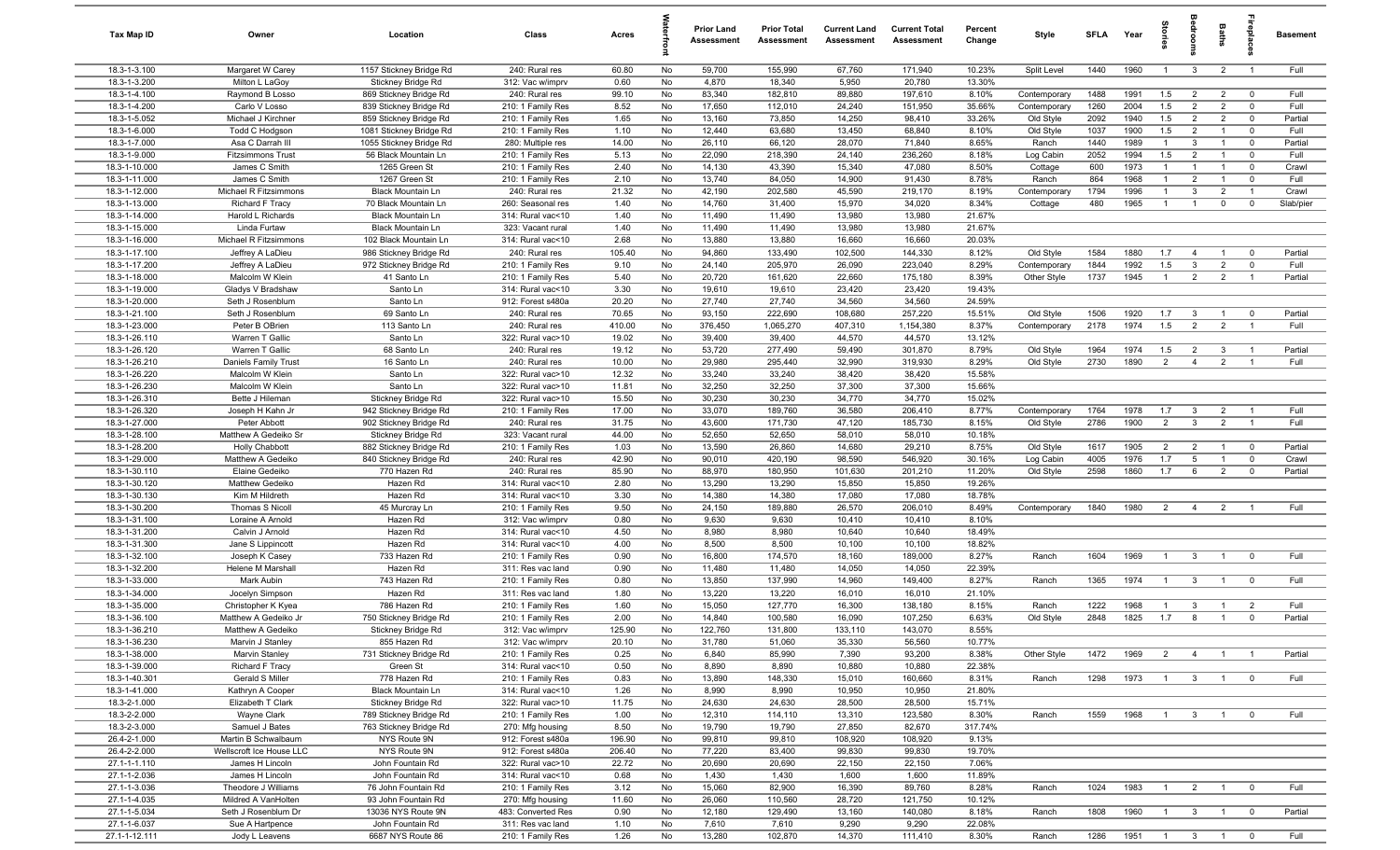| Tax Map ID                     | Owner                                       | Location                                         | Class                                  | Acres            |          | <b>Prior Land</b><br>Assessment | <b>Prior Total</b><br>Assessment | <b>Current Land</b><br>Assessment | <b>Current Total</b><br>Assessment | Percent<br>Change | Style                        | <b>SFLA</b>  | Year         | Stori               | drooi                            | Baths                            | <u>epp</u>                    | Basement        |
|--------------------------------|---------------------------------------------|--------------------------------------------------|----------------------------------------|------------------|----------|---------------------------------|----------------------------------|-----------------------------------|------------------------------------|-------------------|------------------------------|--------------|--------------|---------------------|----------------------------------|----------------------------------|-------------------------------|-----------------|
| 18.3-1-3.100                   | Margaret W Carey                            | 1157 Stickney Bridge Rd                          | 240: Rural res                         | 60.80            | No       | 59,700                          | 155,990                          | 67,760                            | 171,940                            | 10.23%            | Split Level                  | 1440         | 1960         | $\overline{1}$      | $\mathbf{3}$                     | $\overline{2}$                   | $\overline{1}$                | Full            |
| 18.3-1-3.200                   | Milton L LaGoy                              | Stickney Bridge Rd                               | 312: Vac w/imprv                       | 0.60             | No       | 4,870                           | 18,340                           | 5,950                             | 20,780                             | 13.30%            |                              |              |              |                     |                                  |                                  |                               |                 |
| 18.3-1-4.100<br>18.3-1-4.200   | Raymond B Losso                             | 869 Stickney Bridge Rd                           | 240: Rural res<br>210: 1 Family Res    | 99.10<br>8.52    | No<br>No | 83,340                          | 182,810                          | 89,880                            | 197,610                            | 8.10%<br>35.66%   | Contemporary<br>Contemporary | 1488<br>1260 | 1991<br>2004 | 1.5<br>1.5          | $\overline{2}$<br>$\overline{2}$ | $\overline{2}$<br>$\overline{2}$ | $\mathbf 0$<br>$\mathbf 0$    | Full<br>Full    |
| 18.3-1-5.052                   | Carlo V Losso<br>Michael J Kirchner         | 839 Stickney Bridge Rd<br>859 Stickney Bridge Rd | 210: 1 Family Res                      | 1.65             | No       | 17,650<br>13,160                | 112,010<br>73,850                | 24,240<br>14,250                  | 151,950<br>98,410                  | 33.26%            | Old Style                    | 2092         | 1940         | 1.5                 | $\overline{2}$                   | $\overline{2}$                   | $\mathbf 0$                   | Partial         |
| 18.3-1-6.000                   | Todd C Hodgson                              | 1081 Stickney Bridge Rd                          | 210: 1 Family Res                      | 1.10             | No       | 12,440                          | 63,680                           | 13,450                            | 68,840                             | 8.10%             | Old Style                    | 1037         | 1900         | 1.5                 | $\overline{2}$                   |                                  | $\mathbf 0$                   | Full            |
| 18.3-1-7.000                   | Asa C Darrah III                            | 1055 Stickney Bridge Rd                          | 280: Multiple res                      | 14.00            | No       | 26,110                          | 66,120                           | 28,070                            | 71,840                             | 8.65%             | Ranch                        | 1440         | 1989         | $\overline{1}$      | $\mathbf{3}$                     | $\overline{1}$                   | $\mathbf 0$                   | Partial         |
| 18.3-1-9.000                   | <b>Fitzsimmons Trust</b>                    | 56 Black Mountain Ln                             | 210: 1 Family Res                      | 5.13             | No       | 22,090                          | 218,390                          | 24,140                            | 236,260                            | 8.18%             | Log Cabin                    | 2052         | 1994         | 1.5                 | $\overline{2}$                   | $\overline{1}$                   | $\mathbf 0$                   | Full            |
| 18.3-1-10.000                  | James C Smith                               | 1265 Green St                                    | 210: 1 Family Res                      | 2.40             | No       | 14,130                          | 43,390                           | 15,340                            | 47,080                             | 8.50%             | Cottage                      | 600          | 1973         | $\mathbf{1}$        | $\overline{1}$                   | $\overline{1}$                   | $\mathbf 0$                   | Crawl           |
| 18.3-1-11.000                  | James C Smith                               | 1267 Green St                                    | 210: 1 Family Res                      | 2.10             | No       | 13,740                          | 84,050                           | 14,900                            | 91,430                             | 8.78%             | Ranch                        | 864          | 1968         | $\overline{1}$      | $\overline{2}$                   | $\overline{1}$                   | $\mathbf 0$                   | Full            |
| 18.3-1-12.000                  | Michael R Fitzsimmons                       | <b>Black Mountain Ln</b>                         | 240: Rural res                         | 21.32            | No       | 42,190                          | 202,580                          | 45,590                            | 219,170                            | 8.19%             | Contemporary                 | 1794         | 1996         | $\mathbf{1}$        | 3                                | $\overline{2}$                   | $\overline{1}$                | Crawl           |
| 18.3-1-13.000<br>18.3-1-14.000 | <b>Richard F Tracy</b><br>Harold L Richards | 70 Black Mountain Ln<br><b>Black Mountain Ln</b> | 260: Seasonal res<br>314: Rural vac<10 | 1.40<br>1.40     | No<br>No | 14,760<br>11,490                | 31,400<br>11,490                 | 15,970<br>13,980                  | 34,020<br>13,980                   | 8.34%<br>21.67%   | Cottage                      | 480          | 1965         | $\overline{1}$      | $\overline{1}$                   | $\mathbf 0$                      | $^{\circ}$                    | Slab/pier       |
| 18.3-1-15.000                  | Linda Furtaw                                | Black Mountain Ln                                | 323: Vacant rural                      | 1.40             | No       | 11,490                          | 11,490                           | 13,980                            | 13,980                             | 21.67%            |                              |              |              |                     |                                  |                                  |                               |                 |
| 18.3-1-16.000                  | Michael R Fitzsimmons                       | 102 Black Mountain Ln                            | 314: Rural vac<10                      | 2.68             | No       | 13,880                          | 13,880                           | 16,660                            | 16,660                             | 20.03%            |                              |              |              |                     |                                  |                                  |                               |                 |
| 18.3-1-17.100                  | Jeffrey A LaDieu                            | 986 Stickney Bridge Rd                           | 240: Rural res                         | 105.40           | No       | 94,860                          | 133,490                          | 102,500                           | 144,330                            | 8.12%             | Old Style                    | 1584         | 1880         | 1.7                 | $\overline{4}$                   |                                  | $^{\circ}$                    | Partial         |
| 18.3-1-17.200                  | Jeffrey A LaDieu                            | 972 Stickney Bridge Rd                           | 210: 1 Family Res                      | 9.10             | No       | 24,140                          | 205,970                          | 26,090                            | 223,040                            | 8.29%             | Contemporary                 | 1844         | 1992         | 1.5                 | $\overline{3}$                   | $\overline{2}$                   | $\mathbf 0$                   | Full            |
| 18.3-1-18.000                  | Malcolm W Klein                             | 41 Santo Ln                                      | 210: 1 Family Res                      | 5.40             | No       | 20,720                          | 161,620                          | 22,660                            | 175,180                            | 8.39%             | Other Style                  | 1737         | 1945         | $\overline{1}$      | $\overline{2}$                   | $\overline{2}$                   | $\overline{1}$                | Partial         |
| 18.3-1-19.000                  | Gladys V Bradshaw                           | Santo Ln                                         | 314: Rural vac<10                      | 3.30             | No       | 19,610                          | 19,610                           | 23,420                            | 23,420                             | 19.43%            |                              |              |              |                     |                                  |                                  |                               |                 |
| 18.3-1-20.000                  | Seth J Rosenblum                            | Santo Ln                                         | 912: Forest s480a                      | 20.20            | No       | 27,740                          | 27,740                           | 34,560                            | 34,560                             | 24.59%            |                              |              |              |                     |                                  |                                  |                               |                 |
| 18.3-1-21.100<br>18.3-1-23.000 | Seth J Rosenblum                            | 69 Santo Ln                                      | 240: Rural res                         | 70.65            | No       | 93,150                          | 222,690                          | 108,680                           | 257,220                            | 15.51%            | Old Style                    | 1506<br>2178 | 1920<br>1974 | 1.7<br>1.5          | $\mathbf{3}$<br>2                | $\overline{2}$                   | $\mathbf 0$<br>$\overline{1}$ | Partial<br>Full |
| 18.3-1-26.110                  | Peter B OBrien<br>Warren T Gallic           | 113 Santo Ln<br>Santo Ln                         | 240: Rural res<br>322: Rural vac>10    | 410.00<br>19.02  | No<br>No | 376,450<br>39,400               | 1,065,270<br>39,400              | 407,310<br>44,570                 | 1,154,380<br>44,570                | 8.37%<br>13.12%   | Contemporary                 |              |              |                     |                                  |                                  |                               |                 |
| 18.3-1-26.120                  | Warren T Gallic                             | 68 Santo Ln                                      | 240: Rural res                         | 19.12            | No       | 53,720                          | 277,490                          | 59,490                            | 301,870                            | 8.79%             | Old Style                    | 1964         | 1974         | 1.5                 | $\overline{2}$                   | $\mathbf{3}$                     | $\overline{1}$                | Partial         |
| 18.3-1-26.210                  | Daniels Family Trust                        | 16 Santo Ln                                      | 240: Rural res                         | 10.00            | No       | 29,980                          | 295,440                          | 32,990                            | 319,930                            | 8.29%             | Old Style                    | 2730         | 1890         | 2                   | $\overline{4}$                   | $\overline{2}$                   | $\overline{1}$                | Full            |
| 18.3-1-26.220                  | Malcolm W Klein                             | Santo Ln                                         | 322: Rural vac>10                      | 12.32            | No       | 33,240                          | 33,240                           | 38,420                            | 38,420                             | 15.58%            |                              |              |              |                     |                                  |                                  |                               |                 |
| 18.3-1-26.230                  | Malcolm W Klein                             | Santo Ln                                         | 322: Rural vac>10                      | 11.81            | No       | 32,250                          | 32,250                           | 37,300                            | 37,300                             | 15.66%            |                              |              |              |                     |                                  |                                  |                               |                 |
| 18.3-1-26.310                  | Bette J Hileman                             | Stickney Bridge Rd                               | 322: Rural vac>10                      | 15.50            | No       | 30,230                          | 30,230                           | 34,770                            | 34,770                             | 15.02%            |                              |              |              |                     |                                  |                                  |                               |                 |
| 18.3-1-26.320                  | Joseph H Kahn Jr                            | 942 Stickney Bridge Rd                           | 210: 1 Family Res                      | 17.00            | No       | 33,070                          | 189,760                          | 36,580                            | 206,410                            | 8.77%             | Contemporary                 | 1764         | 1978         | 1.7                 | $\overline{3}$                   | $\overline{2}$                   | $\overline{1}$                | Full            |
| 18.3-1-27.000                  | Peter Abbott                                | 902 Stickney Bridge Rd                           | 240: Rural res                         | 31.75            | No       | 43,600                          | 171,730                          | 47,120                            | 185,730                            | 8.15%             | Old Style                    | 2786         | 1900         | 2                   | $\mathbf{3}$                     | $\overline{2}$                   | $\overline{1}$                | Full            |
| 18.3-1-28.100<br>18.3-1-28.200 | Matthew A Gedeiko Sr<br>Holly Chabbott      | Stickney Bridge Rd<br>882 Stickney Bridge Rd     | 323: Vacant rural<br>210: 1 Family Res | 44.00<br>1.03    | No<br>No | 52,650<br>13,590                | 52,650<br>26,860                 | 58,010<br>14,680                  | 58,010<br>29,210                   | 10.18%<br>8.75%   | Old Style                    | 1617         | 1905         | $\overline{2}$      | $\overline{2}$                   | $\overline{1}$                   | $\mathbf 0$                   | Partial         |
| 18.3-1-29.000                  | Matthew A Gedeiko                           | 840 Stickney Bridge Rd                           | 240: Rural res                         | 42.90            | No       | 90,010                          | 420,190                          | 98,590                            | 546,920                            | 30.16%            | Log Cabin                    | 4005         | 1976         | 1.7                 | 5                                | $\overline{1}$                   | $\overline{0}$                | Crawl           |
| 18.3-1-30.110                  | Elaine Gedeiko                              | 770 Hazen Rd                                     | 240: Rural res                         | 85.90            | No       | 88,970                          | 180,950                          | 101,630                           | 201,210                            | 11.20%            | Old Style                    | 2598         | 1860         | 1.7                 | 6                                | $\overline{2}$                   | $\mathbf 0$                   | Partial         |
| 18.3-1-30.120                  | Matthew Gedeiko                             | Hazen Rd                                         | 314: Rural vac<10                      | 2.80             | No       | 13,290                          | 13,290                           | 15,850                            | 15,850                             | 19.26%            |                              |              |              |                     |                                  |                                  |                               |                 |
| 18.3-1-30.130                  | Kim M Hildreth                              | Hazen Rd                                         | 314: Rural vac<10                      | 3.30             | No       | 14,380                          | 14,380                           | 17,080                            | 17,080                             | 18.78%            |                              |              |              |                     |                                  |                                  |                               |                 |
| 18.3-1-30.200                  | Thomas S Nicoll                             | 45 Murcray Ln                                    | 210: 1 Family Res                      | 9.50             | No       | 24,150                          | 189,880                          | 26,570                            | 206,010                            | 8.49%             | Contemporary                 | 1840         | 1980         | $\overline{2}$      | $\overline{4}$                   | $\overline{2}$                   | $\overline{1}$                | Full            |
| 18.3-1-31.100                  | Loraine A Arnold                            | Hazen Rd                                         | 312: Vac w/imprv                       | 0.80             | No       | 9,630                           | 9,630                            | 10,410                            | 10,410                             | 8.10%             |                              |              |              |                     |                                  |                                  |                               |                 |
| 18.3-1-31.200<br>18.3-1-31.300 | Calvin J Arnold                             | Hazen Rd                                         | 314: Rural vac<10                      | 4.50             | No       | 8,980                           | 8,980                            | 10,640                            | 10,640                             | 18.49%            |                              |              |              |                     |                                  |                                  |                               |                 |
| 18.3-1-32.100                  | Jane S Lippincott<br>Joseph K Casey         | Hazen Rd<br>733 Hazen Rd                         | 314: Rural vac<10<br>210: 1 Family Res | 4.00<br>0.90     | No<br>No | 8,500<br>16,800                 | 8,500<br>174,570                 | 10,100<br>18,160                  | 10,100<br>189,000                  | 18.82%<br>8.27%   | Ranch                        | 1604         | 1969         | $\overline{1}$      | $\mathbf{3}$                     |                                  | $\mathbf 0$                   | Full            |
| 18.3-1-32.200                  | Helene M Marshall                           | Hazen Rd                                         | 311: Res vac land                      | 0.90             | No       | 11,480                          | 11,480                           | 14,050                            | 14,050                             | 22.39%            |                              |              |              |                     |                                  |                                  |                               |                 |
| 18.3-1-33.000                  | Mark Aubin                                  | 743 Hazen Rd                                     | 210: 1 Family Res                      | 0.80             | No       | 13,850                          | 137,990                          | 14,960                            | 149,400                            | 8.27%             | Ranch                        | 1365         | 1974         | $\overline{1}$      | $\mathbf{3}$                     |                                  | $^{\circ}$                    | Full            |
| 18.3-1-34.000                  | Jocelyn Simpson                             | Hazen Rd                                         | 311: Res vac land                      | 1.80             | No       | 13,220                          | 13,220                           | 16,010                            | 16,010                             | 21.10%            |                              |              |              |                     |                                  |                                  |                               |                 |
| 18.3-1-35.000                  | Christopher K Kyea                          | 786 Hazen Rd                                     | 210: 1 Family Res                      | 1.60             | No       | 15,050                          | 127,770                          | 16,300                            | 138,180                            | 8.15%             | Ranch                        | 1222         | 1968         | $\overline{1}$      | $\mathbf{3}$                     |                                  | $\overline{2}$                | Full            |
| 18.3-1-36.100                  | Matthew A Gedeiko Jr                        | 750 Stickney Bridge Rd                           | 210: 1 Family Res                      | 2.00             | No       | 14,840                          | 100,580                          | 16,090                            | 107,250                            | 6.63%             | Old Style                    | 2848         | 1825         | 1.7                 | 8                                | $\overline{1}$                   | $\mathbf 0$                   | Partial         |
| 18.3-1-36.210                  | Matthew A Gedeiko                           | Stickney Bridge Rd                               | 312: Vac w/imprv                       | 125.90           | No       | 122,760                         | 131,800                          | 133,110                           | 143,070                            | 8.55%             |                              |              |              |                     |                                  |                                  |                               |                 |
| 18.3-1-36.230<br>18.3-1-38.000 | Marvin J Stanley<br>Marvin Stanley          | 855 Hazen Rd<br>731 Stickney Bridge Rd           | 312: Vac w/imprv<br>210: 1 Family Res  | 20.10<br>0.25    | No<br>No | 31,780<br>6,840                 | 51,060<br>85,990                 | 35,330<br>7,390                   | 56,560<br>93,200                   | 10.77%<br>8.38%   | Other Style                  | 1472         | 1969         | 2                   | $\overline{4}$                   | $\overline{1}$                   | $\overline{1}$                | Partial         |
| 18.3-1-39.000                  | Richard F Tracy                             | Green St                                         | 314: Rural vac<10                      | 0.50             | No       | 8,890                           | 8,890                            | 10,880                            | 10,880                             | 22.38%            |                              |              |              |                     |                                  |                                  |                               |                 |
| 18.3-1-40.301                  | Gerald S Miller                             | 778 Hazen Rd                                     | 210: 1 Family Res                      | 0.83             | No       | 13,890                          | 148,330                          | 15,010                            | 160,660                            | 8.31%             | Ranch                        | 1298         | 1973         | $\overline{1}$      | 3 <sup>3</sup>                   | $\overline{1}$                   | $\mathbf 0$                   | Full            |
| 18.3-1-41.000                  | Kathryn A Cooper                            | Black Mountain Ln                                | 314: Rural vac<10                      | 1.26             | No       | 8,990                           | 8,990                            | 10,950                            | 10,950                             | 21.80%            |                              |              |              |                     |                                  |                                  |                               |                 |
| 18.3-2-1.000                   | Elizabeth T Clark                           | Stickney Bridge Rd                               | 322: Rural vac>10                      | 11.75            | No       | 24,630                          | 24,630                           | 28,500                            | 28,500                             | 15.71%            |                              |              |              |                     |                                  |                                  |                               |                 |
| 18.3-2-2.000                   | Wayne Clark                                 | 789 Stickney Bridge Rd                           | 210: 1 Family Res                      | 1.00             | No       | 12,310                          | 114,110                          | 13,310                            | 123,580                            | 8.30%             | Ranch                        | 1559         | 1968         | $\overline{1}$      | $\mathbf{3}$                     | $\overline{1}$                   | $\mathbf 0$                   | Full            |
| 18.3-2-3.000                   | Samuel J Bates<br>Martin B Schwalbaum       | 763 Stickney Bridge Rd                           | 270: Mfg housing                       | 8.50             | No       | 19,790                          | 19,790                           | 27,850                            | 82,670                             | 317.74%           |                              |              |              |                     |                                  |                                  |                               |                 |
| 26.4-2-1.000<br>26.4-2-2.000   | Wellscroft Ice House LLC                    | NYS Route 9N<br>NYS Route 9N                     | 912: Forest s480a<br>912: Forest s480a | 196.90<br>206.40 | No<br>No | 99,810<br>77,220                | 99,810<br>83,400                 | 108,920<br>99,830                 | 108,920<br>99,830                  | 9.13%<br>19.70%   |                              |              |              |                     |                                  |                                  |                               |                 |
| 27.1-1-1.110                   | James H Lincoln                             | John Fountain Rd                                 | 322: Rural vac>10                      | 22.72            | No       | 20,690                          | 20,690                           | 22,150                            | 22,150                             | 7.06%             |                              |              |              |                     |                                  |                                  |                               |                 |
| 27.1-1-2.036                   | James H Lincoln                             | John Fountain Rd                                 | 314: Rural vac<10                      | 0.68             | No       | 1,430                           | 1,430                            | 1,600                             | 1,600                              | 11.89%            |                              |              |              |                     |                                  |                                  |                               |                 |
| 27.1-1-3.036                   | Theodore J Williams                         | 76 John Fountain Rd                              | 210: 1 Family Res                      | 3.12             | No       | 15,060                          | 82,900                           | 16,390                            | 89,760                             | 8.28%             | Ranch                        | 1024         | 1983         | $\overline{1}$      | $\overline{2}$                   | $\overline{1}$                   | $\overline{0}$                | Full            |
| 27.1-1-4.035                   | Mildred A VanHolten                         | 93 John Fountain Rd                              | 270: Mfg housing                       | 11.60            | No       | 26,060                          | 110,560                          | 28,720                            | 121,750                            | 10.12%            |                              |              |              |                     |                                  |                                  |                               |                 |
| 27.1-1-5.034                   | Seth J Rosenblum Dr                         | 13036 NYS Route 9N                               | 483: Converted Res                     | 0.90             | No       | 12,180                          | 129,490                          | 13,160                            | 140,080                            | 8.18%             | Ranch                        | 1808         | 1960         | $\overline{1}$      | $\overline{3}$                   | $\overline{1}$                   | $\overline{0}$                | Partial         |
| 27.1-1-6.037                   | Sue A Hartpence                             | John Fountain Rd                                 | 311: Res vac land                      | 1.10             | No       | 7,610                           | 7,610                            | 9,290                             | 9,290                              | 22.08%            |                              |              |              |                     |                                  |                                  |                               |                 |
| 27.1-1-12.111                  | Jody L Leavens                              | 6687 NYS Route 86                                | 210: 1 Family Res                      | 1.26             | No       | 13,280                          | 102,870                          | 14,370                            | 111,410                            | 8.30%             | Ranch                        | 1286         | 1951         | $1 \quad 3 \quad 1$ |                                  |                                  | $\overline{\mathbf{0}}$       | Full            |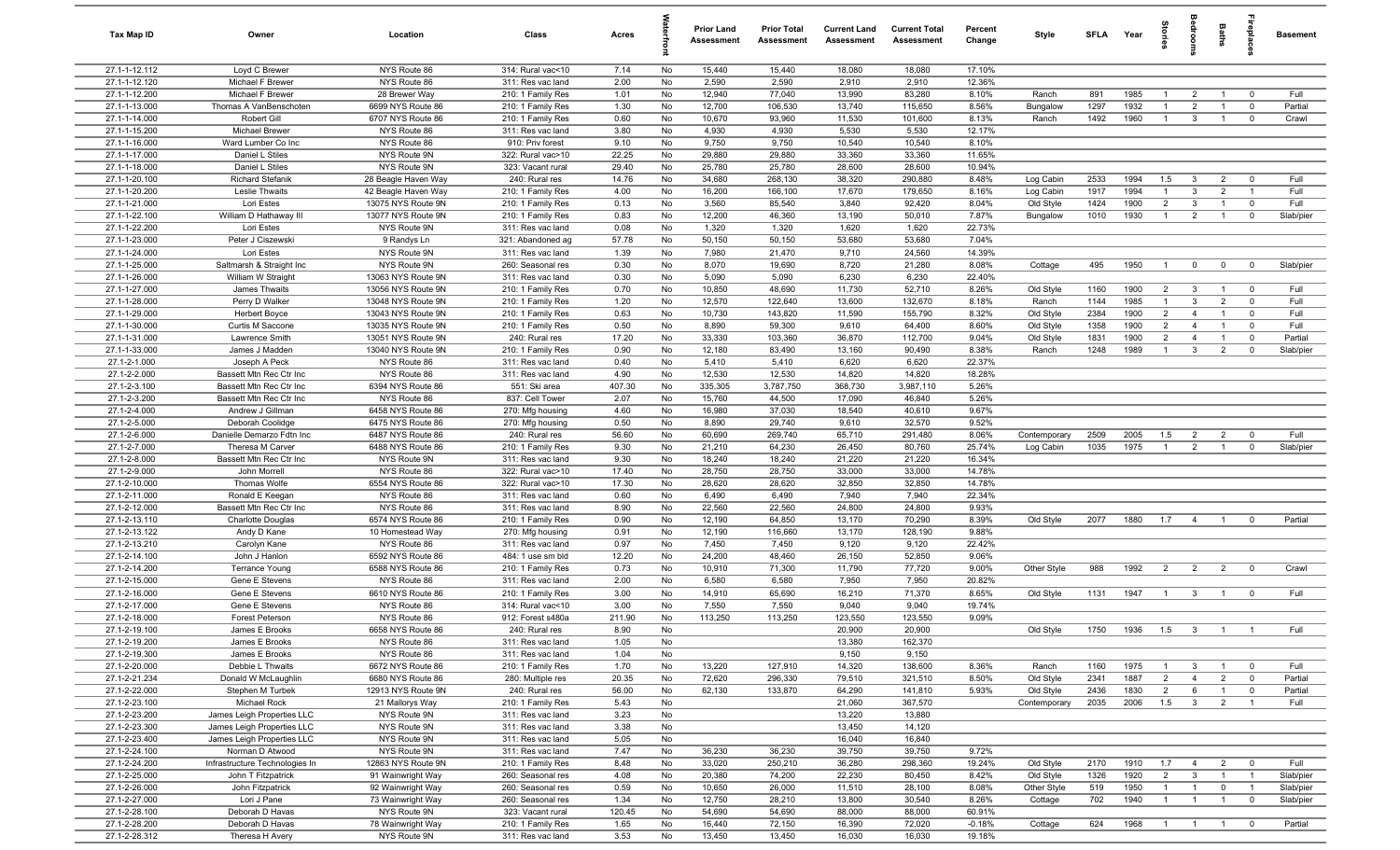| Tax Map ID                     | Owner                                       | Location                                 | Class                                  | Acres          |          | <b>Prior Land</b><br>Assessment | <b>Prior Total</b><br>Assessment | <b>Current Land</b><br>Assessment | <b>Current Total</b><br>Assessment | Percent<br>Change | Style                    | SFLA Year   |              | ğ                              | groon                          | Baths                            | <b>Gebla</b>                     | <b>Basement</b>        |
|--------------------------------|---------------------------------------------|------------------------------------------|----------------------------------------|----------------|----------|---------------------------------|----------------------------------|-----------------------------------|------------------------------------|-------------------|--------------------------|-------------|--------------|--------------------------------|--------------------------------|----------------------------------|----------------------------------|------------------------|
| 27.1-1-12.112                  | Loyd C Brewer                               | NYS Route 86                             | 314: Rural vac<10                      | 7.14           | No       | 15,440                          | 15,440                           | 18,080                            | 18,080                             | 17.10%            |                          |             |              |                                |                                |                                  |                                  |                        |
| 27.1-1-12.120                  | Michael F Brewer                            | NYS Route 86                             | 311: Res vac land                      | 2.00           | No       | 2,590                           | 2,590                            | 2,910                             | 2,910                              | 12.36%            |                          |             |              |                                |                                |                                  |                                  |                        |
| 27.1-1-12.200                  | Michael F Brewer                            | 28 Brewer Way                            | 210: 1 Family Res                      | 1.01           | No       | 12,940                          | 77,040                           | 13,990                            | 83,280                             | 8.10%             | Ranch                    | 891         | 1985         | $\mathbf{1}$                   | $\overline{2}$                 |                                  | $^{\circ}$                       | Full                   |
| 27.1-1-13.000                  | Thomas A VanBenschoten                      | 6699 NYS Route 86                        | 210: 1 Family Res                      | 1.30           | No       | 12,700                          | 106,530                          | 13,740                            | 115,650                            | 8.56%             | Bungalow                 | 1297        | 1932         | $\mathbf{1}$                   | $\overline{2}$                 |                                  | $\mathbf 0$                      | Partial                |
| 27.1-1-14.000<br>27.1-1-15.200 | Robert Gill<br><b>Michael Brewer</b>        | 6707 NYS Route 86<br>NYS Route 86        | 210: 1 Family Res<br>311: Res vac land | 0.60<br>3.80   | No<br>No | 10,670<br>4,930                 | 93,960<br>4,930                  | 11,530<br>5,530                   | 101,600<br>5,530                   | 8.13%<br>12.17%   | Ranch                    | 1492        | 1960         | $\overline{1}$                 | 3                              |                                  | $^{\circ}$                       | Crawl                  |
| 27.1-1-16.000                  | Ward Lumber Co Inc                          | NYS Route 86                             | 910: Priv forest                       | 9.10           | No       | 9,750                           | 9,750                            | 10,540                            | 10,540                             | 8.10%             |                          |             |              |                                |                                |                                  |                                  |                        |
| 27.1-1-17.000                  | Daniel L Stiles                             | NYS Route 9N                             | 322: Rural vac>10                      | 22.25          | No       | 29,880                          | 29,880                           | 33,360                            | 33,360                             | 11.65%            |                          |             |              |                                |                                |                                  |                                  |                        |
| 27.1-1-18.000                  | Daniel L Stiles                             | NYS Route 9N                             | 323: Vacant rural                      | 29.40          | No       | 25,780                          | 25,780                           | 28,600                            | 28,600                             | 10.94%            |                          |             |              |                                |                                |                                  |                                  |                        |
| 27.1-1-20.100                  | <b>Richard Stefanik</b>                     | 28 Beagle Haven Way                      | 240: Rural res                         | 14.76          | No       | 34,680                          | 268,130                          | 38,320                            | 290,880                            | 8.48%             | Log Cabin                | 2533        | 1994         | 1.5                            | $\mathbf{3}$                   | $\overline{2}$                   | $^{\circ}$                       | Full                   |
| 27.1-1-20.200                  | Leslie Thwaits                              | 42 Beagle Haven Way                      | 210: 1 Family Res                      | 4.00           | No       | 16,200                          | 166,100                          | 17,670                            | 179,650                            | 8.16%             | Log Cabin                | 1917        | 1994         | $\mathbf{1}$                   | $\mathbf{3}$                   | $\overline{2}$                   | $\overline{1}$                   | Full                   |
| 27.1-1-21.000                  | Lori Estes                                  | 13075 NYS Route 9N                       | 210: 1 Family Res                      | 0.13           | No       | 3,560                           | 85,540                           | 3,840                             | 92,420                             | 8.04%             | Old Style                | 1424        | 1900         | 2                              | $\mathbf{3}$                   | $\overline{1}$                   | $^{\circ}$                       | Full                   |
| 27.1-1-22.100                  | William D Hathaway III                      | 13077 NYS Route 9N                       | 210: 1 Family Res                      | 0.83           | No       | 12,200                          | 46,360                           | 13,190                            | 50,010                             | 7.87%             | Bungalow                 | 1010        | 1930         | $\overline{1}$                 | $\overline{2}$                 | $\overline{1}$                   | $\mathbf 0$                      | Slab/pier              |
| 27.1-1-22.200                  | Lori Estes                                  | NYS Route 9N                             | 311: Res vac land                      | 0.08           | No       | 1,320                           | 1,320                            | 1,620                             | 1,620                              | 22.73%            |                          |             |              |                                |                                |                                  |                                  |                        |
| 27.1-1-23.000                  | Peter J Ciszewski                           | 9 Randys Ln                              | 321: Abandoned ag                      | 57.78          | No       | 50,150                          | 50,150                           | 53,680                            | 53,680                             | 7.04%             |                          |             |              |                                |                                |                                  |                                  |                        |
| 27.1-1-24.000                  | Lori Estes                                  | NYS Route 9N                             | 311: Res vac land                      | 1.39           | No       | 7,980                           | 21,470                           | 9,710                             | 24,560                             | 14.39%            |                          |             |              |                                |                                |                                  |                                  |                        |
| 27.1-1-25.000                  | Saltmarsh & Straight Inc                    | NYS Route 9N                             | 260: Seasonal res<br>311: Res vac land | 0.30           | No       | 8,070<br>5,090                  | 19,690                           | 8,720                             | 21,280                             | 8.08%             | Cottage                  | 495         | 1950         | -1                             | $\mathbf 0$                    | $\mathbf 0$                      | $\overline{0}$                   | Slab/pier              |
| 27.1-1-26.000<br>27.1-1-27.000 | William W Straight<br>James Thwaits         | 13063 NYS Route 9N<br>13056 NYS Route 9N | 210: 1 Family Res                      | 0.30<br>0.70   | No<br>No | 10,850                          | 5,090<br>48,690                  | 6,230<br>11,730                   | 6,230<br>52,710                    | 22.40%<br>8.26%   | Old Style                | 1160        | 1900         | $\overline{2}$                 | $\mathbf{3}$                   |                                  | $\mathbf 0$                      | Full                   |
| 27.1-1-28.000                  | Perry D Walker                              | 13048 NYS Route 9N                       | 210: 1 Family Res                      | 1.20           | No       | 12,570                          | 122,640                          | 13,600                            | 132,670                            | 8.18%             | Ranch                    | 1144        | 1985         | $\mathbf{1}$                   | $\mathbf{3}$                   | $\overline{2}$                   | $\mathbf 0$                      | Full                   |
| 27.1-1-29.000                  | Herbert Boyce                               | 13043 NYS Route 9N                       | 210: 1 Family Res                      | 0.63           | No       | 10,730                          | 143,820                          | 11,590                            | 155,790                            | 8.32%             | Old Style                | 2384        | 1900         | $\overline{2}$                 | $\overline{4}$                 | $\overline{1}$                   | $\mathbf 0$                      | Full                   |
| 27.1-1-30.000                  | Curtis M Saccone                            | 13035 NYS Route 9N                       | 210: 1 Family Res                      | 0.50           | No       | 8,890                           | 59,300                           | 9,610                             | 64,400                             | 8.60%             | Old Style                | 1358        | 1900         | $\overline{2}$                 | $\overline{4}$                 | $\overline{1}$                   | $\mathbf 0$                      | Full                   |
| 27.1-1-31.000                  | Lawrence Smith                              | 13051 NYS Route 9N                       | 240: Rural res                         | 17.20          | No       | 33,330                          | 103,360                          | 36,870                            | 112,700                            | 9.04%             | Old Style                | 1831        | 1900         | $\overline{2}$                 | $\overline{4}$                 | $\overline{1}$                   | $\mathbf 0$                      | Partial                |
| 27.1-1-33.000                  | James J Madden                              | 13040 NYS Route 9N                       | 210: 1 Family Res                      | 0.90           | No       | 12,180                          | 83,490                           | 13,160                            | 90,490                             | 8.38%             | Ranch                    | 1248        | 1989         | $\overline{1}$                 | $\mathbf{3}$                   | $\overline{2}$                   | $^{\circ}$                       | Slab/pier              |
| 27.1-2-1.000                   | Joseph A Peck                               | NYS Route 86                             | 311: Res vac land                      | 0.40           | No       | 5,410                           | 5,410                            | 6,620                             | 6,620                              | 22.37%            |                          |             |              |                                |                                |                                  |                                  |                        |
| 27.1-2-2.000                   | Bassett Mtn Rec Ctr Inc                     | NYS Route 86                             | 311: Res vac land                      | 4.90           | No       | 12,530                          | 12,530                           | 14,820                            | 14,820                             | 18.28%            |                          |             |              |                                |                                |                                  |                                  |                        |
| 27.1-2-3.100                   | Bassett Mtn Rec Ctr Inc                     | 6394 NYS Route 86                        | 551: Ski area                          | 407.30         | No       | 335,305                         | 3,787,750                        | 368,730                           | 3,987,110                          | 5.26%             |                          |             |              |                                |                                |                                  |                                  |                        |
| 27.1-2-3.200                   | Bassett Mtn Rec Ctr Inc                     | NYS Route 86                             | 837: Cell Tower                        | 2.07           | No       | 15,760                          | 44,500                           | 17,090                            | 46,840                             | 5.26%             |                          |             |              |                                |                                |                                  |                                  |                        |
| 27.1-2-4.000                   | Andrew J Gillman                            | 6458 NYS Route 86                        | 270: Mfg housing                       | 4.60           | No       | 16,980                          | 37,030                           | 18,540                            | 40,610                             | 9.67%             |                          |             |              |                                |                                |                                  |                                  |                        |
| 27.1-2-5.000                   | Deborah Coolidge                            | 6475 NYS Route 86                        | 270: Mfg housing                       | 0.50           | No       | 8,890                           | 29,740                           | 9,610                             | 32,570                             | 9.52%             |                          |             |              |                                |                                |                                  |                                  |                        |
| 27.1-2-6.000                   | Danielle Demarzo Fdtn Inc                   | 6487 NYS Route 86                        | 240: Rural res                         | 56.60          | No       | 60,690                          | 269,740<br>64,230                | 65,710                            | 291,480                            | 8.06%             | Contemporary             | 2509        | 2005<br>1975 | 1.5<br>$\overline{1}$          | $\overline{2}$                 | $\overline{2}$<br>$\overline{1}$ | $\mathbf 0$                      | Full                   |
| 27.1-2-7.000<br>27.1-2-8.000   | Theresa M Carver<br>Bassett Mtn Rec Ctr Inc | 6488 NYS Route 86<br>NYS Route 9N        | 210: 1 Family Res<br>311: Res vac land | 9.30<br>9.30   | No<br>No | 21,210<br>18,240                | 18,240                           | 26,450<br>21,220                  | 80,760<br>21,220                   | 25.74%<br>16.34%  | Log Cabin                | 1035        |              |                                | $\overline{2}$                 |                                  | $^{\circ}$                       | Slab/pier              |
| 27.1-2-9.000                   | John Morrell                                | NYS Route 86                             | 322: Rural vac>10                      | 17.40          | No       | 28,750                          | 28,750                           | 33,000                            | 33,000                             | 14.78%            |                          |             |              |                                |                                |                                  |                                  |                        |
| 27.1-2-10.000                  | Thomas Wolfe                                | 6554 NYS Route 86                        | 322: Rural vac>10                      | 17.30          | No       | 28,620                          | 28,620                           | 32,850                            | 32,850                             | 14.78%            |                          |             |              |                                |                                |                                  |                                  |                        |
| 27.1-2-11.000                  | Ronald E Keegan                             | NYS Route 86                             | 311: Res vac land                      | 0.60           | No       | 6,490                           | 6,490                            | 7,940                             | 7,940                              | 22.34%            |                          |             |              |                                |                                |                                  |                                  |                        |
| 27.1-2-12.000                  | Bassett Mtn Rec Ctr Inc                     | NYS Route 86                             | 311: Res vac land                      | 8.90           | No       | 22,560                          | 22,560                           | 24,800                            | 24,800                             | 9.93%             |                          |             |              |                                |                                |                                  |                                  |                        |
| 27.1-2-13.110                  | <b>Charlotte Douglas</b>                    | 6574 NYS Route 86                        | 210: 1 Family Res                      | 0.90           | No       | 12,190                          | 64,850                           | 13,170                            | 70,290                             | 8.39%             | Old Style                | 2077        | 1880         | 1.7                            | $\overline{4}$                 | $\overline{1}$                   | $^{\circ}$                       | Partial                |
| 27.1-2-13.122                  | Andy D Kane                                 | 10 Homestead Way                         | 270: Mfg housing                       | 0.91           | No       | 12,190                          | 116,660                          | 13,170                            | 128,190                            | 9.88%             |                          |             |              |                                |                                |                                  |                                  |                        |
| 27.1-2-13.210                  | Carolyn Kane                                | NYS Route 86                             | 311: Res vac land                      | 0.97           | No       | 7,450                           | 7,450                            | 9,120                             | 9,120                              | 22.42%            |                          |             |              |                                |                                |                                  |                                  |                        |
| 27.1-2-14.100                  | John J Hanlon                               | 6592 NYS Route 86                        | 484: 1 use sm bld                      | 12.20          | No       | 24,200                          | 48,460                           | 26,150                            | 52,850                             | 9.06%             |                          |             |              |                                |                                |                                  |                                  |                        |
| 27.1-2-14.200                  | <b>Terrance Young</b>                       | 6588 NYS Route 86                        | 210: 1 Family Res                      | 0.73           | No       | 10,910                          | 71,300                           | 11,790                            | 77,720                             | 9.00%             | Other Style              | 988         | 1992         | $\overline{2}$                 | $\overline{2}$                 | $\overline{2}$                   | $\overline{0}$                   | Crawl                  |
| 27.1-2-15.000                  | Gene E Stevens                              | NYS Route 86                             | 311: Res vac land                      | 2.00           | No       | 6,580                           | 6,580                            | 7,950                             | 7,950                              | 20.82%            |                          |             |              |                                |                                |                                  |                                  |                        |
| 27.1-2-16.000<br>27.1-2-17.000 | Gene E Stevens                              | 6610 NYS Route 86                        | 210: 1 Family Res                      | 3.00           | No<br>No | 14,910                          | 65,690                           | 16,210                            | 71,370<br>9,040                    | 8.65%<br>19.74%   | Old Style                | 1131        | 1947         | $\overline{1}$                 | $\mathbf{3}$                   |                                  | $\mathbf 0$                      | Full                   |
| 27.1-2-18.000                  | Gene E Stevens<br><b>Forest Peterson</b>    | NYS Route 86<br>NYS Route 86             | 314: Rural vac<10<br>912: Forest s480a | 3.00<br>211.90 | No       | 7,550<br>113,250                | 7,550<br>113,250                 | 9,040<br>123,550                  | 123,550                            | 9.09%             |                          |             |              |                                |                                |                                  |                                  |                        |
| 27.1-2-19.100                  | James E Brooks                              | 6658 NYS Route 86                        | 240: Rural res                         | 8.90           | No       |                                 |                                  | 20,900                            | 20,900                             |                   | Old Style                | 1750        | 1936         | 1.5                            | $\mathcal{R}$                  |                                  |                                  | Full                   |
| 27.1-2-19.200                  | James E Brooks                              | NYS Route 86                             | 311: Res vac land                      | 1.05           | No       |                                 |                                  | 13,380                            | 162,370                            |                   |                          |             |              |                                |                                |                                  |                                  |                        |
| 27.1-2-19.300                  | James E Brooks                              | NYS Route 86                             | 311: Res vac land                      | 1.04           | No       |                                 |                                  | 9,150                             | 9,150                              |                   |                          |             |              |                                |                                |                                  |                                  |                        |
| 27.1-2-20.000                  | Debbie L Thwaits                            | 6672 NYS Route 86                        | 210: 1 Family Res                      | 1.70           | No       | 13,220                          | 127,910                          | 14,320                            | 138,600                            | 8.36%             | Ranch                    | 1160        | 1975         | $\overline{1}$                 | $\mathbf{3}$                   | $\mathbf{1}$                     | $\overline{0}$                   | Full                   |
| 27.1-2-21.234                  | Donald W McLaughlin                         | 6680 NYS Route 86                        | 280: Multiple res                      | 20.35          | No       | 72,620                          | 296,330                          | 79,510                            | 321,510                            | 8.50%             | Old Style                | 2341        | 1887         | $\overline{2}$                 | $\overline{4}$                 | $\overline{2}$                   | $\mathbf 0$                      | Partial                |
| 27.1-2-22.000                  | Stephen M Turbek                            | 12913 NYS Route 9N                       | 240: Rural res                         | 56.00          | No       | 62,130                          | 133,870                          | 64,290                            | 141,810                            | 5.93%             | Old Style                | 2436        | 1830         | $\overline{2}$                 | 6                              | $\overline{1}$                   | $\overline{0}$                   | Partial                |
| 27.1-2-23.100                  | Michael Rock                                | 21 Mallorys Way                          | 210: 1 Family Res                      | 5.43           | No       |                                 |                                  | 21,060                            | 367,570                            |                   | Contemporary             | 2035        | 2006         | 1.5                            | $\overline{\mathbf{3}}$        | $\overline{2}$                   | $\overline{1}$                   | Full                   |
| 27.1-2-23.200                  | James Leigh Properties LLC                  | NYS Route 9N                             | 311: Res vac land                      | 3.23           | No       |                                 |                                  | 13,220                            | 13,880                             |                   |                          |             |              |                                |                                |                                  |                                  |                        |
| 27.1-2-23.300                  | James Leigh Properties LLC                  | NYS Route 9N                             | 311: Res vac land                      | 3.38           | No       |                                 |                                  | 13,450                            | 14,120                             |                   |                          |             |              |                                |                                |                                  |                                  |                        |
| 27.1-2-23.400                  | James Leigh Properties LLC                  | NYS Route 9N                             | 311: Res vac land                      | 5.05           | No       |                                 |                                  | 16,040                            | 16,840                             |                   |                          |             |              |                                |                                |                                  |                                  |                        |
| 27.1-2-24.100                  | Norman D Atwood                             | NYS Route 9N                             | 311: Res vac land                      | 7.47           | No       | 36,230                          | 36,230                           | 39,750                            | 39,750                             | 9.72%             |                          |             |              |                                |                                |                                  |                                  |                        |
| 27.1-2-24.200                  | Infrastructure Technologies In              | 12863 NYS Route 9N                       | 210: 1 Family Res                      | 8.48           | No       | 33,020                          | 250,210                          | 36,280                            | 298,360                            | 19.24%            | Old Style                | 2170        | 1910         | 1.7                            | $\overline{4}$                 | $\overline{2}$                   | $\overline{0}$                   | Full                   |
| 27.1-2-25.000<br>27.1-2-26.000 | John T Fitzpatrick<br>John Fitzpatrick      | 91 Wainwright Way<br>92 Wainwright Way   | 260: Seasonal res<br>260: Seasonal res | 4.08<br>0.59   | No<br>No | 20,380<br>10,650                | 74,200<br>26,000                 | 22,230<br>11,510                  | 80,450<br>28,100                   | 8.42%<br>8.08%    | Old Style<br>Other Style | 1326<br>519 | 1920<br>1950 | $\overline{2}$<br>$\mathbf{1}$ | $\mathbf{3}$<br>$\overline{1}$ | $\overline{1}$<br>$\mathbf 0$    | $\overline{1}$<br>$\overline{1}$ | Slab/pier<br>Slab/pier |
| 27.1-2-27.000                  | Lori J Pane                                 | 73 Wainwright Way                        | 260: Seasonal res                      | 1.34           | No       | 12,750                          | 28,210                           | 13,800                            | 30,540                             | 8.26%             | Cottage                  | 702         | 1940         | $\overline{1}$                 | $\overline{1}$                 | $\overline{1}$                   | $\mathbf 0$                      | Slab/pier              |
| 27.1-2-28.100                  | Deborah D Havas                             | NYS Route 9N                             | 323: Vacant rural                      | 120.45         | No       | 54,690                          | 54,690                           | 88,000                            | 88,000                             | 60.91%            |                          |             |              |                                |                                |                                  |                                  |                        |
| 27.1-2-28.200                  | Deborah D Havas                             | 78 Wainwright Way                        | 210: 1 Family Res                      | 1.65           | No       | 16,440                          | 72,150                           | 16,390                            | 72,020                             | $-0.18%$          | Cottage                  | 624         | 1968         | $\overline{1}$                 | $\overline{1}$                 | $\mathbf{1}$                     | $\mathbf 0$                      | Partial                |
| 27.1-2-28.312                  | Theresa H Avery                             | NYS Route 9N                             | 311: Res vac land                      | 3.53           | No       | 13,450                          | 13,450                           | 16,030                            | 16,030                             | 19.18%            |                          |             |              |                                |                                |                                  |                                  |                        |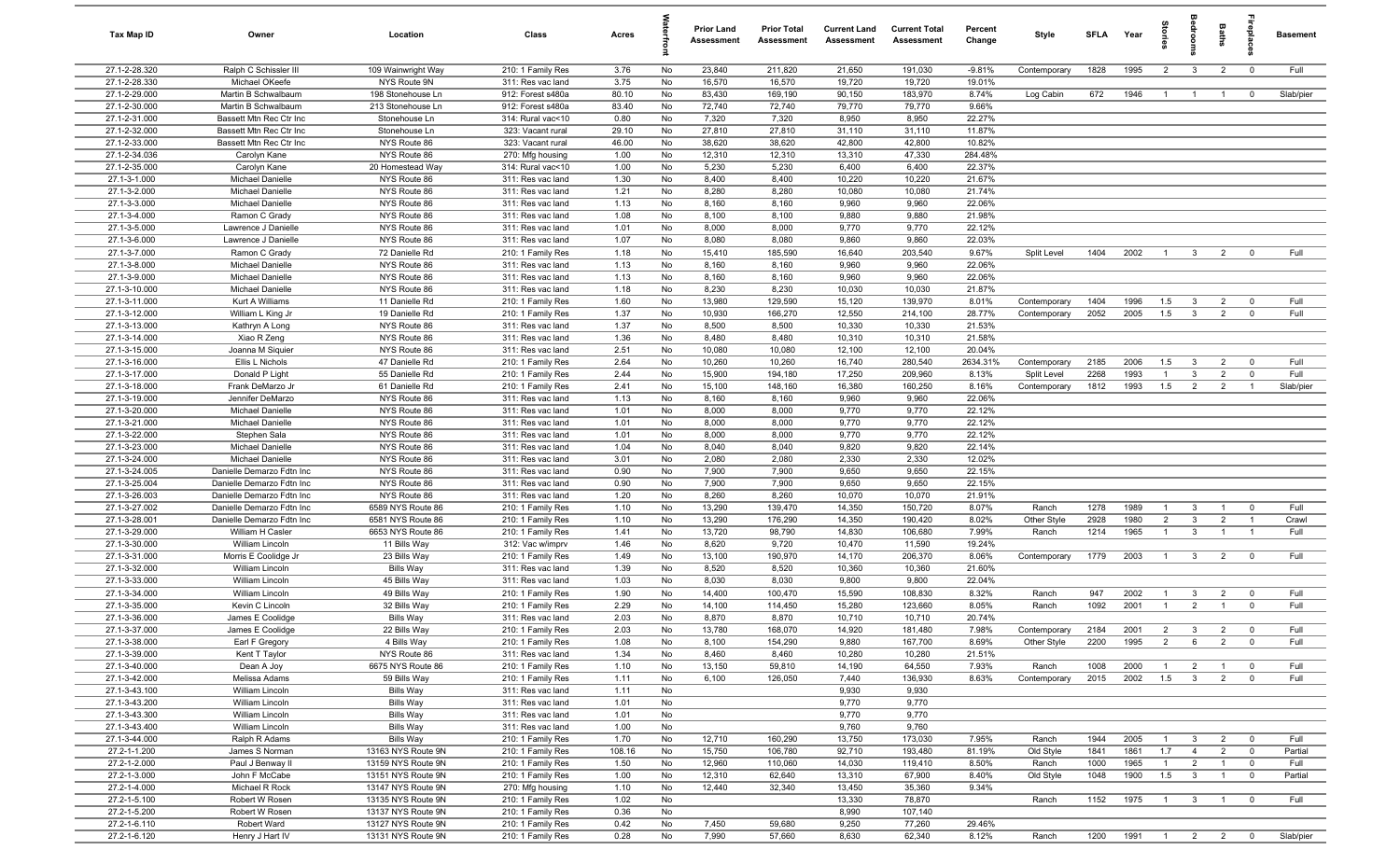| Tax Map ID                     | Owner                                                  | Location                                 | Class                                  | Acres         |          | <b>Prior Land</b><br>Assessment | <b>Prior Total</b><br>Assessment | <b>Current Land</b><br>Assessment | <b>Current Total</b><br><b>Assessment</b> | Percent<br>Change | Style        | <b>SFLA</b> | Year | tories         | aroo                    | Baths          | ireplac                 | <b>Basement</b> |
|--------------------------------|--------------------------------------------------------|------------------------------------------|----------------------------------------|---------------|----------|---------------------------------|----------------------------------|-----------------------------------|-------------------------------------------|-------------------|--------------|-------------|------|----------------|-------------------------|----------------|-------------------------|-----------------|
| 27.1-2-28.320                  | Ralph C Schissler III                                  | 109 Wainwright Way                       | 210: 1 Family Res                      | 3.76          | No       | 23,840                          | 211,820                          | 21,650                            | 191,030                                   | $-9.81%$          | Contemporary | 1828        | 1995 | $\overline{2}$ | $\overline{\mathbf{3}}$ | $\overline{2}$ | $\overline{0}$          | Full            |
| 27.1-2-28.330                  | Michael OKeefe                                         | NYS Route 9N                             | 311: Res vac land                      | 3.75          | No       | 16,570                          | 16,570                           | 19,720                            | 19,720                                    | 19.01%            |              |             |      |                |                         |                |                         |                 |
| 27.1-2-29.000                  | Martin B Schwalbaum                                    | 198 Stonehouse Ln                        | 912: Forest s480a                      | 80.10         | No       | 83,430                          | 169,190                          | 90,150                            | 183,970                                   | 8.74%             | Log Cabin    | 672         | 1946 | $\overline{1}$ | $\overline{1}$          | $\overline{1}$ | $\overline{0}$          | Slab/pier       |
| 27.1-2-30.000                  | Martin B Schwalbaum                                    | 213 Stonehouse Ln                        | 912: Forest s480a                      | 83.40         | No       | 72,740                          | 72,740                           | 79,770                            | 79,770                                    | 9.66%             |              |             |      |                |                         |                |                         |                 |
| 27.1-2-31.000                  | Bassett Mtn Rec Ctr Inc                                | Stonehouse Ln                            | 314: Rural vac<10                      | 0.80          | No       | 7,320                           | 7,320                            | 8,950                             | 8,950                                     | 22.27%            |              |             |      |                |                         |                |                         |                 |
| 27.1-2-32.000                  | Bassett Mtn Rec Ctr Inc                                | Stonehouse Ln                            | 323: Vacant rural                      | 29.10         | No       | 27,810                          | 27,810                           | 31,110                            | 31,110                                    | 11.87%            |              |             |      |                |                         |                |                         |                 |
| 27.1-2-33.000<br>27.1-2-34.036 | Bassett Mtn Rec Ctr Inc<br>Carolyn Kane                | NYS Route 86<br>NYS Route 86             | 323: Vacant rural<br>270: Mfg housing  | 46.00<br>1.00 | No<br>No | 38,620<br>12,310                | 38,620<br>12,310                 | 42,800<br>13,310                  | 42,800<br>47,330                          | 10.82%<br>284.48% |              |             |      |                |                         |                |                         |                 |
| 27.1-2-35.000                  | Carolyn Kane                                           | 20 Homestead Way                         | 314: Rural vac<10                      | 1.00          | No       | 5,230                           | 5,230                            | 6,400                             | 6,400                                     | 22.37%            |              |             |      |                |                         |                |                         |                 |
| 27.1-3-1.000                   | Michael Danielle                                       | NYS Route 86                             | 311: Res vac land                      | 1.30          | No       | 8,400                           | 8,400                            | 10,220                            | 10,220                                    | 21.67%            |              |             |      |                |                         |                |                         |                 |
| 27.1-3-2.000                   | Michael Danielle                                       | NYS Route 86                             | 311: Res vac land                      | 1.21          | No       | 8,280                           | 8,280                            | 10,080                            | 10,080                                    | 21.74%            |              |             |      |                |                         |                |                         |                 |
| 27.1-3-3.000                   | <b>Michael Danielle</b>                                | NYS Route 86                             | 311: Res vac land                      | 1.13          | No       | 8,160                           | 8,160                            | 9,960                             | 9,960                                     | 22.06%            |              |             |      |                |                         |                |                         |                 |
| 27.1-3-4.000                   | Ramon C Grady                                          | NYS Route 86                             | 311: Res vac land                      | 1.08          | No       | 8,100                           | 8,100                            | 9,880                             | 9,880                                     | 21.98%            |              |             |      |                |                         |                |                         |                 |
| 27.1-3-5.000                   | Lawrence J Danielle                                    | NYS Route 86                             | 311: Res vac land                      | 1.01          | No       | 8,000                           | 8,000                            | 9,770                             | 9,770                                     | 22.12%            |              |             |      |                |                         |                |                         |                 |
| 27.1-3-6.000                   | Lawrence J Danielle                                    | NYS Route 86                             | 311: Res vac land                      | 1.07          | No       | 8,080                           | 8,080                            | 9,860                             | 9,860                                     | 22.03%            |              |             |      |                |                         |                |                         |                 |
| 27.1-3-7.000                   | Ramon C Grady                                          | 72 Danielle Rd                           | 210: 1 Family Res                      | 1.18          | No       | 15,410                          | 185,590                          | 16,640                            | 203,540                                   | 9.67%             | Split Level  | 1404        | 2002 | $\overline{1}$ | $\overline{\mathbf{3}}$ | $\overline{2}$ | $\overline{0}$          | Full            |
| 27.1-3-8.000                   | Michael Danielle                                       | NYS Route 86                             | 311: Res vac land                      | 1.13          | No       | 8,160                           | 8,160                            | 9,960                             | 9,960                                     | 22.06%            |              |             |      |                |                         |                |                         |                 |
| 27.1-3-9.000                   | Michael Danielle                                       | NYS Route 86                             | 311: Res vac land                      | 1.13          | No       | 8,160                           | 8,160                            | 9,960                             | 9,960                                     | 22.06%            |              |             |      |                |                         |                |                         |                 |
| 27.1-3-10.000                  | Michael Danielle                                       | NYS Route 86                             | 311: Res vac land                      | 1.18          | No       | 8,230                           | 8,230                            | 10,030                            | 10,030                                    | 21.87%            |              |             |      |                |                         |                |                         |                 |
| 27.1-3-11.000                  | Kurt A Williams                                        | 11 Danielle Rd                           | 210: 1 Family Res                      | 1.60          | No       | 13,980                          | 129,590                          | 15,120                            | 139,970                                   | 8.01%             | Contemporary | 1404        | 1996 | 1.5            | $\mathbf{3}$            | $\overline{2}$ | $\mathbf 0$             | Full<br>Full    |
| 27.1-3-12.000<br>27.1-3-13.000 | William L King Jr<br>Kathryn A Long                    | 19 Danielle Rd<br>NYS Route 86           | 210: 1 Family Res<br>311: Res vac land | 1.37<br>1.37  | No<br>No | 10,930<br>8,500                 | 166,270<br>8,500                 | 12,550<br>10,330                  | 214,100<br>10,330                         | 28.77%<br>21.53%  | Contemporary | 2052        | 2005 | 1.5            | $\overline{\mathbf{3}}$ | $\overline{2}$ | $\mathbf 0$             |                 |
| 27.1-3-14.000                  | Xiao R Zeng                                            | NYS Route 86                             | 311: Res vac land                      | 1.36          | No       | 8,480                           | 8,480                            | 10,310                            | 10,310                                    | 21.58%            |              |             |      |                |                         |                |                         |                 |
| 27.1-3-15.000                  | Joanna M Siquier                                       | NYS Route 86                             | 311: Res vac land                      | 2.51          | No       | 10,080                          | 10,080                           | 12,100                            | 12,100                                    | 20.04%            |              |             |      |                |                         |                |                         |                 |
| 27.1-3-16.000                  | Ellis L Nichols                                        | 47 Danielle Rd                           | 210: 1 Family Res                      | 2.64          | No       | 10,260                          | 10,260                           | 16,740                            | 280,540                                   | 2634.31%          | Contemporary | 2185        | 2006 | 1.5            | $\mathbf{3}$            | $\overline{2}$ | $\mathbf 0$             | Full            |
| 27.1-3-17.000                  | Donald P Light                                         | 55 Danielle Rd                           | 210: 1 Family Res                      | 2.44          | No       | 15,900                          | 194,180                          | 17,250                            | 209,960                                   | 8.13%             | Split Level  | 2268        | 1993 | $\overline{1}$ | $\mathbf{3}$            | $\overline{2}$ | $\overline{0}$          | Full            |
| 27.1-3-18.000                  | Frank DeMarzo Jr                                       | 61 Danielle Rd                           | 210: 1 Family Res                      | 2.41          | No       | 15,100                          | 148,160                          | 16,380                            | 160,250                                   | 8.16%             | Contemporary | 1812        | 1993 | 1.5            | $\overline{2}$          | $\overline{2}$ | $\overline{1}$          | Slab/pier       |
| 27.1-3-19.000                  | Jennifer DeMarzo                                       | NYS Route 86                             | 311: Res vac land                      | 1.13          | No       | 8,160                           | 8,160                            | 9,960                             | 9,960                                     | 22.06%            |              |             |      |                |                         |                |                         |                 |
| 27.1-3-20.000                  | Michael Danielle                                       | NYS Route 86                             | 311: Res vac land                      | 1.01          | No       | 8,000                           | 8,000                            | 9,770                             | 9,770                                     | 22.12%            |              |             |      |                |                         |                |                         |                 |
| 27.1-3-21.000                  | Michael Danielle                                       | NYS Route 86                             | 311: Res vac land                      | 1.01          | No       | 8,000                           | 8,000                            | 9,770                             | 9,770                                     | 22.12%            |              |             |      |                |                         |                |                         |                 |
| 27.1-3-22.000                  | Stephen Sala                                           | NYS Route 86                             | 311: Res vac land                      | 1.01          | No       | 8,000                           | 8,000                            | 9,770                             | 9,770                                     | 22.12%            |              |             |      |                |                         |                |                         |                 |
| 27.1-3-23.000                  | Michael Danielle                                       | NYS Route 86                             | 311: Res vac land                      | 1.04          | No       | 8,040                           | 8,040                            | 9,820                             | 9,820                                     | 22.14%            |              |             |      |                |                         |                |                         |                 |
| 27.1-3-24.000                  | Michael Danielle                                       | NYS Route 86                             | 311: Res vac land                      | 3.01          | No       | 2,080                           | 2,080                            | 2,330                             | 2,330                                     | 12.02%            |              |             |      |                |                         |                |                         |                 |
| 27.1-3-24.005                  | Danielle Demarzo Fdtn Inc                              | NYS Route 86                             | 311: Res vac land                      | 0.90          | No       | 7,900                           | 7,900                            | 9,650                             | 9,650                                     | 22.15%            |              |             |      |                |                         |                |                         |                 |
| 27.1-3-25.004<br>27.1-3-26.003 | Danielle Demarzo Fdtn Inc<br>Danielle Demarzo Fdtn Inc | NYS Route 86<br>NYS Route 86             | 311: Res vac land<br>311: Res vac land | 0.90<br>1.20  | No<br>No | 7,900<br>8,260                  | 7,900<br>8,260                   | 9,650<br>10,070                   | 9,650<br>10,070                           | 22.15%<br>21.91%  |              |             |      |                |                         |                |                         |                 |
| 27.1-3-27.002                  | Danielle Demarzo Fdtn Inc                              | 6589 NYS Route 86                        | 210: 1 Family Res                      | 1.10          | No       | 13,290                          | 139,470                          | 14,350                            | 150,720                                   | 8.07%             | Ranch        | 1278        | 1989 | $\overline{1}$ | $\mathbf{3}$            | $\overline{1}$ | $\overline{0}$          | Full            |
| 27.1-3-28.001                  | Danielle Demarzo Fdtn Inc                              | 6581 NYS Route 86                        | 210: 1 Family Res                      | 1.10          | No       | 13,290                          | 176,290                          | 14,350                            | 190,420                                   | 8.02%             | Other Style  | 2928        | 1980 | $\overline{2}$ | $\mathbf{3}$            | $\overline{2}$ | $\overline{1}$          | Crawl           |
| 27.1-3-29.000                  | William H Casler                                       | 6653 NYS Route 86                        | 210: 1 Family Res                      | 1.41          | No       | 13,720                          | 98,790                           | 14,830                            | 106,680                                   | 7.99%             | Ranch        | 1214        | 1965 | $\overline{1}$ | $\mathbf{3}$            | $\overline{1}$ | $\overline{1}$          | Full            |
| 27.1-3-30.000                  | William Lincoln                                        | 11 Bills Way                             | 312: Vac w/imprv                       | 1.46          | No       | 8,620                           | 9,720                            | 10,470                            | 11,590                                    | 19.24%            |              |             |      |                |                         |                |                         |                 |
| 27.1-3-31.000                  | Morris E Coolidge Jr                                   | 23 Bills Way                             | 210: 1 Family Res                      | 1.49          | No       | 13,100                          | 190,970                          | 14,170                            | 206,370                                   | 8.06%             | Contemporary | 1779        | 2003 | $\overline{1}$ | $\overline{\mathbf{3}}$ | $\overline{2}$ | $\mathbf 0$             | Full            |
| 27.1-3-32.000                  | William Lincoln                                        | <b>Bills Way</b>                         | 311: Res vac land                      | 1.39          | No       | 8,520                           | 8,520                            | 10,360                            | 10,360                                    | 21.60%            |              |             |      |                |                         |                |                         |                 |
| 27.1-3-33.000                  | William Lincoln                                        | 45 Bills Way                             | 311: Res vac land                      | 1.03          | No       | 8,030                           | 8,030                            | 9,800                             | 9,800                                     | 22.04%            |              |             |      |                |                         |                |                         |                 |
| 27.1-3-34.000                  | William Lincoln                                        | 49 Bills Way                             | 210: 1 Family Res                      | 1.90          | No       | 14,400                          | 100,470                          | 15,590                            | 108,830                                   | 8.32%             | Ranch        | 947         | 2002 | -1             | $\mathbf{3}$            | $\overline{2}$ | $\overline{0}$          | Full            |
| 27.1-3-35.000                  | Kevin C Lincoln                                        | 32 Bills Way                             | 210: 1 Family Res                      | 2.29          | No       | 14,100                          | 114,450                          | 15,280                            | 123,660                                   | 8.05%             | Ranch        | 1092        | 2001 | $\overline{1}$ | $\overline{2}$          | $\overline{1}$ | $\mathbf 0$             | Full            |
| 27.1-3-36.000                  | James E Coolidge                                       | <b>Bills Way</b>                         | 311: Res vac land                      | 2.03          | No       | 8,870                           | 8,870                            | 10,710                            | 10,710                                    | 20.74%            |              |             |      |                |                         |                |                         |                 |
| 27.1-3-37.000                  | James E Coolidge                                       | 22 Bills Way                             | 210: 1 Family Res                      | 2.03          | No       | 13,780                          | 168,070                          | 14,920                            | 181,480                                   | 7.98%             | Contemporary | 2184        | 2001 | $\overline{2}$ | $\overline{\mathbf{3}}$ | $\overline{2}$ | $\mathbf 0$             | Full            |
| 27.1-3-38.000<br>27.1-3-39.000 | Earl F Gregory<br>Kent T Taylor                        | 4 Bills Way<br>NYS Route 86              | 210: 1 Family Res<br>311: Res vac land | 1.08<br>1.34  | No<br>No | 8,100<br>8,460                  | 154,290<br>8,460                 | 9,880<br>10,280                   | 167,700<br>10,280                         | 8.69%<br>21.51%   | Other Style  | 2200        | 1995 | $\overline{2}$ | 6                       | $\overline{2}$ | $\mathbf 0$             | Full            |
| 27.1-3-40.000                  | Dean A Joy                                             | 6675 NYS Route 86                        | 210: 1 Family Res                      | 1.10          | No       | 13,150                          | 59,810                           | 14,190                            | 64,550                                    | 7.93%             | Ranch        | 1008        | 2000 | $\overline{1}$ | $\overline{2}$          | $\overline{1}$ | $\mathbf 0$             | Full            |
| 27.1-3-42.000                  | Melissa Adams                                          | 59 Bills Way                             | 210: 1 Family Res                      | 1.11          | No       | 6,100                           | 126,050                          | 7,440                             | 136,930                                   | 8.63%             | Contemporary | 2015        | 2002 | 1.5            | $\overline{\mathbf{3}}$ | $\overline{2}$ | $\mathbf 0$             | Full            |
| 27.1-3-43.100                  | William Lincoln                                        | <b>Bills Way</b>                         | 311: Res vac land                      | 1.11          | No       |                                 |                                  | 9,930                             | 9,930                                     |                   |              |             |      |                |                         |                |                         |                 |
| 27.1-3-43.200                  | William Lincoln                                        | <b>Bills Way</b>                         | 311: Res vac land                      | 1.01          | No       |                                 |                                  | 9,770                             | 9,770                                     |                   |              |             |      |                |                         |                |                         |                 |
| 27.1-3-43.300                  | William Lincoln                                        | <b>Bills Way</b>                         | 311: Res vac land                      | 1.01          | No       |                                 |                                  | 9,770                             | 9,770                                     |                   |              |             |      |                |                         |                |                         |                 |
| 27.1-3-43.400                  | William Lincoln                                        | <b>Bills Way</b>                         | 311: Res vac land                      | 1.00          | No       |                                 |                                  | 9,760                             | 9,760                                     |                   |              |             |      |                |                         |                |                         |                 |
| 27.1-3-44.000                  | Ralph R Adams                                          | <b>Bills Way</b>                         | 210: 1 Family Res                      | 1.70          | No       | 12,710                          | 160,290                          | 13,750                            | 173,030                                   | 7.95%             | Ranch        | 1944        | 2005 | $\overline{1}$ | $\mathbf{3}$            | $\overline{2}$ | $\overline{\mathbf{0}}$ | Full            |
| 27.2-1-1.200                   | James S Norman                                         | 13163 NYS Route 9N                       | 210: 1 Family Res                      | 108.16        | No       | 15,750                          | 106,780                          | 92,710                            | 193,480                                   | 81.19%            | Old Style    | 1841        | 1861 | 1.7            | $\overline{4}$          | $\overline{2}$ | $\mathbf 0$             | Partial         |
| 27.2-1-2.000                   | Paul J Benway II                                       | 13159 NYS Route 9N                       | 210: 1 Family Res                      | 1.50          | No       | 12,960                          | 110,060                          | 14,030                            | 119,410                                   | 8.50%             | Ranch        | 1000        | 1965 | $\mathbf{1}$   | $\overline{2}$          | $\overline{1}$ | $\mathbf 0$             | Full            |
| 27.2-1-3.000                   | John F McCabe                                          | 13151 NYS Route 9N                       | 210: 1 Family Res                      | 1.00          | No       | 12,310                          | 62,640                           | 13,310                            | 67,900                                    | 8.40%             | Old Style    | 1048        | 1900 | 1.5            | $\overline{3}$          | $\overline{1}$ | $\overline{\mathbf{0}}$ | Partial         |
| 27.2-1-4.000                   | Michael R Rock                                         | 13147 NYS Route 9N                       | 270: Mfg housing                       | 1.10          | No       | 12,440                          | 32,340                           | 13,450                            | 35,360                                    | 9.34%             |              |             |      |                |                         |                |                         |                 |
| 27.2-1-5.100                   | Robert W Rosen                                         | 13135 NYS Route 9N                       | 210: 1 Family Res                      | 1.02          | No       |                                 |                                  | 13,330                            | 78,870                                    |                   | Ranch        | 1152        | 1975 | $\overline{1}$ | $\overline{\mathbf{3}}$ | $\overline{1}$ | $\mathbf 0$             | Full            |
| 27.2-1-5.200                   | Robert W Rosen                                         | 13137 NYS Route 9N                       | 210: 1 Family Res                      | 0.36          | No       |                                 |                                  | 8,990                             | 107,140                                   |                   |              |             |      |                |                         |                |                         |                 |
| 27.2-1-6.110<br>27.2-1-6.120   | Robert Ward<br>Henry J Hart IV                         | 13127 NYS Route 9N<br>13131 NYS Route 9N | 210: 1 Family Res<br>210: 1 Family Res | 0.42<br>0.28  | No<br>No | 7,450<br>7,990                  | 59,680<br>57,660                 | 9,250<br>8,630                    | 77,260<br>62,340                          | 29.46%<br>8.12%   | Ranch        | 1200        | 1991 |                |                         | 1 2 2 0        |                         | Slab/pier       |
|                                |                                                        |                                          |                                        |               |          |                                 |                                  |                                   |                                           |                   |              |             |      |                |                         |                |                         |                 |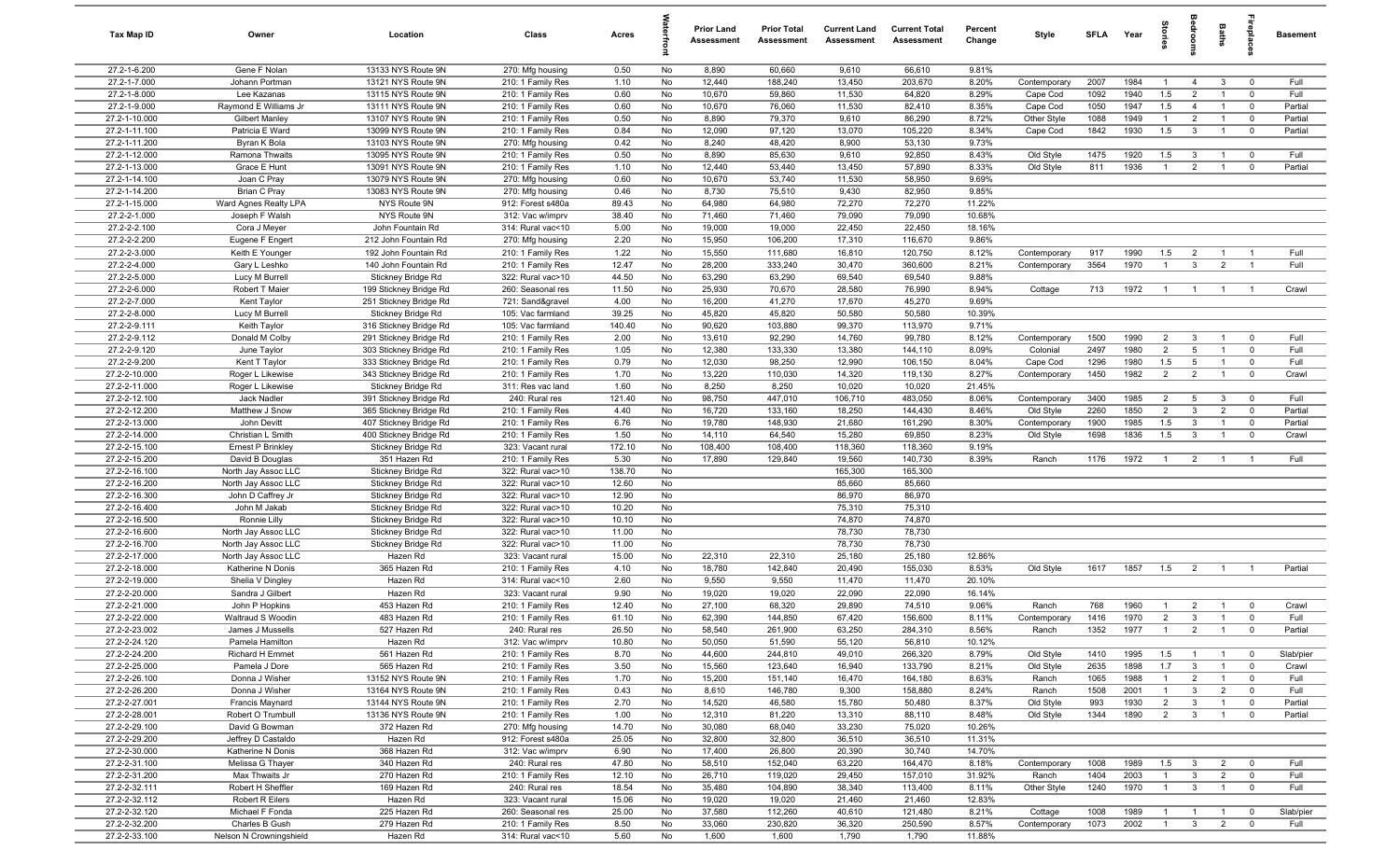| Tax Map ID                     | Owner                                       | Location                                         | Class                                  | Acres          |          | <b>Prior Land</b><br>Assessment | <b>Prior Total</b><br>Assessment | <b>Current Land</b><br>Assessment | <b>Current Total</b><br>Assessment | Percent<br>Change | Style                   | SFLA Year    |              | torie                            | droom                          | Baths                            | <b>Gebla</b>               | <b>Basement</b>    |
|--------------------------------|---------------------------------------------|--------------------------------------------------|----------------------------------------|----------------|----------|---------------------------------|----------------------------------|-----------------------------------|------------------------------------|-------------------|-------------------------|--------------|--------------|----------------------------------|--------------------------------|----------------------------------|----------------------------|--------------------|
| 27.2-1-6.200                   | Gene F Nolan                                | 13133 NYS Route 9N                               | 270: Mfg housing                       | 0.50           | No       | 8,890                           | 60,660                           | 9,610                             | 66,610                             | 9.81%             |                         |              |              |                                  |                                |                                  |                            |                    |
| 27.2-1-7.000                   | Johann Portman                              | 13121 NYS Route 9N                               | 210: 1 Family Res                      | 1.10           | No       | 12,440                          | 188,240                          | 13,450                            | 203,670                            | 8.20%             | Contemporary            | 2007         | 1984         | $\mathbf{1}$                     | $\overline{4}$                 | $\mathbf{3}$                     | $\mathbf 0$                | Full               |
| 27.2-1-8.000                   | Lee Kazanas                                 | 13115 NYS Route 9N                               | 210: 1 Family Res                      | 0.60           | No       | 10,670                          | 59,860                           | 11,530                            | 64,820                             | 8.29%             | Cape Cod                | 1092         | 1940         | 1.5                              | $\overline{2}$                 | $\mathbf{1}$                     | $\mathbf 0$                | Full               |
| 27.2-1-9.000                   | Raymond E Williams Jr                       | 13111 NYS Route 9N                               | 210: 1 Family Res                      | 0.60           | No       | 10,670                          | 76,060                           | 11,530                            | 82,410                             | 8.35%             | Cape Cod                | 1050         | 1947         | 1.5                              | $\overline{4}$                 |                                  | $\mathbf 0$                | Partial            |
| 27.2-1-10.000<br>27.2-1-11.100 | <b>Gilbert Manley</b><br>Patricia E Ward    | 13107 NYS Route 9N<br>13099 NYS Route 9N         | 210: 1 Family Res<br>210: 1 Family Res | 0.50<br>0.84   | No<br>No | 8,890<br>12,090                 | 79,370<br>97,120                 | 9,610<br>13,070                   | 86,290<br>105,220                  | 8.72%<br>8.34%    | Other Style<br>Cape Cod | 1088<br>1842 | 1949<br>1930 | $\mathbf{1}$<br>1.5              | $\overline{2}$<br>$\mathbf{3}$ | $\overline{1}$                   | $\mathbf 0$<br>$\mathbf 0$ | Partial<br>Partial |
| 27.2-1-11.200                  | Byran K Bola                                | 13103 NYS Route 9N                               | 270: Mfg housing                       | 0.42           | No       | 8,240                           | 48,420                           | 8,900                             | 53,130                             | 9.73%             |                         |              |              |                                  |                                |                                  |                            |                    |
| 27.2-1-12.000                  | Ramona Thwaits                              | 13095 NYS Route 9N                               | 210: 1 Family Res                      | 0.50           | No       | 8,890                           | 85,630                           | 9,610                             | 92,850                             | 8.43%             | Old Style               | 1475         | 1920         | 1.5                              | $\mathbf{3}$                   | $\overline{1}$                   | $\overline{0}$             | Full               |
| 27.2-1-13.000                  | Grace E Hunt                                | 13091 NYS Route 9N                               | 210: 1 Family Res                      | 1.10           | No       | 12,440                          | 53,440                           | 13,450                            | 57,890                             | 8.33%             | Old Style               | 811          | 1936         | $\overline{1}$                   | $\overline{2}$                 | $\overline{1}$                   | $\mathbf 0$                | Partial            |
| 27.2-1-14.100                  | Joan C Pray                                 | 13079 NYS Route 9N                               | 270: Mfg housing                       | 0.60           | No       | 10,670                          | 53,740                           | 11,530                            | 58,950                             | 9.69%             |                         |              |              |                                  |                                |                                  |                            |                    |
| 27.2-1-14.200                  | <b>Brian C Pray</b>                         | 13083 NYS Route 9N                               | 270: Mfg housing                       | 0.46           | No       | 8,730                           | 75,510                           | 9,430                             | 82,950                             | 9.85%             |                         |              |              |                                  |                                |                                  |                            |                    |
| 27.2-1-15.000                  | Ward Agnes Realty LPA                       | NYS Route 9N                                     | 912: Forest s480a                      | 89.43          | No       | 64,980                          | 64,980                           | 72,270                            | 72,270                             | 11.22%            |                         |              |              |                                  |                                |                                  |                            |                    |
| 27.2-2-1.000                   | Joseph F Walsh                              | NYS Route 9N                                     | 312: Vac w/imprv                       | 38.40          | No       | 71,460                          | 71,460                           | 79,090                            | 79,090                             | 10.68%            |                         |              |              |                                  |                                |                                  |                            |                    |
| 27.2-2-2.100                   | Cora J Meyer                                | John Fountain Rd                                 | 314: Rural vac<10                      | 5.00           | No       | 19,000                          | 19,000                           | 22,450                            | 22,450                             | 18.16%            |                         |              |              |                                  |                                |                                  |                            |                    |
| 27.2-2-2.200                   | Eugene F Engert                             | 212 John Fountain Rd                             | 270: Mfg housing                       | 2.20           | No       | 15,950                          | 106,200                          | 17,310                            | 116,670                            | 9.86%             |                         |              |              |                                  |                                |                                  |                            |                    |
| 27.2-2-3.000                   | Keith E Younger                             | 192 John Fountain Rd                             | 210: 1 Family Res                      | 1.22           | No       | 15,550                          | 111,680                          | 16,810                            | 120,750                            | 8.12%             | Contemporary            | 917          | 1990         | 1.5                              | $\overline{2}$                 |                                  |                            | Full               |
| 27.2-2-4.000                   | Gary L Leshko                               | 140 John Fountain Rd                             | 210: 1 Family Res                      | 12.47          | No       | 28,200                          | 333,240                          | 30,470                            | 360,600                            | 8.21%             | Contemporary            | 3564         | 1970         |                                  | $\mathbf{3}$                   | $\overline{2}$                   |                            | Full               |
| 27.2-2-5.000<br>27.2-2-6.000   | Lucy M Burrell<br>Robert T Maier            | Stickney Bridge Rd                               | 322: Rural vac>10                      | 44.50<br>11.50 | No<br>No | 63,290<br>25,930                | 63,290<br>70,670                 | 69,540<br>28,580                  | 69,540<br>76,990                   | 9.88%<br>8.94%    |                         | 713          | 1972         | $\overline{1}$                   | $\overline{1}$                 | $\overline{1}$                   | $\overline{1}$             | Crawl              |
| 27.2-2-7.000                   | Kent Taylor                                 | 199 Stickney Bridge Rd<br>251 Stickney Bridge Rd | 260: Seasonal res<br>721: Sand&gravel  | 4.00           | No       | 16,200                          | 41,270                           | 17,670                            | 45,270                             | 9.69%             | Cottage                 |              |              |                                  |                                |                                  |                            |                    |
| 27.2-2-8.000                   | Lucy M Burrell                              | Stickney Bridge Rd                               | 105: Vac farmland                      | 39.25          | No       | 45,820                          | 45,820                           | 50,580                            | 50,580                             | 10.39%            |                         |              |              |                                  |                                |                                  |                            |                    |
| 27.2-2-9.111                   | Keith Taylor                                | 316 Stickney Bridge Rd                           | 105: Vac farmland                      | 140.40         | No       | 90,620                          | 103,880                          | 99,370                            | 113,970                            | 9.71%             |                         |              |              |                                  |                                |                                  |                            |                    |
| 27.2-2-9.112                   | Donald M Colby                              | 291 Stickney Bridge Rd                           | 210: 1 Family Res                      | 2.00           | No       | 13,610                          | 92,290                           | 14,760                            | 99,780                             | 8.12%             | Contemporary            | 1500         | 1990         | 2                                | $\mathbf{3}$                   | $\overline{1}$                   | $\overline{0}$             | Full               |
| 27.2-2-9.120                   | June Taylor                                 | 303 Stickney Bridge Rd                           | 210: 1 Family Res                      | 1.05           | No       | 12,380                          | 133,330                          | 13,380                            | 144,110                            | 8.09%             | Colonial                | 2497         | 1980         | $\overline{2}$                   | 5                              | $\overline{1}$                   | $^{\circ}$                 | Full               |
| 27.2-2-9.200                   | Kent T Taylor                               | 333 Stickney Bridge Rd                           | 210: 1 Family Res                      | 0.79           | No       | 12,030                          | 98,250                           | 12,990                            | 106,150                            | 8.04%             | Cape Cod                | 1296         | 1980         | 1.5                              | 5                              | $\overline{1}$                   | $\mathbf 0$                | Full               |
| 27.2-2-10.000                  | Roger L Likewise                            | 343 Stickney Bridge Rd                           | 210: 1 Family Res                      | 1.70           | No       | 13,220                          | 110,030                          | 14,320                            | 119,130                            | 8.27%             | Contemporary            | 1450         | 1982         | $\overline{2}$                   | $\overline{2}$                 | $\overline{1}$                   | $\mathbf 0$                | Crawl              |
| 27.2-2-11.000                  | Roger L Likewise                            | Stickney Bridge Rd                               | 311: Res vac land                      | 1.60           | No       | 8,250                           | 8,250                            | 10,020                            | 10,020                             | 21.45%            |                         |              |              |                                  |                                |                                  |                            |                    |
| 27.2-2-12.100                  | Jack Nadler                                 | 391 Stickney Bridge Rd                           | 240: Rural res                         | 121.40         | No       | 98,750                          | 447,010                          | 106,710                           | 483,050                            | 8.06%             | Contemporary            | 3400         | 1985         | $\overline{2}$                   | 5                              | 3                                | $\mathbf 0$                | Full               |
| 27.2-2-12.200                  | Matthew J Snow                              | 365 Stickney Bridge Rd                           | 210: 1 Family Res                      | 4.40           | No       | 16,720                          | 133,160                          | 18,250                            | 144,430                            | 8.46%             | Old Style               | 2260         | 1850         | $\overline{2}$                   | $\mathbf{3}$                   | $\overline{2}$                   | $\mathbf 0$                | Partial            |
| 27.2-2-13.000                  | John Devitt                                 | 407 Stickney Bridge Rd                           | 210: 1 Family Res                      | 6.76           | No       | 19,780                          | 148,930                          | 21,680                            | 161,290                            | 8.30%             | Contemporary            | 1900         | 1985         | 1.5                              | $\mathbf{3}$                   |                                  | $^{\circ}$                 | Partial            |
| 27.2-2-14.000                  | Christian L Smith                           | 400 Stickney Bridge Rd                           | 210: 1 Family Res                      | 1.50           | No       | 14,110<br>108,400               | 64,540                           | 15,280<br>118,360                 | 69,850                             | 8.23%<br>9.19%    | Old Style               | 1698         | 1836         | 1.5                              | $\mathbf{3}$                   | $\overline{1}$                   | $^{\circ}$                 | Crawl              |
| 27.2-2-15.100<br>27.2-2-15.200 | <b>Ernest P Brinkley</b><br>David B Douglas | Stickney Bridge Rd<br>351 Hazen Rd               | 323: Vacant rural<br>210: 1 Family Res | 172.10<br>5.30 | No<br>No | 17,890                          | 108,400<br>129,840               | 19,560                            | 118,360<br>140,730                 | 8.39%             | Ranch                   | 1176         | 1972         | $\overline{1}$                   | $\overline{2}$                 | $\overline{1}$                   | - 1                        | Full               |
| 27.2-2-16.100                  | North Jay Assoc LLC                         | Stickney Bridge Rd                               | 322: Rural vac>10                      | 138.70         | No       |                                 |                                  | 165,300                           | 165,300                            |                   |                         |              |              |                                  |                                |                                  |                            |                    |
| 27.2-2-16.200                  | North Jay Assoc LLC                         | Stickney Bridge Rd                               | 322: Rural vac>10                      | 12.60          | No       |                                 |                                  | 85,660                            | 85,660                             |                   |                         |              |              |                                  |                                |                                  |                            |                    |
| 27.2-2-16.300                  | John D Caffrey Jr                           | Stickney Bridge Rd                               | 322: Rural vac>10                      | 12.90          | No       |                                 |                                  | 86,970                            | 86,970                             |                   |                         |              |              |                                  |                                |                                  |                            |                    |
| 27.2-2-16.400                  | John M Jakab                                | Stickney Bridge Rd                               | 322: Rural vac>10                      | 10.20          | No       |                                 |                                  | 75,310                            | 75,310                             |                   |                         |              |              |                                  |                                |                                  |                            |                    |
| 27.2-2-16.500                  | Ronnie Lilly                                | Stickney Bridge Rd                               | 322: Rural vac>10                      | 10.10          | No       |                                 |                                  | 74,870                            | 74,870                             |                   |                         |              |              |                                  |                                |                                  |                            |                    |
| 27.2-2-16.600                  | North Jay Assoc LLC                         | Stickney Bridge Rd                               | 322: Rural vac>10                      | 11.00          | No       |                                 |                                  | 78,730                            | 78,730                             |                   |                         |              |              |                                  |                                |                                  |                            |                    |
| 27.2-2-16.700                  | North Jay Assoc LLC                         | Stickney Bridge Rd                               | 322: Rural vac>10                      | 11.00          | No       |                                 |                                  | 78,730                            | 78,730                             |                   |                         |              |              |                                  |                                |                                  |                            |                    |
| 27.2-2-17.000                  | North Jay Assoc LLC                         | Hazen Rd                                         | 323: Vacant rural                      | 15.00          | No       | 22,310                          | 22,310                           | 25,180                            | 25,180                             | 12.86%            |                         |              |              |                                  |                                |                                  |                            |                    |
| 27.2-2-18.000                  | Katherine N Donis                           | 365 Hazen Rd                                     | 210: 1 Family Res                      | 4.10           | No       | 18,780                          | 142,840                          | 20,490                            | 155,030                            | 8.53%             | Old Style               | 1617         | 1857         | 1.5                              | $\overline{2}$                 | $\overline{1}$                   |                            | Partial            |
| 27.2-2-19.000                  | Shelia V Dingley                            | Hazen Rd                                         | 314: Rural vac<10                      | 2.60           | No       | 9,550                           | 9,550                            | 11,470                            | 11,470                             | 20.10%            |                         |              |              |                                  |                                |                                  |                            |                    |
| 27.2-2-20.000<br>27.2-2-21.000 | Sandra J Gilbert<br>John P Hopkins          | Hazen Rd<br>453 Hazen Rd                         | 323: Vacant rural<br>210: 1 Family Res | 9.90<br>12.40  | No<br>No | 19,020<br>27,100                | 19,020<br>68,320                 | 22,090<br>29,890                  | 22,090<br>74,510                   | 16.14%<br>9.06%   | Ranch                   | 768          | 1960         | $\overline{1}$                   | $\overline{2}$                 |                                  | $^{\circ}$                 | Crawl              |
| 27.2-2-22.000                  | Waltraud S Woodin                           | 483 Hazen Rd                                     | 210: 1 Family Res                      | 61.10          | No       | 62,390                          | 144,850                          | 67,420                            | 156,600                            | 8.11%             | Contemporary            | 1416         | 1970         | $\overline{2}$                   | $\mathbf{3}$                   | $\overline{1}$                   | $\mathbf 0$                | Full               |
| 27.2-2-23.002                  | James J Mussells                            | 527 Hazen Rd                                     | 240: Rural res                         | 26.50          | No       | 58,540                          | 261,900                          | 63,250                            | 284,310                            | 8.56%             | Ranch                   | 1352         | 1977         | $\overline{1}$                   | $\mathcal{P}$                  | $\overline{1}$                   |                            | Partial            |
| 27.2-2-24.120                  | Pamela Hamilton                             | Hazen Rd                                         | 312: Vac w/imprv                       | 10.80          | No       | 50,050                          | 51,590                           | 55,120                            | 56,810                             | 10.12%            |                         |              |              |                                  |                                |                                  |                            |                    |
| 27.2-2-24.200                  | Richard H Emmet                             | 561 Hazen Rd                                     | 210: 1 Family Res                      | 8.70           | No       | 44,600                          | 244,810                          | 49,010                            | 266,320                            | 8.79%             | Old Style               | 1410         | 1995         | 1.5                              |                                | $\overline{1}$                   | $\overline{\mathbf{0}}$    | Slab/pier          |
| 27.2-2-25.000                  | Pamela J Dore                               | 565 Hazen Rd                                     | 210: 1 Family Res                      | 3.50           | No       | 15,560                          | 123,640                          | 16,940                            | 133,790                            | 8.21%             | Old Style               | 2635         | 1898         | 1.7                              | $\mathbf{3}$                   | $\overline{1}$                   | $\mathbf 0$                | Crawl              |
| 27.2-2-26.100                  | Donna J Wisher                              | 13152 NYS Route 9N                               | 210: 1 Family Res                      | 1.70           | No       | 15,200                          | 151,140                          | 16,470                            | 164,180                            | 8.63%             | Ranch                   | 1065         | 1988         | $\overline{1}$                   | $\overline{2}$                 | $\overline{1}$                   | $\mathbf 0$                | Full               |
| 27.2-2-26.200                  | Donna J Wisher                              | 13164 NYS Route 9N                               | 210: 1 Family Res                      | 0.43           | No       | 8,610                           | 146,780                          | 9,300                             | 158,880                            | 8.24%             | Ranch                   | 1508         | 2001         | $\mathbf{1}$                     | $\mathbf{3}$                   | $\overline{2}$                   | $\mathbf 0$                | Full               |
| 27.2-2-27.001                  | <b>Francis Maynard</b>                      | 13144 NYS Route 9N                               | 210: 1 Family Res                      | 2.70           | No       | 14,520                          | 46,580                           | 15,780                            | 50,480                             | 8.37%             | Old Style               | 993          | 1930         | $\overline{2}$                   | $\mathbf{3}$                   | $\mathbf{1}$                     | $\mathbf 0$                | Partial            |
| 27.2-2-28.001                  | Robert O Trumbull                           | 13136 NYS Route 9N                               | 210: 1 Family Res                      | 1.00           | No       | 12,310                          | 81,220                           | 13,310                            | 88,110                             | 8.48%             | Old Style               | 1344         | 1890         | $\overline{2}$                   | $\mathbf{3}$                   |                                  | $\mathbf 0$                | Partial            |
| 27.2-2-29.100                  | David G Bowman                              | 372 Hazen Rd                                     | 270: Mfg housing                       | 14.70          | No       | 30,080                          | 68,040                           | 33,230                            | 75,020                             | 10.26%            |                         |              |              |                                  |                                |                                  |                            |                    |
| 27.2-2-29.200                  | Jeffrey D Castaldo                          | Hazen Rd                                         | 912: Forest s480a                      | 25.05          | No       | 32,800                          | 32,800                           | 36,510                            | 36,510                             | 11.31%            |                         |              |              |                                  |                                |                                  |                            |                    |
| 27.2-2-30.000                  | Katherine N Donis                           | 368 Hazen Rd                                     | 312: Vac w/imprv                       | 6.90           | No       | 17,400                          | 26,800                           | 20,390                            | 30,740                             | 14.70%            |                         |              |              |                                  |                                |                                  |                            |                    |
| 27.2-2-31.100                  | Melissa G Thayer                            | 340 Hazen Rd                                     | 240: Rural res                         | 47.80          | No       | 58,510                          | 152,040                          | 63,220                            | 164,470                            | 8.18%             | Contemporary            | 1008         | 1989         | 1.5                              | $\mathbf{3}$                   | $\overline{2}$                   | $\mathbf 0$                | Full               |
| 27.2-2-31.200<br>27.2-2-32.111 | Max Thwaits Jr<br>Robert H Sheffler         | 270 Hazen Rd<br>169 Hazen Rd                     | 210: 1 Family Res<br>240: Rural res    | 12.10<br>18.54 | No<br>No | 26,710<br>35,480                | 119,020<br>104,890               | 29,450<br>38,340                  | 157,010<br>113,400                 | 31.92%<br>8.11%   | Ranch<br>Other Style    | 1404<br>1240 | 2003<br>1970 | $\overline{1}$<br>$\overline{1}$ | $\mathbf{3}$<br>$\mathbf{3}$   | $\overline{2}$<br>$\overline{1}$ | $\mathbf 0$<br>$\mathbf 0$ | Full<br>Full       |
| 27.2-2-32.112                  | Robert R Eilers                             | Hazen Rd                                         | 323: Vacant rural                      | 15.06          | No       | 19,020                          | 19,020                           | 21,460                            | 21,460                             | 12.83%            |                         |              |              |                                  |                                |                                  |                            |                    |
| 27.2-2-32.120                  | Michael F Fonda                             | 225 Hazen Rd                                     | 260: Seasonal res                      | 25.00          | No       | 37,580                          | 112,260                          | 40,610                            | 121,480                            | 8.21%             | Cottage                 | 1008         | 1989         | $\overline{1}$                   | $\overline{1}$                 | $\overline{1}$                   | $\overline{0}$             | Slab/pier          |
| 27.2-2-32.200                  | Charles B Gush                              | 279 Hazen Rd                                     | 210: 1 Family Res                      | 8.50           | No       | 33,060                          | 230,820                          | 36,320                            | 250,590                            | 8.57%             | Contemporary            | 1073         | 2002         | $\overline{1}$                   | $\mathbf{3}$                   | $\overline{2}$                   | $\mathbf{0}$               | Full               |
| 27.2-2-33.100                  | Nelson N Crowningshield                     | Hazen Rd                                         | 314: Rural vac<10                      | 5.60           | No       | 1,600                           | 1,600                            | 1,790                             | 1,790                              | 11.88%            |                         |              |              |                                  |                                |                                  |                            |                    |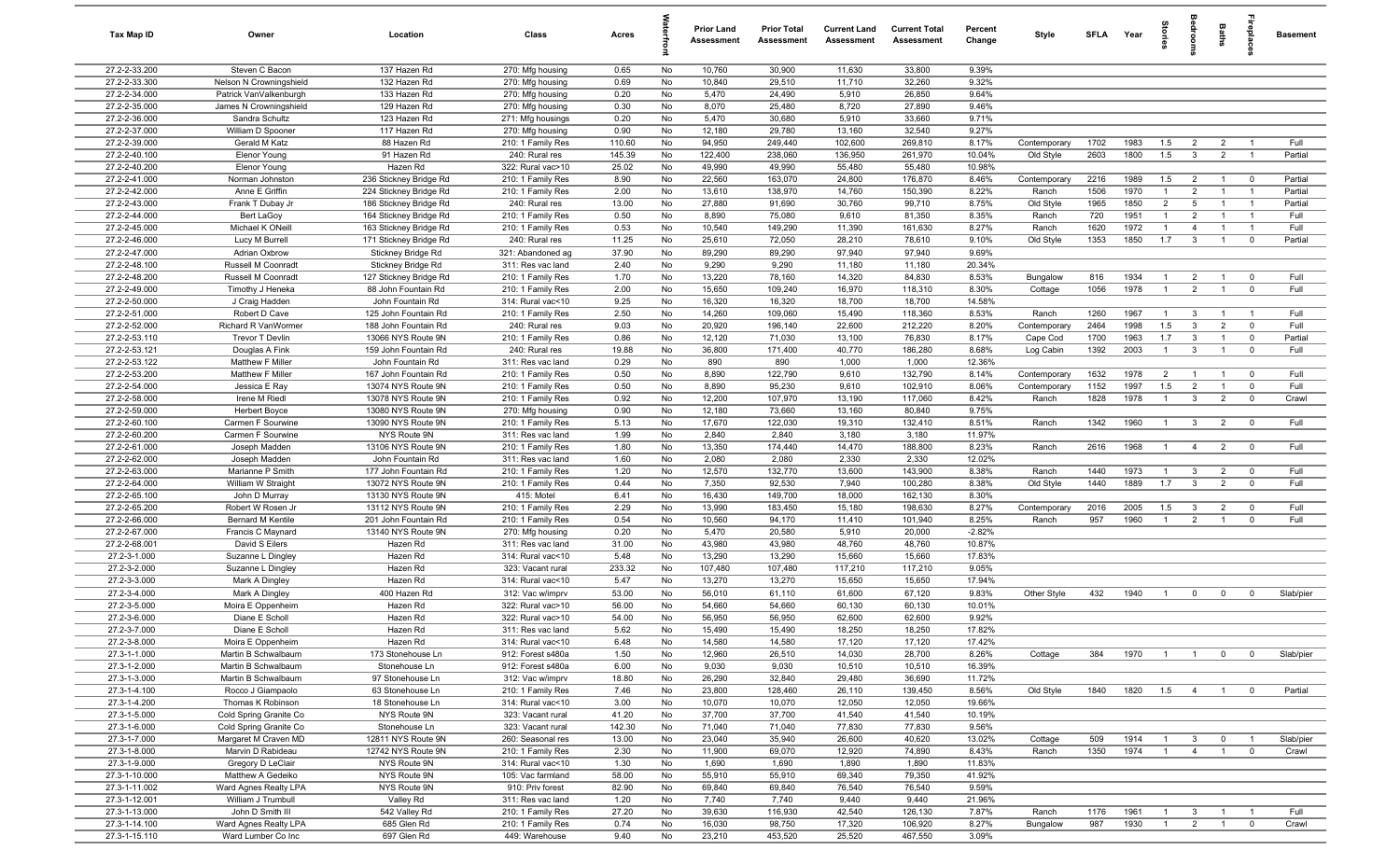| Tax Map ID                     | Owner                                     | Location                                         | Class                                  | Acres          |          | <b>Prior Land</b><br>Assessment | <b>Prior Total</b><br>Assessment | <b>Current Land</b><br>Assessment | <b>Current Total</b><br>Assessment | Percent<br>Change | Style                 | <b>SFI A</b> | Year         | tories                           |                                | Baths                            | irepla                        | <b>Basement</b> |
|--------------------------------|-------------------------------------------|--------------------------------------------------|----------------------------------------|----------------|----------|---------------------------------|----------------------------------|-----------------------------------|------------------------------------|-------------------|-----------------------|--------------|--------------|----------------------------------|--------------------------------|----------------------------------|-------------------------------|-----------------|
| 27.2-2-33.200                  | Steven C Bacon                            | 137 Hazen Rd                                     | 270: Mfg housing                       | 0.65           | No       | 10,760                          | 30,900                           | 11,630                            | 33,800                             | 9.39%             |                       |              |              |                                  |                                |                                  |                               |                 |
| 27.2-2-33.300                  | Nelson N Crowningshield                   | 132 Hazen Rd                                     | 270: Mfg housing                       | 0.69           | No       | 10,840                          | 29,510                           | 11,710                            | 32,260                             | 9.32%             |                       |              |              |                                  |                                |                                  |                               |                 |
| 27.2-2-34.000                  | Patrick VanValkenburgh                    | 133 Hazen Rd                                     | 270: Mfg housing                       | 0.20           | No       | 5,470                           | 24,490                           | 5,910                             | 26,850                             | 9.64%             |                       |              |              |                                  |                                |                                  |                               |                 |
| 27.2-2-35.000                  | James N Crowningshield                    | 129 Hazen Rd                                     | 270: Mfg housing                       | 0.30           | No       | 8,070                           | 25,480                           | 8,720                             | 27,890                             | 9.46%             |                       |              |              |                                  |                                |                                  |                               |                 |
| 27.2-2-36.000                  | Sandra Schultz                            | 123 Hazen Rd                                     | 271: Mfg housings                      | 0.20           | No       | 5,470                           | 30,680                           | 5,910                             | 33,660                             | 9.71%             |                       |              |              |                                  |                                |                                  |                               |                 |
| 27.2-2-37.000                  | William D Spooner                         | 117 Hazen Rd                                     | 270: Mfg housing                       | 0.90           | No       | 12,180                          | 29,780                           | 13,160                            | 32,540                             | 9.27%             |                       |              |              |                                  |                                |                                  |                               |                 |
| 27.2-2-39.000                  | Gerald M Katz                             | 88 Hazen Rd                                      | 210: 1 Family Res                      | 110.60         | No       | 94,950                          | 249,440                          | 102,600                           | 269,810                            | 8.17%             | Contemporary          | 1702         | 1983         | 1.5                              | $\overline{2}$                 | $\overline{2}$                   |                               | Full            |
| 27.2-2-40.100                  | Elenor Young                              | 91 Hazen Rd                                      | 240: Rural res                         | 145.39         | No       | 122,400                         | 238,060                          | 136,950                           | 261,970                            | 10.04%            | Old Style             | 2603         | 1800         | 1.5                              | $\mathbf{3}$                   | $\overline{2}$                   | $\overline{1}$                | Partial         |
| 27.2-2-40.200<br>27.2-2-41.000 | Elenor Young                              | Hazen Rd                                         | 322: Rural vac>10                      | 25.02<br>8.90  | No<br>No | 49,990<br>22,560                | 49,990                           | 55,480                            | 55,480                             | 10.98%            |                       | 2216         | 1989         | 1.5                              | $\overline{2}$                 | $\overline{1}$                   | $\overline{\mathbf{0}}$       | Partial         |
| 27.2-2-42.000                  | Norman Johnston<br>Anne E Griffin         | 236 Stickney Bridge Rd<br>224 Stickney Bridge Rd | 210: 1 Family Res<br>210: 1 Family Res | 2.00           | No       | 13,610                          | 163,070<br>138,970               | 24,800<br>14,760                  | 176,870<br>150,390                 | 8.46%<br>8.22%    | Contemporary<br>Ranch | 1506         | 1970         | $\overline{1}$                   | $\overline{2}$                 | $\overline{1}$                   | $\overline{1}$                | Partial         |
| 27.2-2-43.000                  | Frank T Dubay Jr                          | 186 Stickney Bridge Rd                           | 240: Rural res                         | 13.00          | No       | 27,880                          | 91,690                           | 30,760                            | 99,710                             | 8.75%             | Old Style             | 1965         | 1850         | $\overline{2}$                   | 5                              | $\overline{1}$                   | $\overline{1}$                | Partial         |
| 27.2-2-44.000                  | Bert LaGoy                                | 164 Stickney Bridge Rd                           | 210: 1 Family Res                      | 0.50           | No       | 8,890                           | 75,080                           | 9,610                             | 81,350                             | 8.35%             | Ranch                 | 720          | 1951         | $\overline{1}$                   | $\overline{2}$                 | $\overline{1}$                   | $\overline{1}$                | Full            |
| 27.2-2-45.000                  | Michael K ONeill                          | 163 Stickney Bridge Rd                           | 210: 1 Family Res                      | 0.53           | No       | 10,540                          | 149,290                          | 11,390                            | 161,630                            | 8.27%             | Ranch                 | 1620         | 1972         | $\overline{1}$                   | $\overline{4}$                 | $\overline{1}$                   | $\overline{1}$                | Full            |
| 27.2-2-46.000                  | Lucy M Burrell                            | 171 Stickney Bridge Rd                           | 240: Rural res                         | 11.25          | No       | 25,610                          | 72,050                           | 28,210                            | 78,610                             | 9.10%             | Old Style             | 1353         | 1850         | 1.7                              | $\mathbf{3}$                   | $\overline{1}$                   | $\mathbf 0$                   | Partial         |
| 27.2-2-47.000                  | Adrian Oxbrow                             | Stickney Bridge Rd                               | 321: Abandoned ag                      | 37.90          | No       | 89,290                          | 89,290                           | 97,940                            | 97,940                             | 9.69%             |                       |              |              |                                  |                                |                                  |                               |                 |
| 27.2-2-48.100                  | Russell M Coonradt                        | Stickney Bridge Rd                               | 311: Res vac land                      | 2.40           | No       | 9,290                           | 9,290                            | 11,180                            | 11,180                             | 20.34%            |                       |              |              |                                  |                                |                                  |                               |                 |
| 27.2-2-48.200                  | Russell M Coonradt                        | 127 Stickney Bridge Rd                           | 210: 1 Family Res                      | 1.70           | No       | 13,220                          | 78,160                           | 14,320                            | 84,830                             | 8.53%             | Bungalow              | 816          | 1934         | $\mathbf{1}$                     | $\overline{2}$                 | $\overline{1}$                   | $\overline{0}$                | Full            |
| 27.2-2-49.000                  | Timothy J Heneka                          | 88 John Fountain Rd                              | 210: 1 Family Res                      | 2.00           | No       | 15,650                          | 109,240                          | 16,970                            | 118,310                            | 8.30%             | Cottage               | 1056         | 1978         | -1                               | $\overline{2}$                 | $\overline{1}$                   | $\mathbf 0$                   | Full            |
| 27.2-2-50.000                  | J Craig Hadden                            | John Fountain Rd                                 | 314: Rural vac<10                      | 9.25           | No       | 16,320                          | 16,320                           | 18,700                            | 18,700                             | 14.58%            |                       |              |              |                                  |                                |                                  |                               |                 |
| 27.2-2-51.000                  | Robert D Cave                             | 125 John Fountain Rd                             | 210: 1 Family Res                      | 2.50           | No       | 14,260                          | 109,060                          | 15,490                            | 118,360                            | 8.53%             | Ranch                 | 1260         | 1967         | $\overline{1}$                   | $\mathbf{3}$                   | $\overline{1}$                   | $\overline{1}$                | Full            |
| 27.2-2-52.000                  | Richard R VanWormer                       | 188 John Fountain Rd                             | 240: Rural res                         | 9.03           | No       | 20,920                          | 196,140                          | 22,600                            | 212,220                            | 8.20%             | Contemporary          | 2464         | 1998         | 1.5                              | $\mathbf{3}$                   | $\overline{2}$                   | $\mathbf 0$                   | Full            |
| 27.2-2-53.110                  | Trevor T Devlin                           | 13066 NYS Route 9N                               | 210: 1 Family Res                      | 0.86           | No       | 12,120                          | 71,030                           | 13,100                            | 76,830                             | 8.17%             | Cape Cod              | 1700         | 1963         | 1.7                              | $\mathbf{3}$                   | $\overline{1}$                   | $\mathbf 0$                   | Partial         |
| 27.2-2-53.121                  | Douglas A Fink                            | 159 John Fountain Rd                             | 240: Rural res                         | 19.88          | No       | 36,800                          | 171,400                          | 40,770                            | 186,280                            | 8.68%             | Log Cabin             | 1392         | 2003         | $\overline{1}$                   | $\mathbf{3}$                   | $\overline{1}$                   | $\mathbf 0$                   | Full            |
| 27.2-2-53.122                  | Matthew F Miller                          | John Fountain Rd                                 | 311: Res vac land                      | 0.29           | No       | 890                             | 890                              | 1,000                             | 1,000                              | 12.36%            |                       |              |              |                                  |                                |                                  |                               |                 |
| 27.2-2-53.200                  | Matthew F Miller                          | 167 John Fountain Rd                             | 210: 1 Family Res                      | 0.50           | No       | 8,890                           | 122,790                          | 9,610                             | 132,790                            | 8.14%             | Contemporary          | 1632         | 1978         | $\overline{2}$                   | $\overline{1}$                 | $\overline{1}$                   | $\mathbf 0$                   | Full            |
| 27.2-2-54.000                  | Jessica E Ray                             | 13074 NYS Route 9N                               | 210: 1 Family Res                      | 0.50           | No       | 8,890                           | 95,230                           | 9,610                             | 102,910                            | 8.06%             | Contemporary          | 1152         | 1997         | 1.5                              | 2                              | $\overline{1}$                   | $\mathbf 0$                   | Full            |
| 27.2-2-58.000                  | Irene M Riedl                             | 13078 NYS Route 9N                               | 210: 1 Family Res                      | 0.92           | No       | 12,200                          | 107,970                          | 13,190                            | 117,060                            | 8.42%             | Ranch                 | 1828         | 1978         | $\overline{1}$                   | $\mathbf{3}$                   | $\overline{2}$                   | $\mathbf 0$                   | Crawl           |
| 27.2-2-59.000<br>27.2-2-60.100 | <b>Herbert Boyce</b><br>Carmen F Sourwine | 13080 NYS Route 9N<br>13090 NYS Route 9N         | 270: Mfg housing<br>210: 1 Family Res  | 0.90<br>5.13   | No<br>No | 12,180<br>17,670                | 73,660<br>122,030                | 13,160<br>19,310                  | 80,840<br>132,410                  | 9.75%<br>8.51%    | Ranch                 | 1342         | 1960         |                                  | $\mathbf{3}$                   | $\overline{2}$                   | $\mathbf 0$                   | Full            |
| 27.2-2-60.200                  | Carmen F Sourwine                         | NYS Route 9N                                     | 311: Res vac land                      | 1.99           | No       | 2,840                           | 2,840                            | 3,180                             | 3,180                              | 11.97%            |                       |              |              |                                  |                                |                                  |                               |                 |
| 27.2-2-61.000                  | Joseph Madden                             | 13106 NYS Route 9N                               | 210: 1 Family Res                      | 1.80           | No       | 13,350                          | 174,440                          | 14,470                            | 188,800                            | 8.23%             | Ranch                 | 2616         | 1968         | $\overline{1}$                   | $\overline{4}$                 | $\overline{2}$                   | $\overline{\mathbf{0}}$       | Full            |
| 27.2-2-62.000                  | Joseph Madden                             | John Fountain Rd                                 | 311: Res vac land                      | 1.60           | No       | 2,080                           | 2,080                            | 2,330                             | 2,330                              | 12.02%            |                       |              |              |                                  |                                |                                  |                               |                 |
| 27.2-2-63.000                  | Marianne P Smith                          | 177 John Fountain Rd                             | 210: 1 Family Res                      | 1.20           | No       | 12,570                          | 132,770                          | 13,600                            | 143,900                            | 8.38%             | Ranch                 | 1440         | 1973         | $\overline{1}$                   | $\mathbf{3}$                   | $\overline{2}$                   | $\mathbf 0$                   | Full            |
| 27.2-2-64.000                  | William W Straight                        | 13072 NYS Route 9N                               | 210: 1 Family Res                      | 0.44           | No       | 7,350                           | 92,530                           | 7,940                             | 100,280                            | 8.38%             | Old Style             | 1440         | 1889         | 1.7                              | $\mathbf{3}$                   | $\overline{2}$                   | $\mathbf 0$                   | Full            |
| 27.2-2-65.100                  | John D Murray                             | 13130 NYS Route 9N                               | 415: Motel                             | 6.41           | No       | 16,430                          | 149,700                          | 18,000                            | 162,130                            | 8.30%             |                       |              |              |                                  |                                |                                  |                               |                 |
| 27.2-2-65.200                  | Robert W Rosen Jr                         | 13112 NYS Route 9N                               | 210: 1 Family Res                      | 2.29           | No       | 13,990                          | 183,450                          | 15,180                            | 198,630                            | 8.27%             | Contemporary          | 2016         | 2005         | 1.5                              | $\mathbf{3}$                   | $\overline{2}$                   | $\mathbf 0$                   | Full            |
| 27.2-2-66.000                  | Bernard M Kentile                         | 201 John Fountain Rd                             | 210: 1 Family Res                      | 0.54           | No       | 10,560                          | 94,170                           | 11,410                            | 101,940                            | 8.25%             | Ranch                 | 957          | 1960         | $\overline{1}$                   | $\overline{2}$                 | $\overline{1}$                   | $\mathbf 0$                   | Full            |
| 27.2-2-67.000                  | Francis C Maynard                         | 13140 NYS Route 9N                               | 270: Mfg housing                       | 0.20           | No       | 5,470                           | 20,580                           | 5,910                             | 20,000                             | $-2.82%$          |                       |              |              |                                  |                                |                                  |                               |                 |
| 27.2-2-68.001                  | David S Eilers                            | Hazen Rd                                         | 311: Res vac land                      | 31.00          | No       | 43,980                          | 43,980                           | 48,760                            | 48,760                             | 10.87%            |                       |              |              |                                  |                                |                                  |                               |                 |
| 27.2-3-1.000                   | Suzanne L Dingley                         | Hazen Rd                                         | 314: Rural vac<10                      | 5.48           | No       | 13,290                          | 13,290                           | 15,660                            | 15,660                             | 17.83%            |                       |              |              |                                  |                                |                                  |                               |                 |
| 27.2-3-2.000                   | Suzanne L Dingley                         | Hazen Rd                                         | 323: Vacant rural                      | 233.32         | No       | 107,480                         | 107,480                          | 117,210                           | 117,210                            | 9.05%             |                       |              |              |                                  |                                |                                  |                               |                 |
| 27.2-3-3.000                   | Mark A Dingley                            | Hazen Rd                                         | 314: Rural vac<10                      | 5.47           | No       | 13,270                          | 13,270                           | 15,650                            | 15,650                             | 17.94%            |                       |              |              |                                  |                                |                                  |                               |                 |
| 27.2-3-4.000<br>27.2-3-5.000   | Mark A Dingley                            | 400 Hazen Rd<br>Hazen Rd                         | 312: Vac w/imprv<br>322: Rural vac>10  | 53.00<br>56.00 | No<br>No | 56,010<br>54,660                | 61,110<br>54,660                 | 61,600<br>60,130                  | 67,120<br>60,130                   | 9.83%<br>10.01%   | Other Style           | 432          | 1940         | $\overline{1}$                   | $\mathbf 0$                    | $\mathbf 0$                      | $\mathbf 0$                   | Slab/pier       |
| 27.2-3-6.000                   | Moira E Oppenheim<br>Diane E Scholl       | Hazen Rd                                         | 322: Rural vac>10                      | 54.00          | No       | 56,950                          | 56,950                           | 62,600                            | 62,600                             | 9.92%             |                       |              |              |                                  |                                |                                  |                               |                 |
| 27.2-3-7.000                   | Diane E Scholl                            | Hazen Rd                                         | 311: Res vac land                      | 5.62           | No       | 15,490                          | 15,490                           | 18,250                            | 18,250                             | 17.82%            |                       |              |              |                                  |                                |                                  |                               |                 |
| 27.2-3-8.000                   | Moira E Oppenheim                         | Hazen Rd                                         | 314: Rural vac<10                      | 6.48           | No       | 14,580                          | 14,580                           | 17,120                            | 17,120                             | 17.42%            |                       |              |              |                                  |                                |                                  |                               |                 |
| 27.3-1-1.000                   | Martin B Schwalbaum                       | 173 Stonehouse Ln                                | 912: Forest s480a                      | 1.50           | No       | 12,960                          | 26,510                           | 14,030                            | 28,700                             | 8.26%             | Cottage               | 384          | 1970         | $\overline{1}$                   | $\overline{1}$                 | $\mathbf 0$                      | $\overline{0}$                | Slab/pier       |
| 27.3-1-2.000                   | Martin B Schwalbaum                       | Stonehouse Ln                                    | 912: Forest s480a                      | 6.00           | No       | 9,030                           | 9,030                            | 10,510                            | 10,510                             | 16.39%            |                       |              |              |                                  |                                |                                  |                               |                 |
| 27.3-1-3.000                   | Martin B Schwalbaum                       | 97 Stonehouse Ln                                 | 312: Vac w/imprv                       | 18.80          | No       | 26,290                          | 32,840                           | 29,480                            | 36,690                             | 11.72%            |                       |              |              |                                  |                                |                                  |                               |                 |
| 27.3-1-4.100                   | Rocco J Giampaolo                         | 63 Stonehouse Ln                                 | 210: 1 Family Res                      | 7.46           | No       | 23,800                          | 128,460                          | 26,110                            | 139,450                            | 8.56%             | Old Style             | 1840         | 1820         | 1.5                              | $\overline{4}$                 | $\overline{1}$                   | $\mathbf{0}$                  | Partial         |
| 27.3-1-4.200                   | Thomas K Robinson                         | 18 Stonehouse Ln                                 | 314: Rural vac<10                      | 3.00           | No       | 10,070                          | 10,070                           | 12,050                            | 12,050                             | 19.66%            |                       |              |              |                                  |                                |                                  |                               |                 |
| 27.3-1-5.000                   | Cold Spring Granite Co                    | NYS Route 9N                                     | 323: Vacant rural                      | 41.20          | No       | 37,700                          | 37,700                           | 41,540                            | 41,540                             | 10.19%            |                       |              |              |                                  |                                |                                  |                               |                 |
| 27.3-1-6.000                   | Cold Spring Granite Co                    | Stonehouse Ln                                    | 323: Vacant rural                      | 142.30         | No       | 71,040                          | 71,040                           | 77,830                            | 77,830                             | 9.56%             |                       |              |              |                                  |                                |                                  |                               |                 |
| 27.3-1-7.000                   | Margaret M Craven MD                      | 12811 NYS Route 9N                               | 260: Seasonal res                      | 13.00          | No       | 23,040                          | 35,940                           | 26,600                            | 40,620                             | 13.02%            | Cottage               | 509          | 1914         |                                  | $\mathbf{3}$                   | $\mathbf{0}$                     |                               | Slab/pier       |
| 27.3-1-8.000                   | Marvin D Rabideau                         | 12742 NYS Route 9N                               | 210: 1 Family Res                      | 2.30           | No       | 11,900                          | 69,070                           | 12,920                            | 74,890                             | 8.43%             | Ranch                 | 1350         | 1974         | $\overline{1}$                   | $\overline{4}$                 | $\overline{1}$                   | $\mathbf 0$                   | Crawl           |
| 27.3-1-9.000                   | Gregory D LeClair                         | NYS Route 9N                                     | 314: Rural vac<10                      | 1.30           | No       | 1,690                           | 1,690                            | 1,890                             | 1,890                              | 11.83%            |                       |              |              |                                  |                                |                                  |                               |                 |
| 27.3-1-10.000                  | Matthew A Gedeiko                         | NYS Route 9N                                     | 105: Vac farmland                      | 58.00          | No       | 55,910                          | 55,910                           | 69,340                            | 79,350                             | 41.92%            |                       |              |              |                                  |                                |                                  |                               |                 |
| 27.3-1-11.002                  | Ward Agnes Realty LPA                     | NYS Route 9N                                     | 910: Priv forest                       | 82.90          | No       | 69,840                          | 69,840                           | 76,540                            | 76,540                             | 9.59%             |                       |              |              |                                  |                                |                                  |                               |                 |
| 27.3-1-12.001                  | William J Trumbull                        | Valley Rd                                        | 311: Res vac land                      | 1.20           | No       | 7,740                           | 7,740                            | 9,440                             | 9,440                              | 21.96%            |                       |              |              |                                  |                                |                                  |                               |                 |
| 27.3-1-13.000<br>27.3-1-14.100 | John D Smith III<br>Ward Agnes Realty LPA | 542 Valley Rd<br>685 Glen Rd                     | 210: 1 Family Res<br>210: 1 Family Res | 27.20<br>0.74  | No<br>No | 39,630<br>16,030                | 116,930<br>98,750                | 42,540<br>17,320                  | 126,130<br>106,920                 | 7.87%<br>8.27%    | Ranch<br>Bungalow     | 1176<br>987  | 1961<br>1930 | $\overline{1}$<br>$\overline{1}$ | $\mathbf{3}$<br>$\overline{2}$ | $\overline{1}$<br>$\overline{1}$ | $\overline{1}$<br>$\mathbf 0$ | Full<br>Crawl   |
| 27.3-1-15.110                  | Ward Lumber Co Inc                        | 697 Glen Rd                                      | 449: Warehouse                         | 9.40           | No       | 23,210                          | 453,520                          | 25,520                            | 467,550                            | 3.09%             |                       |              |              |                                  |                                |                                  |                               |                 |
|                                |                                           |                                                  |                                        |                |          |                                 |                                  |                                   |                                    |                   |                       |              |              |                                  |                                |                                  |                               |                 |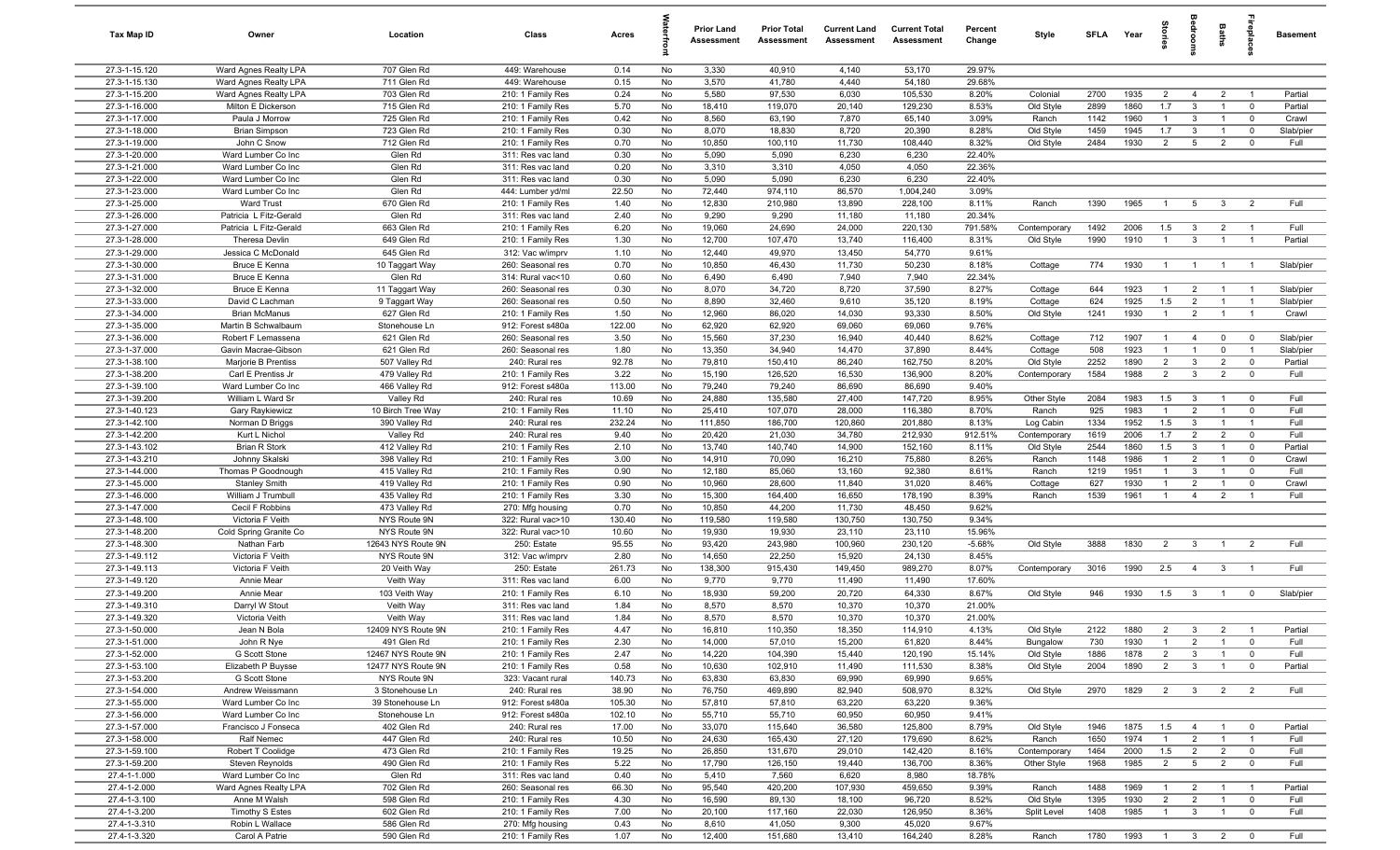| Tax Map ID                     | Owner                                        | Location                                 | Class                                  | Acres           |          | <b>Prior Land</b><br>Assessment | <b>Prior Total</b><br>Assessment | <b>Current Land</b><br><b>Assessment</b> | <b>Current Total</b><br>Assessment | Percent<br>Change  | Style                  | <b>SFI A</b> | Year         | ğ                                |                                  | Baths                            | epla                             | <b>Basement</b>   |
|--------------------------------|----------------------------------------------|------------------------------------------|----------------------------------------|-----------------|----------|---------------------------------|----------------------------------|------------------------------------------|------------------------------------|--------------------|------------------------|--------------|--------------|----------------------------------|----------------------------------|----------------------------------|----------------------------------|-------------------|
| 27.3-1-15.120                  | Ward Agnes Realty LPA                        | 707 Glen Rd                              | 449: Warehouse                         | 0.14            | No       | 3,330                           | 40,910                           | 4,140                                    | 53,170                             | 29.97%             |                        |              |              |                                  |                                  |                                  |                                  |                   |
| 27.3-1-15.130                  | Ward Agnes Realty LPA                        | 711 Glen Rd                              | 449: Warehouse                         | 0.15            | No       | 3,570                           | 41,780                           | 4,440                                    | 54,180                             | 29.68%             |                        |              |              |                                  |                                  |                                  |                                  |                   |
| 27.3-1-15.200                  | Ward Agnes Realty LPA                        | 703 Glen Rd                              | 210: 1 Family Res                      | 0.24            | No       | 5,580                           | 97,530                           | 6,030                                    | 105,530                            | 8.20%              | Colonial               | 2700         | 1935         | $\overline{2}$                   | $\overline{4}$                   | $\overline{2}$                   | - 1                              | Partial           |
| 27.3-1-16.000                  | Milton E Dickerson                           | 715 Glen Rd                              | 210: 1 Family Res                      | 5.70            | No       | 18,410                          | 119,070                          | 20,140                                   | 129,230                            | 8.53%              | Old Style              | 2899         | 1860         | 1.7                              | $\mathbf{3}$                     |                                  | $^{\circ}$                       | Partial           |
| 27.3-1-17.000                  | Paula J Morrow                               | 725 Glen Rd                              | 210: 1 Family Res                      | 0.42            | No       | 8,560                           | 63,190                           | 7,870                                    | 65,140                             | 3.09%              | Ranch                  | 1142         | 1960         | $\overline{1}$                   | $\mathbf{3}$                     | $\overline{1}$                   | $\mathbf 0$                      | Crawl             |
| 27.3-1-18.000<br>27.3-1-19.000 | <b>Brian Simpson</b><br>John C Snow          | 723 Glen Rd<br>712 Glen Rd               | 210: 1 Family Res<br>210: 1 Family Res | 0.30<br>0.70    | No<br>No | 8,070<br>10,850                 | 18,830<br>100,110                | 8,720<br>11,730                          | 20,390<br>108,440                  | 8.28%<br>8.32%     | Old Style<br>Old Style | 1459<br>2484 | 1945<br>1930 | 1.7<br>$\overline{2}$            | $\mathbf{3}$<br>5                | $\overline{2}$                   | $\mathbf 0$<br>$\mathbf 0$       | Slab/pier<br>Full |
| 27.3-1-20.000                  | Ward Lumber Co Inc                           | Glen Rd                                  | 311: Res vac land                      | 0.30            | No       | 5,090                           | 5,090                            | 6,230                                    | 6,230                              | 22.40%             |                        |              |              |                                  |                                  |                                  |                                  |                   |
| 27.3-1-21.000                  | Ward Lumber Co Inc                           | Glen Rd                                  | 311: Res vac land                      | 0.20            | No       | 3,310                           | 3,310                            | 4,050                                    | 4,050                              | 22.36%             |                        |              |              |                                  |                                  |                                  |                                  |                   |
| 27.3-1-22.000                  | Ward Lumber Co Inc                           | Glen Rd                                  | 311: Res vac land                      | 0.30            | No       | 5,090                           | 5,090                            | 6,230                                    | 6,230                              | 22.40%             |                        |              |              |                                  |                                  |                                  |                                  |                   |
| 27.3-1-23.000                  | Ward Lumber Co Inc                           | Glen Rd                                  | 444: Lumber yd/ml                      | 22.50           | No       | 72,440                          | 974,110                          | 86,570                                   | 1,004,240                          | 3.09%              |                        |              |              |                                  |                                  |                                  |                                  |                   |
| 27.3-1-25.000                  | <b>Ward Trust</b>                            | 670 Glen Rd                              | 210: 1 Family Res                      | 1.40            | No       | 12,830                          | 210,980                          | 13,890                                   | 228,100                            | 8.11%              | Ranch                  | 1390         | 1965         | $\overline{1}$                   | 5 <sup>5</sup>                   | $\mathbf{3}$                     | $\overline{2}$                   | Full              |
| 27.3-1-26.000                  | Patricia L Fitz-Gerald                       | Glen Rd                                  | 311: Res vac land                      | 2.40            | No       | 9,290                           | 9,290                            | 11,180                                   | 11,180                             | 20.34%             |                        |              |              |                                  |                                  |                                  |                                  |                   |
| 27.3-1-27.000                  | Patricia L Fitz-Gerald                       | 663 Glen Rd                              | 210: 1 Family Res                      | 6.20            | No       | 19,060                          | 24,690                           | 24,000                                   | 220,130                            | 791.58%            | Contemporary           | 1492         | 2006         | 1.5                              | $\mathbf{3}$                     | $\overline{2}$                   | $\overline{1}$                   | Full              |
| 27.3-1-28.000                  | Theresa Devlin                               | 649 Glen Rd                              | 210: 1 Family Res                      | 1.30            | No       | 12,700                          | 107,470                          | 13,740                                   | 116,400                            | 8.31%              | Old Style              | 1990         | 1910         | $\mathbf{1}$                     | $\mathbf{3}$                     |                                  |                                  | Partial           |
| 27.3-1-29.000                  | Jessica C McDonald                           | 645 Glen Rd                              | 312: Vac w/imprv                       | 1.10            | No       | 12,440                          | 49,970                           | 13,450                                   | 54,770                             | 9.61%              |                        |              |              |                                  |                                  |                                  |                                  |                   |
| 27.3-1-30.000<br>27.3-1-31.000 | <b>Bruce E Kenna</b><br><b>Bruce E Kenna</b> | 10 Taggart Way<br>Glen Rd                | 260: Seasonal res<br>314: Rural vac<10 | 0.70<br>0.60    | No<br>No | 10,850<br>6,490                 | 46,430<br>6,490                  | 11,730<br>7,940                          | 50,230<br>7,940                    | 8.18%<br>22.34%    | Cottage                | 774          | 1930         | $\overline{1}$                   | $\overline{1}$                   |                                  | - 1                              | Slab/pier         |
| 27.3-1-32.000                  | <b>Bruce E Kenna</b>                         | 11 Taggart Way                           | 260: Seasonal res                      | 0.30            | No       | 8,070                           | 34,720                           | 8,720                                    | 37,590                             | 8.27%              | Cottage                | 644          | 1923         | $\overline{1}$                   | $\overline{2}$                   | $\overline{1}$                   | $\overline{1}$                   | Slab/pier         |
| 27.3-1-33.000                  | David C Lachman                              | 9 Taggart Way                            | 260: Seasonal res                      | 0.50            | No       | 8,890                           | 32,460                           | 9,610                                    | 35,120                             | 8.19%              | Cottage                | 624          | 1925         | 1.5                              | $\overline{2}$                   | $\overline{1}$                   | $\overline{1}$                   | Slab/pier         |
| 27.3-1-34.000                  | <b>Brian McManus</b>                         | 627 Glen Rd                              | 210: 1 Family Res                      | 1.50            | No       | 12,960                          | 86,020                           | 14,030                                   | 93,330                             | 8.50%              | Old Style              | 1241         | 1930         | $\overline{1}$                   | 2                                | $\overline{1}$                   | $\overline{1}$                   | Crawl             |
| 27.3-1-35.000                  | Martin B Schwalbaum                          | Stonehouse Ln                            | 912: Forest s480a                      | 122.00          | No       | 62,920                          | 62,920                           | 69,060                                   | 69,060                             | 9.76%              |                        |              |              |                                  |                                  |                                  |                                  |                   |
| 27.3-1-36.000                  | Robert F Lemassena                           | 621 Glen Rd                              | 260: Seasonal res                      | 3.50            | No       | 15,560                          | 37,230                           | 16,940                                   | 40,440                             | 8.62%              | Cottage                | 712          | 1907         | $\overline{1}$                   | $\overline{4}$                   | $\mathbf 0$                      | $\overline{0}$                   | Slab/pier         |
| 27.3-1-37.000                  | Gavin Macrae-Gibson                          | 621 Glen Rd                              | 260: Seasonal res                      | 1.80            | No       | 13,350                          | 34,940                           | 14,470                                   | 37,890                             | 8.44%              | Cottage                | 508          | 1923         | $\overline{1}$                   | $\overline{1}$                   | $\mathbf 0$                      | - 1                              | Slab/pier         |
| 27.3-1-38.100                  | Marjorie B Prentiss                          | 507 Valley Rd                            | 240: Rural res                         | 92.78           | No       | 79,810                          | 150,410                          | 86,240                                   | 162,750                            | 8.20%              | Old Style              | 2252         | 1890         | $\overline{2}$                   | $\overline{3}$                   | $\overline{2}$                   | $\mathbf 0$                      | Partial           |
| 27.3-1-38.200                  | Carl E Prentiss Jr                           | 479 Valley Rd                            | 210: 1 Family Res                      | 3.22            | No       | 15,190                          | 126,520                          | 16,530                                   | 136,900                            | 8.20%              | Contemporary           | 1584         | 1988         | $\overline{2}$                   | $\mathbf{3}$                     | $\overline{2}$                   | $\mathbf 0$                      | Full              |
| 27.3-1-39.100                  | Ward Lumber Co Inc                           | 466 Valley Rd                            | 912: Forest s480a                      | 113.00          | No       | 79,240                          | 79,240                           | 86,690                                   | 86,690                             | 9.40%              |                        |              |              |                                  |                                  |                                  |                                  |                   |
| 27.3-1-39.200                  | William L Ward Sr                            | Valley Rd                                | 240: Rural res                         | 10.69           | No       | 24,880                          | 135,580                          | 27,400                                   | 147,720                            | 8.95%              | Other Style            | 2084         | 1983         | 1.5                              | $\mathbf{3}$<br>$\overline{2}$   |                                  | $^{\circ}$                       | Full              |
| 27.3-1-40.123<br>27.3-1-42.100 | Gary Raykiewicz<br>Norman D Briggs           | 10 Birch Tree Way<br>390 Valley Rd       | 210: 1 Family Res<br>240: Rural res    | 11.10<br>232.24 | No<br>No | 25,410<br>111,850               | 107,070<br>186,700               | 28,000<br>120,860                        | 116,380<br>201,880                 | 8.70%<br>8.13%     | Ranch<br>Log Cabin     | 925<br>1334  | 1983<br>1952 | $\mathbf{1}$<br>1.5              | $\mathbf{3}$                     |                                  | $^{\circ}$<br>$\overline{1}$     | Full<br>Full      |
| 27.3-1-42.200                  | Kurt L Nichol                                | Valley Rd                                | 240: Rural res                         | 9.40            | No       | 20,420                          | 21,030                           | 34,780                                   | 212,930                            | 912.51%            | Contemporary           | 1619         | 2006         | 1.7                              | $\overline{2}$                   | $\overline{2}$                   | $\mathbf 0$                      | Full              |
| 27.3-1-43.102                  | <b>Brian R Stork</b>                         | 412 Valley Rd                            | 210: 1 Family Res                      | 2.10            | No       | 13,740                          | 140,740                          | 14,900                                   | 152,160                            | 8.11%              | Old Style              | 2544         | 1860         | 1.5                              | $\mathbf{3}$                     | $\overline{1}$                   | $\mathbf 0$                      | Partial           |
| 27.3-1-43.210                  | Johnny Skalski                               | 398 Valley Rd                            | 210: 1 Family Res                      | 3.00            | No       | 14,910                          | 70,090                           | 16,210                                   | 75,880                             | 8.26%              | Ranch                  | 1148         | 1986         | $\mathbf{1}$                     | $\overline{2}$                   | $\overline{1}$                   | $\mathbf 0$                      | Crawl             |
| 27.3-1-44.000                  | Thomas P Goodnough                           | 415 Valley Rd                            | 210: 1 Family Res                      | 0.90            | No       | 12,180                          | 85,060                           | 13,160                                   | 92,380                             | 8.61%              | Ranch                  | 1219         | 1951         | $\overline{1}$                   | $\mathbf{3}$                     | $\overline{1}$                   | $\mathbf 0$                      | Full              |
| 27.3-1-45.000                  | <b>Stanley Smith</b>                         | 419 Valley Rd                            | 210: 1 Family Res                      | 0.90            | No       | 10,960                          | 28,600                           | 11,840                                   | 31,020                             | 8.46%              | Cottage                | 627          | 1930         | $\overline{1}$                   | $\overline{2}$                   | $\overline{1}$                   | $\mathbf 0$                      | Crawl             |
| 27.3-1-46.000                  | William J Trumbull                           | 435 Valley Rd                            | 210: 1 Family Res                      | 3.30            | No       | 15,300                          | 164,400                          | 16,650                                   | 178,190                            | 8.39%              | Ranch                  | 1539         | 1961         | $\overline{1}$                   | $\overline{4}$                   | $\overline{2}$                   | $\overline{1}$                   | Full              |
| 27.3-1-47.000                  | Cecil F Robbins                              | 473 Valley Rd                            | 270: Mfg housing                       | 0.70            | No       | 10,850                          | 44,200                           | 11,730                                   | 48,450                             | 9.62%              |                        |              |              |                                  |                                  |                                  |                                  |                   |
| 27.3-1-48.100                  | Victoria F Veith                             | NYS Route 9N                             | 322: Rural vac>10                      | 130.40          | No       | 119,580                         | 119,580                          | 130,750                                  | 130,750                            | 9.34%              |                        |              |              |                                  |                                  |                                  |                                  |                   |
| 27.3-1-48.200<br>27.3-1-48.300 | Cold Spring Granite Co<br>Nathan Farb        | NYS Route 9N<br>12643 NYS Route 9N       | 322: Rural vac>10<br>250: Estate       | 10.60<br>95.55  | No<br>No | 19,930<br>93,420                | 19,930<br>243,980                | 23,110<br>100,960                        | 23,110<br>230,120                  | 15.96%<br>$-5.68%$ | Old Style              | 3888         | 1830         | $\overline{2}$                   | $\mathbf{3}$                     | $\overline{1}$                   | 2                                | Full              |
| 27.3-1-49.112                  | Victoria F Veith                             | NYS Route 9N                             | 312: Vac w/imprv                       | 2.80            | No       | 14,650                          | 22,250                           | 15,920                                   | 24,130                             | 8.45%              |                        |              |              |                                  |                                  |                                  |                                  |                   |
| 27.3-1-49.113                  | Victoria F Veith                             | 20 Veith Way                             | 250: Estate                            | 261.73          | No       | 138,300                         | 915,430                          | 149,450                                  | 989,270                            | 8.07%              | Contemporary           | 3016         | 1990         | 2.5                              | 4                                | $\mathbf{3}$                     |                                  | Full              |
| 27.3-1-49.120                  | Annie Mear                                   | Veith Way                                | 311: Res vac land                      | 6.00            | No       | 9,770                           | 9,770                            | 11,490                                   | 11,490                             | 17.60%             |                        |              |              |                                  |                                  |                                  |                                  |                   |
| 27.3-1-49.200                  | Annie Mear                                   | 103 Veith Way                            | 210: 1 Family Res                      | 6.10            | No       | 18,930                          | 59,200                           | 20,720                                   | 64,330                             | 8.67%              | Old Style              | 946          | 1930         | 1.5                              | $\mathbf{3}$                     | $\overline{1}$                   | $^{\circ}$                       | Slab/pier         |
| 27.3-1-49.310                  | Darryl W Stout                               | Veith Way                                | 311: Res vac land                      | 1.84            | No       | 8,570                           | 8,570                            | 10,370                                   | 10,370                             | 21.00%             |                        |              |              |                                  |                                  |                                  |                                  |                   |
| 27.3-1-49.320                  | Victoria Veith                               | Veith Way                                | 311: Res vac land                      | 1.84            | No       | 8,570                           | 8,570                            | 10,370                                   | 10,370                             | 21.00%             |                        |              |              |                                  |                                  |                                  |                                  |                   |
| 27.3-1-50.000                  | Jean N Bola                                  | 12409 NYS Route 9N                       | 210: 1 Family Res                      | 4.47            | No       | 16,810                          | 110,350                          | 18,350                                   | 114,910                            | 4.13%              | Old Style              | 2122         | 1880         | 2                                | $\mathcal{R}$                    | $\mathcal{P}$                    |                                  | Partial           |
| 27.3-1-51.000                  | John R Nye                                   | 491 Glen Rd                              | 210: 1 Family Res                      | 2.30            | No       | 14,000                          | 57,010                           | 15,200                                   | 61,820                             | 8.44%              | Bungalow               | 730          | 1930         | $\overline{1}$                   | $\overline{2}$                   | $\overline{1}$                   | $\overline{0}$                   | Full              |
| 27.3-1-52.000<br>27.3-1-53.100 | G Scott Stone<br>Elizabeth P Buysse          | 12467 NYS Route 9N<br>12477 NYS Route 9N | 210: 1 Family Res<br>210: 1 Family Res | 2.47<br>0.58    | No<br>No | 14,220<br>10,630                | 104,390<br>102,910               | 15,440<br>11,490                         | 120,190<br>111,530                 | 15.14%<br>8.38%    | Old Style<br>Old Style | 1886<br>2004 | 1878<br>1890 | $\overline{2}$<br>$\overline{2}$ | $\mathbf{3}$<br>$\mathbf{3}$     | $\overline{1}$<br>$\overline{1}$ | $\mathbf 0$<br>$\mathbf 0$       | Full<br>Partial   |
| 27.3-1-53.200                  | G Scott Stone                                | NYS Route 9N                             | 323: Vacant rural                      | 140.73          | No       | 63,830                          | 63,830                           | 69,990                                   | 69,990                             | 9.65%              |                        |              |              |                                  |                                  |                                  |                                  |                   |
| 27.3-1-54.000                  | Andrew Weissmann                             | 3 Stonehouse Ln                          | 240: Rural res                         | 38.90           | No       | 76,750                          | 469,890                          | 82,940                                   | 508,970                            | 8.32%              | Old Style              | 2970         | 1829         | $\overline{2}$                   | $\mathbf{3}$                     | $\overline{2}$                   | $\overline{2}$                   | Full              |
| 27.3-1-55.000                  | Ward Lumber Co Inc                           | 39 Stonehouse Ln                         | 912: Forest s480a                      | 105.30          | No       | 57,810                          | 57,810                           | 63,220                                   | 63,220                             | 9.36%              |                        |              |              |                                  |                                  |                                  |                                  |                   |
| 27.3-1-56.000                  | Ward Lumber Co Inc                           | Stonehouse Ln                            | 912: Forest s480a                      | 102.10          | No       | 55,710                          | 55,710                           | 60,950                                   | 60,950                             | 9.41%              |                        |              |              |                                  |                                  |                                  |                                  |                   |
| 27.3-1-57.000                  | Francisco J Fonseca                          | 402 Glen Rd                              | 240: Rural res                         | 17.00           | No       | 33,070                          | 115,640                          | 36,580                                   | 125,800                            | 8.79%              | Old Style              | 1946         | 1875         | 1.5                              | $\overline{4}$                   | $\overline{1}$                   | $\mathbf 0$                      | Partial           |
| 27.3-1-58.000                  | Ralf Nemec                                   | 447 Glen Rd                              | 240: Rural res                         | 10.50           | No       | 24,630                          | 165,430                          | 27,120                                   | 179,690                            | 8.62%              | Ranch                  | 1650         | 1974         | $\overline{1}$                   | $\overline{2}$                   | $\overline{1}$                   | $\overline{1}$                   | Full              |
| 27.3-1-59.100                  | Robert T Coolidge                            | 473 Glen Rd                              | 210: 1 Family Res                      | 19.25           | No       | 26,850                          | 131,670                          | 29,010                                   | 142,420                            | 8.16%              | Contemporary           | 1464         | 2000         | 1.5                              | $\overline{2}$                   | $\overline{2}$                   | $\overline{0}$                   | Full              |
| 27.3-1-59.200                  | Steven Reynolds                              | 490 Glen Rd                              | 210: 1 Family Res                      | 5.22            | No       | 17,790                          | 126,150                          | 19,440                                   | 136,700                            | 8.36%              | Other Style            | 1968         | 1985         | $\overline{2}$                   | $5\overline{)}$                  | $\overline{2}$                   | $\mathbf 0$                      | Full              |
| 27.4-1-1.000                   | Ward Lumber Co Inc                           | Glen Rd                                  | 311: Res vac land                      | 0.40            | No       | 5,410                           | 7,560                            | 6,620                                    | 8,980                              | 18.78%             |                        |              |              |                                  |                                  |                                  |                                  |                   |
| 27.4-1-2.000<br>27.4-1-3.100   | Ward Agnes Realty LPA<br>Anne M Walsh        | 702 Glen Rd<br>598 Glen Rd               | 260: Seasonal res                      | 66.30<br>4.30   | No<br>No | 95,540<br>16,590                | 420,200<br>89,130                | 107,930<br>18,100                        | 459,650<br>96,720                  | 9.39%<br>8.52%     | Ranch<br>Old Style     | 1488<br>1395 | 1969<br>1930 | $\overline{1}$<br>$\overline{2}$ | $\overline{2}$<br>$\overline{2}$ | $\overline{1}$<br>$\mathbf{1}$   | $\overline{1}$<br>$\overline{0}$ | Partial<br>Full   |
| 27.4-1-3.200                   | <b>Timothy S Estes</b>                       | 602 Glen Rd                              | 210: 1 Family Res<br>210: 1 Family Res | 7.00            | No       | 20,100                          | 117,160                          | 22,030                                   | 126,950                            | 8.36%              | Split Level            | 1408         | 1985         | $\overline{1}$                   | 3 <sup>3</sup>                   | $\overline{1}$                   | $\mathbf 0$                      | Full              |
| 27.4-1-3.310                   | Robin L Wallace                              | 586 Glen Rd                              | 270: Mfg housing                       | 0.43            | No       | 8,610                           | 41,050                           | 9,300                                    | 45,020                             | 9.67%              |                        |              |              |                                  |                                  |                                  |                                  |                   |
| 27.4-1-3.320                   | Carol A Patrie                               | 590 Glen Rd                              | 210: 1 Family Res                      | 1.07            | No       | 12,400                          | 151,680                          | 13,410                                   | 164,240                            | 8.28%              | Ranch                  | 1780         | 1993         |                                  |                                  | $1 \quad 3 \quad 2$              | $\overline{\mathbf{0}}$          | Full              |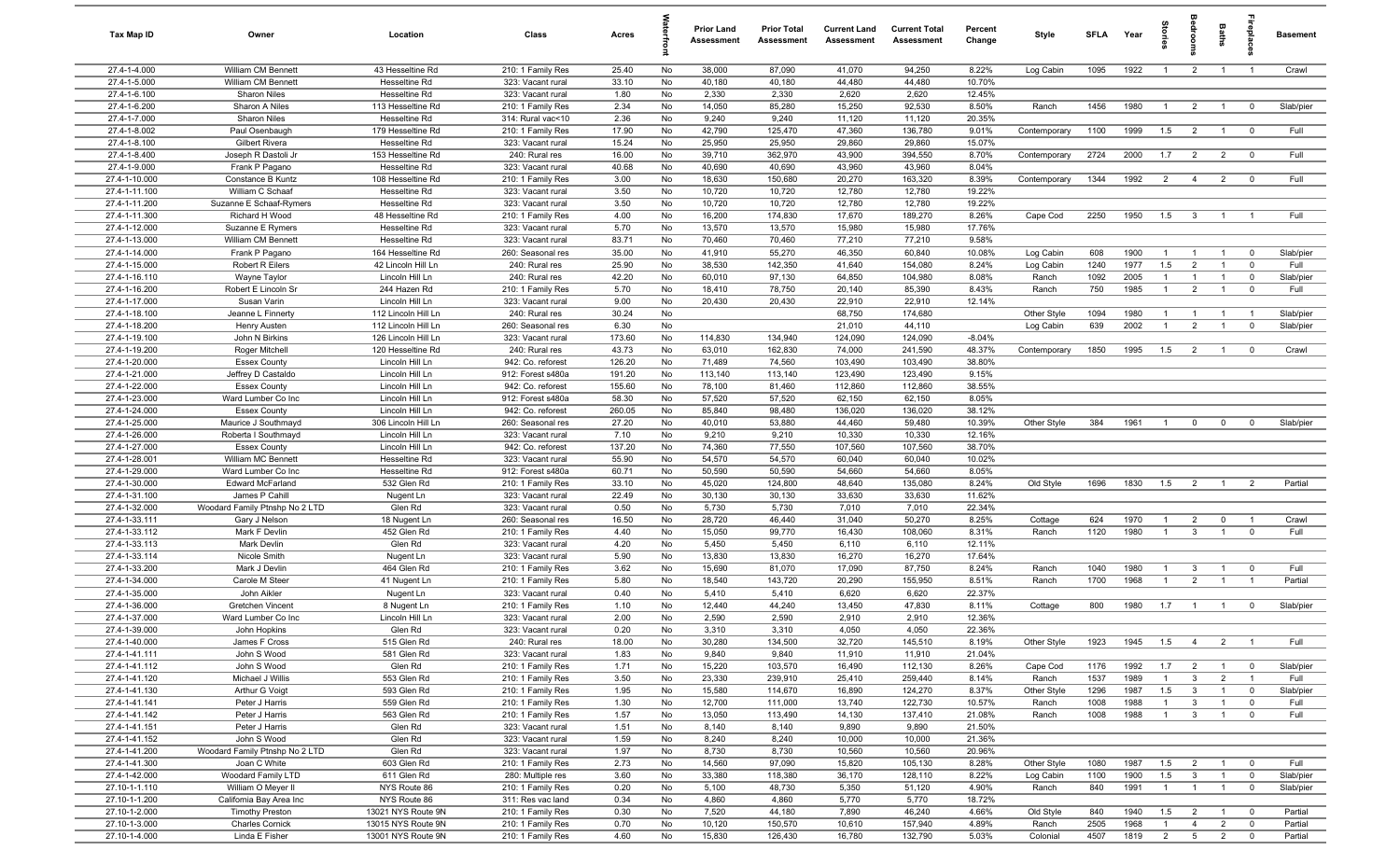| Tax Map ID                     | Owner                                            | Location                                | Class                                  | Acres            |          | <b>Prior Land</b><br>Assessment | <b>Prior Total</b><br>Assessment | <b>Current Land</b><br><b>Assessment</b> | <b>Current Total</b><br>Assessment | Percent<br>Change | Style                  | <b>SFI A</b> | Year | tories                | oup                              | Baths                            | ireplac                      | <b>Basement</b>   |
|--------------------------------|--------------------------------------------------|-----------------------------------------|----------------------------------------|------------------|----------|---------------------------------|----------------------------------|------------------------------------------|------------------------------------|-------------------|------------------------|--------------|------|-----------------------|----------------------------------|----------------------------------|------------------------------|-------------------|
| 27.4-1-4.000                   | William CM Bennett                               | 43 Hesseltine Rd                        | 210: 1 Family Res                      | 25.40            | No       | 38,000                          | 87,090                           | 41,070                                   | 94,250                             | 8.22%             | Log Cabin              | 1095         | 1922 | $\overline{1}$        | $\overline{2}$                   | $\overline{1}$                   | $\overline{1}$               | Crawl             |
| 27.4-1-5.000                   | William CM Bennett                               | Hesseltine Rd                           | 323: Vacant rural                      | 33.10            | No       | 40,180                          | 40,180                           | 44,480                                   | 44,480                             | 10.70%            |                        |              |      |                       |                                  |                                  |                              |                   |
| 27.4-1-6.100                   | Sharon Niles                                     | Hesseltine Rd                           | 323: Vacant rural                      | 1.80             | No       | 2,330                           | 2,330                            | 2,620                                    | 2,620                              | 12.45%            |                        |              |      |                       |                                  |                                  |                              |                   |
| 27.4-1-6.200                   | Sharon A Niles                                   | 113 Hesseltine Rd                       | 210: 1 Family Res                      | 2.34             | No       | 14,050                          | 85,280                           | 15,250                                   | 92,530                             | 8.50%             | Ranch                  | 1456         | 1980 | $\overline{1}$        | $\overline{2}$                   |                                  | $^{\circ}$                   | Slab/pier         |
| 27.4-1-7.000<br>27.4-1-8.002   | Sharon Niles<br>Paul Osenbaugh                   | Hesseltine Rd<br>179 Hesseltine Rd      | 314: Rural vac<10                      | 2.36<br>17.90    | No<br>No | 9,240<br>42,790                 | 9,240<br>125,470                 | 11,120<br>47,360                         | 11,120<br>136,780                  | 20.35%<br>9.01%   | Contemporary           | 1100         | 1999 | 1.5                   | $\overline{2}$                   |                                  | $^{\circ}$                   | Full              |
| 27.4-1-8.100                   | Gilbert Rivera                                   | Hesseltine Rd                           | 210: 1 Family Res<br>323: Vacant rural | 15.24            | No       | 25,950                          | 25,950                           | 29,860                                   | 29,860                             | 15.07%            |                        |              |      |                       |                                  |                                  |                              |                   |
| 27.4-1-8.400                   | Joseph R Dastoli Jr                              | 153 Hesseltine Rd                       | 240: Rural res                         | 16.00            | No       | 39,710                          | 362,970                          | 43,900                                   | 394,550                            | 8.70%             | Contemporary           | 2724         | 2000 | 1.7                   | $\overline{2}$                   | $\overline{2}$                   | $\overline{0}$               | Full              |
| 27.4-1-9.000                   | Frank P Pagano                                   | Hesseltine Rd                           | 323: Vacant rural                      | 40.68            | No       | 40,690                          | 40,690                           | 43,960                                   | 43,960                             | 8.04%             |                        |              |      |                       |                                  |                                  |                              |                   |
| 27.4-1-10.000                  | Constance B Kuntz                                | 108 Hesseltine Rd                       | 210: 1 Family Res                      | 3.00             | No       | 18,630                          | 150,680                          | 20,270                                   | 163,320                            | 8.39%             | Contemporary           | 1344         | 1992 | 2                     | $\overline{4}$                   | $\overline{2}$                   | $\overline{0}$               | Full              |
| 27.4-1-11.100                  | William C Schaaf                                 | Hesseltine Rd                           | 323: Vacant rural                      | 3.50             | No       | 10,720                          | 10,720                           | 12,780                                   | 12,780                             | 19.22%            |                        |              |      |                       |                                  |                                  |                              |                   |
| 27.4-1-11.200                  | Suzanne E Schaaf-Rymers                          | Hesseltine Rd                           | 323: Vacant rural                      | 3.50             | No       | 10,720                          | 10,720                           | 12,780                                   | 12,780                             | 19.22%            |                        |              |      |                       |                                  |                                  |                              |                   |
| 27.4-1-11.300                  | Richard H Wood                                   | 48 Hesseltine Rd                        | 210: 1 Family Res                      | 4.00             | No       | 16,200                          | 174,830                          | 17,670                                   | 189,270                            | 8.26%             | Cape Cod               | 2250         | 1950 | 1.5                   | $\mathbf{3}$                     | $\overline{1}$                   | $\overline{1}$               | Full              |
| 27.4-1-12.000                  | Suzanne E Rymers                                 | Hesseltine Rd                           | 323: Vacant rural                      | 5.70             | No       | 13,570                          | 13,570                           | 15,980                                   | 15,980                             | 17.76%            |                        |              |      |                       |                                  |                                  |                              |                   |
| 27.4-1-13.000<br>27.4-1-14.000 | William CM Bennett                               | Hesseltine Rd                           | 323: Vacant rural                      | 83.71            | No<br>No | 70,460                          | 70,460                           | 77,210                                   | 77,210                             | 9.58%             |                        | 608          | 1900 |                       |                                  |                                  |                              |                   |
| 27.4-1-15.000                  | Frank P Pagano<br>Robert R Eilers                | 164 Hesseltine Rd<br>42 Lincoln Hill Ln | 260: Seasonal res<br>240: Rural res    | 35.00<br>25.90   | No       | 41,910<br>38,530                | 55,270<br>142,350                | 46,350<br>41,640                         | 60,840<br>154,080                  | 10.08%<br>8.24%   | Log Cabin<br>Log Cabin | 1240         | 1977 | $\overline{1}$<br>1.5 | $\overline{1}$<br>$\overline{2}$ | $\overline{1}$<br>$\overline{1}$ | $\overline{0}$<br>$^{\circ}$ | Slab/pier<br>Full |
| 27.4-1-16.110                  | Wayne Taylor                                     | Lincoln Hill Ln                         | 240: Rural res                         | 42.20            | No       | 60,010                          | 97,130                           | 64,850                                   | 104,980                            | 8.08%             | Ranch                  | 1092         | 2005 | $\mathbf{1}$          | $\overline{1}$                   |                                  | $\mathbf 0$                  | Slab/pier         |
| 27.4-1-16.200                  | Robert E Lincoln Sr                              | 244 Hazen Rd                            | 210: 1 Family Res                      | 5.70             | No       | 18,410                          | 78,750                           | 20,140                                   | 85,390                             | 8.43%             | Ranch                  | 750          | 1985 | $\mathbf{1}$          | $\overline{2}$                   |                                  | $\mathbf 0$                  | Full              |
| 27.4-1-17.000                  | Susan Varin                                      | Lincoln Hill Ln                         | 323: Vacant rural                      | 9.00             | No       | 20,430                          | 20,430                           | 22,910                                   | 22,910                             | 12.14%            |                        |              |      |                       |                                  |                                  |                              |                   |
| 27.4-1-18.100                  | Jeanne L Finnerty                                | 112 Lincoln Hill Ln                     | 240: Rural res                         | 30.24            | No       |                                 |                                  | 68,750                                   | 174,680                            |                   | Other Style            | 1094         | 1980 | $\overline{1}$        |                                  |                                  | - 1                          | Slab/pier         |
| 27.4-1-18.200                  | Henry Austen                                     | 112 Lincoln Hill Ln                     | 260: Seasonal res                      | 6.30             | No       |                                 |                                  | 21,010                                   | 44,110                             |                   | Log Cabin              | 639          | 2002 | $\overline{1}$        | $\overline{2}$                   | $\overline{1}$                   | $\overline{0}$               | Slab/pier         |
| 27.4-1-19.100                  | John N Birkins                                   | 126 Lincoln Hill Ln                     | 323: Vacant rural                      | 173.60           | No       | 114,830                         | 134,940                          | 124,090                                  | 124,090                            | $-8.04%$          |                        |              |      |                       |                                  |                                  |                              |                   |
| 27.4-1-19.200                  | Roger Mitchell                                   | 120 Hesseltine Rd                       | 240: Rural res                         | 43.73            | No       | 63,010                          | 162,830                          | 74,000                                   | 241,590                            | 48.37%            | Contemporary           | 1850         | 1995 | 1.5                   | $\overline{2}$                   | $\overline{1}$                   | $^{\circ}$                   | Crawl             |
| 27.4-1-20.000                  | <b>Essex County</b>                              | Lincoln Hill Ln                         | 942: Co. reforest                      | 126.20           | No       | 71,489                          | 74,560                           | 103,490                                  | 103,490                            | 38.80%            |                        |              |      |                       |                                  |                                  |                              |                   |
| 27.4-1-21.000<br>27.4-1-22.000 | Jeffrey D Castaldo<br><b>Essex County</b>        | Lincoln Hill Ln<br>Lincoln Hill Ln      | 912: Forest s480a<br>942: Co. reforest | 191.20<br>155.60 | No<br>No | 113,140<br>78,100               | 113,140<br>81,460                | 123,490<br>112,860                       | 123,490<br>112,860                 | 9.15%<br>38.55%   |                        |              |      |                       |                                  |                                  |                              |                   |
| 27.4-1-23.000                  | Ward Lumber Co Inc                               | Lincoln Hill Ln                         | 912: Forest s480a                      | 58.30            | No       | 57,520                          | 57,520                           | 62,150                                   | 62,150                             | 8.05%             |                        |              |      |                       |                                  |                                  |                              |                   |
| 27.4-1-24.000                  | <b>Essex County</b>                              | Lincoln Hill Ln                         | 942: Co. reforest                      | 260.05           | No       | 85,840                          | 98,480                           | 136,020                                  | 136,020                            | 38.12%            |                        |              |      |                       |                                  |                                  |                              |                   |
| 27.4-1-25.000                  | Maurice J Southmayd                              | 306 Lincoln Hill Ln                     | 260: Seasonal res                      | 27.20            | No       | 40,010                          | 53,880                           | 44,460                                   | 59,480                             | 10.39%            | Other Style            | 384          | 1961 | $\overline{1}$        | $\mathbf 0$                      | $\mathbf 0$                      | $^{\circ}$                   | Slab/pier         |
| 27.4-1-26.000                  | Roberta I Southmayd                              | Lincoln Hill Ln                         | 323: Vacant rural                      | 7.10             | No       | 9,210                           | 9,210                            | 10,330                                   | 10,330                             | 12.16%            |                        |              |      |                       |                                  |                                  |                              |                   |
| 27.4-1-27.000                  | <b>Essex County</b>                              | Lincoln Hill Ln                         | 942: Co. reforest                      | 137.20           | No       | 74,360                          | 77,550                           | 107,560                                  | 107,560                            | 38.70%            |                        |              |      |                       |                                  |                                  |                              |                   |
| 27.4-1-28.001                  | William MC Bennett                               | Hesseltine Rd                           | 323: Vacant rural                      | 55.90            | No       | 54,570                          | 54,570                           | 60,040                                   | 60,040                             | 10.02%            |                        |              |      |                       |                                  |                                  |                              |                   |
| 27.4-1-29.000                  | Ward Lumber Co Inc                               | Hesseltine Rd                           | 912: Forest s480a                      | 60.71            | No       | 50,590                          | 50,590                           | 54,660                                   | 54,660                             | 8.05%             |                        |              |      |                       |                                  |                                  |                              |                   |
| 27.4-1-30.000                  | Edward McFarland                                 | 532 Glen Rd                             | 210: 1 Family Res                      | 33.10            | No       | 45,020                          | 124,800                          | 48,640                                   | 135,080                            | 8.24%             | Old Style              | 1696         | 1830 | 1.5                   | $\overline{2}$                   | $\overline{1}$                   | 2                            | Partial           |
| 27.4-1-31.100<br>27.4-1-32.000 | James P Cahill<br>Woodard Family Ptnshp No 2 LTD | Nugent Ln<br>Glen Rd                    | 323: Vacant rural<br>323: Vacant rural | 22.49<br>0.50    | No<br>No | 30,130<br>5,730                 | 30,130<br>5,730                  | 33,630<br>7,010                          | 33,630<br>7,010                    | 11.62%<br>22.34%  |                        |              |      |                       |                                  |                                  |                              |                   |
| 27.4-1-33.111                  | Gary J Nelson                                    | 18 Nugent Ln                            | 260: Seasonal res                      | 16.50            | No       | 28,720                          | 46,440                           | 31,040                                   | 50,270                             | 8.25%             | Cottage                | 624          | 1970 | $\overline{1}$        | $\overline{2}$                   | $\mathbf 0$                      | $\overline{1}$               | Crawl             |
| 27.4-1-33.112                  | Mark F Devlin                                    | 452 Glen Rd                             | 210: 1 Family Res                      | 4.40             | No       | 15,050                          | 99,770                           | 16,430                                   | 108,060                            | 8.31%             | Ranch                  | 1120         | 1980 | $\overline{1}$        | $\mathbf{3}$                     | $\overline{1}$                   | $^{\circ}$                   | Full              |
| 27.4-1-33.113                  | Mark Devlin                                      | Glen Rd                                 | 323: Vacant rural                      | 4.20             | No       | 5,450                           | 5,450                            | 6,110                                    | 6,110                              | 12.11%            |                        |              |      |                       |                                  |                                  |                              |                   |
| 27.4-1-33.114                  | Nicole Smith                                     | Nugent Ln                               | 323: Vacant rural                      | 5.90             | No       | 13,830                          | 13,830                           | 16,270                                   | 16,270                             | 17.64%            |                        |              |      |                       |                                  |                                  |                              |                   |
| 27.4-1-33.200                  | Mark J Devlin                                    | 464 Glen Rd                             | 210: 1 Family Res                      | 3.62             | No       | 15,690                          | 81,070                           | 17,090                                   | 87,750                             | 8.24%             | Ranch                  | 1040         | 1980 | $\overline{1}$        | $\mathbf{3}$                     |                                  | $\mathbf 0$                  | Full              |
| 27.4-1-34.000                  | Carole M Steer                                   | 41 Nugent Ln                            | 210: 1 Family Res                      | 5.80             | No       | 18,540                          | 143,720                          | 20,290                                   | 155,950                            | 8.51%             | Ranch                  | 1700         | 1968 | $\overline{1}$        | $\overline{2}$                   |                                  | $\overline{1}$               | Partial           |
| 27.4-1-35.000                  | John Aikler                                      | Nugent Ln                               | 323: Vacant rural                      | 0.40             | No       | 5,410                           | 5,410                            | 6,620                                    | 6,620                              | 22.37%            |                        |              |      |                       |                                  |                                  |                              |                   |
| 27.4-1-36.000<br>27.4-1-37.000 | Gretchen Vincent<br>Ward Lumber Co Inc           | 8 Nugent Ln<br>Lincoln Hill Ln          | 210: 1 Family Res<br>323: Vacant rural | 1.10<br>2.00     | No<br>No | 12,440<br>2,590                 | 44,240<br>2,590                  | 13,450<br>2,910                          | 47,830<br>2,910                    | 8.11%<br>12.36%   | Cottage                | 800          | 1980 | 1.7                   | $\overline{1}$                   |                                  | $^{\circ}$                   | Slab/pier         |
| 27.4-1-39.000                  | John Hopkins                                     | Glen Rd                                 | 323: Vacant rural                      | 0.20             | No       | 3,310                           | 3,310                            | 4,050                                    | 4,050                              | 22.36%            |                        |              |      |                       |                                  |                                  |                              |                   |
| 27.4-1-40.000                  | James F Cross                                    | 515 Glen Rd                             | 240: Rural res                         | 18.00            | No       | 30,280                          | 134,500                          | 32,720                                   | 145,510                            | 8.19%             | Other Style            | 1923         | 1945 | 1.5                   | $\overline{4}$                   | $\overline{2}$                   | $\overline{1}$               | Full              |
| 27.4-1-41.111                  | John S Wood                                      | 581 Glen Rd                             | 323: Vacant rural                      | 1.83             | No       | 9,840                           | 9,840                            | 11,910                                   | 11,910                             | 21.04%            |                        |              |      |                       |                                  |                                  |                              |                   |
| 27.4-1-41.112                  | John S Wood                                      | Glen Rd                                 | 210: 1 Family Res                      | 1.71             | No       | 15,220                          | 103,570                          | 16,490                                   | 112,130                            | 8.26%             | Cape Cod               | 1176         | 1992 | 1.7                   | $\overline{2}$                   | $\overline{1}$                   | $\overline{\mathbf{0}}$      | Slab/pier         |
| 27.4-1-41.120                  | Michael J Willis                                 | 553 Glen Rd                             | 210: 1 Family Res                      | 3.50             | No       | 23,330                          | 239,910                          | 25,410                                   | 259,440                            | 8.14%             | Ranch                  | 1537         | 1989 | $\mathbf{1}$          | $\mathbf{3}$                     | $\overline{2}$                   | $\overline{1}$               | Full              |
| 27.4-1-41.130                  | Arthur G Voigt                                   | 593 Glen Rd                             | 210: 1 Family Res                      | 1.95             | No       | 15,580                          | 114,670                          | 16,890                                   | 124,270                            | 8.37%             | Other Style            | 1296         | 1987 | 1.5                   | $\mathbf{3}$                     | $\mathbf{1}$                     | $\mathbf 0$                  | Slab/pier         |
| 27.4-1-41.141                  | Peter J Harris                                   | 559 Glen Rd                             | 210: 1 Family Res                      | 1.30             | No       | 12,700                          | 111,000                          | 13,740                                   | 122,730                            | 10.57%            | Ranch                  | 1008         | 1988 | $\overline{1}$        | $\mathbf{3}$                     | $\mathbf{1}$                     | $\mathbf 0$                  | Full              |
| 27.4-1-41.142                  | Peter J Harris                                   | 563 Glen Rd                             | 210: 1 Family Res                      | 1.57             | No       | 13,050                          | 113,490                          | 14,130                                   | 137,410                            | 21.08%            | Ranch                  | 1008         | 1988 | $\mathbf{1}$          | $\mathbf{3}$                     | $\mathbf{1}$                     | $\mathbf 0$                  | Full              |
| 27.4-1-41.151<br>27.4-1-41.152 | Peter J Harris<br>John S Wood                    | Glen Rd<br>Glen Rd                      | 323: Vacant rural<br>323: Vacant rural | 1.51<br>1.59     | No<br>No | 8,140<br>8,240                  | 8,140<br>8,240                   | 9,890<br>10,000                          | 9,890<br>10,000                    | 21.50%<br>21.36%  |                        |              |      |                       |                                  |                                  |                              |                   |
| 27.4-1-41.200                  | Woodard Family Ptnshp No 2 LTD                   | Glen Rd                                 | 323: Vacant rural                      | 1.97             | No       | 8,730                           | 8,730                            | 10,560                                   | 10,560                             | 20.96%            |                        |              |      |                       |                                  |                                  |                              |                   |
| 27.4-1-41.300                  | Joan C White                                     | 603 Glen Rd                             | 210: 1 Family Res                      | 2.73             | No       | 14,560                          | 97,090                           | 15,820                                   | 105,130                            | 8.28%             | Other Style            | 1080         | 1987 | 1.5                   | $\overline{2}$                   | $\overline{1}$                   | $\overline{0}$               | Full              |
| 27.4-1-42.000                  | Woodard Family LTD                               | 611 Glen Rd                             | 280: Multiple res                      | 3.60             | No       | 33,380                          | 118,380                          | 36,170                                   | 128,110                            | 8.22%             | Log Cabin              | 1100         | 1900 | 1.5                   | $\overline{3}$                   | $\overline{1}$                   | $\overline{\mathbf{0}}$      | Slab/pier         |
| 27.10-1-1.110                  | William O Meyer II                               | NYS Route 86                            | 210: 1 Family Res                      | 0.20             | No       | 5,100                           | 48,730                           | 5,350                                    | 51,120                             | 4.90%             | Ranch                  | 840          | 1991 | $\overline{1}$        | $\overline{1}$                   | $\overline{1}$                   | $\mathbf 0$                  | Slab/pier         |
| 27.10-1-1.200                  | California Bay Area Inc                          | NYS Route 86                            | 311: Res vac land                      | 0.34             | No       | 4,860                           | 4,860                            | 5,770                                    | 5,770                              | 18.72%            |                        |              |      |                       |                                  |                                  |                              |                   |
| 27.10-1-2.000                  | <b>Timothy Preston</b>                           | 13021 NYS Route 9N                      | 210: 1 Family Res                      | 0.30             | No       | 7,520                           | 44,180                           | 7,890                                    | 46,240                             | 4.66%             | Old Style              | 840          | 1940 | 1.5                   | $\overline{2}$                   | $\overline{1}$                   | $\overline{\mathbf{0}}$      | Partial           |
| 27.10-1-3.000                  | <b>Charles Cornick</b>                           | 13015 NYS Route 9N                      | 210: 1 Family Res                      | 0.70             | No       | 10,120                          | 150,570                          | 10,610                                   | 157,940                            | 4.89%             | Ranch                  | 2505         | 1968 | $\mathbf{1}$          | $\overline{4}$                   | $\overline{2}$                   | $\overline{0}$               | Partial           |
| 27.10-1-4.000                  | Linda E Fisher                                   | 13001 NYS Route 9N                      | 210: 1 Family Res                      | 4.60             | No       | 15,830                          | 126,430                          | 16,780                                   | 132,790                            | 5.03%             | Colonial               | 4507         | 1819 | $\overline{2}$        | 5 <sup>5</sup>                   | $\overline{2}$                   | $\mathbf 0$                  | Partial           |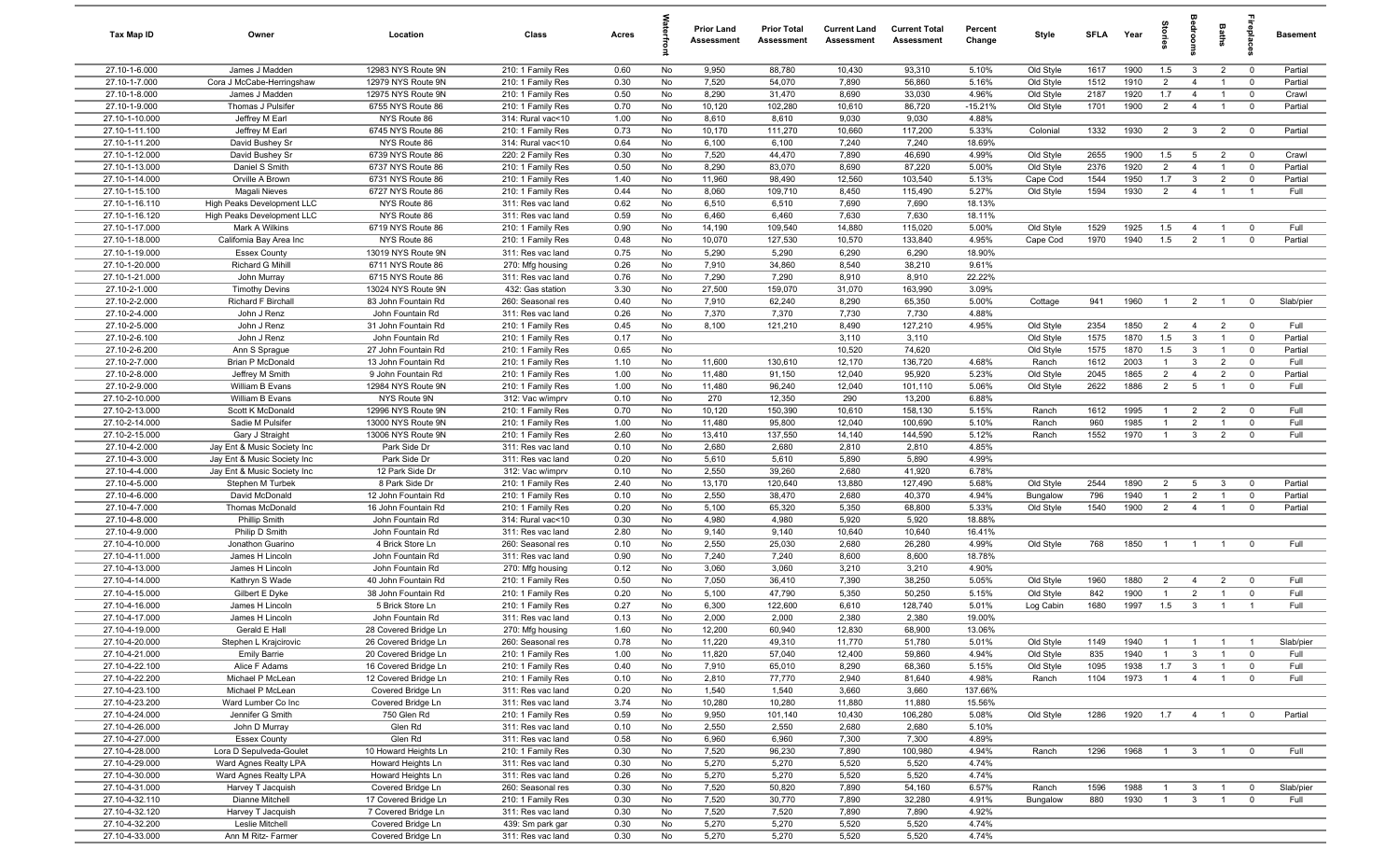| Tax Map ID                       | Owner                                                      | Location                                  | Class                                  | Acres        |          | <b>Prior Land</b><br>Assessment | <b>Prior Total</b><br>Assessment | <b>Current Land</b><br><b>Assessment</b> | <b>Current Total</b><br>Assessment | Percent<br>Change  | Style     | <b>SFLA</b> | Year         | tories                |                                | Baths                            | epla                          | <b>Basement</b> |
|----------------------------------|------------------------------------------------------------|-------------------------------------------|----------------------------------------|--------------|----------|---------------------------------|----------------------------------|------------------------------------------|------------------------------------|--------------------|-----------|-------------|--------------|-----------------------|--------------------------------|----------------------------------|-------------------------------|-----------------|
| 27.10-1-6.000                    | James J Madden                                             | 12983 NYS Route 9N                        | 210: 1 Family Res                      | 0.60         | No       | 9,950                           | 88,780                           | 10,430                                   | 93,310                             | 5.10%              | Old Style | 1617        | 1900         | 1.5                   | $\overline{3}$                 | $\overline{2}$                   | $\mathbf 0$                   | Partial         |
| 27.10-1-7.000                    | Cora J McCabe-Herringshaw                                  | 12979 NYS Route 9N                        | 210: 1 Family Res                      | 0.30         | No       | 7,520                           | 54,070                           | 7,890                                    | 56,860                             | 5.16%              | Old Style | 1512        | 1910         | 2                     | $\overline{4}$                 |                                  | $^{\circ}$                    | Partial         |
| 27.10-1-8.000                    | James J Madden                                             | 12975 NYS Route 9N                        | 210: 1 Family Res                      | 0.50         | No       | 8,290                           | 31,470                           | 8,690                                    | 33,030                             | 4.96%              | Old Style | 2187        | 1920         | 1.7                   | $\overline{4}$                 |                                  | $\mathbf 0$                   | Crawl           |
| 27.10-1-9.000<br>27.10-1-10.000  | Thomas J Pulsifer                                          | 6755 NYS Route 86<br>NYS Route 86         | 210: 1 Family Res                      | 0.70<br>1.00 | No<br>No | 10,120<br>8,610                 | 102,280<br>8,610                 | 10,610<br>9,030                          | 86,720<br>9,030                    | $-15.21%$<br>4.88% | Old Style | 1701        | 1900         | $\overline{2}$        | $\overline{4}$                 |                                  | $\mathbf 0$                   | Partial         |
| 27.10-1-11.100                   | Jeffrey M Earl<br>Jeffrey M Earl                           | 6745 NYS Route 86                         | 314: Rural vac<10<br>210: 1 Family Res | 0.73         | No       | 10,170                          | 111,270                          | 10,660                                   | 117,200                            | 5.33%              | Colonial  | 1332        | 1930         | 2                     | $\mathbf{3}$                   | $\overline{2}$                   | $\overline{0}$                | Partial         |
| 27.10-1-11.200                   | David Bushey Sr                                            | NYS Route 86                              | 314: Rural vac<10                      | 0.64         | No       | 6,100                           | 6,100                            | 7,240                                    | 7,240                              | 18.69%             |           |             |              |                       |                                |                                  |                               |                 |
| 27.10-1-12.000                   | David Bushey Sr                                            | 6739 NYS Route 86                         | 220: 2 Family Res                      | 0.30         | No       | 7,520                           | 44,470                           | 7,890                                    | 46,690                             | 4.99%              | Old Style | 2655        | 1900         | 1.5                   | 5                              | $\overline{2}$                   | $\overline{\mathbf{0}}$       | Crawl           |
| 27.10-1-13.000                   | Daniel S Smith                                             | 6737 NYS Route 86                         | 210: 1 Family Res                      | 0.50         | No       | 8,290                           | 83,070                           | 8,690                                    | 87,220                             | 5.00%              | Old Style | 2376        | 1920         | 2                     | $\overline{4}$                 | $\overline{1}$                   | $\mathbf 0$                   | Partial         |
| 27.10-1-14.000                   | Orville A Brown                                            | 6731 NYS Route 86                         | 210: 1 Family Res                      | 1.40         | No       | 11,960                          | 98,490                           | 12,560                                   | 103,540                            | 5.13%              | Cape Cod  | 1544        | 1950         | 1.7                   | $\mathbf{3}$                   | $\overline{2}$                   | $\mathbf 0$                   | Partial         |
| 27.10-1-15.100                   | Magali Nieves                                              | 6727 NYS Route 86                         | 210: 1 Family Res                      | 0.44         | No       | 8,060                           | 109,710                          | 8,450                                    | 115,490                            | 5.27%              | Old Style | 1594        | 1930         | $\overline{2}$        | $\overline{4}$                 | $\overline{1}$                   | $\overline{1}$                | Full            |
| 27.10-1-16.110                   | High Peaks Development LLC                                 | NYS Route 86                              | 311: Res vac land                      | 0.62         | No       | 6,510                           | 6,510                            | 7,690                                    | 7,690                              | 18.13%             |           |             |              |                       |                                |                                  |                               |                 |
| 27.10-1-16.120                   | High Peaks Development LLC                                 | NYS Route 86                              | 311: Res vac land                      | 0.59         | No       | 6,460                           | 6,460                            | 7,630                                    | 7,630                              | 18.11%             |           |             |              |                       |                                |                                  |                               |                 |
| 27.10-1-17.000                   | Mark A Wilkins                                             | 6719 NYS Route 86                         | 210: 1 Family Res                      | 0.90         | No       | 14,190                          | 109,540                          | 14,880                                   | 115,020                            | 5.00%              | Old Style | 1529        | 1925         | 1.5                   | $\overline{4}$                 |                                  | $\mathbf 0$                   | Full            |
| 27.10-1-18.000                   | California Bay Area Inc                                    | NYS Route 86                              | 210: 1 Family Res                      | 0.48         | No       | 10,070                          | 127,530                          | 10,570                                   | 133,840                            | 4.95%              | Cape Cod  | 1970        | 1940         | 1.5                   | $\overline{2}$                 |                                  | $\mathbf 0$                   | Partial         |
| 27.10-1-19.000                   | <b>Essex County</b>                                        | 13019 NYS Route 9N                        | 311: Res vac land                      | 0.75         | No       | 5,290                           | 5,290                            | 6,290                                    | 6,290                              | 18.90%             |           |             |              |                       |                                |                                  |                               |                 |
| 27.10-1-20.000<br>27.10-1-21.000 | Richard G Mihill                                           | 6711 NYS Route 86<br>6715 NYS Route 86    | 270: Mfg housing<br>311: Res vac land  | 0.26<br>0.76 | No<br>No | 7,910<br>7,290                  | 34,860<br>7,290                  | 8,540<br>8,910                           | 38,210<br>8,910                    | 9.61%<br>22.22%    |           |             |              |                       |                                |                                  |                               |                 |
| 27.10-2-1.000                    | John Murray<br><b>Timothy Devins</b>                       | 13024 NYS Route 9N                        | 432: Gas station                       | 3.30         | No       | 27,500                          | 159,070                          | 31,070                                   | 163,990                            | 3.09%              |           |             |              |                       |                                |                                  |                               |                 |
| 27.10-2-2.000                    | Richard F Birchall                                         | 83 John Fountain Rd                       | 260: Seasonal res                      | 0.40         | No       | 7,910                           | 62,240                           | 8,290                                    | 65,350                             | 5.00%              | Cottage   | 941         | 1960         | $\overline{1}$        | $\overline{2}$                 | $\overline{1}$                   | $^{\circ}$                    | Slab/pier       |
| 27.10-2-4.000                    | John J Renz                                                | John Fountain Rd                          | 311: Res vac land                      | 0.26         | No       | 7,370                           | 7,370                            | 7,730                                    | 7,730                              | 4.88%              |           |             |              |                       |                                |                                  |                               |                 |
| 27.10-2-5.000                    | John J Renz                                                | 31 John Fountain Rd                       | 210: 1 Family Res                      | 0.45         | No       | 8,100                           | 121,210                          | 8,490                                    | 127,210                            | 4.95%              | Old Style | 2354        | 1850         | $\overline{2}$        | $\overline{4}$                 | $\overline{2}$                   | $^{\circ}$                    | Full            |
| 27.10-2-6.100                    | John J Renz                                                | John Fountain Rd                          | 210: 1 Family Res                      | 0.17         | No       |                                 |                                  | 3,110                                    | 3,110                              |                    | Old Style | 1575        | 1870         | 1.5                   | $\overline{3}$                 | $\overline{1}$                   | $\overline{0}$                | Partial         |
| 27.10-2-6.200                    | Ann S Sprague                                              | 27 John Fountain Rd                       | 210: 1 Family Res                      | 0.65         | No       |                                 |                                  | 10,520                                   | 74,620                             |                    | Old Style | 1575        | 1870         | 1.5                   | $\mathbf{3}$                   | $\overline{1}$                   | $^{\circ}$                    | Partial         |
| 27.10-2-7.000                    | Brian P McDonald                                           | 13 John Fountain Rd                       | 210: 1 Family Res                      | 1.10         | No       | 11,600                          | 130,610                          | 12,170                                   | 136,720                            | 4.68%              | Ranch     | 1612        | 2003         | $\mathbf{1}$          | $\mathbf{3}$                   | $\overline{2}$                   | $\mathbf 0$                   | Full            |
| 27.10-2-8.000                    | Jeffrey M Smith                                            | 9 John Fountain Rd                        | 210: 1 Family Res                      | 1.00         | No       | 11,480                          | 91,150                           | 12,040                                   | 95,920                             | 5.23%              | Old Style | 2045        | 1865         | $\overline{2}$        | $\overline{4}$                 | $\overline{2}$                   | $\mathbf 0$                   | Partial         |
| 27.10-2-9.000                    | William B Evans                                            | 12984 NYS Route 9N                        | 210: 1 Family Res                      | 1.00         | No       | 11,480                          | 96,240                           | 12,040                                   | 101,110                            | 5.06%              | Old Style | 2622        | 1886         | $\overline{2}$        | 5                              | $\overline{1}$                   | $\mathbf 0$                   | Full            |
| 27.10-2-10.000                   | William B Evans                                            | NYS Route 9N                              | 312: Vac w/imprv                       | 0.10         | No       | 270                             | 12,350                           | 290                                      | 13,200                             | 6.88%              |           |             |              |                       |                                |                                  |                               |                 |
| 27.10-2-13.000                   | Scott K McDonald                                           | 12996 NYS Route 9N                        | 210: 1 Family Res                      | 0.70         | No       | 10,120                          | 150,390                          | 10,610                                   | 158,130                            | 5.15%              | Ranch     | 1612        | 1995         | 1                     | $\overline{2}$                 | $\overline{2}$                   | $^{\circ}$                    | Full            |
| 27.10-2-14.000                   | Sadie M Pulsifer                                           | 13000 NYS Route 9N                        | 210: 1 Family Res                      | 1.00         | No       | 11,480                          | 95,800                           | 12,040                                   | 100,690                            | 5.10%              | Ranch     | 960         | 1985         | $\mathbf{1}$          | $\overline{2}$                 |                                  | $^{\circ}$                    | Full            |
| 27.10-2-15.000<br>27.10-4-2.000  | Gary J Straight                                            | 13006 NYS Route 9N                        | 210: 1 Family Res                      | 2.60         | No<br>No | 13,410<br>2,680                 | 137,550<br>2,680                 | 14,140<br>2,810                          | 144,590<br>2,810                   | 5.12%<br>4.85%     | Ranch     | 1552        | 1970         | $\overline{1}$        | $\mathbf{3}$                   | $\overline{2}$                   | $\mathbf 0$                   | Full            |
| 27.10-4-3.000                    | Jay Ent & Music Society Inc<br>Jay Ent & Music Society Inc | Park Side Dr<br>Park Side Dr              | 311: Res vac land<br>311: Res vac land | 0.10<br>0.20 | No       | 5,610                           | 5,610                            | 5,890                                    | 5,890                              | 4.99%              |           |             |              |                       |                                |                                  |                               |                 |
| 27.10-4-4.000                    | Jay Ent & Music Society Inc                                | 12 Park Side Dr                           | 312: Vac w/imprv                       | 0.10         | No       | 2,550                           | 39,260                           | 2,680                                    | 41,920                             | 6.78%              |           |             |              |                       |                                |                                  |                               |                 |
| 27.10-4-5.000                    | Stephen M Turbek                                           | 8 Park Side Dr                            | 210: 1 Family Res                      | 2.40         | No       | 13,170                          | 120,640                          | 13,880                                   | 127,490                            | 5.68%              | Old Style | 2544        | 1890         | $\overline{2}$        | 5                              | 3                                | $^{\circ}$                    | Partial         |
| 27.10-4-6.000                    | David McDonald                                             | 12 John Fountain Rd                       | 210: 1 Family Res                      | 0.10         | No       | 2,550                           | 38,470                           | 2,680                                    | 40,370                             | 4.94%              | Bungalow  | 796         | 1940         | $\overline{1}$        | 2                              | $\overline{1}$                   | $\mathbf 0$                   | Partial         |
| 27.10-4-7.000                    | Thomas McDonald                                            | 16 John Fountain Rd                       | 210: 1 Family Res                      | 0.20         | No       | 5,100                           | 65,320                           | 5,350                                    | 68,800                             | 5.33%              | Old Style | 1540        | 1900         | $\overline{2}$        | $\overline{4}$                 | $\overline{1}$                   | $\mathbf 0$                   | Partial         |
| 27.10-4-8.000                    | Phillip Smith                                              | John Fountain Rd                          | 314: Rural vac<10                      | 0.30         | No       | 4,980                           | 4,980                            | 5,920                                    | 5,920                              | 18.88%             |           |             |              |                       |                                |                                  |                               |                 |
| 27.10-4-9.000                    | Philip D Smith                                             | John Fountain Rd                          | 311: Res vac land                      | 2.80         | No       | 9,140                           | 9,140                            | 10,640                                   | 10,640                             | 16.41%             |           |             |              |                       |                                |                                  |                               |                 |
| 27.10-4-10.000                   | Jonathon Guarino                                           | 4 Brick Store Ln                          | 260: Seasonal res                      | 0.10         | No       | 2,550                           | 25,030                           | 2,680                                    | 26,280                             | 4.99%              | Old Style | 768         | 1850         | $\overline{1}$        | $\overline{1}$                 |                                  | $\mathbf 0$                   | Full            |
| 27.10-4-11.000                   | James H Lincoln                                            | John Fountain Rd                          | 311: Res vac land                      | 0.90         | No       | 7,240                           | 7,240                            | 8,600                                    | 8,600                              | 18.78%             |           |             |              |                       |                                |                                  |                               |                 |
| 27.10-4-13.000                   | James H Lincoln                                            | John Fountain Rd                          | 270: Mfg housing                       | 0.12         | No       | 3,060                           | 3,060                            | 3,210                                    | 3,210                              | 4.90%              |           |             |              |                       |                                |                                  |                               |                 |
| 27.10-4-14.000                   | Kathryn S Wade                                             | 40 John Fountain Rd                       | 210: 1 Family Res                      | 0.50         | No       | 7,050                           | 36,410                           | 7,390                                    | 38,250                             | 5.05%              | Old Style | 1960        | 1880         | $\overline{2}$        | $\overline{4}$                 | $\overline{2}$                   | $^{\circ}$                    | Full            |
| 27.10-4-15.000<br>27.10-4-16.000 | Gilbert E Dyke                                             | 38 John Fountain Rd<br>5 Brick Store Ln   | 210: 1 Family Res<br>210: 1 Family Res | 0.20<br>0.27 | No<br>No | 5,100<br>6,300                  | 47,790<br>122,600                | 5,350<br>6,610                           | 50,250<br>128,740                  | 5.15%<br>5.01%     | Old Style | 842<br>1680 | 1900<br>1997 | $\overline{1}$<br>1.5 | $\overline{2}$<br>$\mathbf{3}$ | $\overline{1}$<br>$\overline{1}$ | $\mathbf 0$<br>$\overline{1}$ | Full<br>Full    |
| 27.10-4-17.000                   | James H Lincoln<br>James H Lincoln                         | John Fountain Rd                          | 311: Res vac land                      | 0.13         | No       | 2,000                           | 2,000                            | 2,380                                    | 2,380                              | 19.00%             | Log Cabin |             |              |                       |                                |                                  |                               |                 |
| 27.10-4-19.000                   | Gerald E Hall                                              | 28 Covered Bridge Ln                      | 270: Mfg housing                       | 1.60         | No       | 12,200                          | 60,940                           | 12,830                                   | 68,900                             | 13.06%             |           |             |              |                       |                                |                                  |                               |                 |
| 27.10-4-20.000                   | Stephen L Krajcirovic                                      | 26 Covered Bridge Ln                      | 260: Seasonal res                      | 0.78         | No       | 11,220                          | 49,310                           | 11,770                                   | 51,780                             | 5.01%              | Old Style | 1149        | 1940         | $\overline{1}$        | $\overline{1}$                 | $\overline{1}$                   | $\overline{1}$                | Slab/pier       |
| 27.10-4-21.000                   | <b>Emily Barrie</b>                                        | 20 Covered Bridge Ln                      | 210: 1 Family Res                      | 1.00         | No       | 11,820                          | 57,040                           | 12,400                                   | 59,860                             | 4.94%              | Old Style | 835         | 1940         | $\mathbf{1}$          | $\mathbf{3}$                   | $\overline{1}$                   | $\mathbf 0$                   | Full            |
| 27.10-4-22.100                   | Alice F Adams                                              | 16 Covered Bridge Ln                      | 210: 1 Family Res                      | 0.40         | No       | 7,910                           | 65,010                           | 8,290                                    | 68,360                             | 5.15%              | Old Style | 1095        | 1938         | 1.7                   | $\mathbf{3}$                   | $\mathbf{1}$                     | $\mathbf 0$                   | Full            |
| 27.10-4-22.200                   | Michael P McLean                                           | 12 Covered Bridge Ln                      | 210: 1 Family Res                      | 0.10         | No       | 2,810                           | 77,770                           | 2,940                                    | 81,640                             | 4.98%              | Ranch     | 1104        | 1973         | $\overline{1}$        | $\overline{4}$                 | $\overline{1}$                   | $\mathbf 0$                   | Full            |
| 27.10-4-23.100                   | Michael P McLean                                           | Covered Bridge Ln                         | 311: Res vac land                      | 0.20         | No       | 1,540                           | 1,540                            | 3,660                                    | 3,660                              | 137.66%            |           |             |              |                       |                                |                                  |                               |                 |
| 27.10-4-23.200                   | Ward Lumber Co Inc                                         | Covered Bridge Ln                         | 311: Res vac land                      | 3.74         | No       | 10,280                          | 10,280                           | 11,880                                   | 11,880                             | 15.56%             |           |             |              |                       |                                |                                  |                               |                 |
| 27.10-4-24.000                   | Jennifer G Smith                                           | 750 Glen Rd                               | 210: 1 Family Res                      | 0.59         | No       | 9,950                           | 101,140                          | 10,430                                   | 106,280                            | 5.08%              | Old Style | 1286        | 1920         | 1.7                   | $\overline{4}$                 |                                  | $\mathbf 0$                   | Partial         |
| 27.10-4-26.000                   | John D Murray                                              | Glen Rd                                   | 311: Res vac land                      | 0.10         | No       | 2,550                           | 2,550                            | 2,680                                    | 2,680                              | 5.10%              |           |             |              |                       |                                |                                  |                               |                 |
| 27.10-4-27.000                   | <b>Essex County</b>                                        | Glen Rd                                   | 311: Res vac land                      | 0.58         | No       | 6,960                           | 6,960                            | 7,300                                    | 7,300                              | 4.89%              |           |             |              |                       |                                |                                  |                               |                 |
| 27.10-4-28.000                   | Lora D Sepulveda-Goulet                                    | 10 Howard Heights Ln                      | 210: 1 Family Res                      | 0.30         | No       | 7,520                           | 96,230                           | 7,890                                    | 100,980                            | 4.94%              | Ranch     | 1296        | 1968         | $\overline{1}$        | $\overline{3}$                 | $\overline{1}$                   | $\mathbf 0$                   | Full            |
| 27.10-4-29.000                   | Ward Agnes Realty LPA                                      | Howard Heights Ln                         | 311: Res vac land                      | 0.30         | No       | 5,270                           | 5,270                            | 5,520                                    | 5,520                              | 4.74%              |           |             |              |                       |                                |                                  |                               |                 |
| 27.10-4-30.000<br>27.10-4-31.000 | Ward Agnes Realty LPA<br>Harvey T Jacquish                 | Howard Heights Ln                         | 311: Res vac land<br>260: Seasonal res | 0.26<br>0.30 | No<br>No | 5,270<br>7,520                  | 5,270<br>50,820                  | 5,520<br>7,890                           | 5,520<br>54,160                    | 4.74%<br>6.57%     | Ranch     | 1596        | 1988         | $\mathbf{1}$          | $\mathbf{3}$                   | $\overline{1}$                   | $\overline{\mathbf{0}}$       | Slab/pier       |
| 27.10-4-32.110                   | Dianne Mitchell                                            | Covered Bridge Ln<br>17 Covered Bridge Ln | 210: 1 Family Res                      | 0.30         | No       | 7,520                           | 30,770                           | 7,890                                    | 32,280                             | 4.91%              | Bungalow  | 880         | 1930         | $\overline{1}$        | $\mathbf{3}$                   | $\mathbf{1}$                     | $\mathbf 0$                   | Full            |
| 27.10-4-32.120                   | Harvey T Jacquish                                          | 7 Covered Bridge Ln                       | 311: Res vac land                      | 0.30         | No       | 7,520                           | 7,520                            | 7,890                                    | 7,890                              | 4.92%              |           |             |              |                       |                                |                                  |                               |                 |
| 27.10-4-32.200                   | Leslie Mitchell                                            | Covered Bridge Ln                         | 439: Sm park gar                       | 0.30         | No       | 5,270                           | 5,270                            | 5,520                                    | 5,520                              | 4.74%              |           |             |              |                       |                                |                                  |                               |                 |
| 27.10-4-33.000                   | Ann M Ritz- Farmer                                         | Covered Bridge Ln                         | 311: Res vac land                      | 0.30         | No       | 5,270                           | 5,270                            | 5,520                                    | 5,520                              | 4.74%              |           |             |              |                       |                                |                                  |                               |                 |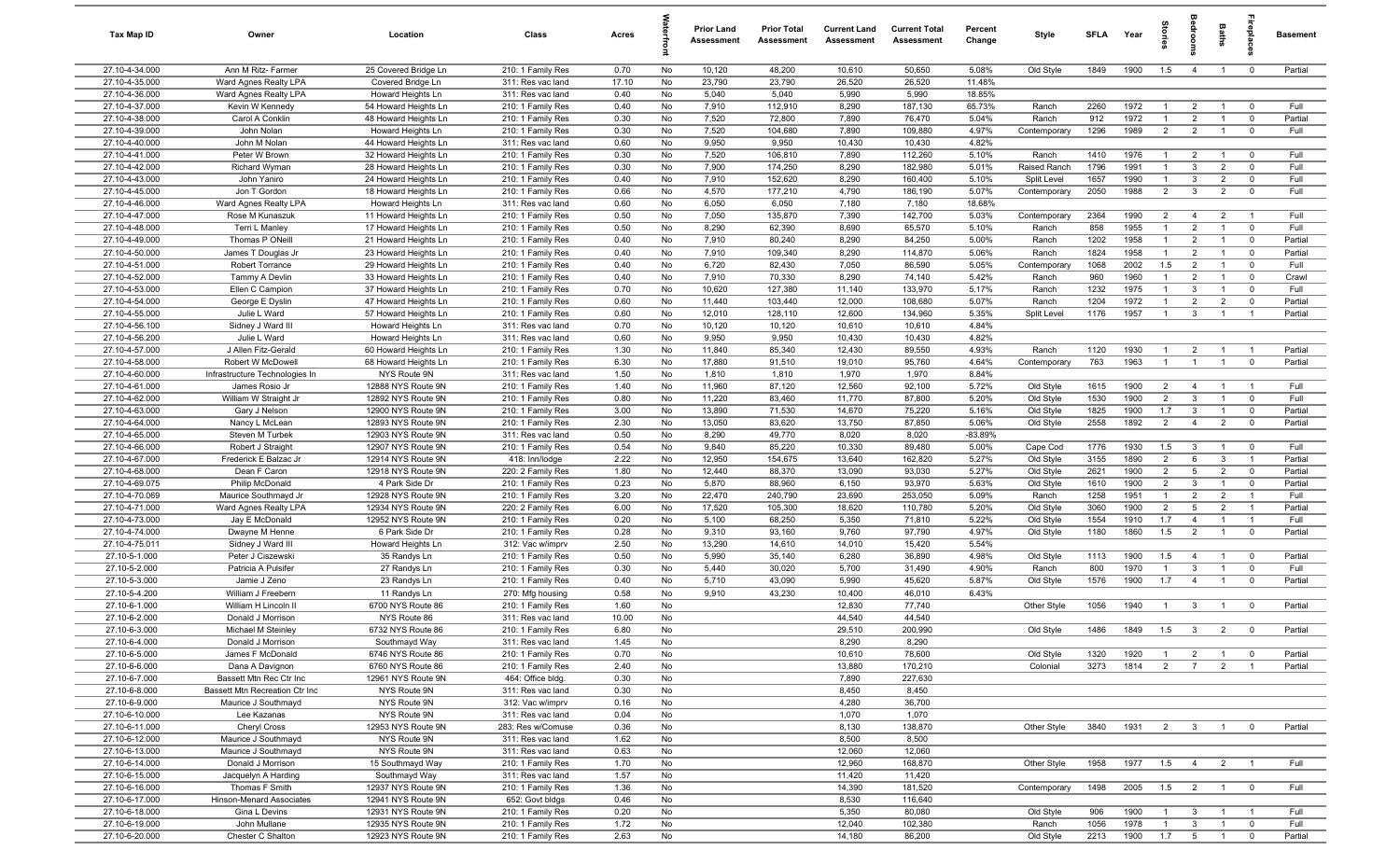| Tax Map ID                       | Owner                                                     | Location                                     | Class                                  | Acres        |          | <b>Prior Land</b><br>Assessment | <b>Prior Total</b><br>Assessment | <b>Current Land</b><br>Assessment | <b>Current Total</b><br>Assessment | Percent<br>Change | Style                  | <b>SFLA</b>  | Year         | Stori                            | droom                             | Baths                            | Lebia                            | Basement        |
|----------------------------------|-----------------------------------------------------------|----------------------------------------------|----------------------------------------|--------------|----------|---------------------------------|----------------------------------|-----------------------------------|------------------------------------|-------------------|------------------------|--------------|--------------|----------------------------------|-----------------------------------|----------------------------------|----------------------------------|-----------------|
| 27.10-4-34.000                   | Ann M Ritz- Farmer                                        | 25 Covered Bridge Ln                         | 210: 1 Family Res                      | 0.70         | No       | 10,120                          | 48,200                           | 10,610                            | 50,650                             | 5.08%             | Old Style              | 1849         | 1900         | 1.5                              | $\overline{4}$                    | $\overline{1}$                   | $\mathbf 0$                      | Partial         |
| 27.10-4-35.000                   | Ward Agnes Realty LPA                                     | Covered Bridge Ln                            | 311: Res vac land                      | 17.10        | No       | 23,790                          | 23,790                           | 26,520                            | 26,520                             | 11.48%            |                        |              |              |                                  |                                   |                                  |                                  |                 |
| 27.10-4-36.000                   | Ward Agnes Realty LPA                                     | Howard Heights Ln                            | 311: Res vac land                      | 0.40         | No       | 5,040                           | 5,040                            | 5,990                             | 5,990                              | 18.85%            |                        |              |              |                                  |                                   |                                  |                                  |                 |
| 27.10-4-37.000                   | Kevin W Kennedy                                           | 54 Howard Heights Ln                         | 210: 1 Family Res                      | 0.40         | No       | 7,910                           | 112,910                          | 8,290                             | 187,130                            | 65.73%            | Ranch                  | 2260         | 1972         | $\overline{1}$                   | $\overline{2}$                    |                                  | $\Omega$                         | Full            |
| 27.10-4-38.000                   | Carol A Conklin                                           | 48 Howard Heights Ln                         | 210: 1 Family Res                      | 0.30         | No       | 7,520                           | 72,800                           | 7,890                             | 76,470                             | 5.04%             | Ranch                  | 912          | 1972         | -1                               | $\overline{2}$                    |                                  | $^{\circ}$                       | Partial         |
| 27.10-4-39.000<br>27.10-4-40.000 | John Nolan                                                | Howard Heights Ln                            | 210: 1 Family Res<br>311: Res vac land | 0.30<br>0.60 | No<br>No | 7,520<br>9,950                  | 104,680<br>9,950                 | 7,890<br>10,430                   | 109,880<br>10,430                  | 4.97%<br>4.82%    | Contemporary           | 1296         | 1989         | $\overline{2}$                   | $\overline{2}$                    |                                  | $^{\circ}$                       | Full            |
| 27.10-4-41.000                   | John M Nolan<br>Peter W Brown                             | 44 Howard Heights Ln<br>32 Howard Heights Ln | 210: 1 Family Res                      | 0.30         | No       | 7,520                           | 106,810                          | 7,890                             | 112,260                            | 5.10%             | Ranch                  | 1410         | 1976         | $\overline{1}$                   | $\overline{2}$                    | $\overline{1}$                   | $\overline{0}$                   | Full            |
| 27.10-4-42.000                   | Richard Wyman                                             | 28 Howard Heights Ln                         | 210: 1 Family Res                      | 0.30         | No       | 7,900                           | 174,250                          | 8,290                             | 182,980                            | 5.01%             | Raised Ranch           | 1796         | 1991         | $\overline{1}$                   | $\mathbf{3}$                      | $\overline{2}$                   | $\mathbf 0$                      | Full            |
| 27.10-4-43.000                   | John Yaniro                                               | 24 Howard Heights Ln                         | 210: 1 Family Res                      | 0.40         | No       | 7,910                           | 152,620                          | 8,290                             | 160,400                            | 5.10%             | Split Level            | 1657         | 1990         | $\overline{1}$                   | $\mathbf{3}$                      | $\overline{2}$                   | $\mathbf 0$                      | Full            |
| 27.10-4-45.000                   | Jon T Gordon                                              | 18 Howard Heights Ln                         | 210: 1 Family Res                      | 0.66         | No       | 4,570                           | 177,210                          | 4,790                             | 186,190                            | 5.07%             | Contemporary           | 2050         | 1988         | 2                                | $\mathbf{3}$                      | $\overline{2}$                   | $^{\circ}$                       | Full            |
| 27.10-4-46.000                   | Ward Agnes Realty LPA                                     | Howard Heights Ln                            | 311: Res vac land                      | 0.60         | No       | 6,050                           | 6,050                            | 7,180                             | 7,180                              | 18.68%            |                        |              |              |                                  |                                   |                                  |                                  |                 |
| 27.10-4-47.000                   | Rose M Kunaszuk                                           | 11 Howard Heights Ln                         | 210: 1 Family Res                      | 0.50         | No       | 7,050                           | 135,870                          | 7,390                             | 142,700                            | 5.03%             | Contemporary           | 2364         | 1990         | $\overline{2}$                   | $\overline{4}$                    | $\overline{2}$                   | - 1                              | Full            |
| 27.10-4-48.000                   | Terri L Manley                                            | 17 Howard Heights Ln                         | 210: 1 Family Res                      | 0.50         | No       | 8,290                           | 62,390                           | 8,690                             | 65,570                             | 5.10%             | Ranch                  | 858          | 1955         | 1                                | $\overline{2}$                    | $\overline{1}$                   | $\mathbf 0$                      | Full            |
| 27.10-4-49.000                   | Thomas P ONeill                                           | 21 Howard Heights Ln                         | 210: 1 Family Res                      | 0.40         | No       | 7,910                           | 80,240                           | 8,290                             | 84,250                             | 5.00%             | Ranch                  | 1202         | 1958         | $\overline{1}$                   | $\overline{2}$                    | $\overline{1}$                   | $\mathbf 0$                      | Partial         |
| 27.10-4-50.000                   | James T Douglas Jr                                        | 23 Howard Heights Ln                         | 210: 1 Family Res                      | 0.40         | No       | 7,910                           | 109,340                          | 8,290                             | 114,870                            | 5.06%             | Ranch                  | 1824         | 1958         | $\mathbf{1}$                     | $\overline{2}$                    |                                  | $\mathbf 0$                      | Partial         |
| 27.10-4-51.000                   | Robert Torrance                                           | 29 Howard Heights Ln                         | 210: 1 Family Res                      | 0.40         | No       | 6,720                           | 82,430                           | 7,050                             | 86,590                             | 5.05%             | Contemporary           | 1068         | 2002         | 1.5                              | $\overline{2}$                    |                                  | $\mathbf 0$                      | Full            |
| 27.10-4-52.000                   | Tammy A Devlin                                            | 33 Howard Heights Ln                         | 210: 1 Family Res                      | 0.40         | No       | 7,910                           | 70,330                           | 8,290                             | 74,140                             | 5.42%             | Ranch                  | 960          | 1960         | $\mathbf{1}$                     | $\overline{2}$                    |                                  | $^{\circ}$                       | Crawl           |
| 27.10-4-53.000                   | Ellen C Campion                                           | 37 Howard Heights Ln                         | 210: 1 Family Res                      | 0.70         | No       | 10,620                          | 127,380                          | 11,140                            | 133,970                            | 5.17%             | Ranch                  | 1232         | 1975         | $\overline{1}$                   | $\mathbf{3}$                      |                                  | $\mathbf 0$                      | Full            |
| 27.10-4-54.000                   | George E Dyslin                                           | 47 Howard Heights Ln                         | 210: 1 Family Res                      | 0.60         | No       | 11,440                          | 103,440                          | 12,000                            | 108,680                            | 5.07%             | Ranch                  | 1204         | 1972         | $\mathbf{1}$                     | $\overline{2}$                    | $\overline{2}$                   | $\mathbf 0$                      | Partial         |
| 27.10-4-55.000<br>27.10-4-56.100 | Julie L Ward<br>Sidney J Ward III                         | 57 Howard Heights Ln                         | 210: 1 Family Res<br>311: Res vac land | 0.60<br>0.70 | No<br>No | 12,010<br>10,120                | 128,110<br>10,120                | 12,600<br>10,610                  | 134,960<br>10,610                  | 5.35%<br>4.84%    | Split Level            | 1176         | 1957         | $\overline{1}$                   | $\mathbf{3}$                      | $\overline{1}$                   | $\overline{1}$                   | Partial         |
| 27.10-4-56.200                   | Julie L Ward                                              | Howard Heights Ln<br>Howard Heights Ln       | 311: Res vac land                      | 0.60         | No       | 9,950                           | 9,950                            | 10,430                            | 10,430                             | 4.82%             |                        |              |              |                                  |                                   |                                  |                                  |                 |
| 27.10-4-57.000                   | J Allen Fitz-Gerald                                       | 60 Howard Heights Ln                         | 210: 1 Family Res                      | 1.30         | No       | 11,840                          | 85,340                           | 12,430                            | 89,550                             | 4.93%             | Ranch                  | 1120         | 1930         | $\overline{1}$                   | $\overline{2}$                    | $\overline{1}$                   | $\overline{1}$                   | Partial         |
| 27.10-4-58.000                   | Robert W McDowell                                         | 68 Howard Heights Ln                         | 210: 1 Family Res                      | 6.30         | No       | 17,880                          | 91,510                           | 19,010                            | 95,760                             | 4.64%             | Contemporary           | 763          | 1963         | $\overline{1}$                   | $\overline{1}$                    | $\overline{1}$                   | $\mathbf 0$                      | Partial         |
| 27.10-4-60.000                   | Infrastructure Technologies In                            | NYS Route 9N                                 | 311: Res vac land                      | 1.50         | No       | 1,810                           | 1,810                            | 1,970                             | 1,970                              | 8.84%             |                        |              |              |                                  |                                   |                                  |                                  |                 |
| 27.10-4-61.000                   | James Rosio Jr                                            | 12888 NYS Route 9N                           | 210: 1 Family Res                      | 1.40         | No       | 11,960                          | 87,120                           | 12,560                            | 92,100                             | 5.72%             | Old Style              | 1615         | 1900         | $\overline{2}$                   | $\overline{4}$                    | $\overline{1}$                   | $\overline{1}$                   | Full            |
| 27.10-4-62.000                   | William W Straight Jr                                     | 12892 NYS Route 9N                           | 210: 1 Family Res                      | 0.80         | No       | 11,220                          | 83,460                           | 11,770                            | 87,800                             | 5.20%             | Old Style              | 1530         | 1900         | $\overline{2}$                   | $\mathbf{3}$                      |                                  | $^{\circ}$                       | Full            |
| 27.10-4-63.000                   | Gary J Nelson                                             | 12900 NYS Route 9N                           | 210: 1 Family Res                      | 3.00         | No       | 13,890                          | 71,530                           | 14,670                            | 75,220                             | 5.16%             | Old Style              | 1825         | 1900         | 1.7                              | $\mathbf{3}$                      | $\mathbf{1}$                     | $\mathbf 0$                      | Partial         |
| 27.10-4-64.000                   | Nancy L McLean                                            | 12893 NYS Route 9N                           | 210: 1 Family Res                      | 2.30         | No       | 13,050                          | 83,620                           | 13,750                            | 87,850                             | 5.06%             | Old Style              | 2558         | 1892         | $\overline{2}$                   | $\overline{4}$                    | $\overline{2}$                   | $\mathbf 0$                      | Partial         |
| 27.10-4-65.000                   | Steven M Turbek                                           | 12903 NYS Route 9N                           | 311: Res vac land                      | 0.50         | No       | 8,290                           | 49,770                           | 8,020                             | 8,020                              | -83.89%           |                        |              |              |                                  |                                   |                                  |                                  |                 |
| 27.10-4-66.000                   | Robert J Straight                                         | 12907 NYS Route 9N                           | 210: 1 Family Res                      | 0.54         | No       | 9,840                           | 85,220                           | 10,330                            | 89,480                             | 5.00%             | Cape Cod               | 1776         | 1930         | 1.5                              | $\mathbf{3}$                      | $\overline{1}$                   | $\mathbf 0$                      | Full            |
| 27.10-4-67.000                   | Frederick E Balzac Jr                                     | 12914 NYS Route 9N                           | 418: Inn/lodge                         | 2.22         | No       | 12,950                          | 154,675                          | 13,640                            | 162,820                            | 5.27%             | Old Style              | 3155         | 1890         | $\overline{2}$                   | 6                                 | $\mathbf{3}$                     | $\overline{1}$                   | Partial         |
| 27.10-4-68.000                   | Dean F Caron                                              | 12918 NYS Route 9N                           | 220: 2 Family Res                      | 1.80         | No       | 12,440                          | 88,370                           | 13,090                            | 93,030                             | 5.27%             | Old Style              | 2621         | 1900         | $\overline{2}$                   | 5                                 | $\overline{2}$                   | $\mathbf 0$                      | Partial         |
| 27.10-4-69.075                   | Philip McDonald                                           | 4 Park Side Dr                               | 210: 1 Family Res                      | 0.23         | No       | 5,870                           | 88,960                           | 6,150                             | 93,970                             | 5.63%             | Old Style              | 1610         | 1900         | 2                                | $\mathbf{3}$                      | $\overline{1}$                   | $\mathbf 0$                      | Partial         |
| 27.10-4-70.069<br>27.10-4-71.000 | Maurice Southmayd Jr<br>Ward Agnes Realty LPA             | 12928 NYS Route 9N<br>12934 NYS Route 9N     | 210: 1 Family Res                      | 3.20<br>6.00 | No<br>No | 22,470<br>17,520                | 240,790<br>105,300               | 23,690<br>18,620                  | 253,050<br>110,780                 | 5.09%<br>5.20%    | Ranch                  | 1258<br>3060 | 1951<br>1900 | $\overline{1}$<br>$\overline{2}$ | $\overline{2}$<br>$5\overline{5}$ | $\overline{2}$<br>$\overline{2}$ | $\overline{1}$<br>$\overline{1}$ | Full<br>Partial |
| 27.10-4-73.000                   | Jay E McDonald                                            | 12952 NYS Route 9N                           | 220: 2 Family Res<br>210: 1 Family Res | 0.20         | No       | 5,100                           | 68,250                           | 5,350                             | 71,810                             | 5.22%             | Old Style<br>Old Style | 1554         | 1910         | 1.7                              | $\overline{4}$                    | $\overline{1}$                   | $\overline{1}$                   | Full            |
| 27.10-4-74.000                   | Dwayne M Henne                                            | 6 Park Side Dr                               | 210: 1 Family Res                      | 0.28         | No       | 9,310                           | 93,160                           | 9,760                             | 97,790                             | 4.97%             | Old Style              | 1180         | 1860         | 1.5                              | $\overline{2}$                    |                                  | $\mathbf 0$                      | Partial         |
| 27.10-4-75.011                   | Sidney J Ward III                                         | Howard Heights Ln                            | 312: Vac w/imprv                       | 2.50         | No       | 13,290                          | 14,610                           | 14,010                            | 15,420                             | 5.54%             |                        |              |              |                                  |                                   |                                  |                                  |                 |
| 27.10-5-1.000                    | Peter J Ciszewski                                         | 35 Randys Ln                                 | 210: 1 Family Res                      | 0.50         | No       | 5,990                           | 35,140                           | 6,280                             | 36,890                             | 4.98%             | Old Style              | 1113         | 1900         | 1.5                              | $\overline{4}$                    |                                  | $\mathbf 0$                      | Partial         |
| 27.10-5-2.000                    | Patricia A Pulsifer                                       | 27 Randys Ln                                 | 210: 1 Family Res                      | 0.30         | No       | 5,440                           | 30,020                           | 5,700                             | 31,490                             | 4.90%             | Ranch                  | 800          | 1970         | $\mathbf{1}$                     | $\mathbf{3}$                      |                                  | $^{\circ}$                       | Full            |
| 27.10-5-3.000                    | Jamie J Zeno                                              | 23 Randys Ln                                 | 210: 1 Family Res                      | 0.40         | No       | 5,710                           | 43,090                           | 5,990                             | 45,620                             | 5.87%             | Old Style              | 1576         | 1900         | 1.7                              | $\overline{4}$                    |                                  | $^{\circ}$                       | Partial         |
| 27.10-5-4.200                    | William J Freebern                                        | 11 Randys Ln                                 | 270: Mfg housing                       | 0.58         | No       | 9,910                           | 43,230                           | 10,400                            | 46,010                             | 6.43%             |                        |              |              |                                  |                                   |                                  |                                  |                 |
| 27.10-6-1.000                    | William H Lincoln II                                      | 6700 NYS Route 86                            | 210: 1 Family Res                      | 1.60         | No       |                                 |                                  | 12,830                            | 77,740                             |                   | Other Style            | 1056         | 1940         | $\overline{1}$                   | $\mathbf{3}$                      |                                  | $^{\circ}$                       | Partial         |
| 27.10-6-2.000                    | Donald J Morrison                                         | NYS Route 86                                 | 311: Res vac land                      | 10.00        | No       |                                 |                                  | 44,540                            | 44,540                             |                   |                        |              |              |                                  |                                   |                                  |                                  |                 |
| 27.10-6-3.000                    | Michael M Steinley                                        | 6732 NYS Route 86                            | 210: 1 Family Res                      | 6.80         | No       |                                 |                                  | 29,510                            | 200,990                            |                   | Old Style              | 1486         | 1849 1.5 3   |                                  |                                   | $\overline{2}$                   |                                  | Partial         |
| 27.10-6-4.000                    | Donald J Morrison                                         | Southmayd Way                                | 311: Res vac land                      | 1.45         | No       |                                 |                                  | 8,290                             | 8,290                              |                   |                        |              |              |                                  |                                   |                                  |                                  |                 |
| 27.10-6-5.000                    | James F McDonald                                          | 6746 NYS Route 86                            | 210: 1 Family Res                      | 0.70         | No       |                                 |                                  | 10,610                            | 78,600                             |                   | Old Style              | 1320         | 1920         | $\overline{1}$                   | $\overline{2}$                    | $\overline{1}$                   | $\overline{\mathbf{0}}$          | Partial         |
| 27.10-6-6.000                    | Dana A Davignon                                           | 6760 NYS Route 86                            | 210: 1 Family Res                      | 2.40         | No       |                                 |                                  | 13,880                            | 170,210                            |                   | Colonial               | 3273         | 1814         | $\overline{2}$                   | $\overline{7}$                    | $\overline{2}$                   | $\overline{1}$                   | Partial         |
| 27.10-6-7.000<br>27.10-6-8.000   | Bassett Mtn Rec Ctr Inc<br>Bassett Mtn Recreation Ctr Inc | 12961 NYS Route 9N<br>NYS Route 9N           | 464: Office bldg.                      | 0.30<br>0.30 | No<br>No |                                 |                                  | 7,890<br>8,450                    | 227,630<br>8,450                   |                   |                        |              |              |                                  |                                   |                                  |                                  |                 |
| 27.10-6-9.000                    | Maurice J Southmayd                                       | NYS Route 9N                                 | 311: Res vac land<br>312: Vac w/imprv  | 0.16         | No       |                                 |                                  | 4,280                             | 36,700                             |                   |                        |              |              |                                  |                                   |                                  |                                  |                 |
| 27.10-6-10.000                   | Lee Kazanas                                               | NYS Route 9N                                 | 311: Res vac land                      | 0.04         | No       |                                 |                                  | 1,070                             | 1,070                              |                   |                        |              |              |                                  |                                   |                                  |                                  |                 |
| 27.10-6-11.000                   | Cheryl Cross                                              | 12953 NYS Route 9N                           | 283: Res w/Comuse                      | 0.36         | No       |                                 |                                  | 8,130                             | 138,870                            |                   | Other Style            | 3840         | 1931         | $\overline{2}$                   | $\mathbf{3}$                      |                                  | $\overline{0}$                   | Partial         |
| 27.10-6-12.000                   | Maurice J Southmayd                                       | NYS Route 9N                                 | 311: Res vac land                      | 1.62         | No       |                                 |                                  | 8,500                             | 8,500                              |                   |                        |              |              |                                  |                                   |                                  |                                  |                 |
| 27.10-6-13.000                   | Maurice J Southmayd                                       | NYS Route 9N                                 | 311: Res vac land                      | 0.63         | No       |                                 |                                  | 12,060                            | 12,060                             |                   |                        |              |              |                                  |                                   |                                  |                                  |                 |
| 27.10-6-14.000                   | Donald J Morrison                                         | 15 Southmayd Way                             | 210: 1 Family Res                      | 1.70         | No       |                                 |                                  | 12,960                            | 168,870                            |                   | Other Style            | 1958         | 1977         | 1.5                              | $\overline{4}$                    | $\overline{2}$                   | $\overline{1}$                   | Full            |
| 27.10-6-15.000                   | Jacquelyn A Harding                                       | Southmayd Way                                | 311: Res vac land                      | 1.57         | No       |                                 |                                  | 11,420                            | 11,420                             |                   |                        |              |              |                                  |                                   |                                  |                                  |                 |
| 27.10-6-16.000                   | Thomas F Smith                                            | 12937 NYS Route 9N                           | 210: 1 Family Res                      | 1.36         | No       |                                 |                                  | 14,390                            | 181,520                            |                   | Contemporary           | 1498         | 2005         | 1.5                              | $\overline{2}$                    | $\overline{1}$                   | $\overline{\mathbf{0}}$          | Full            |
| 27.10-6-17.000                   | Hinson-Menard Associates                                  | 12941 NYS Route 9N                           | 652: Govt bldgs                        | 0.46         | No       |                                 |                                  | 8,530                             | 116,640                            |                   |                        |              |              |                                  |                                   |                                  |                                  |                 |
| 27.10-6-18.000                   | Gina L Devins                                             | 12931 NYS Route 9N                           | 210: 1 Family Res                      | 0.20         | No       |                                 |                                  | 5,350                             | 80,080                             |                   | Old Style              | 906          | 1900         | $\mathbf{1}$                     | $\mathbf{3}$                      | $\overline{1}$                   | $\overline{1}$                   | Full            |
| 27.10-6-19.000                   | John Mullane                                              | 12935 NYS Route 9N                           | 210: 1 Family Res                      | 1.72         | No       |                                 |                                  | 12,040                            | 102,380                            |                   | Ranch                  | 1056         | 1978         | $\mathbf{1}$                     | $\mathbf{3}$                      | $\mathbf{1}$                     | $\mathbf 0$                      | Full            |
| 27.10-6-20.000                   | Chester C Shalton                                         | 12923 NYS Route 9N                           | 210: 1 Family Res                      | 2.63         | No       |                                 |                                  | 14,180                            | 86,200                             |                   | Old Style              | 2213         | 1900         | 1.7                              | $5\overline{)}$                   | $\overline{1}$                   | $\mathbf 0$                      | Partial         |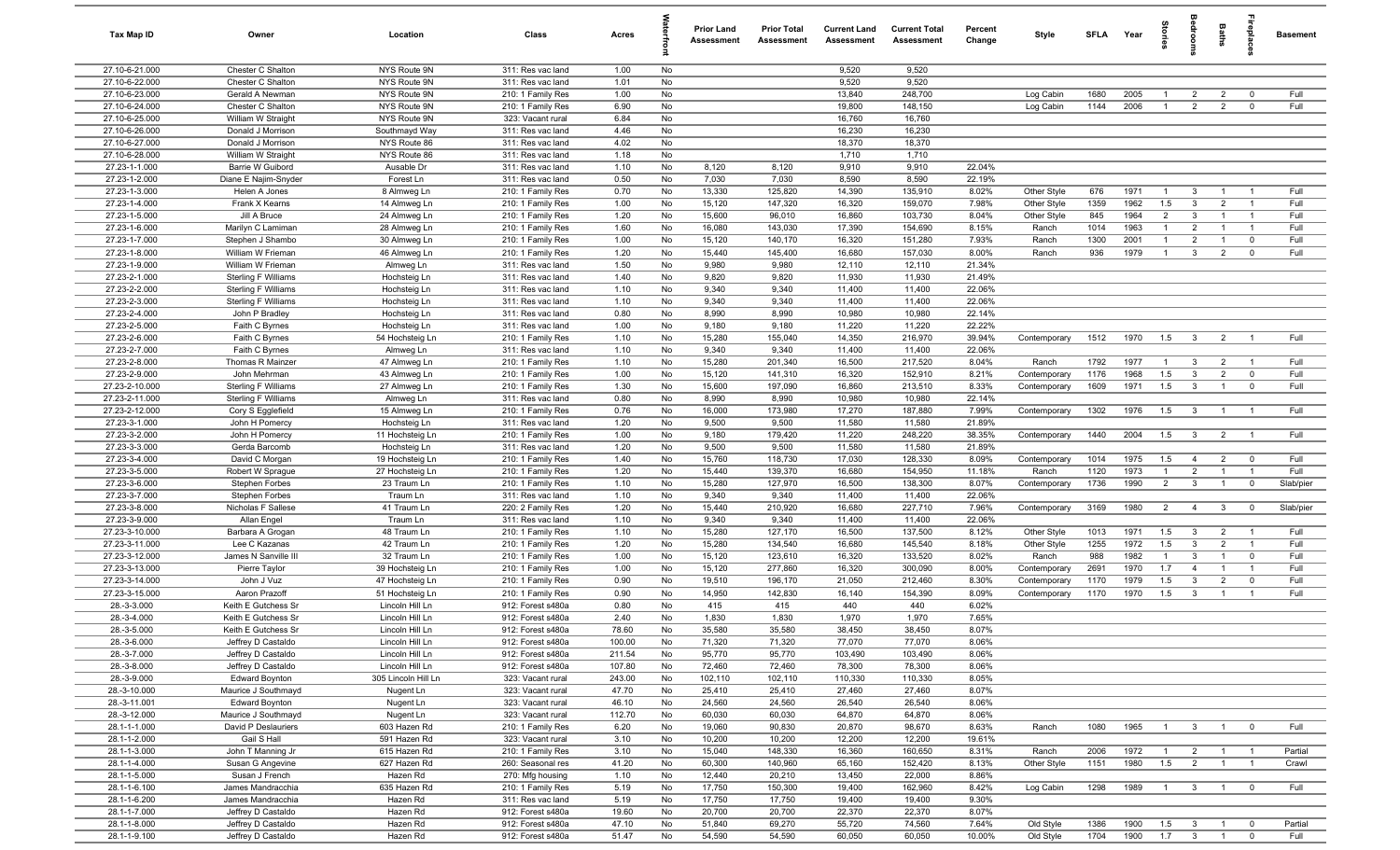| Tax Map ID                       | Owner                                             | Location                           | Class                                  | Acres            |          | <b>Prior Land</b><br>Assessment | <b>Prior Total</b><br>Assessment | <b>Current Land</b><br><b>Assessment</b> | <b>Current Total</b><br>Assessment | Percent<br>Change | Style        | <b>SFLA</b> | Year | $\frac{1}{2}$  |                         | Baths          | repla          | <b>Basement</b> |
|----------------------------------|---------------------------------------------------|------------------------------------|----------------------------------------|------------------|----------|---------------------------------|----------------------------------|------------------------------------------|------------------------------------|-------------------|--------------|-------------|------|----------------|-------------------------|----------------|----------------|-----------------|
| 27.10-6-21.000                   | Chester C Shalton                                 | NYS Route 9N                       | 311: Res vac land                      | 1.00             | No       |                                 |                                  | 9,520                                    | 9,520                              |                   |              |             |      |                |                         |                |                |                 |
| 27.10-6-22.000                   | Chester C Shalton                                 | NYS Route 9N                       | 311: Res vac land                      | 1.01             | No       |                                 |                                  | 9,520                                    | 9,520                              |                   |              |             |      |                |                         |                |                |                 |
| 27.10-6-23.000                   | Gerald A Newman                                   | NYS Route 9N                       | 210: 1 Family Res                      | 1.00             | No       |                                 |                                  | 13,840                                   | 248,700                            |                   | Log Cabin    | 1680        | 2005 |                | $\overline{2}$          | $\overline{2}$ | $^{\circ}$     | Full            |
| 27.10-6-24.000                   | Chester C Shalton                                 | NYS Route 9N                       | 210: 1 Family Res                      | 6.90             | No       |                                 |                                  | 19,800                                   | 148,150                            |                   | Log Cabin    | 1144        | 2006 | $\mathbf{1}$   | $\overline{2}$          | $\overline{2}$ | $^{\circ}$     | Full            |
| 27.10-6-25.000<br>27.10-6-26.000 | William W Straight<br>Donald J Morrison           | NYS Route 9N<br>Southmayd Way      | 323: Vacant rural<br>311: Res vac land | 6.84<br>4.46     | No<br>No |                                 |                                  | 16,760<br>16,230                         | 16,760<br>16,230                   |                   |              |             |      |                |                         |                |                |                 |
| 27.10-6-27.000                   | Donald J Morrison                                 | NYS Route 86                       | 311: Res vac land                      | 4.02             | No       |                                 |                                  | 18,370                                   | 18,370                             |                   |              |             |      |                |                         |                |                |                 |
| 27.10-6-28.000                   | William W Straight                                | NYS Route 86                       | 311: Res vac land                      | 1.18             | No       |                                 |                                  | 1,710                                    | 1,710                              |                   |              |             |      |                |                         |                |                |                 |
| 27.23-1-1.000                    | Barrie W Guibord                                  | Ausable Dr                         | 311: Res vac land                      | 1.10             | No       | 8,120                           | 8,120                            | 9,910                                    | 9,910                              | 22.04%            |              |             |      |                |                         |                |                |                 |
| 27.23-1-2.000                    | Diane E Najim-Snyder                              | Forest Ln                          | 311: Res vac land                      | 0.50             | No       | 7,030                           | 7,030                            | 8,590                                    | 8,590                              | 22.19%            |              |             |      |                |                         |                |                |                 |
| 27.23-1-3.000                    | Helen A Jones                                     | 8 Almweg Ln                        | 210: 1 Family Res                      | 0.70             | No       | 13,330                          | 125,820                          | 14,390                                   | 135,910                            | 8.02%             | Other Style  | 676         | 1971 | $\overline{1}$ | 3                       | $\overline{1}$ | $\overline{1}$ | Full            |
| 27.23-1-4.000                    | Frank X Kearns                                    | 14 Almweg Ln                       | 210: 1 Family Res                      | 1.00             | No       | 15,120                          | 147,320                          | 16,320                                   | 159,070                            | 7.98%             | Other Style  | 1359        | 1962 | 1.5            | $\mathbf{3}$            | $\overline{2}$ | $\overline{1}$ | Full            |
| 27.23-1-5.000                    | Jill A Bruce                                      | 24 Almweg Ln                       | 210: 1 Family Res                      | 1.20             | No       | 15,600                          | 96,010                           | 16,860                                   | 103,730                            | 8.04%             | Other Style  | 845         | 1964 | $\overline{2}$ | $\mathbf{3}$            |                | -1             | Full            |
| 27.23-1-6.000                    | Marilyn C Lamiman                                 | 28 Almweg Ln                       | 210: 1 Family Res                      | 1.60             | No       | 16,080                          | 143,030                          | 17,390                                   | 154,690                            | 8.15%             | Ranch        | 1014        | 1963 | 1              | $\overline{2}$          |                | $\overline{1}$ | Full            |
| 27.23-1-7.000                    | Stephen J Shambo                                  | 30 Almweg Ln                       | 210: 1 Family Res                      | 1.00             | No       | 15,120                          | 140,170                          | 16,320                                   | 151,280                            | 7.93%             | Ranch        | 1300        | 2001 | $\mathbf{1}$   | $\overline{2}$          |                | $\mathbf 0$    | Full            |
| 27.23-1-8.000<br>27.23-1-9.000   | William W Frieman<br>William W Frieman            | 46 Almweg Ln<br>Almweg Ln          | 210: 1 Family Res<br>311: Res vac land | 1.20<br>1.50     | No<br>No | 15,440<br>9,980                 | 145,400<br>9,980                 | 16,680<br>12,110                         | 157,030<br>12,110                  | 8.00%<br>21.34%   | Ranch        | 936         | 1979 | $\overline{1}$ | $\mathbf{3}$            | $\overline{2}$ | $^{\circ}$     | Full            |
| 27.23-2-1.000                    | Sterling F Williams                               | Hochsteig Ln                       | 311: Res vac land                      | 1.40             | No       | 9,820                           | 9,820                            | 11,930                                   | 11,930                             | 21.49%            |              |             |      |                |                         |                |                |                 |
| 27.23-2-2.000                    | Sterling F Williams                               | Hochsteig Ln                       | 311: Res vac land                      | 1.10             | No       | 9,340                           | 9,340                            | 11,400                                   | 11,400                             | 22.06%            |              |             |      |                |                         |                |                |                 |
| 27.23-2-3.000                    | Sterling F Williams                               | Hochsteig Ln                       | 311: Res vac land                      | 1.10             | No       | 9,340                           | 9,340                            | 11,400                                   | 11,400                             | 22.06%            |              |             |      |                |                         |                |                |                 |
| 27.23-2-4.000                    | John P Bradley                                    | Hochsteig Ln                       | 311: Res vac land                      | 0.80             | No       | 8,990                           | 8,990                            | 10,980                                   | 10,980                             | 22.14%            |              |             |      |                |                         |                |                |                 |
| 27.23-2-5.000                    | Faith C Byrnes                                    | Hochsteig Ln                       | 311: Res vac land                      | 1.00             | No       | 9,180                           | 9,180                            | 11,220                                   | 11,220                             | 22.22%            |              |             |      |                |                         |                |                |                 |
| 27.23-2-6.000                    | Faith C Byrnes                                    | 54 Hochsteig Ln                    | 210: 1 Family Res                      | 1.10             | No       | 15,280                          | 155,040                          | 14,350                                   | 216,970                            | 39.94%            | Contemporary | 1512        | 1970 | 1.5            | $\mathbf{3}$            | $\overline{2}$ | $\overline{1}$ | Full            |
| 27.23-2-7.000                    | Faith C Byrnes                                    | Almweg Ln                          | 311: Res vac land                      | 1.10             | No       | 9,340                           | 9,340                            | 11,400                                   | 11,400                             | 22.06%            |              |             |      |                |                         |                |                |                 |
| 27.23-2-8.000                    | Thomas R Mainzer                                  | 47 Almweg Ln                       | 210: 1 Family Res                      | 1.10             | No       | 15,280                          | 201,340                          | 16,500                                   | 217,520                            | 8.04%             | Ranch        | 1792        | 1977 | $\overline{1}$ | $\mathbf{3}$            | $\overline{2}$ | $\overline{1}$ | Full            |
| 27.23-2-9.000                    | John Mehrman                                      | 43 Almweg Ln                       | 210: 1 Family Res                      | 1.00             | No       | 15,120                          | 141,310                          | 16,320                                   | 152,910                            | 8.21%             | Contemporary | 1176        | 1968 | 1.5            | $\mathbf{3}$            | $\overline{2}$ | $\mathbf 0$    | Full            |
| 27.23-2-10.000<br>27.23-2-11.000 | Sterling F Williams<br><b>Sterling F Williams</b> | 27 Almweg Ln<br>Almweg Ln          | 210: 1 Family Res<br>311: Res vac land | 1.30<br>0.80     | No<br>No | 15,600<br>8,990                 | 197,090<br>8,990                 | 16,860<br>10,980                         | 213,510<br>10,980                  | 8.33%<br>22.14%   | Contemporary | 1609        | 1971 | 1.5            | $\mathbf{3}$            | $\mathbf{1}$   | $\mathbf 0$    | Full            |
| 27.23-2-12.000                   | Cory S Egglefield                                 | 15 Almweg Ln                       | 210: 1 Family Res                      | 0.76             | No       | 16,000                          | 173,980                          | 17,270                                   | 187,880                            | 7.99%             | Contemporary | 1302        | 1976 | 1.5            | $\mathbf{3}$            |                | $\overline{1}$ | Full            |
| 27.23-3-1.000                    | John H Pomercy                                    | Hochsteig Ln                       | 311: Res vac land                      | 1.20             | No       | 9,500                           | 9,500                            | 11,580                                   | 11,580                             | 21.89%            |              |             |      |                |                         |                |                |                 |
| 27.23-3-2.000                    | John H Pomercy                                    | 11 Hochsteig Ln                    | 210: 1 Family Res                      | 1.00             | No       | 9,180                           | 179,420                          | 11,220                                   | 248,220                            | 38.35%            | Contemporary | 1440        | 2004 | 1.5            | $\mathbf{3}$            | $\overline{2}$ | $\overline{1}$ | Full            |
| 27.23-3-3.000                    | Gerda Barcomb                                     | Hochsteig Ln                       | 311: Res vac land                      | 1.20             | No       | 9,500                           | 9,500                            | 11,580                                   | 11,580                             | 21.89%            |              |             |      |                |                         |                |                |                 |
| 27.23-3-4.000                    | David C Morgan                                    | 19 Hochsteig Ln                    | 210: 1 Family Res                      | 1.40             | No       | 15,760                          | 118,730                          | 17,030                                   | 128,330                            | 8.09%             | Contemporary | 1014        | 1975 | 1.5            | $\overline{4}$          | $\overline{2}$ | $\mathbf 0$    | Full            |
| 27.23-3-5.000                    | Robert W Sprague                                  | 27 Hochsteig Ln                    | 210: 1 Family Res                      | 1.20             | No       | 15,440                          | 139,370                          | 16,680                                   | 154,950                            | 11.18%            | Ranch        | 1120        | 1973 | $\overline{1}$ | 2                       | $\overline{1}$ | $\overline{1}$ | Full            |
| 27.23-3-6.000                    | <b>Stephen Forbes</b>                             | 23 Traum Ln                        | 210: 1 Family Res                      | 1.10             | No       | 15,280                          | 127,970                          | 16,500                                   | 138,300                            | 8.07%             | Contemporary | 1736        | 1990 | $\overline{2}$ | $\mathbf{3}$            | $\overline{1}$ | $\overline{0}$ | Slab/pier       |
| 27.23-3-7.000                    | Stephen Forbes                                    | Traum Ln                           | 311: Res vac land                      | 1.10             | No       | 9,340                           | 9,340                            | 11,400                                   | 11,400                             | 22.06%            |              |             |      |                |                         |                |                |                 |
| 27.23-3-8.000<br>27.23-3-9.000   | Nicholas F Sallese                                | 41 Traum Ln                        | 220: 2 Family Res                      | 1.20             | No<br>No | 15,440                          | 210,920                          | 16,680                                   | 227,710                            | 7.96%             | Contemporary | 3169        | 1980 | 2              | $\overline{4}$          | $\mathbf{3}$   | $^{\circ}$     | Slab/pier       |
| 27.23-3-10.000                   | Allan Engel<br>Barbara A Grogan                   | Traum Ln<br>48 Traum Ln            | 311: Res vac land<br>210: 1 Family Res | 1.10<br>1.10     | No       | 9,340<br>15,280                 | 9,340<br>127,170                 | 11,400<br>16,500                         | 11,400<br>137,500                  | 22.06%<br>8.12%   | Other Style  | 1013        | 1971 | 1.5            | $\mathbf{3}$            | $\overline{2}$ | - 1            | Full            |
| 27.23-3-11.000                   | Lee C Kazanas                                     | 42 Traum Ln                        | 210: 1 Family Res                      | 1.20             | No       | 15,280                          | 134,540                          | 16,680                                   | 145,540                            | 8.18%             | Other Style  | 1255        | 1972 | 1.5            | $\mathbf{3}$            | $\overline{2}$ | $\overline{1}$ | Full            |
| 27.23-3-12.000                   | James N Sanville III                              | 32 Traum Ln                        | 210: 1 Family Res                      | 1.00             | No       | 15,120                          | 123,610                          | 16,320                                   | 133,520                            | 8.02%             | Ranch        | 988         | 1982 | $\mathbf{1}$   | $\mathbf{3}$            |                | $\Omega$       | Full            |
| 27.23-3-13.000                   | Pierre Taylor                                     | 39 Hochsteig Ln                    | 210: 1 Family Res                      | 1.00             | No       | 15,120                          | 277,860                          | 16,320                                   | 300,090                            | 8.00%             | Contemporary | 2691        | 1970 | 1.7            | $\overline{4}$          |                | - 1            | Full            |
| 27.23-3-14.000                   | John J Vuz                                        | 47 Hochsteig Ln                    | 210: 1 Family Res                      | 0.90             | No       | 19,510                          | 196,170                          | 21,050                                   | 212,460                            | 8.30%             | Contemporary | 1170        | 1979 | 1.5            | $\mathbf{3}$            | $\overline{2}$ | $\mathbf 0$    | Full            |
| 27.23-3-15.000                   | Aaron Prazoff                                     | 51 Hochsteig Ln                    | 210: 1 Family Res                      | 0.90             | No       | 14,950                          | 142,830                          | 16,140                                   | 154,390                            | 8.09%             | Contemporary | 1170        | 1970 | 1.5            | $\mathbf{3}$            | $\overline{1}$ | $\overline{1}$ | Full            |
| 28.-3-3.000                      | Keith E Gutchess Sr                               | Lincoln Hill Ln                    | 912: Forest s480a                      | 0.80             | No       | 415                             | 415                              | 440                                      | 440                                | 6.02%             |              |             |      |                |                         |                |                |                 |
| 28.-3-4.000                      | Keith E Gutchess Sr                               | Lincoln Hill Ln                    | 912: Forest s480a                      | 2.40             | No       | 1,830                           | 1,830                            | 1,970                                    | 1,970                              | 7.65%             |              |             |      |                |                         |                |                |                 |
| 28.-3-5.000                      | Keith E Gutchess Sr                               | Lincoln Hill Ln                    | 912: Forest s480a                      | 78.60            | No       | 35,580                          | 35,580                           | 38,450                                   | 38,450                             | 8.07%             |              |             |      |                |                         |                |                |                 |
| 28.-3-6.000<br>28.-3-7.000       | Jeffrey D Castaldo<br>Jeffrey D Castaldo          | Lincoln Hill Ln<br>Lincoln Hill Ln | 912: Forest s480a<br>912: Forest s480a | 100.00<br>211.54 | No<br>No | 71,320<br>95,770                | 71,320<br>95,770                 | 77,070<br>103,490                        | 77,070<br>103,490                  | 8.06%<br>8.06%    |              |             |      |                |                         |                |                |                 |
| 28.-3-8.000                      | Jeffrey D Castaldo                                | Lincoln Hill Ln                    | 912: Forest s480a                      | 107.80           | No       | 72,460                          | 72,460                           | 78,300                                   | 78,300                             | 8.06%             |              |             |      |                |                         |                |                |                 |
| 28.-3-9.000                      | <b>Edward Boynton</b>                             | 305 Lincoln Hill Ln                | 323: Vacant rural                      | 243.00           | No       | 102,110                         | 102,110                          | 110,330                                  | 110,330                            | 8.05%             |              |             |      |                |                         |                |                |                 |
| 28.-3-10.000                     | Maurice J Southmayd                               | Nugent Ln                          | 323: Vacant rural                      | 47.70            | No       | 25,410                          | 25,410                           | 27,460                                   | 27,460                             | 8.07%             |              |             |      |                |                         |                |                |                 |
| 28.-3-11.001                     | <b>Edward Boynton</b>                             | Nugent Ln                          | 323: Vacant rural                      | 46.10            | No       | 24,560                          | 24,560                           | 26,540                                   | 26,540                             | 8.06%             |              |             |      |                |                         |                |                |                 |
| 28.-3-12.000                     | Maurice J Southmayd                               | Nugent Ln                          | 323: Vacant rural                      | 112.70           | No       | 60,030                          | 60,030                           | 64,870                                   | 64,870                             | 8.06%             |              |             |      |                |                         |                |                |                 |
| 28.1-1-1.000                     | David P Deslauriers                               | 603 Hazen Rd                       | 210: 1 Family Res                      | 6.20             | No       | 19,060                          | 90,830                           | 20,870                                   | 98,670                             | 8.63%             | Ranch        | 1080        | 1965 | $\overline{1}$ | $\mathbf{3}$            | $\overline{1}$ | $\overline{0}$ | Full            |
| 28.1-1-2.000                     | Gail S Hall                                       | 591 Hazen Rd                       | 323: Vacant rural                      | 3.10             | No       | 10,200                          | 10,200                           | 12,200                                   | 12,200                             | 19.61%            |              |             |      |                |                         |                |                |                 |
| 28.1-1-3.000                     | John T Manning Jr                                 | 615 Hazen Rd                       | 210: 1 Family Res                      | 3.10             | No       | 15,040                          | 148,330                          | 16,360                                   | 160,650                            | 8.31%             | Ranch        | 2006        | 1972 | $\overline{1}$ | $\overline{2}$          | $\overline{1}$ | $\overline{1}$ | Partial         |
| 28.1-1-4.000                     | Susan G Angevine                                  | 627 Hazen Rd                       | 260: Seasonal res                      | 41.20            | No       | 60,300                          | 140,960                          | 65,160                                   | 152,420                            | 8.13%             | Other Style  | 1151        | 1980 | 1.5            | $\overline{2}$          | $\overline{1}$ | $\overline{1}$ | Crawl           |
| 28.1-1-5.000<br>28.1-1-6.100     | Susan J French<br>James Mandracchia               | Hazen Rd<br>635 Hazen Rd           | 270: Mfg housing<br>210: 1 Family Res  | 1.10<br>5.19     | No<br>No | 12,440<br>17,750                | 20,210<br>150,300                | 13,450<br>19,400                         | 22,000<br>162,960                  | 8.86%<br>8.42%    |              | 1298        | 1989 | $\overline{1}$ | $\overline{\mathbf{3}}$ | $\overline{1}$ | $\overline{0}$ | Full            |
| 28.1-1-6.200                     | James Mandracchia                                 | Hazen Rd                           | 311: Res vac land                      | 5.19             | No       | 17,750                          | 17,750                           | 19,400                                   | 19,400                             | 9.30%             | Log Cabin    |             |      |                |                         |                |                |                 |
| 28.1-1-7.000                     | Jeffrey D Castaldo                                | Hazen Rd                           | 912: Forest s480a                      | 19.60            | No       | 20,700                          | 20,700                           | 22,370                                   | 22,370                             | 8.07%             |              |             |      |                |                         |                |                |                 |
| 28.1-1-8.000                     | Jeffrey D Castaldo                                | Hazen Rd                           | 912: Forest s480a                      | 47.10            | No       | 51,840                          | 69,270                           | 55,720                                   | 74,560                             | 7.64%             | Old Style    | 1386        | 1900 | 1.5            | $\overline{\mathbf{3}}$ | $\overline{1}$ | $\mathbf 0$    | Partial         |
| 28.1-1-9.100                     | Jeffrey D Castaldo                                | Hazen Rd                           | 912: Forest s480a                      | 51.47            | No       | 54,590                          | 54,590                           | 60,050                                   | 60,050                             | 10.00%            | Old Style    | 1704        | 1900 |                | $1.7 \t 3 \t 1$         |                | $\mathbf 0$    | Full            |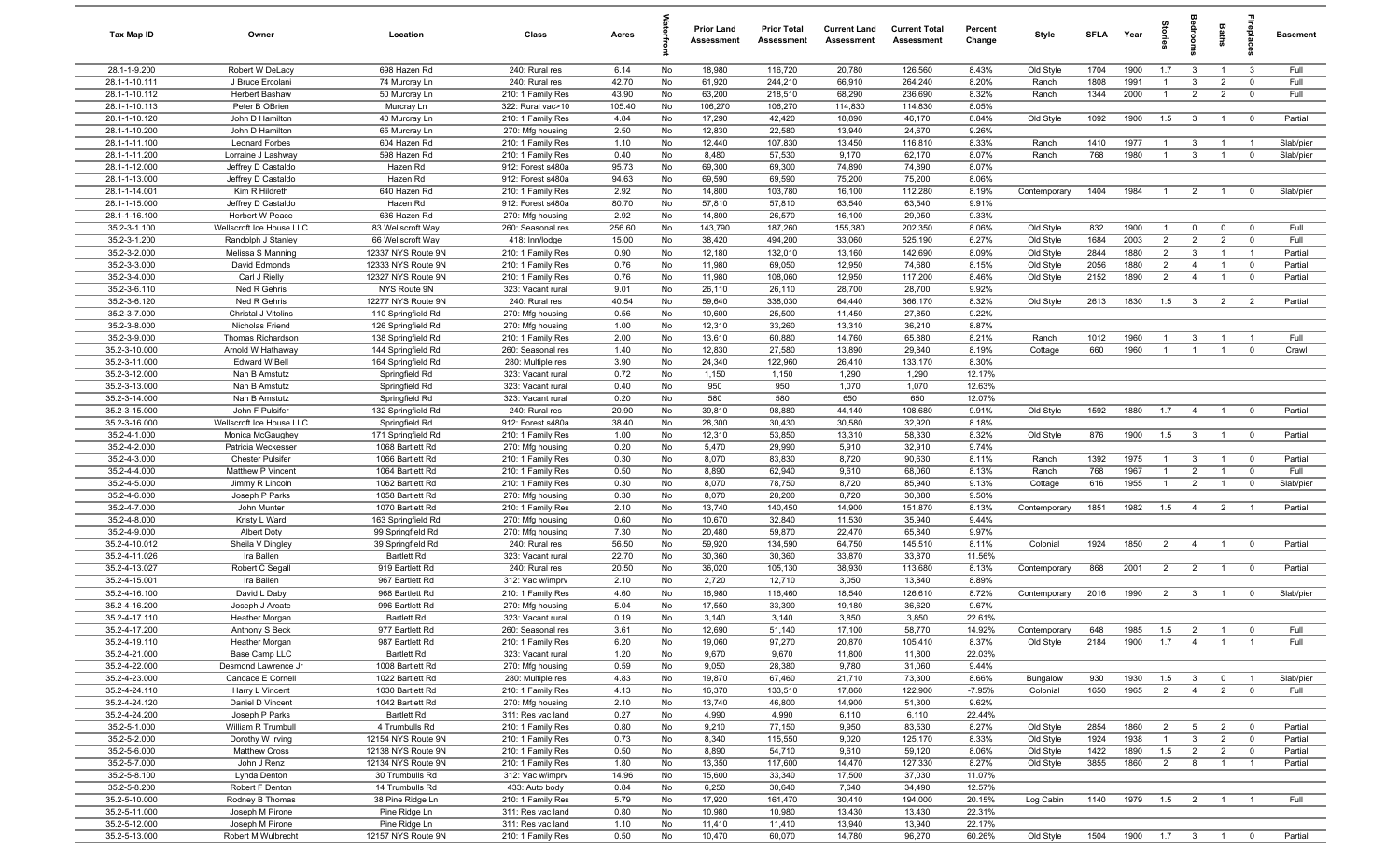| Tax Map ID                     | Owner                                       | Location                                 | Class                                  | Acres         |          | <b>Prior Land</b><br>Assessment | <b>Prior Total</b><br>Assessment | <b>Current Land</b><br>Assessment | <b>Current Total</b><br>Assessment | Percent<br>Change | Style        | <b>SFLA</b>  | Year         | tories               | <b>B</b>                | Baths                            |                                           | <b>Basement</b>    |
|--------------------------------|---------------------------------------------|------------------------------------------|----------------------------------------|---------------|----------|---------------------------------|----------------------------------|-----------------------------------|------------------------------------|-------------------|--------------|--------------|--------------|----------------------|-------------------------|----------------------------------|-------------------------------------------|--------------------|
| 28.1-1-9.200                   | Robert W DeLacy                             | 698 Hazen Rd                             | 240: Rural res                         | 6.14          | No       | 18,980                          | 116,720                          | 20,780                            | 126,560                            | 8.43%             | Old Style    | 1704         | 1900         | 1.7                  | $\overline{\mathbf{3}}$ | $\overline{1}$                   | $\mathbf{3}$                              | Full               |
| 28.1-1-10.111                  | J Bruce Ercolani                            | 74 Murcray Ln                            | 240: Rural res                         | 42.70         | No       | 61,920                          | 244,210                          | 66,910                            | 264,240                            | 8.20%             | Ranch        | 1808         | 1991         | $\overline{1}$       | $\mathbf{3}$            | $\overline{2}$                   | $\mathbf 0$                               | Full               |
| 28.1-1-10.112                  | Herbert Bashaw                              | 50 Murcray Ln                            | 210: 1 Family Res                      | 43.90         | No       | 63,200                          | 218,510                          | 68,290                            | 236,690                            | 8.32%             | Ranch        | 1344         | 2000         | $\overline{1}$       | $\overline{2}$          | $\overline{2}$                   | $\mathbf 0$                               | Full               |
| 28.1-1-10.113                  | Peter B OBrien                              | Murcray Ln                               | 322: Rural vac>10                      | 105.40        | No       | 106,270                         | 106,270                          | 114,830                           | 114,830                            | 8.05%             |              |              |              |                      |                         |                                  |                                           |                    |
| 28.1-1-10.120                  | John D Hamilton                             | 40 Murcray Ln                            | 210: 1 Family Res                      | 4.84          | No       | 17,290                          | 42,420                           | 18,890                            | 46,170                             | 8.84%             | Old Style    | 1092         | 1900         | 1.5                  | $\overline{\mathbf{3}}$ | $\overline{1}$                   | $\overline{\mathbf{0}}$                   | Partial            |
| 28.1-1-10.200                  | John D Hamilton                             | 65 Murcray Ln                            | 270: Mfg housing                       | 2.50          | No       | 12,830                          | 22,580                           | 13,940                            | 24,670                             | 9.26%             |              |              |              |                      |                         |                                  |                                           |                    |
| 28.1-1-11.100                  | <b>Leonard Forbes</b>                       | 604 Hazen Rd                             | 210: 1 Family Res                      | 1.10          | No       | 12,440                          | 107,830                          | 13,450                            | 116,810                            | 8.33%             | Ranch        | 1410         | 1977         | $\overline{1}$       | $\mathbf{3}$            | $\overline{1}$                   |                                           | Slab/pier          |
| 28.1-1-11.200                  | Lorraine J Lashway                          | 598 Hazen Rd                             | 210: 1 Family Res                      | 0.40          | No       | 8,480                           | 57,530                           | 9,170                             | 62,170                             | 8.07%             | Ranch        | 768          | 1980         | $\overline{1}$       | $\mathbf{3}$            | $\overline{1}$                   | $\mathbf 0$                               | Slab/pier          |
| 28.1-1-12.000                  | Jeffrey D Castaldo                          | Hazen Rd                                 | 912: Forest s480a                      | 95.73         | No       | 69,300                          | 69,300                           | 74,890                            | 74,890                             | 8.07%             |              |              |              |                      |                         |                                  |                                           |                    |
| 28.1-1-13.000<br>28.1-1-14.001 | Jeffrey D Castaldo                          | Hazen Rd<br>640 Hazen Rd                 | 912: Forest s480a                      | 94.63         | No<br>No | 69,590<br>14,800                | 69,590                           | 75,200                            | 75,200<br>112,280                  | 8.06%<br>8.19%    |              | 1404         | 1984         | - 1                  | $\overline{2}$          | $\overline{1}$                   | $\Omega$                                  | Slab/pier          |
| 28.1-1-15.000                  | Kim R Hildreth<br>Jeffrey D Castaldo        | Hazen Rd                                 | 210: 1 Family Res<br>912: Forest s480a | 2.92<br>80.70 | No       | 57,810                          | 103,780<br>57,810                | 16,100<br>63,540                  | 63,540                             | 9.91%             | Contemporary |              |              |                      |                         |                                  |                                           |                    |
| 28.1-1-16.100                  | <b>Herbert W Peace</b>                      | 636 Hazen Rd                             | 270: Mfg housing                       | 2.92          | No       | 14,800                          | 26,570                           | 16,100                            | 29,050                             | 9.33%             |              |              |              |                      |                         |                                  |                                           |                    |
| 35.2-3-1.100                   | Wellscroft Ice House LLC                    | 83 Wellscroft Way                        | 260: Seasonal res                      | 256.60        | No       | 143,790                         | 187,260                          | 155,380                           | 202,350                            | 8.06%             | Old Style    | 832          | 1900         | $\mathbf{1}$         | $\mathbf{0}$            | $\mathbf 0$                      | $\mathbf 0$                               | Full               |
| 35.2-3-1.200                   | Randolph J Stanley                          | 66 Wellscroft Way                        | 418: Inn/lodge                         | 15.00         | No       | 38,420                          | 494,200                          | 33,060                            | 525,190                            | 6.27%             | Old Style    | 1684         | 2003         | $\overline{2}$       | 2                       | $\overline{2}$                   | $\mathbf 0$                               | Full               |
| 35.2-3-2.000                   | Melissa S Manning                           | 12337 NYS Route 9N                       | 210: 1 Family Res                      | 0.90          | No       | 12,180                          | 132,010                          | 13,160                            | 142,690                            | 8.09%             | Old Style    | 2844         | 1880         | $\overline{2}$       | $\mathbf{3}$            | $\overline{1}$                   | $\overline{1}$                            | Partial            |
| 35.2-3-3.000                   | David Edmonds                               | 12333 NYS Route 9N                       | 210: 1 Family Res                      | 0.76          | No       | 11,980                          | 69,050                           | 12,950                            | 74,680                             | 8.15%             | Old Style    | 2056         | 1880         | $\overline{2}$       | $\overline{4}$          | $\overline{1}$                   | $\mathbf 0$                               | Partial            |
| 35.2-3-4.000                   | Carl J Rielly                               | 12327 NYS Route 9N                       | 210: 1 Family Res                      | 0.76          | No       | 11,980                          | 108,060                          | 12,950                            | 117,200                            | 8.46%             | Old Style    | 2152         | 1890         | $\overline{2}$       | $\overline{4}$          | $\overline{1}$                   | $\mathbf 0$                               | Partial            |
| 35.2-3-6.110                   | Ned R Gehris                                | NYS Route 9N                             | 323: Vacant rural                      | 9.01          | No       | 26,110                          | 26,110                           | 28,700                            | 28,700                             | 9.92%             |              |              |              |                      |                         |                                  |                                           |                    |
| 35.2-3-6.120                   | Ned R Gehris                                | 12277 NYS Route 9N                       | 240: Rural res                         | 40.54         | No       | 59,640                          | 338,030                          | 64,440                            | 366,170                            | 8.32%             | Old Style    | 2613         | 1830         | 1.5                  | $\overline{\mathbf{3}}$ | $\overline{2}$                   | $\overline{2}$                            | Partial            |
| 35.2-3-7.000                   | Christal J Vitolins                         | 110 Springfield Rd                       | 270: Mfg housing                       | 0.56          | No       | 10,600                          | 25,500                           | 11,450                            | 27,850                             | 9.22%             |              |              |              |                      |                         |                                  |                                           |                    |
| 35.2-3-8.000                   | Nicholas Friend                             | 126 Springfield Rd                       | 270: Mfg housing                       | 1.00          | No       | 12,310                          | 33,260                           | 13,310                            | 36,210                             | 8.87%             |              |              |              |                      |                         |                                  |                                           |                    |
| 35.2-3-9.000                   | Thomas Richardson                           | 138 Springfield Rd                       | 210: 1 Family Res                      | 2.00          | No       | 13,610                          | 60,880                           | 14,760                            | 65,880                             | 8.21%             | Ranch        | 1012         | 1960         | $\overline{1}$       | $\mathbf{3}$            | $\overline{1}$                   | $\overline{1}$                            | Full               |
| 35.2-3-10.000                  | Arnold W Hathaway                           | 144 Springfield Rd                       | 260: Seasonal res                      | 1.40          | No       | 12,830                          | 27,580                           | 13,890                            | 29,840                             | 8.19%             | Cottage      | 660          | 1960         | $\overline{1}$       | $\overline{1}$          | $\overline{1}$                   | $\mathbf 0$                               | Crawl              |
| 35.2-3-11.000                  | Edward W Bell                               | 164 Springfield Rd                       | 280: Multiple res                      | 3.90          | No       | 24,340                          | 122,960                          | 26,410                            | 133,170                            | 8.30%             |              |              |              |                      |                         |                                  |                                           |                    |
| 35.2-3-12.000                  | Nan B Amstutz                               | Springfield Rd                           | 323: Vacant rural                      | 0.72          | No       | 1,150                           | 1,150                            | 1,290                             | 1,290                              | 12.17%            |              |              |              |                      |                         |                                  |                                           |                    |
| 35.2-3-13.000                  | Nan B Amstutz                               | Springfield Rd                           | 323: Vacant rural                      | 0.40          | No       | 950                             | 950                              | 1,070                             | 1,070                              | 12.63%            |              |              |              |                      |                         |                                  |                                           |                    |
| 35.2-3-14.000<br>35.2-3-15.000 | Nan B Amstutz                               | Springfield Rd                           | 323: Vacant rural                      | 0.20<br>20.90 | No       | 580<br>39,810                   | 580<br>98,880                    | 650<br>44,140                     | 650<br>108,680                     | 12.07%<br>9.91%   |              | 1592         | 1880         |                      |                         | $\overline{1}$                   | $\overline{0}$                            | Partial            |
| 35.2-3-16.000                  | John F Pulsifer<br>Wellscroft Ice House LLC | 132 Springfield Rd<br>Springfield Rd     | 240: Rural res<br>912: Forest s480a    | 38.40         | No<br>No | 28,300                          | 30,430                           | 30,580                            | 32,920                             | 8.18%             | Old Style    |              |              | 1.7                  | $\overline{4}$          |                                  |                                           |                    |
| 35.2-4-1.000                   | Monica McGaughey                            | 171 Springfield Rd                       | 210: 1 Family Res                      | 1.00          | No       | 12,310                          | 53,850                           | 13,310                            | 58,330                             | 8.32%             | Old Style    | 876          | 1900         | 1.5                  | $\mathbf{3}$            | $\overline{1}$                   | $\overline{\mathbf{0}}$                   | Partial            |
| 35.2-4-2.000                   | Patricia Weckesser                          | 1068 Bartlett Rd                         | 270: Mfg housing                       | 0.20          | No       | 5,470                           | 29,990                           | 5,910                             | 32,910                             | 9.74%             |              |              |              |                      |                         |                                  |                                           |                    |
| 35.2-4-3.000                   | <b>Chester Pulsifer</b>                     | 1066 Bartlett Rd                         | 210: 1 Family Res                      | 0.30          | No       | 8,070                           | 83,830                           | 8,720                             | 90,630                             | 8.11%             | Ranch        | 1392         | 1975         | $\overline{1}$       | $\mathbf{3}$            | $\overline{1}$                   | $\overline{\mathbf{0}}$                   | Partial            |
| 35.2-4-4.000                   | Matthew P Vincent                           | 1064 Bartlett Rd                         | 210: 1 Family Res                      | 0.50          | No       | 8,890                           | 62,940                           | 9,610                             | 68,060                             | 8.13%             | Ranch        | 768          | 1967         | $\overline{1}$       | $\overline{2}$          | $\overline{1}$                   | $\mathbf 0$                               | Full               |
| 35.2-4-5.000                   | Jimmy R Lincoln                             | 1062 Bartlett Rd                         | 210: 1 Family Res                      | 0.30          | No       | 8,070                           | 78,750                           | 8,720                             | 85,940                             | 9.13%             | Cottage      | 616          | 1955         | $\overline{1}$       | $\overline{2}$          | $\overline{1}$                   | $\mathbf 0$                               | Slab/pier          |
| 35.2-4-6.000                   | Joseph P Parks                              | 1058 Bartlett Rd                         | 270: Mfg housing                       | 0.30          | No       | 8,070                           | 28,200                           | 8,720                             | 30,880                             | 9.50%             |              |              |              |                      |                         |                                  |                                           |                    |
| 35.2-4-7.000                   | John Munter                                 | 1070 Bartlett Rd                         | 210: 1 Family Res                      | 2.10          | No       | 13,740                          | 140,450                          | 14,900                            | 151,870                            | 8.13%             | Contemporary | 1851         | 1982         | 1.5                  | $\overline{4}$          | $\overline{2}$                   | $\overline{1}$                            | Partial            |
| 35.2-4-8.000                   | Kristy L Ward                               | 163 Springfield Rd                       | 270: Mfg housing                       | 0.60          | No       | 10,670                          | 32,840                           | 11,530                            | 35,940                             | 9.44%             |              |              |              |                      |                         |                                  |                                           |                    |
| 35.2-4-9.000                   | <b>Albert Doty</b>                          | 99 Springfield Rd                        | 270: Mfg housing                       | 7.30          | No       | 20,480                          | 59,870                           | 22,470                            | 65,840                             | 9.97%             |              |              |              |                      |                         |                                  |                                           |                    |
| 35.2-4-10.012                  | Sheila V Dingley                            | 39 Springfield Rd                        | 240: Rural res                         | 56.50         | No       | 59,920                          | 134,590                          | 64,750                            | 145,510                            | 8.11%             | Colonial     | 1924         | 1850         | $\overline{2}$       | $\overline{4}$          | $\overline{1}$                   | $\mathbf 0$                               | Partial            |
| 35.2-4-11.026                  | Ira Ballen                                  | <b>Bartlett Rd</b>                       | 323: Vacant rural                      | 22.70         | No       | 30,360                          | 30,360                           | 33,870                            | 33,870                             | 11.56%            |              |              |              |                      |                         |                                  |                                           |                    |
| 35.2-4-13.027                  | Robert C Segal                              | 919 Bartlett Rd                          | 240: Rural res                         | 20.50         | No       | 36,020                          | 105,130                          | 38,930                            | 113,680                            | 8.13%             | Contemporary | 868          | 2001         | $\overline{2}$       | $\overline{2}$          | $\overline{1}$                   | $\overline{0}$                            | Partial            |
| 35.2-4-15.001<br>35.2-4-16.100 | Ira Ballen<br>David L Daby                  | 967 Bartlett Rd<br>968 Bartlett Rd       | 312: Vac w/imprv<br>210: 1 Family Res  | 2.10<br>4.60  | No<br>No | 2,720<br>16,980                 | 12,710<br>116,460                | 3,050<br>18,540                   | 13,840<br>126,610                  | 8.89%<br>8.72%    | Contemporary | 2016         | 1990         | $\overline{2}$       | $\mathbf{3}$            | $\overline{1}$                   | $\mathbf 0$                               | Slab/pier          |
| 35.2-4-16.200                  | Joseph J Arcate                             | 996 Bartlett Rd                          | 270: Mfg housing                       | 5.04          | No       | 17,550                          | 33,390                           | 19,180                            | 36,620                             | 9.67%             |              |              |              |                      |                         |                                  |                                           |                    |
| 35.2-4-17.110                  | <b>Heather Morgan</b>                       | <b>Bartlett Rd</b>                       | 323: Vacant rural                      | 0.19          | No       | 3,140                           | 3,140                            | 3,850                             | 3,850                              | 22.61%            |              |              |              |                      |                         |                                  |                                           |                    |
| 35.2-4-17.200                  | Anthony S Beck                              | 977 Bartlett Rd                          | 260: Seasonal res                      | 3.61          | No       | 12,690                          | 51,140                           | 17,100                            | 58,770                             | 14.92%            | Contemporary | 648          | 1985         | 1.5                  | $\overline{2}$          |                                  |                                           | Full               |
| 35.2-4-19.110                  | <b>Heather Morgan</b>                       | 987 Bartlett Rd                          | 210: 1 Family Res                      | 6.20          | No       | 19,060                          | 97,270                           | 20,870                            | 105,410                            | 8.37%             | Old Style    | 2184         | 1900         | 1.7                  | $\overline{4}$          | $\overline{1}$                   | $\overline{1}$                            | Full               |
| 35.2-4-21.000                  | Base Camp LLC                               | <b>Bartlett Rd</b>                       | 323: Vacant rural                      | 1.20          | No       | 9,670                           | 9,670                            | 11,800                            | 11,800                             | 22.03%            |              |              |              |                      |                         |                                  |                                           |                    |
| 35.2-4-22.000                  | Desmond Lawrence Jr                         | 1008 Bartlett Rd                         | 270: Mfg housing                       | 0.59          | No       | 9,050                           | 28,380                           | 9,780                             | 31,060                             | 9.44%             |              |              |              |                      |                         |                                  |                                           |                    |
| 35.2-4-23.000                  | Candace E Cornell                           | 1022 Bartlett Rd                         | 280: Multiple res                      | 4.83          | No       | 19,870                          | 67,460                           | 21,710                            | 73,300                             | 8.66%             | Bungalow     | 930          | 1930         | 1.5                  | $\overline{\mathbf{3}}$ | $\overline{0}$                   | $\overline{1}$                            | Slab/pier          |
| 35.2-4-24.110                  | Harry L Vincent                             | 1030 Bartlett Rd                         | 210: 1 Family Res                      | 4.13          | No       | 16,370                          | 133,510                          | 17,860                            | 122,900                            | $-7.95%$          | Colonial     | 1650         | 1965         | $\overline{2}$       | $\overline{4}$          | $\overline{2}$                   | $\overline{0}$                            | Full               |
| 35.2-4-24.120                  | Daniel D Vincent                            | 1042 Bartlett Rd                         | 270: Mfg housing                       | 2.10          | No       | 13,740                          | 46,800                           | 14,900                            | 51,300                             | 9.62%             |              |              |              |                      |                         |                                  |                                           |                    |
| 35.2-4-24.200                  | Joseph P Parks                              | <b>Bartlett Rd</b>                       | 311: Res vac land                      | 0.27          | No       | 4,990                           | 4,990                            | 6,110                             | 6,110                              | 22.44%            |              |              |              |                      |                         |                                  |                                           |                    |
| 35.2-5-1.000                   | William R Trumbull                          | 4 Trumbulls Rd                           | 210: 1 Family Res                      | 0.80          | No       | 9,210                           | 77,150                           | 9,950                             | 83,530                             | 8.27%             | Old Style    | 2854         | 1860         | $\overline{2}$       | $5\overline{)}$         | $\overline{2}$                   | $\overline{\mathbf{0}}$                   | Partial            |
| 35.2-5-2.000                   | Dorothy W Irving                            | 12154 NYS Route 9N                       | 210: 1 Family Res                      | 0.73          | No       | 8,340                           | 115,550                          | 9,020                             | 125,170                            | 8.33%             | Old Style    | 1924         | 1938         | $\overline{1}$       | $\mathbf{3}$            | $\overline{2}$                   | $\overline{\mathbf{0}}$                   | Partial            |
| 35.2-5-6.000<br>35.2-5-7.000   | Matthew Cross                               | 12138 NYS Route 9N<br>12134 NYS Route 9N | 210: 1 Family Res<br>210: 1 Family Res | 0.50          | No<br>No | 8,890                           | 54,710                           | 9,610                             | 59,120                             | 8.06%             | Old Style    | 1422<br>3855 | 1890<br>1860 | 1.5                  | $\overline{2}$          | $\overline{2}$<br>$\overline{1}$ | $\overline{\mathbf{0}}$<br>$\overline{1}$ | Partial<br>Partial |
| 35.2-5-8.100                   | John J Renz<br>Lynda Denton                 | 30 Trumbulls Rd                          | 312: Vac w/imprv                       | 1.80<br>14.96 | No       | 13,350<br>15,600                | 117,600<br>33,340                | 14,470<br>17,500                  | 127,330<br>37,030                  | 8.27%<br>11.07%   | Old Style    |              |              | $\overline{2}$       | 8                       |                                  |                                           |                    |
| 35.2-5-8.200                   | Robert F Denton                             | 14 Trumbulls Rd                          | 433: Auto body                         | 0.84          | No       | 6,250                           | 30,640                           | 7,640                             | 34,490                             | 12.57%            |              |              |              |                      |                         |                                  |                                           |                    |
| 35.2-5-10.000                  | Rodney B Thomas                             | 38 Pine Ridge Ln                         | 210: 1 Family Res                      | 5.79          | No       | 17,920                          | 161,470                          | 30,410                            | 194,000                            | 20.15%            | Log Cabin    | 1140         | 1979         | 1.5                  | $\overline{2}$          | $\overline{1}$                   |                                           | Full               |
| 35.2-5-11.000                  | Joseph M Pirone                             | Pine Ridge Ln                            | 311: Res vac land                      | 0.80          | No       | 10,980                          | 10,980                           | 13,430                            | 13,430                             | 22.31%            |              |              |              |                      |                         |                                  |                                           |                    |
| 35.2-5-12.000                  | Joseph M Pirone                             | Pine Ridge Ln                            | 311: Res vac land                      | 1.10          | No       | 11,410                          | 11,410                           | 13,940                            | 13,940                             | 22.17%            |              |              |              |                      |                         |                                  |                                           |                    |
| 35.2-5-13.000                  | Robert M Wulbrecht                          | 12157 NYS Route 9N                       | 210: 1 Family Res                      | 0.50          | No       | 10,470                          | 60,070                           | 14,780                            | 96,270                             | 60.26%            | Old Style    | 1504         | 1900         | $\overline{1.7}$ 3 1 |                         |                                  | $\overline{\mathbf{0}}$                   | Partial            |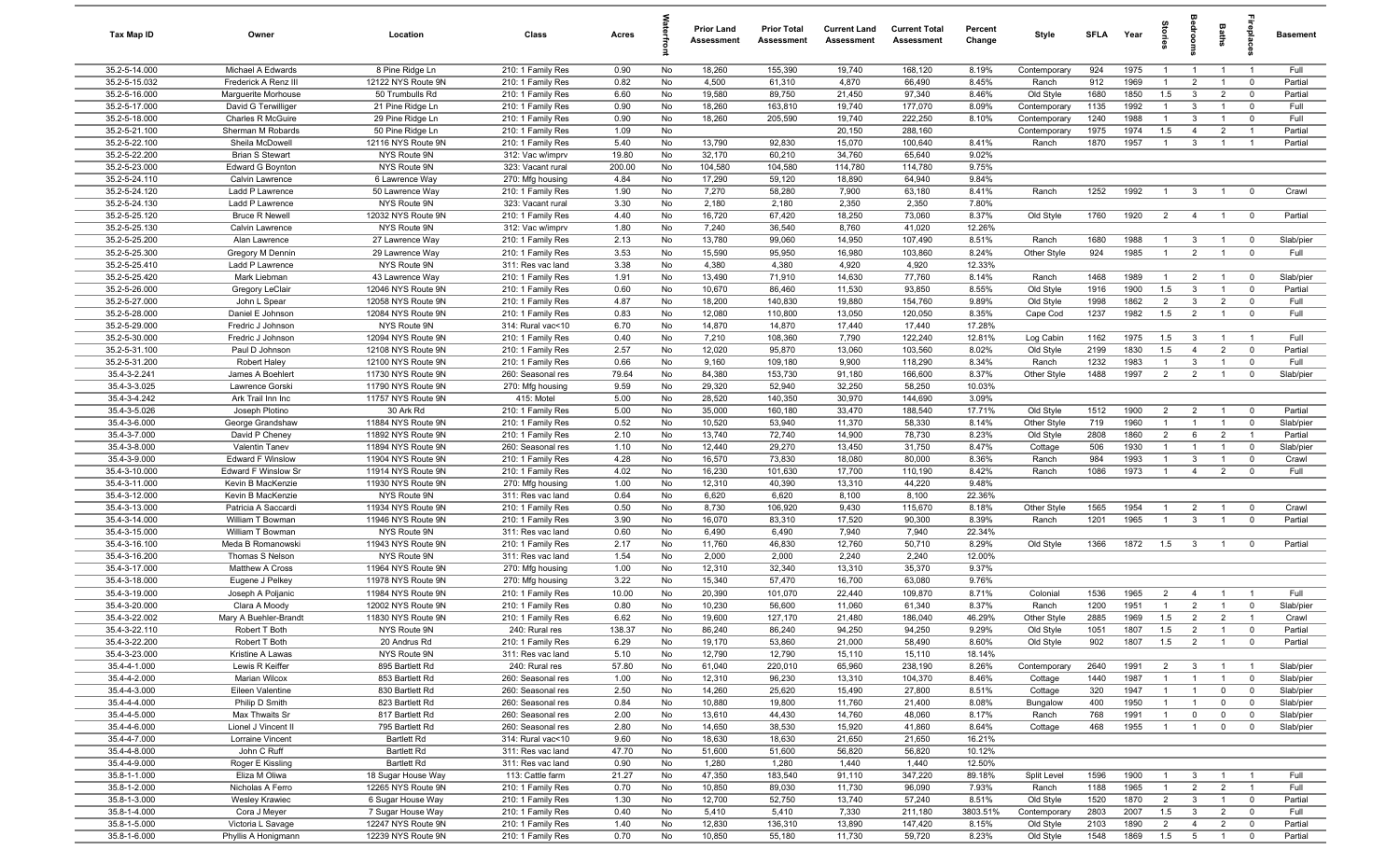| Tax Map ID                     | Owner                                     | Location                                 | Class                                  | Acres         |          | Prior Land<br>Assessment | <b>Prior Total</b><br>Assessment | <b>Current Land</b><br>Assessment | <b>Current Total</b><br>Assessment | Percent<br>Change | Style                        | SFLA         | Year         | tories                           | droom                            | <b>Baths</b>                     | relai                            | <b>Basement</b>      |
|--------------------------------|-------------------------------------------|------------------------------------------|----------------------------------------|---------------|----------|--------------------------|----------------------------------|-----------------------------------|------------------------------------|-------------------|------------------------------|--------------|--------------|----------------------------------|----------------------------------|----------------------------------|----------------------------------|----------------------|
| 35.2-5-14.000                  | Michael A Edwards                         | 8 Pine Ridge Ln                          | 210: 1 Family Res                      | 0.90          | No       | 18,260                   | 155,390                          | 19,740                            | 168,120                            | 8.19%             | Contemporary                 | 924          | 1975         | -1                               | $\overline{1}$                   | $\overline{1}$                   | $\overline{1}$                   | Full                 |
| 35.2-5-15.032                  | Frederick A Renz III                      | 12122 NYS Route 9N                       | 210: 1 Family Res                      | 0.82          | No       | 4,500                    | 61,310                           | 4,870                             | 66,490                             | 8.45%             | Ranch                        | 912          | 1969         |                                  | $\overline{2}$                   | -1                               | $\mathbf 0$                      | Partial              |
| 35.2-5-16.000                  | Marquerite Morhouse                       | 50 Trumbulls Rd                          | 210: 1 Family Res                      | 6.60          | No       | 19,580                   | 89,750                           | 21,450                            | 97,340                             | 8.46%             | Old Style                    | 1680         | 1850         | 1.5                              | 3                                | $\overline{2}$                   | $\mathbf 0$                      | Partial              |
| 35.2-5-17.000<br>35.2-5-18.000 | David G Terwilliger<br>Charles R McGuire  | 21 Pine Ridge Ln<br>29 Pine Ridge Ln     | 210: 1 Family Res<br>210: 1 Family Res | 0.90<br>0.90  | No<br>No | 18,260<br>18,260         | 163,810<br>205,590               | 19,740<br>19,740                  | 177,070<br>222,250                 | 8.09%<br>8.10%    | Contemporary                 | 1135<br>1240 | 1992<br>1988 | $\mathbf{1}$                     | 3<br>3                           | $\overline{1}$                   | $\overline{0}$<br>$\overline{0}$ | Full<br>Full         |
| 35.2-5-21.100                  | Sherman M Robards                         | 50 Pine Ridge Ln                         | 210: 1 Family Res                      | 1.09          | No       |                          |                                  | 20,150                            | 288,160                            |                   | Contemporary<br>Contemporary | 1975         | 1974         | 1.5                              | $\overline{4}$                   | $\overline{2}$                   | $\overline{1}$                   | Partial              |
| 35.2-5-22.100                  | Sheila McDowell                           | 12116 NYS Route 9N                       | 210: 1 Family Res                      | 5.40          | No       | 13,790                   | 92,830                           | 15,070                            | 100,640                            | 8.41%             | Ranch                        | 1870         | 1957         | $\overline{1}$                   | 3                                | $\overline{1}$                   | $\overline{1}$                   | Partial              |
| 35.2-5-22.200                  | <b>Brian S Stewart</b>                    | NYS Route 9N                             | 312: Vac w/imprv                       | 19.80         | No       | 32,170                   | 60,210                           | 34,760                            | 65,640                             | 9.02%             |                              |              |              |                                  |                                  |                                  |                                  |                      |
| 35.2-5-23.000                  | Edward G Boynton                          | NYS Route 9N                             | 323: Vacant rural                      | 200.00        | No       | 104,580                  | 104,580                          | 114,780                           | 114,780                            | 9.75%             |                              |              |              |                                  |                                  |                                  |                                  |                      |
| 35.2-5-24.110                  | Calvin Lawrence                           | 6 Lawrence Way                           | 270: Mfg housing                       | 4.84          | No       | 17,290                   | 59,120                           | 18,890                            | 64,940                             | 9.84%             |                              |              |              |                                  |                                  |                                  |                                  |                      |
| 35.2-5-24.120                  | Ladd P Lawrence                           | 50 Lawrence Way                          | 210: 1 Family Res                      | 1.90          | No       | 7,270                    | 58,280                           | 7,900                             | 63,180                             | 8.41%             | Ranch                        | 1252         | 1992         |                                  | 3                                |                                  | $\mathbf{0}$                     | Crawl                |
| 35.2-5-24.130                  | Ladd P Lawrence                           | NYS Route 9N                             | 323: Vacant rural                      | 3.30          | No       | 2,180                    | 2,180                            | 2,350                             | 2,350                              | 7.80%             |                              |              |              |                                  |                                  |                                  |                                  |                      |
| 35.2-5-25.120                  | <b>Bruce R Newell</b>                     | 12032 NYS Route 9N                       | 210: 1 Family Res                      | 4.40          | No       | 16,720                   | 67,420                           | 18,250                            | 73,060                             | 8.37%             | Old Style                    | 1760         | 1920         | $\overline{2}$                   | $\overline{4}$                   | $\overline{1}$                   | $\overline{0}$                   | Partial              |
| 35.2-5-25.130                  | Calvin Lawrence                           | NYS Route 9N                             | 312: Vac w/imprv                       | 1.80          | No       | 7,240                    | 36,540                           | 8,760                             | 41,020                             | 12.26%            |                              |              |              |                                  |                                  |                                  |                                  |                      |
| 35.2-5-25.200                  | Alan Lawrence                             | 27 Lawrence Way                          | 210: 1 Family Res                      | 2.13          | No       | 13,780                   | 99,060                           | 14,950                            | 107,490                            | 8.51%             | Ranch                        | 1680         | 1988         |                                  | 3                                | $\overline{1}$                   | $\mathbf 0$                      | Slab/pier            |
| 35.2-5-25.300                  | Gregory M Dennin                          | 29 Lawrence Way                          | 210: 1 Family Res                      | 3.53          | No       | 15,590                   | 95,950                           | 16,980                            | 103,860                            | 8.24%             | Other Style                  | 924          | 1985         |                                  | $\overline{2}$                   | $\overline{1}$                   | $\mathbf 0$                      | Full                 |
| 35.2-5-25.410                  | Ladd P Lawrence                           | NYS Route 9N                             | 311: Res vac land                      | 3.38          | No       | 4,380                    | 4,380                            | 4,920<br>14,630                   | 4,920                              | 12.33%            |                              |              |              |                                  |                                  |                                  |                                  |                      |
| 35.2-5-25.420<br>35.2-5-26.000 | Mark Liebman<br>Gregory LeClair           | 43 Lawrence Way<br>12046 NYS Route 9N    | 210: 1 Family Res<br>210: 1 Family Res | 1.91<br>0.60  | No<br>No | 13,490<br>10,670         | 71,910<br>86,460                 | 11,530                            | 77,760<br>93,850                   | 8.14%<br>8.55%    | Ranch<br>Old Style           | 1468<br>1916 | 1989<br>1900 | 1.5                              | $\overline{2}$<br>$\mathbf{3}$   | $\overline{1}$<br>$\overline{1}$ | $\overline{0}$<br>$\overline{0}$ | Slab/pier<br>Partial |
| 35.2-5-27.000                  | John L Spear                              | 12058 NYS Route 9N                       | 210: 1 Family Res                      | 4.87          | No       | 18,200                   | 140,830                          | 19,880                            | 154,760                            | 9.89%             | Old Style                    | 1998         | 1862         | $\overline{2}$                   | 3                                | $\overline{2}$                   | $\overline{0}$                   | Full                 |
| 35.2-5-28.000                  | Daniel E Johnson                          | 12084 NYS Route 9N                       | 210: 1 Family Res                      | 0.83          | No       | 12,080                   | 110,800                          | 13,050                            | 120,050                            | 8.35%             | Cape Cod                     | 1237         | 1982         | 1.5                              | $\overline{2}$                   | $\overline{1}$                   | $\mathbf 0$                      | Full                 |
| 35.2-5-29.000                  | Fredric J Johnson                         | NYS Route 9N                             | 314: Rural vac<10                      | 6.70          | No       | 14,870                   | 14,870                           | 17,440                            | 17,440                             | 17.28%            |                              |              |              |                                  |                                  |                                  |                                  |                      |
| 35.2-5-30.000                  | Fredric J Johnson                         | 12094 NYS Route 9N                       | 210: 1 Family Res                      | 0.40          | No       | 7,210                    | 108,360                          | 7,790                             | 122,240                            | 12.81%            | Log Cabin                    | 1162         | 1975         | 1.5                              | 3                                | $\overline{1}$                   | $\overline{1}$                   | Full                 |
| 35.2-5-31.100                  | Paul D Johnson                            | 12108 NYS Route 9N                       | 210: 1 Family Res                      | 2.57          | No       | 12,020                   | 95,870                           | 13,060                            | 103,560                            | 8.02%             | Old Style                    | 2199         | 1830         | 1.5                              | $\overline{4}$                   | $\overline{2}$                   | $\mathbf 0$                      | Partial              |
| 35.2-5-31.200                  | <b>Robert Haley</b>                       | 12100 NYS Route 9N                       | 210: 1 Family Res                      | 0.66          | No       | 9,160                    | 109,180                          | 9,900                             | 118,290                            | 8.34%             | Ranch                        | 1232         | 1983         | $\mathbf{1}$                     | $\mathbf{3}$                     | $\overline{1}$                   | $\mathbf 0$                      | Full                 |
| 35.4-3-2.241                   | James A Boehlert                          | 11730 NYS Route 9N                       | 260: Seasonal res                      | 79.64         | No       | 84,380                   | 153,730                          | 91,180                            | 166,600                            | 8.37%             | Other Style                  | 1488         | 1997         | 2                                | $\overline{2}$                   | $\overline{1}$                   | $\mathbf 0$                      | Slab/pier            |
| 35.4-3-3.025                   | Lawrence Gorski                           | 11790 NYS Route 9N                       | 270: Mfg housing                       | 9.59          | No       | 29,320                   | 52,940                           | 32,250                            | 58,250                             | 10.03%            |                              |              |              |                                  |                                  |                                  |                                  |                      |
| 35.4-3-4.242                   | Ark Trail Inn Inc                         | 11757 NYS Route 9N                       | 415: Motel                             | 5.00          | No       | 28,520                   | 140,350                          | 30,970                            | 144,690                            | 3.09%             |                              |              |              |                                  |                                  |                                  |                                  |                      |
| 35.4-3-5.026                   | Joseph Plotino                            | 30 Ark Rd                                | 210: 1 Family Res                      | 5.00          | No       | 35,000                   | 160,180                          | 33,470                            | 188,540                            | 17.71%            | Old Style                    | 1512         | 1900         | $\overline{2}$                   | $\overline{2}$                   | $\overline{1}$                   | $\overline{0}$                   | Partial              |
| 35.4-3-6.000                   | George Grandshaw                          | 11884 NYS Route 9N                       | 210: 1 Family Res                      | 0.52          | No       | 10,520                   | 53,940                           | 11,370                            | 58,330                             | 8.14%             | Other Style                  | 719          | 1960         | $\overline{1}$                   | $\overline{1}$                   | $\overline{1}$                   | $\overline{0}$                   | Slab/pier            |
| 35.4-3-7.000<br>35.4-3-8.000   | David P Cheney                            | 11892 NYS Route 9N                       | 210: 1 Family Res                      | 2.10          | No<br>No | 13,740<br>12,440         | 72,740<br>29,270                 | 14,900<br>13,450                  | 78,730<br>31,750                   | 8.23%<br>8.47%    | Old Style                    | 2808<br>506  | 1860<br>1930 | $\overline{2}$<br>$\overline{1}$ | 6<br>$\overline{1}$              | $\overline{2}$<br>$\overline{1}$ | $\overline{1}$<br>$\overline{0}$ | Partial              |
| 35.4-3-9.000                   | Valentin Tanev<br><b>Edward F Winslow</b> | 11894 NYS Route 9N<br>11904 NYS Route 9N | 260: Seasonal res<br>210: 1 Family Res | 1.10<br>4.28  | No       | 16,570                   | 73,830                           | 18,080                            | 80,000                             | 8.36%             | Cottage<br>Ranch             | 984          | 1993         | $\overline{1}$                   | 3                                | $\overline{1}$                   | $\mathbf 0$                      | Slab/pier<br>Crawl   |
| 35.4-3-10.000                  | Edward F Winslow Sr                       | 11914 NYS Route 9N                       | 210: 1 Family Res                      | 4.02          | No       | 16,230                   | 101,630                          | 17,700                            | 110,190                            | 8.42%             | Ranch                        | 1086         | 1973         | $\overline{1}$                   | $\overline{4}$                   | $\overline{2}$                   | $\overline{0}$                   | Full                 |
| 35.4-3-11.000                  | Kevin B MacKenzie                         | 11930 NYS Route 9N                       | 270: Mfg housing                       | 1.00          | No       | 12,310                   | 40,390                           | 13,310                            | 44,220                             | 9.48%             |                              |              |              |                                  |                                  |                                  |                                  |                      |
| 35.4-3-12.000                  | Kevin B MacKenzie                         | NYS Route 9N                             | 311: Res vac land                      | 0.64          | No       | 6,620                    | 6,620                            | 8,100                             | 8,100                              | 22.36%            |                              |              |              |                                  |                                  |                                  |                                  |                      |
| 35.4-3-13.000                  | Patricia A Saccardi                       | 11934 NYS Route 9N                       | 210: 1 Family Res                      | 0.50          | No       | 8,730                    | 106,920                          | 9,430                             | 115,670                            | 8.18%             | Other Style                  | 1565         | 1954         | $\overline{1}$                   | $\overline{2}$                   | $\overline{1}$                   | $\mathbf 0$                      | Crawl                |
| 35.4-3-14.000                  | William T Bowman                          | 11946 NYS Route 9N                       | 210: 1 Family Res                      | 3.90          | No       | 16,070                   | 83,310                           | 17,520                            | 90,300                             | 8.39%             | Ranch                        | 1201         | 1965         | $\overline{1}$                   | 3                                | $\overline{1}$                   | $\overline{0}$                   | Partial              |
| 35.4-3-15.000                  | William T Bowman                          | NYS Route 9N                             | 311: Res vac land                      | 0.60          | No       | 6,490                    | 6,490                            | 7,940                             | 7,940                              | 22.34%            |                              |              |              |                                  |                                  |                                  |                                  |                      |
| 35.4-3-16.100                  | Meda B Romanowski                         | 11943 NYS Route 9N                       | 210: 1 Family Res                      | 2.17          | No       | 11,760                   | 46,830                           | 12,760                            | 50,710                             | 8.29%             | Old Style                    | 1366         | 1872         | 1.5                              | $\mathbf{3}$                     | $\overline{1}$                   | $\mathbf 0$                      | Partial              |
| 35.4-3-16.200                  | Thomas S Nelson                           | NYS Route 9N                             | 311: Res vac land                      | 1.54          | No       | 2,000                    | 2,000                            | 2,240                             | 2,240                              | 12.00%            |                              |              |              |                                  |                                  |                                  |                                  |                      |
| 35.4-3-17.000                  | Matthew A Cross                           | 11964 NYS Route 9N                       | 270: Mfg housing                       | 1.00          | No       | 12,310                   | 32,340                           | 13,310                            | 35,370                             | 9.37%             |                              |              |              |                                  |                                  |                                  |                                  |                      |
| 35.4-3-18.000                  | Eugene J Pelkey                           | 11978 NYS Route 9N                       | 270: Mfg housing                       | 3.22          | No       | 15,340                   | 57,470                           | 16,700                            | 63,080                             | 9.76%             |                              |              |              |                                  |                                  |                                  | $\overline{1}$                   |                      |
| 35.4-3-19.000<br>35.4-3-20.000 | Joseph A Poljanic<br>Clara A Moody        | 11984 NYS Route 9N<br>12002 NYS Route 9N | 210: 1 Family Res<br>210: 1 Family Res | 10.00<br>0.80 | No<br>No | 20,390<br>10,230         | 101,070<br>56,600                | 22,440<br>11,060                  | 109,870<br>61,340                  | 8.71%<br>8.37%    | Colonial<br>Ranch            | 1536<br>1200 | 1965<br>1951 | $\overline{2}$<br>$\overline{1}$ | $\overline{4}$<br>$\overline{2}$ | $\overline{1}$<br>$\mathbf{1}$   | $\mathbf 0$                      | Full<br>Slab/pier    |
| 35.4-3-22.002                  | Mary A Buehler-Brandt                     | 11830 NYS Route 9N                       | 210: 1 Family Res                      | 6.62          | No       | 19,600                   | 127,170                          | 21,480                            | 186,040                            | 46.29%            | Other Style                  | 2885         | 1969         | 1.5                              | $\overline{2}$                   | $\overline{2}$                   | $\overline{1}$                   | Crawl                |
| 35.4-3-22.110                  | Robert T Both                             | NYS Route 9N                             | 240: Rural res                         | 138.37        | No.      | 86,240                   | 86,240                           | 94,250                            | 94,250                             | 9.29%             | Old Style                    | 1051         | 1807         | 1.5                              | 2                                | $\overline{1}$                   | $\Omega$                         | Partial              |
| 35.4-3-22.200                  | Robert T Both                             | 20 Andrus Rd                             | 210: 1 Family Res                      | 6.29          | No       | 19,170                   | 53,860                           | 21,000                            | 58,490                             | 8.60%             | Old Style                    | 902          | 1807         | 1.5                              | $\overline{2}$                   | $\overline{1}$                   | $\overline{0}$                   | Partial              |
| 35.4-3-23.000                  | Kristine A Lawas                          | NYS Route 9N                             | 311: Res vac land                      | 5.10          | No       | 12,790                   | 12,790                           | 15,110                            | 15,110                             | 18.14%            |                              |              |              |                                  |                                  |                                  |                                  |                      |
| 35.4-4-1.000                   | Lewis R Keiffer                           | 895 Bartlett Rd                          | 240: Rural res                         | 57.80         | No       | 61,040                   | 220,010                          | 65,960                            | 238,190                            | 8.26%             | Contemporary                 | 2640         | 1991         | $\overline{2}$                   | $\mathbf{3}$                     | $\overline{1}$                   | $\overline{1}$                   | Slab/pier            |
| 35.4-4-2.000                   | Marian Wilcox                             | 853 Bartlett Rd                          | 260: Seasonal res                      | 1.00          | No       | 12,310                   | 96,230                           | 13,310                            | 104,370                            | 8.46%             | Cottage                      | 1440         | 1987         | $\mathbf{1}$                     | $\overline{1}$                   | $\overline{1}$                   | $\overline{0}$                   | Slab/pier            |
| 35.4-4-3.000                   | Eileen Valentine                          | 830 Bartlett Rd                          | 260: Seasonal res                      | 2.50          | No       | 14,260                   | 25,620                           | 15,490                            | 27,800                             | 8.51%             | Cottage                      | 320          | 1947         |                                  | $\overline{1}$                   | $\mathbf{0}$                     | $\overline{0}$                   | Slab/pier            |
| 35.4-4-4.000                   | Philip D Smith                            | 823 Bartlett Rd                          | 260: Seasonal res                      | 0.84          | No       | 10,880                   | 19,800                           | 11,760                            | 21,400                             | 8.08%             | Bungalow                     | 400          | 1950         |                                  | $\overline{1}$                   | $\mathbf{0}$                     | $\overline{0}$                   | Slab/pier            |
| 35.4-4-5.000                   | Max Thwaits Sr                            | 817 Bartlett Rd                          | 260: Seasonal res                      | 2.00          | No       | 13,610                   | 44,430                           | 14,760                            | 48,060                             | 8.17%             | Ranch                        | 768          | 1991         |                                  | $\mathbf 0$                      | $\mathbf 0$                      | $\overline{0}$                   | Slab/pier            |
| 35.4-4-6.000                   | Lionel J Vincent II                       | 795 Bartlett Rd                          | 260: Seasonal res                      | 2.80          | No       | 14,650                   | 38,530                           | 15,920                            | 41,860                             | 8.64%             | Cottage                      | 468          | 1955         |                                  | $\overline{1}$                   | $\mathbf 0$                      | $\overline{0}$                   | Slab/pier            |
| 35.4-4-7.000                   | Lorraine Vincent                          | <b>Bartlett Rd</b>                       | 314: Rural vac<10                      | 9.60          | No       | 18,630                   | 18,630                           | 21,650                            | 21,650                             | 16.21%            |                              |              |              |                                  |                                  |                                  |                                  |                      |
| 35.4-4-8.000                   | John C Ruff                               | <b>Bartlett Rd</b>                       | 311: Res vac land                      | 47.70         | No       | 51,600                   | 51,600                           | 56,820                            | 56,820                             | 10.12%            |                              |              |              |                                  |                                  |                                  |                                  |                      |
| 35.4-4-9.000                   | Roger E Kissling                          | <b>Bartlett Rd</b>                       | 311: Res vac land                      | 0.90          | No       | 1,280                    | 1,280                            | 1,440                             | 1,440<br>347,220                   | 12.50%            |                              |              |              |                                  |                                  | $\overline{1}$                   | $\overline{1}$                   |                      |
| 35.8-1-1.000<br>35.8-1-2.000   | Eliza M Oliwa<br>Nicholas A Ferro         | 18 Sugar House Way<br>12265 NYS Route 9N | 113: Cattle farm<br>210: 1 Family Res  | 21.27<br>0.70 | No<br>No | 47,350<br>10,850         | 183,540<br>89,030                | 91,110<br>11,730                  | 96,090                             | 89.18%<br>7.93%   | Split Level<br>Ranch         | 1596<br>1188 | 1900<br>1965 | $\mathbf{1}$                     | 3<br>$\overline{2}$              | $\overline{2}$                   | $\overline{1}$                   | Full<br>Full         |
| 35.8-1-3.000                   | <b>Wesley Krawiec</b>                     | 6 Sugar House Way                        | 210: 1 Family Res                      | 1.30          | No       | 12,700                   | 52,750                           | 13,740                            | 57,240                             | 8.51%             | Old Style                    | 1520         | 1870         | $\overline{2}$                   | $\mathbf{3}$                     | $\overline{1}$                   | $\overline{0}$                   | Partial              |
| 35.8-1-4.000                   | Cora J Meyer                              | 7 Sugar House Way                        | 210: 1 Family Res                      | 0.40          | No       | 5,410                    | 5,410                            | 7,330                             | 211,180                            | 3803.51%          | Contemporary                 | 2803         | 2007         | 1.5                              | $\overline{3}$                   | $\overline{2}$                   | $\overline{0}$                   | Full                 |
| 35.8-1-5.000                   | Victoria L Savage                         | 12247 NYS Route 9N                       | 210: 1 Family Res                      | 1.40          | No       | 12,830                   | 136,310                          | 13,890                            | 147,420                            | 8.15%             | Old Style                    | 2103         | 1890         | $\overline{2}$                   | $\overline{4}$                   | $\overline{2}$                   | $\overline{0}$                   | Partial              |
| 35.8-1-6.000                   | Phyllis A Honigmann                       | 12239 NYS Route 9N                       | 210: 1 Family Res                      | 0.70          | No       | 10,850                   | 55,180                           | 11,730                            | 59,720                             | 8.23%             | Old Style                    | 1548         | 1869         | 1.5                              | $5^{\circ}$                      | $\overline{1}$                   | $\overline{0}$                   | Partial              |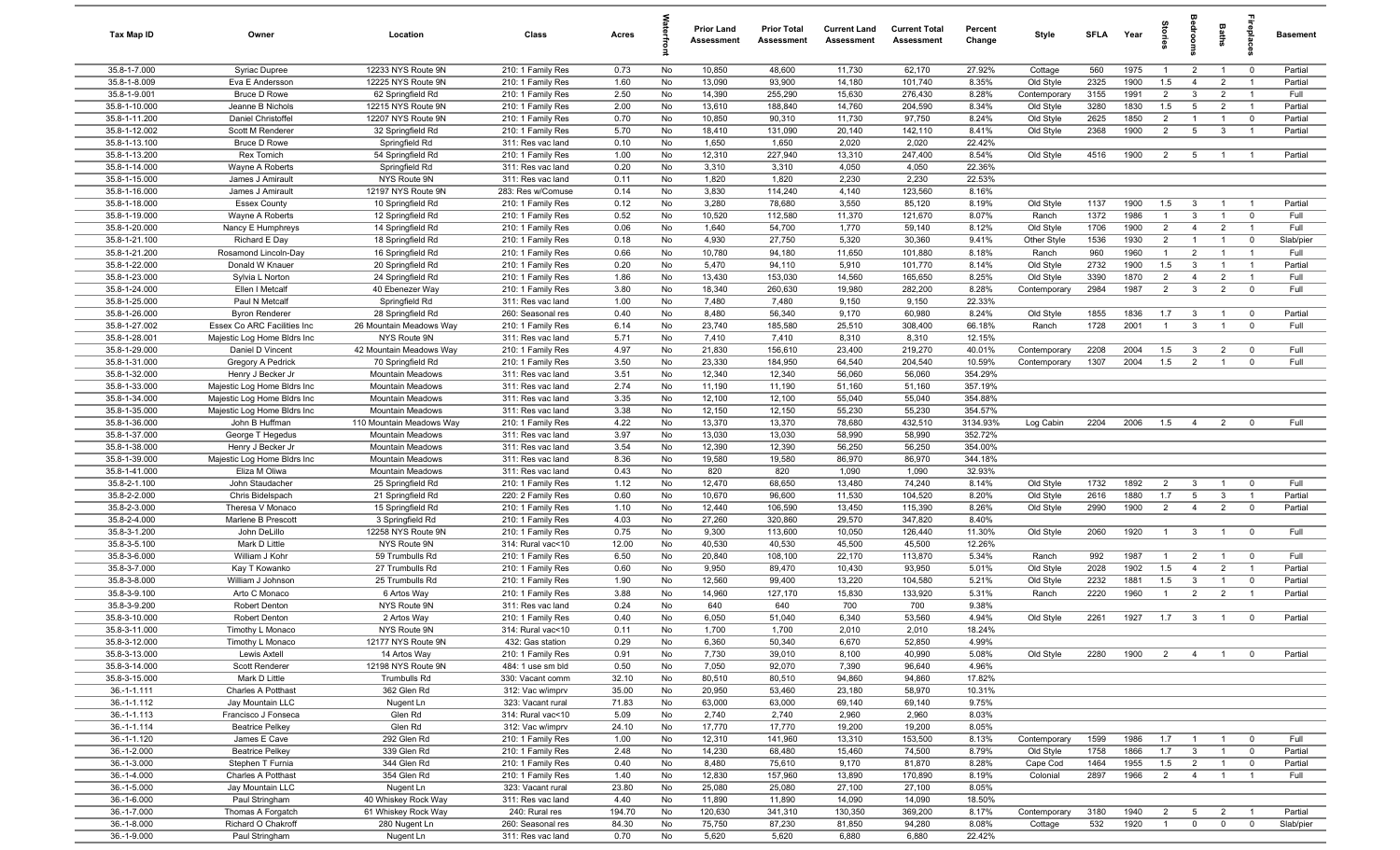| Tax Map ID                     | Owner                                         | Location                                     | Class                                  | Acres          |          | <b>Prior Land</b><br>Assessment | <b>Prior Total</b><br>Assessment | <b>Current Land</b><br>Assessment | <b>Current Total</b><br>Assessment | Percent<br>Change   | Style                  | <b>SFI A</b> | Year         | tories                           | droom                          | Baths          | ireplace              | <b>Basement</b>    |
|--------------------------------|-----------------------------------------------|----------------------------------------------|----------------------------------------|----------------|----------|---------------------------------|----------------------------------|-----------------------------------|------------------------------------|---------------------|------------------------|--------------|--------------|----------------------------------|--------------------------------|----------------|-----------------------|--------------------|
| 35.8-1-7.000                   | Syriac Dupree                                 | 12233 NYS Route 9N                           | 210: 1 Family Res                      | 0.73           | No       | 10,850                          | 48,600                           | 11,730                            | 62,170                             | 27.92%              | Cottage                | 560          | 1975         | $\overline{1}$                   | $\overline{2}$                 | $\overline{1}$ | $\overline{0}$        | Partial            |
| 35.8-1-8.009                   | Eva E Andersson                               | 12225 NYS Route 9N                           | 210: 1 Family Res                      | 1.60           | No       | 13,090                          | 93,900                           | 14,180                            | 101,740                            | 8.35%               | Old Style              | 2325         | 1900         | 1.5                              | $\overline{4}$                 | $\overline{2}$ | $\overline{1}$        | Partial            |
| 35.8-1-9.001                   | <b>Bruce D Rowe</b>                           | 62 Springfield Rd                            | 210: 1 Family Res                      | 2.50           | No       | 14,390                          | 255,290                          | 15,630                            | 276,430                            | 8.28%               | Contemporary           | 3155         | 1991         | $\overline{2}$                   | $\mathbf{3}$                   | $\overline{2}$ | $\overline{1}$        | Full               |
| 35.8-1-10.000                  | Jeanne B Nichols                              | 12215 NYS Route 9N                           | 210: 1 Family Res                      | 2.00           | No       | 13,610                          | 188,840                          | 14,760                            | 204,590                            | 8.34%               | Old Style              | 3280         | 1830         | 1.5                              | 5                              | $\overline{2}$ | - 1                   | Partial            |
| 35.8-1-11.200<br>35.8-1-12.002 | Daniel Christoffel<br>Scott M Renderer        | 12207 NYS Route 9N<br>32 Springfield Rd      | 210: 1 Family Res                      | 0.70<br>5.70   | No<br>No | 10,850<br>18,410                | 90,310<br>131,090                | 11,730<br>20,140                  | 97,750<br>142,110                  | 8.24%<br>8.41%      | Old Style<br>Old Style | 2625<br>2368 | 1850<br>1900 | $\overline{2}$<br>$\overline{2}$ | $\overline{1}$<br>5            | 3              | $\mathbf 0$           | Partial<br>Partial |
| 35.8-1-13.100                  | <b>Bruce D Rowe</b>                           | Springfield Rd                               | 210: 1 Family Res<br>311: Res vac land | 0.10           | No       | 1,650                           | 1,650                            | 2,020                             | 2,020                              | 22.42%              |                        |              |              |                                  |                                |                |                       |                    |
| 35.8-1-13.200                  | Rex Tomich                                    | 54 Springfield Rd                            | 210: 1 Family Res                      | 1.00           | No       | 12,310                          | 227,940                          | 13,310                            | 247,400                            | 8.54%               | Old Style              | 4516         | 1900         | 2                                | 5                              | $\overline{1}$ | - 1                   | Partial            |
| 35.8-1-14.000                  | Wayne A Roberts                               | Springfield Rd                               | 311: Res vac land                      | 0.20           | No       | 3,310                           | 3,310                            | 4,050                             | 4,050                              | 22.36%              |                        |              |              |                                  |                                |                |                       |                    |
| 35.8-1-15.000                  | James J Amirault                              | NYS Route 9N                                 | 311: Res vac land                      | 0.11           | No       | 1,820                           | 1,820                            | 2,230                             | 2,230                              | 22.53%              |                        |              |              |                                  |                                |                |                       |                    |
| 35.8-1-16.000                  | James J Amirault                              | 12197 NYS Route 9N                           | 283: Res w/Comuse                      | 0.14           | No       | 3,830                           | 114,240                          | 4,140                             | 123,560                            | 8.16%               |                        |              |              |                                  |                                |                |                       |                    |
| 35.8-1-18.000                  | <b>Essex County</b>                           | 10 Springfield Rd                            | 210: 1 Family Res                      | 0.12           | No       | 3,280                           | 78,680                           | 3,550                             | 85,120                             | 8.19%               | Old Style              | 1137         | 1900         | 1.5                              | $\mathbf{3}$                   | $\overline{1}$ | $\overline{1}$        | Partial            |
| 35.8-1-19.000                  | Wayne A Roberts                               | 12 Springfield Rd                            | 210: 1 Family Res                      | 0.52           | No       | 10,520                          | 112,580                          | 11,370                            | 121,670                            | 8.07%               | Ranch                  | 1372         | 1986         | $\mathbf{1}$                     | $\mathbf{3}$                   | $\overline{1}$ | $\mathbf 0$           | Full               |
| 35.8-1-20.000                  | Nancy E Humphreys                             | 14 Springfield Rd                            | 210: 1 Family Res                      | 0.06           | No       | 1,640                           | 54,700                           | 1,770                             | 59,140                             | 8.12%               | Old Style              | 1706         | 1900         | $\overline{2}$                   | $\overline{4}$                 | $\overline{2}$ | $\overline{1}$        | Full               |
| 35.8-1-21.100                  | Richard E Day                                 | 18 Springfield Rd                            | 210: 1 Family Res                      | 0.18           | No       | 4,930                           | 27,750                           | 5,320                             | 30,360                             | 9.41%               | Other Style            | 1536         | 1930         | 2                                | $\overline{1}$                 | $\overline{1}$ | $\mathbf 0$           | Slab/pier          |
| 35.8-1-21.200                  | Rosamond Lincoln-Day                          | 16 Springfield Rd                            | 210: 1 Family Res                      | 0.66           | No       | 10,780                          | 94,180                           | 11,650                            | 101,880                            | 8.18%               | Ranch                  | 960          | 1960         | $\mathbf{1}$                     | 2                              | $\overline{1}$ | $\overline{1}$        | Full               |
| 35.8-1-22.000<br>35.8-1-23.000 | Donald W Knauer<br>Sylvia L Norton            | 20 Springfield Rd<br>24 Springfield Rd       | 210: 1 Family Res<br>210: 1 Family Res | 0.20<br>1.86   | No<br>No | 5,470<br>13,430                 | 94,110<br>153,030                | 5,910<br>14,560                   | 101,770<br>165,650                 | 8.14%<br>8.25%      | Old Style<br>Old Style | 2732<br>3390 | 1900<br>1870 | 1.5<br>$\overline{2}$            | $\mathbf{3}$<br>$\overline{4}$ | $\overline{2}$ | - 1<br>$\overline{1}$ | Partial<br>Full    |
| 35.8-1-24.000                  | Ellen I Metcalf                               | 40 Ebenezer Way                              | 210: 1 Family Res                      | 3.80           | No       | 18,340                          | 260,630                          | 19,980                            | 282,200                            | 8.28%               | Contemporary           | 2984         | 1987         | $\overline{2}$                   | $\mathbf{3}$                   | $\overline{2}$ | $\mathbf 0$           | Full               |
| 35.8-1-25.000                  | Paul N Metcalf                                | Springfield Rd                               | 311: Res vac land                      | 1.00           | No       | 7,480                           | 7,480                            | 9,150                             | 9,150                              | 22.33%              |                        |              |              |                                  |                                |                |                       |                    |
| 35.8-1-26.000                  | <b>Byron Renderer</b>                         | 28 Springfield Rd                            | 260: Seasonal res                      | 0.40           | No       | 8,480                           | 56,340                           | 9,170                             | 60,980                             | 8.24%               | Old Style              | 1855         | 1836         | 1.7                              | $\mathbf{3}$                   |                | $\overline{0}$        | Partial            |
| 35.8-1-27.002                  | Essex Co ARC Facilities Inc                   | 26 Mountain Meadows Way                      | 210: 1 Family Res                      | 6.14           | No       | 23,740                          | 185,580                          | 25,510                            | 308,400                            | 66.18%              | Ranch                  | 1728         | 2001         | $\mathbf{1}$                     | $\mathbf{3}$                   | $\overline{1}$ | $\overline{0}$        | Full               |
| 35.8-1-28.001                  | Majestic Log Home Bldrs Inc                   | NYS Route 9N                                 | 311: Res vac land                      | 5.71           | No       | 7,410                           | 7,410                            | 8,310                             | 8,310                              | 12.15%              |                        |              |              |                                  |                                |                |                       |                    |
| 35.8-1-29.000                  | Daniel D Vincent                              | 42 Mountain Meadows Way                      | 210: 1 Family Res                      | 4.97           | No       | 21,830                          | 156,610                          | 23,400                            | 219,270                            | 40.01%              | Contemporary           | 2208         | 2004         | 1.5                              | $\mathbf{3}$                   | $\overline{2}$ | $^{\circ}$            | Full               |
| 35.8-1-31.000                  | Gregory A Pedrick                             | 70 Springfield Rd                            | 210: 1 Family Res                      | 3.50           | No       | 23,330                          | 184,950                          | 64,540                            | 204,540                            | 10.59%              | Contemporary           | 1307         | 2004         | 1.5                              | $\overline{2}$                 | $\overline{1}$ | $^{\circ}$            | Full               |
| 35.8-1-32.000                  | Henry J Becker Jr                             | <b>Mountain Meadows</b>                      | 311: Res vac land                      | 3.51           | No       | 12,340                          | 12,340                           | 56,060                            | 56,060                             | 354.29%             |                        |              |              |                                  |                                |                |                       |                    |
| 35.8-1-33.000                  | Majestic Log Home Bldrs Inc                   | Mountain Meadows                             | 311: Res vac land                      | 2.74           | No       | 11,190                          | 11,190                           | 51,160                            | 51,160                             | 357.19%             |                        |              |              |                                  |                                |                |                       |                    |
| 35.8-1-34.000                  | Majestic Log Home Bldrs Inc                   | Mountain Meadows                             | 311: Res vac land                      | 3.35           | No       | 12,100                          | 12,100                           | 55,040                            | 55,040                             | 354.88%             |                        |              |              |                                  |                                |                |                       |                    |
| 35.8-1-35.000<br>35.8-1-36.000 | Majestic Log Home Bldrs Inc<br>John B Huffman | Mountain Meadows<br>110 Mountain Meadows Way | 311: Res vac land<br>210: 1 Family Res | 3.38<br>4.22   | No<br>No | 12,150<br>13,370                | 12,150<br>13,370                 | 55,230<br>78,680                  | 55,230<br>432,510                  | 354.57%<br>3134.93% | Log Cabin              | 2204         | 2006         | 1.5                              | $\overline{4}$                 | $\overline{2}$ | $^{\circ}$            | Full               |
| 35.8-1-37.000                  | George T Hegedus                              | <b>Mountain Meadows</b>                      | 311: Res vac land                      | 3.97           | No       | 13,030                          | 13,030                           | 58,990                            | 58,990                             | 352.72%             |                        |              |              |                                  |                                |                |                       |                    |
| 35.8-1-38.000                  | Henry J Becker Jr                             | <b>Mountain Meadows</b>                      | 311: Res vac land                      | 3.54           | No       | 12,390                          | 12,390                           | 56,250                            | 56,250                             | 354.00%             |                        |              |              |                                  |                                |                |                       |                    |
| 35.8-1-39.000                  | Majestic Log Home Bldrs Inc                   | Mountain Meadows                             | 311: Res vac land                      | 8.36           | No       | 19,580                          | 19,580                           | 86,970                            | 86,970                             | 344.18%             |                        |              |              |                                  |                                |                |                       |                    |
| 35.8-1-41.000                  | Eliza M Oliwa                                 | Mountain Meadows                             | 311: Res vac land                      | 0.43           | No       | 820                             | 820                              | 1,090                             | 1,090                              | 32.93%              |                        |              |              |                                  |                                |                |                       |                    |
| 35.8-2-1.100                   | John Staudacher                               | 25 Springfield Rd                            | 210: 1 Family Res                      | 1.12           | No       | 12,470                          | 68,650                           | 13,480                            | 74,240                             | 8.14%               | Old Style              | 1732         | 1892         | $\overline{2}$                   | $\mathbf{3}$                   | $\overline{1}$ | $^{\circ}$            | Full               |
| 35.8-2-2.000                   | Chris Bidelspach                              | 21 Springfield Rd                            | 220: 2 Family Res                      | 0.60           | No       | 10,670                          | 96,600                           | 11,530                            | 104,520                            | 8.20%               | Old Style              | 2616         | 1880         | 1.7                              | 5                              | $\mathbf{3}$   | $\overline{1}$        | Partial            |
| 35.8-2-3.000                   | Theresa V Monaco                              | 15 Springfield Rd                            | 210: 1 Family Res                      | 1.10           | No       | 12,440                          | 106,590                          | 13,450                            | 115,390                            | 8.26%               | Old Style              | 2990         | 1900         | $\overline{2}$                   | $\overline{4}$                 | $\overline{2}$ | $\mathbf 0$           | Partial            |
| 35.8-2-4.000                   | Marlene B Prescott                            | 3 Springfield Rd                             | 210: 1 Family Res                      | 4.03           | No       | 27,260                          | 320,860                          | 29,570                            | 347,820                            | 8.40%               |                        |              |              |                                  |                                |                |                       |                    |
| 35.8-3-1.200<br>35.8-3-5.100   | John DeLillo                                  | 12258 NYS Route 9N                           | 210: 1 Family Res                      | 0.75           | No       | 9,300                           | 113,600                          | 10,050                            | 126,440                            | 11.30%              | Old Style              | 2060         | 1920         | $\overline{1}$                   | 3                              | $\overline{1}$ | $\overline{0}$        | Full               |
| 35.8-3-6.000                   | Mark D Little<br>William J Kohr               | NYS Route 9N<br>59 Trumbulls Rd              | 314: Rural vac<10<br>210: 1 Family Res | 12.00<br>6.50  | No<br>No | 40,530<br>20,840                | 40,530<br>108,100                | 45,500<br>22,170                  | 45,500<br>113,870                  | 12.26%<br>5.34%     | Ranch                  | 992          | 1987         | $\overline{1}$                   | $\overline{2}$                 | $\overline{1}$ | $\mathbf 0$           | Full               |
| 35.8-3-7.000                   | Kay T Kowanko                                 | 27 Trumbulls Rd                              | 210: 1 Family Res                      | 0.60           | No       | 9,950                           | 89,470                           | 10,430                            | 93,950                             | 5.01%               | Old Style              | 2028         | 1902         | 1.5                              | $\overline{4}$                 | $\overline{2}$ | -1                    | Partial            |
| 35.8-3-8.000                   | William J Johnson                             | 25 Trumbulls Rd                              | 210: 1 Family Res                      | 1.90           | No       | 12,560                          | 99,400                           | 13,220                            | 104,580                            | 5.21%               | Old Style              | 2232         | 1881         | 1.5                              | $\mathbf{3}$                   |                | $\mathbf 0$           | Partial            |
| 35.8-3-9.100                   | Arto C Monaco                                 | 6 Artos Way                                  | 210: 1 Family Res                      | 3.88           | No       | 14,960                          | 127,170                          | 15,830                            | 133,920                            | 5.31%               | Ranch                  | 2220         | 1960         | $\mathbf{1}$                     | $\overline{2}$                 | $\overline{2}$ | $\overline{1}$        | Partial            |
| 35.8-3-9.200                   | Robert Denton                                 | NYS Route 9N                                 | 311: Res vac land                      | 0.24           | No       | 640                             | 640                              | 700                               | 700                                | 9.38%               |                        |              |              |                                  |                                |                |                       |                    |
| 35.8-3-10.000                  | Robert Denton                                 | 2 Artos Way                                  | 210: 1 Family Res                      | 0.40           | No       | 6,050                           | 51,040                           | 6,340                             | 53,560                             | 4.94%               | Old Style              | 2261         | 1927         | 1.7                              | $\mathbf{3}$                   | $\overline{1}$ | $^{\circ}$            | Partial            |
| 35.8-3-11.000                  | Timothy L Monaco                              | NYS Route 9N                                 | 314: Rural vac<10                      | 0.11           | No       | 1,700                           | 1,700                            | 2,010                             | 2,010                              | 18.24%              |                        |              |              |                                  |                                |                |                       |                    |
| 35.8-3-12.000                  | Timothy L Monaco                              | 12177 NYS Route 9N                           | 432: Gas station                       | 0.29           | No       | 6,360                           | 50,340                           | 6,670                             | 52,850                             | 4.99%               |                        |              |              |                                  |                                |                |                       |                    |
| 35.8-3-13.000                  | Lewis Axtell                                  | 14 Artos Way                                 | 210: 1 Family Res                      | 0.91           | No       | 7,730                           | 39,010                           | 8,100                             | 40,990                             | 5.08%               | Old Style              | 2280         | 1900         | 2                                | $\overline{4}$                 | $\overline{1}$ | $\overline{0}$        | Partial            |
| 35.8-3-14.000                  | Scott Renderer                                | 12198 NYS Route 9N                           | 484: 1 use sm bld                      | 0.50           | No       | 7,050                           | 92,070                           | 7,390                             | 96,640                             | 4.96%               |                        |              |              |                                  |                                |                |                       |                    |
| 35.8-3-15.000                  | Mark D Little<br>Charles A Potthast           | Trumbulls Rd<br>362 Glen Rd                  | 330: Vacant comm<br>312: Vac w/imprv   | 32.10<br>35.00 | No       | 80,510<br>20,950                | 80,510<br>53,460                 | 94,860<br>23,180                  | 94,860<br>58,970                   | 17.82%<br>10.31%    |                        |              |              |                                  |                                |                |                       |                    |
| $36.-1-1.111$<br>36.-1-1.112   | Jay Mountain LLC                              | Nugent Ln                                    | 323: Vacant rural                      | 71.83          | No<br>No | 63,000                          | 63,000                           | 69,140                            | 69,140                             | 9.75%               |                        |              |              |                                  |                                |                |                       |                    |
| $36. - 1 - 1.113$              | Francisco J Fonseca                           | Glen Rd                                      | 314: Rural vac<10                      | 5.09           | No       | 2,740                           | 2,740                            | 2,960                             | 2,960                              | 8.03%               |                        |              |              |                                  |                                |                |                       |                    |
| $36.-1-1.114$                  | <b>Beatrice Pelkey</b>                        | Glen Rd                                      | 312: Vac w/imprv                       | 24.10          | No       | 17,770                          | 17,770                           | 19,200                            | 19,200                             | 8.05%               |                        |              |              |                                  |                                |                |                       |                    |
| 36.-1-1.120                    | James E Cave                                  | 292 Glen Rd                                  | 210: 1 Family Res                      | 1.00           | No       | 12,310                          | 141,960                          | 13,310                            | 153,500                            | 8.13%               | Contemporary           | 1599         | 1986         | 1.7                              | $\overline{1}$                 |                | $\overline{0}$        | Full               |
| 36.-1-2.000                    | <b>Beatrice Pelkey</b>                        | 339 Glen Rd                                  | 210: 1 Family Res                      | 2.48           | No       | 14,230                          | 68,480                           | 15,460                            | 74,500                             | 8.79%               | Old Style              | 1758         | 1866         | 1.7                              | $\mathbf{3}$                   |                | $\overline{0}$        | Partial            |
| 36.-1-3.000                    | Stephen T Furnia                              | 344 Glen Rd                                  | 210: 1 Family Res                      | 0.40           | No       | 8,480                           | 75,610                           | 9,170                             | 81,870                             | 8.28%               | Cape Cod               | 1464         | 1955         | 1.5                              | $\overline{2}$                 | $\overline{1}$ | $\overline{0}$        | Partial            |
| 36.-1-4.000                    | Charles A Potthast                            | 354 Glen Rd                                  | 210: 1 Family Res                      | 1.40           | No       | 12,830                          | 157,960                          | 13,890                            | 170,890                            | 8.19%               | Colonial               | 2897         | 1966         | $\overline{2}$                   | $\overline{4}$                 | $\overline{1}$ | $\overline{1}$        | Full               |
| 36.-1-5.000                    | Jay Mountain LLC                              | Nugent Ln                                    | 323: Vacant rural                      | 23.80          | No       | 25,080                          | 25,080                           | 27,100                            | 27,100                             | 8.05%               |                        |              |              |                                  |                                |                |                       |                    |
| 36.-1-6.000                    | Paul Stringham                                | 40 Whiskey Rock Way                          | 311: Res vac land                      | 4.40           | No       | 11,890                          | 11,890                           | 14,090                            | 14,090                             | 18.50%              |                        |              |              |                                  |                                |                |                       |                    |
| 36.-1-7.000                    | Thomas A Forgatch                             | 61 Whiskey Rock Way                          | 240: Rural res                         | 194.70         | No       | 120,630                         | 341,310                          | 130,350                           | 369,200                            | 8.17%               | Contemporary           | 3180         | 1940         | $\overline{2}$<br>$\mathbf{1}$   | $5\overline{)}$                | $\overline{2}$ | $\overline{1}$        | Partial            |
| 36.-1-8.000<br>36.-1-9.000     | Richard O Chakroff<br>Paul Stringham          | 280 Nugent Ln<br>Nugent Ln                   | 260: Seasonal res<br>311: Res vac land | 84.30<br>0.70  | No<br>No | 75,750<br>5,620                 | 87,230<br>5,620                  | 81,850<br>6,880                   | 94,280<br>6,880                    | 8.08%<br>22.42%     | Cottage                | 532          | 1920         |                                  | $\overline{0}$                 | $\mathbf 0$    | $\mathbf 0$           | Slab/pier          |
|                                |                                               |                                              |                                        |                |          |                                 |                                  |                                   |                                    |                     |                        |              |              |                                  |                                |                |                       |                    |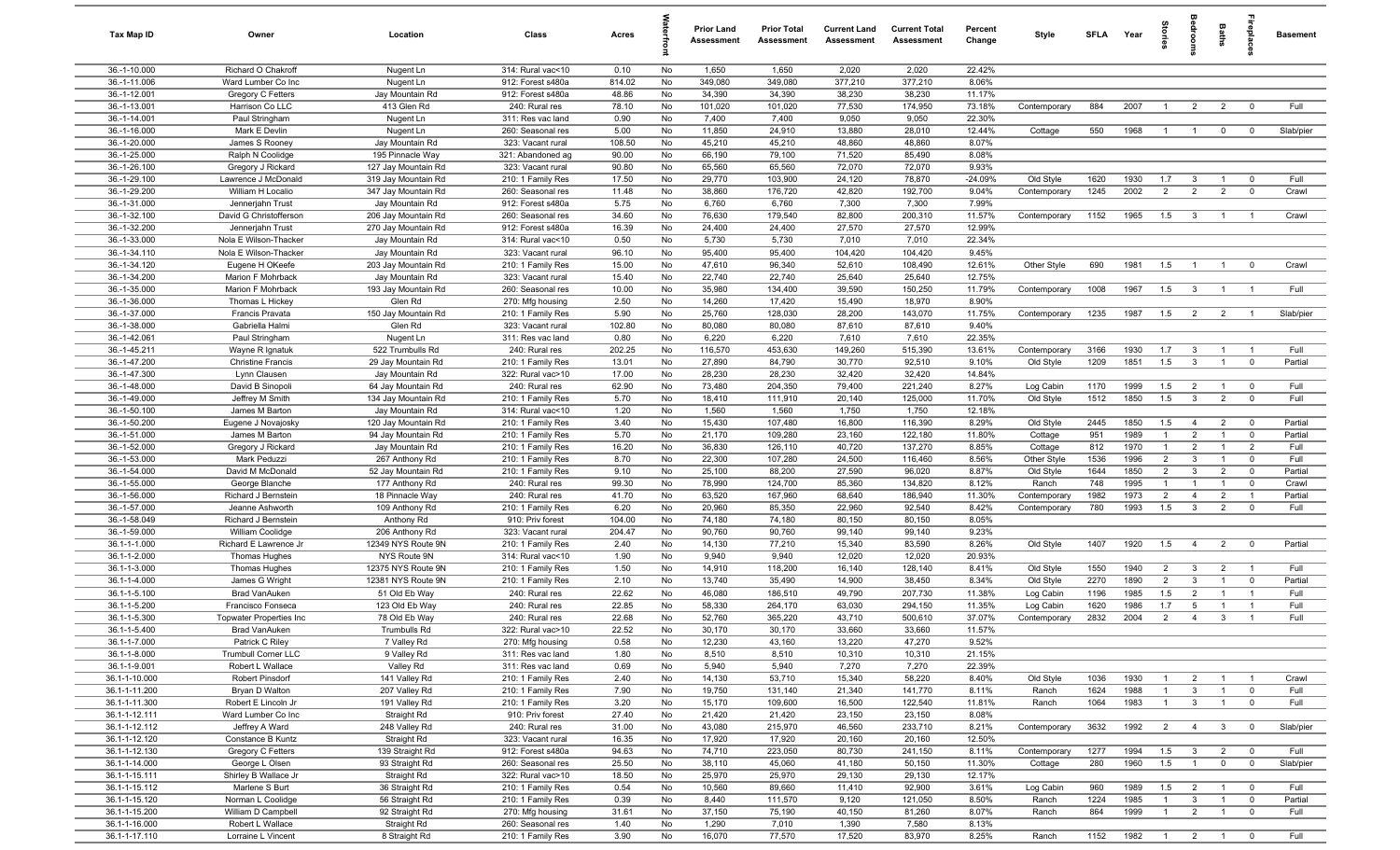| Tax Map ID                     | Owner                                  | Location                            | Class                                  | Acres          |          | <b>Prior Land</b><br>Assessment | <b>Prior Total</b><br>Assessment | <b>Current Land</b><br>Assessment | <b>Current Total</b><br>Assessment | Percent<br>Change | Style          | SFLA Year    |              | Stori                          | groo                           | Baths                            | <b>Gebla</b>                  | <b>Basement</b> |
|--------------------------------|----------------------------------------|-------------------------------------|----------------------------------------|----------------|----------|---------------------------------|----------------------------------|-----------------------------------|------------------------------------|-------------------|----------------|--------------|--------------|--------------------------------|--------------------------------|----------------------------------|-------------------------------|-----------------|
| 36.-1-10.000                   | Richard O Chakroff                     | Nugent Ln                           | 314: Rural vac<10                      | 0.10           | No       | 1,650                           | 1,650                            | 2,020                             | 2,020                              | 22.42%            |                |              |              |                                |                                |                                  |                               |                 |
| 36.-1-11.006                   | Ward Lumber Co Inc                     | Nugent Ln                           | 912: Forest s480a                      | 814.02         | No       | 349,080                         | 349,080                          | 377,210                           | 377,210                            | 8.06%             |                |              |              |                                |                                |                                  |                               |                 |
| 36.-1-12.001                   | Gregory C Fetters                      | Jay Mountain Rd                     | 912: Forest s480a                      | 48.86          | No       | 34,390                          | 34,390                           | 38,230                            | 38,230                             | 11.17%            |                |              |              |                                |                                |                                  |                               |                 |
| 36.-1-13.001                   | Harrison Co LLC                        | 413 Glen Rd                         | 240: Rural res                         | 78.10          | No       | 101,020                         | 101,020                          | 77,530                            | 174,950                            | 73.18%            | Contemporary   | 884          | 2007         | $\overline{1}$                 | $\overline{2}$                 | $\overline{2}$                   | $^{\circ}$                    | Full            |
| 36.-1-14.001                   | Paul Stringham                         | Nugent Ln                           | 311: Res vac land                      | 0.90           | No       | 7,400                           | 7,400                            | 9,050                             | 9,050                              | 22.30%            |                |              |              |                                |                                |                                  |                               |                 |
| 36.-1-16.000<br>36.-1-20.000   | Mark E Devlin                          | Nugent Ln                           | 260: Seasonal res                      | 5.00<br>108.50 | No<br>No | 11,850<br>45,210                | 24,910<br>45,210                 | 13,880<br>48,860                  | 28,010<br>48,860                   | 12.44%<br>8.07%   | Cottage        | 550          | 1968         | $\overline{1}$                 | $\overline{1}$                 | $\mathbf 0$                      | $^{\circ}$                    | Slab/pier       |
| 36.-1-25.000                   | James S Rooney<br>Ralph N Coolidge     | Jay Mountain Rd<br>195 Pinnacle Way | 323: Vacant rural<br>321: Abandoned ag | 90.00          | No       | 66,190                          | 79,100                           | 71,520                            | 85,490                             | 8.08%             |                |              |              |                                |                                |                                  |                               |                 |
| 36.-1-26.100                   | Gregory J Rickard                      | 127 Jay Mountain Rd                 | 323: Vacant rural                      | 90.80          | No       | 65,560                          | 65,560                           | 72,070                            | 72,070                             | 9.93%             |                |              |              |                                |                                |                                  |                               |                 |
| 36.-1-29.100                   | Lawrence J McDonald                    | 319 Jay Mountain Rd                 | 210: 1 Family Res                      | 17.50          | No       | 29,770                          | 103,900                          | 24,120                            | 78,870                             | $-24.09%$         | Old Style      | 1620         | 1930         | 1.7                            | $\mathbf{3}$                   | $\overline{1}$                   | $^{\circ}$                    | Full            |
| 36.-1-29.200                   | William H Localio                      | 347 Jay Mountain Rd                 | 260: Seasonal res                      | 11.48          | No       | 38,860                          | 176,720                          | 42,820                            | 192,700                            | 9.04%             | Contemporary   | 1245         | 2002         | 2                              | 2                              | $\overline{2}$                   | $\mathbf 0$                   | Crawl           |
| 36.-1-31.000                   | Jennerjahn Trust                       | Jay Mountain Rd                     | 912: Forest s480a                      | 5.75           | No       | 6,760                           | 6,760                            | 7,300                             | 7,300                              | 7.99%             |                |              |              |                                |                                |                                  |                               |                 |
| 36.-1-32.100                   | David G Christofferson                 | 206 Jay Mountain Rd                 | 260: Seasonal res                      | 34.60          | No       | 76,630                          | 179,540                          | 82,800                            | 200,310                            | 11.57%            | Contemporary   | 1152         | 1965         | 1.5                            | $\mathbf{3}$                   | $\overline{1}$                   | $\overline{1}$                | Crawl           |
| 36.-1-32.200                   | Jennerjahn Trust                       | 270 Jay Mountain Rd                 | 912: Forest s480a                      | 16.39          | No       | 24,400                          | 24,400                           | 27,570                            | 27,570                             | 12.99%            |                |              |              |                                |                                |                                  |                               |                 |
| 36.-1-33.000                   | Nola E Wilson-Thacker                  | Jay Mountain Rd                     | 314: Rural vac<10                      | 0.50           | No       | 5,730                           | 5,730                            | 7,010                             | 7,010                              | 22.34%            |                |              |              |                                |                                |                                  |                               |                 |
| 36.-1-34.110                   | Nola E Wilson-Thacker                  | Jay Mountain Rd                     | 323: Vacant rural                      | 96.10          | No       | 95,400                          | 95,400                           | 104,420                           | 104,420                            | 9.45%             |                |              |              |                                |                                |                                  |                               |                 |
| 36.-1-34.120                   | Eugene H OKeefe                        | 203 Jay Mountain Rd                 | 210: 1 Family Res                      | 15.00          | No       | 47,610                          | 96,340                           | 52,610                            | 108,490                            | 12.61%            | Other Style    | 690          | 1981         | 1.5                            |                                |                                  | $^{\circ}$                    | Crawl           |
| 36.-1-34.200                   | Marion F Mohrback                      | Jay Mountain Rd                     | 323: Vacant rural                      | 15.40          | No       | 22,740                          | 22,740                           | 25,640                            | 25,640                             | 12.75%            |                |              |              |                                |                                |                                  |                               |                 |
| 36.-1-35.000                   | Marion F Mohrback                      | 193 Jay Mountain Rd                 | 260: Seasonal res                      | 10.00          | No       | 35,980                          | 134,400                          | 39,590                            | 150,250                            | 11.79%            | Contemporary   | 1008         | 1967         | 1.5                            | $\mathbf{3}$                   |                                  | $\overline{1}$                | Full            |
| 36.-1-36.000                   | Thomas L Hickey                        | Glen Rd                             | 270: Mfg housing                       | 2.50           | No       | 14,260                          | 17,420                           | 15,490                            | 18,970                             | 8.90%             |                |              |              |                                |                                |                                  |                               |                 |
| 36.-1-37.000<br>36.-1-38.000   | <b>Francis Pravata</b>                 | 150 Jay Mountain Rd<br>Glen Rd      | 210: 1 Family Res                      | 5.90           | No<br>No | 25,760                          | 128,030                          | 28,200                            | 143,070<br>87,610                  | 11.75%            | Contemporary   | 1235         | 1987         | 1.5                            | $\overline{2}$                 | $\overline{2}$                   | $\overline{1}$                | Slab/pier       |
| 36.-1-42.061                   | Gabriella Halmi<br>Paul Stringham      | Nugent Ln                           | 323: Vacant rural<br>311: Res vac land | 102.80<br>0.80 | No       | 80,080<br>6,220                 | 80,080<br>6,220                  | 87,610<br>7,610                   | 7,610                              | 9.40%<br>22.35%   |                |              |              |                                |                                |                                  |                               |                 |
| 36.-1-45.211                   | Wayne R Ignatuk                        | 522 Trumbulls Rd                    | 240: Rural res                         | 202.25         | No       | 116,570                         | 453,630                          | 149,260                           | 515,390                            | 13.61%            | Contemporary   | 3166         | 1930         | 1.7                            | $\mathbf{3}$                   | $\overline{1}$                   | $\overline{1}$                | Full            |
| 36.-1-47.200                   | <b>Christine Francis</b>               | 29 Jay Mountain Rd                  | 210: 1 Family Res                      | 13.01          | No       | 27,890                          | 84,790                           | 30,770                            | 92,510                             | 9.10%             | Old Style      | 1209         | 1851         | 1.5                            | $\mathbf{3}$                   | $\mathbf{1}$                     | $\mathbf 0$                   | Partial         |
| 36.-1-47.300                   | Lynn Clausen                           | Jay Mountain Rd                     | 322: Rural vac>10                      | 17.00          | No       | 28,230                          | 28,230                           | 32,420                            | 32,420                             | 14.84%            |                |              |              |                                |                                |                                  |                               |                 |
| 36.-1-48.000                   | David B Sinopoli                       | 64 Jay Mountain Rd                  | 240: Rural res                         | 62.90          | No       | 73,480                          | 204,350                          | 79,400                            | 221,240                            | 8.27%             | Log Cabin      | 1170         | 1999         | 1.5                            | $\overline{2}$                 | $\overline{1}$                   | $\mathbf 0$                   | Full            |
| 36.-1-49.000                   | Jeffrey M Smith                        | 134 Jay Mountain Rd                 | 210: 1 Family Res                      | 5.70           | No       | 18,410                          | 111,910                          | 20,140                            | 125,000                            | 11.70%            | Old Style      | 1512         | 1850         | 1.5                            | $\mathbf{3}$                   | $\overline{2}$                   | $\mathbf 0$                   | Full            |
| 36.-1-50.100                   | James M Barton                         | Jay Mountain Rd                     | 314: Rural vac<10                      | 1.20           | No       | 1,560                           | 1,560                            | 1,750                             | 1,750                              | 12.18%            |                |              |              |                                |                                |                                  |                               |                 |
| 36.-1-50.200                   | Eugene J Novajosky                     | 120 Jay Mountain Rd                 | 210: 1 Family Res                      | 3.40           | No       | 15,430                          | 107,480                          | 16,800                            | 116,390                            | 8.29%             | Old Style      | 2445         | 1850         | 1.5                            | $\overline{4}$                 | $\overline{2}$                   | $\overline{0}$                | Partial         |
| 36.-1-51.000                   | James M Barton                         | 94 Jay Mountain Rd                  | 210: 1 Family Res                      | 5.70           | No       | 21,170                          | 109,280                          | 23,160                            | 122,180                            | 11.80%            | Cottage        | 951          | 1989         | $\mathbf{1}$                   | $\overline{2}$                 | $\overline{1}$                   | $\mathbf 0$                   | Partial         |
| 36.-1-52.000                   | Gregory J Rickard                      | Jay Mountain Rd                     | 210: 1 Family Res                      | 16.20          | No       | 36,830                          | 126,110                          | 40,720                            | 137,270                            | 8.85%             | Cottage        | 812          | 1970         | $\overline{1}$                 | $\overline{2}$                 | $\overline{1}$                   | $\overline{2}$                | Full            |
| 36.-1-53.000                   | Mark Peduzzi                           | 267 Anthony Rd                      | 210: 1 Family Res                      | 8.70           | No       | 22,300                          | 107,280                          | 24,500                            | 116,460                            | 8.56%             | Other Style    | 1536         | 1996         | $\overline{2}$                 | $\mathbf{3}$                   | $\overline{1}$                   | $\overline{0}$                | Full            |
| 36.-1-54.000                   | David M McDonald                       | 52 Jay Mountain Rd                  | 210: 1 Family Res                      | 9.10           | No       | 25,100                          | 88,200                           | 27,590                            | 96,020                             | 8.87%             | Old Style      | 1644         | 1850         | 2                              | $\mathbf{3}$                   | $\overline{2}$                   | $\mathbf 0$                   | Partial         |
| 36.-1-55.000                   | George Blanche                         | 177 Anthony Rd                      | 240: Rural res                         | 99.30          | No       | 78,990                          | 124,700                          | 85,360                            | 134,820                            | 8.12%             | Ranch          | 748          | 1995         | $\overline{1}$                 | $\overline{1}$                 | $\overline{1}$                   | $\mathbf 0$                   | Crawl           |
| 36.-1-56.000<br>36.-1-57.000   | Richard J Bernstein                    | 18 Pinnacle Way<br>109 Anthony Rd   | 240: Rural res                         | 41.70<br>6.20  | No<br>No | 63,520<br>20,960                | 167,960<br>85,350                | 68,640<br>22,960                  | 186,940<br>92,540                  | 11.30%<br>8.42%   | Contemporary   | 1982<br>780  | 1973<br>1993 | $\overline{2}$<br>1.5          | $\overline{4}$<br>$\mathbf{3}$ | $\overline{2}$<br>$\overline{2}$ | $\overline{1}$<br>$^{\circ}$  | Partial<br>Full |
| 36.-1-58.049                   | Jeanne Ashworth<br>Richard J Bernstein | Anthony Rd                          | 210: 1 Family Res<br>910: Priv forest  | 104.00         | No       | 74,180                          | 74,180                           | 80,150                            | 80,150                             | 8.05%             | Contemporary   |              |              |                                |                                |                                  |                               |                 |
| 36.-1-59.000                   | William Coolidge                       | 206 Anthony Rd                      | 323: Vacant rural                      | 204.47         | No       | 90,760                          | 90,760                           | 99,140                            | 99,140                             | 9.23%             |                |              |              |                                |                                |                                  |                               |                 |
| 36.1-1-1.000                   | Richard E Lawrence Jr                  | 12349 NYS Route 9N                  | 210: 1 Family Res                      | 2.40           | No       | 14,130                          | 77,210                           | 15,340                            | 83,590                             | 8.26%             | Old Style      | 1407         | 1920         | 1.5                            | $\overline{4}$                 | $\overline{2}$                   | $\mathbf 0$                   | Partial         |
| 36.1-1-2.000                   | Thomas Hughes                          | NYS Route 9N                        | 314: Rural vac<10                      | 1.90           | No       | 9,940                           | 9,940                            | 12,020                            | 12,020                             | 20.93%            |                |              |              |                                |                                |                                  |                               |                 |
| 36.1-1-3.000                   | Thomas Hughes                          | 12375 NYS Route 9N                  | 210: 1 Family Res                      | 1.50           | No       | 14,910                          | 118,200                          | 16,140                            | 128,140                            | 8.41%             | Old Style      | 1550         | 1940         | $\overline{2}$                 | $\mathbf{3}$                   | $\overline{2}$                   | $\overline{1}$                | Full            |
| 36.1-1-4.000                   | James G Wright                         | 12381 NYS Route 9N                  | 210: 1 Family Res                      | 2.10           | No       | 13,740                          | 35,490                           | 14,900                            | 38,450                             | 8.34%             | Old Style      | 2270         | 1890         | 2                              | $\mathbf{3}$                   |                                  | $^{\circ}$                    | Partial         |
| 36.1-1-5.100                   | <b>Brad VanAuken</b>                   | 51 Old Eb Way                       | 240: Rural res                         | 22.62          | No       | 46,080                          | 186,510                          | 49,790                            | 207,730                            | 11.38%            | Log Cabin      | 1196         | 1985         | 1.5                            | $\overline{2}$                 |                                  | -1                            | Full            |
| 36.1-1-5.200                   | Francisco Fonseca                      | 123 Old Eb Way                      | 240: Rural res                         | 22.85          | No       | 58,330                          | 264,170                          | 63,030                            | 294,150                            | 11.35%            | Log Cabin      | 1620         | 1986         | 1.7                            | 5                              |                                  | $\overline{1}$                | Full            |
| 36.1-1-5.300                   | <b>Topwater Properties Inc</b>         | 78 Old Eb Way                       | 240: Rural res                         | 22.68          | No       | 52,760                          | 365,220                          | 43,710                            | 500,610                            | 37.07%            | Contemporary   | 2832         | 2004         | $\overline{2}$                 | $\overline{4}$                 | $\mathbf{3}$                     | $\overline{1}$                | Full            |
| 36.1-1-5.400                   | <b>Brad VanAuken</b>                   | Trumbulls Rd                        | 322: Rural vac>10                      | 22.52          | No       | 30,170                          | 30,170                           | 33,660                            | 33,660                             | 11.57%            |                |              |              |                                |                                |                                  |                               |                 |
| 36.1-1-7.000                   | Patrick C Riley                        | 7 Valley Rd                         | 270: Mfg housing                       | 0.58           | No       | 12,230                          | 43,160                           | 13,220                            | 47,270                             | 9.52%             |                |              |              |                                |                                |                                  |                               |                 |
| 36.1-1-8.000                   | <b>Trumbull Corner LLC</b>             | 9 Valley Rd                         | 311: Res vac land                      | 1.80           | No       | 8,510                           | 8,510                            | 10,310                            | 10,310                             | 21.15%            |                |              |              |                                |                                |                                  |                               |                 |
| 36.1-1-9.001                   | Robert L Wallace                       | Valley Rd                           | 311: Res vac land                      | 0.69           | No       | 5,940                           | 5,940                            | 7,270                             | 7,270                              | 22.39%            |                |              |              |                                |                                |                                  |                               |                 |
| 36.1-1-10.000                  | Robert Pinsdorf<br>Bryan D Walton      | 141 Valley Rd                       | 210: 1 Family Res                      | 2.40           | No       | 14,130                          | 53,710                           | 15,340                            | 58,220                             | 8.40%             | Old Style      | 1036         | 1930         | $\mathbf{1}$                   | $\overline{2}$                 | $\overline{1}$                   | $\overline{1}$<br>$\mathbf 0$ | Crawl           |
| 36.1-1-11.200<br>36.1-1-11.300 | Robert E Lincoln Jr                    | 207 Valley Rd<br>191 Valley Rd      | 210: 1 Family Res<br>210: 1 Family Res | 7.90<br>3.20   | No<br>No | 19,750<br>15,170                | 131,140<br>109,600               | 21,340<br>16,500                  | 141,770<br>122,540                 | 8.11%<br>11.81%   | Ranch<br>Ranch | 1624<br>1064 | 1988<br>1983 | $\mathbf{1}$<br>$\overline{1}$ | $\mathbf{3}$<br>$\mathbf{3}$   | $\overline{1}$<br>$\overline{1}$ | $\mathbf 0$                   | Full<br>Full    |
| 36.1-1-12.111                  | Ward Lumber Co Inc                     | Straight Rd                         | 910: Priv forest                       | 27.40          | No       | 21,420                          | 21,420                           | 23,150                            | 23,150                             | 8.08%             |                |              |              |                                |                                |                                  |                               |                 |
| 36.1-1-12.112                  | Jeffrey A Ward                         | 248 Valley Rd                       | 240: Rural res                         | 31.00          | No       | 43,080                          | 215,970                          | 46,560                            | 233,710                            | 8.21%             | Contemporary   | 3632         | 1992         | $\overline{2}$                 | $\overline{4}$                 | $\mathbf{3}$                     | $\overline{\mathbf{0}}$       | Slab/pier       |
| 36.1-1-12.120                  | Constance B Kuntz                      | Straight Rd                         | 323: Vacant rural                      | 16.35          | No       | 17,920                          | 17,920                           | 20,160                            | 20,160                             | 12.50%            |                |              |              |                                |                                |                                  |                               |                 |
| 36.1-1-12.130                  | Gregory C Fetters                      | 139 Straight Rd                     | 912: Forest s480a                      | 94.63          | No       | 74,710                          | 223,050                          | 80,730                            | 241,150                            | 8.11%             | Contemporary   | 1277         | 1994         | 1.5                            | $\overline{\mathbf{3}}$        | $\overline{2}$                   | $\overline{\mathbf{0}}$       | Full            |
| 36.1-1-14.000                  | George L Olsen                         | 93 Straight Rd                      | 260: Seasonal res                      | 25.50          | No       | 38,110                          | 45,060                           | 41,180                            | 50,150                             | 11.30%            | Cottage        | 280          | 1960         | 1.5                            | $\overline{1}$                 | $\mathbf 0$                      | $\mathbf 0$                   | Slab/pier       |
| 36.1-1-15.111                  | Shirley B Wallace Jr                   | Straight Rd                         | 322: Rural vac>10                      | 18.50          | No       | 25,970                          | 25,970                           | 29,130                            | 29,130                             | 12.17%            |                |              |              |                                |                                |                                  |                               |                 |
| 36.1-1-15.112                  | Marlene S Burt                         | 36 Straight Rd                      | 210: 1 Family Res                      | 0.54           | No       | 10,560                          | 89,660                           | 11,410                            | 92,900                             | 3.61%             | Log Cabin      | 960          | 1989         | 1.5                            | $\overline{2}$                 | $\overline{1}$                   | $\overline{\mathbf{0}}$       | Full            |
| 36.1-1-15.120                  | Norman L Coolidge                      | 56 Straight Rd                      | 210: 1 Family Res                      | 0.39           | No       | 8,440                           | 111,570                          | 9,120                             | 121,050                            | 8.50%             | Ranch          | 1224         | 1985         | $\overline{1}$                 | $\mathbf{3}$                   | $\overline{1}$                   | $\mathbf 0$                   | Partial         |
| 36.1-1-15.200                  | William D Campbell                     | 92 Straight Rd                      | 270: Mfg housing                       | 31.61          | No       | 37,150                          | 75,190                           | 40,150                            | 81,260                             | 8.07%             | Ranch          | 864          | 1999         | $\overline{1}$                 | $\overline{2}$                 | $\mathbf{1}$                     | $\mathbf 0$                   | Full            |
| 36.1-1-16.000                  | Robert L Wallace                       | Straight Rd                         | 260: Seasonal res                      | 1.40           | No       | 1,290                           | 7,010                            | 1,390                             | 7,580                              | 8.13%             |                |              |              |                                |                                |                                  |                               |                 |
| 36.1-1-17.110                  | Lorraine L Vincent                     | 8 Straight Rd                       | 210: 1 Family Res                      | 3.90           | No       | 16,070                          | 77,570                           | 17,520                            | 83,970                             | 8.25%             | Ranch          | 1152         | 1982         |                                | $1 \qquad 2 \qquad 1$          |                                  | $\overline{0}$                | Full            |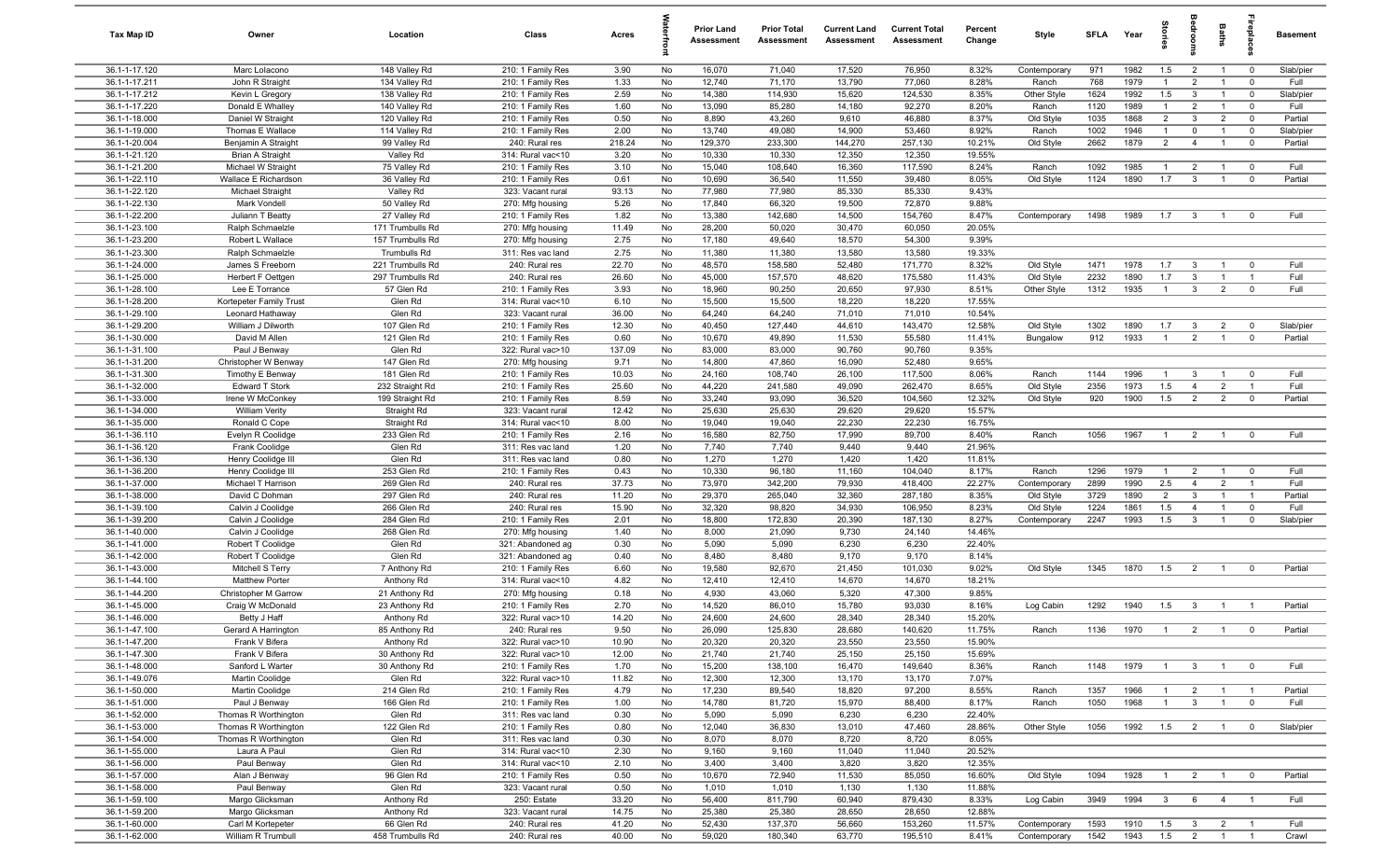| Tax Map ID                     | Owner                                          | Location                   | Class                                  | Acres          |          | <b>Prior Land</b><br>Assessment | <b>Prior Total</b><br>Assessment | <b>Current Land</b><br>Assessment | <b>Current Total</b><br>Assessment | Percent<br>Change | Style                  | <b>SFLA</b>  | Year         | Stori                          | droom                          | Baths                            | epla                          | Basement             |
|--------------------------------|------------------------------------------------|----------------------------|----------------------------------------|----------------|----------|---------------------------------|----------------------------------|-----------------------------------|------------------------------------|-------------------|------------------------|--------------|--------------|--------------------------------|--------------------------------|----------------------------------|-------------------------------|----------------------|
| 36.1-1-17.120                  | Marc Lolacono                                  | 148 Valley Rd              | 210: 1 Family Res                      | 3.90           | No       | 16,070                          | 71,040                           | 17,520                            | 76,950                             | 8.32%             | Contemporary           | 971          | 1982         | 1.5                            | $\overline{2}$                 | $\overline{1}$                   | $\mathbf 0$                   | Slab/pier            |
| 36.1-1-17.211                  | John R Straight                                | 134 Valley Rd              | 210: 1 Family Res                      | 1.33           | No       | 12,740                          | 71,170                           | 13,790                            | 77,060                             | 8.28%             | Ranch                  | 768          | 1979         | $\mathbf{1}$                   | $\overline{2}$                 | $\overline{1}$                   | $\mathbf 0$                   | Full                 |
| 36.1-1-17.212                  | Kevin L Gregory                                | 138 Valley Rd              | 210: 1 Family Res                      | 2.59           | No       | 14,380                          | 114,930                          | 15,620                            | 124,530                            | 8.35%             | Other Style            | 1624         | 1992         | 1.5                            | $\mathbf{3}$                   | $\overline{1}$                   | $\mathbf 0$                   | Slab/pier            |
| 36.1-1-17.220                  | Donald E Whalley                               | 140 Valley Rd              | 210: 1 Family Res                      | 1.60           | No       | 13,090                          | 85,280                           | 14,180                            | 92,270                             | 8.20%             | Ranch                  | 1120         | 1989         | $\mathbf{1}$                   | $\overline{2}$                 |                                  | $\mathbf 0$                   | Full                 |
| 36.1-1-18.000                  | Daniel W Straight                              | 120 Valley Rd              | 210: 1 Family Res                      | 0.50           | No       | 8,890                           | 43,260                           | 9,610                             | 46,880                             | 8.37%             | Old Style              | 1035         | 1868         | $\overline{2}$                 | $\mathbf{3}$                   | $\overline{2}$                   | $^{\circ}$                    | Partial              |
| 36.1-1-19.000<br>36.1-1-20.004 | Thomas E Wallace                               | 114 Valley Rd              | 210: 1 Family Res                      | 2.00<br>218.24 | No<br>No | 13,740<br>129,370               | 49,080<br>233,300                | 14,900<br>144,270                 | 53,460<br>257,130                  | 8.92%<br>10.21%   | Ranch                  | 1002<br>2662 | 1946<br>1879 | $\mathbf{1}$<br>$\overline{2}$ | $\mathbf 0$<br>$\overline{4}$  | $\overline{1}$                   | $\mathbf 0$                   | Slab/pier<br>Partial |
| 36.1-1-21.120                  | Benjamin A Straight<br><b>Brian A Straight</b> | 99 Valley Rd<br>Valley Rd  | 240: Rural res<br>314: Rural vac<10    | 3.20           | No       | 10,330                          | 10,330                           | 12,350                            | 12,350                             | 19.55%            | Old Style              |              |              |                                |                                |                                  | $\overline{0}$                |                      |
| 36.1-1-21.200                  | Michael W Straight                             | 75 Valley Rd               | 210: 1 Family Res                      | 3.10           | No       | 15,040                          | 108,640                          | 16,360                            | 117,590                            | 8.24%             | Ranch                  | 1092         | 1985         | $\overline{1}$                 | $\overline{2}$                 | $\overline{1}$                   | $^{\circ}$                    | Full                 |
| 36.1-1-22.110                  | Wallace E Richardson                           | 36 Valley Rd               | 210: 1 Family Res                      | 0.61           | No       | 10,690                          | 36,540                           | 11,550                            | 39,480                             | 8.05%             | Old Style              | 1124         | 1890         | 1.7                            | $\mathbf{3}$                   | $\overline{1}$                   | $\mathbf 0$                   | Partial              |
| 36.1-1-22.120                  | Michael Straight                               | Valley Rd                  | 323: Vacant rural                      | 93.13          | No       | 77,980                          | 77,980                           | 85,330                            | 85,330                             | 9.43%             |                        |              |              |                                |                                |                                  |                               |                      |
| 36.1-1-22.130                  | Mark Vondell                                   | 50 Valley Rd               | 270: Mfg housing                       | 5.26           | No       | 17,840                          | 66,320                           | 19,500                            | 72,870                             | 9.88%             |                        |              |              |                                |                                |                                  |                               |                      |
| 36.1-1-22.200                  | Juliann T Beatty                               | 27 Valley Rd               | 210: 1 Family Res                      | 1.82           | No       | 13,380                          | 142,680                          | 14,500                            | 154,760                            | 8.47%             | Contemporary           | 1498         | 1989         | 1.7                            | $\overline{3}$                 | $\overline{1}$                   | $\Omega$                      | Full                 |
| 36.1-1-23.100                  | Ralph Schmaelzle                               | 171 Trumbulls Rd           | 270: Mfg housing                       | 11.49          | No       | 28,200                          | 50,020                           | 30,470                            | 60,050                             | 20.05%            |                        |              |              |                                |                                |                                  |                               |                      |
| 36.1-1-23.200                  | Robert L Wallace                               | 157 Trumbulls Rd           | 270: Mfg housing                       | 2.75           | No       | 17,180                          | 49,640                           | 18,570                            | 54,300                             | 9.39%             |                        |              |              |                                |                                |                                  |                               |                      |
| 36.1-1-23.300                  | Ralph Schmaelzle                               | Trumbulls Rd               | 311: Res vac land                      | 2.75           | No       | 11,380                          | 11,380                           | 13,580                            | 13,580                             | 19.33%            |                        |              |              |                                |                                |                                  |                               |                      |
| 36.1-1-24.000                  | James S Freeborn                               | 221 Trumbulls Rd           | 240: Rural res                         | 22.70          | No       | 48,570                          | 158,580                          | 52,480                            | 171,770                            | 8.32%             | Old Style              | 1471         | 1978         | 1.7                            | $\mathbf{3}$                   |                                  | $^{\circ}$                    | Full                 |
| 36.1-1-25.000                  | Herbert F Oettgen                              | 297 Trumbulls Rd           | 240: Rural res                         | 26.60          | No       | 45,000                          | 157,570                          | 48,620                            | 175,580                            | 11.43%            | Old Style              | 2232         | 1890         | 1.7                            | $\mathbf{3}$                   |                                  |                               | Full                 |
| 36.1-1-28.100                  | Lee E Torrance                                 | 57 Glen Rd                 | 210: 1 Family Res                      | 3.93           | No       | 18,960                          | 90,250                           | 20,650                            | 97,930                             | 8.51%             | Other Style            | 1312         | 1935         | $\overline{1}$                 | $\mathbf{3}$                   | $\overline{2}$                   | $\Omega$                      | Full                 |
| 36.1-1-28.200                  | Kortepeter Family Trust                        | Glen Rd                    | 314: Rural vac<10                      | 6.10           | No       | 15,500                          | 15,500                           | 18,220                            | 18,220                             | 17.55%            |                        |              |              |                                |                                |                                  |                               |                      |
| 36.1-1-29.100<br>36.1-1-29.200 | Leonard Hathaway<br>William J Dilworth         | Glen Rd<br>107 Glen Rd     | 323: Vacant rural<br>210: 1 Family Res | 36.00<br>12.30 | No<br>No | 64,240<br>40,450                | 64,240<br>127,440                | 71,010<br>44,610                  | 71,010<br>143,470                  | 10.54%<br>12.58%  | Old Style              | 1302         | 1890         | 1.7                            | $\mathbf{3}$                   | $\overline{2}$                   | $^{\circ}$                    | Slab/pier            |
| 36.1-1-30.000                  | David M Allen                                  | 121 Glen Rd                | 210: 1 Family Res                      | 0.60           | No       | 10,670                          | 49,890                           | 11,530                            | 55,580                             | 11.41%            | Bungalow               | 912          | 1933         | $\overline{1}$                 | $\overline{2}$                 | $\overline{1}$                   | $\mathbf 0$                   | Partial              |
| 36.1-1-31.100                  | Paul J Benway                                  | Glen Rd                    | 322: Rural vac>10                      | 137.09         | No       | 83,000                          | 83,000                           | 90,760                            | 90,760                             | 9.35%             |                        |              |              |                                |                                |                                  |                               |                      |
| 36.1-1-31.200                  | Christopher W Benway                           | 147 Glen Rd                | 270: Mfg housing                       | 9.71           | No       | 14,800                          | 47,860                           | 16,090                            | 52,480                             | 9.65%             |                        |              |              |                                |                                |                                  |                               |                      |
| 36.1-1-31.300                  | Timothy E Benway                               | 181 Glen Rd                | 210: 1 Family Res                      | 10.03          | No       | 24,160                          | 108,740                          | 26,100                            | 117,500                            | 8.06%             | Ranch                  | 1144         | 1996         | $\overline{1}$                 | $\mathbf{3}$                   | $\overline{1}$                   | $^{\circ}$                    | Full                 |
| 36.1-1-32.000                  | <b>Edward T Stork</b>                          | 232 Straight Rd            | 210: 1 Family Res                      | 25.60          | No       | 44,220                          | 241,580                          | 49,090                            | 262,470                            | 8.65%             | Old Style              | 2356         | 1973         | 1.5                            | $\overline{4}$                 | $\overline{2}$                   | $\overline{1}$                | Full                 |
| 36.1-1-33.000                  | Irene W McConkey                               | 199 Straight Rd            | 210: 1 Family Res                      | 8.59           | No       | 33,240                          | 93,090                           | 36,520                            | 104,560                            | 12.32%            | Old Style              | 920          | 1900         | 1.5                            | $\overline{2}$                 | $\overline{2}$                   | $\mathbf 0$                   | Partial              |
| 36.1-1-34.000                  | <b>William Verity</b>                          | Straight Rd                | 323: Vacant rural                      | 12.42          | No       | 25,630                          | 25,630                           | 29,620                            | 29,620                             | 15.57%            |                        |              |              |                                |                                |                                  |                               |                      |
| 36.1-1-35.000                  | Ronald C Cope                                  | Straight Rd                | 314: Rural vac<10                      | 8.00           | No       | 19,040                          | 19,040                           | 22,230                            | 22,230                             | 16.75%            |                        |              |              |                                |                                |                                  |                               |                      |
| 36.1-1-36.110                  | Evelyn R Coolidge                              | 233 Glen Rd                | 210: 1 Family Res                      | 2.16           | No       | 16,580                          | 82,750                           | 17,990                            | 89,700                             | 8.40%             | Ranch                  | 1056         | 1967         | $\overline{1}$                 | $\overline{2}$                 |                                  | $^{\circ}$                    | Full                 |
| 36.1-1-36.120                  | Frank Coolidge                                 | Glen Rd                    | 311: Res vac land                      | 1.20           | No       | 7,740                           | 7,740                            | 9,440                             | 9,440                              | 21.96%            |                        |              |              |                                |                                |                                  |                               |                      |
| 36.1-1-36.130                  | Henry Coolidge III                             | Glen Rd                    | 311: Res vac land                      | 0.80           | No       | 1,270                           | 1,270                            | 1,420                             | 1,420                              | 11.81%            |                        |              |              |                                |                                |                                  |                               |                      |
| 36.1-1-36.200                  | Henry Coolidge III                             | 253 Glen Rd                | 210: 1 Family Res                      | 0.43           | No       | 10,330                          | 96,180                           | 11,160                            | 104,040                            | 8.17%             | Ranch                  | 1296         | 1979         | $\overline{1}$                 | $\overline{2}$                 | $\overline{1}$                   | $\mathbf 0$                   | Full                 |
| 36.1-1-37.000                  | Michael T Harrison                             | 269 Glen Rd                | 240: Rural res                         | 37.73          | No       | 73,970                          | 342,200                          | 79,930                            | 418,400                            | 22.27%            | Contemporary           | 2899         | 1990         | 2.5                            | $\overline{4}$                 | $\overline{2}$                   | $\overline{1}$                | Full                 |
| 36.1-1-38.000<br>36.1-1-39.100 | David C Dohman                                 | 297 Glen Rd<br>266 Glen Rd | 240: Rural res<br>240: Rural res       | 11.20<br>15.90 | No<br>No | 29,370<br>32,320                | 265,040<br>98,820                | 32,360<br>34,930                  | 287,180<br>106,950                 | 8.35%<br>8.23%    | Old Style<br>Old Style | 3729<br>1224 | 1890<br>1861 | $\overline{2}$<br>1.5          | $\mathbf{3}$<br>$\overline{4}$ | $\overline{1}$<br>$\overline{1}$ | $\overline{1}$<br>$^{\circ}$  | Partial<br>Full      |
| 36.1-1-39.200                  | Calvin J Coolidge<br>Calvin J Coolidge         | 284 Glen Rd                | 210: 1 Family Res                      | 2.01           | No       | 18,800                          | 172,830                          | 20,390                            | 187,130                            | 8.27%             | Contemporary           | 2247         | 1993         | 1.5                            | $\mathbf{3}$                   | $\mathbf{1}$                     | $\mathbf 0$                   | Slab/pier            |
| 36.1-1-40.000                  | Calvin J Coolidge                              | 268 Glen Rd                | 270: Mfg housing                       | 1.40           | No       | 8,000                           | 21,090                           | 9,730                             | 24,140                             | 14.46%            |                        |              |              |                                |                                |                                  |                               |                      |
| 36.1-1-41.000                  | Robert T Coolidge                              | Glen Rd                    | 321: Abandoned ag                      | 0.30           | No       | 5,090                           | 5,090                            | 6,230                             | 6,230                              | 22.40%            |                        |              |              |                                |                                |                                  |                               |                      |
| 36.1-1-42.000                  | Robert T Coolidge                              | Glen Rd                    | 321: Abandoned ag                      | 0.40           | No       | 8,480                           | 8,480                            | 9,170                             | 9,170                              | 8.14%             |                        |              |              |                                |                                |                                  |                               |                      |
| 36.1-1-43.000                  | Mitchell S Terry                               | 7 Anthony Rd               | 210: 1 Family Res                      | 6.60           | No       | 19,580                          | 92,670                           | 21,450                            | 101,030                            | 9.02%             | Old Style              | 1345         | 1870         | 1.5                            | $\overline{2}$                 |                                  | $^{\circ}$                    | Partial              |
| 36.1-1-44.100                  | <b>Matthew Porter</b>                          | Anthony Rd                 | 314: Rural vac<10                      | 4.82           | No       | 12,410                          | 12,410                           | 14,670                            | 14,670                             | 18.21%            |                        |              |              |                                |                                |                                  |                               |                      |
| 36.1-1-44.200                  | Christopher M Garrow                           | 21 Anthony Rd              | 270: Mfg housing                       | 0.18           | No       | 4,930                           | 43,060                           | 5,320                             | 47,300                             | 9.85%             |                        |              |              |                                |                                |                                  |                               |                      |
| 36.1-1-45.000                  | Craig W McDonald                               | 23 Anthony Rd              | 210: 1 Family Res                      | 2.70           | No       | 14,520                          | 86,010                           | 15,780                            | 93,030                             | 8.16%             | Log Cabin              | 1292         | 1940         | 1.5                            | $\mathbf{3}$                   | $\overline{1}$                   |                               | Partial              |
| 36.1-1-46.000                  | Betty J Haff                                   | Anthony Rd                 | 322: Rural vac>10                      | 14.20          | No       | 24,600                          | 24,600                           | 28,340                            | 28,340                             | 15.20%            |                        |              |              |                                |                                |                                  |                               |                      |
| 36.1-1-47.100                  | Gerard A Harrington                            | 85 Anthony Rd              | 240: Rural res                         | 9.50           | No       | 26,090                          | 125,830                          | 28,680                            | 140,620                            | 11.75%            | Ranch                  | 1136         | 1970         | $\overline{1}$                 | $\overline{2}$                 | $\overline{1}$                   |                               | Partial              |
| 36.1-1-47.200                  | Frank V Bifera                                 | Anthony Rd                 | 322: Rural vac>10                      | 10.90          | No       | 20,320                          | 20,320                           | 23,550                            | 23,550                             | 15.90%            |                        |              |              |                                |                                |                                  |                               |                      |
| 36.1-1-47.300                  | Frank V Bifera                                 | 30 Anthony Rd              | 322: Rural vac>10                      | 12.00          | No       | 21,740                          | 21,740                           | 25,150                            | 25,150                             | 15.69%            |                        |              |              |                                |                                |                                  |                               |                      |
| 36.1-1-48.000                  | Sanford L Warter                               | 30 Anthony Rd              | 210: 1 Family Res                      | 1.70           | No       | 15,200                          | 138,100                          | 16,470                            | 149,640                            | 8.36%             | Ranch                  | 1148         | 1979         | $\overline{1}$                 | $\mathbf{3}$                   | $\overline{1}$                   | $\overline{0}$                | Full                 |
| 36.1-1-49.076<br>36.1-1-50.000 | Martin Coolidge<br>Martin Coolidge             | Glen Rd<br>214 Glen Rd     | 322: Rural vac>10<br>210: 1 Family Res | 11.82<br>4.79  | No       | 12,300<br>17,230                | 12,300<br>89,540                 | 13,170<br>18,820                  | 13,170<br>97,200                   | 7.07%<br>8.55%    |                        | 1357         | 1966         | $\mathbf{1}$                   |                                |                                  |                               | Partial              |
| 36.1-1-51.000                  | Paul J Benway                                  | 166 Glen Rd                | 210: 1 Family Res                      | 1.00           | No<br>No | 14,780                          | 81,720                           | 15,970                            | 88,400                             | 8.17%             | Ranch<br>Ranch         | 1050         | 1968         | $\overline{1}$                 | $\overline{2}$<br>$\mathbf{3}$ | $\overline{1}$<br>$\overline{1}$ | $\overline{1}$<br>$\mathbf 0$ | Full                 |
| 36.1-1-52.000                  | Thomas R Worthington                           | Glen Rd                    | 311: Res vac land                      | 0.30           | No       | 5,090                           | 5,090                            | 6,230                             | 6,230                              | 22.40%            |                        |              |              |                                |                                |                                  |                               |                      |
| 36.1-1-53.000                  | Thomas R Worthington                           | 122 Glen Rd                | 210: 1 Family Res                      | 0.80           | No       | 12,040                          | 36,830                           | 13,010                            | 47,460                             | 28.86%            | Other Style            | 1056         | 1992         | $1.5 \t 2$                     |                                | $\overline{1}$                   | $\overline{0}$                | Slab/pier            |
| 36.1-1-54.000                  | Thomas R Worthington                           | Glen Rd                    | 311: Res vac land                      | 0.30           | No       | 8,070                           | 8,070                            | 8,720                             | 8,720                              | 8.05%             |                        |              |              |                                |                                |                                  |                               |                      |
| 36.1-1-55.000                  | Laura A Paul                                   | Glen Rd                    | 314: Rural vac<10                      | 2.30           | No       | 9,160                           | 9,160                            | 11,040                            | 11,040                             | 20.52%            |                        |              |              |                                |                                |                                  |                               |                      |
| 36.1-1-56.000                  | Paul Benway                                    | Glen Rd                    | 314: Rural vac<10                      | 2.10           | No       | 3,400                           | 3,400                            | 3,820                             | 3,820                              | 12.35%            |                        |              |              |                                |                                |                                  |                               |                      |
| 36.1-1-57.000                  | Alan J Benway                                  | 96 Glen Rd                 | 210: 1 Family Res                      | 0.50           | No       | 10,670                          | 72,940                           | 11,530                            | 85,050                             | 16.60%            | Old Style              | 1094         | 1928         | $\overline{1}$                 | 2                              | $\overline{1}$                   | $\overline{\mathbf{0}}$       | Partial              |
| 36.1-1-58.000                  | Paul Benway                                    | Glen Rd                    | 323: Vacant rural                      | 0.50           | No       | 1,010                           | 1,010                            | 1,130                             | 1,130                              | 11.88%            |                        |              |              |                                |                                |                                  |                               |                      |
| 36.1-1-59.100                  | Margo Glicksman                                | Anthony Rd                 | 250: Estate                            | 33.20          | No       | 56,400                          | 811,790                          | 60,940                            | 879,430                            | 8.33%             | Log Cabin              | 3949         | 1994         | $\mathbf{3}$                   | 6                              | $\overline{4}$                   | $\overline{1}$                | Full                 |
| 36.1-1-59.200                  | Margo Glicksman                                | Anthony Rd                 | 323: Vacant rural                      | 14.75          | No       | 25,380                          | 25,380                           | 28,650                            | 28,650                             | 12.88%            |                        |              |              |                                |                                |                                  |                               |                      |
| 36.1-1-60.000                  | Carl M Kortepeter                              | 66 Glen Rd                 | 240: Rural res                         | 41.20          | No       | 52,430                          | 137,370                          | 56,660                            | 153,260                            | 11.57%            | Contemporary           | 1593         | 1910         | 1.5                            | $\overline{\mathbf{3}}$        | $\overline{2}$                   | $\overline{1}$                | Full                 |
| 36.1-1-62.000                  | William R Trumbull                             | 458 Trumbulls Rd           | 240: Rural res                         | 40.00          | No       | 59,020                          | 180,340                          | 63,770                            | 195,510                            | 8.41%             | Contemporary           | 1542         | 1943         | 1.5                            | $\overline{2}$                 | $\overline{1}$                   | $\overline{1}$                | Crawl                |